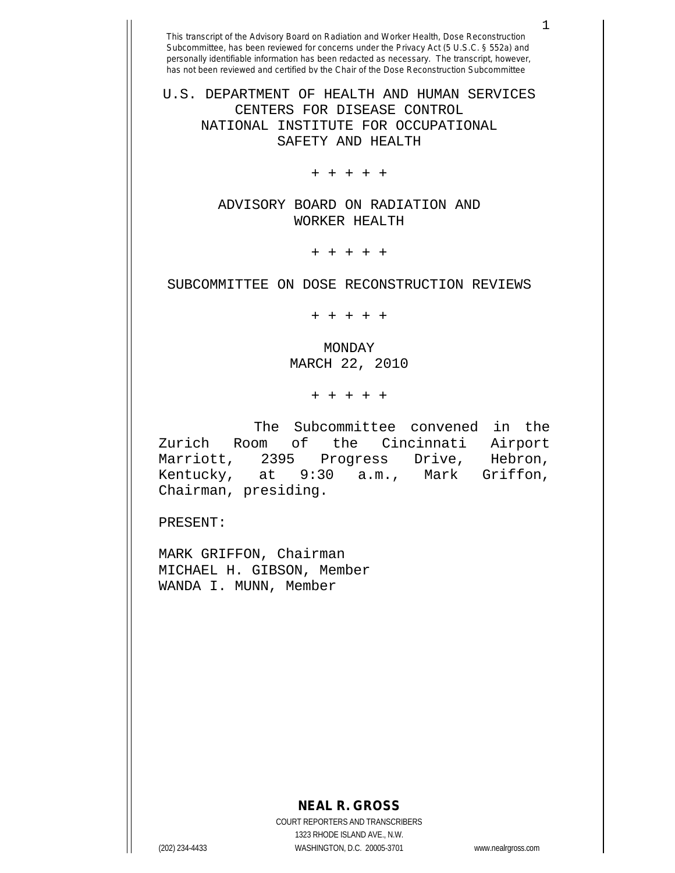U.S. DEPARTMENT OF HEALTH AND HUMAN SERVICES CENTERS FOR DISEASE CONTROL NATIONAL INSTITUTE FOR OCCUPATIONAL SAFETY AND HEALTH

+ + + + +

ADVISORY BOARD ON RADIATION AND WORKER HEALTH

+ + + + +

SUBCOMMITTEE ON DOSE RECONSTRUCTION REVIEWS

+ + + + +

MONDAY MARCH 22, 2010

+ + + + +

The Subcommittee convened in the<br>Room of the Cincinnati Airport Zurich Room of the Cincinnati Airport<br>Marriott, 2395 Progress Drive, Hebron, Marriott, 2395 Progress Drive, Kentucky, at 9:30 a.m., Mark Griffon, Chairman, presiding.

PRESENT:

MARK GRIFFON, Chairman MICHAEL H. GIBSON, Member WANDA I. MUNN, Member

## **NEAL R. GROSS**

COURT REPORTERS AND TRANSCRIBERS 1323 RHODE ISLAND AVE., N.W. (202) 234-4433 WASHINGTON, D.C. 20005-3701 www.nealrgross.com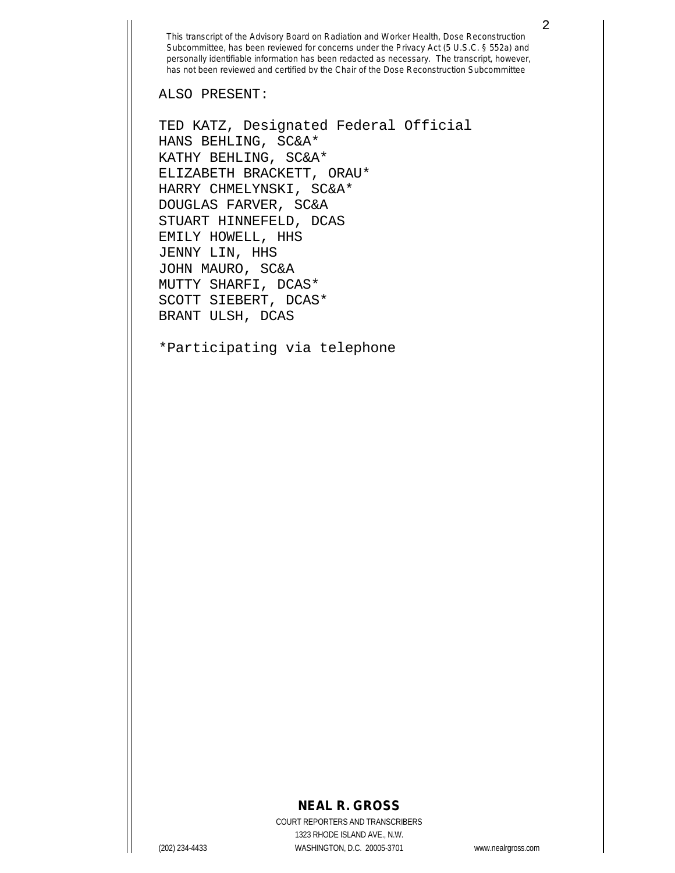ALSO PRESENT:

TED KATZ, Designated Federal Official HANS BEHLING, SC&A\* KATHY BEHLING, SC&A\* ELIZABETH BRACKETT, ORAU\* HARRY CHMELYNSKI, SC&A\* DOUGLAS FARVER, SC&A STUART HINNEFELD, DCAS EMILY HOWELL, HHS JENNY LIN, HHS JOHN MAURO, SC&A MUTTY SHARFI, DCAS\* SCOTT SIEBERT, DCAS\* BRANT ULSH, DCAS

\*Participating via telephone

## **NEAL R. GROSS**

COURT REPORTERS AND TRANSCRIBERS 1323 RHODE ISLAND AVE., N.W. (202) 234-4433 WASHINGTON, D.C. 20005-3701 www.nealrgross.com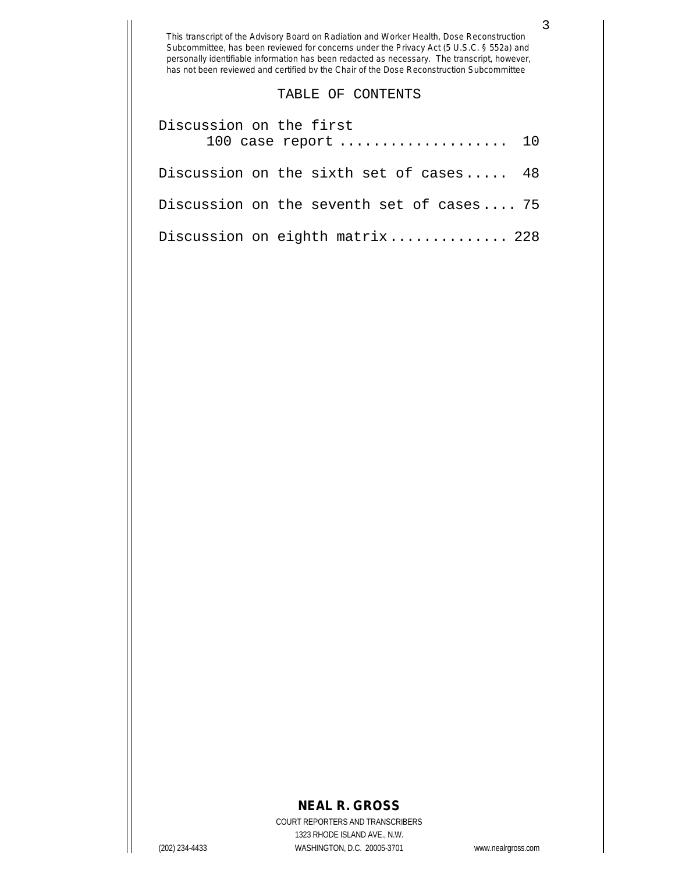## TABLE OF CONTENTS

| Discussion on the first<br>100 case report  10 |  |
|------------------------------------------------|--|
| Discussion on the sixth set of cases 48        |  |
| Discussion on the seventh set of cases 75      |  |
| Discussion on eighth matrix 228                |  |

## **NEAL R. GROSS**

COURT REPORTERS AND TRANSCRIBERS 1323 RHODE ISLAND AVE., N.W. (202) 234-4433 WASHINGTON, D.C. 20005-3701 www.nealrgross.com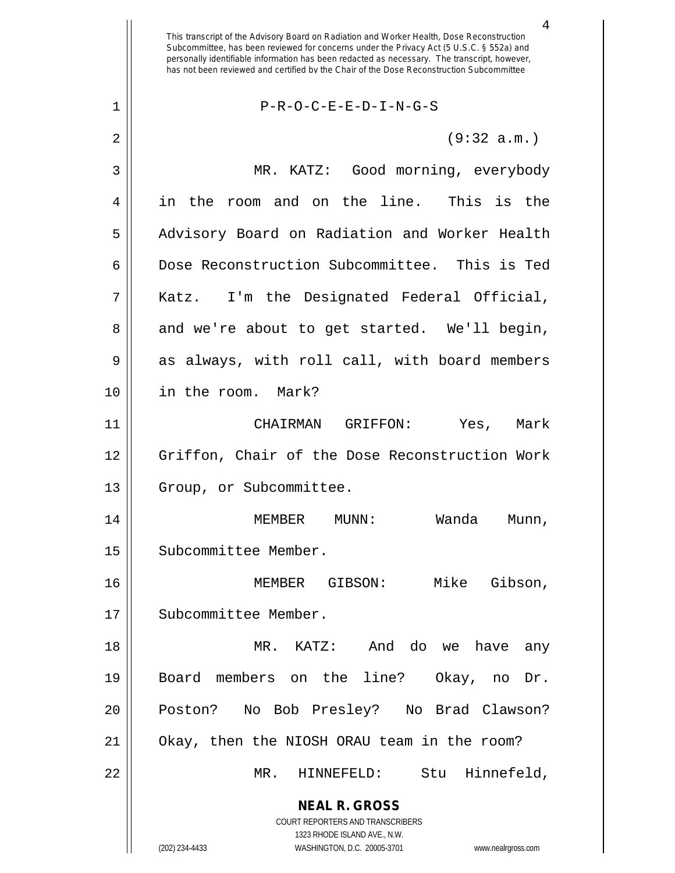**NEAL R. GROSS** COURT REPORTERS AND TRANSCRIBERS 1323 RHODE ISLAND AVE., N.W. (202) 234-4433 WASHINGTON, D.C. 20005-3701 www.nealrgross.com This transcript of the Advisory Board on Radiation and Worker Health, Dose Reconstruction Subcommittee, has been reviewed for concerns under the Privacy Act (5 U.S.C. § 552a) and personally identifiable information has been redacted as necessary. The transcript, however, has not been reviewed and certified by the Chair of the Dose Reconstruction Subcommittee 1 P-R-O-C-E-E-D-I-N-G-S  $2 \parallel$  (9:32 a.m.) 3 MR. KATZ: Good morning, everybody 4 in the room and on the line. This is the 5 || Advisory Board on Radiation and Worker Health 6 Dose Reconstruction Subcommittee. This is Ted 7 Katz. I'm the Designated Federal Official, 8 and we're about to get started. We'll begin, 9 as always, with roll call, with board members 10 in the room. Mark? 11 CHAIRMAN GRIFFON: Yes, Mark 12 || Griffon, Chair of the Dose Reconstruction Work 13 || Group, or Subcommittee. 14 MEMBER MUNN: Wanda Munn, 15 | Subcommittee Member. 16 MEMBER GIBSON: Mike Gibson, 17 | Subcommittee Member. 18 MR. KATZ: And do we have any 19 Board members on the line? Okay, no Dr. 20 || Poston? No Bob Presley? No Brad Clawson? 21 Okay, then the NIOSH ORAU team in the room? 22 MR. HINNEFELD: Stu Hinnefeld,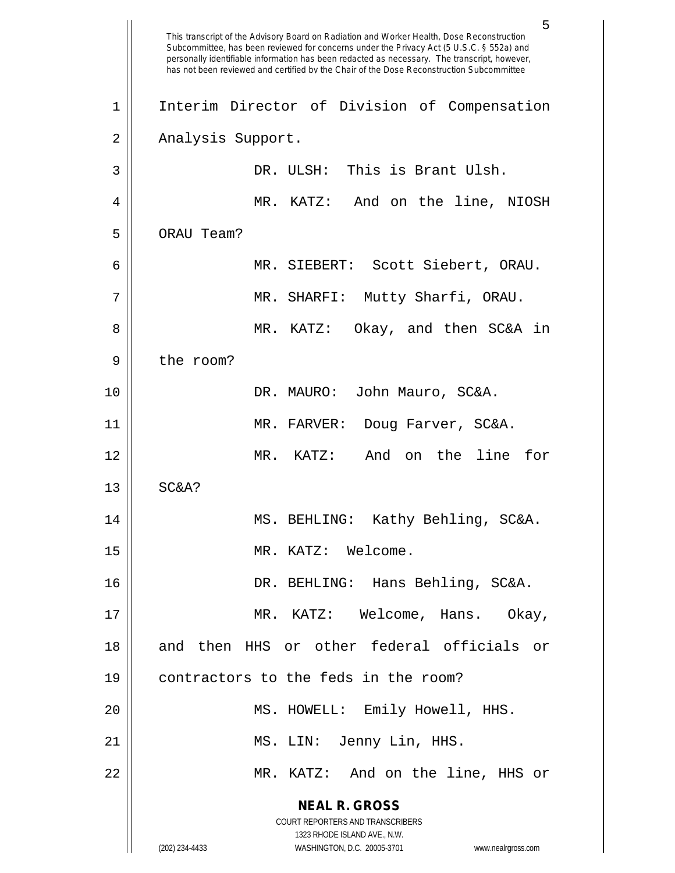**NEAL R. GROSS** COURT REPORTERS AND TRANSCRIBERS 1323 RHODE ISLAND AVE., N.W. (202) 234-4433 WASHINGTON, D.C. 20005-3701 www.nealrgross.com 5 This transcript of the Advisory Board on Radiation and Worker Health, Dose Reconstruction Subcommittee, has been reviewed for concerns under the Privacy Act (5 U.S.C. § 552a) and personally identifiable information has been redacted as necessary. The transcript, however, has not been reviewed and certified by the Chair of the Dose Reconstruction Subcommittee 1 || Interim Director of Division of Compensation 2 | Analysis Support. 3 || DR. ULSH: This is Brant Ulsh. 4 MR. KATZ: And on the line, NIOSH 5 | ORAU Team? 6 MR. SIEBERT: Scott Siebert, ORAU. 7 || MR. SHARFI: Mutty Sharfi, ORAU. 8 MR. KATZ: Okay, and then SC&A in 9 | the room? 10 DR. MAURO: John Mauro, SC&A. 11 MR. FARVER: Doug Farver, SC&A. 12 MR. KATZ: And on the line for  $13 \parallel$  SC&A? 14 MS. BEHLING: Kathy Behling, SC&A. 15 || MR. KATZ: Welcome. 16 DR. BEHLING: Hans Behling, SC&A. 17 MR. KATZ: Welcome, Hans. Okay, 18 and then HHS or other federal officials or 19 contractors to the feds in the room? 20 MS. HOWELL: Emily Howell, HHS. 21 || MS. LIN: Jenny Lin, HHS. 22 MR. KATZ: And on the line, HHS or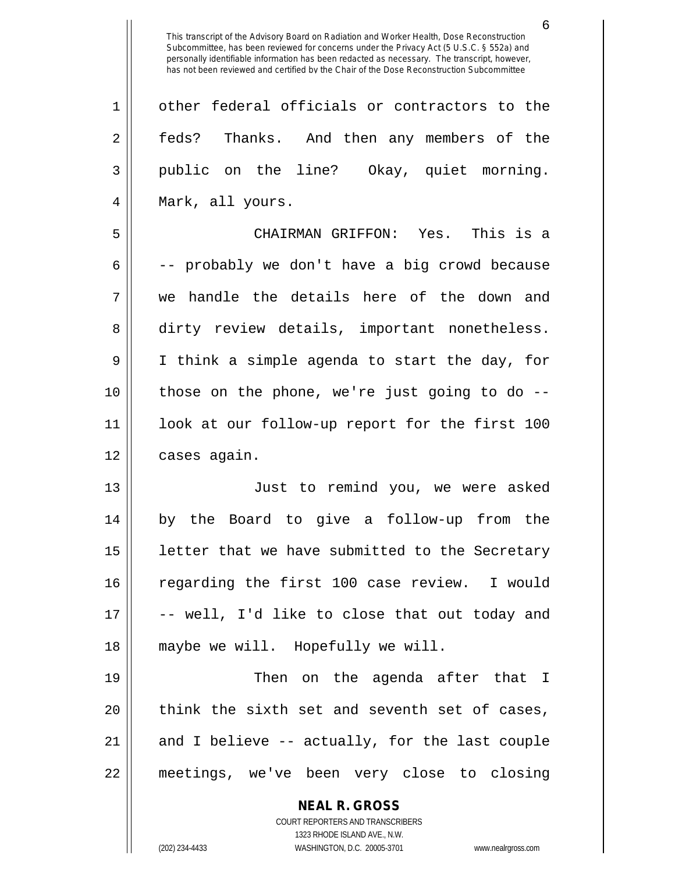**NEAL R. GROSS** 1 || other federal officials or contractors to the 2 || feds? Thanks. And then any members of the 3 public on the line? Okay, quiet morning. 4 || Mark, all yours. 5 CHAIRMAN GRIFFON: Yes. This is a  $6 \parallel$  -- probably we don't have a big crowd because 7 we handle the details here of the down and 8 dirty review details, important nonetheless. 9 I think a simple agenda to start the day, for 10 those on the phone, we're just going to do -- 11 look at our follow-up report for the first 100 12 | cases again. 13 Just to remind you, we were asked 14 by the Board to give a follow-up from the  $15$  | letter that we have submitted to the Secretary 16 || regarding the first 100 case review. I would  $17 \parallel$  -- well, I'd like to close that out today and 18 || maybe we will. Hopefully we will. 19 Then on the agenda after that I  $20$  || think the sixth set and seventh set of cases, 21  $\parallel$  and I believe -- actually, for the last couple 22 meetings, we've been very close to closing

> COURT REPORTERS AND TRANSCRIBERS 1323 RHODE ISLAND AVE., N.W.

(202) 234-4433 WASHINGTON, D.C. 20005-3701 www.nealrgross.com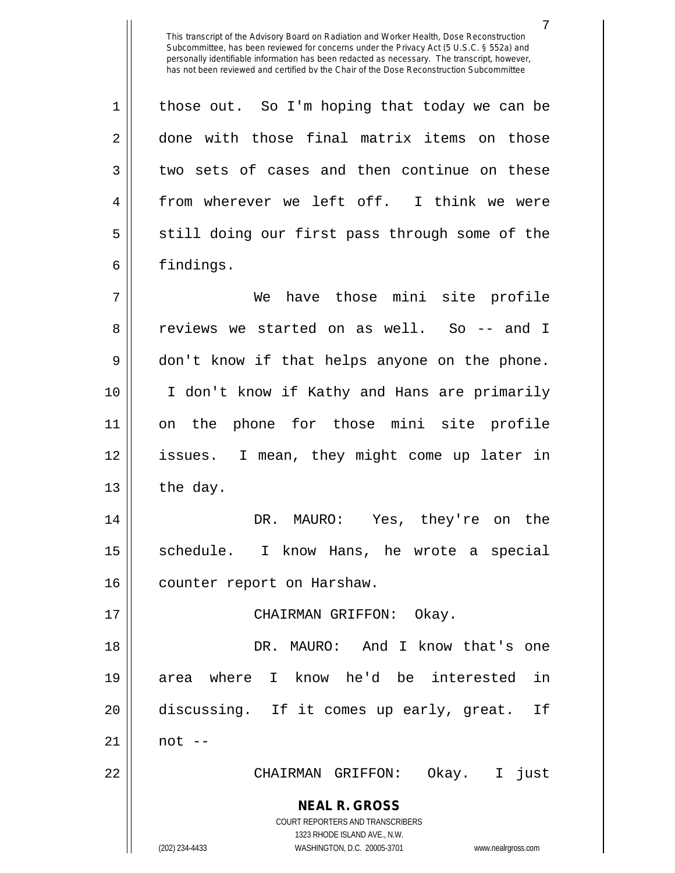7

 $1 \parallel$  those out. So I'm hoping that today we can be 2 done with those final matrix items on those  $3 \parallel$  two sets of cases and then continue on these 4 || from wherever we left off. I think we were  $5 \parallel$  still doing our first pass through some of the 6 | findings.

7 We have those mini site profile 8 ceviews we started on as well. So -- and I 9 don't know if that helps anyone on the phone. 10 I don't know if Kathy and Hans are primarily 11 on the phone for those mini site profile 12 issues. I mean, they might come up later in  $13$  the day.

14 DR. MAURO: Yes, they're on the 15 || schedule. I know Hans, he wrote a special 16 | counter report on Harshaw.

17 CHAIRMAN GRIFFON: Okay.

 DR. MAURO: And I know that's one area where I know he'd be interested in discussing. If it comes up early, great. If  $\parallel$  not  $-$ 

22 CHAIRMAN GRIFFON: Okay. I just

**NEAL R. GROSS** COURT REPORTERS AND TRANSCRIBERS

1323 RHODE ISLAND AVE., N.W.

(202) 234-4433 WASHINGTON, D.C. 20005-3701 www.nealrgross.com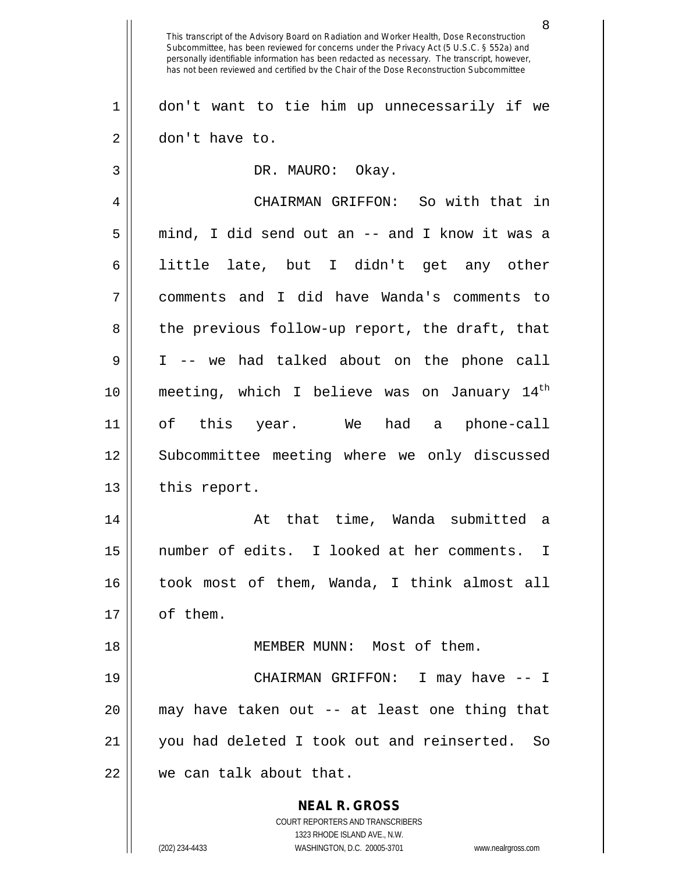**NEAL R. GROSS** COURT REPORTERS AND TRANSCRIBERS 1323 RHODE ISLAND AVE., N.W. (202) 234-4433 WASHINGTON, D.C. 20005-3701 www.nealrgross.com 8 This transcript of the Advisory Board on Radiation and Worker Health, Dose Reconstruction Subcommittee, has been reviewed for concerns under the Privacy Act (5 U.S.C. § 552a) and personally identifiable information has been redacted as necessary. The transcript, however, has not been reviewed and certified by the Chair of the Dose Reconstruction Subcommittee 1 don't want to tie him up unnecessarily if we 2 | don't have to. 3 || DR. MAURO: Okay. 4 CHAIRMAN GRIFFON: So with that in  $5 \parallel$  mind, I did send out an -- and I know it was a 6 || little late, but I didn't get any other 7 comments and I did have Wanda's comments to 8 || the previous follow-up report, the draft, that 9 I -- we had talked about on the phone call 10 || meeting, which I believe was on January  $14<sup>th</sup>$ 11 of this year. We had a phone-call 12 || Subcommittee meeting where we only discussed  $13$  || this report. 14 At that time, Wanda submitted a 15 number of edits. I looked at her comments. I 16 took most of them, Wanda, I think almost all 17 | of them. 18 MEMBER MUNN: Most of them. 19 CHAIRMAN GRIFFON: I may have -- I 20 may have taken out -- at least one thing that 21 you had deleted I took out and reinserted. So 22 || we can talk about that.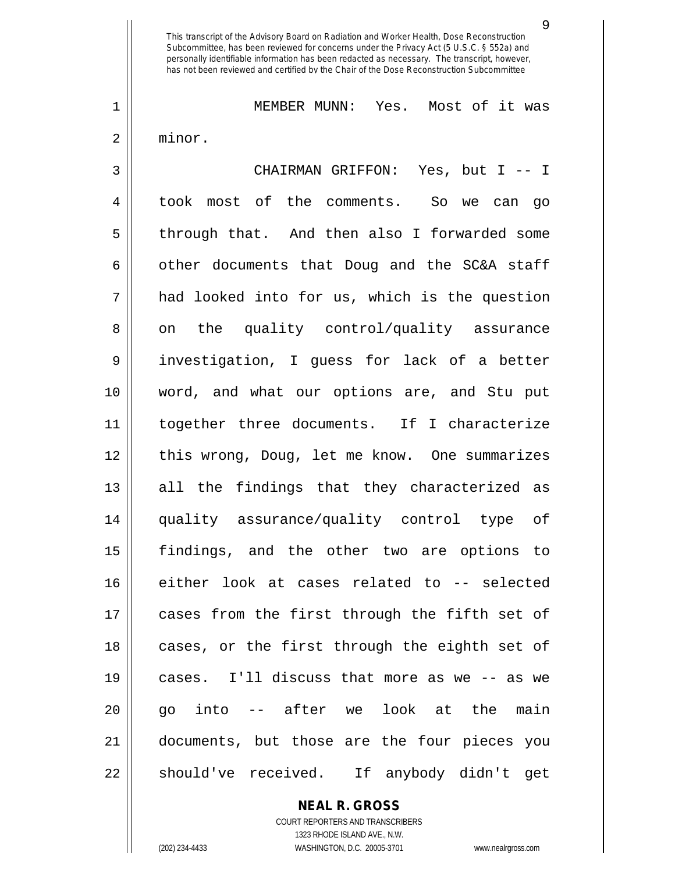1 MEMBER MUNN: Yes. Most of it was 2 minor.

3 CHAIRMAN GRIFFON: Yes, but I -- I 4 took most of the comments. So we can go 5 || through that. And then also I forwarded some  $6 \parallel$  other documents that Doug and the SC&A staff  $7 \parallel$  had looked into for us, which is the question  $8 \parallel$  on the quality control/quality assurance 9 || investigation, I guess for lack of a better 10 word, and what our options are, and Stu put 11 together three documents. If I characterize 12 || this wrong, Doug, let me know. One summarizes 13 all the findings that they characterized as 14 quality assurance/quality control type of 15 findings, and the other two are options to 16 either look at cases related to -- selected 17 cases from the first through the fifth set of 18 || cases, or the first through the eighth set of 19 cases. I'll discuss that more as we -- as we 20 go into -- after we look at the main 21 documents, but those are the four pieces you 22 || should've received. If anybody didn't get

**NEAL R. GROSS**

COURT REPORTERS AND TRANSCRIBERS 1323 RHODE ISLAND AVE., N.W. (202) 234-4433 WASHINGTON, D.C. 20005-3701 www.nealrgross.com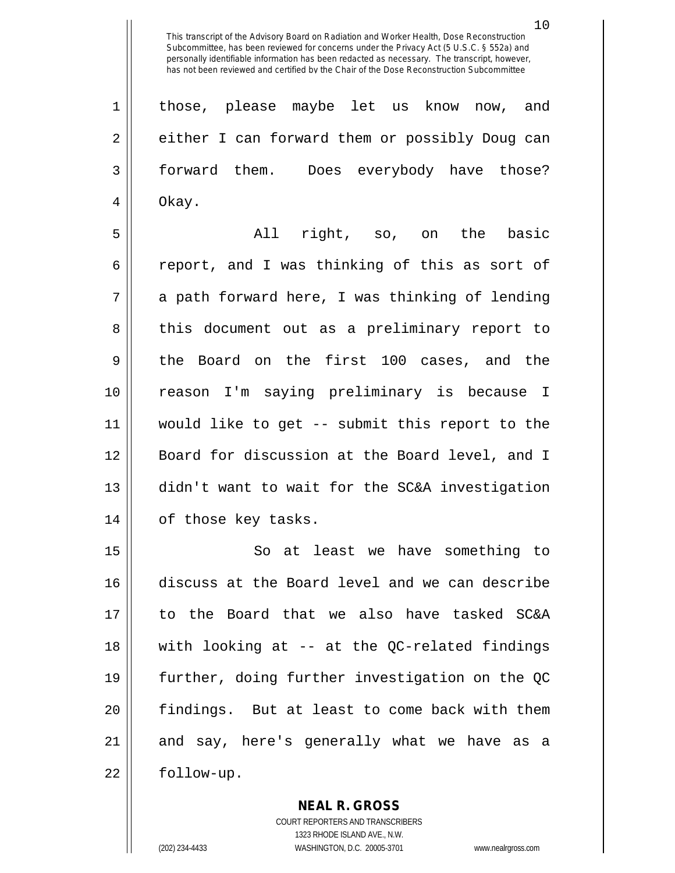1 || those, please maybe let us know now, and 2 either I can forward them or possibly Doug can 3 forward them. Does everybody have those? 4 Okay.

5 All right, so, on the basic 6 can 6 report, and I was thinking of this as sort of  $7 \parallel$  a path forward here, I was thinking of lending 8 || this document out as a preliminary report to 9 the Board on the first 100 cases, and the 10 reason I'm saying preliminary is because I 11 would like to get -- submit this report to the 12 || Board for discussion at the Board level, and I 13 didn't want to wait for the SC&A investigation 14 || of those key tasks.

15 || So at least we have something to discuss at the Board level and we can describe to the Board that we also have tasked SC&A with looking at -- at the QC-related findings further, doing further investigation on the QC findings. But at least to come back with them and say, here's generally what we have as a 22 | follow-up.

> COURT REPORTERS AND TRANSCRIBERS 1323 RHODE ISLAND AVE., N.W. (202) 234-4433 WASHINGTON, D.C. 20005-3701 www.nealrgross.com

**NEAL R. GROSS**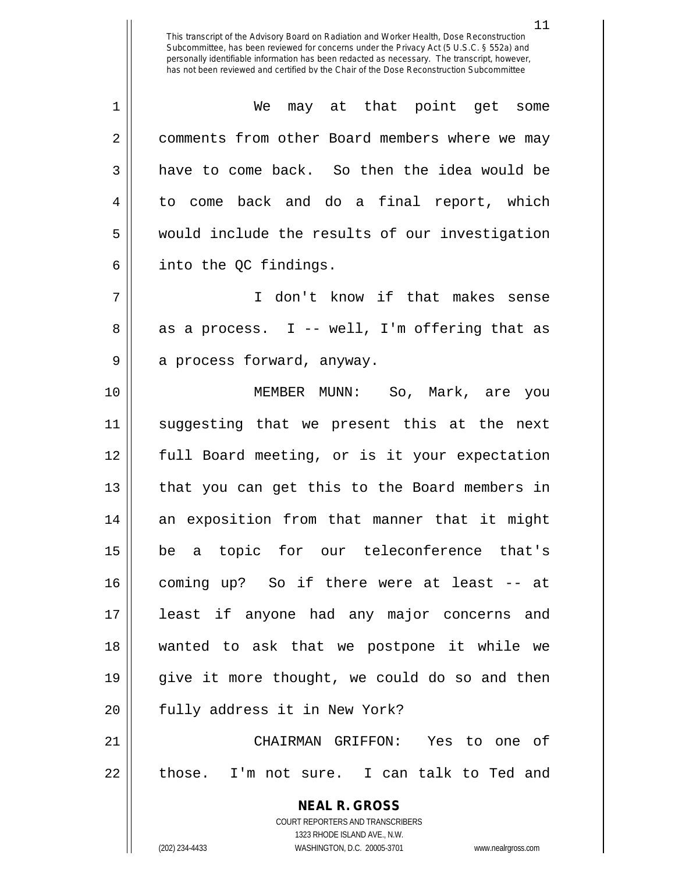1 We may at that point get some 2 | comments from other Board members where we may 3 have to come back. So then the idea would be 4 to come back and do a final report, which 5 || would include the results of our investigation  $6 \parallel$  into the QC findings.

7 I don't know if that makes sense  $8 \parallel$  as a process. I -- well, I'm offering that as 9 || a process forward, anyway.

 MEMBER MUNN: So, Mark, are you suggesting that we present this at the next full Board meeting, or is it your expectation 13 || that you can get this to the Board members in an exposition from that manner that it might be a topic for our teleconference that's coming up? So if there were at least -- at least if anyone had any major concerns and wanted to ask that we postpone it while we 19 || give it more thought, we could do so and then 20 || fully address it in New York?

21 CHAIRMAN GRIFFON: Yes to one of  $22$  || those. I'm not sure. I can talk to Ted and

> **NEAL R. GROSS** COURT REPORTERS AND TRANSCRIBERS 1323 RHODE ISLAND AVE., N.W. (202) 234-4433 WASHINGTON, D.C. 20005-3701 www.nealrgross.com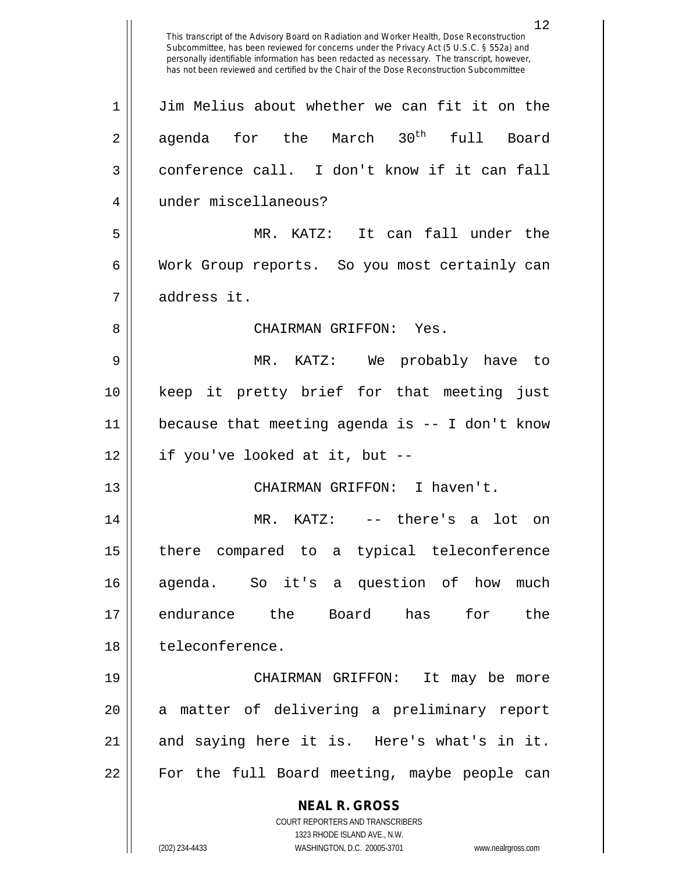**NEAL R. GROSS** COURT REPORTERS AND TRANSCRIBERS 1323 RHODE ISLAND AVE., N.W. (202) 234-4433 WASHINGTON, D.C. 20005-3701 www.nealrgross.com This transcript of the Advisory Board on Radiation and Worker Health, Dose Reconstruction Subcommittee, has been reviewed for concerns under the Privacy Act (5 U.S.C. § 552a) and personally identifiable information has been redacted as necessary. The transcript, however, has not been reviewed and certified by the Chair of the Dose Reconstruction Subcommittee 1 Jim Melius about whether we can fit it on the  $2 \parallel$  agenda for the March  $30^{\text{th}}$  full Board 3 conference call. I don't know if it can fall 4 under miscellaneous? 5 MR. KATZ: It can fall under the 6 | Work Group reports. So you most certainly can 7 address it. 8 CHAIRMAN GRIFFON: Yes. 9 MR. KATZ: We probably have to 10 keep it pretty brief for that meeting just 11 because that meeting agenda is -- I don't know  $12$  || if you've looked at it, but  $-$ 13 || CHAIRMAN GRIFFON: I haven't. 14 MR. KATZ: -- there's a lot on 15 there compared to a typical teleconference 16 agenda. So it's a question of how much 17 endurance the Board has for the 18 teleconference. 19 CHAIRMAN GRIFFON: It may be more 20 || a matter of delivering a preliminary report 21 || and saying here it is. Here's what's in it. 22 || For the full Board meeting, maybe people can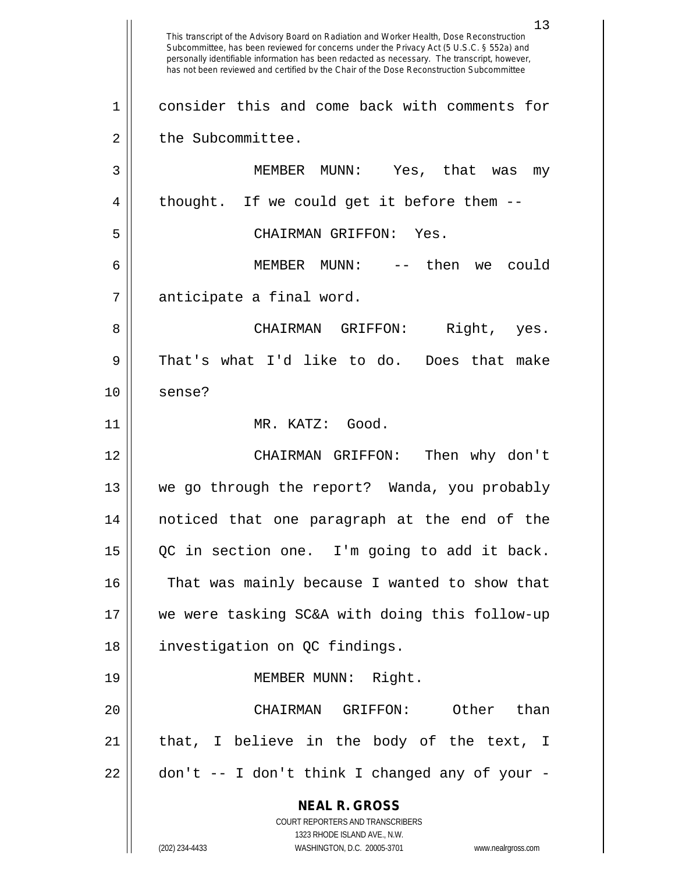**NEAL R. GROSS** COURT REPORTERS AND TRANSCRIBERS 1323 RHODE ISLAND AVE., N.W. (202) 234-4433 WASHINGTON, D.C. 20005-3701 www.nealrgross.com 13 This transcript of the Advisory Board on Radiation and Worker Health, Dose Reconstruction Subcommittee, has been reviewed for concerns under the Privacy Act (5 U.S.C. § 552a) and personally identifiable information has been redacted as necessary. The transcript, however, has not been reviewed and certified by the Chair of the Dose Reconstruction Subcommittee 1 consider this and come back with comments for 2 | the Subcommittee. 3 MEMBER MUNN: Yes, that was my 4 || thought. If we could get it before them --5 CHAIRMAN GRIFFON: Yes. 6 MEMBER MUNN: -- then we could 7 | anticipate a final word. 8 CHAIRMAN GRIFFON: Right, yes. 9 That's what I'd like to do. Does that make 10 || sense? 11 MR. KATZ: Good. 12 CHAIRMAN GRIFFON: Then why don't 13 we go through the report? Wanda, you probably 14 noticed that one paragraph at the end of the 15 QC in section one. I'm going to add it back. 16 || That was mainly because I wanted to show that 17 we were tasking SC&A with doing this follow-up 18 investigation on QC findings. 19 || MEMBER MUNN: Right. 20 CHAIRMAN GRIFFON: Other than  $21$  || that, I believe in the body of the text, I  $22 \parallel$  don't -- I don't think I changed any of your -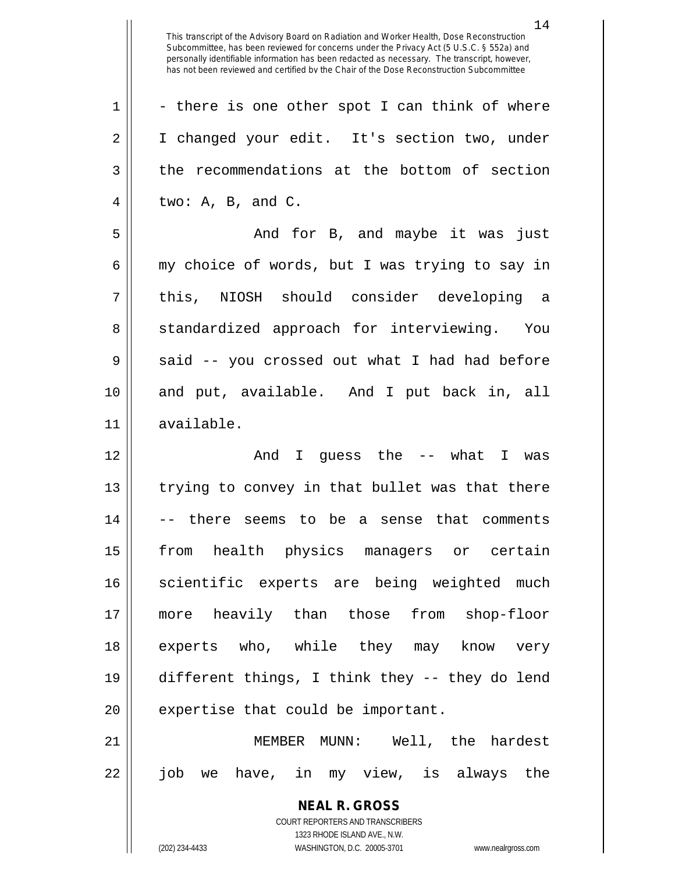14

**NEAL R. GROSS** COURT REPORTERS AND TRANSCRIBERS  $1 \parallel$  - there is one other spot I can think of where 2 | I changed your edit. It's section two, under 3 || the recommendations at the bottom of section  $4 \parallel$  two: A, B, and C. 5 And for B, and maybe it was just 6  $\parallel$  my choice of words, but I was trying to say in 7 this, NIOSH should consider developing a 8 Som Standardized approach for interviewing. You  $9 \parallel$  said -- you crossed out what I had had before 10 and put, available. And I put back in, all 11 available. 12 And I guess the -- what I was 13 || trying to convey in that bullet was that there 14 -- there seems to be a sense that comments 15 from health physics managers or certain 16 || scientific experts are being weighted much 17 more heavily than those from shop-floor 18 || experts who, while they may know very 19 different things, I think they -- they do lend  $20$  || expertise that could be important. 21 MEMBER MUNN: Well, the hardest 22 job we have, in my view, is always the

1323 RHODE ISLAND AVE., N.W.

(202) 234-4433 WASHINGTON, D.C. 20005-3701 www.nealrgross.com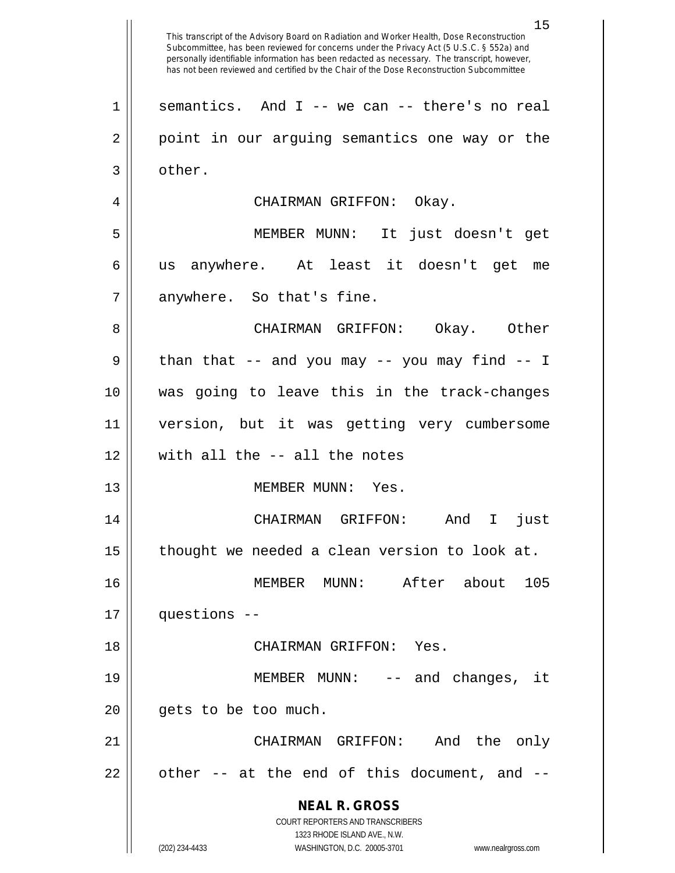**NEAL R. GROSS** COURT REPORTERS AND TRANSCRIBERS 1323 RHODE ISLAND AVE., N.W. (202) 234-4433 WASHINGTON, D.C. 20005-3701 www.nealrgross.com This transcript of the Advisory Board on Radiation and Worker Health, Dose Reconstruction Subcommittee, has been reviewed for concerns under the Privacy Act (5 U.S.C. § 552a) and personally identifiable information has been redacted as necessary. The transcript, however, has not been reviewed and certified by the Chair of the Dose Reconstruction Subcommittee  $1 \parallel$  semantics. And I -- we can -- there's no real 2 || point in our arguing semantics one way or the 3 | other. 4 CHAIRMAN GRIFFON: Okay. 5 MEMBER MUNN: It just doesn't get 6 us anywhere. At least it doesn't get me  $7 \parallel$  anywhere. So that's fine. 8 CHAIRMAN GRIFFON: Okay. Other  $9 \parallel$  than that -- and you may -- you may find -- I 10 was going to leave this in the track-changes 11 version, but it was getting very cumbersome 12 with all the -- all the notes 13 || MEMBER MUNN: Yes. 14 CHAIRMAN GRIFFON: And I just 15  $\parallel$  thought we needed a clean version to look at. 16 MEMBER MUNN: After about 105 17 questions -- 18 CHAIRMAN GRIFFON: Yes. 19 || MEMBER MUNN: -- and changes, it  $20$  || qets to be too much. 21 CHAIRMAN GRIFFON: And the only  $22 \parallel$  other -- at the end of this document, and --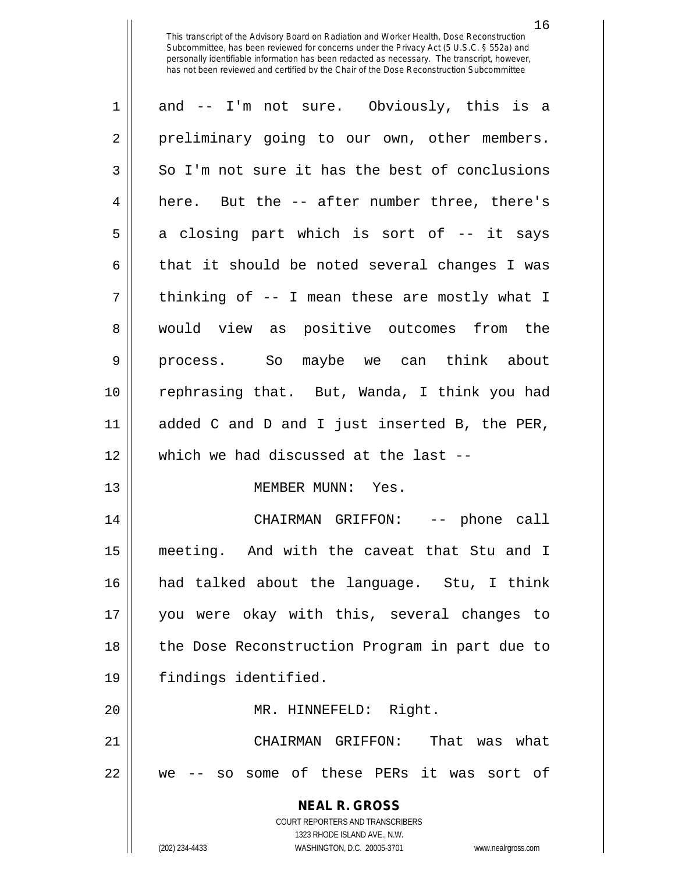| $\mathbf 1$    | and -- I'm not sure. Obviously, this is a                                                           |
|----------------|-----------------------------------------------------------------------------------------------------|
| $\overline{2}$ | preliminary going to our own, other members.                                                        |
| 3              | So I'm not sure it has the best of conclusions                                                      |
| $\overline{4}$ | here. But the -- after number three, there's                                                        |
| 5              | a closing part which is sort of -- it says                                                          |
| 6              | that it should be noted several changes I was                                                       |
| 7              | thinking of -- I mean these are mostly what I                                                       |
| 8              | would view as positive outcomes from the                                                            |
| 9              | process. So maybe we can think about                                                                |
| 10             | rephrasing that. But, Wanda, I think you had                                                        |
| 11             | added C and D and I just inserted B, the PER,                                                       |
| 12             | which we had discussed at the last --                                                               |
| 13             | MEMBER MUNN: Yes.                                                                                   |
| 14             | CHAIRMAN GRIFFON: -- phone call                                                                     |
| 15             | meeting. And with the caveat that Stu and I                                                         |
| 16             | had talked about the language. Stu, I think                                                         |
| 17             | you were okay with this, several changes to                                                         |
| 18             | the Dose Reconstruction Program in part due to                                                      |
| 19             | findings identified.                                                                                |
| 20             | MR. HINNEFELD: Right.                                                                               |
| 21             | That was what<br>CHAIRMAN GRIFFON:                                                                  |
| 22             | some of these PERs it was sort of<br>SO<br>we                                                       |
|                | <b>NEAL R. GROSS</b>                                                                                |
|                | <b>COURT REPORTERS AND TRANSCRIBERS</b>                                                             |
|                | 1323 RHODE ISLAND AVE., N.W.<br>(202) 234-4433<br>WASHINGTON, D.C. 20005-3701<br>www.nealrgross.com |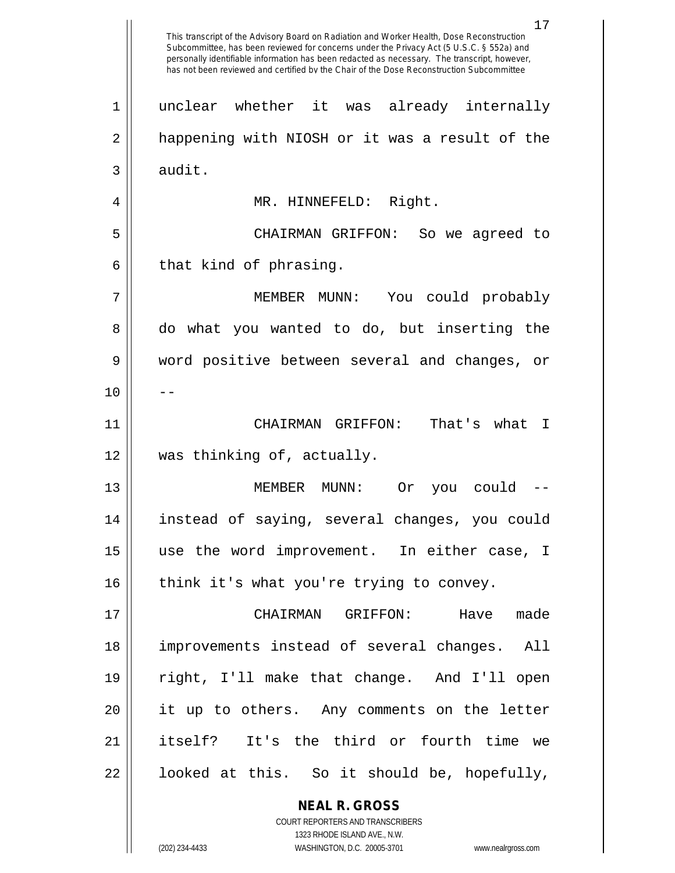**NEAL R. GROSS** COURT REPORTERS AND TRANSCRIBERS 1323 RHODE ISLAND AVE., N.W. This transcript of the Advisory Board on Radiation and Worker Health, Dose Reconstruction Subcommittee, has been reviewed for concerns under the Privacy Act (5 U.S.C. § 552a) and personally identifiable information has been redacted as necessary. The transcript, however, has not been reviewed and certified by the Chair of the Dose Reconstruction Subcommittee 1 unclear whether it was already internally 2 || happening with NIOSH or it was a result of the  $3 \parallel$  audit. 4 MR. HINNEFELD: Right. 5 CHAIRMAN GRIFFON: So we agreed to  $6 \parallel$  that kind of phrasing. 7 MEMBER MUNN: You could probably 8 do what you wanted to do, but inserting the 9 word positive between several and changes, or  $10$  ||  $-$ 11 CHAIRMAN GRIFFON: That's what I 12 was thinking of, actually. 13 MEMBER MUNN: Or you could -- 14 instead of saying, several changes, you could 15 use the word improvement. In either case, I  $16$  | think it's what you're trying to convey. 17 CHAIRMAN GRIFFON: Have made 18 improvements instead of several changes. All 19 right, I'll make that change. And I'll open 20 it up to others. Any comments on the letter 21 itself? It's the third or fourth time we  $22 \parallel$  looked at this. So it should be, hopefully,

(202) 234-4433 WASHINGTON, D.C. 20005-3701 www.nealrgross.com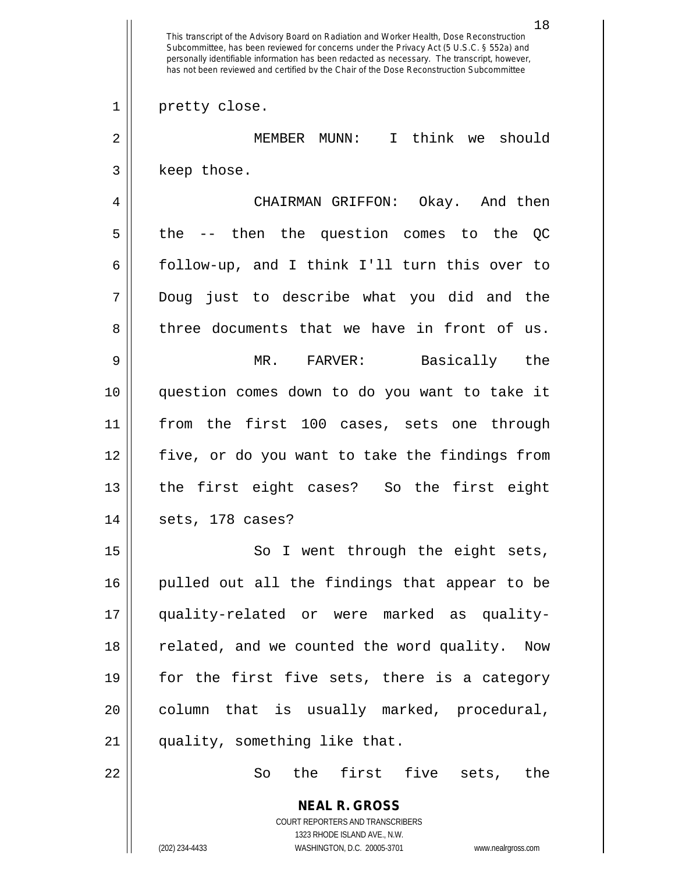**NEAL R. GROSS** COURT REPORTERS AND TRANSCRIBERS 1323 RHODE ISLAND AVE., N.W. 18 This transcript of the Advisory Board on Radiation and Worker Health, Dose Reconstruction Subcommittee, has been reviewed for concerns under the Privacy Act (5 U.S.C. § 552a) and personally identifiable information has been redacted as necessary. The transcript, however, has not been reviewed and certified by the Chair of the Dose Reconstruction Subcommittee 1 || pretty close. 2 MEMBER MUNN: I think we should 3 | keep those. 4 CHAIRMAN GRIFFON: Okay. And then  $5 \parallel$  the -- then the question comes to the QC 6 follow-up, and I think I'll turn this over to 7 Doug just to describe what you did and the  $8 \parallel$  three documents that we have in front of us. 9 MR. FARVER: Basically the 10 question comes down to do you want to take it 11 from the first 100 cases, sets one through 12 five, or do you want to take the findings from 13 || the first eight cases? So the first eight  $14$  || sets, 178 cases? 15 || So I went through the eight sets, 16 pulled out all the findings that appear to be 17 quality-related or were marked as quality-18 || related, and we counted the word quality. Now 19 || for the first five sets, there is a category 20 || column that is usually marked, procedural, 21 || quality, something like that. 22 So the first five sets, the

(202) 234-4433 WASHINGTON, D.C. 20005-3701 www.nealrgross.com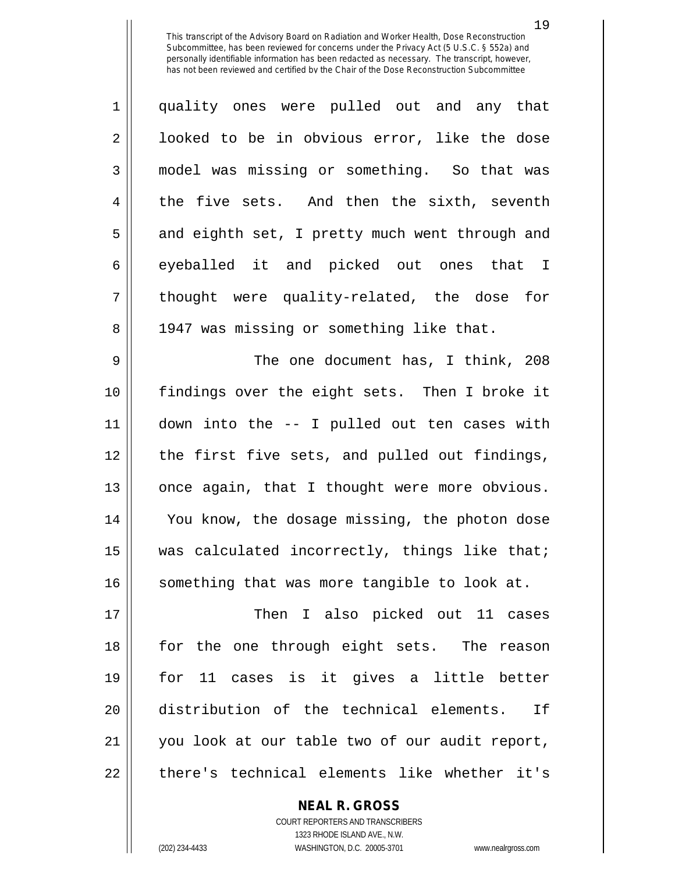| $\mathbf{1}$   | quality ones were pulled out and any that      |
|----------------|------------------------------------------------|
| $\overline{2}$ | looked to be in obvious error, like the dose   |
| 3              | model was missing or something. So that was    |
| $\overline{4}$ | the five sets. And then the sixth, seventh     |
| 5              | and eighth set, I pretty much went through and |
| 6              | eyeballed it and picked out ones that I        |
| $\overline{7}$ | thought were quality-related, the dose for     |
| 8              | 1947 was missing or something like that.       |
| $\Omega$       | The and dequirement has $T$ think $200$        |

 The one document has, I think, 208 findings over the eight sets. Then I broke it down into the -- I pulled out ten cases with 12 || the first five sets, and pulled out findings, 13 || once again, that I thought were more obvious. 14 || You know, the dosage missing, the photon dose  $\parallel$  was calculated incorrectly, things like that; something that was more tangible to look at.

17 || Then I also picked out 11 cases for the one through eight sets. The reason for 11 cases is it gives a little better distribution of the technical elements. If you look at our table two of our audit report, 22 || there's technical elements like whether it's

**NEAL R. GROSS**

COURT REPORTERS AND TRANSCRIBERS 1323 RHODE ISLAND AVE., N.W. (202) 234-4433 WASHINGTON, D.C. 20005-3701 www.nealrgross.com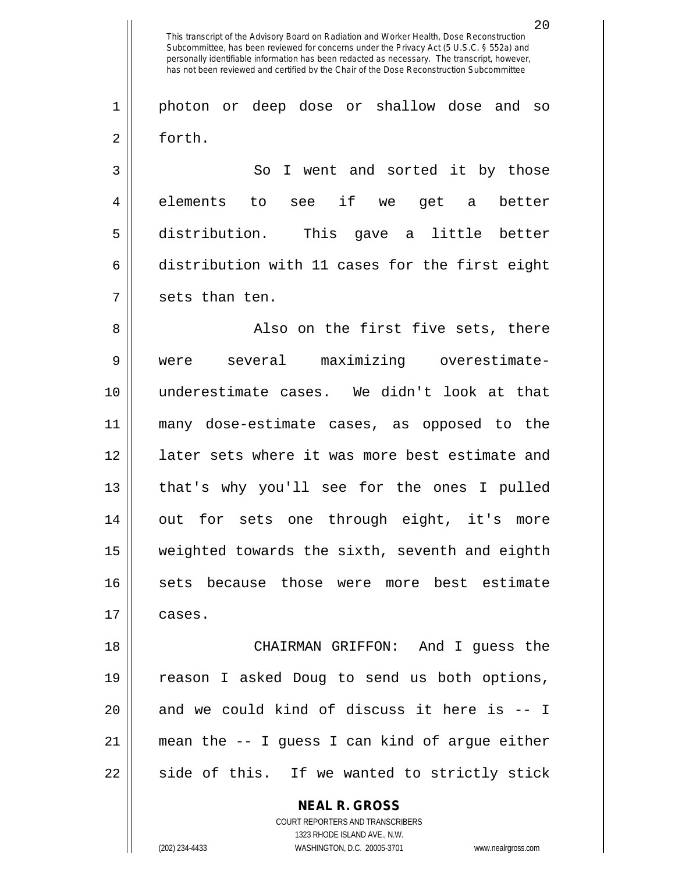1 photon or deep dose or shallow dose and so 2 | forth.

3 || So I went and sorted it by those 4|| elements to see if we get a better 5 distribution. This gave a little better  $6 \parallel$  distribution with 11 cases for the first eight  $7 \parallel$  sets than ten.

8 Also on the first five sets, there 9 were several maximizing overestimate-10 underestimate cases. We didn't look at that 11 many dose-estimate cases, as opposed to the 12 || 1ater sets where it was more best estimate and 13 that's why you'll see for the ones I pulled 14 out for sets one through eight, it's more 15 weighted towards the sixth, seventh and eighth 16 || sets because those were more best estimate  $17 \parallel \text{cases}.$ 

18 CHAIRMAN GRIFFON: And I guess the 19 || reason I asked Doug to send us both options,  $20$  and we could kind of discuss it here is  $-1$ 21  $\parallel$  mean the -- I guess I can kind of argue either  $22 \parallel$  side of this. If we wanted to strictly stick

> **NEAL R. GROSS** COURT REPORTERS AND TRANSCRIBERS 1323 RHODE ISLAND AVE., N.W. (202) 234-4433 WASHINGTON, D.C. 20005-3701 www.nealrgross.com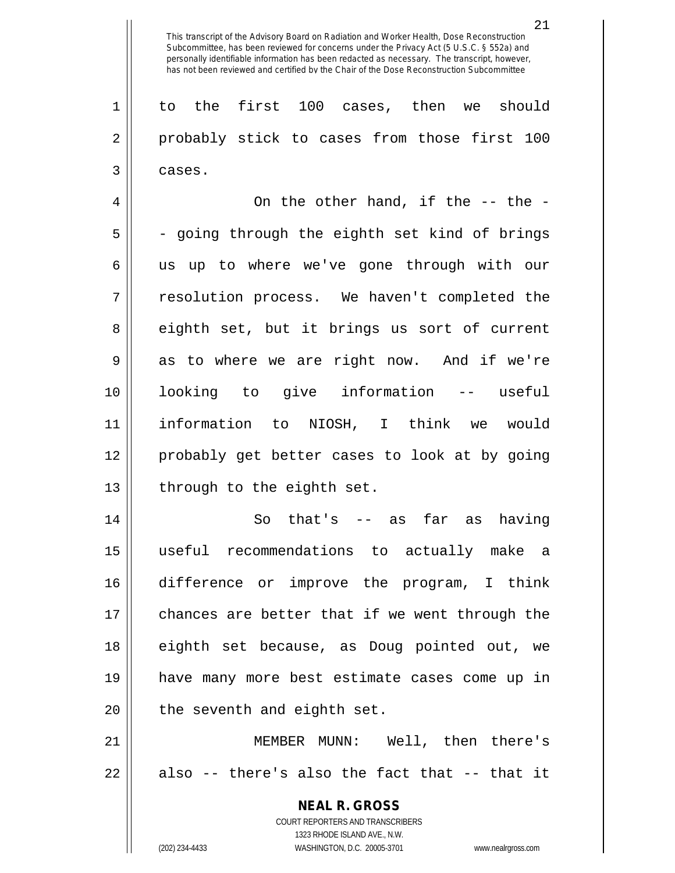1 to the first 100 cases, then we should 2 || probably stick to cases from those first 100  $3 \parallel$  cases.

4  $\parallel$  0n the other hand, if the -- the - $5 \parallel$  - going through the eighth set kind of brings 6 || us up to where we've gone through with our 7 || resolution process. We haven't completed the 8 eighth set, but it brings us sort of current  $9 \parallel$  as to where we are right now. And if we're 10 looking to give information -- useful 11 information to NIOSH, I think we would 12 probably get better cases to look at by going 13 || through to the eighth set.

14 || So that's -- as far as having useful recommendations to actually make a difference or improve the program, I think 17 || chances are better that if we went through the eighth set because, as Doug pointed out, we have many more best estimate cases come up in || the seventh and eighth set.

21 MEMBER MUNN: Well, then there's  $22 \parallel$  also -- there's also the fact that -- that it

> **NEAL R. GROSS** COURT REPORTERS AND TRANSCRIBERS 1323 RHODE ISLAND AVE., N.W. (202) 234-4433 WASHINGTON, D.C. 20005-3701 www.nealrgross.com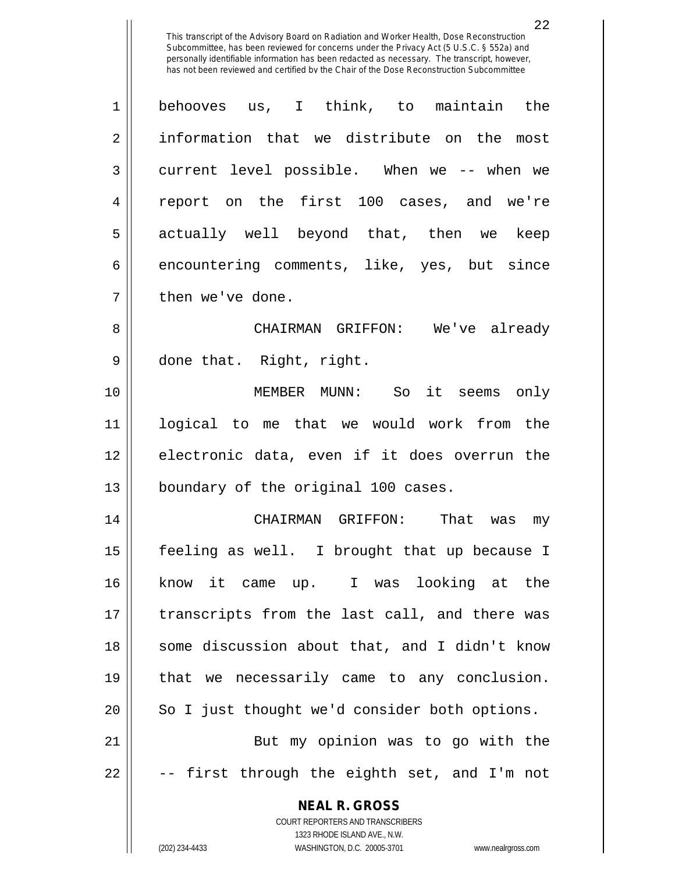1 behooves us, I think, to maintain the 2 information that we distribute on the most 3 current level possible. When we -- when we 4 || report on the first 100 cases, and we're 5 actually well beyond that, then we keep  $6 \parallel$  encountering comments, like, yes, but since  $7$  || then we've done. 8 CHAIRMAN GRIFFON: We've already 9 || done that. Right, right. 10 MEMBER MUNN: So it seems only

11 logical to me that we would work from the 12 electronic data, even if it does overrun the 13 || boundary of the original 100 cases.

14 CHAIRMAN GRIFFON: That was my 15 feeling as well. I brought that up because I 16 know it came up. I was looking at the 17 || transcripts from the last call, and there was 18 || some discussion about that, and I didn't know 19 that we necessarily came to any conclusion. 20 || So I just thought we'd consider both options. 21 || But my opinion was to go with the  $22 \parallel$  -- first through the eighth set, and I'm not

> **NEAL R. GROSS** COURT REPORTERS AND TRANSCRIBERS

> > 1323 RHODE ISLAND AVE., N.W.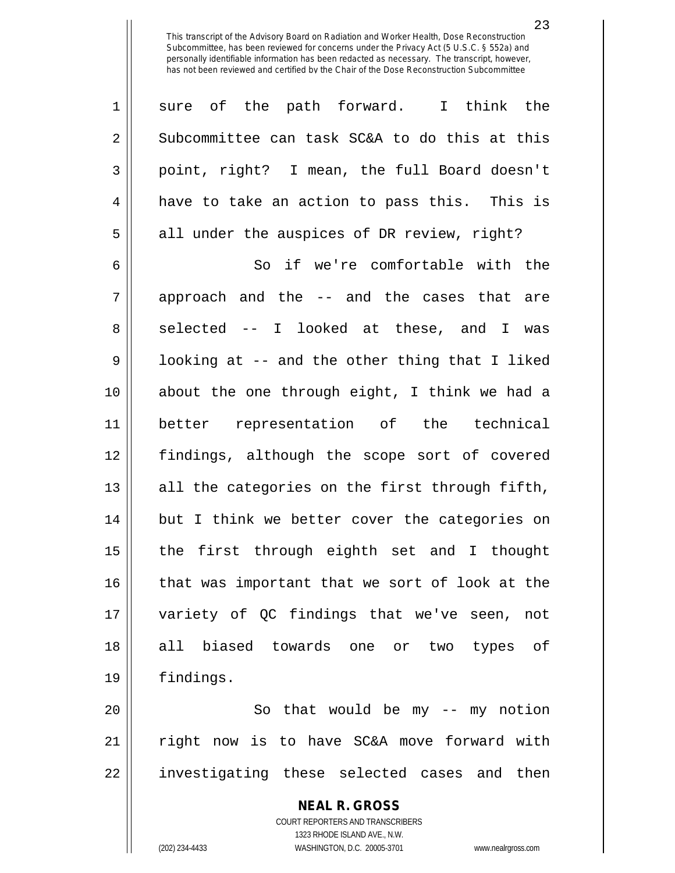| $\mathbf 1$    | sure of the path forward. I think the          |
|----------------|------------------------------------------------|
| $\overline{2}$ | Subcommittee can task SC&A to do this at this  |
| 3              | point, right? I mean, the full Board doesn't   |
| 4              | have to take an action to pass this. This is   |
| 5              | all under the auspices of DR review, right?    |
| 6              | So if we're comfortable with the               |
| 7              | approach and the -- and the cases that are     |
| 8              | selected -- I looked at these, and I was       |
| 9              | looking at -- and the other thing that I liked |
| 10             | about the one through eight, I think we had a  |
| 11             | better representation of the technical         |
| 12             | findings, although the scope sort of covered   |
| 13             | all the categories on the first through fifth, |
| 14             | but I think we better cover the categories on  |
| 15             | the first through eighth set and I thought     |
| 16             | that was important that we sort of look at the |
| 17             | variety of QC findings that we've seen, not    |
| 18             | all biased towards one or two types of         |
| 19             | findings.                                      |
| 20             | So that would be my -- my notion               |
| 21             | right now is to have SC&A move forward with    |

investigating these selected cases and then

**NEAL R. GROSS** COURT REPORTERS AND TRANSCRIBERS

1323 RHODE ISLAND AVE., N.W.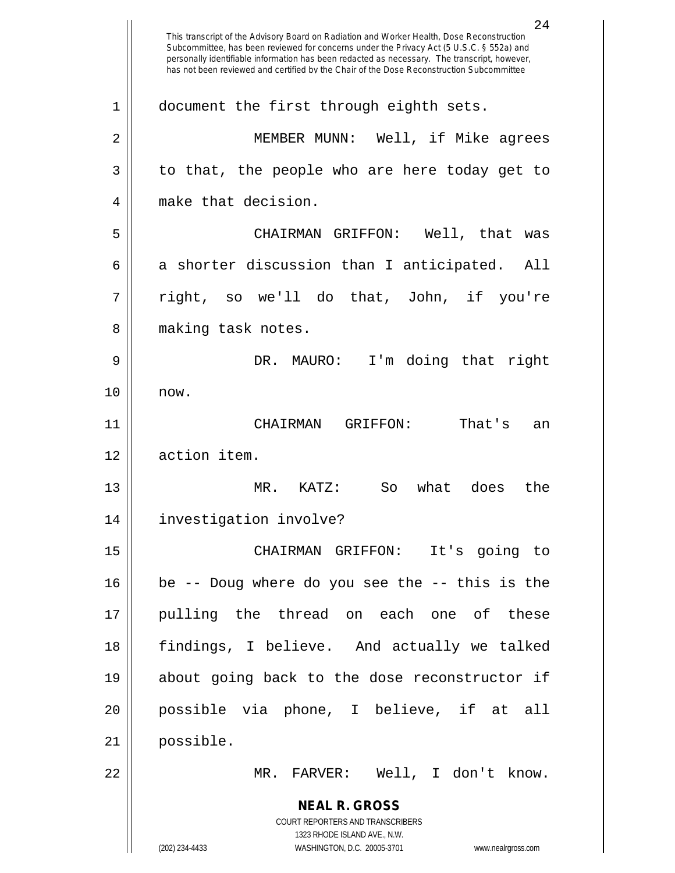**NEAL R. GROSS** COURT REPORTERS AND TRANSCRIBERS 1323 RHODE ISLAND AVE., N.W. (202) 234-4433 WASHINGTON, D.C. 20005-3701 www.nealrgross.com 24 This transcript of the Advisory Board on Radiation and Worker Health, Dose Reconstruction Subcommittee, has been reviewed for concerns under the Privacy Act (5 U.S.C. § 552a) and personally identifiable information has been redacted as necessary. The transcript, however, has not been reviewed and certified by the Chair of the Dose Reconstruction Subcommittee 1 | document the first through eighth sets. 2 MEMBER MUNN: Well, if Mike agrees  $3 \parallel$  to that, the people who are here today get to 4 || make that decision. 5 CHAIRMAN GRIFFON: Well, that was  $6 \parallel$  a shorter discussion than I anticipated. All  $7 \parallel$  right, so we'll do that, John, if you're 8 || making task notes. 9 DR. MAURO: I'm doing that right 10 now. 11 CHAIRMAN GRIFFON: That's an 12 | action item. 13 MR. KATZ: So what does the 14 investigation involve? 15 CHAIRMAN GRIFFON: It's going to 16 be -- Doug where do you see the -- this is the 17 pulling the thread on each one of these 18 findings, I believe. And actually we talked 19 about going back to the dose reconstructor if 20 possible via phone, I believe, if at all 21 possible. 22 MR. FARVER: Well, I don't know.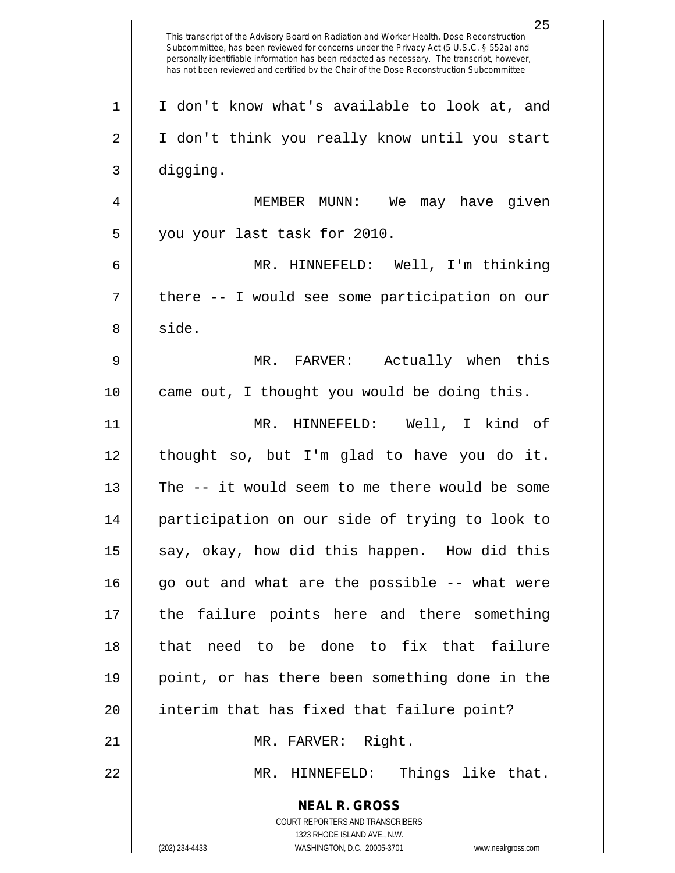**NEAL R. GROSS** COURT REPORTERS AND TRANSCRIBERS 1323 RHODE ISLAND AVE., N.W. (202) 234-4433 WASHINGTON, D.C. 20005-3701 www.nealrgross.com 25 This transcript of the Advisory Board on Radiation and Worker Health, Dose Reconstruction Subcommittee, has been reviewed for concerns under the Privacy Act (5 U.S.C. § 552a) and personally identifiable information has been redacted as necessary. The transcript, however, has not been reviewed and certified by the Chair of the Dose Reconstruction Subcommittee 1 || I don't know what's available to look at, and 2 || I don't think you really know until you start 3 digging. 4 MEMBER MUNN: We may have given 5 you your last task for 2010. 6 MR. HINNEFELD: Well, I'm thinking  $7 \parallel$  there -- I would see some participation on our 8 | side. 9 MR. FARVER: Actually when this 10 || came out, I thought you would be doing this. 11 MR. HINNEFELD: Well, I kind of 12 thought so, but I'm glad to have you do it. 13 The -- it would seem to me there would be some 14 participation on our side of trying to look to 15  $\parallel$  say, okay, how did this happen. How did this  $16$  go out and what are the possible  $-$ - what were 17 the failure points here and there something 18 that need to be done to fix that failure 19 point, or has there been something done in the 20 || interim that has fixed that failure point? 21 || MR. FARVER: Right. 22 MR. HINNEFELD: Things like that.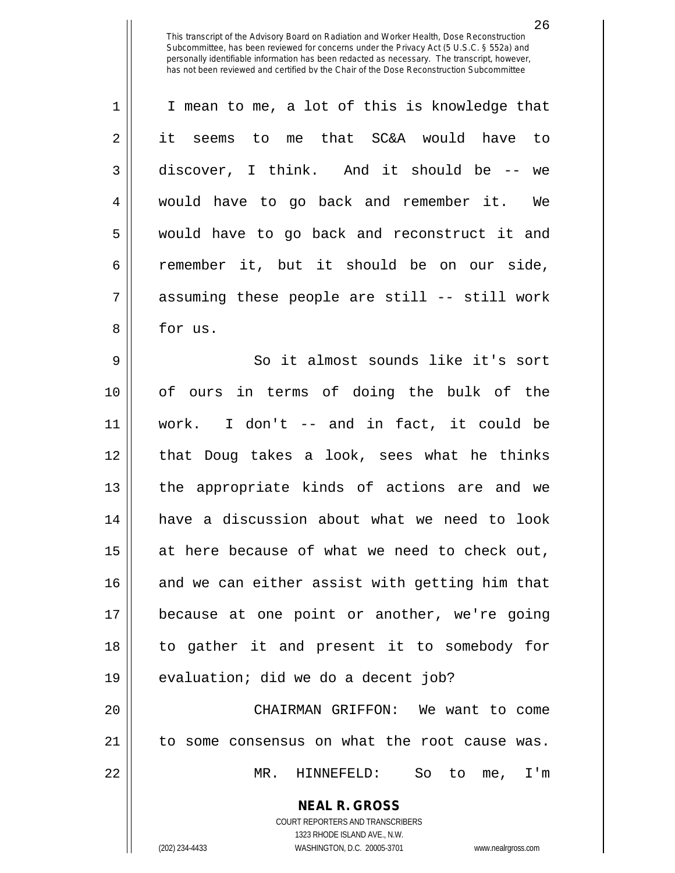| $\mathbf 1$ | I mean to me, a lot of this is knowledge that  |
|-------------|------------------------------------------------|
| 2           | it seems to<br>me that SC&A would have to      |
| 3           | discover, I think. And it should be -- we      |
| 4           | would have to go back and remember it.<br>We   |
| 5           | would have to go back and reconstruct it and   |
| 6           | remember it, but it should be on our side,     |
| 7           | assuming these people are still -- still work  |
| 8           | for us.                                        |
| $\mathsf 9$ | So it almost sounds like it's sort             |
| 10          | of ours in terms of doing the bulk of the      |
| 11          | work. I don't -- and in fact, it could be      |
| 12          | that Doug takes a look, sees what he thinks    |
| 13          | the appropriate kinds of actions are and we    |
| 14          | have a discussion about what we need to look   |
| 15          | at here because of what we need to check out,  |
| 16          | and we can either assist with getting him that |
| 17          | because at one point or another, we're going   |
| 18          | to gather it and present it to somebody for    |
| 19          | evaluation; did we do a decent job?            |
| 20          | CHAIRMAN GRIFFON: We want to come              |
| 21          | to some consensus on what the root cause was.  |
| 22          | MR. HINNEFELD: So to me, I'm                   |
|             | <b>NEAL R. GROSS</b>                           |

COURT REPORTERS AND TRANSCRIBERS 1323 RHODE ISLAND AVE., N.W. (202) 234-4433 WASHINGTON, D.C. 20005-3701 www.nealrgross.com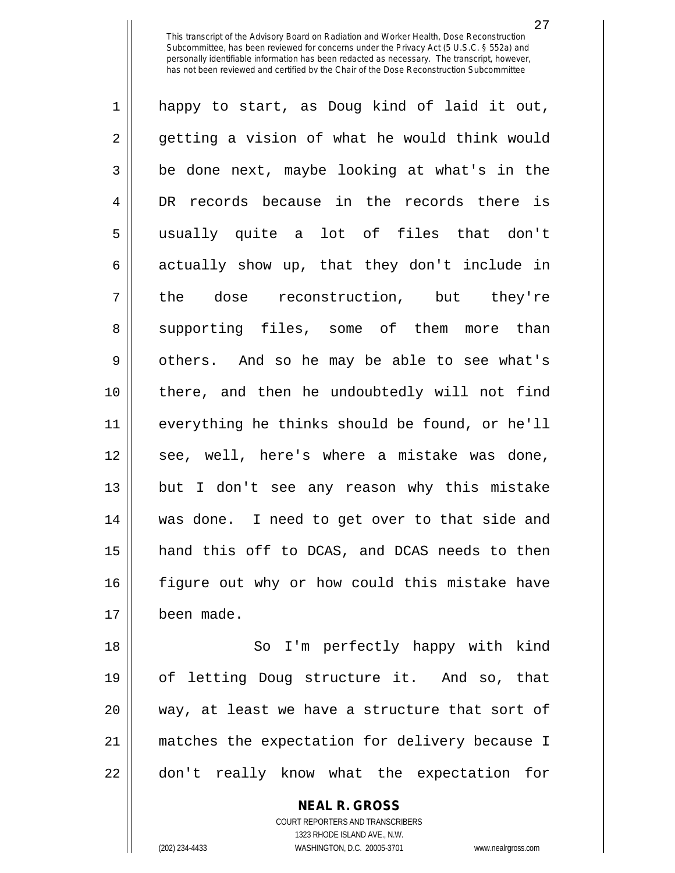1 happy to start, as Doug kind of laid it out, 2 || getting a vision of what he would think would  $3 \parallel$  be done next, maybe looking at what's in the 4 DR records because in the records there is 5 usually quite a lot of files that don't  $6 \parallel$  actually show up, that they don't include in 7 || the dose reconstruction, but they're 8 Supporting files, some of them more than 9 || others. And so he may be able to see what's 10 there, and then he undoubtedly will not find 11 everything he thinks should be found, or he'll 12 || see, well, here's where a mistake was done, 13 but I don't see any reason why this mistake 14 || was done. I need to get over to that side and 15 hand this off to DCAS, and DCAS needs to then 16 figure out why or how could this mistake have 17 been made.

18 || So I'm perfectly happy with kind 19 of letting Doug structure it. And so, that 20 way, at least we have a structure that sort of 21 matches the expectation for delivery because I 22 || don't really know what the expectation for

> **NEAL R. GROSS** COURT REPORTERS AND TRANSCRIBERS 1323 RHODE ISLAND AVE., N.W. (202) 234-4433 WASHINGTON, D.C. 20005-3701 www.nealrgross.com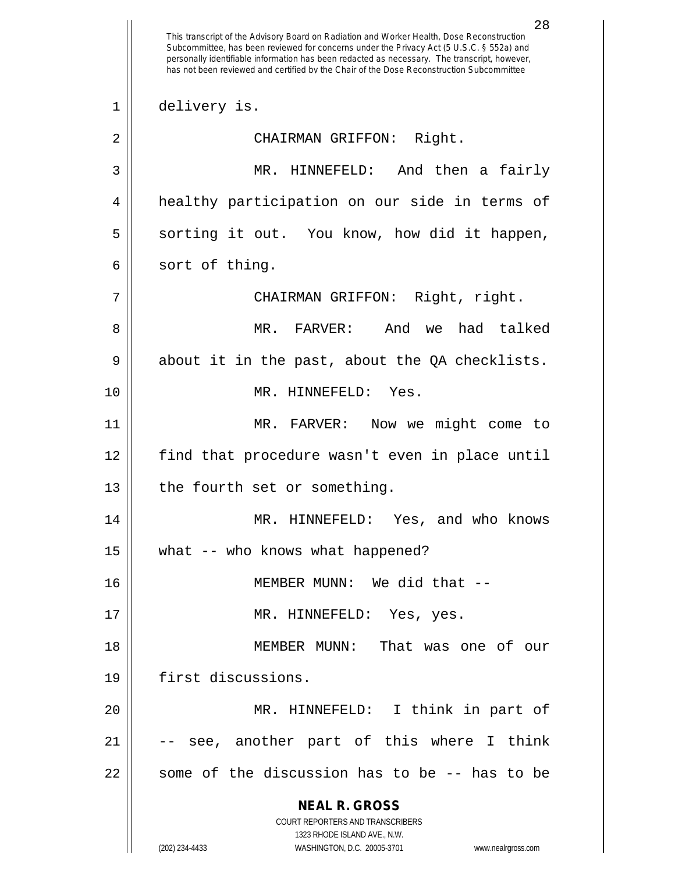**NEAL R. GROSS** COURT REPORTERS AND TRANSCRIBERS 1323 RHODE ISLAND AVE., N.W. (202) 234-4433 WASHINGTON, D.C. 20005-3701 www.nealrgross.com 28 This transcript of the Advisory Board on Radiation and Worker Health, Dose Reconstruction Subcommittee, has been reviewed for concerns under the Privacy Act (5 U.S.C. § 552a) and personally identifiable information has been redacted as necessary. The transcript, however, has not been reviewed and certified by the Chair of the Dose Reconstruction Subcommittee 1 || delivery is. 2 || CHAIRMAN GRIFFON: Right. 3 MR. HINNEFELD: And then a fairly 4 healthy participation on our side in terms of 5 || sorting it out. You know, how did it happen,  $6 \parallel$  sort of thing. 7 CHAIRMAN GRIFFON: Right, right. 8 MR. FARVER: And we had talked  $9 \parallel$  about it in the past, about the QA checklists. 10 MR. HINNEFELD: Yes. 11 MR. FARVER: Now we might come to 12 find that procedure wasn't even in place until 13 || the fourth set or something. 14 MR. HINNEFELD: Yes, and who knows 15 || what -- who knows what happened? 16 MEMBER MUNN: We did that -- 17 || MR. HINNEFELD: Yes, yes. 18 MEMBER MUNN: That was one of our 19 first discussions. 20 MR. HINNEFELD: I think in part of  $21$   $\vert$  -- see, another part of this where I think  $22$  || some of the discussion has to be  $-$ - has to be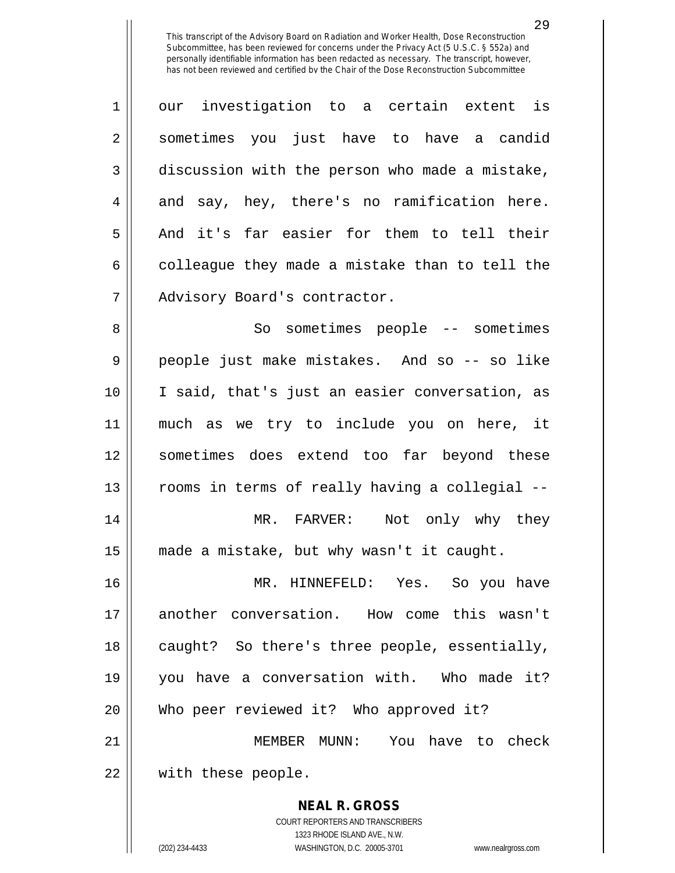1 our investigation to a certain extent is 2 || sometimes you just have to have a candid 3 discussion with the person who made a mistake,  $4 \parallel$  and say, hey, there's no ramification here. 5 And it's far easier for them to tell their  $6 \parallel$  colleague they made a mistake than to tell the 7 | Advisory Board's contractor. 8 So sometimes people -- sometimes 9 people just make mistakes. And so -- so like 10 I said, that's just an easier conversation, as 11 much as we try to include you on here, it 12 sometimes does extend too far beyond these 13 || rooms in terms of really having a collegial --14 MR. FARVER: Not only why they 15 made a mistake, but why wasn't it caught. 16 MR. HINNEFELD: Yes. So you have 17 another conversation. How come this wasn't 18 || caught? So there's three people, essentially, 19 you have a conversation with. Who made it? 20 Who peer reviewed it? Who approved it? 21 MEMBER MUNN: You have to check 22 || with these people.

> COURT REPORTERS AND TRANSCRIBERS 1323 RHODE ISLAND AVE., N.W. (202) 234-4433 WASHINGTON, D.C. 20005-3701 www.nealrgross.com

**NEAL R. GROSS**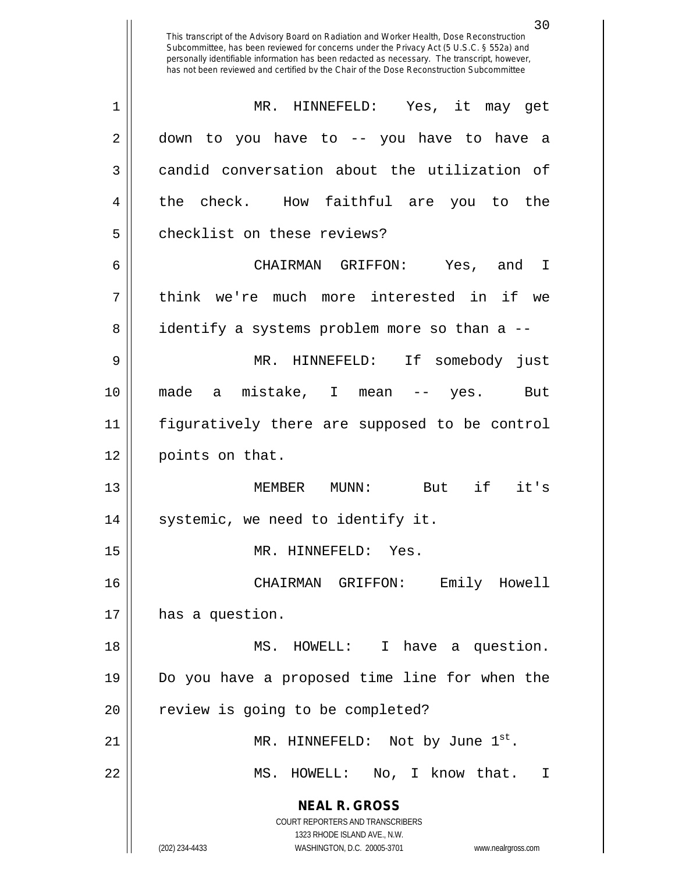**NEAL R. GROSS** COURT REPORTERS AND TRANSCRIBERS 1323 RHODE ISLAND AVE., N.W. (202) 234-4433 WASHINGTON, D.C. 20005-3701 www.nealrgross.com This transcript of the Advisory Board on Radiation and Worker Health, Dose Reconstruction Subcommittee, has been reviewed for concerns under the Privacy Act (5 U.S.C. § 552a) and personally identifiable information has been redacted as necessary. The transcript, however, has not been reviewed and certified by the Chair of the Dose Reconstruction Subcommittee 1 MR. HINNEFELD: Yes, it may get 2 down to you have to -- you have to have a 3 candid conversation about the utilization of 4 || the check. How faithful are you to the 5 | checklist on these reviews? 6 CHAIRMAN GRIFFON: Yes, and I 7 think we're much more interested in if we 8 || identify a systems problem more so than a --9 MR. HINNEFELD: If somebody just 10 made a mistake, I mean -- yes. But 11 figuratively there are supposed to be control 12 || points on that. 13 MEMBER MUNN: But if it's 14 || systemic, we need to identify it. 15 || MR. HINNEFELD: Yes. 16 CHAIRMAN GRIFFON: Emily Howell 17 || has a question. 18 || MS. HOWELL: I have a question. 19 Do you have a proposed time line for when the 20 || review is going to be completed? 21 ||  $MR. HINNEFELD: Not by June  $1^{st}$ .$ 22 MS. HOWELL: No, I know that. I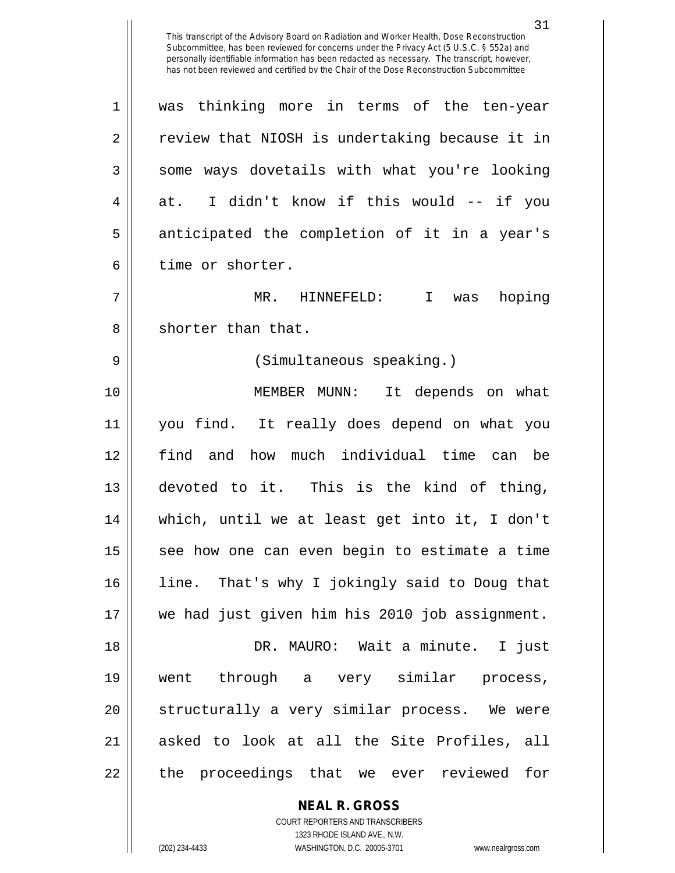1 was thinking more in terms of the ten-year 2 || review that NIOSH is undertaking because it in  $3 \parallel$  some ways dovetails with what you're looking  $4 \parallel$  at. I didn't know if this would -- if you 5 || anticipated the completion of it in a year's 6 | time or shorter.

7 MR. HINNEFELD: I was hoping 8 || shorter than that.

9 (Simultaneous speaking.)

10 || MEMBER MUNN: It depends on what you find. It really does depend on what you find and how much individual time can be devoted to it. This is the kind of thing, which, until we at least get into it, I don't see how one can even begin to estimate a time 16 || line. That's why I jokingly said to Doug that we had just given him his 2010 job assignment. DR. MAURO: Wait a minute. I just went through a very similar process, 20 || structurally a very similar process. We were 21 || asked to look at all the Site Profiles, all 22 || the proceedings that we ever reviewed for

**NEAL R. GROSS**

COURT REPORTERS AND TRANSCRIBERS 1323 RHODE ISLAND AVE., N.W. (202) 234-4433 WASHINGTON, D.C. 20005-3701 www.nealrgross.com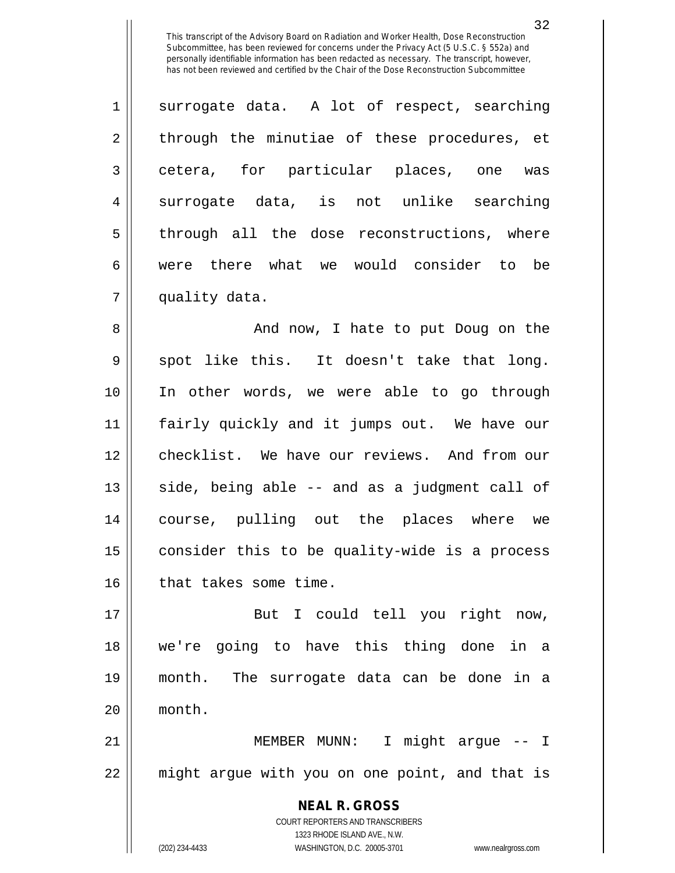$1 \parallel$  surrogate data. A lot of respect, searching 2 through the minutiae of these procedures, et 3 cetera, for particular places, one was 4 || surrogate data, is not unlike searching  $5$  || through all the dose reconstructions, where 6 were there what we would consider to be 7 | quality data.

 And now, I hate to put Doug on the  $9 \parallel$  spot like this. It doesn't take that long. In other words, we were able to go through fairly quickly and it jumps out. We have our checklist. We have our reviews. And from our side, being able  $-$  and as a judgment call of course, pulling out the places where we consider this to be quality-wide is a process 16 | that takes some time.

17 || But I could tell you right now, 18 we're going to have this thing done in a 19 month. The surrogate data can be done in a 20 month.

21 MEMBER MUNN: I might argue -- I 22 || might argue with you on one point, and that is

> **NEAL R. GROSS** COURT REPORTERS AND TRANSCRIBERS 1323 RHODE ISLAND AVE., N.W. (202) 234-4433 WASHINGTON, D.C. 20005-3701 www.nealrgross.com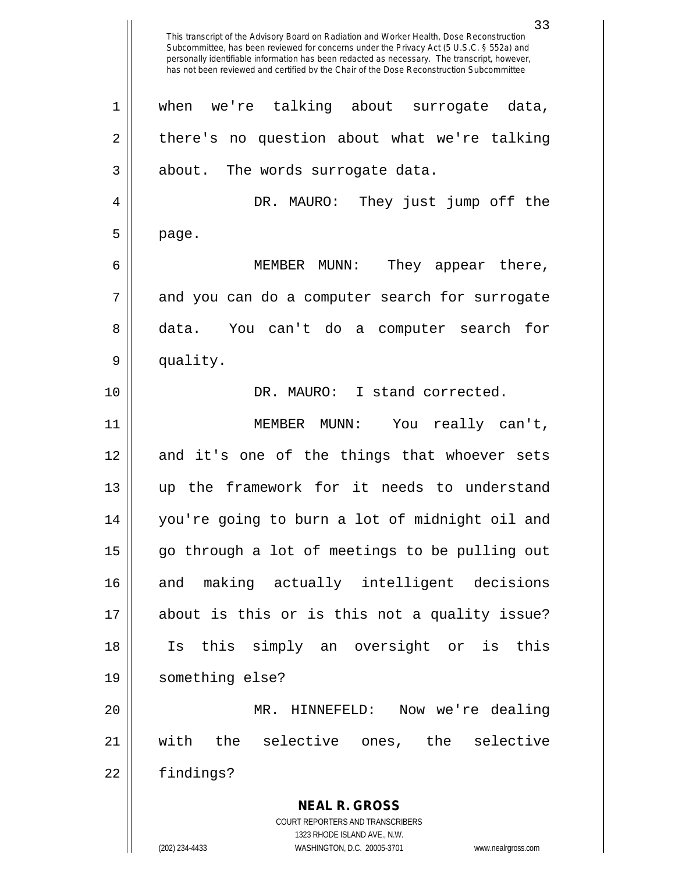**NEAL R. GROSS** COURT REPORTERS AND TRANSCRIBERS This transcript of the Advisory Board on Radiation and Worker Health, Dose Reconstruction Subcommittee, has been reviewed for concerns under the Privacy Act (5 U.S.C. § 552a) and personally identifiable information has been redacted as necessary. The transcript, however, has not been reviewed and certified by the Chair of the Dose Reconstruction Subcommittee 1 when we're talking about surrogate data,  $2 \parallel$  there's no question about what we're talking  $3 \parallel$  about. The words surrogate data. 4 DR. MAURO: They just jump off the  $5 \parallel$  page. 6 MEMBER MUNN: They appear there,  $7 \parallel$  and you can do a computer search for surrogate 8 data. You can't do a computer search for 9 || quality. 10 DR. MAURO: I stand corrected. 11 MEMBER MUNN: You really can't, 12 and it's one of the things that whoever sets 13 up the framework for it needs to understand 14 you're going to burn a lot of midnight oil and 15 || go through a lot of meetings to be pulling out 16 and making actually intelligent decisions 17 about is this or is this not a quality issue? 18 Is this simply an oversight or is this 19 something else? 20 MR. HINNEFELD: Now we're dealing 21 with the selective ones, the selective 22 | findings?

1323 RHODE ISLAND AVE., N.W.

(202) 234-4433 WASHINGTON, D.C. 20005-3701 www.nealrgross.com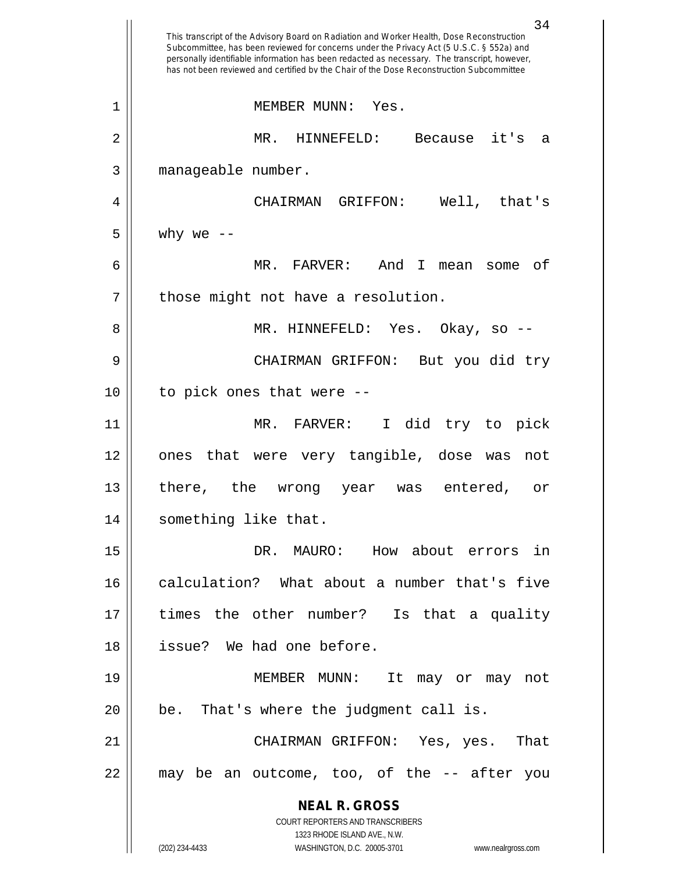| personally identifiable information has been redacted as necessary. The transcript, however,<br>has not been reviewed and certified by the Chair of the Dose Reconstruction Subcommittee |
|------------------------------------------------------------------------------------------------------------------------------------------------------------------------------------------|
| MEMBER MUNN:<br>Yes.                                                                                                                                                                     |
| MR.<br>Because it's<br>HINNEFELD:<br>a                                                                                                                                                   |
| manageable number.                                                                                                                                                                       |
| CHAIRMAN<br>GRIFFON:<br>Well, that's                                                                                                                                                     |
| why we $--$                                                                                                                                                                              |
| MR. FARVER:<br>And<br>T.<br>оf<br>mean some                                                                                                                                              |
| those might not have a resolution.                                                                                                                                                       |
| MR. HINNEFELD: Yes. Okay, so --                                                                                                                                                          |
| But you did try<br>CHAIRMAN GRIFFON:                                                                                                                                                     |
| to pick ones that were --                                                                                                                                                                |
| MR. FARVER:<br>I did try to pick                                                                                                                                                         |
| that were very tangible, dose was<br>ones<br>not                                                                                                                                         |
| there, the<br>entered,<br>wrong year<br>was<br>or                                                                                                                                        |
| something like that.                                                                                                                                                                     |
| DR. MAURO: How about errors in                                                                                                                                                           |
| calculation? What about a number that's five                                                                                                                                             |
| times the other number? Is that a quality                                                                                                                                                |
| issue? We had one before.                                                                                                                                                                |
| MEMBER MUNN: It may or may not                                                                                                                                                           |
| be. That's where the judgment call is.                                                                                                                                                   |
| CHAIRMAN GRIFFON: Yes, yes. That                                                                                                                                                         |
| may be an outcome, too, of the -- after you                                                                                                                                              |
| <b>NEAL R. GROSS</b><br>COURT REPORTERS AND TRANSCRIBERS                                                                                                                                 |
| 1323 RHODE ISLAND AVE., N.W.<br>(202) 234-4433<br>WASHINGTON, D.C. 20005-3701<br>www.nealrgross.com                                                                                      |
|                                                                                                                                                                                          |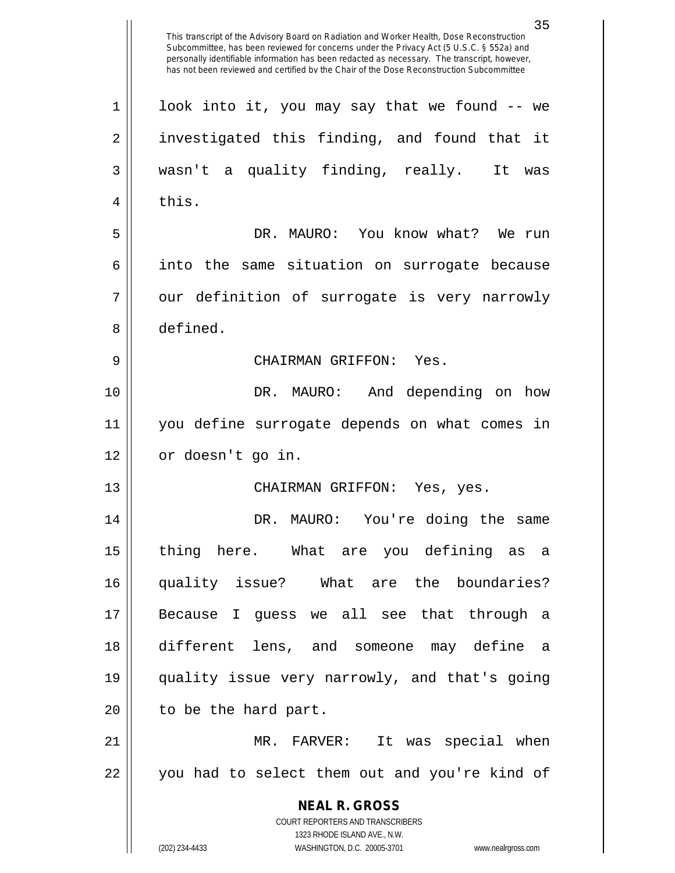**NEAL R. GROSS** COURT REPORTERS AND TRANSCRIBERS 1323 RHODE ISLAND AVE., N.W. (202) 234-4433 WASHINGTON, D.C. 20005-3701 www.nealrgross.com This transcript of the Advisory Board on Radiation and Worker Health, Dose Reconstruction Subcommittee, has been reviewed for concerns under the Privacy Act (5 U.S.C. § 552a) and personally identifiable information has been redacted as necessary. The transcript, however, has not been reviewed and certified by the Chair of the Dose Reconstruction Subcommittee 1 || look into it, you may say that we found -- we 2 || investigated this finding, and found that it 3 wasn't a quality finding, really. It was  $4 \parallel$  this. 5 DR. MAURO: You know what? We run 6 || into the same situation on surrogate because  $7 \parallel$  our definition of surrogate is very narrowly 8 defined. 9 CHAIRMAN GRIFFON: Yes. 10 DR. MAURO: And depending on how 11 you define surrogate depends on what comes in 12 | or doesn't go in. 13 CHAIRMAN GRIFFON: Yes, yes. 14 DR. MAURO: You're doing the same 15 thing here. What are you defining as a 16 quality issue? What are the boundaries? 17 Because I guess we all see that through a 18 different lens, and someone may define a 19 quality issue very narrowly, and that's going  $20$  | to be the hard part. 21 MR. FARVER: It was special when 22 || you had to select them out and you're kind of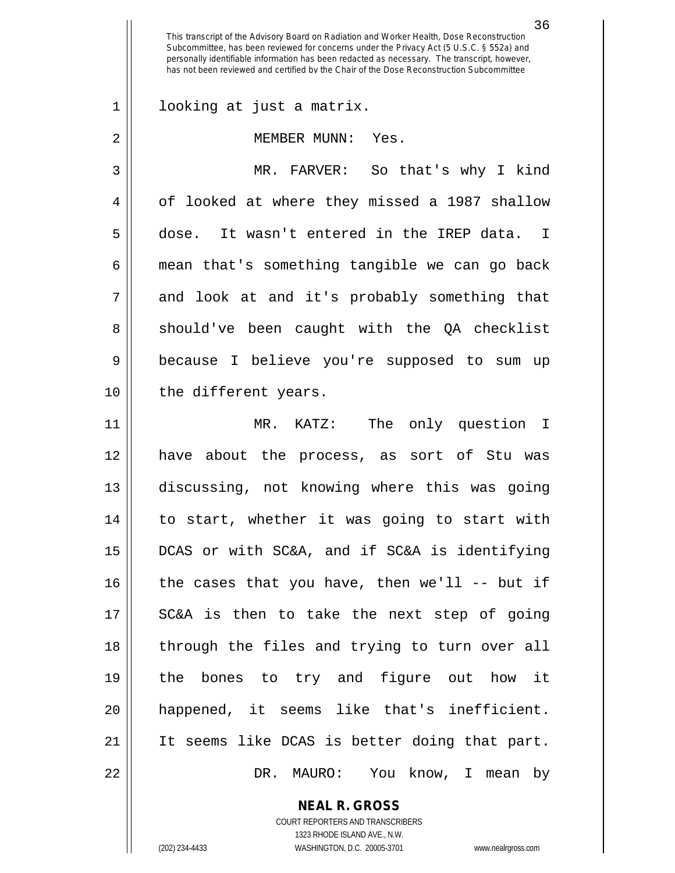36

1 looking at just a matrix.

2 || MEMBER MUNN: Yes.

3 MR. FARVER: So that's why I kind 4 | of looked at where they missed a 1987 shallow 5 dose. It wasn't entered in the IREP data. I  $6 \parallel$  mean that's something tangible we can go back  $7 \parallel$  and look at and it's probably something that 8 Should've been caught with the QA checklist 9 because I believe you're supposed to sum up 10 || the different years.

 MR. KATZ: The only question I have about the process, as sort of Stu was discussing, not knowing where this was going to start, whether it was going to start with DCAS or with SC&A, and if SC&A is identifying || the cases that you have, then we'll -- but if 17 || SC&A is then to take the next step of going 18 || through the files and trying to turn over all the bones to try and figure out how it happened, it seems like that's inefficient. It seems like DCAS is better doing that part. DR. MAURO: You know, I mean by

> **NEAL R. GROSS** COURT REPORTERS AND TRANSCRIBERS

> > 1323 RHODE ISLAND AVE., N.W.

(202) 234-4433 WASHINGTON, D.C. 20005-3701 www.nealrgross.com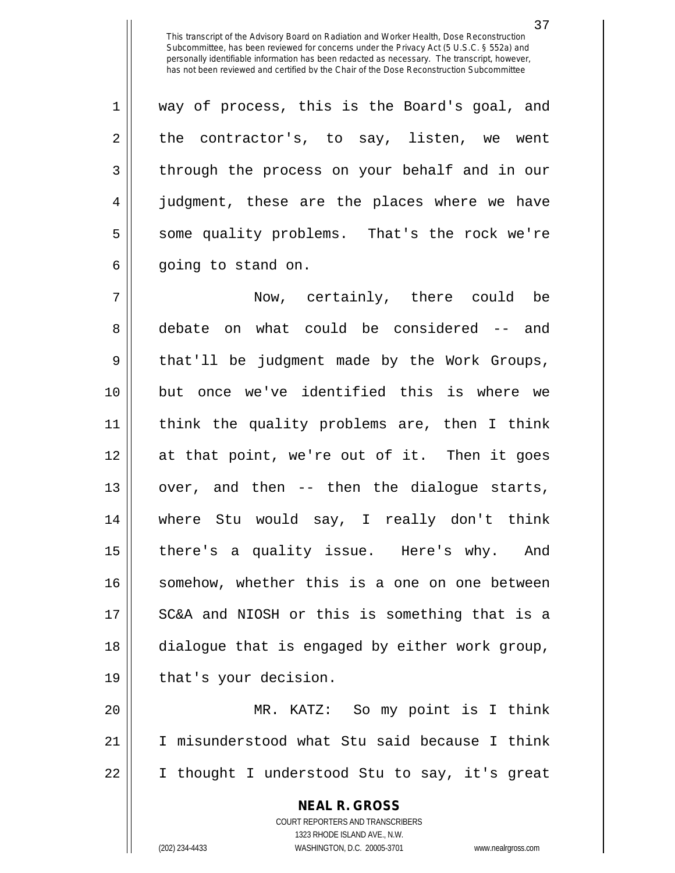1 || way of process, this is the Board's goal, and  $2 \parallel$  the contractor's, to say, listen, we went 3 || through the process on your behalf and in our 4 || judgment, these are the places where we have 5 Some quality problems. That's the rock we're  $6 \parallel$  going to stand on.

7 Now, certainly, there could be 8 debate on what could be considered -- and 9 || that'll be judgment made by the Work Groups, 10 but once we've identified this is where we 11 think the quality problems are, then I think 12 at that point, we're out of it. Then it goes 13 || over, and then -- then the dialogue starts, 14 where Stu would say, I really don't think 15 || there's a quality issue. Here's why. And 16 || somehow, whether this is a one on one between 17 || SC&A and NIOSH or this is something that is a 18 dialogue that is engaged by either work group, 19 || that's your decision.

20 MR. KATZ: So my point is I think 21 I misunderstood what Stu said because I think 22 I thought I understood Stu to say, it's great

> **NEAL R. GROSS** COURT REPORTERS AND TRANSCRIBERS 1323 RHODE ISLAND AVE., N.W.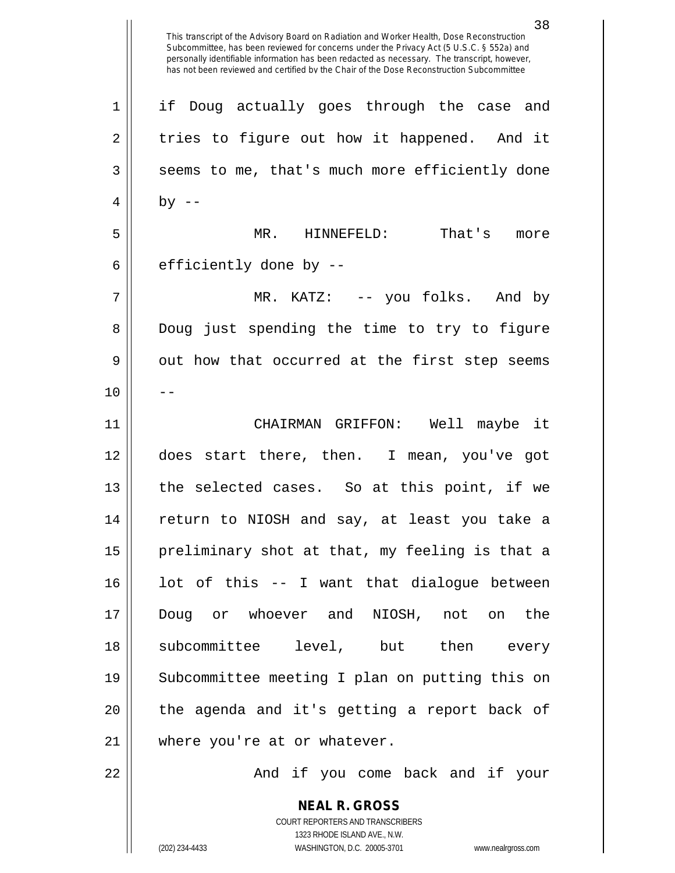This transcript of the Advisory Board on Radiation and Worker Health, Dose Reconstruction Subcommittee, has been reviewed for concerns under the Privacy Act (5 U.S.C. § 552a) and personally identifiable information has been redacted as necessary. The transcript, however, has not been reviewed and certified by the Chair of the Dose Reconstruction Subcommittee 1 || if Doug actually goes through the case and  $2 \parallel$  tries to figure out how it happened. And it  $3 \parallel$  seems to me, that's much more efficiently done  $4 \mid$  by  $-$ 5 MR. HINNEFELD: That's more  $6 \parallel$  efficiently done by --7 MR. KATZ: -- you folks. And by 8 Doug just spending the time to try to figure  $9 \parallel$  out how that occurred at the first step seems  $10$  ||  $-$ 11 CHAIRMAN GRIFFON: Well maybe it 12 does start there, then. I mean, you've got 13 || the selected cases. So at this point, if we 14 return to NIOSH and say, at least you take a  $15$  || preliminary shot at that, my feeling is that a  $16$  lot of this  $-$  I want that dialoque between 17 Doug or whoever and NIOSH, not on the 18 subcommittee level, but then every 19 Subcommittee meeting I plan on putting this on 20 || the agenda and it's getting a report back of 21 || where you're at or whatever. 22 And if you come back and if your

> **NEAL R. GROSS** COURT REPORTERS AND TRANSCRIBERS 1323 RHODE ISLAND AVE., N.W.

(202) 234-4433 WASHINGTON, D.C. 20005-3701 www.nealrgross.com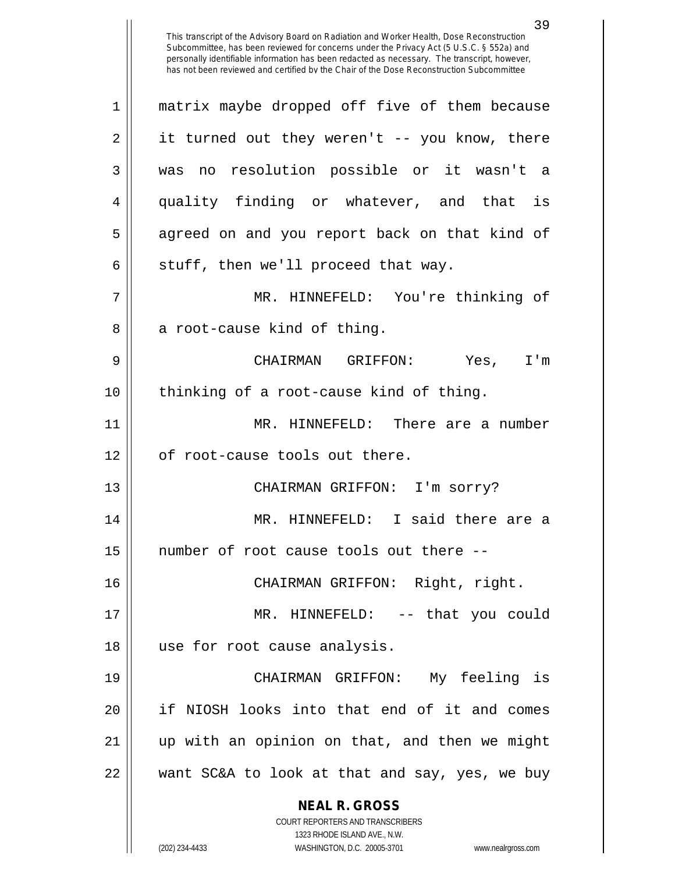| $\mathbf 1$ | matrix maybe dropped off five of them because                       |
|-------------|---------------------------------------------------------------------|
| 2           | it turned out they weren't -- you know, there                       |
| 3           | was no resolution possible or it wasn't a                           |
| 4           | quality finding or whatever, and that is                            |
| 5           | agreed on and you report back on that kind of                       |
| 6           | stuff, then we'll proceed that way.                                 |
| 7           | MR. HINNEFELD: You're thinking of                                   |
| 8           | a root-cause kind of thing.                                         |
| 9           | CHAIRMAN GRIFFON: Yes, I'm                                          |
| 10          | thinking of a root-cause kind of thing.                             |
| 11          | MR. HINNEFELD: There are a number                                   |
| 12          | of root-cause tools out there.                                      |
| 13          | CHAIRMAN GRIFFON: I'm sorry?                                        |
| 14          | MR. HINNEFELD: I said there are a                                   |
| 15          | number of root cause tools out there --                             |
| 16          | CHAIRMAN GRIFFON: Right, right.                                     |
| 17          | MR. HINNEFELD: -- that you could                                    |
| 18          | use for root cause analysis.                                        |
| 19          | CHAIRMAN GRIFFON: My feeling is                                     |
| 20          | if NIOSH looks into that end of it and comes                        |
| 21          | up with an opinion on that, and then we might                       |
| 22          | want SC&A to look at that and say, yes, we buy                      |
|             | <b>NEAL R. GROSS</b><br><b>COURT REPORTERS AND TRANSCRIBERS</b>     |
|             | 1323 RHODE ISLAND AVE., N.W.                                        |
|             | (202) 234-4433<br>WASHINGTON, D.C. 20005-3701<br>www.nealrgross.com |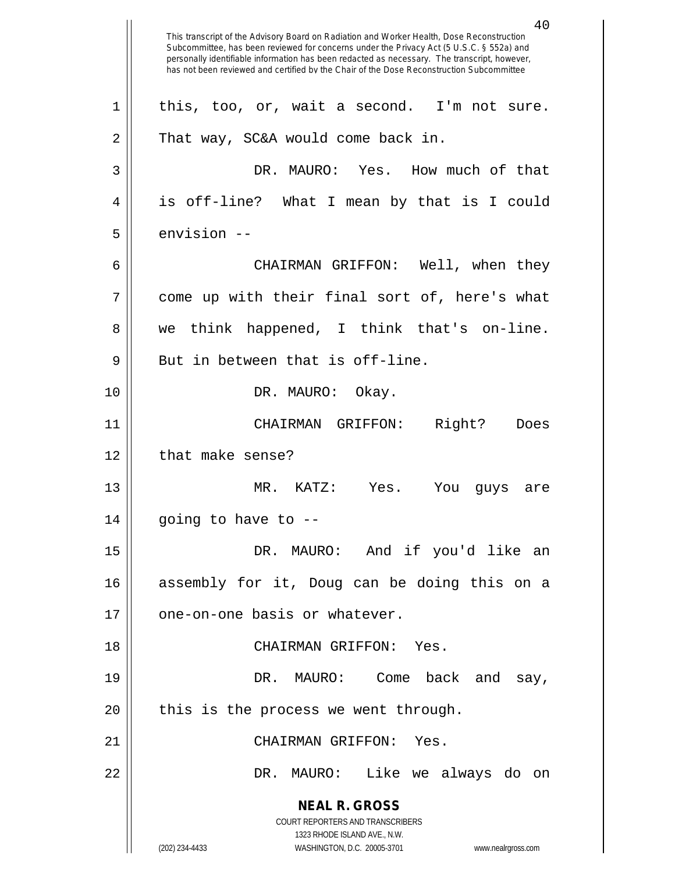**NEAL R. GROSS** COURT REPORTERS AND TRANSCRIBERS 1323 RHODE ISLAND AVE., N.W. (202) 234-4433 WASHINGTON, D.C. 20005-3701 www.nealrgross.com 40 This transcript of the Advisory Board on Radiation and Worker Health, Dose Reconstruction Subcommittee, has been reviewed for concerns under the Privacy Act (5 U.S.C. § 552a) and personally identifiable information has been redacted as necessary. The transcript, however, has not been reviewed and certified by the Chair of the Dose Reconstruction Subcommittee  $1 \parallel$  this, too, or, wait a second. I'm not sure. 2 | That way, SC&A would come back in. 3 DR. MAURO: Yes. How much of that 4 is off-line? What I mean by that is I could  $5 \parallel$  envision  $-$ 6 CHAIRMAN GRIFFON: Well, when they 7 come up with their final sort of, here's what 8 we think happened, I think that's on-line.  $9 \parallel$  But in between that is off-line. 10 || DR. MAURO: Okay. 11 CHAIRMAN GRIFFON: Right? Does 12 | that make sense? 13 MR. KATZ: Yes. You guys are  $14$  || going to have to  $-$ 15 DR. MAURO: And if you'd like an 16 assembly for it, Doug can be doing this on a 17 || one-on-one basis or whatever. 18 CHAIRMAN GRIFFON: Yes. 19 DR. MAURO: Come back and say,  $20$  || this is the process we went through. 21 CHAIRMAN GRIFFON: Yes. 22 DR. MAURO: Like we always do on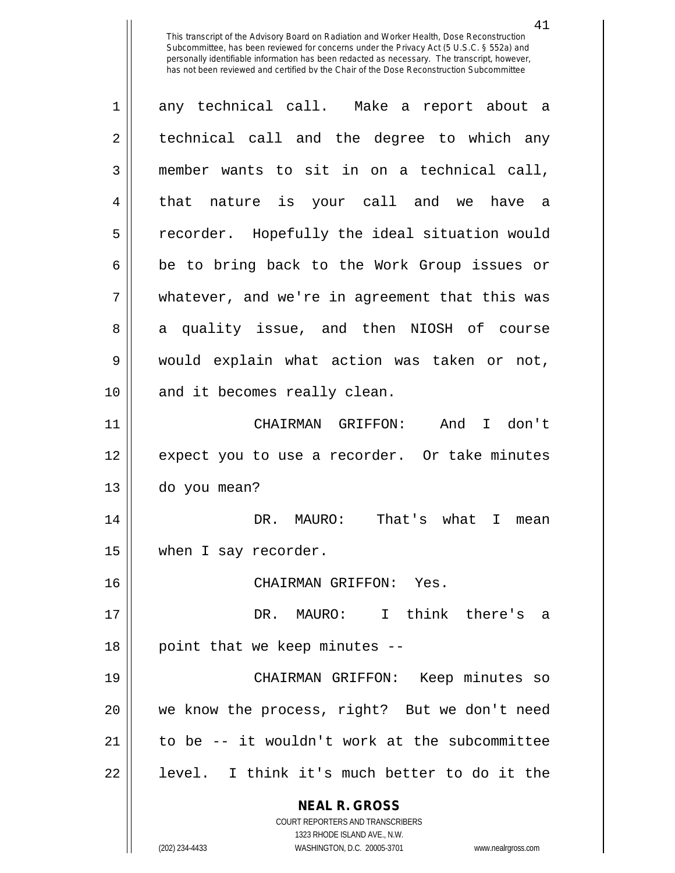41

**NEAL R. GROSS** COURT REPORTERS AND TRANSCRIBERS 1323 RHODE ISLAND AVE., N.W. 1 any technical call. Make a report about a 2 || technical call and the degree to which any 3 member wants to sit in on a technical call, 4 || that nature is your call and we have a 5 || recorder. Hopefully the ideal situation would  $6 \parallel$  be to bring back to the Work Group issues or 7 whatever, and we're in agreement that this was 8 a quality issue, and then NIOSH of course 9 would explain what action was taken or not, 10 || and it becomes really clean. 11 CHAIRMAN GRIFFON: And I don't 12 || expect you to use a recorder. Or take minutes 13 do you mean? 14 DR. MAURO: That's what I mean 15 | when I say recorder. 16 CHAIRMAN GRIFFON: Yes. 17 DR. MAURO: I think there's a  $18$  | point that we keep minutes  $-$ 19 CHAIRMAN GRIFFON: Keep minutes so 20 we know the process, right? But we don't need 21  $\parallel$  to be  $-$ - it wouldn't work at the subcommittee 22 || level. I think it's much better to do it the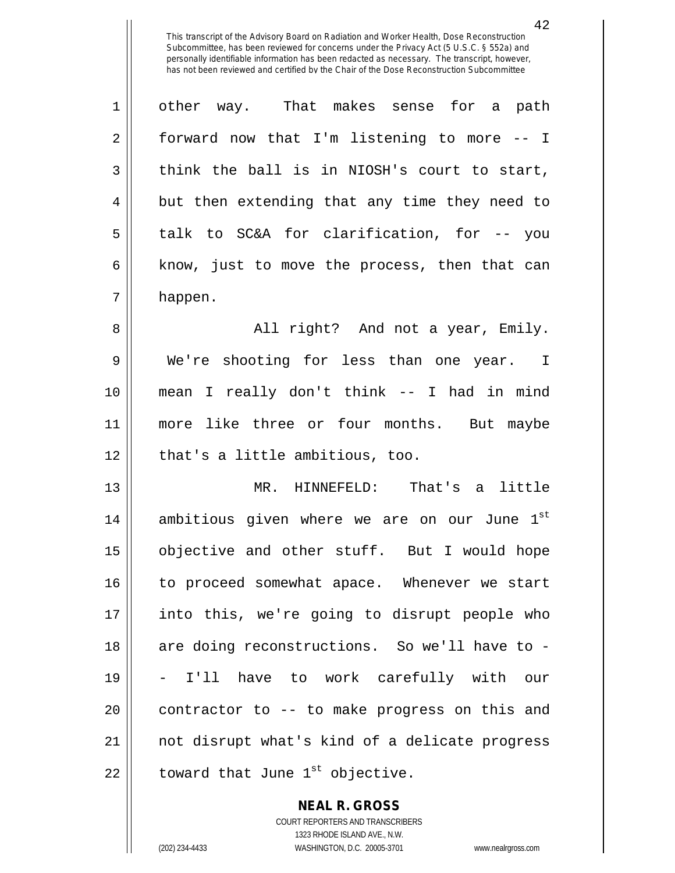1 other way. That makes sense for a path  $2 \parallel$  forward now that I'm listening to more -- I  $3 \parallel$  think the ball is in NIOSH's court to start,  $4 \parallel$  but then extending that any time they need to  $5 \parallel$  talk to SC&A for clarification, for -- you  $6 \parallel$  know, just to move the process, then that can 7 happen.

 All right? And not a year, Emily. We're shooting for less than one year. I mean I really don't think -- I had in mind 11 || more like three or four months. But maybe || that's a little ambitious, too.

13 MR. HINNEFELD: That's a little 14 || ambitious given where we are on our June  $1^{st}$ 15 || objective and other stuff. But I would hope 16 || to proceed somewhat apace. Whenever we start 17 into this, we're going to disrupt people who 18 || are doing reconstructions. So we'll have to -19 - I'll have to work carefully with our  $20$  || contractor to  $-$  to make progress on this and 21 not disrupt what's kind of a delicate progress 22  $\parallel$  toward that June 1<sup>st</sup> objective.

> **NEAL R. GROSS** COURT REPORTERS AND TRANSCRIBERS 1323 RHODE ISLAND AVE., N.W. (202) 234-4433 WASHINGTON, D.C. 20005-3701 www.nealrgross.com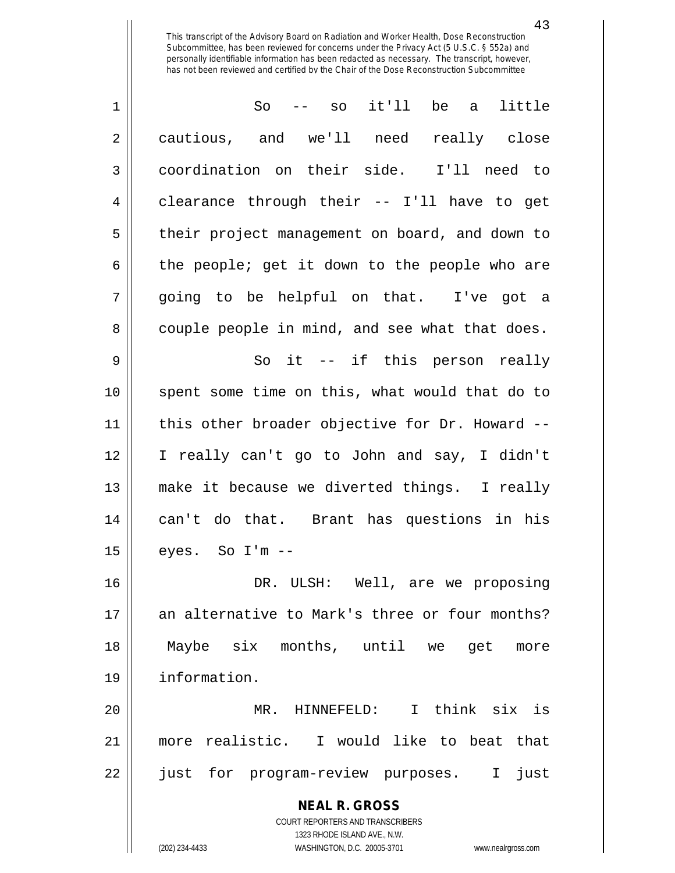| $\mathbf 1$ | it'll<br>be a<br>little<br>So<br>$--$ SO                                |
|-------------|-------------------------------------------------------------------------|
| 2           | cautious, and we'll need really close                                   |
| 3           | coordination on their side. I'll need to                                |
| 4           | clearance through their -- I'll have to get                             |
| 5           | their project management on board, and down to                          |
| 6           | the people; get it down to the people who are                           |
| 7           | going to be helpful on that. I've got a                                 |
| 8           | couple people in mind, and see what that does.                          |
| 9           | So it -- if this person really                                          |
| 10          | spent some time on this, what would that do to                          |
| 11          | this other broader objective for Dr. Howard --                          |
| 12          | I really can't go to John and say, I didn't                             |
| 13          | make it because we diverted things. I really                            |
| 14          | can't do that. Brant has questions in his                               |
| 15          | eyes. So I'm --                                                         |
| 16          | DR. ULSH: Well, are we proposing                                        |
| 17          | an alternative to Mark's three or four months?                          |
| 18          | Maybe six months, until we<br>get<br>more                               |
| 19          | information.                                                            |
| 20          | MR. HINNEFELD: I think six is                                           |
| 21          | more realistic. I would like to beat that                               |
| 22          | just for program-review purposes.<br>just<br>$\mathbf{I}$               |
|             | <b>NEAL R. GROSS</b>                                                    |
|             | <b>COURT REPORTERS AND TRANSCRIBERS</b><br>1323 RHODE ISLAND AVE., N.W. |
|             | (202) 234-4433<br>WASHINGTON, D.C. 20005-3701<br>www.nealrgross.com     |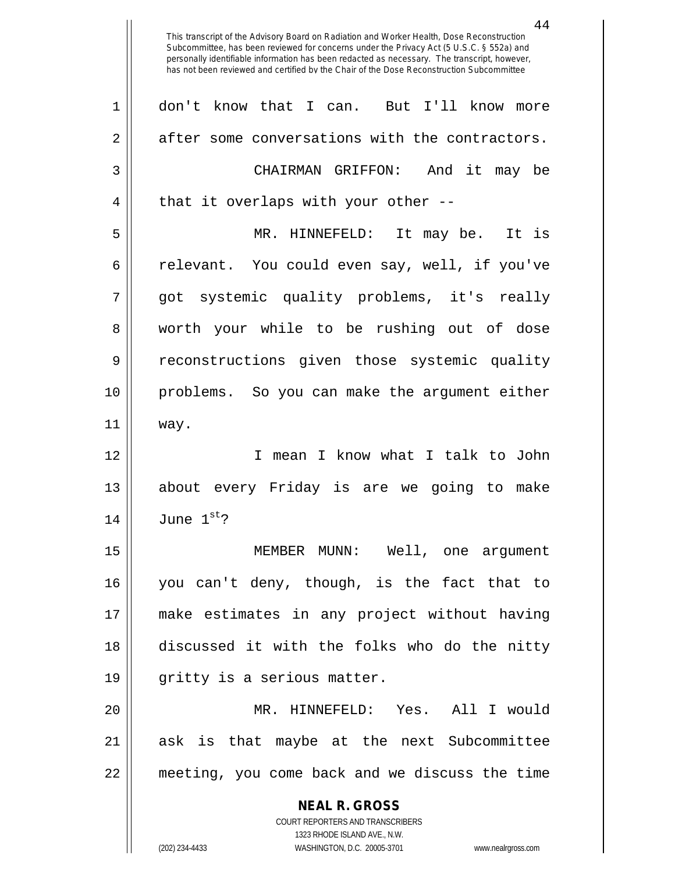**NEAL R. GROSS** COURT REPORTERS AND TRANSCRIBERS This transcript of the Advisory Board on Radiation and Worker Health, Dose Reconstruction Subcommittee, has been reviewed for concerns under the Privacy Act (5 U.S.C. § 552a) and personally identifiable information has been redacted as necessary. The transcript, however, has not been reviewed and certified by the Chair of the Dose Reconstruction Subcommittee 1 don't know that I can. But I'll know more 2 after some conversations with the contractors. 3 CHAIRMAN GRIFFON: And it may be  $4 \parallel$  that it overlaps with your other --5 MR. HINNEFELD: It may be. It is 6 celevant. You could even say, well, if you've 7 || qot systemic quality problems, it's really 8 worth your while to be rushing out of dose 9 reconstructions given those systemic quality 10 problems. So you can make the argument either 11 way. 12 I mean I know what I talk to John 13 about every Friday is are we going to make  $14$  June  $1^{st}$ ? 15 MEMBER MUNN: Well, one argument 16 you can't deny, though, is the fact that to 17 make estimates in any project without having 18 discussed it with the folks who do the nitty 19 || gritty is a serious matter. 20 MR. HINNEFELD: Yes. All I would 21 || ask is that maybe at the next Subcommittee 22 meeting, you come back and we discuss the time

1323 RHODE ISLAND AVE., N.W.

(202) 234-4433 WASHINGTON, D.C. 20005-3701 www.nealrgross.com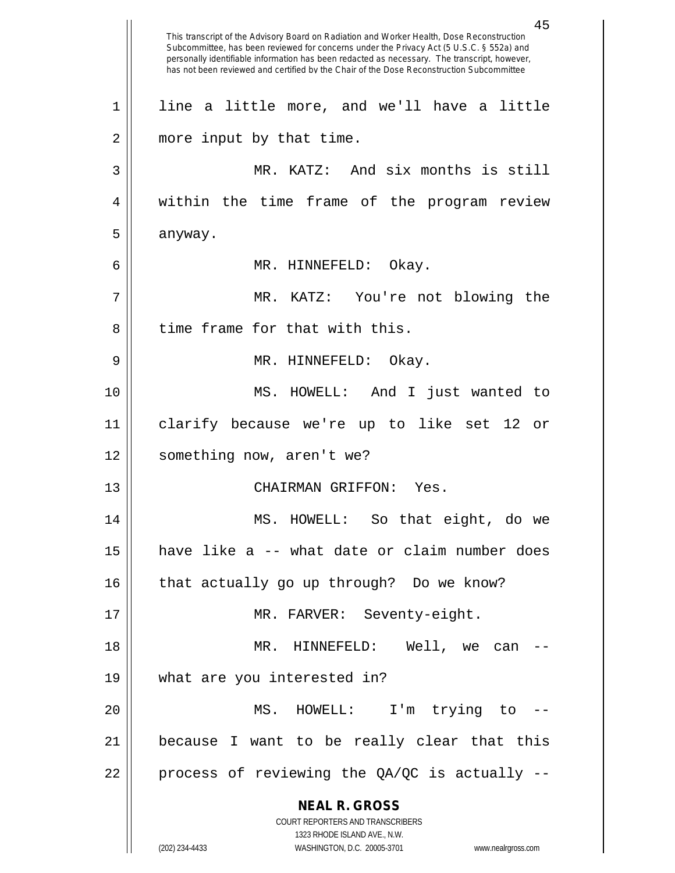**NEAL R. GROSS** COURT REPORTERS AND TRANSCRIBERS 1323 RHODE ISLAND AVE., N.W. (202) 234-4433 WASHINGTON, D.C. 20005-3701 www.nealrgross.com 45 This transcript of the Advisory Board on Radiation and Worker Health, Dose Reconstruction Subcommittee, has been reviewed for concerns under the Privacy Act (5 U.S.C. § 552a) and personally identifiable information has been redacted as necessary. The transcript, however, has not been reviewed and certified by the Chair of the Dose Reconstruction Subcommittee 1 || line a little more, and we'll have a little 2 | more input by that time. 3 MR. KATZ: And six months is still 4 || within the time frame of the program review  $5 \parallel$  anyway. 6 MR. HINNEFELD: Okay. 7 MR. KATZ: You're not blowing the  $8$   $\parallel$  time frame for that with this. 9 MR. HINNEFELD: Okay. 10 MS. HOWELL: And I just wanted to 11 clarify because we're up to like set 12 or 12 || something now, aren't we? 13 CHAIRMAN GRIFFON: Yes. 14 MS. HOWELL: So that eight, do we 15 have like a -- what date or claim number does  $16$  | that actually go up through? Do we know? 17 || MR. FARVER: Seventy-eight. 18 MR. HINNEFELD: Well, we can -- 19 what are you interested in? 20 MS. HOWELL: I'm trying to -- 21 because I want to be really clear that this 22  $\parallel$  process of reviewing the QA/QC is actually --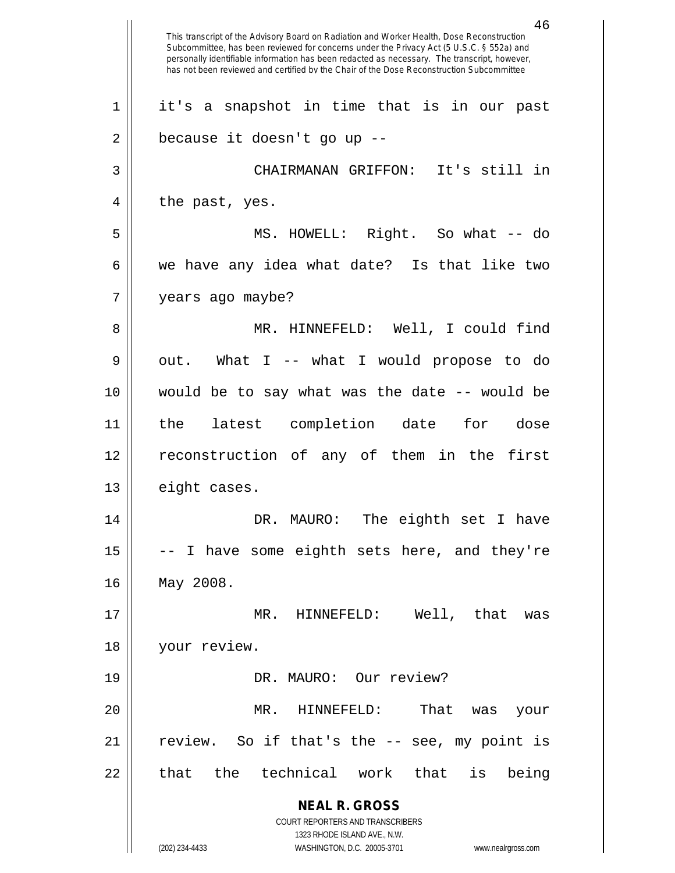**NEAL R. GROSS** COURT REPORTERS AND TRANSCRIBERS 1323 RHODE ISLAND AVE., N.W. (202) 234-4433 WASHINGTON, D.C. 20005-3701 www.nealrgross.com 46 This transcript of the Advisory Board on Radiation and Worker Health, Dose Reconstruction Subcommittee, has been reviewed for concerns under the Privacy Act (5 U.S.C. § 552a) and personally identifiable information has been redacted as necessary. The transcript, however, has not been reviewed and certified by the Chair of the Dose Reconstruction Subcommittee 1 it's a snapshot in time that is in our past  $2 \parallel$  because it doesn't go up --3 CHAIRMANAN GRIFFON: It's still in  $4 \parallel$  the past, yes. 5 MS. HOWELL: Right. So what -- do  $6 \parallel$  we have any idea what date? Is that like two 7 years ago maybe? 8 MR. HINNEFELD: Well, I could find  $9 \parallel$  out. What I -- what I would propose to do  $10$  || would be to say what was the date  $-$ - would be 11 the latest completion date for dose 12 reconstruction of any of them in the first 13 | eight cases. 14 DR. MAURO: The eighth set I have  $15$   $\vert$  -- I have some eighth sets here, and they're 16 May 2008. 17 MR. HINNEFELD: Well, that was 18 | your review. 19 || DR. MAURO: Our review? 20 MR. HINNEFELD: That was your  $21$  || review. So if that's the  $-$  see, my point is  $22$  || that the technical work that is being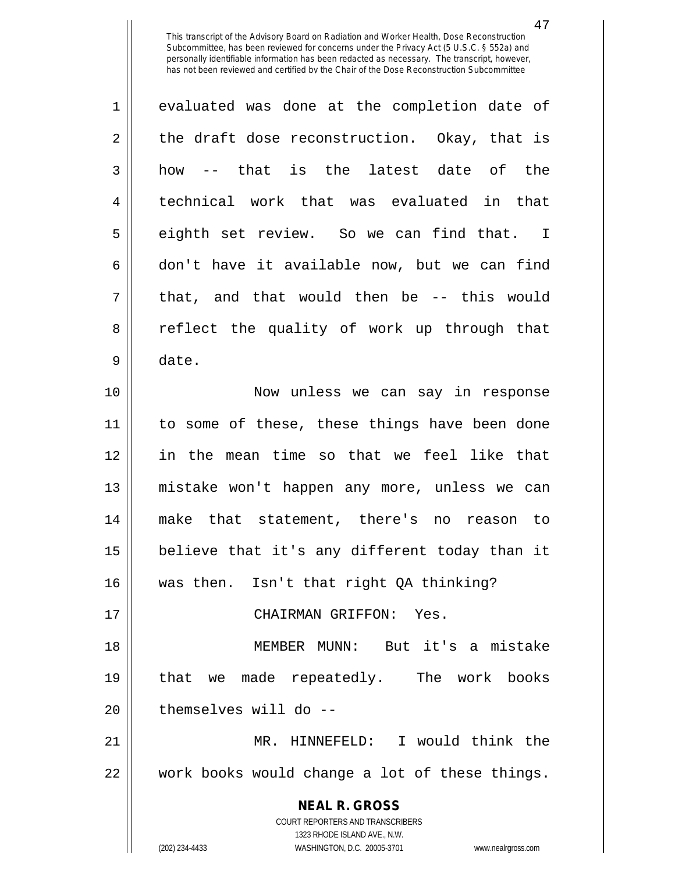47

**NEAL R. GROSS** COURT REPORTERS AND TRANSCRIBERS 1323 RHODE ISLAND AVE., N.W. (202) 234-4433 WASHINGTON, D.C. 20005-3701 www.nealrgross.com 1 evaluated was done at the completion date of  $2 \parallel$  the draft dose reconstruction. Okay, that is  $3 \parallel$  how -- that is the latest date of the 4 || technical work that was evaluated in that 5 || eighth set review. So we can find that. I  $6 \parallel$  don't have it available now, but we can find  $7 \parallel$  that, and that would then be -- this would 8 || reflect the quality of work up through that 9 date. 10 Now unless we can say in response 11 || to some of these, these things have been done 12 in the mean time so that we feel like that 13 mistake won't happen any more, unless we can 14 make that statement, there's no reason to 15 believe that it's any different today than it 16 was then. Isn't that right QA thinking? 17 CHAIRMAN GRIFFON: Yes. 18 MEMBER MUNN: But it's a mistake 19 that we made repeatedly. The work books 20 || themselves will do --21 MR. HINNEFELD: I would think the 22 work books would change a lot of these things.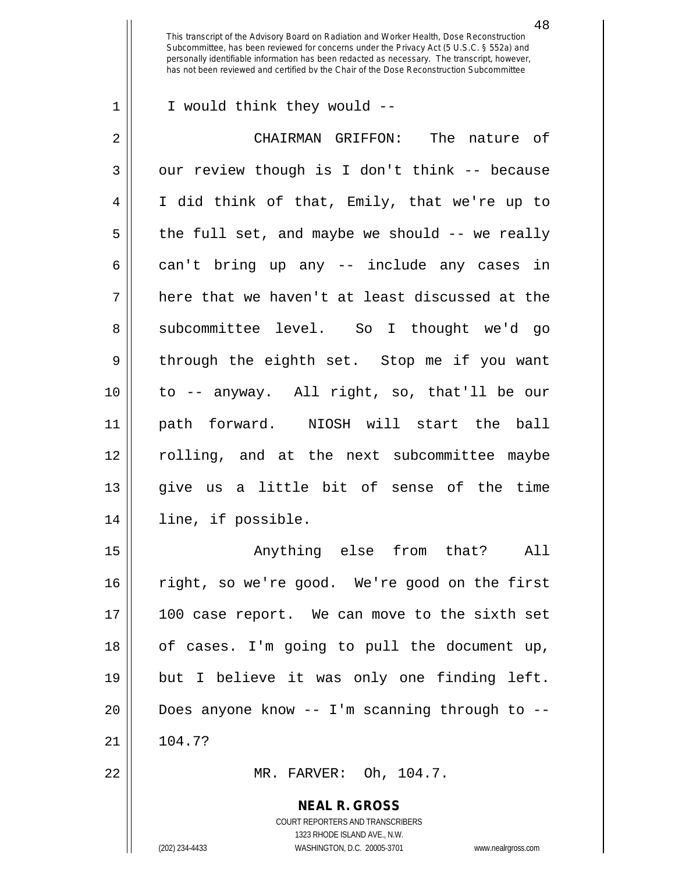1 || I would think they would --

2 CHAIRMAN GRIFFON: The nature of  $3 \parallel$  our review though is I don't think -- because 4 I did think of that, Emily, that we're up to  $5 \parallel$  the full set, and maybe we should -- we really 6 can't bring up any  $-$  include any cases in  $7 \parallel$  here that we haven't at least discussed at the 8 Subcommittee level. So I thought we'd go 9 || through the eighth set. Stop me if you want 10 to -- anyway. All right, so, that'll be our 11 path forward. NIOSH will start the ball 12 rolling, and at the next subcommittee maybe 13 give us a little bit of sense of the time 14 line, if possible.

15 Anything else from that? All 16 || right, so we're good. We're good on the first 17 100 case report. We can move to the sixth set 18 || of cases. I'm going to pull the document up, 19 but I believe it was only one finding left. 20 Does anyone know -- I'm scanning through to --  $21 \parallel 104.7?$ 

22 MR. FARVER: Oh, 104.7.

**NEAL R. GROSS**

COURT REPORTERS AND TRANSCRIBERS 1323 RHODE ISLAND AVE., N.W. (202) 234-4433 WASHINGTON, D.C. 20005-3701 www.nealrgross.com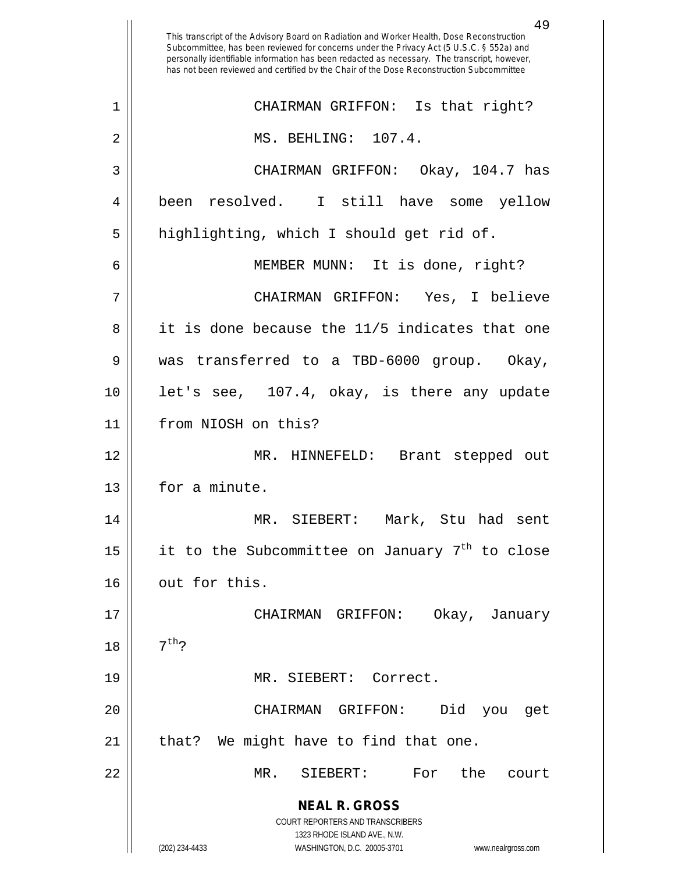**NEAL R. GROSS** COURT REPORTERS AND TRANSCRIBERS 1323 RHODE ISLAND AVE., N.W. (202) 234-4433 WASHINGTON, D.C. 20005-3701 www.nealrgross.com This transcript of the Advisory Board on Radiation and Worker Health, Dose Reconstruction Subcommittee, has been reviewed for concerns under the Privacy Act (5 U.S.C. § 552a) and personally identifiable information has been redacted as necessary. The transcript, however, has not been reviewed and certified by the Chair of the Dose Reconstruction Subcommittee 1 || CHAIRMAN GRIFFON: Is that right? 2 || MS. BEHLING: 107.4. 3 CHAIRMAN GRIFFON: Okay, 104.7 has 4 been resolved. I still have some yellow 5 || highlighting, which I should get rid of. 6 MEMBER MUNN: It is done, right? 7 CHAIRMAN GRIFFON: Yes, I believe 8 || it is done because the 11/5 indicates that one 9 was transferred to a TBD-6000 group. Okay, 10 || let's see, 107.4, okay, is there any update 11 from NIOSH on this? 12 MR. HINNEFELD: Brant stepped out 13 | for a minute. 14 MR. SIEBERT: Mark, Stu had sent 15  $\parallel$  it to the Subcommittee on January 7<sup>th</sup> to close 16 | out for this. 17 CHAIRMAN GRIFFON: Okay, January 18  $1^{th}$ ? 19 || MR. SIEBERT: Correct. 20 CHAIRMAN GRIFFON: Did you get  $21$  || that? We might have to find that one. 22 MR. SIEBERT: For the court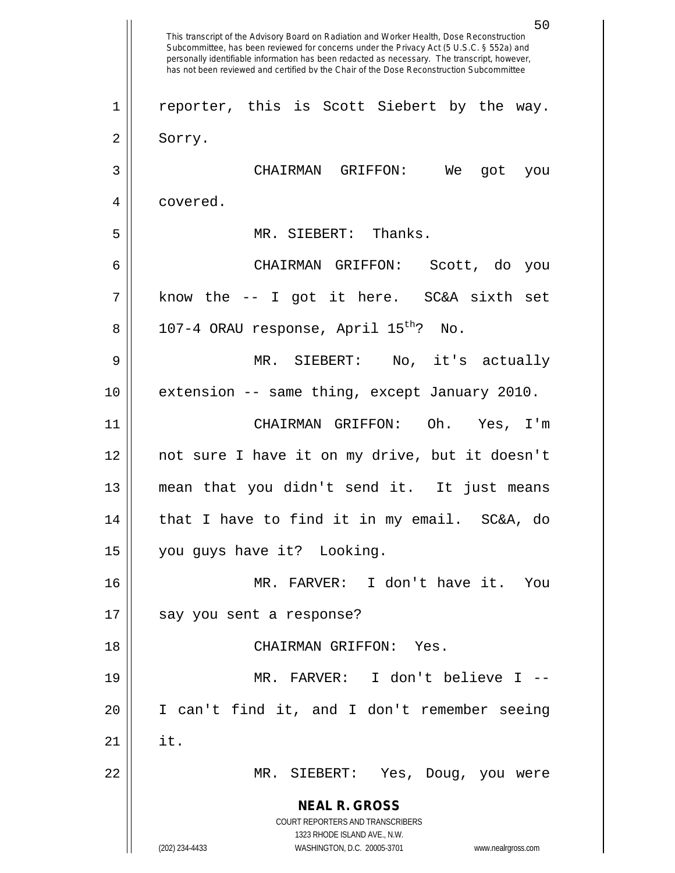**NEAL R. GROSS** COURT REPORTERS AND TRANSCRIBERS 1323 RHODE ISLAND AVE., N.W. (202) 234-4433 WASHINGTON, D.C. 20005-3701 www.nealrgross.com 50 This transcript of the Advisory Board on Radiation and Worker Health, Dose Reconstruction Subcommittee, has been reviewed for concerns under the Privacy Act (5 U.S.C. § 552a) and personally identifiable information has been redacted as necessary. The transcript, however, has not been reviewed and certified by the Chair of the Dose Reconstruction Subcommittee 1 || reporter, this is Scott Siebert by the way. 2 Sorry. 3 CHAIRMAN GRIFFON: We got you 4 | covered. 5 MR. SIEBERT: Thanks. 6 CHAIRMAN GRIFFON: Scott, do you  $7 \parallel$  know the -- I got it here. SC&A sixth set 8 || 107-4 ORAU response, April  $15^{th}$ ? No. 9 MR. SIEBERT: No, it's actually 10 extension -- same thing, except January 2010. 11 CHAIRMAN GRIFFON: Oh. Yes, I'm 12 not sure I have it on my drive, but it doesn't 13 mean that you didn't send it. It just means  $14$  || that I have to find it in my email. SC&A, do 15 || you guys have it? Looking. 16 MR. FARVER: I don't have it. You 17 || say you sent a response? 18 CHAIRMAN GRIFFON: Yes. 19 MR. FARVER: I don't believe I -- 20 I can't find it, and I don't remember seeing  $21$   $\parallel$  it. 22 MR. SIEBERT: Yes, Doug, you were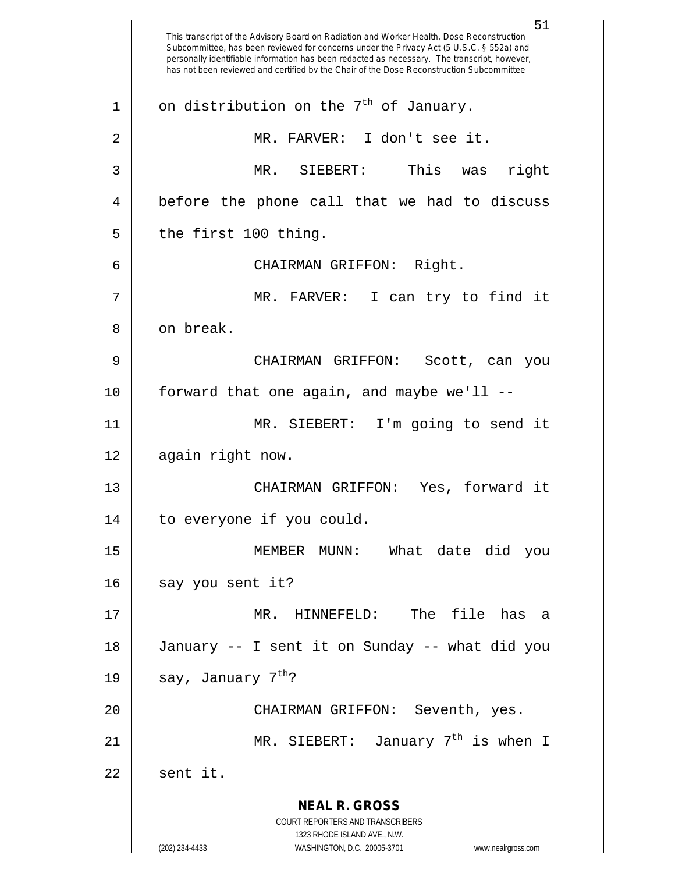**NEAL R. GROSS** COURT REPORTERS AND TRANSCRIBERS 1323 RHODE ISLAND AVE., N.W. (202) 234-4433 WASHINGTON, D.C. 20005-3701 www.nealrgross.com 51 This transcript of the Advisory Board on Radiation and Worker Health, Dose Reconstruction Subcommittee, has been reviewed for concerns under the Privacy Act (5 U.S.C. § 552a) and personally identifiable information has been redacted as necessary. The transcript, however, has not been reviewed and certified by the Chair of the Dose Reconstruction Subcommittee 1 | on distribution on the 7<sup>th</sup> of January. 2 || MR. FARVER: I don't see it. 3 MR. SIEBERT: This was right 4 || before the phone call that we had to discuss  $5 \parallel$  the first 100 thing. 6 CHAIRMAN GRIFFON: Right. 7 MR. FARVER: I can try to find it 8 l on break. 9 CHAIRMAN GRIFFON: Scott, can you  $10$  | forward that one again, and maybe we'll  $-$ 11 MR. SIEBERT: I'm going to send it 12 | again right now. 13 || CHAIRMAN GRIFFON: Yes, forward it 14 to everyone if you could. 15 MEMBER MUNN: What date did you  $16$  || say you sent it? 17 MR. HINNEFELD: The file has a 18 January -- I sent it on Sunday -- what did you 19 | say, January  $7^{th}$ ? 20 CHAIRMAN GRIFFON: Seventh, yes. 21  $\parallel$  MR. SIEBERT: January 7<sup>th</sup> is when I  $22 \parallel$  sent it.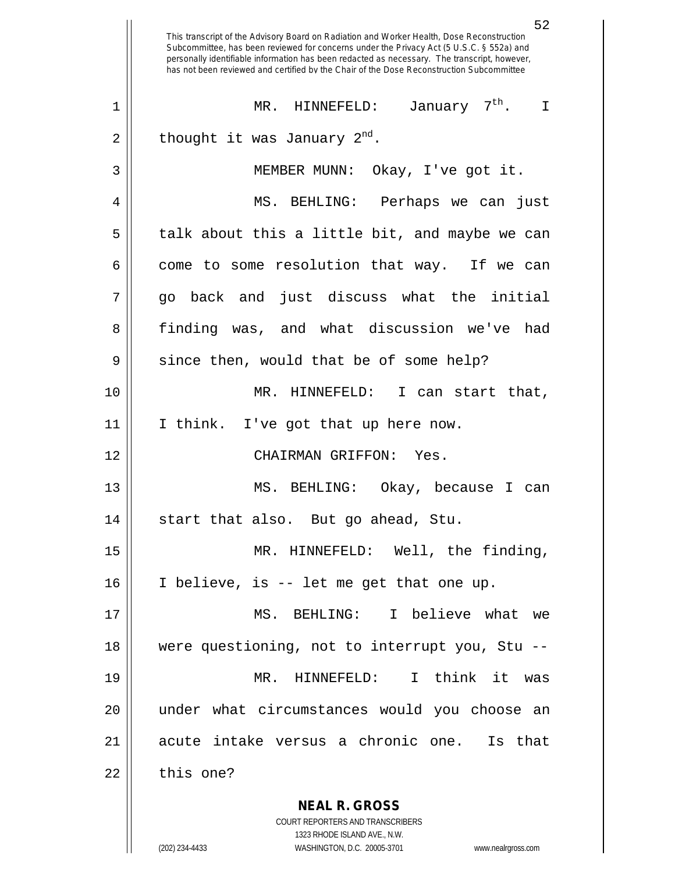**NEAL R. GROSS** COURT REPORTERS AND TRANSCRIBERS 1323 RHODE ISLAND AVE., N.W. 52 This transcript of the Advisory Board on Radiation and Worker Health, Dose Reconstruction Subcommittee, has been reviewed for concerns under the Privacy Act (5 U.S.C. § 552a) and personally identifiable information has been redacted as necessary. The transcript, however, has not been reviewed and certified by the Chair of the Dose Reconstruction Subcommittee MR. HINNEFELD: January 7th 1 . I 2 || thought it was January  $2^{\text{nd}}$ . 3 || MEMBER MUNN: Okay, I've got it. 4 MS. BEHLING: Perhaps we can just  $5 \parallel$  talk about this a little bit, and maybe we can  $6 \parallel$  come to some resolution that way. If we can  $7 \parallel$  go back and just discuss what the initial 8 finding was, and what discussion we've had  $9 \parallel$  since then, would that be of some help? 10 MR. HINNEFELD: I can start that, 11 || I think. I've got that up here now. 12 CHAIRMAN GRIFFON: Yes. 13 MS. BEHLING: Okay, because I can 14 || start that also. But go ahead, Stu. 15 || MR. HINNEFELD: Well, the finding, 16 I believe, is -- let me get that one up. 17 MS. BEHLING: I believe what we 18 were questioning, not to interrupt you, Stu -- 19 MR. HINNEFELD: I think it was 20 under what circumstances would you choose an 21 acute intake versus a chronic one. Is that  $22 \parallel$  this one?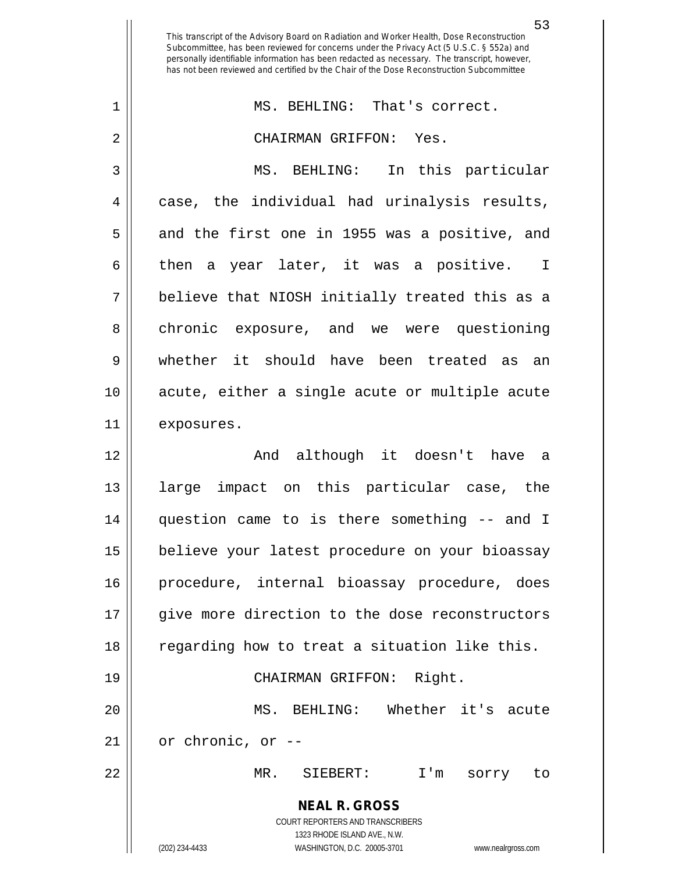**NEAL R. GROSS** COURT REPORTERS AND TRANSCRIBERS 1323 RHODE ISLAND AVE., N.W. (202) 234-4433 WASHINGTON, D.C. 20005-3701 www.nealrgross.com This transcript of the Advisory Board on Radiation and Worker Health, Dose Reconstruction Subcommittee, has been reviewed for concerns under the Privacy Act (5 U.S.C. § 552a) and personally identifiable information has been redacted as necessary. The transcript, however, has not been reviewed and certified by the Chair of the Dose Reconstruction Subcommittee 1 MS. BEHLING: That's correct. 2 CHAIRMAN GRIFFON: Yes. 3 MS. BEHLING: In this particular 4 case, the individual had urinalysis results, 5 || and the first one in 1955 was a positive, and 6 then a year later, it was a positive. I 7 believe that NIOSH initially treated this as a 8 chronic exposure, and we were questioning 9 whether it should have been treated as an 10 acute, either a single acute or multiple acute 11 exposures. 12 And although it doesn't have a 13 large impact on this particular case, the 14 question came to is there something -- and I 15 | believe your latest procedure on your bioassay 16 || procedure, internal bioassay procedure, does 17 give more direction to the dose reconstructors 18 || regarding how to treat a situation like this. 19 || CHAIRMAN GRIFFON: Right. 20 MS. BEHLING: Whether it's acute  $21$  || or chronic, or  $-$ 22 MR. SIEBERT: I'm sorry to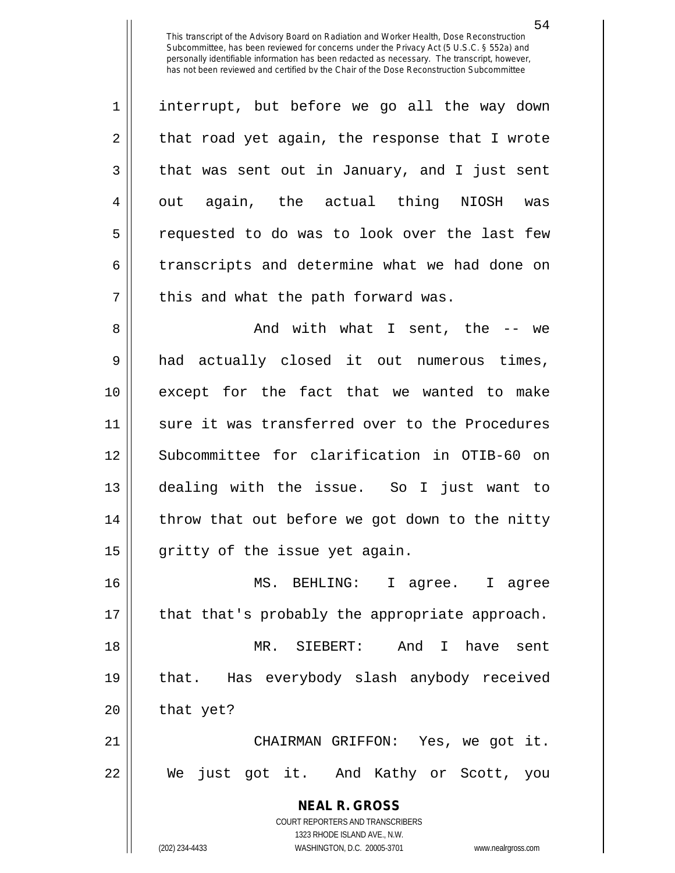1 || interrupt, but before we go all the way down  $2 \parallel$  that road yet again, the response that I wrote  $3 \parallel$  that was sent out in January, and I just sent  $4 \parallel$  out again, the actual thing NIOSH was 5 || requested to do was to look over the last few 6 transcripts and determine what we had done on  $7$  || this and what the path forward was.

 And with what I sent, the -- we had actually closed it out numerous times, except for the fact that we wanted to make 11 sure it was transferred over to the Procedures Subcommittee for clarification in OTIB-60 on dealing with the issue. So I just want to 14 || throw that out before we got down to the nitty | gritty of the issue yet again.

 MS. BEHLING: I agree. I agree 17 || that that's probably the appropriate approach. MR. SIEBERT: And I have sent that. Has everybody slash anybody received | that yet?

21 CHAIRMAN GRIFFON: Yes, we got it. 22 We just got it. And Kathy or Scott, you

> **NEAL R. GROSS** COURT REPORTERS AND TRANSCRIBERS 1323 RHODE ISLAND AVE., N.W. (202) 234-4433 WASHINGTON, D.C. 20005-3701 www.nealrgross.com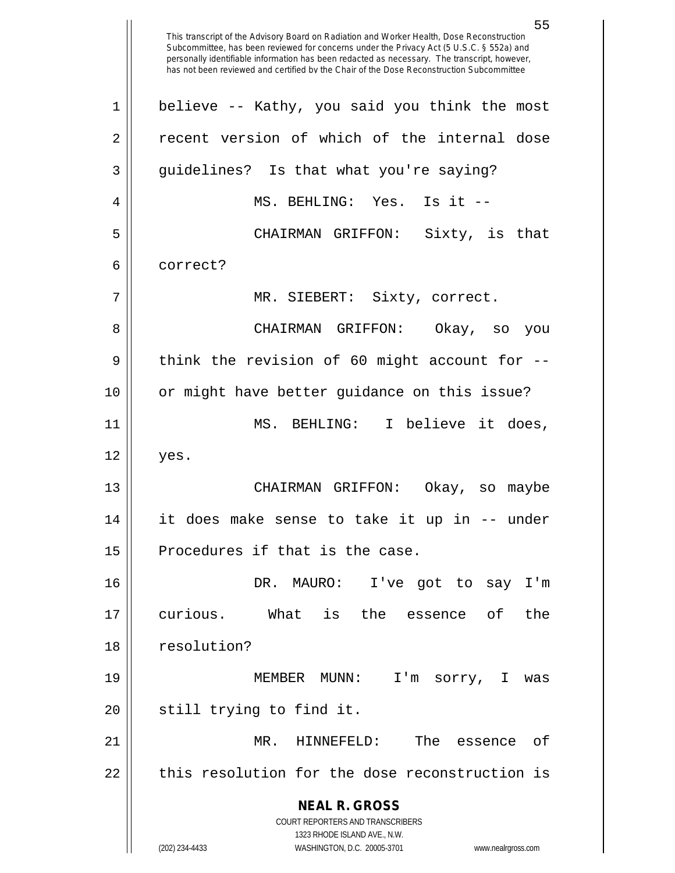**NEAL R. GROSS** COURT REPORTERS AND TRANSCRIBERS 1323 RHODE ISLAND AVE., N.W. (202) 234-4433 WASHINGTON, D.C. 20005-3701 www.nealrgross.com This transcript of the Advisory Board on Radiation and Worker Health, Dose Reconstruction Subcommittee, has been reviewed for concerns under the Privacy Act (5 U.S.C. § 552a) and personally identifiable information has been redacted as necessary. The transcript, however, has not been reviewed and certified by the Chair of the Dose Reconstruction Subcommittee 1 || believe -- Kathy, you said you think the most 2 || recent version of which of the internal dose 3 || guidelines? Is that what you're saying? 4 MS. BEHLING: Yes. Is it -- 5 CHAIRMAN GRIFFON: Sixty, is that 6 correct? 7 || MR. SIEBERT: Sixty, correct. 8 CHAIRMAN GRIFFON: Okay, so you  $9 \parallel$  think the revision of 60 might account for --10 or might have better guidance on this issue? 11 MS. BEHLING: I believe it does,  $12 \parallel$  yes. 13 CHAIRMAN GRIFFON: Okay, so maybe 14 it does make sense to take it up in -- under  $15$  | Procedures if that is the case. 16 DR. MAURO: I've got to say I'm 17 curious. What is the essence of the 18 || resolution? 19 MEMBER MUNN: I'm sorry, I was 20 || still trying to find it. 21 MR. HINNEFELD: The essence of 22 || this resolution for the dose reconstruction is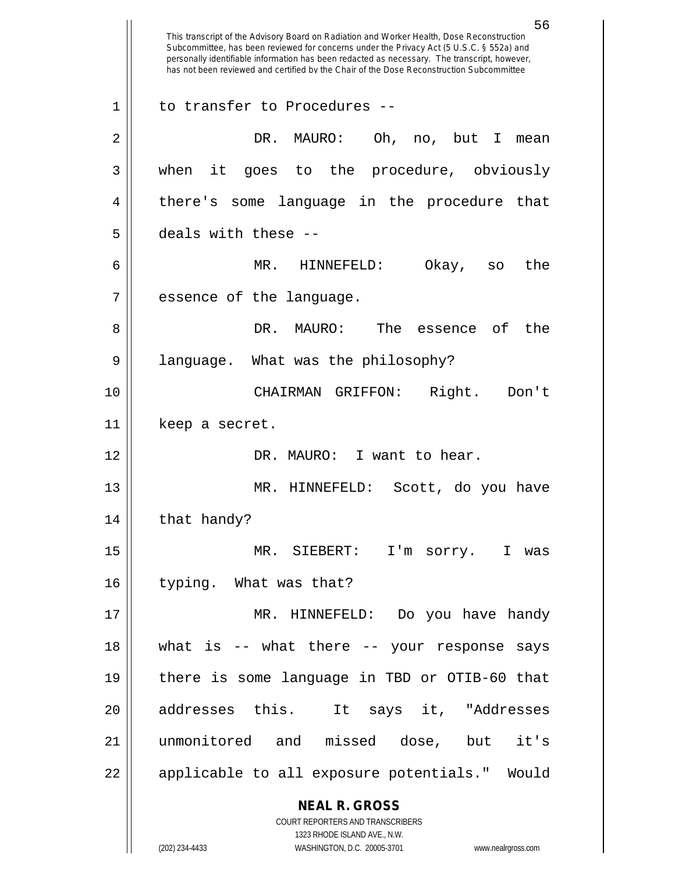**NEAL R. GROSS** COURT REPORTERS AND TRANSCRIBERS 1323 RHODE ISLAND AVE., N.W. (202) 234-4433 WASHINGTON, D.C. 20005-3701 www.nealrgross.com This transcript of the Advisory Board on Radiation and Worker Health, Dose Reconstruction Subcommittee, has been reviewed for concerns under the Privacy Act (5 U.S.C. § 552a) and personally identifiable information has been redacted as necessary. The transcript, however, has not been reviewed and certified by the Chair of the Dose Reconstruction Subcommittee 1 || to transfer to Procedures --2 DR. MAURO: Oh, no, but I mean 3 when it goes to the procedure, obviously 4 || there's some language in the procedure that 5 deals with these -- 6 MR. HINNEFELD: Okay, so the 7 | essence of the language. 8 DR. MAURO: The essence of the 9 || language. What was the philosophy? 10 CHAIRMAN GRIFFON: Right. Don't 11 | keep a secret. 12 DR. MAURO: I want to hear. 13 MR. HINNEFELD: Scott, do you have  $14$  | that handy? 15 MR. SIEBERT: I'm sorry. I was 16 || typing. What was that? 17 MR. HINNEFELD: Do you have handy 18 what is -- what there -- your response says 19 there is some language in TBD or OTIB-60 that 20 || addresses this. It says it, "Addresses 21 unmonitored and missed dose, but it's 22 || applicable to all exposure potentials." Would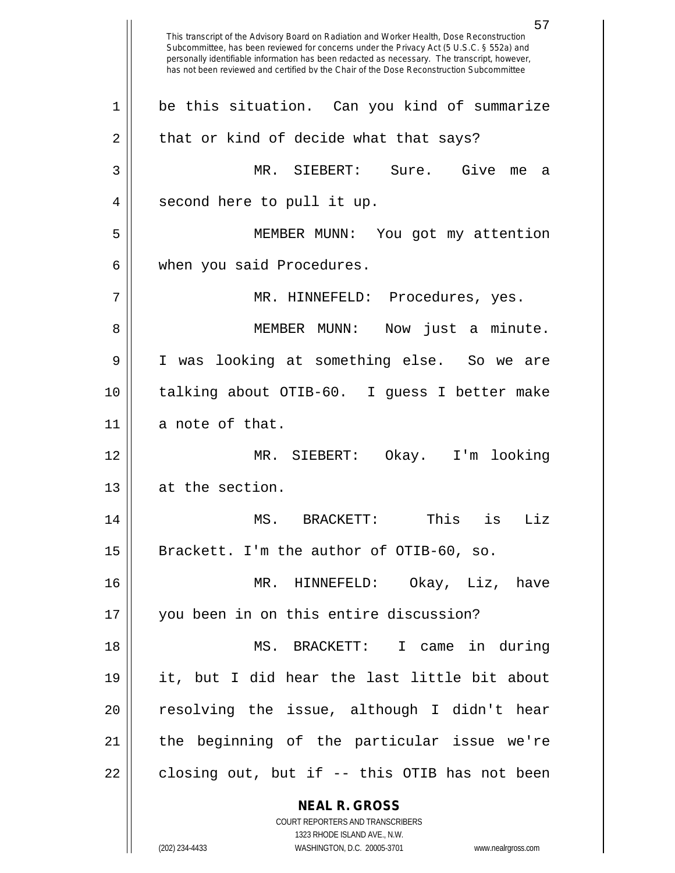**NEAL R. GROSS** COURT REPORTERS AND TRANSCRIBERS 1323 RHODE ISLAND AVE., N.W. (202) 234-4433 WASHINGTON, D.C. 20005-3701 www.nealrgross.com 57 This transcript of the Advisory Board on Radiation and Worker Health, Dose Reconstruction Subcommittee, has been reviewed for concerns under the Privacy Act (5 U.S.C. § 552a) and personally identifiable information has been redacted as necessary. The transcript, however, has not been reviewed and certified by the Chair of the Dose Reconstruction Subcommittee 1 be this situation. Can you kind of summarize  $2 \parallel$  that or kind of decide what that says? 3 MR. SIEBERT: Sure. Give me a 4 || second here to pull it up. 5 MEMBER MUNN: You got my attention  $6 \parallel$  when you said Procedures. 7 MR. HINNEFELD: Procedures, yes. 8 MEMBER MUNN: Now just a minute. 9 I was looking at something else. So we are 10 talking about OTIB-60. I guess I better make  $11$  a note of that. 12 MR. SIEBERT: Okay. I'm looking 13 | at the section. 14 MS. BRACKETT: This is Liz 15  $\vert$  Brackett. I'm the author of OTIB-60, so. 16 MR. HINNEFELD: Okay, Liz, have 17 you been in on this entire discussion? 18 MS. BRACKETT: I came in during 19 it, but I did hear the last little bit about  $20$   $\parallel$  resolving the issue, although I didn't hear 21 the beginning of the particular issue we're  $22 \parallel$  closing out, but if -- this OTIB has not been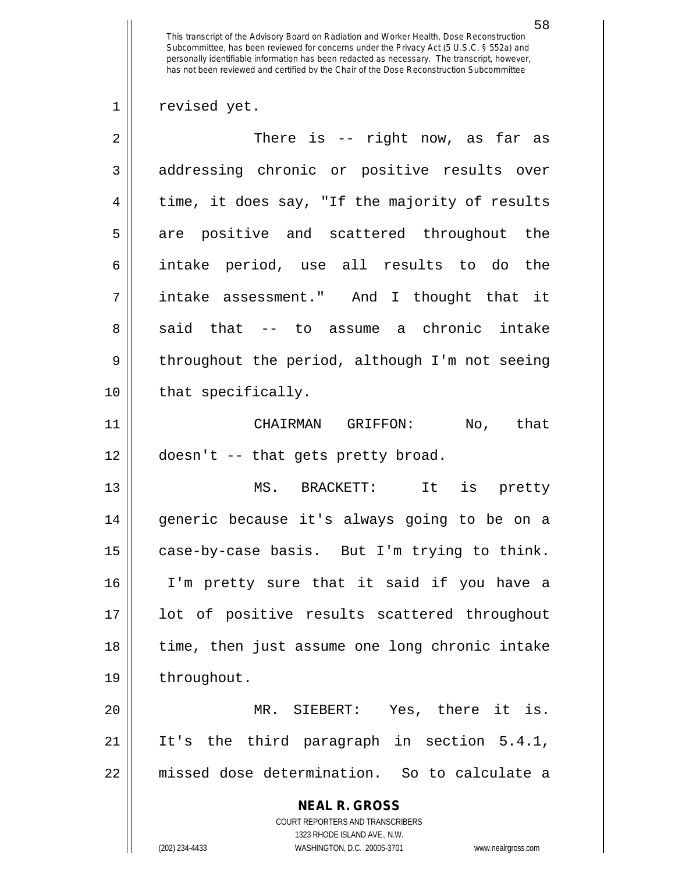$1 \parallel$  revised yet.

| $\overline{2}$ | There is -- right now, as far as                                                         |
|----------------|------------------------------------------------------------------------------------------|
| 3              | addressing chronic or positive results over                                              |
| 4              | time, it does say, "If the majority of results                                           |
| 5              | are positive and scattered throughout the                                                |
| 6              | intake period, use all results to do the                                                 |
| 7              | intake assessment." And I thought that it                                                |
| 8              | said that -- to assume a chronic intake                                                  |
| 9              | throughout the period, although I'm not seeing                                           |
| 10             | that specifically.                                                                       |
| 11             | CHAIRMAN GRIFFON: No, that                                                               |
| 12             | doesn't -- that gets pretty broad.                                                       |
| 13             | MS. BRACKETT: It is pretty                                                               |
| 14             | generic because it's always going to be on a                                             |
| 15             | case-by-case basis. But I'm trying to think.                                             |
| 16             | I'm pretty sure that it said if you have a                                               |
| 17             | lot of positive results scattered throughout                                             |
| 18             | time, then just assume one long chronic intake                                           |
| 19             | throughout.                                                                              |
| 20             | MR. SIEBERT: Yes, there it is.                                                           |
| 21             | It's the third paragraph in section 5.4.1,                                               |
| 22             | missed dose determination. So to calculate a                                             |
|                | <b>NEAL R. GROSS</b><br>COURT REPORTERS AND TRANSCRIBERS<br>1323 RHODE ISLAND AVE., N.W. |
|                | (202) 234-4433<br>WASHINGTON, D.C. 20005-3701<br>www.nealrgross.com                      |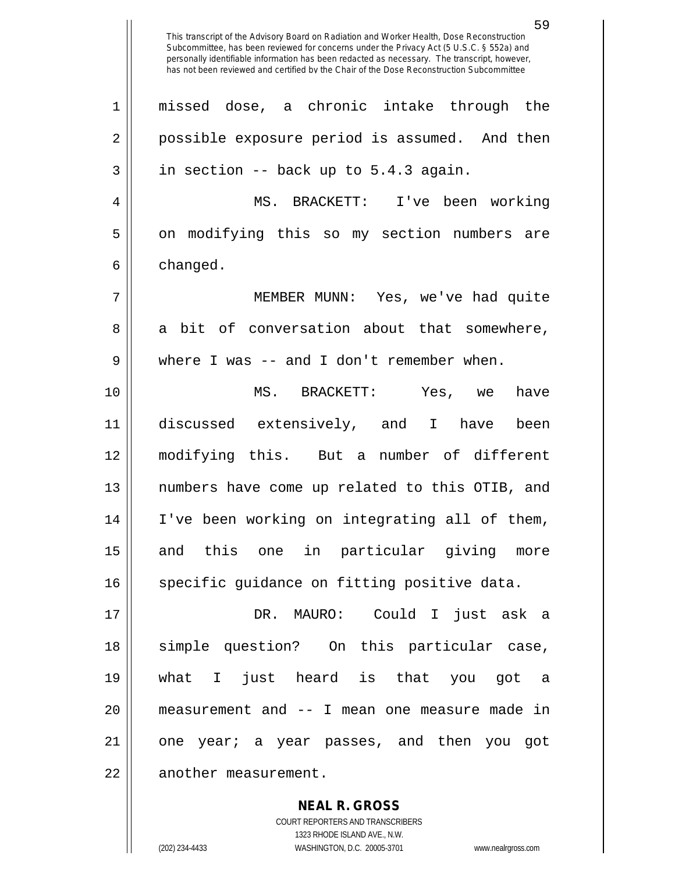This transcript of the Advisory Board on Radiation and Worker Health, Dose Reconstruction Subcommittee, has been reviewed for concerns under the Privacy Act (5 U.S.C. § 552a) and personally identifiable information has been redacted as necessary. The transcript, however, has not been reviewed and certified by the Chair of the Dose Reconstruction Subcommittee 1 missed dose, a chronic intake through the 2 || possible exposure period is assumed. And then  $3 \parallel$  in section -- back up to 5.4.3 again. 4 MS. BRACKETT: I've been working 5 || on modifying this so my section numbers are  $6 \parallel$  changed. 7 MEMBER MUNN: Yes, we've had quite 8 a bit of conversation about that somewhere,  $9 \parallel$  where I was -- and I don't remember when. 10 MS. BRACKETT: Yes, we have 11 discussed extensively, and I have been 12 modifying this. But a number of different 13 numbers have come up related to this OTIB, and 14 I've been working on integrating all of them, 15 || and this one in particular giving more 16 | specific quidance on fitting positive data. 17 DR. MAURO: Could I just ask a 18 simple question? On this particular case, 19 what I just heard is that you got a 20 measurement and -- I mean one measure made in 21 || one year; a year passes, and then you got 22 | another measurement.

> COURT REPORTERS AND TRANSCRIBERS 1323 RHODE ISLAND AVE., N.W. (202) 234-4433 WASHINGTON, D.C. 20005-3701 www.nealrgross.com

**NEAL R. GROSS**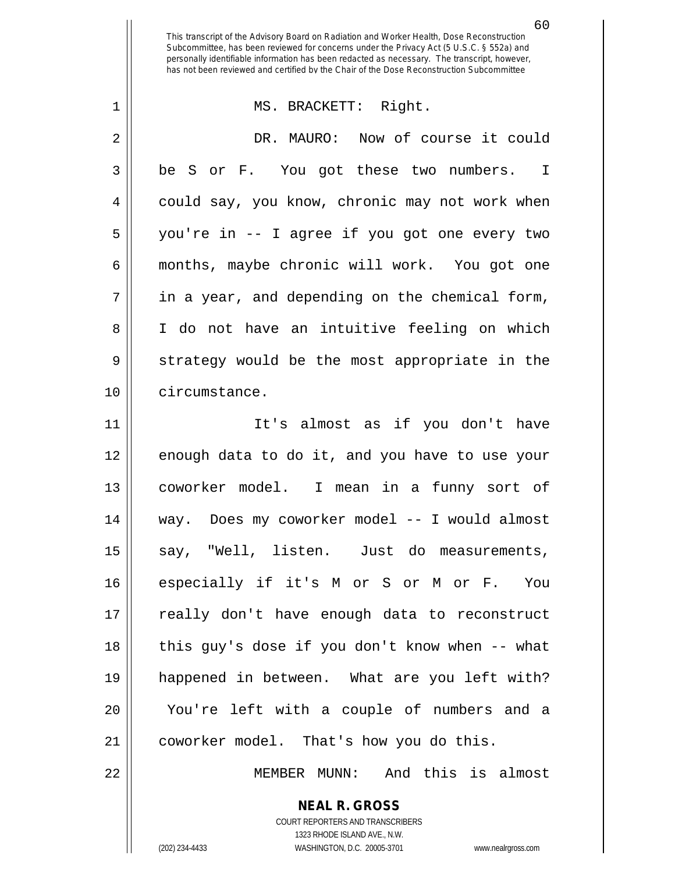60

## 1 MS. BRACKETT: Right.

2 | DR. MAURO: Now of course it could 3 || be S or F. You got these two numbers. I 4 || could say, you know, chronic may not work when 5 you're in -- I agree if you got one every two 6 months, maybe chronic will work. You got one  $7$  | in a year, and depending on the chemical form, 8 || I do not have an intuitive feeling on which 9 Strategy would be the most appropriate in the 10 circumstance.

11 || It's almost as if you don't have 12 || enough data to do it, and you have to use your 13 coworker model. I mean in a funny sort of 14 way. Does my coworker model -- I would almost 15 || say, "Well, listen. Just do measurements, 16 especially if it's M or S or M or F. You 17 || really don't have enough data to reconstruct 18 || this guy's dose if you don't know when -- what 19 happened in between. What are you left with? 20 || You're left with a couple of numbers and a 21 | coworker model. That's how you do this.

22 MEMBER MUNN: And this is almost

**NEAL R. GROSS** COURT REPORTERS AND TRANSCRIBERS

1323 RHODE ISLAND AVE., N.W. (202) 234-4433 WASHINGTON, D.C. 20005-3701 www.nealrgross.com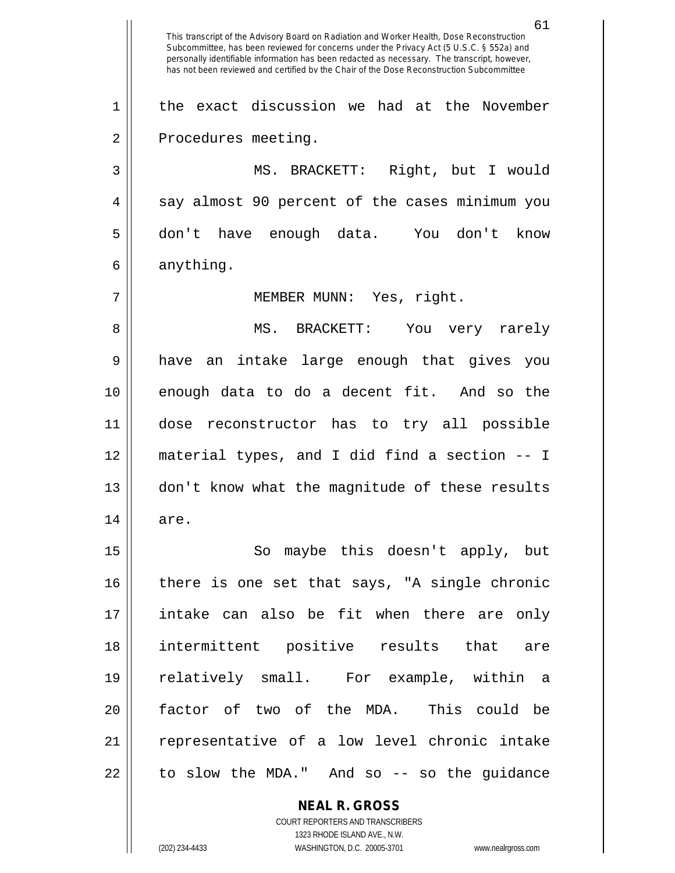61 This transcript of the Advisory Board on Radiation and Worker Health, Dose Reconstruction Subcommittee, has been reviewed for concerns under the Privacy Act (5 U.S.C. § 552a) and personally identifiable information has been redacted as necessary. The transcript, however, has not been reviewed and certified by the Chair of the Dose Reconstruction Subcommittee 1 || the exact discussion we had at the November 2 | Procedures meeting. 3 || MS. BRACKETT: Right, but I would 4 || say almost 90 percent of the cases minimum you 5 don't have enough data. You don't know  $6 \parallel$  anything. 7 || MEMBER MUNN: Yes, right. 8 MS. BRACKETT: You very rarely 9 have an intake large enough that gives you 10 enough data to do a decent fit. And so the 11 dose reconstructor has to try all possible 12 material types, and I did find a section -- I 13 || don't know what the magnitude of these results  $14 \parallel$  are. 15 || So maybe this doesn't apply, but  $16$  there is one set that says, "A single chronic 17 intake can also be fit when there are only 18 intermittent positive results that are 19 relatively small. For example, within a 20 factor of two of the MDA. This could be 21 || representative of a low level chronic intake  $22 \parallel$  to slow the MDA." And so -- so the guidance

> **NEAL R. GROSS** COURT REPORTERS AND TRANSCRIBERS 1323 RHODE ISLAND AVE., N.W.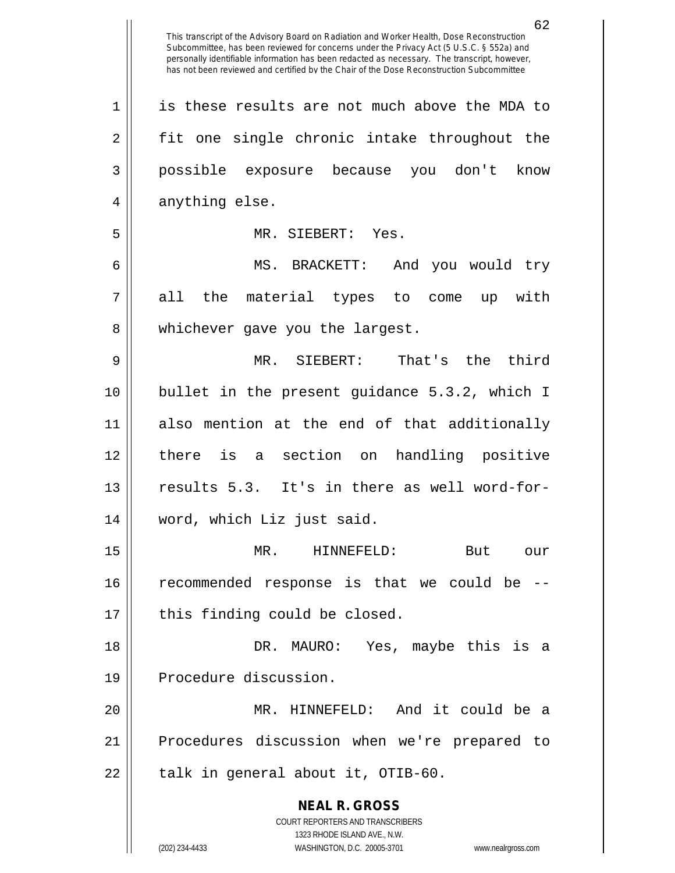62

**NEAL R. GROSS** COURT REPORTERS AND TRANSCRIBERS 1323 RHODE ISLAND AVE., N.W. 1 || is these results are not much above the MDA to  $2 \parallel$  fit one single chronic intake throughout the 3 possible exposure because you don't know  $4 \parallel$  anything else. 5 || MR. SIEBERT: Yes. 6 MS. BRACKETT: And you would try 7 || all the material types to come up with 8 || whichever gave you the largest. 9 MR. SIEBERT: That's the third 10 bullet in the present guidance 5.3.2, which I 11 also mention at the end of that additionally 12 there is a section on handling positive 13 || results 5.3. It's in there as well word-for-14 word, which Liz just said. 15 MR. HINNEFELD: But our 16 recommended response is that we could be -- 17 || this finding could be closed. 18 DR. MAURO: Yes, maybe this is a 19 || Procedure discussion. 20 MR. HINNEFELD: And it could be a 21 Procedures discussion when we're prepared to 22 || talk in general about it, OTIB-60.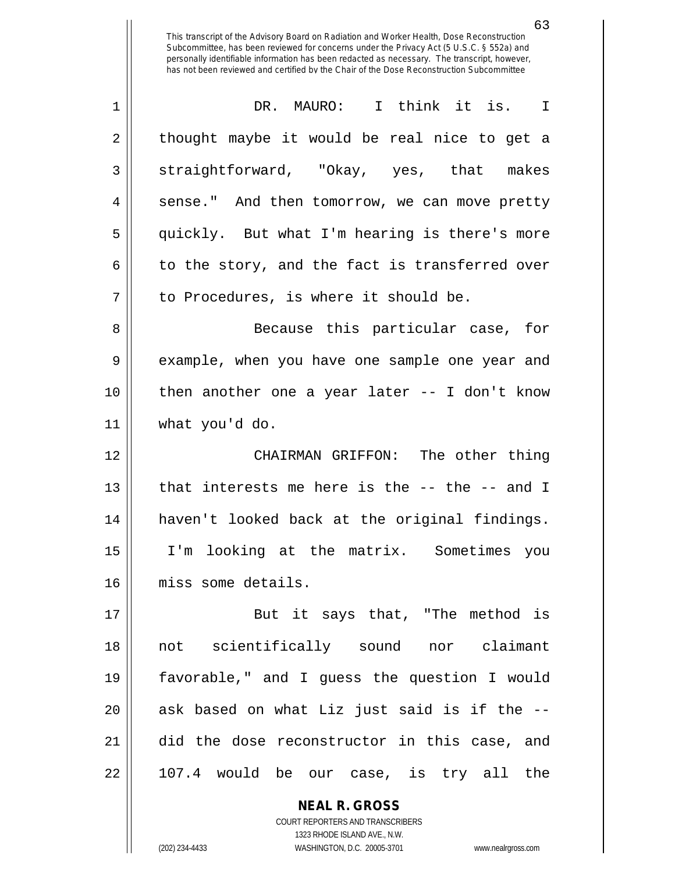| $\mathbf 1$ | DR. MAURO: I think it is.<br>I                   |
|-------------|--------------------------------------------------|
| 2           | thought maybe it would be real nice to get a     |
| 3           | straightforward, "Okay, yes, that makes          |
| 4           | sense." And then tomorrow, we can move pretty    |
| 5           | quickly. But what I'm hearing is there's more    |
| 6           | to the story, and the fact is transferred over   |
| 7           | to Procedures, is where it should be.            |
| 8           | Because this particular case, for                |
| 9           | example, when you have one sample one year and   |
| 10          | then another one a year later $-$ - I don't know |
| 11          | what you'd do.                                   |
|             |                                                  |
| 12          | CHAIRMAN GRIFFON: The other thing                |
| 13          | that interests me here is the -- the -- and I    |
| 14          | haven't looked back at the original findings.    |
| 15          | I'm looking at the matrix. Sometimes you         |
| 16          | miss some details.                               |
| 17          | But it says that, "The method is                 |
| 18          | not scientifically sound nor claimant            |
| 19          | favorable," and I guess the question I would     |
| 20          | ask based on what Liz just said is if the --     |
| 21          | did the dose reconstructor in this case, and     |

**NEAL R. GROSS** COURT REPORTERS AND TRANSCRIBERS 1323 RHODE ISLAND AVE., N.W.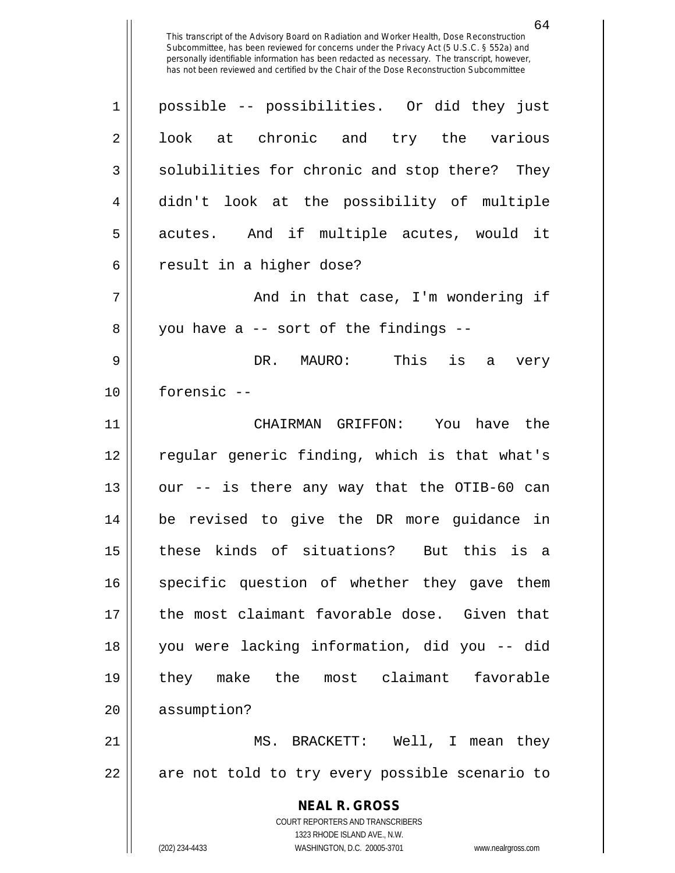| $\mathbf 1$ | possible -- possibilities. Or did they just                                                         |
|-------------|-----------------------------------------------------------------------------------------------------|
| 2           | look at chronic and try the various                                                                 |
| 3           | solubilities for chronic and stop there? They                                                       |
| 4           | didn't look at the possibility of multiple                                                          |
| 5           | acutes. And if multiple acutes, would it                                                            |
| 6           | result in a higher dose?                                                                            |
| 7           | And in that case, I'm wondering if                                                                  |
| 8           | you have a -- sort of the findings --                                                               |
| 9           | DR. MAURO: This is a<br>very                                                                        |
| 10          | forensic --                                                                                         |
| 11          | CHAIRMAN GRIFFON: You have the                                                                      |
| 12          | regular generic finding, which is that what's                                                       |
| 13          | our -- is there any way that the OTIB-60 can                                                        |
| 14          | be revised to give the DR more guidance in                                                          |
| 15          | these kinds of situations? But this is a                                                            |
| 16          | specific question of whether they gave them                                                         |
| 17          | the most claimant favorable dose. Given that                                                        |
| 18          | you were lacking information, did you -- did                                                        |
| 19          | they make the most claimant favorable                                                               |
| 20          | assumption?                                                                                         |
| 21          | MS. BRACKETT: Well, I mean they                                                                     |
| 22          | are not told to try every possible scenario to                                                      |
|             | <b>NEAL R. GROSS</b>                                                                                |
|             | COURT REPORTERS AND TRANSCRIBERS                                                                    |
|             | 1323 RHODE ISLAND AVE., N.W.<br>(202) 234-4433<br>WASHINGTON, D.C. 20005-3701<br>www.nealrgross.com |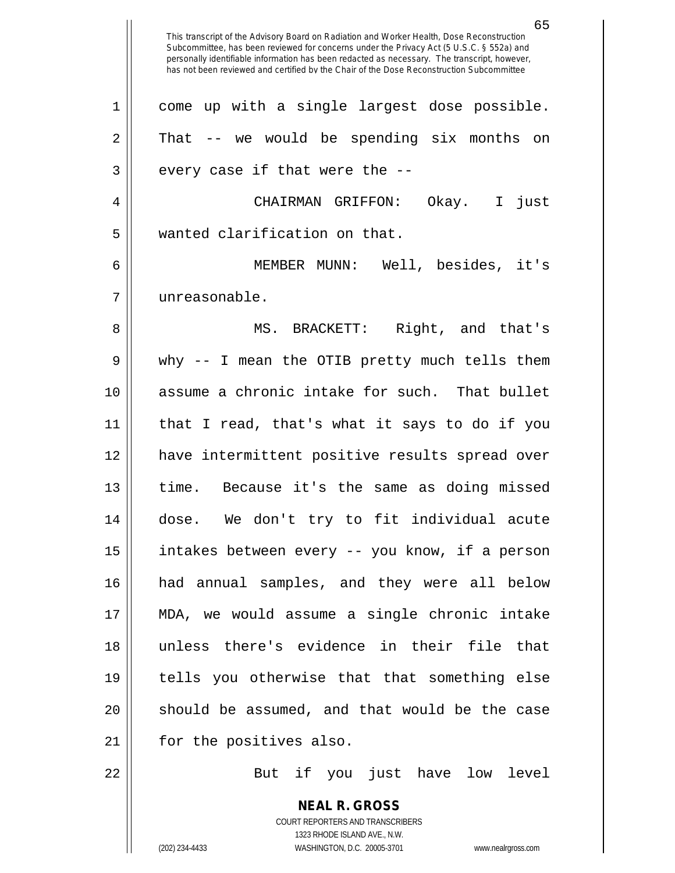**NEAL R. GROSS** This transcript of the Advisory Board on Radiation and Worker Health, Dose Reconstruction Subcommittee, has been reviewed for concerns under the Privacy Act (5 U.S.C. § 552a) and personally identifiable information has been redacted as necessary. The transcript, however, has not been reviewed and certified by the Chair of the Dose Reconstruction Subcommittee 1 || come up with a single largest dose possible.  $2 \parallel$  That -- we would be spending six months on  $3$  || every case if that were the  $-$ -4 CHAIRMAN GRIFFON: Okay. I just 5 || wanted clarification on that. 6 MEMBER MUNN: Well, besides, it's 7 unreasonable. 8 || MS. BRACKETT: Right, and that's 9 why -- I mean the OTIB pretty much tells them 10 assume a chronic intake for such. That bullet 11 that I read, that's what it says to do if you 12 have intermittent positive results spread over 13 time. Because it's the same as doing missed 14 dose. We don't try to fit individual acute 15 || intakes between every -- you know, if a person 16 had annual samples, and they were all below 17 MDA, we would assume a single chronic intake 18 unless there's evidence in their file that 19 tells you otherwise that that something else 20 || should be assumed, and that would be the case 21 | for the positives also. 22 || But if you just have low level

> COURT REPORTERS AND TRANSCRIBERS 1323 RHODE ISLAND AVE., N.W.

(202) 234-4433 WASHINGTON, D.C. 20005-3701 www.nealrgross.com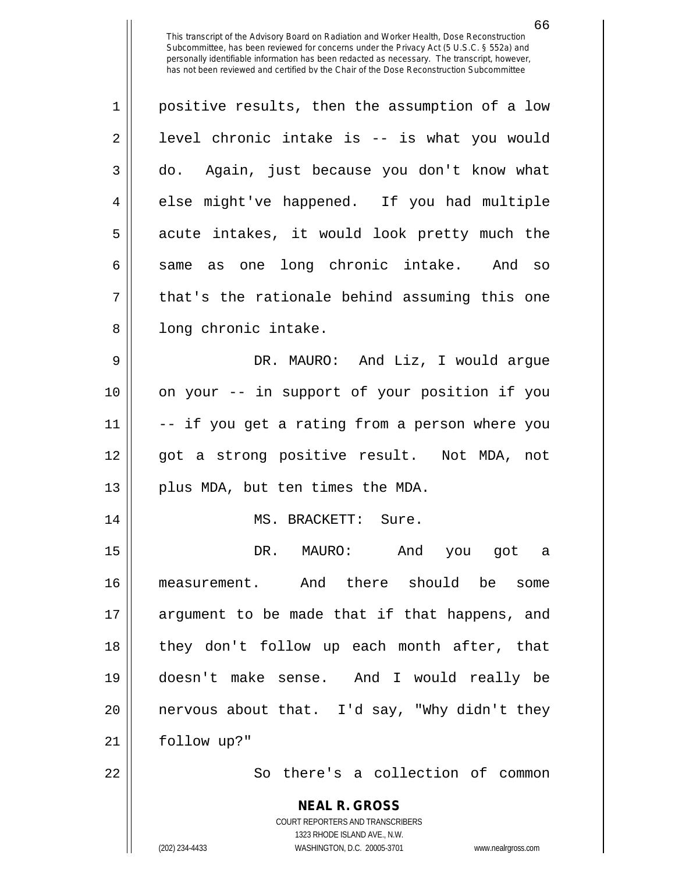| $\mathbf 1$ | positive results, then the assumption of a low |
|-------------|------------------------------------------------|
| 2           | level chronic intake is -- is what you would   |
| 3           | do. Again, just because you don't know what    |
| 4           | else might've happened. If you had multiple    |
| 5           | acute intakes, it would look pretty much the   |
| 6           | same as one long chronic intake. And so        |
| 7           | that's the rationale behind assuming this one  |
| 8           | long chronic intake.                           |
| 9           | DR. MAURO: And Liz, I would argue              |
| 10          | on your -- in support of your position if you  |
| 11          | -- if you get a rating from a person where you |
| 12          | got a strong positive result. Not MDA, not     |
| 13          | plus MDA, but ten times the MDA.               |
| 14          | MS. BRACKETT: Sure.                            |
| 15          | DR. MAURO:<br>And you got a                    |
| 16          | measurement. And there should be some          |
| 17          | argument to be made that if that happens, and  |
| 18          | they don't follow up each month after, that    |
| 19          | doesn't make sense. And I would really be      |
| 20          | nervous about that. I'd say, "Why didn't they  |
| 21          | follow up?"                                    |
| 22          | So there's a collection of common              |

**NEAL R. GROSS** COURT REPORTERS AND TRANSCRIBERS 1323 RHODE ISLAND AVE., N.W. (202) 234-4433 WASHINGTON, D.C. 20005-3701 www.nealrgross.com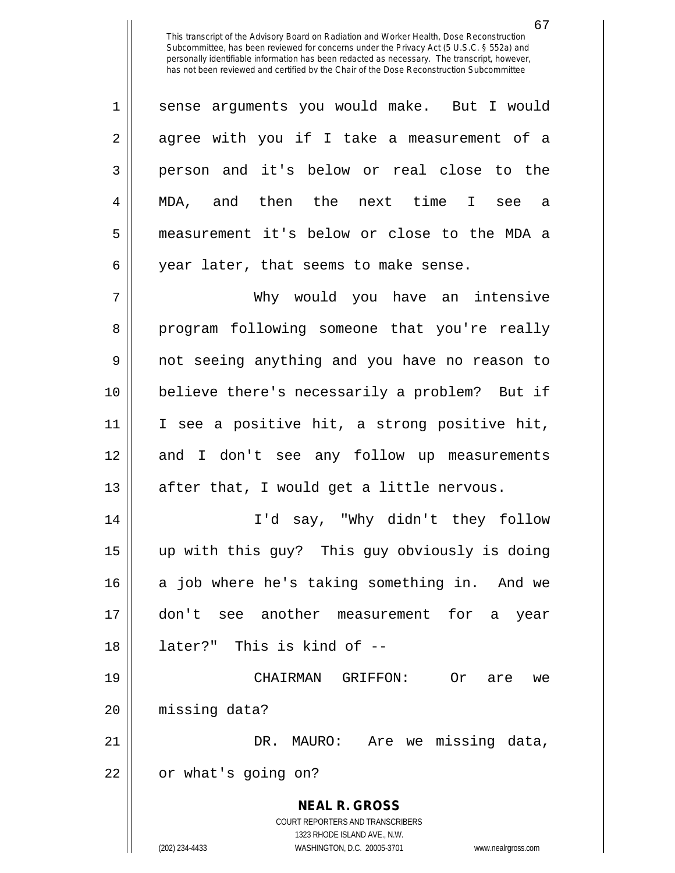1 || sense arguments you would make. But I would  $2 \parallel$  agree with you if I take a measurement of a 3 || person and it's below or real close to the 4 MDA, and then the next time I see a 5 measurement it's below or close to the MDA a  $6 \parallel$  year later, that seems to make sense.

 Why would you have an intensive 8 program following someone that you're really not seeing anything and you have no reason to believe there's necessarily a problem? But if I see a positive hit, a strong positive hit, and I don't see any follow up measurements || after that, I would get a little nervous.

 I'd say, "Why didn't they follow up with this guy? This guy obviously is doing 16 a job where he's taking something in. And we don't see another measurement for a year later?" This is kind of --

19 CHAIRMAN GRIFFON: Or are we 20 missing data?

21 DR. MAURO: Are we missing data, 22 | or what's going on?

> **NEAL R. GROSS** COURT REPORTERS AND TRANSCRIBERS 1323 RHODE ISLAND AVE., N.W. (202) 234-4433 WASHINGTON, D.C. 20005-3701 www.nealrgross.com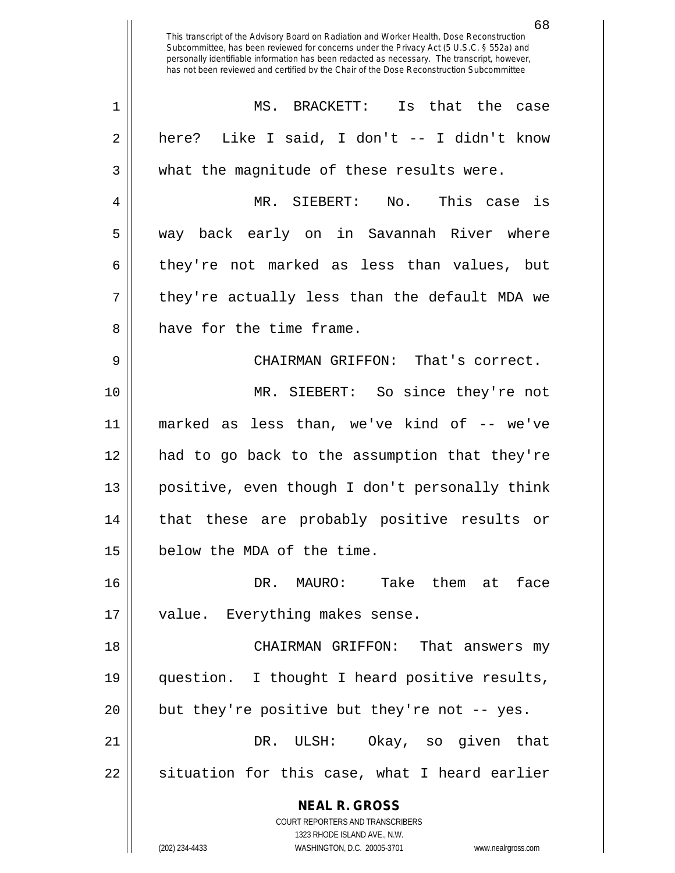**NEAL R. GROSS** COURT REPORTERS AND TRANSCRIBERS 1323 RHODE ISLAND AVE., N.W. (202) 234-4433 WASHINGTON, D.C. 20005-3701 www.nealrgross.com MS. BRACKETT: Is that the case  $2 \parallel$  here? Like I said, I don't -- I didn't know 3 What the magnitude of these results were. MR. SIEBERT: No. This case is way back early on in Savannah River where  $6 \parallel$  they're not marked as less than values, but  $7 \parallel$  they're actually less than the default MDA we 8 have for the time frame. CHAIRMAN GRIFFON: That's correct. MR. SIEBERT: So since they're not marked as less than, we've kind of -- we've had to go back to the assumption that they're positive, even though I don't personally think that these are probably positive results or below the MDA of the time. DR. MAURO: Take them at face 17 || value. Everything makes sense. CHAIRMAN GRIFFON: That answers my question. I thought I heard positive results, || but they're positive but they're not  $-$ - yes. DR. ULSH: Okay, so given that || situation for this case, what I heard earlier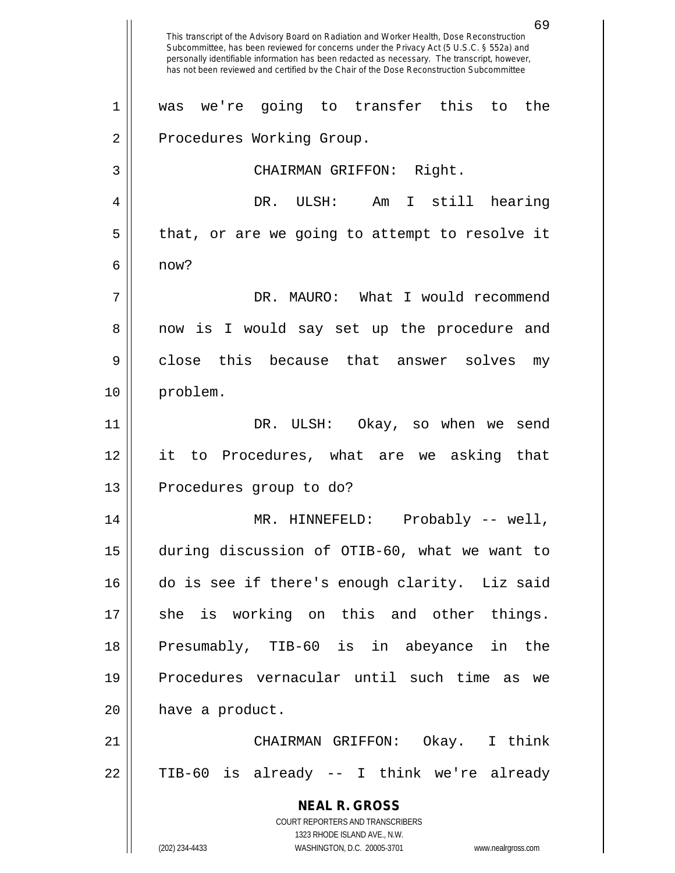**NEAL R. GROSS** COURT REPORTERS AND TRANSCRIBERS 1323 RHODE ISLAND AVE., N.W. (202) 234-4433 WASHINGTON, D.C. 20005-3701 www.nealrgross.com 69 This transcript of the Advisory Board on Radiation and Worker Health, Dose Reconstruction Subcommittee, has been reviewed for concerns under the Privacy Act (5 U.S.C. § 552a) and personally identifiable information has been redacted as necessary. The transcript, however, has not been reviewed and certified by the Chair of the Dose Reconstruction Subcommittee 1 was we're going to transfer this to the 2 | Procedures Working Group. 3 | CHAIRMAN GRIFFON: Right. 4 DR. ULSH: Am I still hearing  $5 \parallel$  that, or are we going to attempt to resolve it  $6 \parallel$  now? 7 DR. MAURO: What I would recommend 8 || now is I would say set up the procedure and 9 || close this because that answer solves my 10 problem. 11 DR. ULSH: Okay, so when we send 12 it to Procedures, what are we asking that 13 || Procedures group to do? 14 MR. HINNEFELD: Probably -- well, 15 during discussion of OTIB-60, what we want to 16 do is see if there's enough clarity. Liz said 17 she is working on this and other things. 18 Presumably, TIB-60 is in abeyance in the 19 Procedures vernacular until such time as we 20 | have a product. 21 CHAIRMAN GRIFFON: Okay. I think 22 || TIB-60 is already -- I think we're already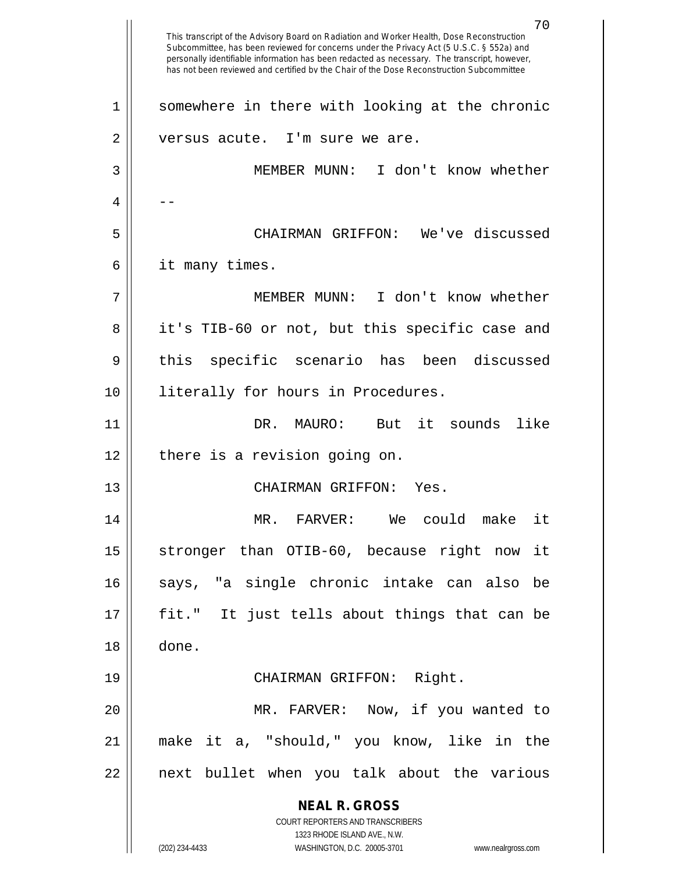**NEAL R. GROSS** COURT REPORTERS AND TRANSCRIBERS 1323 RHODE ISLAND AVE., N.W. (202) 234-4433 WASHINGTON, D.C. 20005-3701 www.nealrgross.com This transcript of the Advisory Board on Radiation and Worker Health, Dose Reconstruction Subcommittee, has been reviewed for concerns under the Privacy Act (5 U.S.C. § 552a) and personally identifiable information has been redacted as necessary. The transcript, however, has not been reviewed and certified by the Chair of the Dose Reconstruction Subcommittee 1 || somewhere in there with looking at the chronic 2 || versus acute. I'm sure we are. 3 MEMBER MUNN: I don't know whether  $4 \parallel - -$ 5 CHAIRMAN GRIFFON: We've discussed 6 it many times. 7 MEMBER MUNN: I don't know whether 8 || it's TIB-60 or not, but this specific case and 9 || this specific scenario has been discussed 10 || literally for hours in Procedures. 11 DR. MAURO: But it sounds like  $12$  | there is a revision going on. 13 CHAIRMAN GRIFFON: Yes. 14 MR. FARVER: We could make it 15 || stronger than OTIB-60, because right now it 16 || says, "a single chronic intake can also be 17 fit." It just tells about things that can be 18 done. 19 CHAIRMAN GRIFFON: Right. 20 MR. FARVER: Now, if you wanted to 21 make it a, "should," you know, like in the 22 || next bullet when you talk about the various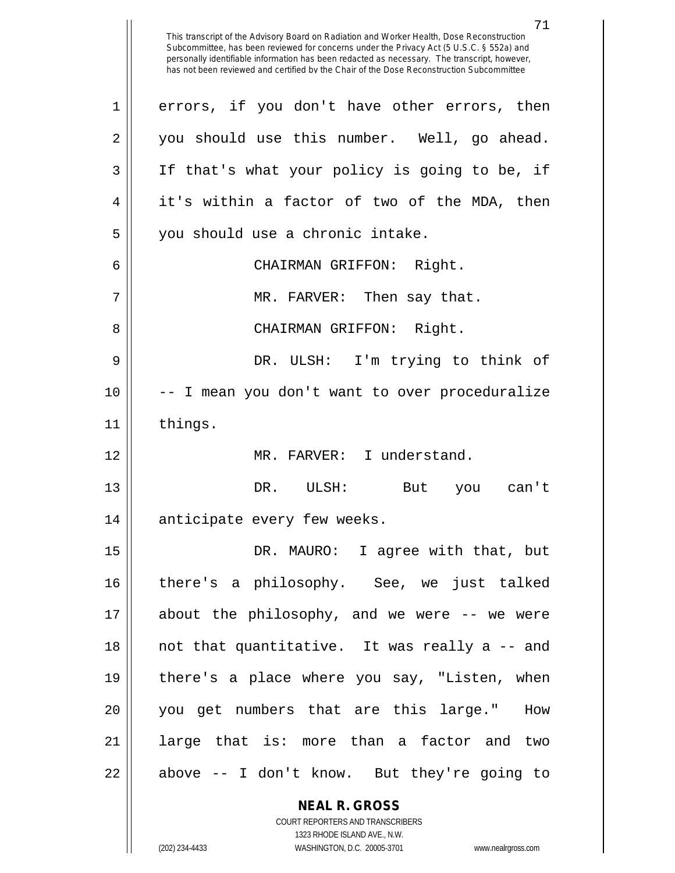**NEAL R. GROSS** COURT REPORTERS AND TRANSCRIBERS This transcript of the Advisory Board on Radiation and Worker Health, Dose Reconstruction Subcommittee, has been reviewed for concerns under the Privacy Act (5 U.S.C. § 552a) and personally identifiable information has been redacted as necessary. The transcript, however, has not been reviewed and certified by the Chair of the Dose Reconstruction Subcommittee 1 || errors, if you don't have other errors, then 2 || you should use this number. Well, go ahead. 3 If that's what your policy is going to be, if  $4 \parallel$  it's within a factor of two of the MDA, then 5 || you should use a chronic intake. 6 CHAIRMAN GRIFFON: Right. 7 MR. FARVER: Then say that. 8 CHAIRMAN GRIFFON: Right. 9 DR. ULSH: I'm trying to think of 10 -- I mean you don't want to over proceduralize 11 | things. 12 MR. FARVER: I understand. 13 DR. ULSH: But you can't 14 || anticipate every few weeks. 15 || DR. MAURO: I agree with that, but 16 || there's a philosophy. See, we just talked 17 about the philosophy, and we were -- we were 18 || not that quantitative. It was really a -- and 19 || there's a place where you say, "Listen, when 20 you get numbers that are this large." How 21 || large that is: more than a factor and two 22 || above -- I don't know. But they're going to

1323 RHODE ISLAND AVE., N.W.

(202) 234-4433 WASHINGTON, D.C. 20005-3701 www.nealrgross.com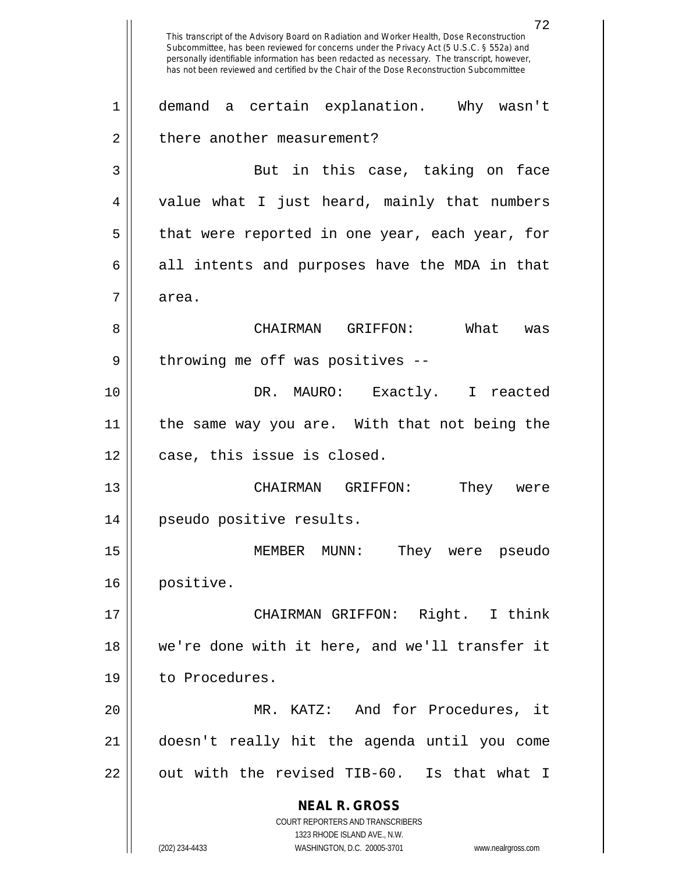**NEAL R. GROSS** COURT REPORTERS AND TRANSCRIBERS 1323 RHODE ISLAND AVE., N.W. 72 This transcript of the Advisory Board on Radiation and Worker Health, Dose Reconstruction Subcommittee, has been reviewed for concerns under the Privacy Act (5 U.S.C. § 552a) and personally identifiable information has been redacted as necessary. The transcript, however, has not been reviewed and certified by the Chair of the Dose Reconstruction Subcommittee 1 demand a certain explanation. Why wasn't 2 | there another measurement? 3 || But in this case, taking on face 4 || value what I just heard, mainly that numbers  $5 \parallel$  that were reported in one year, each year, for  $6 \parallel$  all intents and purposes have the MDA in that 7 area. 8 CHAIRMAN GRIFFON: What was  $9 \parallel$  throwing me off was positives --10 DR. MAURO: Exactly. I reacted 11 the same way you are. With that not being the 12 || case, this issue is closed. 13 CHAIRMAN GRIFFON: They were 14 pseudo positive results. 15 MEMBER MUNN: They were pseudo 16 positive. 17 CHAIRMAN GRIFFON: Right. I think 18 we're done with it here, and we'll transfer it 19 | to Procedures. 20 MR. KATZ: And for Procedures, it 21 doesn't really hit the agenda until you come  $22$   $\vert$  out with the revised TIB-60. Is that what I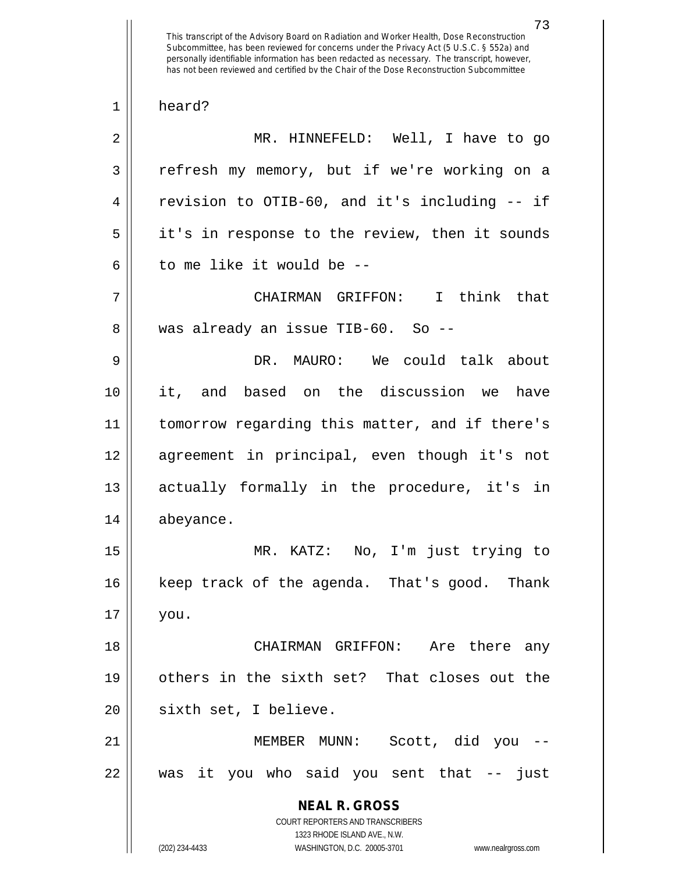This transcript of the Advisory Board on Radiation and Worker Health, Dose Reconstruction Subcommittee, has been reviewed for concerns under the Privacy Act (5 U.S.C. § 552a) and personally identifiable information has been redacted as necessary. The transcript, however, has not been reviewed and certified by the Chair of the Dose Reconstruction Subcommittee 1 heard? 2 MR. HINNEFELD: Well, I have to go 3 | refresh my memory, but if we're working on a 4 | revision to OTIB-60, and it's including -- if 5 || it's in response to the review, then it sounds 6  $\parallel$  to me like it would be  $-$ 7 CHAIRMAN GRIFFON: I think that 8 || was already an issue TIB-60. So --9 DR. MAURO: We could talk about 10 it, and based on the discussion we have 11 tomorrow regarding this matter, and if there's 12 agreement in principal, even though it's not 13 actually formally in the procedure, it's in 14 abeyance. 15 MR. KATZ: No, I'm just trying to 16 || keep track of the agenda. That's good. Thank 17 you. 18 CHAIRMAN GRIFFON: Are there any 19 others in the sixth set? That closes out the 20 || sixth set, I believe. 21 MEMBER MUNN: Scott, did you -- 22 was it you who said you sent that -- just

> **NEAL R. GROSS** COURT REPORTERS AND TRANSCRIBERS 1323 RHODE ISLAND AVE., N.W.

(202) 234-4433 WASHINGTON, D.C. 20005-3701 www.nealrgross.com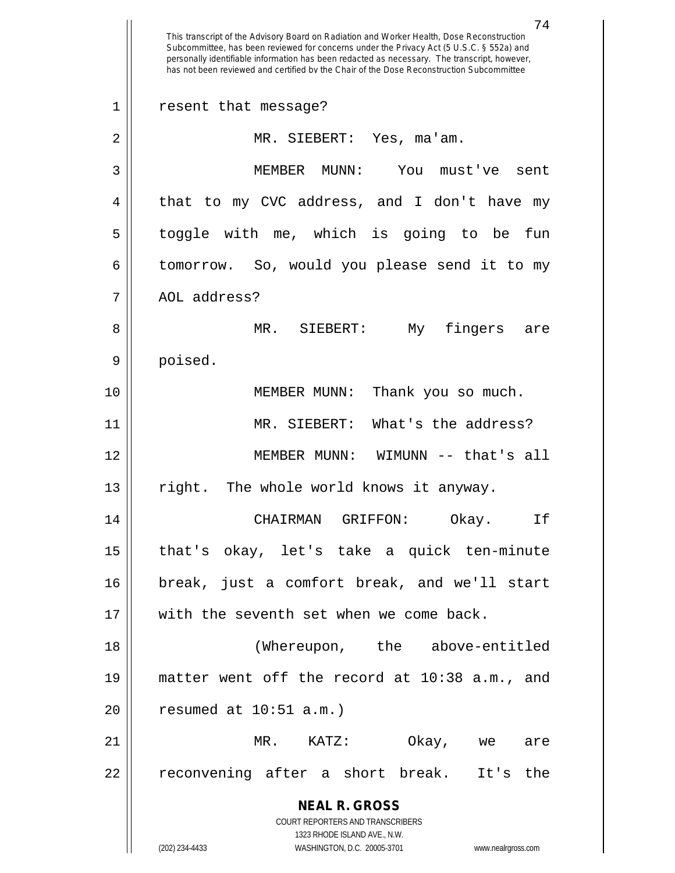**NEAL R. GROSS** COURT REPORTERS AND TRANSCRIBERS 1323 RHODE ISLAND AVE., N.W. (202) 234-4433 WASHINGTON, D.C. 20005-3701 www.nealrgross.com This transcript of the Advisory Board on Radiation and Worker Health, Dose Reconstruction Subcommittee, has been reviewed for concerns under the Privacy Act (5 U.S.C. § 552a) and personally identifiable information has been redacted as necessary. The transcript, however, has not been reviewed and certified by the Chair of the Dose Reconstruction Subcommittee 1 resent that message? 2 MR. SIEBERT: Yes, ma'am. 3 MEMBER MUNN: You must've sent 4 || that to my CVC address, and I don't have my 5 || toggle with me, which is going to be fun 6 tomorrow. So, would you please send it to my 7 || AOL address? 8 MR. SIEBERT: My fingers are 9 poised. 10 MEMBER MUNN: Thank you so much. 11 MR. SIEBERT: What's the address? 12 MEMBER MUNN: WIMUNN -- that's all 13 || right. The whole world knows it anyway. 14 CHAIRMAN GRIFFON: Okay. If 15 that's okay, let's take a quick ten-minute 16 break, just a comfort break, and we'll start 17 || with the seventh set when we come back. 18 (Whereupon, the above-entitled 19 matter went off the record at 10:38 a.m., and  $20$  | resumed at  $10:51$  a.m.) 21 MR. KATZ: Okay, we are 22 || reconvening after a short break. It's the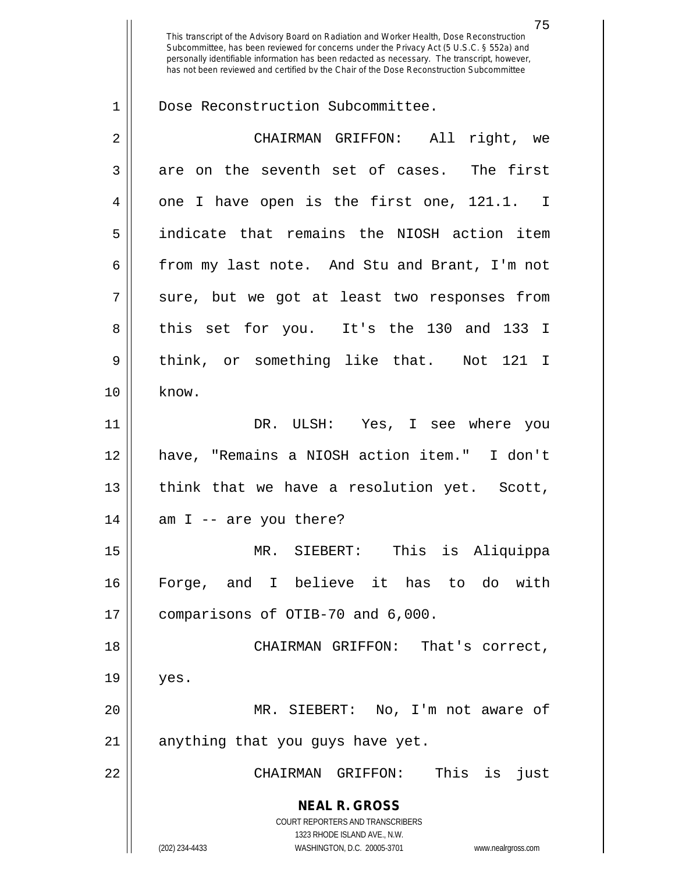75 This transcript of the Advisory Board on Radiation and Worker Health, Dose Reconstruction Subcommittee, has been reviewed for concerns under the Privacy Act (5 U.S.C. § 552a) and personally identifiable information has been redacted as necessary. The transcript, however, has not been reviewed and certified by the Chair of the Dose Reconstruction Subcommittee 1 | Dose Reconstruction Subcommittee. 2 CHAIRMAN GRIFFON: All right, we  $3 \parallel$  are on the seventh set of cases. The first

 $4 \parallel$  one I have open is the first one, 121.1. I 5 indicate that remains the NIOSH action item 6 from my last note. And Stu and Brant, I'm not  $7 \parallel$  sure, but we got at least two responses from 8 this set for you. It's the 130 and 133 I 9 || think, or something like that. Not 121 I  $10 \parallel$  know. 11 DR. ULSH: Yes, I see where you 12 have, "Remains a NIOSH action item." I don't 13 || think that we have a resolution yet. Scott,  $14 \parallel$  am I -- are you there? 15 MR. SIEBERT: This is Aliquippa 16 Forge, and I believe it has to do with 17 || comparisons of OTIB-70 and 6,000. 18 CHAIRMAN GRIFFON: That's correct,  $19 \parallel$  yes. 20 MR. SIEBERT: No, I'm not aware of

 $21$  | anything that you guys have yet.

22 CHAIRMAN GRIFFON: This is just

**NEAL R. GROSS** COURT REPORTERS AND TRANSCRIBERS

1323 RHODE ISLAND AVE., N.W.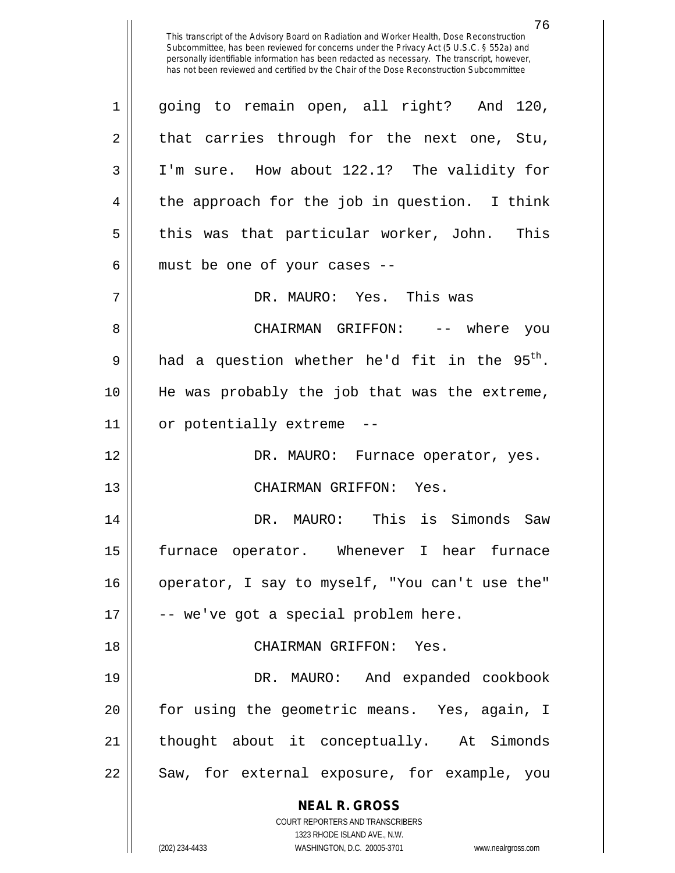**NEAL R. GROSS** COURT REPORTERS AND TRANSCRIBERS 1323 RHODE ISLAND AVE., N.W. 1 going to remain open, all right? And 120,  $2 \parallel$  that carries through for the next one, Stu, 3 I'm sure. How about 122.1? The validity for 4 || the approach for the job in question. I think  $5 \parallel$  this was that particular worker, John. This  $6$  || must be one of your cases  $-$ 7 DR. MAURO: Yes. This was 8 CHAIRMAN GRIFFON: -- where you 9 || had a question whether he'd fit in the  $95<sup>th</sup>$ . 10 He was probably the job that was the extreme,  $11$  | or potentially extreme 12 DR. MAURO: Furnace operator, yes. 13 || CHAIRMAN GRIFFON: Yes. 14 DR. MAURO: This is Simonds Saw 15 furnace operator. Whenever I hear furnace 16 || operator, I say to myself, "You can't use the"  $17 \parallel$  -- we've got a special problem here. 18 CHAIRMAN GRIFFON: Yes. 19 DR. MAURO: And expanded cookbook 20 || for using the geometric means. Yes, again, I 21 || thought about it conceptually. At Simonds 22 || Saw, for external exposure, for example, you

(202) 234-4433 WASHINGTON, D.C. 20005-3701 www.nealrgross.com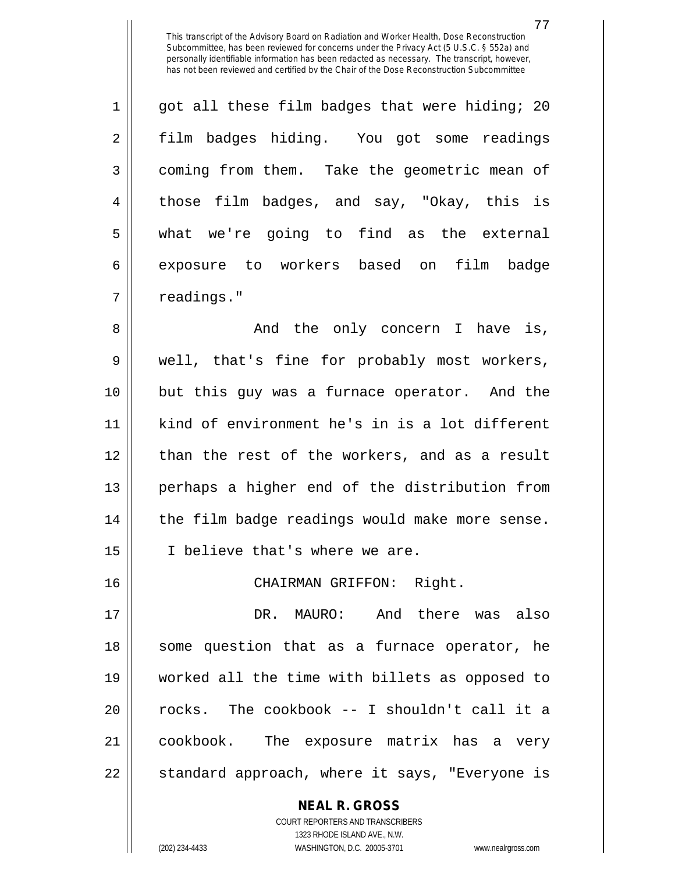77

 $1 \parallel$  got all these film badges that were hiding; 20 2 film badges hiding. You got some readings 3 | coming from them. Take the geometric mean of 4 those film badges, and say, "Okay, this is 5 what we're going to find as the external 6 exposure to workers based on film badge  $7$  | readings."

8 And the only concern I have is, 9 || well, that's fine for probably most workers, 10 but this guy was a furnace operator. And the 11 kind of environment he's in is a lot different 12 || than the rest of the workers, and as a result 13 perhaps a higher end of the distribution from 14 || the film badge readings would make more sense. 15 || I believe that's where we are.

16 CHAIRMAN GRIFFON: Right.

 DR. MAURO: And there was also 18 || some question that as a furnace operator, he worked all the time with billets as opposed to || rocks. The cookbook -- I shouldn't call it a cookbook. The exposure matrix has a very 22 || standard approach, where it says, "Everyone is

**NEAL R. GROSS**

COURT REPORTERS AND TRANSCRIBERS 1323 RHODE ISLAND AVE., N.W. (202) 234-4433 WASHINGTON, D.C. 20005-3701 www.nealrgross.com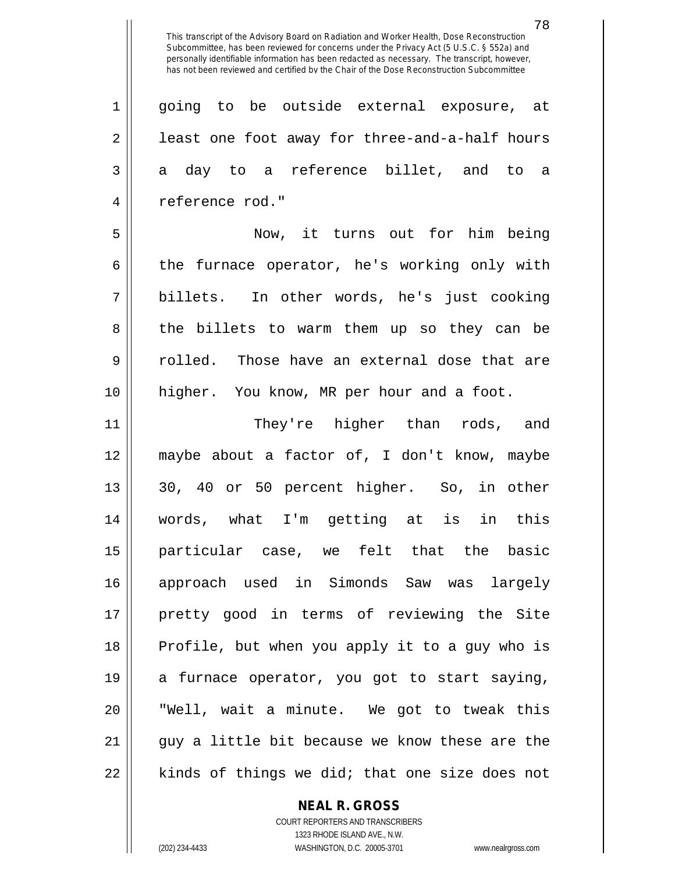1 || going to be outside external exposure, at 2 | least one foot away for three-and-a-half hours  $3 \parallel$  a day to a reference billet, and to a 4 reference rod."

5 Now, it turns out for him being 6 the furnace operator, he's working only with 7 billets. In other words, he's just cooking 8 the billets to warm them up so they can be 9 || colled. Those have an external dose that are 10 higher. You know, MR per hour and a foot.

 They're higher than rods, and maybe about a factor of, I don't know, maybe 13 || 30, 40 or 50 percent higher. So, in other words, what I'm getting at is in this particular case, we felt that the basic approach used in Simonds Saw was largely pretty good in terms of reviewing the Site Profile, but when you apply it to a guy who is 19 || a furnace operator, you got to start saying, "Well, wait a minute. We got to tweak this  $\vert \vert$  guy a little bit because we know these are the || kinds of things we did; that one size does not

**NEAL R. GROSS**

COURT REPORTERS AND TRANSCRIBERS 1323 RHODE ISLAND AVE., N.W. (202) 234-4433 WASHINGTON, D.C. 20005-3701 www.nealrgross.com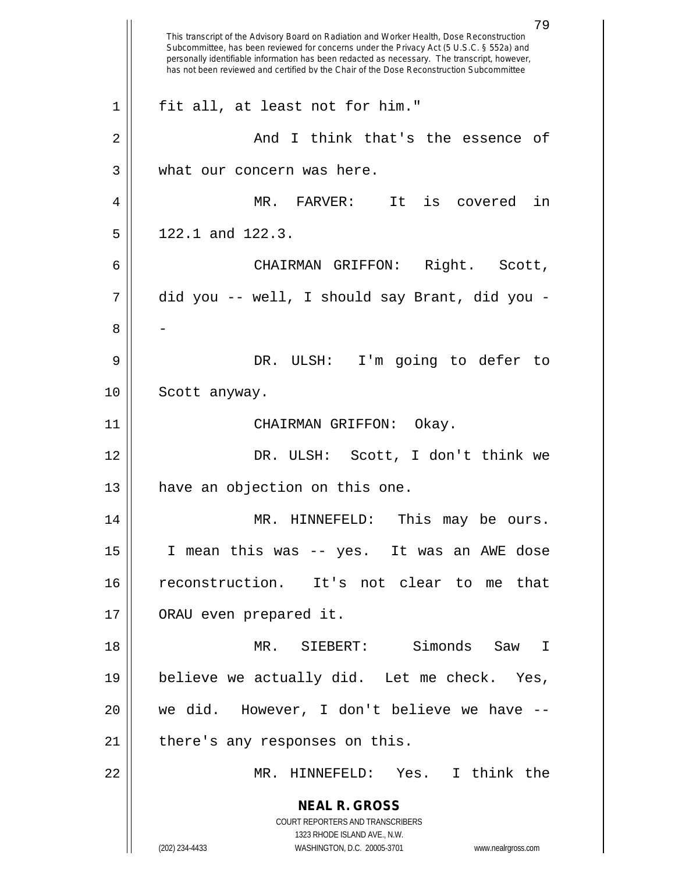|             | 79<br>This transcript of the Advisory Board on Radiation and Worker Health, Dose Reconstruction<br>Subcommittee, has been reviewed for concerns under the Privacy Act (5 U.S.C. § 552a) and<br>personally identifiable information has been redacted as necessary. The transcript, however,<br>has not been reviewed and certified by the Chair of the Dose Reconstruction Subcommittee |
|-------------|-----------------------------------------------------------------------------------------------------------------------------------------------------------------------------------------------------------------------------------------------------------------------------------------------------------------------------------------------------------------------------------------|
| $\mathbf 1$ | fit all, at least not for him."                                                                                                                                                                                                                                                                                                                                                         |
| 2           | And I think that's the essence of                                                                                                                                                                                                                                                                                                                                                       |
| 3           | what our concern was here.                                                                                                                                                                                                                                                                                                                                                              |
| 4           | MR. FARVER: It<br>is covered<br>in                                                                                                                                                                                                                                                                                                                                                      |
| 5           | 122.1 and 122.3.                                                                                                                                                                                                                                                                                                                                                                        |
| 6           | Right. Scott,<br>CHAIRMAN GRIFFON:                                                                                                                                                                                                                                                                                                                                                      |
| 7           | did you -- well, I should say Brant, did you -                                                                                                                                                                                                                                                                                                                                          |
| 8           |                                                                                                                                                                                                                                                                                                                                                                                         |
| 9           | DR. ULSH: I'm going to defer to                                                                                                                                                                                                                                                                                                                                                         |
| 10          | Scott anyway.                                                                                                                                                                                                                                                                                                                                                                           |
| 11          | CHAIRMAN GRIFFON:<br>Okay.                                                                                                                                                                                                                                                                                                                                                              |
| 12          | DR. ULSH: Scott, I don't think we                                                                                                                                                                                                                                                                                                                                                       |
| 13          | have an objection on this one.                                                                                                                                                                                                                                                                                                                                                          |
| 14          | MR. HINNEFELD:<br>This may be ours.                                                                                                                                                                                                                                                                                                                                                     |
| 15          | I mean this was -- yes. It was an AWE dose                                                                                                                                                                                                                                                                                                                                              |
| 16          | reconstruction. It's not clear to me that                                                                                                                                                                                                                                                                                                                                               |
| 17          | ORAU even prepared it.                                                                                                                                                                                                                                                                                                                                                                  |
| 18          | MR. SIEBERT: Simonds Saw I                                                                                                                                                                                                                                                                                                                                                              |
| 19          | believe we actually did. Let me check. Yes,                                                                                                                                                                                                                                                                                                                                             |
| 20          | we did. However, I don't believe we have --                                                                                                                                                                                                                                                                                                                                             |
| 21          | there's any responses on this.                                                                                                                                                                                                                                                                                                                                                          |
| 22          | MR. HINNEFELD: Yes. I think the                                                                                                                                                                                                                                                                                                                                                         |
|             | <b>NEAL R. GROSS</b><br>COURT REPORTERS AND TRANSCRIBERS<br>1323 RHODE ISLAND AVE., N.W.<br>(202) 234-4433<br>WASHINGTON, D.C. 20005-3701<br>www.nealrgross.com                                                                                                                                                                                                                         |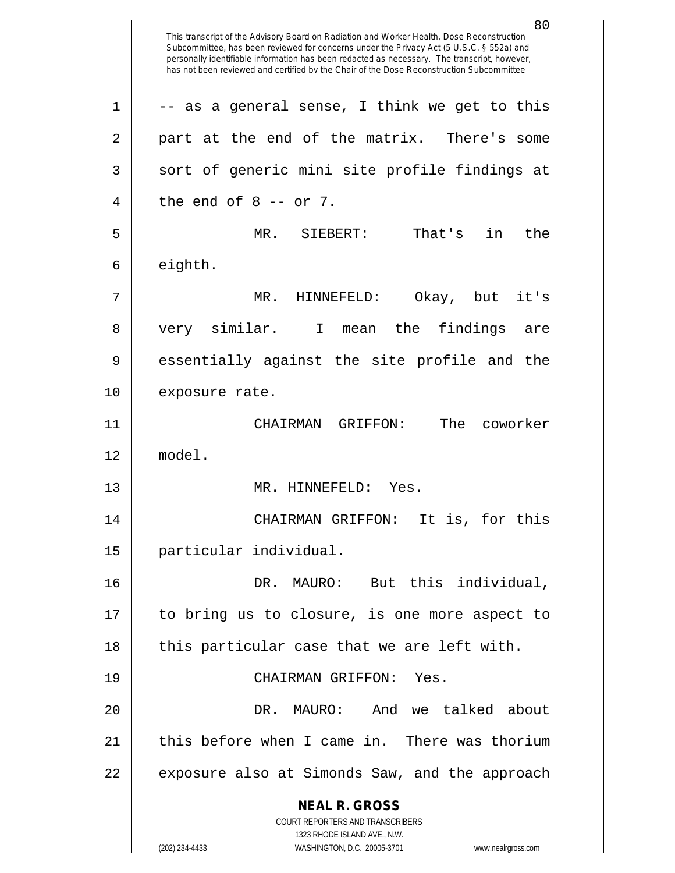**NEAL R. GROSS** COURT REPORTERS AND TRANSCRIBERS 1323 RHODE ISLAND AVE., N.W. (202) 234-4433 WASHINGTON, D.C. 20005-3701 www.nealrgross.com This transcript of the Advisory Board on Radiation and Worker Health, Dose Reconstruction Subcommittee, has been reviewed for concerns under the Privacy Act (5 U.S.C. § 552a) and personally identifiable information has been redacted as necessary. The transcript, however, has not been reviewed and certified by the Chair of the Dose Reconstruction Subcommittee  $1 \parallel$  -- as a general sense, I think we get to this  $2 \parallel$  part at the end of the matrix. There's some  $3 \parallel$  sort of generic mini site profile findings at  $4 \parallel$  the end of 8 -- or 7. 5 MR. SIEBERT: That's in the  $6 \parallel$  eighth. 7 MR. HINNEFELD: Okay, but it's 8 || very similar. I mean the findings are 9 essentially against the site profile and the 10 | exposure rate. 11 CHAIRMAN GRIFFON: The coworker 12 model. 13 MR. HINNEFELD: Yes. 14 CHAIRMAN GRIFFON: It is, for this 15 particular individual. 16 DR. MAURO: But this individual, 17 to bring us to closure, is one more aspect to  $18$  || this particular case that we are left with. 19 CHAIRMAN GRIFFON: Yes. 20 DR. MAURO: And we talked about 21  $\parallel$  this before when I came in. There was thorium  $22$  || exposure also at Simonds Saw, and the approach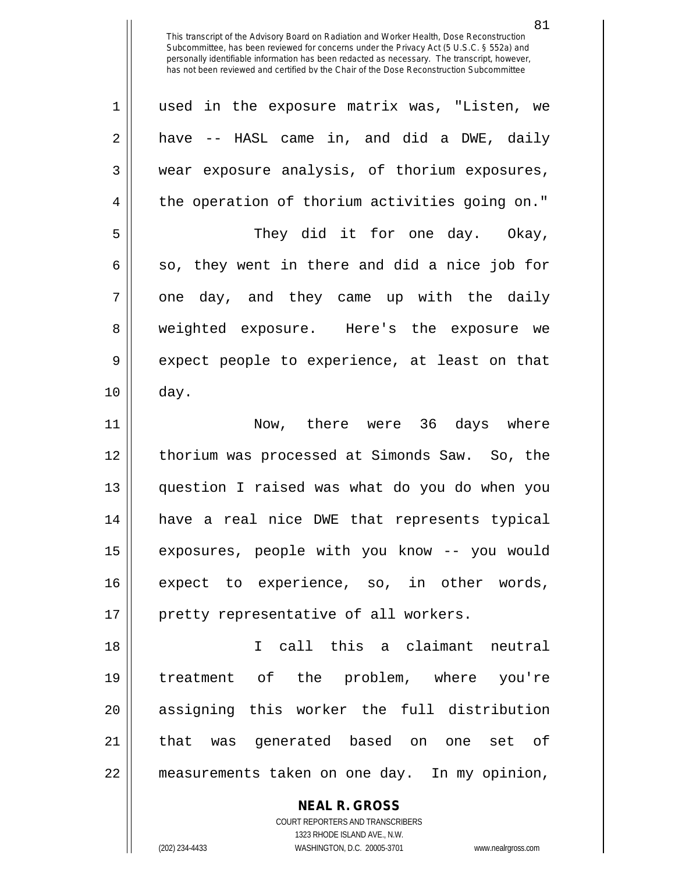| $\mathbf 1$ | used in the exposure matrix was, "Listen, we   |
|-------------|------------------------------------------------|
| 2           | have -- HASL came in, and did a DWE, daily     |
| 3           | wear exposure analysis, of thorium exposures,  |
| 4           | the operation of thorium activities going on." |
| 5           | They did it for one day. Okay,                 |
| 6           | so, they went in there and did a nice job for  |
| 7           | one day, and they came up with the daily       |
| 8           | weighted exposure. Here's the exposure we      |
| 9           | expect people to experience, at least on that  |
| 10          | day.                                           |
| 11          | Now, there were 36 days where                  |
| 12          | thorium was processed at Simonds Saw. So, the  |
| 13          | question I raised was what do you do when you  |
| 14          | have a real nice DWE that represents typical   |
| 15          | exposures, people with you know -- you would   |
| 16          | expect to experience, so, in other words,      |
| 17          | pretty representative of all workers.          |
| 18          | I call this a claimant neutral                 |
| 19          | treatment of the problem, where you're         |
| 20          | assigning this worker the full distribution    |
| 21          | that was generated based on one set of         |
| 22          | measurements taken on one day. In my opinion,  |
|             |                                                |

**NEAL R. GROSS** COURT REPORTERS AND TRANSCRIBERS 1323 RHODE ISLAND AVE., N.W.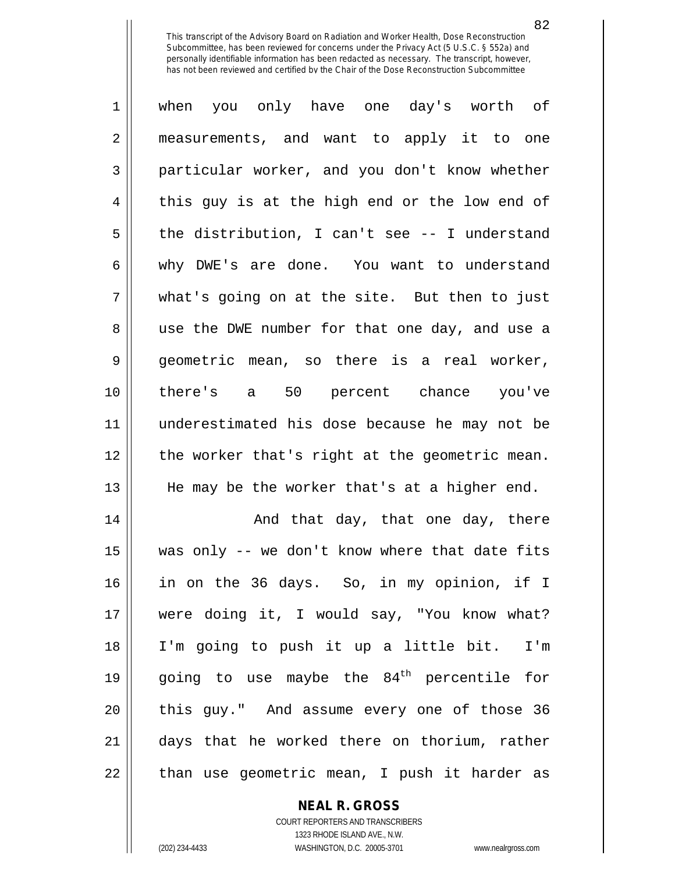| $\mathbf{1}$   | when you only have one day's worth of          |
|----------------|------------------------------------------------|
| $\overline{2}$ | measurements, and want to apply it to one      |
| 3              | particular worker, and you don't know whether  |
| 4              | this guy is at the high end or the low end of  |
| 5              | the distribution, I can't see -- I understand  |
| 6              | why DWE's are done. You want to understand     |
| 7              | what's going on at the site. But then to just  |
| 8              | use the DWE number for that one day, and use a |
| 9              | geometric mean, so there is a real worker,     |
| 10             | there's a 50 percent chance you've             |
| 11             | underestimated his dose because he may not be  |
| 12             | the worker that's right at the geometric mean. |
| 13             | He may be the worker that's at a higher end.   |
| 14             | And that day, that one day, there              |
| 15             | was only -- we don't know where that date fits |
| 16             | in on the 36 days. So, in my opinion, if I     |

 in on the 36 days. So, in my opinion, if I 17 || were doing it, I would say, "You know what? I'm going to push it up a little bit. I'm  $\parallel$  going to use maybe the 84<sup>th</sup> percentile for || this guy." And assume every one of those 36 days that he worked there on thorium, rather | than use geometric mean, I push it harder as

## **NEAL R. GROSS**

COURT REPORTERS AND TRANSCRIBERS 1323 RHODE ISLAND AVE., N.W. (202) 234-4433 WASHINGTON, D.C. 20005-3701 www.nealrgross.com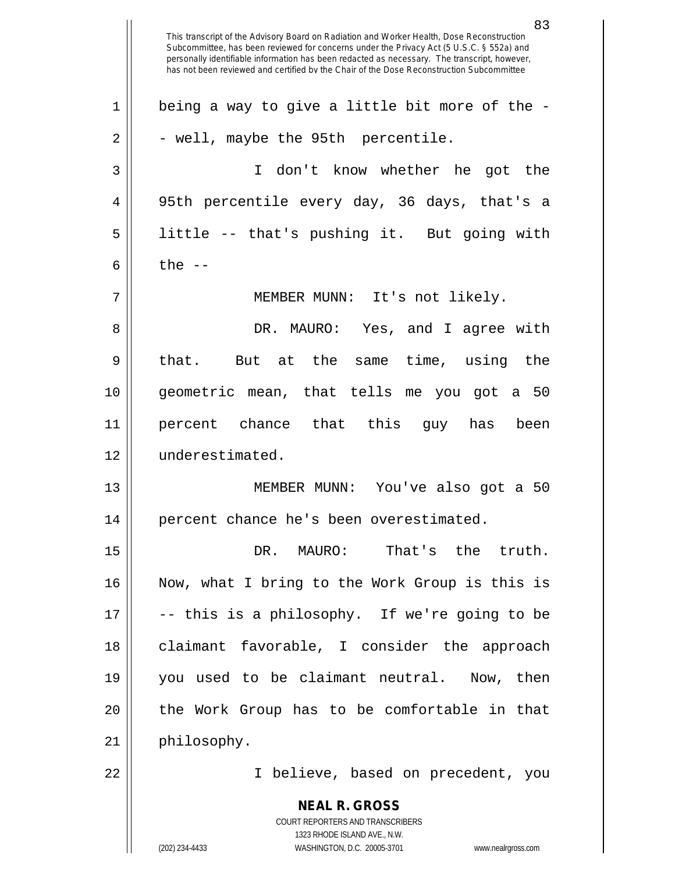**NEAL R. GROSS** COURT REPORTERS AND TRANSCRIBERS 1323 RHODE ISLAND AVE., N.W. 83 This transcript of the Advisory Board on Radiation and Worker Health, Dose Reconstruction Subcommittee, has been reviewed for concerns under the Privacy Act (5 U.S.C. § 552a) and personally identifiable information has been redacted as necessary. The transcript, however, has not been reviewed and certified by the Chair of the Dose Reconstruction Subcommittee  $1 \parallel$  being a way to give a little bit more of the - $2 \parallel -$  well, maybe the 95th percentile. 3 I don't know whether he got the 4 95th percentile every day, 36 days, that's a 5 || little -- that's pushing it. But going with 6  $\parallel$  the  $-$ 7 || MEMBER MUNN: It's not likely. 8 DR. MAURO: Yes, and I agree with 9 || that. But at the same time, using the 10 geometric mean, that tells me you got a 50 11 percent chance that this guy has been 12 underestimated. 13 MEMBER MUNN: You've also got a 50 14 percent chance he's been overestimated. 15 DR. MAURO: That's the truth. 16 Now, what I bring to the Work Group is this is  $17 \parallel$  -- this is a philosophy. If we're going to be 18 || claimant favorable, I consider the approach 19 you used to be claimant neutral. Now, then 20 || the Work Group has to be comfortable in that 21 | philosophy. 22 I believe, based on precedent, you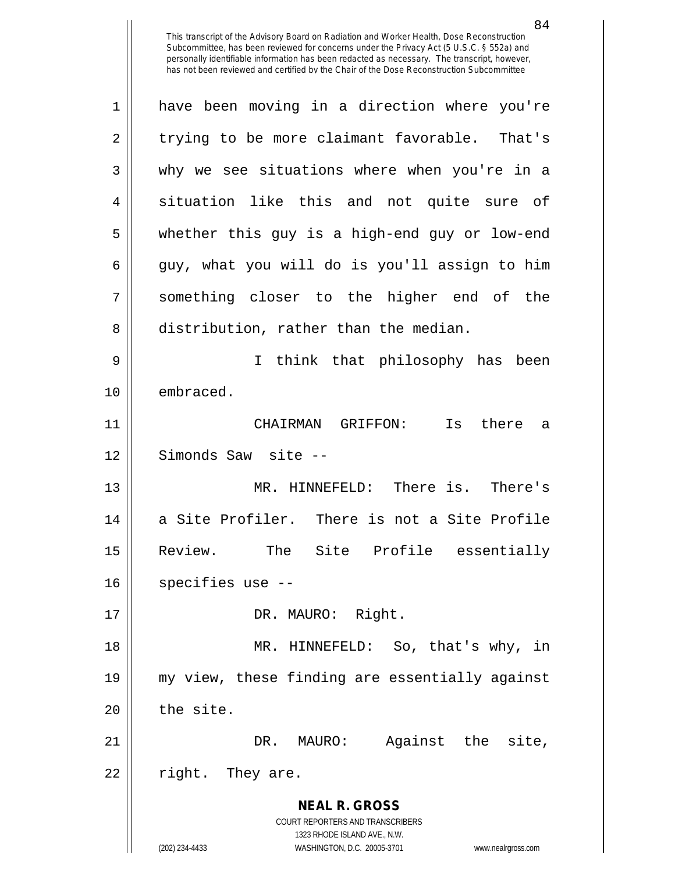84

**NEAL R. GROSS** COURT REPORTERS AND TRANSCRIBERS 1323 RHODE ISLAND AVE., N.W. 1 have been moving in a direction where you're  $2 \parallel$  trying to be more claimant favorable. That's 3 why we see situations where when you're in a 4 || situation like this and not quite sure of 5 whether this guy is a high-end guy or low-end  $6 \parallel$  guy, what you will do is you'll assign to him 7 something closer to the higher end of the 8 distribution, rather than the median. 9 I think that philosophy has been 10 | embraced. 11 CHAIRMAN GRIFFON: Is there a 12 || Simonds Saw site --13 MR. HINNEFELD: There is. There's 14 a Site Profiler. There is not a Site Profile 15 Review. The Site Profile essentially  $16$  || specifies use  $-$ -17 || DR. MAURO: Right. 18 MR. HINNEFELD: So, that's why, in 19 my view, these finding are essentially against  $20$  | the site. 21 DR. MAURO: Against the site,  $22 \parallel$  right. They are.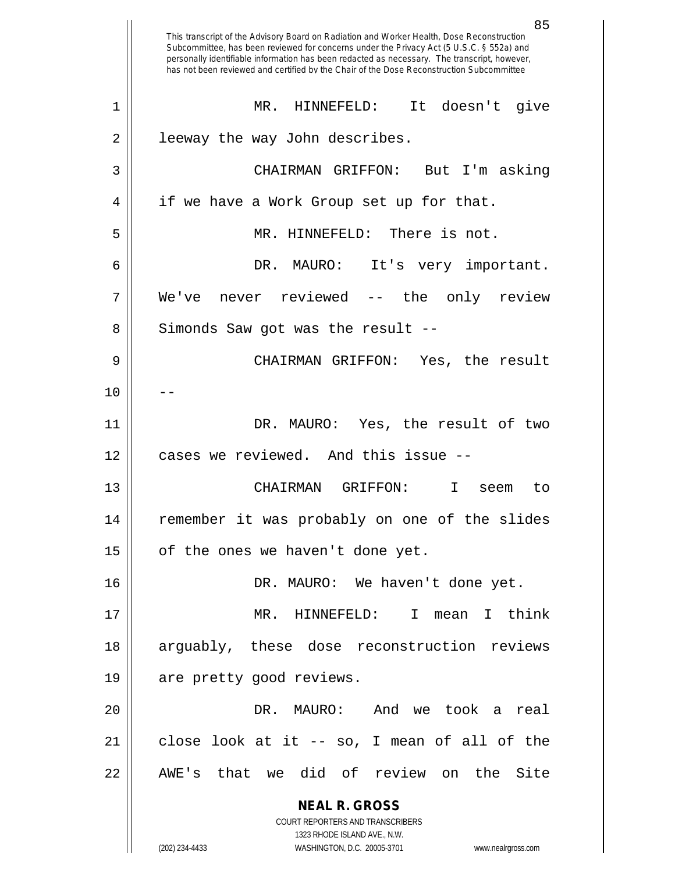**NEAL R. GROSS** COURT REPORTERS AND TRANSCRIBERS 1323 RHODE ISLAND AVE., N.W. (202) 234-4433 WASHINGTON, D.C. 20005-3701 www.nealrgross.com This transcript of the Advisory Board on Radiation and Worker Health, Dose Reconstruction Subcommittee, has been reviewed for concerns under the Privacy Act (5 U.S.C. § 552a) and personally identifiable information has been redacted as necessary. The transcript, however, has not been reviewed and certified by the Chair of the Dose Reconstruction Subcommittee 1 MR. HINNEFELD: It doesn't give 2 | leeway the way John describes. 3 CHAIRMAN GRIFFON: But I'm asking 4 || if we have a Work Group set up for that. 5 MR. HINNEFELD: There is not. 6 DR. MAURO: It's very important. 7 We've never reviewed -- the only review 8 || Simonds Saw got was the result --9 CHAIRMAN GRIFFON: Yes, the result  $10$ 11 || DR. MAURO: Yes, the result of two 12 cases we reviewed. And this issue --13 CHAIRMAN GRIFFON: I seem to 14 remember it was probably on one of the slides  $15$  | of the ones we haven't done yet. 16 | DR. MAURO: We haven't done yet. 17 MR. HINNEFELD: I mean I think 18 arguably, these dose reconstruction reviews 19 || are pretty good reviews. 20 DR. MAURO: And we took a real  $21$  close look at it -- so, I mean of all of the 22 || AWE's that we did of review on the Site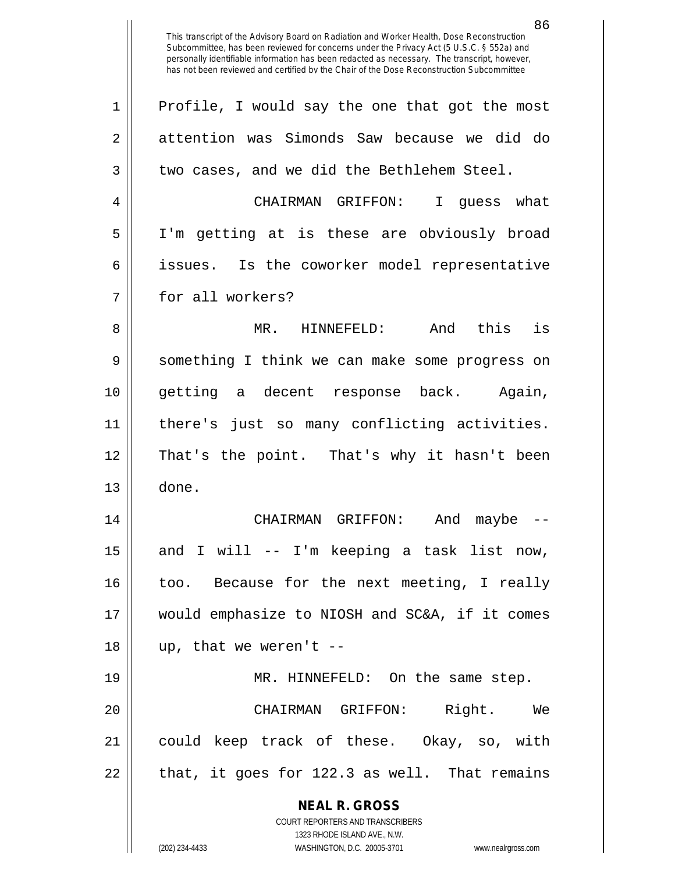**NEAL R. GROSS** COURT REPORTERS AND TRANSCRIBERS 1323 RHODE ISLAND AVE., N.W. 86 This transcript of the Advisory Board on Radiation and Worker Health, Dose Reconstruction Subcommittee, has been reviewed for concerns under the Privacy Act (5 U.S.C. § 552a) and personally identifiable information has been redacted as necessary. The transcript, however, has not been reviewed and certified by the Chair of the Dose Reconstruction Subcommittee 1 || Profile, I would say the one that got the most 2 attention was Simonds Saw because we did do  $3 \parallel$  two cases, and we did the Bethlehem Steel. 4 CHAIRMAN GRIFFON: I guess what 5 I'm getting at is these are obviously broad 6 || issues. Is the coworker model representative 7 || for all workers? 8 MR. HINNEFELD: And this is 9 || something I think we can make some progress on 10 getting a decent response back. Again, 11 there's just so many conflicting activities. 12 That's the point. That's why it hasn't been 13 done. 14 CHAIRMAN GRIFFON: And maybe --  $15$  and I will -- I'm keeping a task list now, 16 || too. Because for the next meeting, I really 17 would emphasize to NIOSH and SC&A, if it comes  $18$  || up, that we weren't --19 || MR. HINNEFELD: On the same step. 20 CHAIRMAN GRIFFON: Right. We 21 could keep track of these. Okay, so, with  $22 \parallel$  that, it goes for 122.3 as well. That remains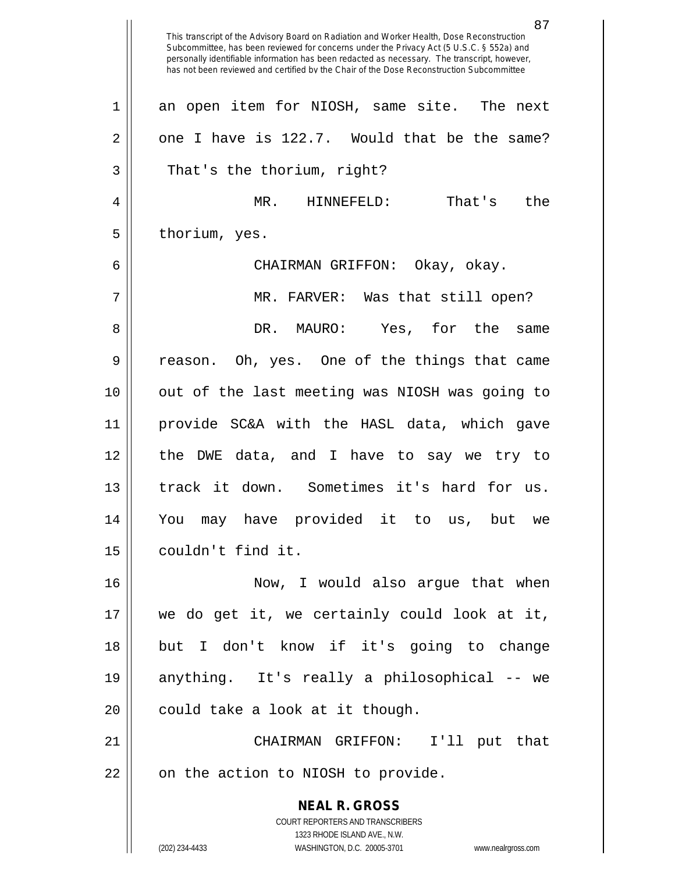**NEAL R. GROSS** COURT REPORTERS AND TRANSCRIBERS 1323 RHODE ISLAND AVE., N.W. (202) 234-4433 WASHINGTON, D.C. 20005-3701 www.nealrgross.com This transcript of the Advisory Board on Radiation and Worker Health, Dose Reconstruction Subcommittee, has been reviewed for concerns under the Privacy Act (5 U.S.C. § 552a) and personally identifiable information has been redacted as necessary. The transcript, however, has not been reviewed and certified by the Chair of the Dose Reconstruction Subcommittee 1 an open item for NIOSH, same site. The next  $2 \parallel$  one I have is 122.7. Would that be the same? 3 || That's the thorium, right? 4 MR. HINNEFELD: That's the  $5 \parallel$  thorium, yes. 6 CHAIRMAN GRIFFON: Okay, okay. 7 MR. FARVER: Was that still open? 8 DR. MAURO: Yes, for the same 9 || reason. Oh, yes. One of the things that came 10 out of the last meeting was NIOSH was going to 11 provide SC&A with the HASL data, which gave 12 the DWE data, and I have to say we try to 13 track it down. Sometimes it's hard for us. 14 You may have provided it to us, but we 15 couldn't find it. 16 || Now, I would also argue that when 17 we do get it, we certainly could look at it, 18 but I don't know if it's going to change 19 anything. It's really a philosophical -- we  $20$  || could take a look at it though. 21 CHAIRMAN GRIFFON: I'll put that  $22$  || on the action to NIOSH to provide.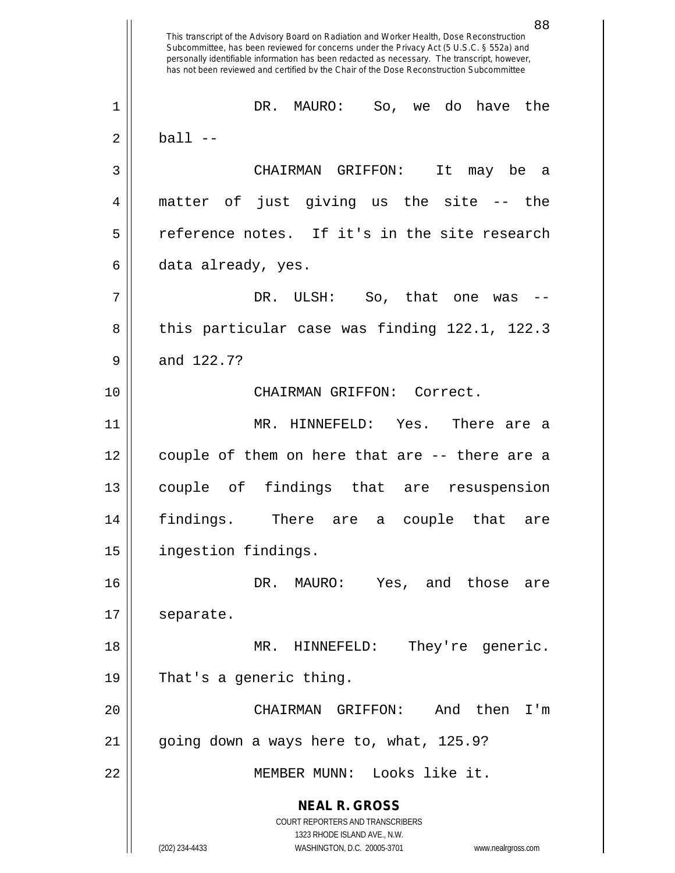**NEAL R. GROSS** COURT REPORTERS AND TRANSCRIBERS 1323 RHODE ISLAND AVE., N.W. (202) 234-4433 WASHINGTON, D.C. 20005-3701 www.nealrgross.com 88 This transcript of the Advisory Board on Radiation and Worker Health, Dose Reconstruction Subcommittee, has been reviewed for concerns under the Privacy Act (5 U.S.C. § 552a) and personally identifiable information has been redacted as necessary. The transcript, however, has not been reviewed and certified by the Chair of the Dose Reconstruction Subcommittee 1 DR. MAURO: So, we do have the  $2 \parallel$  ball  $-$ 3 CHAIRMAN GRIFFON: It may be a 4 matter of just giving us the site -- the 5 || reference notes. If it's in the site research  $6 \parallel$  data already, yes.  $7 \parallel$  DR. ULSH: So, that one was -- $8 \parallel$  this particular case was finding 122.1, 122.3  $9 \parallel$  and 122.7? 10 CHAIRMAN GRIFFON: Correct. 11 MR. HINNEFELD: Yes. There are a 12 couple of them on here that are -- there are a 13 couple of findings that are resuspension 14 findings. There are a couple that are 15 ingestion findings. 16 DR. MAURO: Yes, and those are 17 | separate. 18 MR. HINNEFELD: They're generic. 19 That's a generic thing. 20 CHAIRMAN GRIFFON: And then I'm  $21$  | going down a ways here to, what, 125.9? 22 MEMBER MUNN: Looks like it.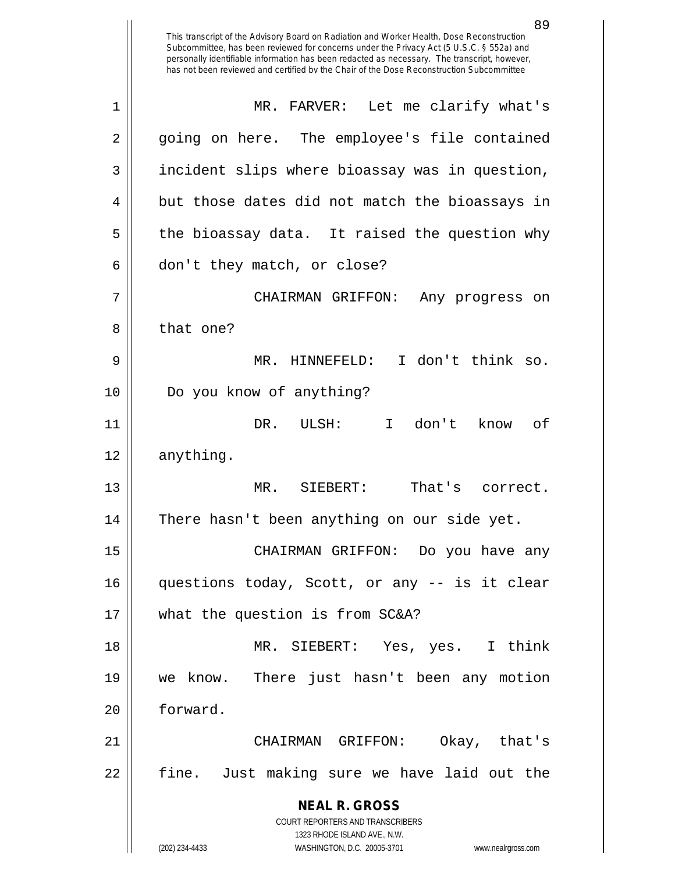**NEAL R. GROSS** COURT REPORTERS AND TRANSCRIBERS 1323 RHODE ISLAND AVE., N.W. (202) 234-4433 WASHINGTON, D.C. 20005-3701 www.nealrgross.com This transcript of the Advisory Board on Radiation and Worker Health, Dose Reconstruction Subcommittee, has been reviewed for concerns under the Privacy Act (5 U.S.C. § 552a) and personally identifiable information has been redacted as necessary. The transcript, however, has not been reviewed and certified by the Chair of the Dose Reconstruction Subcommittee 1 MR. FARVER: Let me clarify what's 2 || going on here. The employee's file contained  $3 \parallel$  incident slips where bioassay was in question,  $4 \parallel$  but those dates did not match the bioassays in  $5 \parallel$  the bioassay data. It raised the question why  $6 \parallel$  don't they match, or close? 7 CHAIRMAN GRIFFON: Any progress on 8 | that one? 9 || MR. HINNEFELD: I don't think so. 10 Do you know of anything? 11 DR. ULSH: I don't know of 12 anything. 13 MR. SIEBERT: That's correct. 14 There hasn't been anything on our side yet. 15 CHAIRMAN GRIFFON: Do you have any 16 questions today, Scott, or any -- is it clear 17 what the question is from SC&A? 18 MR. SIEBERT: Yes, yes. I think 19 we know. There just hasn't been any motion 20 forward. 21 CHAIRMAN GRIFFON: Okay, that's 22 || fine. Just making sure we have laid out the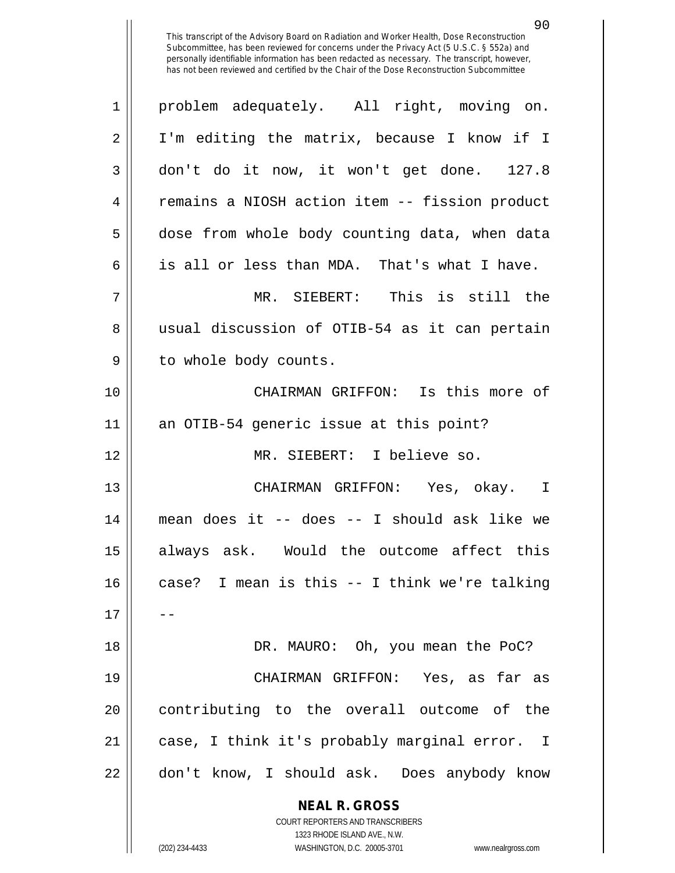| $\mathbf 1$ | problem adequately. All right, moving on.                           |
|-------------|---------------------------------------------------------------------|
| 2           | I'm editing the matrix, because I know if I                         |
| 3           | don't do it now, it won't get done. 127.8                           |
| 4           | remains a NIOSH action item -- fission product                      |
| 5           | dose from whole body counting data, when data                       |
| 6           | is all or less than MDA. That's what I have.                        |
| 7           | MR. SIEBERT: This is still the                                      |
| 8           | usual discussion of OTIB-54 as it can pertain                       |
| 9           | to whole body counts.                                               |
| 10          | CHAIRMAN GRIFFON: Is this more of                                   |
| 11          | an OTIB-54 generic issue at this point?                             |
| 12          | MR. SIEBERT: I believe so.                                          |
| 13          | CHAIRMAN GRIFFON: Yes, okay. I                                      |
| 14          | mean does it -- does -- I should ask like we                        |
| 15          | always ask. Would the outcome affect this                           |
| 16          | case? I mean is this -- I think we're talking                       |
| 17          |                                                                     |
| 18          | DR. MAURO: Oh, you mean the PoC?                                    |
| 19          | CHAIRMAN GRIFFON: Yes, as far as                                    |
| 20          | contributing to the overall outcome of the                          |
| 21          | case, I think it's probably marginal error. I                       |
| 22          | don't know, I should ask. Does anybody know                         |
|             | <b>NEAL R. GROSS</b><br><b>COURT REPORTERS AND TRANSCRIBERS</b>     |
|             | 1323 RHODE ISLAND AVE., N.W.                                        |
|             | (202) 234-4433<br>WASHINGTON, D.C. 20005-3701<br>www.nealrgross.com |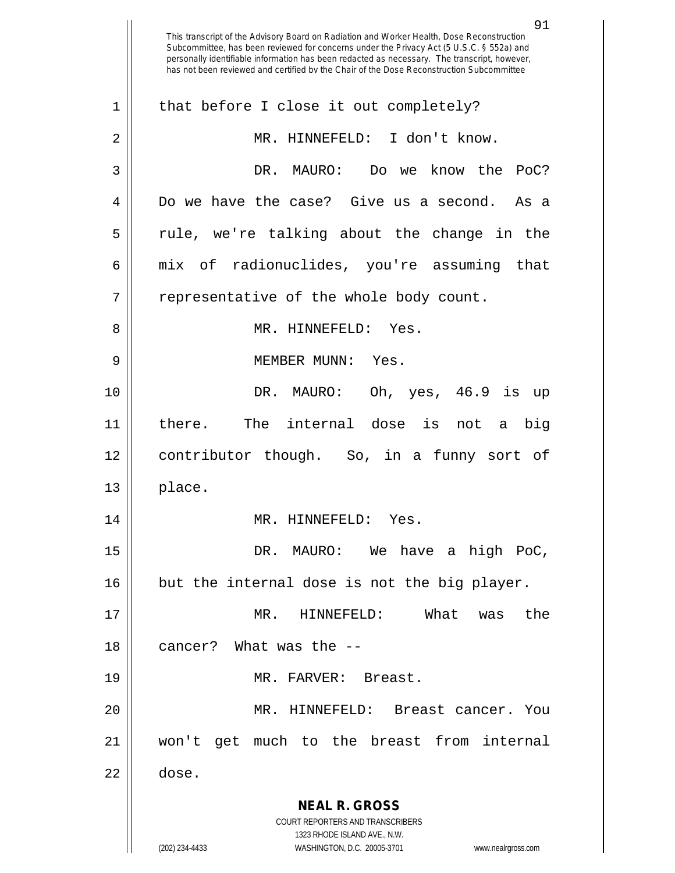**NEAL R. GROSS** COURT REPORTERS AND TRANSCRIBERS 1323 RHODE ISLAND AVE., N.W. (202) 234-4433 WASHINGTON, D.C. 20005-3701 www.nealrgross.com 91 This transcript of the Advisory Board on Radiation and Worker Health, Dose Reconstruction Subcommittee, has been reviewed for concerns under the Privacy Act (5 U.S.C. § 552a) and personally identifiable information has been redacted as necessary. The transcript, however, has not been reviewed and certified by the Chair of the Dose Reconstruction Subcommittee  $1 \parallel$  that before I close it out completely? 2 || MR. HINNEFELD: I don't know. 3 DR. MAURO: Do we know the PoC? 4 Do we have the case? Give us a second. As a  $5 \parallel$  rule, we're talking about the change in the 6 mix of radionuclides, you're assuming that  $7 \parallel$  representative of the whole body count. 8 MR. HINNEFELD: Yes. 9 MEMBER MUNN: Yes. 10 DR. MAURO: Oh, yes, 46.9 is up 11 there. The internal dose is not a big 12 contributor though. So, in a funny sort of  $13 \parallel$  place. 14 || MR. HINNEFELD: Yes. 15 DR. MAURO: We have a high PoC,  $16$  but the internal dose is not the big player. 17 MR. HINNEFELD: What was the 18 cancer? What was the -- 19 || MR. FARVER: Breast. 20 MR. HINNEFELD: Breast cancer. You 21 won't get much to the breast from internal 22 dose.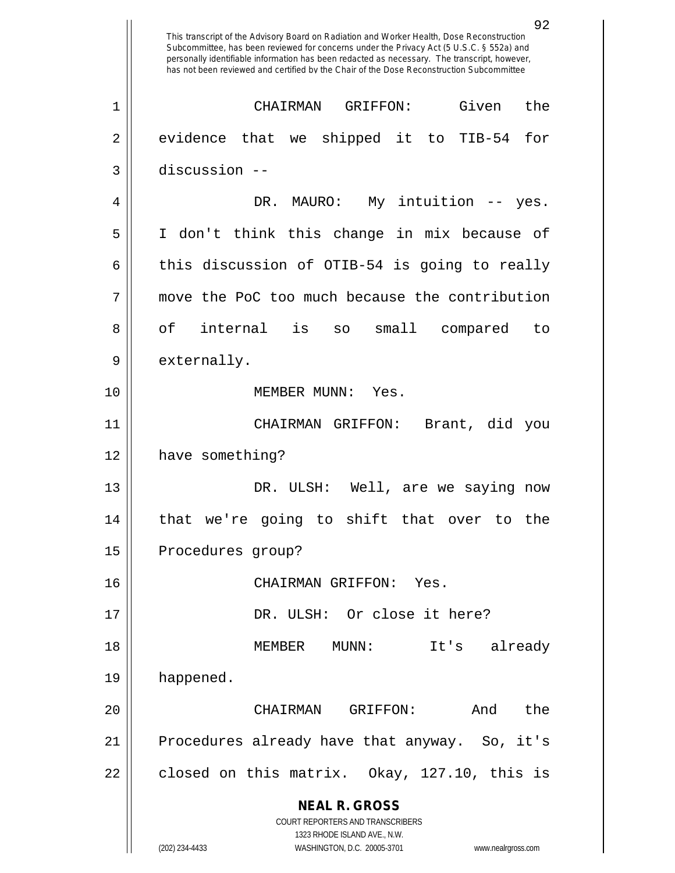**NEAL R. GROSS** COURT REPORTERS AND TRANSCRIBERS 1323 RHODE ISLAND AVE., N.W. (202) 234-4433 WASHINGTON, D.C. 20005-3701 www.nealrgross.com This transcript of the Advisory Board on Radiation and Worker Health, Dose Reconstruction Subcommittee, has been reviewed for concerns under the Privacy Act (5 U.S.C. § 552a) and personally identifiable information has been redacted as necessary. The transcript, however, has not been reviewed and certified by the Chair of the Dose Reconstruction Subcommittee 1 CHAIRMAN GRIFFON: Given the  $2 \parallel$  evidence that we shipped it to TIB-54 for 3 discussion -- 4 DR. MAURO: My intuition -- yes. 5 I don't think this change in mix because of  $6 \parallel$  this discussion of OTIB-54 is going to really 7 move the PoC too much because the contribution 8 of internal is so small compared to 9 || externally. 10 MEMBER MUNN: Yes. 11 CHAIRMAN GRIFFON: Brant, did you 12 | have something? 13 DR. ULSH: Well, are we saying now 14 that we're going to shift that over to the 15 | Procedures group? 16 CHAIRMAN GRIFFON: Yes. 17 || DR. ULSH: Or close it here? 18 MEMBER MUNN: It's already 19 happened. 20 CHAIRMAN GRIFFON: And the 21 || Procedures already have that anyway. So, it's  $22 \parallel$  closed on this matrix. Okay, 127.10, this is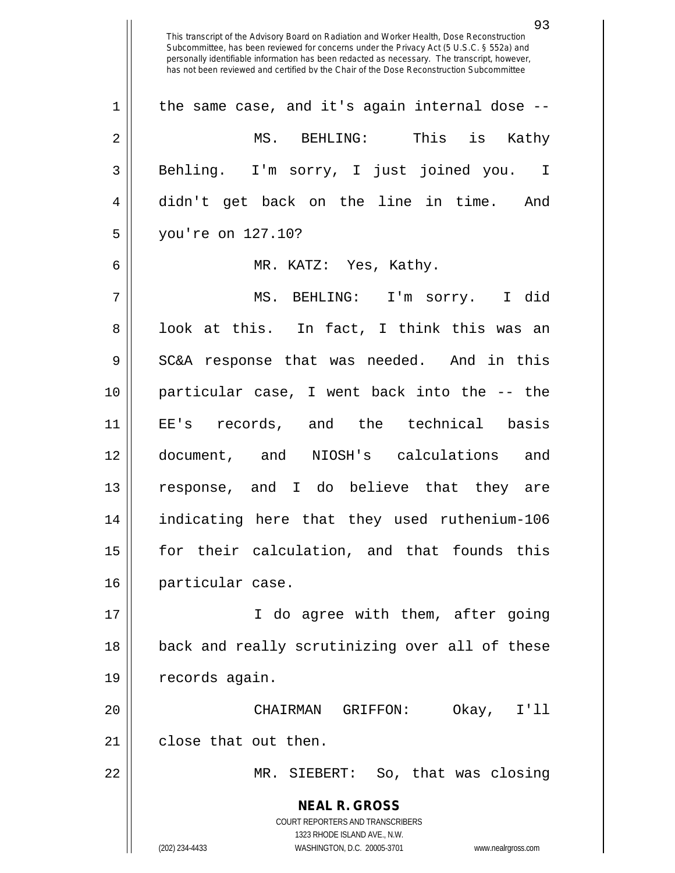**NEAL R. GROSS** COURT REPORTERS AND TRANSCRIBERS 1323 RHODE ISLAND AVE., N.W. (202) 234-4433 WASHINGTON, D.C. 20005-3701 www.nealrgross.com This transcript of the Advisory Board on Radiation and Worker Health, Dose Reconstruction Subcommittee, has been reviewed for concerns under the Privacy Act (5 U.S.C. § 552a) and personally identifiable information has been redacted as necessary. The transcript, however, has not been reviewed and certified by the Chair of the Dose Reconstruction Subcommittee  $1 \parallel$  the same case, and it's again internal dose --2 MS. BEHLING: This is Kathy 3 Behling. I'm sorry, I just joined you. I 4 didn't get back on the line in time. And 5 you're on 127.10? 6 MR. KATZ: Yes, Kathy. 7 MS. BEHLING: I'm sorry. I did 8 || look at this. In fact, I think this was an  $9 \parallel$  SC&A response that was needed. And in this 10 particular case, I went back into the -- the 11 EE's records, and the technical basis 12 document, and NIOSH's calculations and 13 response, and I do believe that they are 14 indicating here that they used ruthenium-106 15 for their calculation, and that founds this 16 particular case. 17 I do agree with them, after going 18 || back and really scrutinizing over all of these 19 | records again. 20 CHAIRMAN GRIFFON: Okay, I'll 21 | close that out then. 22 MR. SIEBERT: So, that was closing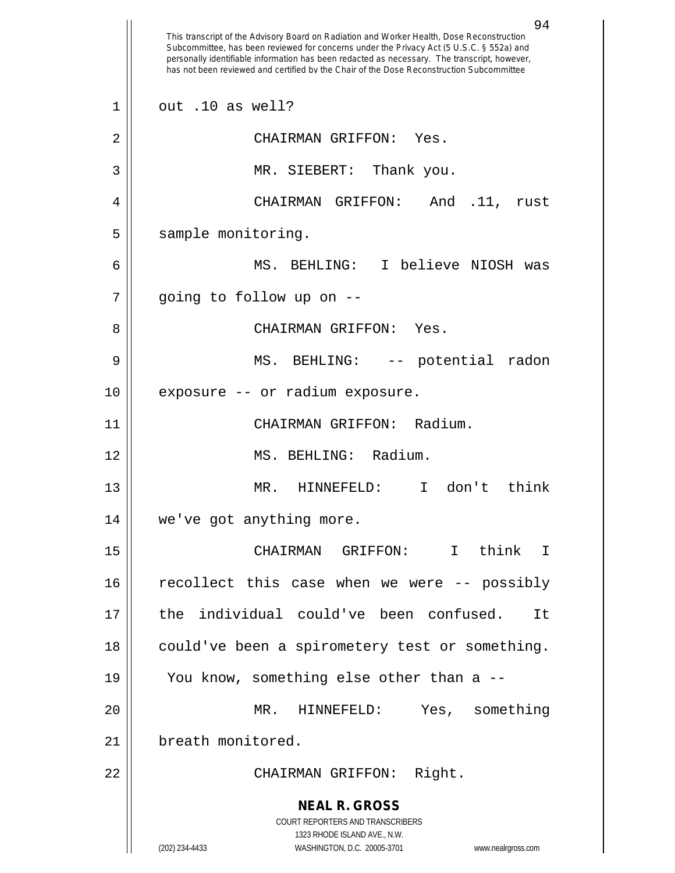|                | 94<br>This transcript of the Advisory Board on Radiation and Worker Health, Dose Reconstruction<br>Subcommittee, has been reviewed for concerns under the Privacy Act (5 U.S.C. § 552a) and<br>personally identifiable information has been redacted as necessary. The transcript, however,<br>has not been reviewed and certified by the Chair of the Dose Reconstruction Subcommittee |
|----------------|-----------------------------------------------------------------------------------------------------------------------------------------------------------------------------------------------------------------------------------------------------------------------------------------------------------------------------------------------------------------------------------------|
| $\mathbf{1}$   | out .10 as well?                                                                                                                                                                                                                                                                                                                                                                        |
| $\overline{2}$ | CHAIRMAN GRIFFON: Yes.                                                                                                                                                                                                                                                                                                                                                                  |
| 3              | MR. SIEBERT:<br>Thank you.                                                                                                                                                                                                                                                                                                                                                              |
| 4              | CHAIRMAN GRIFFON:<br>$.11$ ,<br>And<br>rust                                                                                                                                                                                                                                                                                                                                             |
| 5              | sample monitoring.                                                                                                                                                                                                                                                                                                                                                                      |
| 6              | MS. BEHLING: I believe NIOSH was                                                                                                                                                                                                                                                                                                                                                        |
| 7              | going to follow up on --                                                                                                                                                                                                                                                                                                                                                                |
| 8              | CHAIRMAN GRIFFON: Yes.                                                                                                                                                                                                                                                                                                                                                                  |
| 9              | -- potential<br>MS. BEHLING:<br>radon                                                                                                                                                                                                                                                                                                                                                   |
| 10             | exposure -- or radium exposure.                                                                                                                                                                                                                                                                                                                                                         |
| 11             | CHAIRMAN GRIFFON: Radium.                                                                                                                                                                                                                                                                                                                                                               |
| 12             | MS. BEHLING: Radium.                                                                                                                                                                                                                                                                                                                                                                    |
| 13             | don't<br>think<br>MR.<br>HINNEFELD:<br>$\mathsf{T}$                                                                                                                                                                                                                                                                                                                                     |
| 14             | we've got anything more.                                                                                                                                                                                                                                                                                                                                                                |
| 15             | CHAIRMAN GRIFFON: I think I                                                                                                                                                                                                                                                                                                                                                             |
| 16             | recollect this case when we were -- possibly                                                                                                                                                                                                                                                                                                                                            |
| 17             | the individual could've been confused.<br>It                                                                                                                                                                                                                                                                                                                                            |
| 18             | could've been a spirometery test or something.                                                                                                                                                                                                                                                                                                                                          |
| 19             | You know, something else other than a --                                                                                                                                                                                                                                                                                                                                                |
| 20             | Yes, something<br>MR. HINNEFELD:                                                                                                                                                                                                                                                                                                                                                        |
| 21             | breath monitored.                                                                                                                                                                                                                                                                                                                                                                       |
| 22             | CHAIRMAN GRIFFON: Right.                                                                                                                                                                                                                                                                                                                                                                |
|                | <b>NEAL R. GROSS</b><br>COURT REPORTERS AND TRANSCRIBERS<br>1323 RHODE ISLAND AVE., N.W.<br>(202) 234-4433<br>WASHINGTON, D.C. 20005-3701<br>www.nealrgross.com                                                                                                                                                                                                                         |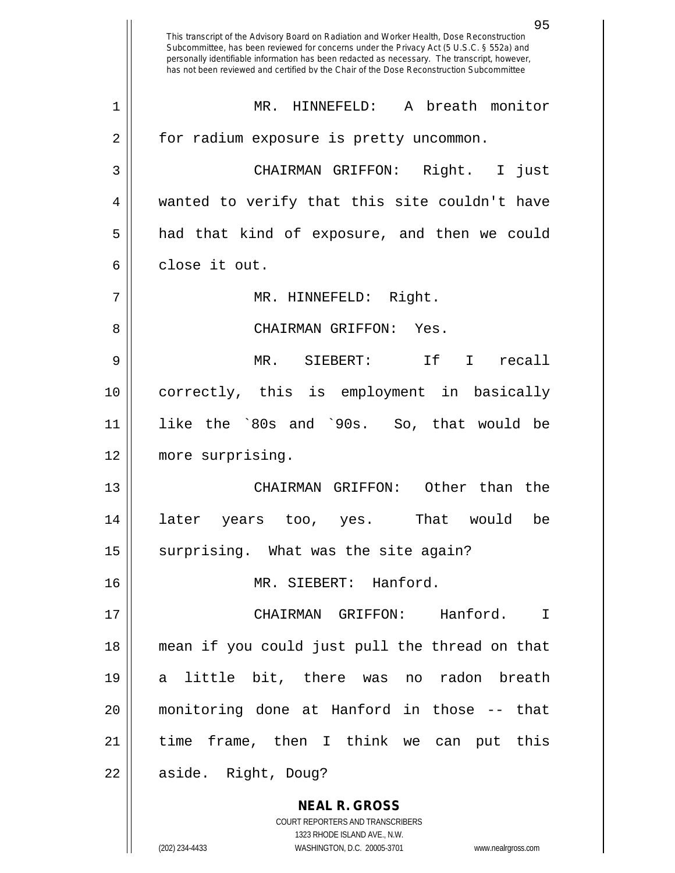**NEAL R. GROSS** COURT REPORTERS AND TRANSCRIBERS 95 This transcript of the Advisory Board on Radiation and Worker Health, Dose Reconstruction Subcommittee, has been reviewed for concerns under the Privacy Act (5 U.S.C. § 552a) and personally identifiable information has been redacted as necessary. The transcript, however, has not been reviewed and certified by the Chair of the Dose Reconstruction Subcommittee 1 || MR. HINNEFELD: A breath monitor 2 | for radium exposure is pretty uncommon. 3 CHAIRMAN GRIFFON: Right. I just 4 wanted to verify that this site couldn't have 5 || had that kind of exposure, and then we could 6 close it out. 7 || MR. HINNEFELD: Right. 8 CHAIRMAN GRIFFON: Yes. 9 MR. SIEBERT: If I recall 10 correctly, this is employment in basically 11 like the `80s and `90s. So, that would be 12 more surprising. 13 CHAIRMAN GRIFFON: Other than the 14 later years too, yes. That would be  $15$  surprising. What was the site again? 16 || MR. SIEBERT: Hanford. 17 CHAIRMAN GRIFFON: Hanford. I 18 mean if you could just pull the thread on that 19 a little bit, there was no radon breath 20 monitoring done at Hanford in those -- that 21 time frame, then I think we can put this 22 || aside. Right, Doug?

1323 RHODE ISLAND AVE., N.W.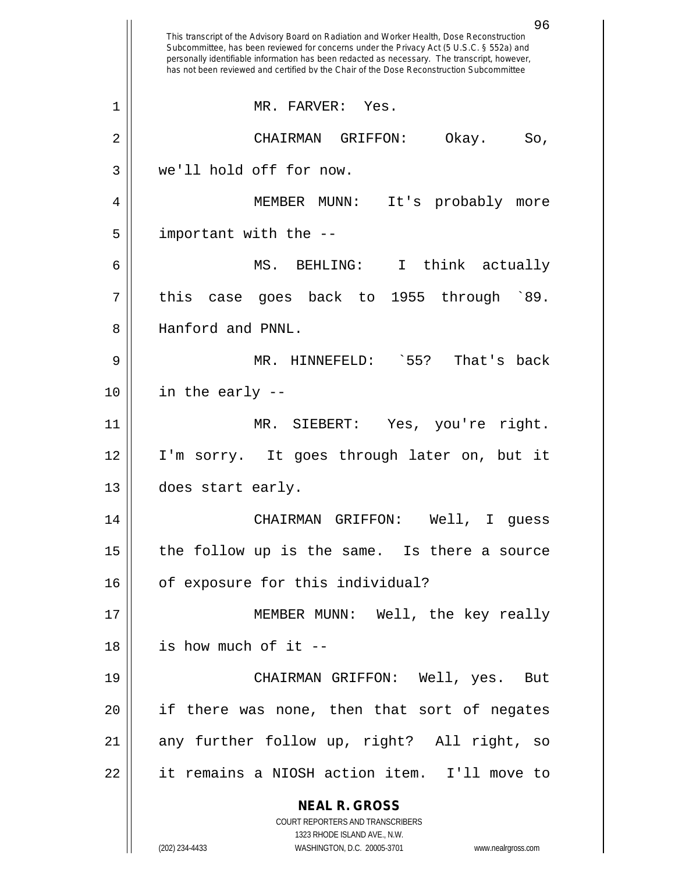|    | 96<br>This transcript of the Advisory Board on Radiation and Worker Health, Dose Reconstruction<br>Subcommittee, has been reviewed for concerns under the Privacy Act (5 U.S.C. § 552a) and<br>personally identifiable information has been redacted as necessary. The transcript, however,<br>has not been reviewed and certified by the Chair of the Dose Reconstruction Subcommittee |
|----|-----------------------------------------------------------------------------------------------------------------------------------------------------------------------------------------------------------------------------------------------------------------------------------------------------------------------------------------------------------------------------------------|
| 1  | MR. FARVER: Yes.                                                                                                                                                                                                                                                                                                                                                                        |
| 2  | Okay.<br>CHAIRMAN GRIFFON:<br>So,                                                                                                                                                                                                                                                                                                                                                       |
| 3  | we'll hold off for now.                                                                                                                                                                                                                                                                                                                                                                 |
| 4  | MEMBER<br>It's probably<br>MUNN :<br>more                                                                                                                                                                                                                                                                                                                                               |
| 5  | important with the --                                                                                                                                                                                                                                                                                                                                                                   |
| 6  | MS.<br>BEHLING:<br>$\mathbf{I}$<br>think actually                                                                                                                                                                                                                                                                                                                                       |
| 7  | goes back to 1955 through `89.<br>this<br>case                                                                                                                                                                                                                                                                                                                                          |
| 8  | Hanford and PNNL.                                                                                                                                                                                                                                                                                                                                                                       |
| 9  | $\degree$ 55?<br>That's back<br>MR. HINNEFELD:                                                                                                                                                                                                                                                                                                                                          |
| 10 | in the early --                                                                                                                                                                                                                                                                                                                                                                         |
| 11 | MR. SIEBERT:<br>Yes, you're right.                                                                                                                                                                                                                                                                                                                                                      |
| 12 | I'm sorry. It goes through later on, but it                                                                                                                                                                                                                                                                                                                                             |
| 13 | does start early.                                                                                                                                                                                                                                                                                                                                                                       |
| 14 | CHAIRMAN GRIFFON: Well, I guess                                                                                                                                                                                                                                                                                                                                                         |
| 15 | the follow up is the same. Is there a source                                                                                                                                                                                                                                                                                                                                            |
| 16 | of exposure for this individual?                                                                                                                                                                                                                                                                                                                                                        |
| 17 | MEMBER MUNN: Well, the key really                                                                                                                                                                                                                                                                                                                                                       |
| 18 | is how much of it --                                                                                                                                                                                                                                                                                                                                                                    |
| 19 | CHAIRMAN GRIFFON: Well, yes. But                                                                                                                                                                                                                                                                                                                                                        |
| 20 | if there was none, then that sort of negates                                                                                                                                                                                                                                                                                                                                            |
| 21 | any further follow up, right? All right, so                                                                                                                                                                                                                                                                                                                                             |
| 22 | it remains a NIOSH action item. I'll move to                                                                                                                                                                                                                                                                                                                                            |
|    | <b>NEAL R. GROSS</b>                                                                                                                                                                                                                                                                                                                                                                    |
|    | COURT REPORTERS AND TRANSCRIBERS<br>1323 RHODE ISLAND AVE., N.W.                                                                                                                                                                                                                                                                                                                        |
|    | (202) 234-4433<br>WASHINGTON, D.C. 20005-3701<br>www.nealrgross.com                                                                                                                                                                                                                                                                                                                     |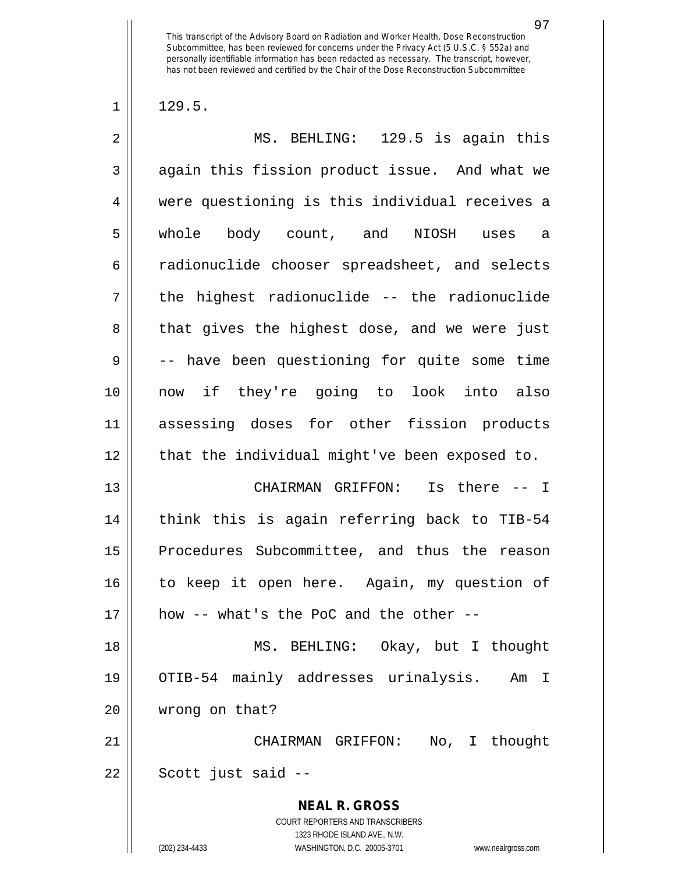$1 \parallel 129.5.$ 

| $\overline{2}$ | MS. BEHLING: 129.5 is again this                                                                                                                                       |
|----------------|------------------------------------------------------------------------------------------------------------------------------------------------------------------------|
| 3              | again this fission product issue. And what we                                                                                                                          |
| 4              | were questioning is this individual receives a                                                                                                                         |
| 5              | whole body count, and NIOSH uses a                                                                                                                                     |
| 6              | radionuclide chooser spreadsheet, and selects                                                                                                                          |
| 7              | the highest radionuclide -- the radionuclide                                                                                                                           |
| 8              | that gives the highest dose, and we were just                                                                                                                          |
| 9              | -- have been questioning for quite some time                                                                                                                           |
| 10             | now if they're going to look into also                                                                                                                                 |
| 11             | assessing doses for other fission products                                                                                                                             |
| 12             | that the individual might've been exposed to.                                                                                                                          |
| 13             | CHAIRMAN GRIFFON: Is there -- I                                                                                                                                        |
| 14             | think this is again referring back to TIB-54                                                                                                                           |
| 15             | Procedures Subcommittee, and thus the reason                                                                                                                           |
| 16             | to keep it open here. Again, my question of                                                                                                                            |
| 17             | how -- what's the PoC and the other --                                                                                                                                 |
| 18             | MS. BEHLING: Okay, but I thought                                                                                                                                       |
| 19             | OTIB-54 mainly addresses urinalysis. Am I                                                                                                                              |
| 20             | wrong on that?                                                                                                                                                         |
| 21             | CHAIRMAN GRIFFON: No, I thought                                                                                                                                        |
| 22             | Scott just said --                                                                                                                                                     |
|                | <b>NEAL R. GROSS</b><br><b>COURT REPORTERS AND TRANSCRIBERS</b><br>1323 RHODE ISLAND AVE., N.W.<br>(202) 234-4433<br>WASHINGTON, D.C. 20005-3701<br>www.nealrgross.com |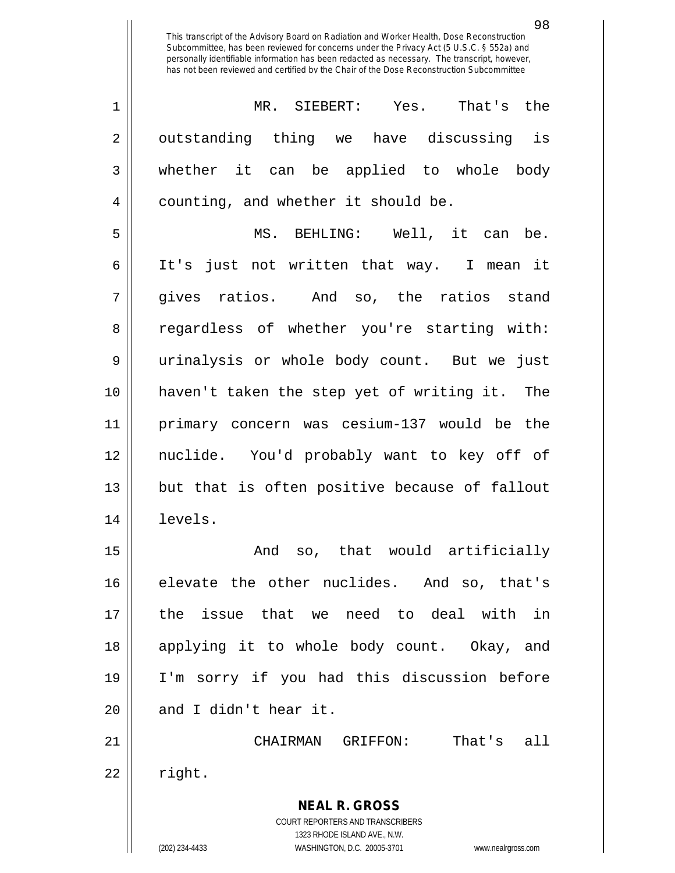| $1 \parallel$ | MR. SIEBERT: Yes. That's the                          |
|---------------|-------------------------------------------------------|
|               | $2\parallel$ outstanding thing we have discussing is  |
|               | $3 \parallel$ whether it can be applied to whole body |
|               | 4   counting, and whether it should be.               |

 MS. BEHLING: Well, it can be. 6 || It's just not written that way. I mean it gives ratios. And so, the ratios stand 8 Tegardless of whether you're starting with: urinalysis or whole body count. But we just haven't taken the step yet of writing it. The primary concern was cesium-137 would be the nuclide. You'd probably want to key off of || but that is often positive because of fallout levels.

15 || The Contract Contract And So, that would artificially elevate the other nuclides. And so, that's the issue that we need to deal with in applying it to whole body count. Okay, and I'm sorry if you had this discussion before | and I didn't hear it.

 CHAIRMAN GRIFFON: That's all  $22 \parallel$  right.

> **NEAL R. GROSS** COURT REPORTERS AND TRANSCRIBERS 1323 RHODE ISLAND AVE., N.W.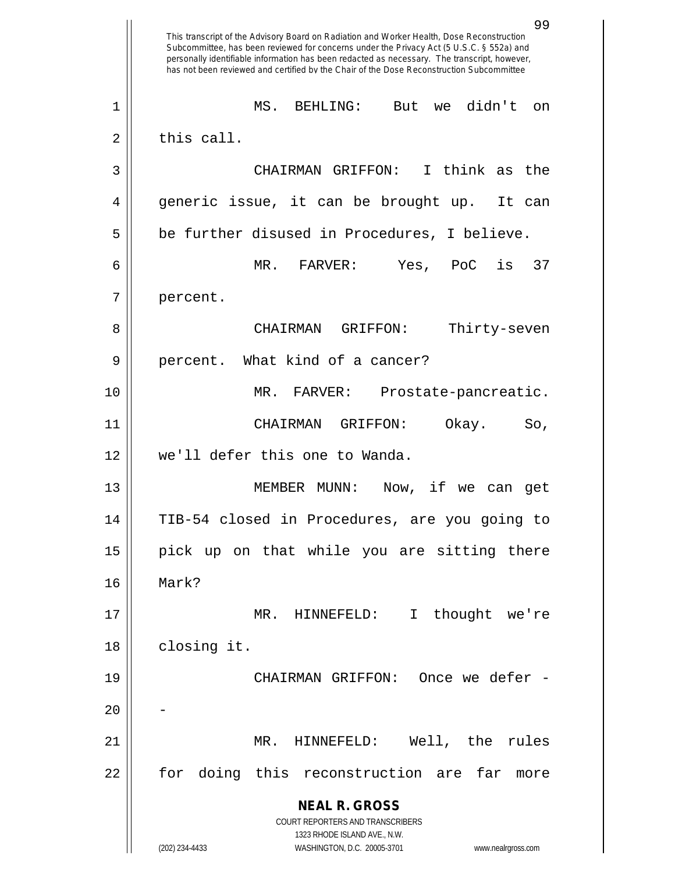**NEAL R. GROSS** COURT REPORTERS AND TRANSCRIBERS 1323 RHODE ISLAND AVE., N.W. (202) 234-4433 WASHINGTON, D.C. 20005-3701 www.nealrgross.com 99 This transcript of the Advisory Board on Radiation and Worker Health, Dose Reconstruction Subcommittee, has been reviewed for concerns under the Privacy Act (5 U.S.C. § 552a) and personally identifiable information has been redacted as necessary. The transcript, however, has not been reviewed and certified by the Chair of the Dose Reconstruction Subcommittee 1 MS. BEHLING: But we didn't on  $2 \parallel$  this call. 3 CHAIRMAN GRIFFON: I think as the 4 generic issue, it can be brought up. It can  $5 \parallel$  be further disused in Procedures, I believe. 6 MR. FARVER: Yes, PoC is 37 7 | percent. 8 CHAIRMAN GRIFFON: Thirty-seven 9 || percent. What kind of a cancer? 10 MR. FARVER: Prostate-pancreatic. 11 CHAIRMAN GRIFFON: Okay. So, 12 we'll defer this one to Wanda. 13 MEMBER MUNN: Now, if we can get 14 TIB-54 closed in Procedures, are you going to 15 || pick up on that while you are sitting there 16 Mark? 17 MR. HINNEFELD: I thought we're 18 | closing it. 19 CHAIRMAN GRIFFON: Once we defer -  $20$ 21 MR. HINNEFELD: Well, the rules 22 || for doing this reconstruction are far more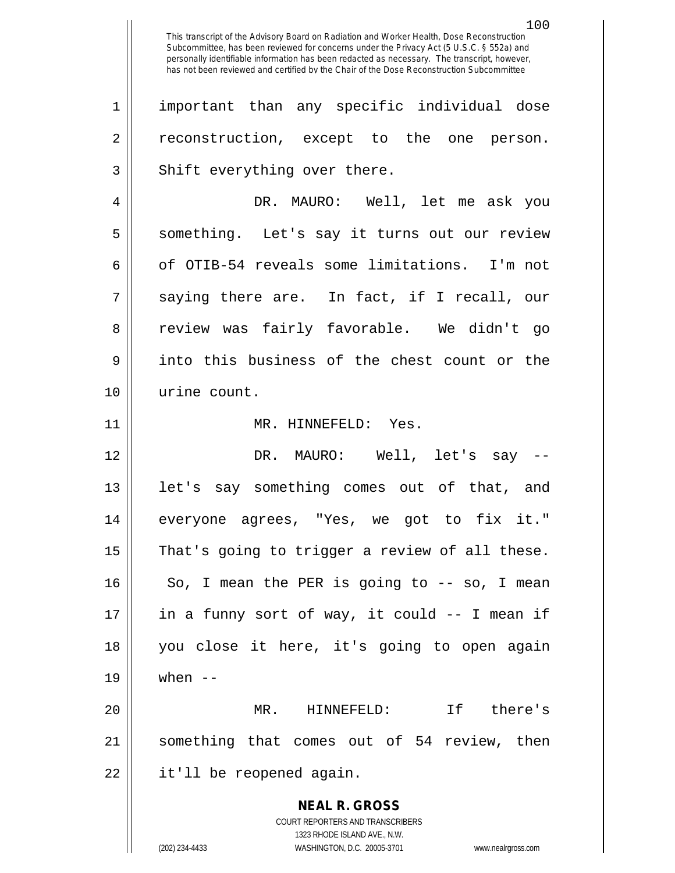100

1 important than any specific individual dose 2 || reconstruction, except to the one person.  $3$   $\parallel$  Shift everything over there.

4 DR. MAURO: Well, let me ask you 5 || something. Let's say it turns out our review 6 || of OTIB-54 reveals some limitations. I'm not  $7 \parallel$  saying there are. In fact, if I recall, our 8 || review was fairly favorable. We didn't go 9 || into this business of the chest count or the 10 urine count.

11 || MR. HINNEFELD: Yes.

 DR. MAURO: Well, let's say -- 13 || let's say something comes out of that, and everyone agrees, "Yes, we got to fix it." | That's going to trigger a review of all these. So, I mean the PER is going to  $-5$  so, I mean  $\parallel$  in a funny sort of way, it could -- I mean if you close it here, it's going to open again 19 when --

20 MR. HINNEFELD: If there's 21 something that comes out of 54 review, then 22 | it'll be reopened again.

> **NEAL R. GROSS** COURT REPORTERS AND TRANSCRIBERS 1323 RHODE ISLAND AVE., N.W. (202) 234-4433 WASHINGTON, D.C. 20005-3701 www.nealrgross.com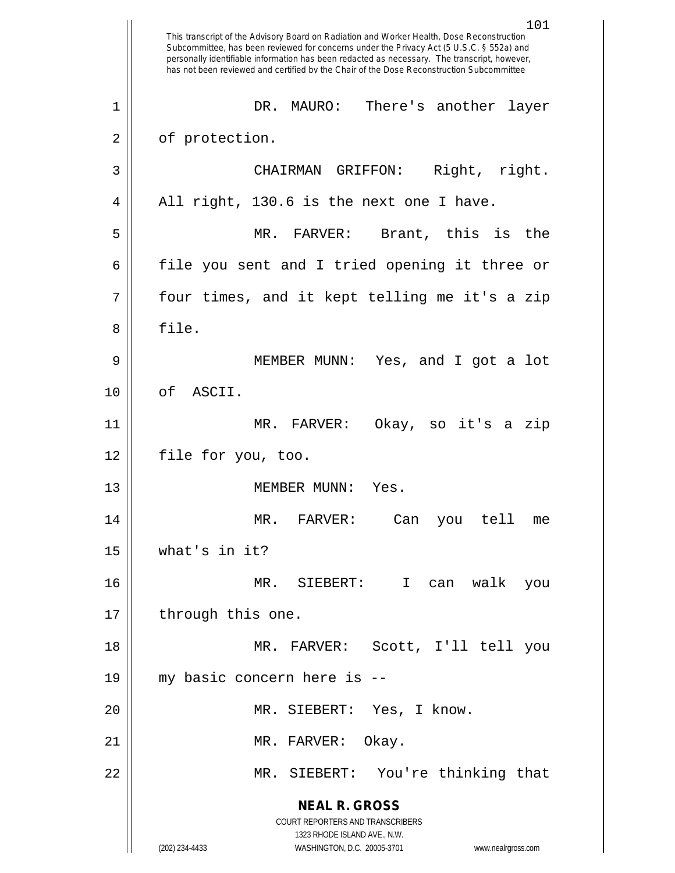|    | 101<br>This transcript of the Advisory Board on Radiation and Worker Health, Dose Reconstruction<br>Subcommittee, has been reviewed for concerns under the Privacy Act (5 U.S.C. § 552a) and<br>personally identifiable information has been redacted as necessary. The transcript, however,<br>has not been reviewed and certified by the Chair of the Dose Reconstruction Subcommittee |
|----|------------------------------------------------------------------------------------------------------------------------------------------------------------------------------------------------------------------------------------------------------------------------------------------------------------------------------------------------------------------------------------------|
| 1  | DR. MAURO: There's another<br>layer                                                                                                                                                                                                                                                                                                                                                      |
| 2  | of protection.                                                                                                                                                                                                                                                                                                                                                                           |
| 3  | Right, right.<br>CHAIRMAN GRIFFON:                                                                                                                                                                                                                                                                                                                                                       |
| 4  | All right, 130.6 is the next one I have.                                                                                                                                                                                                                                                                                                                                                 |
| 5  | MR. FARVER: Brant, this is<br>the                                                                                                                                                                                                                                                                                                                                                        |
| 6  | file you sent and I tried opening it three or                                                                                                                                                                                                                                                                                                                                            |
| 7  | four times, and it kept telling me it's a zip                                                                                                                                                                                                                                                                                                                                            |
| 8  | file.                                                                                                                                                                                                                                                                                                                                                                                    |
| 9  | MEMBER MUNN: Yes, and I got a lot                                                                                                                                                                                                                                                                                                                                                        |
| 10 | ASCII.<br>of                                                                                                                                                                                                                                                                                                                                                                             |
| 11 | MR. FARVER:<br>Okay, so it's a<br>zip                                                                                                                                                                                                                                                                                                                                                    |
| 12 | file for you, too.                                                                                                                                                                                                                                                                                                                                                                       |
| 13 | MEMBER MUNN:<br>Yes.                                                                                                                                                                                                                                                                                                                                                                     |
| 14 | MR.<br>$\mathtt{FARVER}$ :<br>Can<br>you<br>tell<br>me                                                                                                                                                                                                                                                                                                                                   |
| 15 | what's in it?                                                                                                                                                                                                                                                                                                                                                                            |
| 16 | MR. SIEBERT: I<br>walk<br>can<br>you                                                                                                                                                                                                                                                                                                                                                     |
| 17 | through this one.                                                                                                                                                                                                                                                                                                                                                                        |
| 18 | MR. FARVER: Scott, I'll tell you                                                                                                                                                                                                                                                                                                                                                         |
| 19 | my basic concern here is --                                                                                                                                                                                                                                                                                                                                                              |
| 20 | MR. SIEBERT: Yes, I know.                                                                                                                                                                                                                                                                                                                                                                |
| 21 | MR. FARVER: Okay.                                                                                                                                                                                                                                                                                                                                                                        |
| 22 | MR. SIEBERT: You're thinking that                                                                                                                                                                                                                                                                                                                                                        |
|    | <b>NEAL R. GROSS</b>                                                                                                                                                                                                                                                                                                                                                                     |
|    | COURT REPORTERS AND TRANSCRIBERS                                                                                                                                                                                                                                                                                                                                                         |
|    | 1323 RHODE ISLAND AVE., N.W.<br>(202) 234-4433<br>WASHINGTON, D.C. 20005-3701<br>www.nealrgross.com                                                                                                                                                                                                                                                                                      |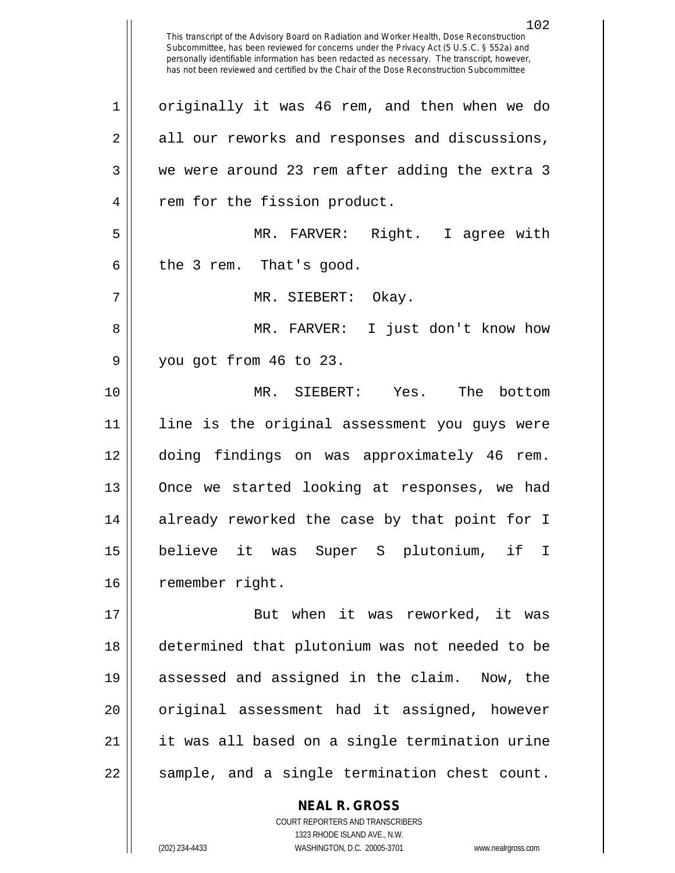This transcript of the Advisory Board on Radiation and Worker Health, Dose Reconstruction Subcommittee, has been reviewed for concerns under the Privacy Act (5 U.S.C. § 552a) and personally identifiable information has been redacted as necessary. The transcript, however, has not been reviewed and certified by the Chair of the Dose Reconstruction Subcommittee 1 | originally it was 46 rem, and then when we do 2 all our reworks and responses and discussions, 3 we were around 23 rem after adding the extra 3 4 || rem for the fission product. 5 MR. FARVER: Right. I agree with  $6 \parallel$  the 3 rem. That's good. 7 MR. SIEBERT: Okay. 8 MR. FARVER: I just don't know how 9 you got from 46 to 23. 10 MR. SIEBERT: Yes. The bottom 11 line is the original assessment you guys were 12 doing findings on was approximately 46 rem. 13 Once we started looking at responses, we had 14 || already reworked the case by that point for I 15 believe it was Super S plutonium, if I 16 | remember right. 17 || But when it was reworked, it was 18 determined that plutonium was not needed to be 19 assessed and assigned in the claim. Now, the 20 || original assessment had it assigned, however 21 it was all based on a single termination urine  $22 \parallel$  sample, and a single termination chest count.

> COURT REPORTERS AND TRANSCRIBERS 1323 RHODE ISLAND AVE., N.W. (202) 234-4433 WASHINGTON, D.C. 20005-3701 www.nealrgross.com

**NEAL R. GROSS**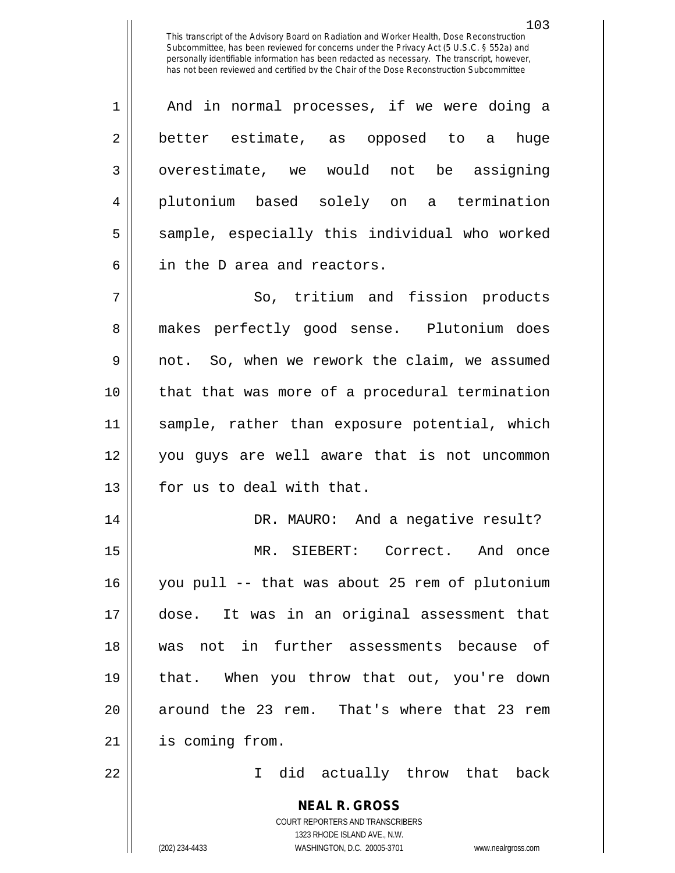1 || And in normal processes, if we were doing a 2 better estimate, as opposed to a huge 3 | overestimate, we would not be assigning 4 plutonium based solely on a termination 5 || sample, especially this individual who worked 6 || in the D area and reactors.

7 || So, tritium and fission products 8 makes perfectly good sense. Plutonium does 9 || not. So, when we rework the claim, we assumed 10 that that was more of a procedural termination 11 sample, rather than exposure potential, which 12 you guys are well aware that is not uncommon 13 || for us to deal with that.

 DR. MAURO: And a negative result? MR. SIEBERT: Correct. And once you pull -- that was about 25 rem of plutonium dose. It was in an original assessment that was not in further assessments because of that. When you throw that out, you're down 20 || around the 23 rem. That's where that 23 rem is coming from.

22 I did actually throw that back

**NEAL R. GROSS** COURT REPORTERS AND TRANSCRIBERS 1323 RHODE ISLAND AVE., N.W. (202) 234-4433 WASHINGTON, D.C. 20005-3701 www.nealrgross.com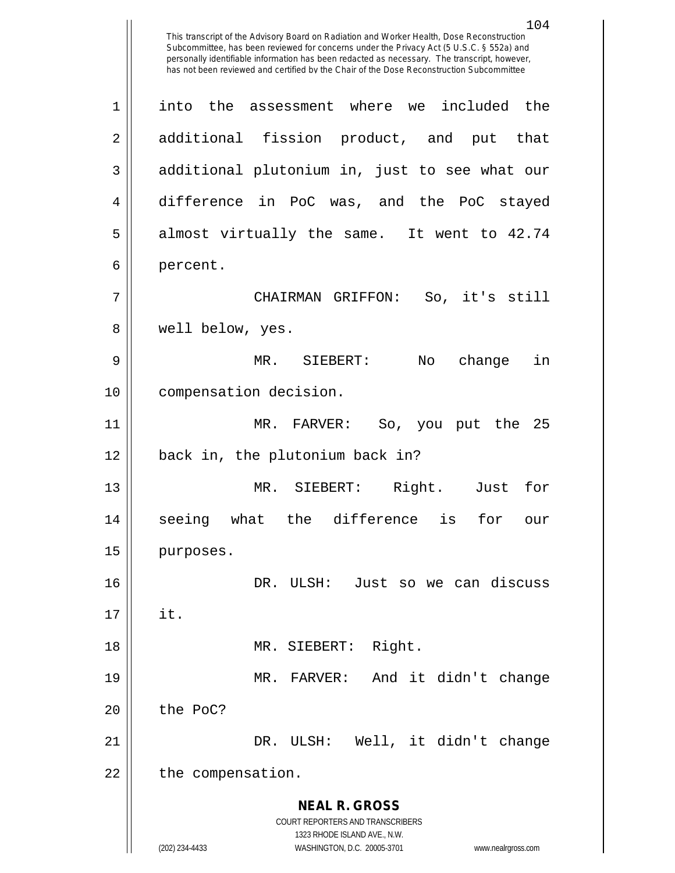**NEAL R. GROSS** COURT REPORTERS AND TRANSCRIBERS 1323 RHODE ISLAND AVE., N.W. (202) 234-4433 WASHINGTON, D.C. 20005-3701 www.nealrgross.com This transcript of the Advisory Board on Radiation and Worker Health, Dose Reconstruction Subcommittee, has been reviewed for concerns under the Privacy Act (5 U.S.C. § 552a) and personally identifiable information has been redacted as necessary. The transcript, however, has not been reviewed and certified by the Chair of the Dose Reconstruction Subcommittee 1 into the assessment where we included the 2 additional fission product, and put that 3 || additional plutonium in, just to see what our 4 difference in PoC was, and the PoC stayed  $5 \parallel$  almost virtually the same. It went to 42.74 6 | percent. 7 CHAIRMAN GRIFFON: So, it's still 8 well below, yes. 9 MR. SIEBERT: No change in 10 compensation decision. 11 MR. FARVER: So, you put the 25 12 back in, the plutonium back in? 13 MR. SIEBERT: Right. Just for 14 seeing what the difference is for our 15 | purposes. 16 DR. ULSH: Just so we can discuss  $17 \parallel$  it. 18 || MR. SIEBERT: Right. 19 MR. FARVER: And it didn't change  $20$   $\parallel$  the PoC? 21 || DR. ULSH: Well, it didn't change  $22$  | the compensation.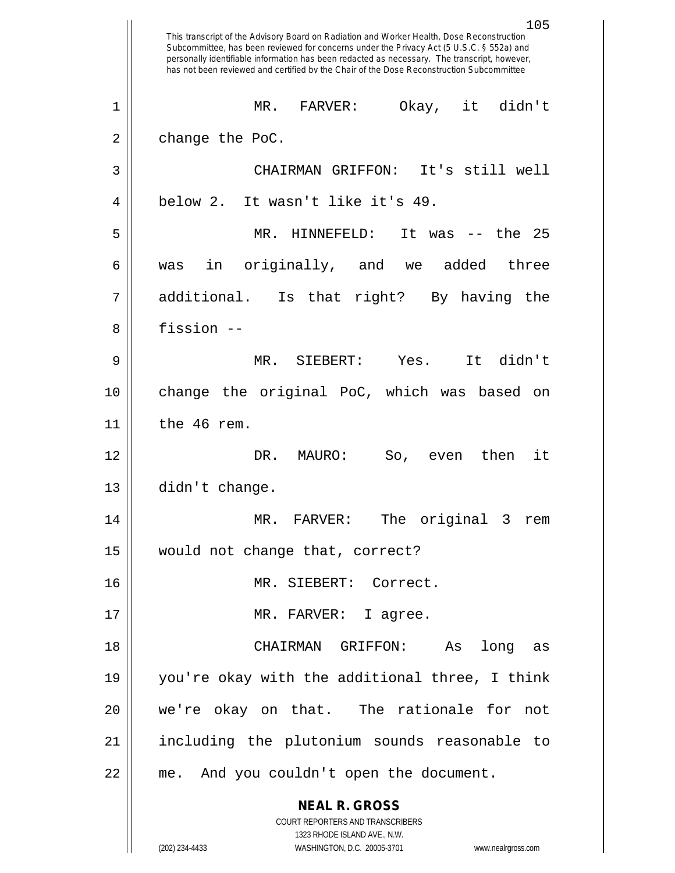|    | 105<br>This transcript of the Advisory Board on Radiation and Worker Health, Dose Reconstruction<br>Subcommittee, has been reviewed for concerns under the Privacy Act (5 U.S.C. § 552a) and<br>personally identifiable information has been redacted as necessary. The transcript, however,<br>has not been reviewed and certified by the Chair of the Dose Reconstruction Subcommittee |
|----|------------------------------------------------------------------------------------------------------------------------------------------------------------------------------------------------------------------------------------------------------------------------------------------------------------------------------------------------------------------------------------------|
| 1  | Okay, it didn't<br><b>FARVER:</b><br>MR.                                                                                                                                                                                                                                                                                                                                                 |
| 2  | change the PoC.                                                                                                                                                                                                                                                                                                                                                                          |
| 3  | CHAIRMAN GRIFFON: It's still well                                                                                                                                                                                                                                                                                                                                                        |
| 4  | below 2. It wasn't like it's 49.                                                                                                                                                                                                                                                                                                                                                         |
| 5  | the 25<br>MR.<br>HINNEFELD:<br>It was<br>$ -$                                                                                                                                                                                                                                                                                                                                            |
| 6  | added<br>originally, and<br>three<br>in<br>we<br>was                                                                                                                                                                                                                                                                                                                                     |
| 7  | additional.<br>Is that right? By having the                                                                                                                                                                                                                                                                                                                                              |
| 8  | fission --                                                                                                                                                                                                                                                                                                                                                                               |
| 9  | It didn't<br>MR. SIEBERT: Yes.                                                                                                                                                                                                                                                                                                                                                           |
| 10 | change the original PoC, which was based on                                                                                                                                                                                                                                                                                                                                              |
| 11 | the 46 rem.                                                                                                                                                                                                                                                                                                                                                                              |
| 12 | DR. MAURO:<br>then<br>it<br>So,<br>even                                                                                                                                                                                                                                                                                                                                                  |
| 13 | didn't change.                                                                                                                                                                                                                                                                                                                                                                           |
| 14 | MR. FARVER: The original 3 rem                                                                                                                                                                                                                                                                                                                                                           |
| 15 | would not change that, correct?                                                                                                                                                                                                                                                                                                                                                          |
| 16 | MR. SIEBERT: Correct.                                                                                                                                                                                                                                                                                                                                                                    |
| 17 | MR. FARVER: I agree.                                                                                                                                                                                                                                                                                                                                                                     |
| 18 | CHAIRMAN GRIFFON:<br>As<br>long as                                                                                                                                                                                                                                                                                                                                                       |
| 19 | you're okay with the additional three, I think                                                                                                                                                                                                                                                                                                                                           |
| 20 | we're okay on that. The rationale for not                                                                                                                                                                                                                                                                                                                                                |
| 21 | including the plutonium sounds reasonable to                                                                                                                                                                                                                                                                                                                                             |
| 22 | me. And you couldn't open the document.                                                                                                                                                                                                                                                                                                                                                  |
|    | <b>NEAL R. GROSS</b><br>COURT REPORTERS AND TRANSCRIBERS<br>1323 RHODE ISLAND AVE., N.W.                                                                                                                                                                                                                                                                                                 |
|    | (202) 234-4433<br>WASHINGTON, D.C. 20005-3701<br>www.nealrgross.com                                                                                                                                                                                                                                                                                                                      |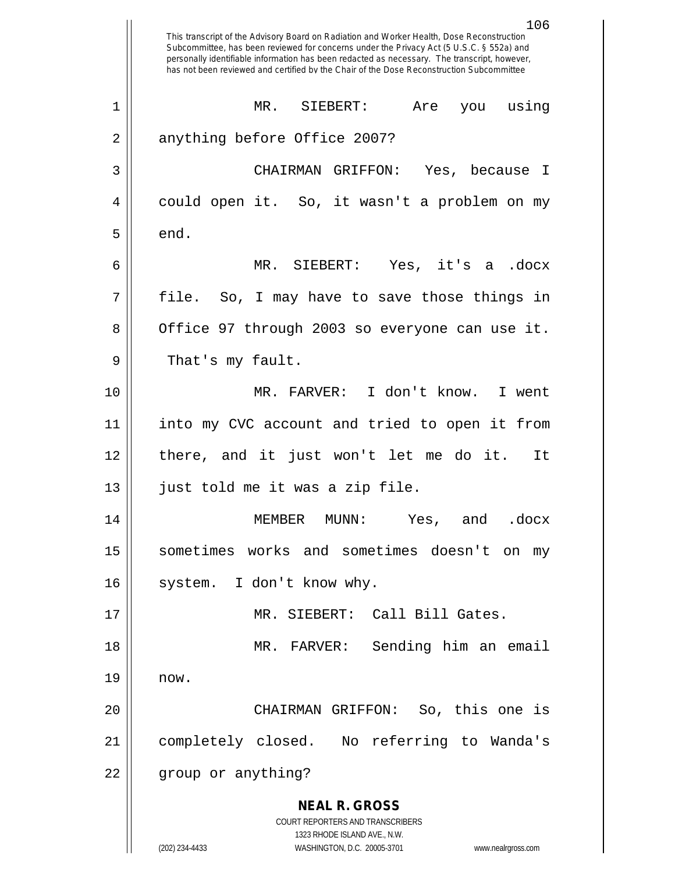|             | 106<br>This transcript of the Advisory Board on Radiation and Worker Health, Dose Reconstruction<br>Subcommittee, has been reviewed for concerns under the Privacy Act (5 U.S.C. § 552a) and<br>personally identifiable information has been redacted as necessary. The transcript, however,<br>has not been reviewed and certified by the Chair of the Dose Reconstruction Subcommittee |
|-------------|------------------------------------------------------------------------------------------------------------------------------------------------------------------------------------------------------------------------------------------------------------------------------------------------------------------------------------------------------------------------------------------|
| $\mathbf 1$ | MR.<br>Are you using<br>$\texttt{SIEBERT}$ :                                                                                                                                                                                                                                                                                                                                             |
| 2           | anything before Office 2007?                                                                                                                                                                                                                                                                                                                                                             |
| 3           | CHAIRMAN GRIFFON: Yes, because I                                                                                                                                                                                                                                                                                                                                                         |
| 4           | could open it. So, it wasn't a problem on my                                                                                                                                                                                                                                                                                                                                             |
| 5           | end.                                                                                                                                                                                                                                                                                                                                                                                     |
| 6           | MR. SIEBERT: Yes, it's a .docx                                                                                                                                                                                                                                                                                                                                                           |
| 7           | file. So, I may have to save those things in                                                                                                                                                                                                                                                                                                                                             |
| 8           | Office 97 through 2003 so everyone can use it.                                                                                                                                                                                                                                                                                                                                           |
| 9           | That's my fault.                                                                                                                                                                                                                                                                                                                                                                         |
| 10          | MR. FARVER: I don't know. I went                                                                                                                                                                                                                                                                                                                                                         |
| 11          | into my CVC account and tried to open it from                                                                                                                                                                                                                                                                                                                                            |
| 12          | there, and it just won't let me do it.<br>It                                                                                                                                                                                                                                                                                                                                             |
| 13          | just told me it was a zip file.                                                                                                                                                                                                                                                                                                                                                          |
| 14          | MEMBER MUNN:<br>Yes,<br>and<br>.docx                                                                                                                                                                                                                                                                                                                                                     |
| 15          | sometimes works and sometimes doesn't on<br>my                                                                                                                                                                                                                                                                                                                                           |
| 16          | system. I don't know why.                                                                                                                                                                                                                                                                                                                                                                |
| 17          | MR. SIEBERT: Call Bill Gates.                                                                                                                                                                                                                                                                                                                                                            |
| 18          | Sending him an email<br>MR. FARVER:                                                                                                                                                                                                                                                                                                                                                      |
| 19          | now.                                                                                                                                                                                                                                                                                                                                                                                     |
| 20          | CHAIRMAN GRIFFON: So, this one is                                                                                                                                                                                                                                                                                                                                                        |
| 21          | completely closed. No referring to Wanda's                                                                                                                                                                                                                                                                                                                                               |
| 22          | group or anything?                                                                                                                                                                                                                                                                                                                                                                       |
|             | <b>NEAL R. GROSS</b>                                                                                                                                                                                                                                                                                                                                                                     |
|             | COURT REPORTERS AND TRANSCRIBERS<br>1323 RHODE ISLAND AVE., N.W.                                                                                                                                                                                                                                                                                                                         |
|             | (202) 234-4433<br>WASHINGTON, D.C. 20005-3701<br>www.nealrgross.com                                                                                                                                                                                                                                                                                                                      |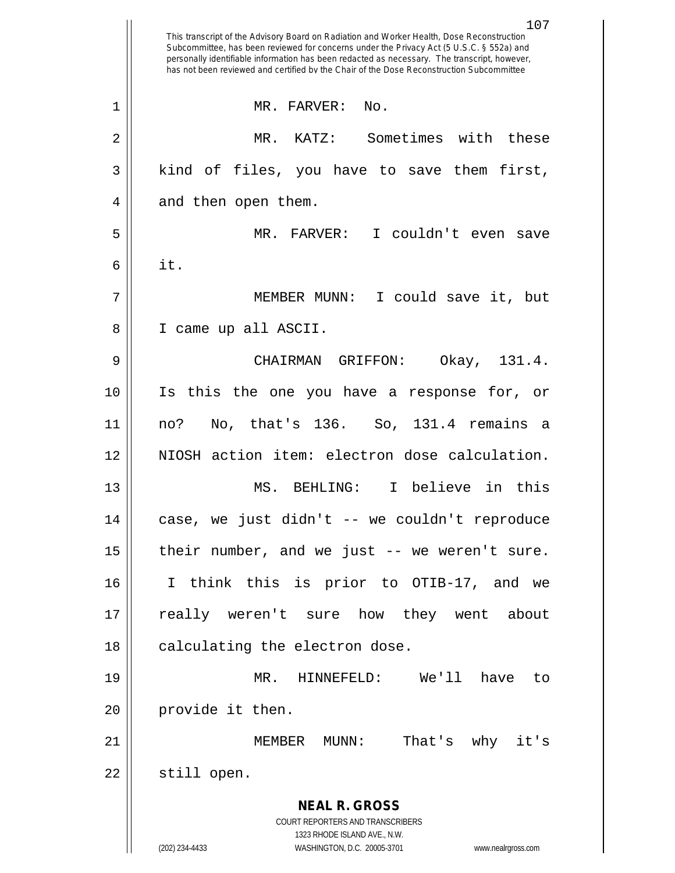|    | 107<br>This transcript of the Advisory Board on Radiation and Worker Health, Dose Reconstruction<br>Subcommittee, has been reviewed for concerns under the Privacy Act (5 U.S.C. § 552a) and<br>personally identifiable information has been redacted as necessary. The transcript, however,<br>has not been reviewed and certified by the Chair of the Dose Reconstruction Subcommittee |
|----|------------------------------------------------------------------------------------------------------------------------------------------------------------------------------------------------------------------------------------------------------------------------------------------------------------------------------------------------------------------------------------------|
| 1  | MR. FARVER:<br>No.                                                                                                                                                                                                                                                                                                                                                                       |
| 2  | Sometimes with these<br>MR.<br>KATZ:                                                                                                                                                                                                                                                                                                                                                     |
| 3  | kind of files, you have to save them first,                                                                                                                                                                                                                                                                                                                                              |
| 4  | and then open them.                                                                                                                                                                                                                                                                                                                                                                      |
| 5  | I couldn't even<br>MR. FARVER:<br>save                                                                                                                                                                                                                                                                                                                                                   |
| 6  | it.                                                                                                                                                                                                                                                                                                                                                                                      |
| 7  | I could save it, but<br>MEMBER MUNN:                                                                                                                                                                                                                                                                                                                                                     |
| 8  | I came up all ASCII.                                                                                                                                                                                                                                                                                                                                                                     |
| 9  | Okay, 131.4.<br>CHAIRMAN GRIFFON:                                                                                                                                                                                                                                                                                                                                                        |
| 10 | Is this the one you have a response for, or                                                                                                                                                                                                                                                                                                                                              |
| 11 | No, that's 136. So, 131.4 remains<br>no?<br>- a                                                                                                                                                                                                                                                                                                                                          |
| 12 | NIOSH action item: electron dose calculation.                                                                                                                                                                                                                                                                                                                                            |
| 13 | I believe in this<br>MS. BEHLING:                                                                                                                                                                                                                                                                                                                                                        |
| 14 | case, we just didn't -- we couldn't reproduce                                                                                                                                                                                                                                                                                                                                            |
| 15 | their number, and we just -- we weren't sure.                                                                                                                                                                                                                                                                                                                                            |
| 16 | I think this is prior to OTIB-17, and we                                                                                                                                                                                                                                                                                                                                                 |
| 17 | really weren't sure how they went about                                                                                                                                                                                                                                                                                                                                                  |
| 18 | calculating the electron dose.                                                                                                                                                                                                                                                                                                                                                           |
| 19 | MR. HINNEFELD: We'll have to                                                                                                                                                                                                                                                                                                                                                             |
| 20 | provide it then.                                                                                                                                                                                                                                                                                                                                                                         |
| 21 | MEMBER MUNN: That's why it's                                                                                                                                                                                                                                                                                                                                                             |
| 22 | still open.                                                                                                                                                                                                                                                                                                                                                                              |
|    | <b>NEAL R. GROSS</b><br>COURT REPORTERS AND TRANSCRIBERS                                                                                                                                                                                                                                                                                                                                 |
|    | 1323 RHODE ISLAND AVE., N.W.<br>(202) 234-4433<br>WASHINGTON, D.C. 20005-3701<br>www.nealrgross.com                                                                                                                                                                                                                                                                                      |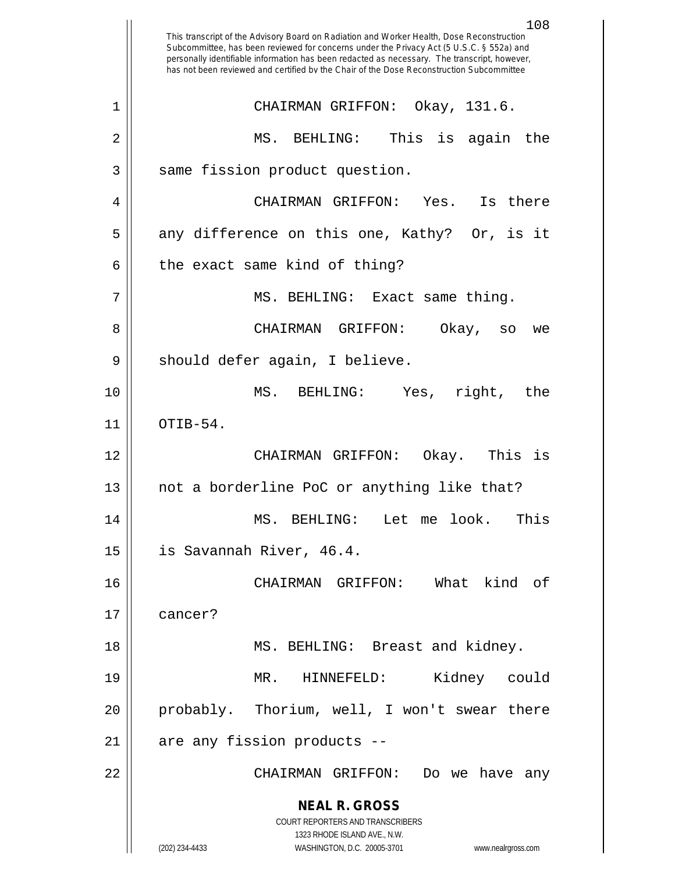**NEAL R. GROSS** COURT REPORTERS AND TRANSCRIBERS 1323 RHODE ISLAND AVE., N.W. (202) 234-4433 WASHINGTON, D.C. 20005-3701 www.nealrgross.com This transcript of the Advisory Board on Radiation and Worker Health, Dose Reconstruction Subcommittee, has been reviewed for concerns under the Privacy Act (5 U.S.C. § 552a) and personally identifiable information has been redacted as necessary. The transcript, however, has not been reviewed and certified by the Chair of the Dose Reconstruction Subcommittee 1 CHAIRMAN GRIFFON: Okay, 131.6. 2 MS. BEHLING: This is again the 3 | same fission product question. 4 CHAIRMAN GRIFFON: Yes. Is there  $5 \parallel$  any difference on this one, Kathy? Or, is it  $6$  || the exact same kind of thing? 7 || MS. BEHLING: Exact same thing. 8 CHAIRMAN GRIFFON: Okay, so we 9 || should defer again, I believe. 10 MS. BEHLING: Yes, right, the  $11$  | OTIB-54. 12 CHAIRMAN GRIFFON: Okay. This is 13 not a borderline PoC or anything like that? 14 MS. BEHLING: Let me look. This 15 is Savannah River, 46.4. 16 CHAIRMAN GRIFFON: What kind of 17 cancer? 18 || MS. BEHLING: Breast and kidney. 19 MR. HINNEFELD: Kidney could 20 probably. Thorium, well, I won't swear there  $21$  | are any fission products --22 CHAIRMAN GRIFFON: Do we have any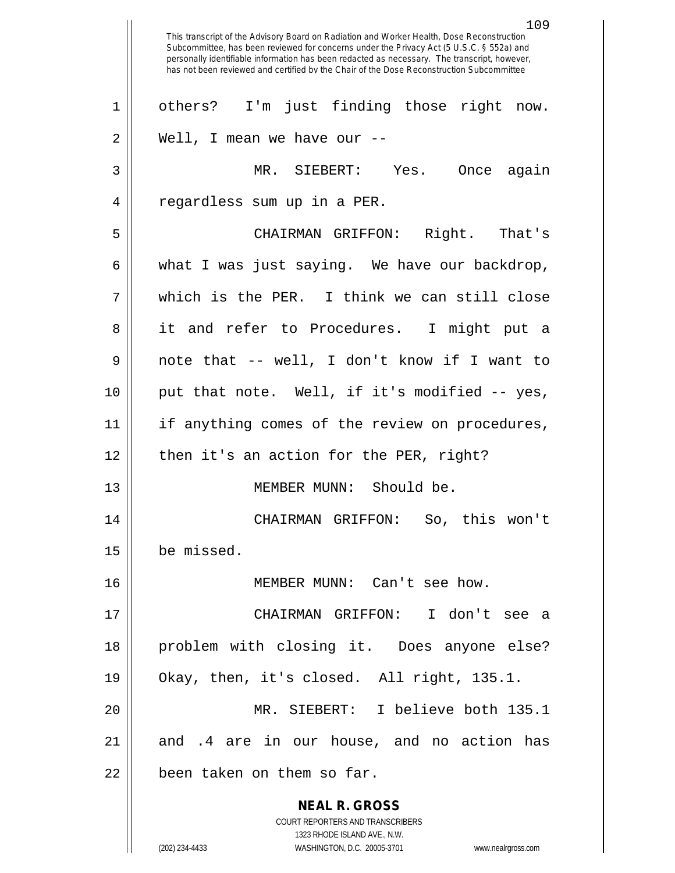**NEAL R. GROSS** COURT REPORTERS AND TRANSCRIBERS 1323 RHODE ISLAND AVE., N.W. (202) 234-4433 WASHINGTON, D.C. 20005-3701 www.nealrgross.com This transcript of the Advisory Board on Radiation and Worker Health, Dose Reconstruction Subcommittee, has been reviewed for concerns under the Privacy Act (5 U.S.C. § 552a) and personally identifiable information has been redacted as necessary. The transcript, however, has not been reviewed and certified by the Chair of the Dose Reconstruction Subcommittee 1 || others? I'm just finding those right now.  $2 \parallel$  Well, I mean we have our  $-$ 3 MR. SIEBERT: Yes. Once again 4 || regardless sum up in a PER. 5 CHAIRMAN GRIFFON: Right. That's  $6 \parallel$  what I was just saying. We have our backdrop, 7 which is the PER. I think we can still close 8 || it and refer to Procedures. I might put a 9 note that -- well, I don't know if I want to 10 put that note. Well, if it's modified -- yes, 11 || if anything comes of the review on procedures,  $12$  || then it's an action for the PER, right? 13 MEMBER MUNN: Should be. 14 CHAIRMAN GRIFFON: So, this won't 15 be missed. 16 MEMBER MUNN: Can't see how. 17 CHAIRMAN GRIFFON: I don't see a 18 problem with closing it. Does anyone else? 19 Okay, then, it's closed. All right, 135.1. 20 MR. SIEBERT: I believe both 135.1 21 and .4 are in our house, and no action has  $22$  || been taken on them so far.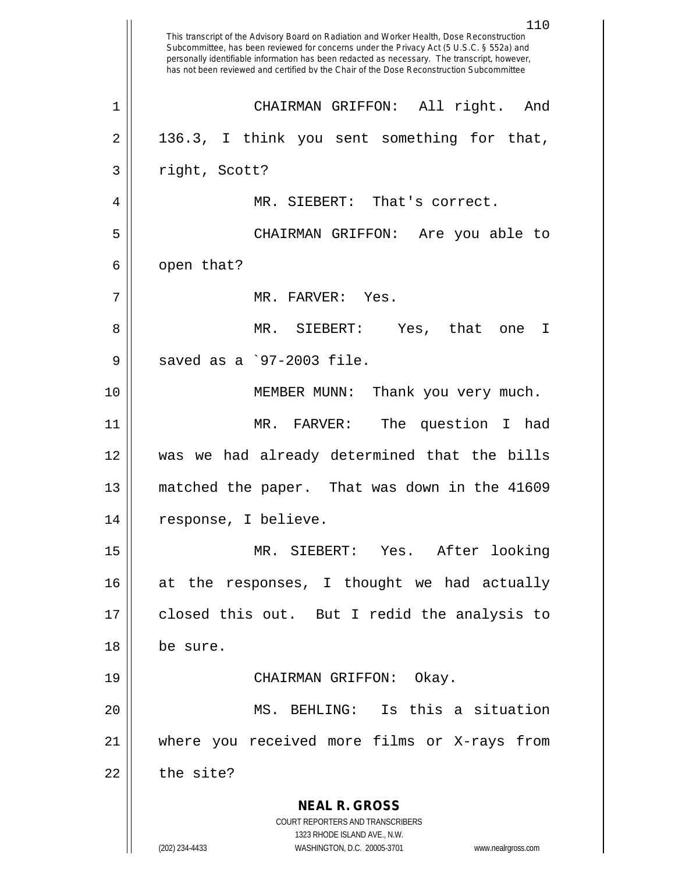**NEAL R. GROSS** COURT REPORTERS AND TRANSCRIBERS 1323 RHODE ISLAND AVE., N.W. (202) 234-4433 WASHINGTON, D.C. 20005-3701 www.nealrgross.com 110 This transcript of the Advisory Board on Radiation and Worker Health, Dose Reconstruction Subcommittee, has been reviewed for concerns under the Privacy Act (5 U.S.C. § 552a) and personally identifiable information has been redacted as necessary. The transcript, however, has not been reviewed and certified by the Chair of the Dose Reconstruction Subcommittee 1 CHAIRMAN GRIFFON: All right. And  $2 \parallel 136.3$ , I think you sent something for that, 3 | right, Scott? 4 MR. SIEBERT: That's correct. 5 CHAIRMAN GRIFFON: Are you able to  $6 \parallel$  open that? 7 MR. FARVER: Yes. 8 MR. SIEBERT: Yes, that one I  $9 \parallel$  saved as a `97-2003 file. 10 MEMBER MUNN: Thank you very much. 11 MR. FARVER: The question I had 12 was we had already determined that the bills 13 matched the paper. That was down in the 41609 14 || response, I believe. 15 MR. SIEBERT: Yes. After looking 16 at the responses, I thought we had actually 17 closed this out. But I redid the analysis to 18 be sure. 19 CHAIRMAN GRIFFON: Okay. 20 MS. BEHLING: Is this a situation 21 where you received more films or X-rays from  $22$   $\parallel$  the site?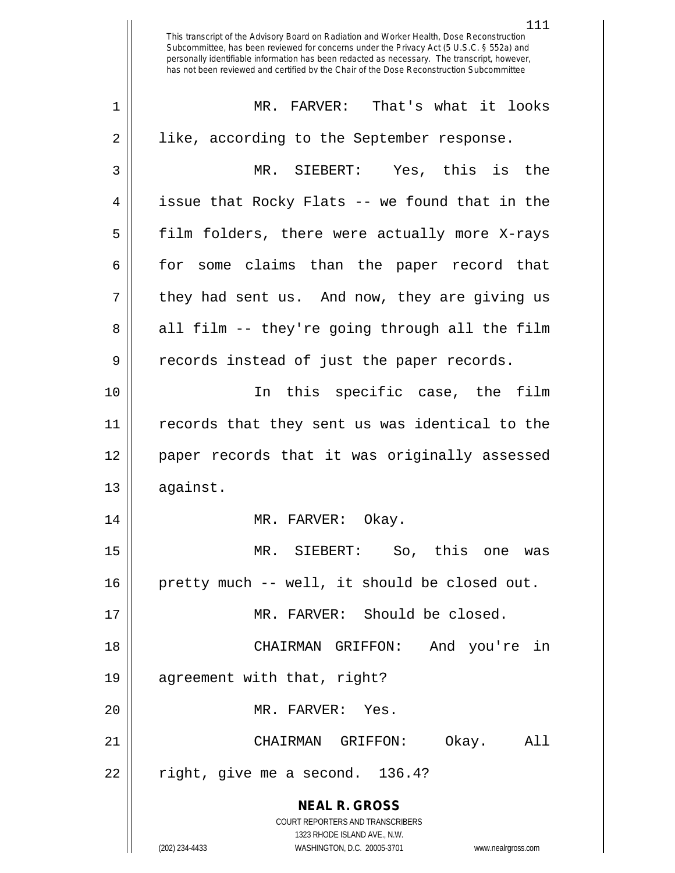**NEAL R. GROSS** COURT REPORTERS AND TRANSCRIBERS 1323 RHODE ISLAND AVE., N.W. This transcript of the Advisory Board on Radiation and Worker Health, Dose Reconstruction Subcommittee, has been reviewed for concerns under the Privacy Act (5 U.S.C. § 552a) and personally identifiable information has been redacted as necessary. The transcript, however, has not been reviewed and certified by the Chair of the Dose Reconstruction Subcommittee 1 MR. FARVER: That's what it looks 2 || like, according to the September response. 3 MR. SIEBERT: Yes, this is the  $4 \parallel$  issue that Rocky Flats -- we found that in the 5 || film folders, there were actually more X-rays 6 for some claims than the paper record that  $7 \parallel$  they had sent us. And now, they are giving us  $8 \parallel$  all film -- they're going through all the film 9 || records instead of just the paper records. 10 In this specific case, the film 11 records that they sent us was identical to the 12 paper records that it was originally assessed 13 | against. 14 || MR. FARVER: Okay. 15 MR. SIEBERT: So, this one was 16 pretty much -- well, it should be closed out. 17 || MR. FARVER: Should be closed. 18 CHAIRMAN GRIFFON: And you're in 19 agreement with that, right? 20 || MR. FARVER: Yes. 21 CHAIRMAN GRIFFON: Okay. All  $22$  || right, give me a second. 136.4?

(202) 234-4433 WASHINGTON, D.C. 20005-3701 www.nealrgross.com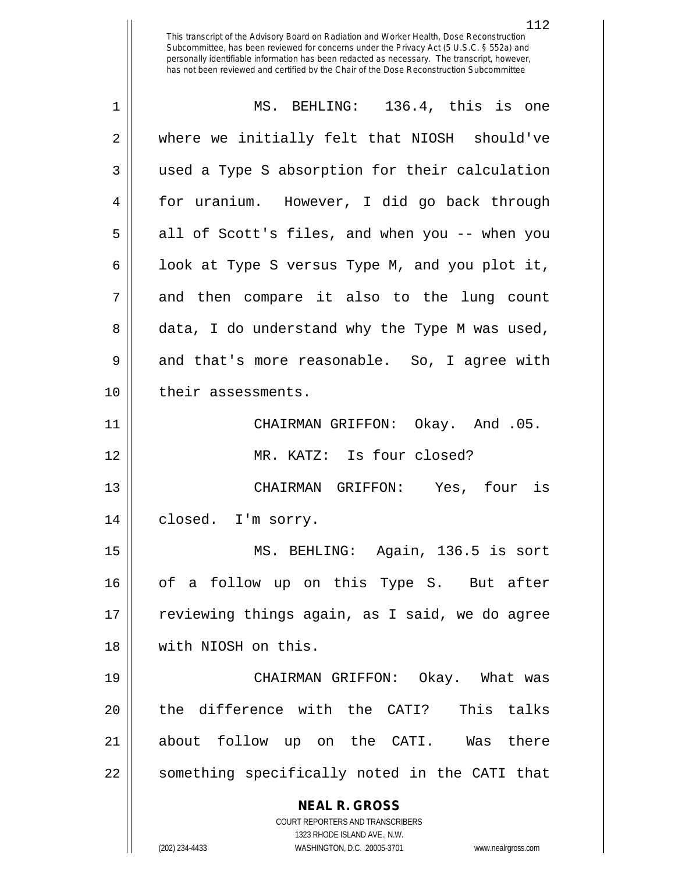| where we initially felt that NIOSH should've<br>used a Type S absorption for their calculation<br>for uranium. However, I did go back through<br>all of Scott's files, and when you -- when you<br>look at Type S versus Type M, and you plot it,<br>and then compare it also to the lung count<br>data, I do understand why the Type M was used,<br>and that's more reasonable. So, I agree with |
|---------------------------------------------------------------------------------------------------------------------------------------------------------------------------------------------------------------------------------------------------------------------------------------------------------------------------------------------------------------------------------------------------|
|                                                                                                                                                                                                                                                                                                                                                                                                   |
|                                                                                                                                                                                                                                                                                                                                                                                                   |
|                                                                                                                                                                                                                                                                                                                                                                                                   |
|                                                                                                                                                                                                                                                                                                                                                                                                   |
|                                                                                                                                                                                                                                                                                                                                                                                                   |
|                                                                                                                                                                                                                                                                                                                                                                                                   |
|                                                                                                                                                                                                                                                                                                                                                                                                   |
|                                                                                                                                                                                                                                                                                                                                                                                                   |
|                                                                                                                                                                                                                                                                                                                                                                                                   |
| CHAIRMAN GRIFFON: Okay. And .05.                                                                                                                                                                                                                                                                                                                                                                  |
|                                                                                                                                                                                                                                                                                                                                                                                                   |
| CHAIRMAN GRIFFON: Yes, four is                                                                                                                                                                                                                                                                                                                                                                    |
|                                                                                                                                                                                                                                                                                                                                                                                                   |
| MS. BEHLING: Again, 136.5 is sort                                                                                                                                                                                                                                                                                                                                                                 |
| of a follow up on this Type S. But after                                                                                                                                                                                                                                                                                                                                                          |
| reviewing things again, as I said, we do agree                                                                                                                                                                                                                                                                                                                                                    |
|                                                                                                                                                                                                                                                                                                                                                                                                   |
| CHAIRMAN GRIFFON: Okay. What was                                                                                                                                                                                                                                                                                                                                                                  |
| the difference with the CATI? This talks                                                                                                                                                                                                                                                                                                                                                          |
| about follow up on the CATI. Was there                                                                                                                                                                                                                                                                                                                                                            |
| something specifically noted in the CATI that                                                                                                                                                                                                                                                                                                                                                     |
|                                                                                                                                                                                                                                                                                                                                                                                                   |
|                                                                                                                                                                                                                                                                                                                                                                                                   |
|                                                                                                                                                                                                                                                                                                                                                                                                   |
|                                                                                                                                                                                                                                                                                                                                                                                                   |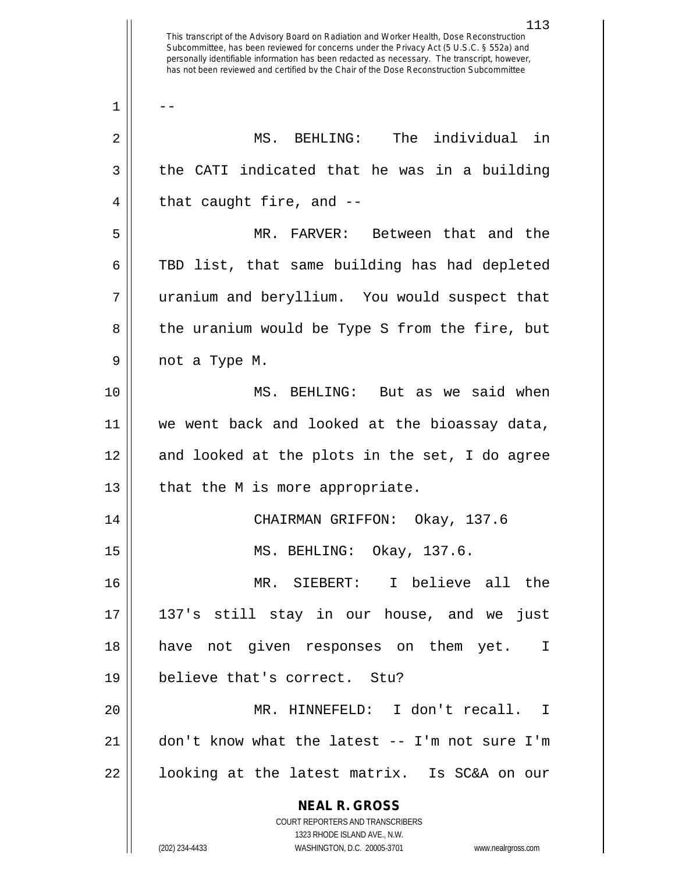113 This transcript of the Advisory Board on Radiation and Worker Health, Dose Reconstruction Subcommittee, has been reviewed for concerns under the Privacy Act (5 U.S.C. § 552a) and personally identifiable information has been redacted as necessary. The transcript, however, has not been reviewed and certified by the Chair of the Dose Reconstruction Subcommittee  $1 \parallel - -$ 2 MS. BEHLING: The individual in  $3 \parallel$  the CATI indicated that he was in a building  $4 \parallel$  that caught fire, and  $-$ 5 MR. FARVER: Between that and the 6 TBD list, that same building has had depleted 7 || uranium and beryllium. You would suspect that 8 || the uranium would be Type S from the fire, but 9 || not a Type M. 10 MS. BEHLING: But as we said when 11 we went back and looked at the bioassay data, 12 || and looked at the plots in the set, I do agree  $13$  | that the M is more appropriate. 14 CHAIRMAN GRIFFON: Okay, 137.6 15 MS. BEHLING: Okay, 137.6. 16 MR. SIEBERT: I believe all the 17 137's still stay in our house, and we just 18 have not given responses on them yet. I 19 believe that's correct. Stu? 20 MR. HINNEFELD: I don't recall. I 21 don't know what the latest -- I'm not sure I'm

22 || looking at the latest matrix. Is SC&A on our

COURT REPORTERS AND TRANSCRIBERS 1323 RHODE ISLAND AVE., N.W. (202) 234-4433 WASHINGTON, D.C. 20005-3701 www.nealrgross.com

**NEAL R. GROSS**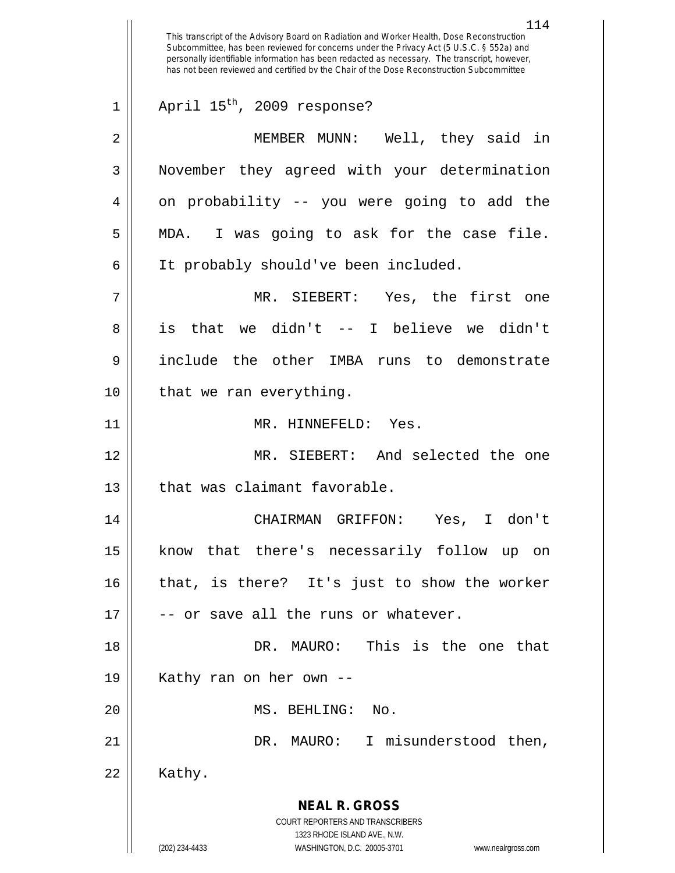**NEAL R. GROSS** COURT REPORTERS AND TRANSCRIBERS 1323 RHODE ISLAND AVE., N.W. (202) 234-4433 WASHINGTON, D.C. 20005-3701 www.nealrgross.com This transcript of the Advisory Board on Radiation and Worker Health, Dose Reconstruction Subcommittee, has been reviewed for concerns under the Privacy Act (5 U.S.C. § 552a) and personally identifiable information has been redacted as necessary. The transcript, however, has not been reviewed and certified by the Chair of the Dose Reconstruction Subcommittee  $1 \parallel$  April 15<sup>th</sup>, 2009 response? 2 MEMBER MUNN: Well, they said in 3 | November they agreed with your determination  $4 \parallel$  on probability -- you were going to add the 5 || MDA. I was going to ask for the case file. 6 | It probably should've been included. 7 MR. SIEBERT: Yes, the first one 8 is that we didn't -- I believe we didn't 9 include the other IMBA runs to demonstrate 10 || that we ran everything. 11 || MR. HINNEFELD: Yes. 12 MR. SIEBERT: And selected the one 13 || that was claimant favorable. 14 CHAIRMAN GRIFFON: Yes, I don't 15 know that there's necessarily follow up on 16 that, is there? It's just to show the worker  $17$   $\parallel$  -- or save all the runs or whatever. 18 DR. MAURO: This is the one that 19 || Kathy ran on her own --20 || MS. BEHLING: No. 21 DR. MAURO: I misunderstood then,  $22 \parallel$  Kathy.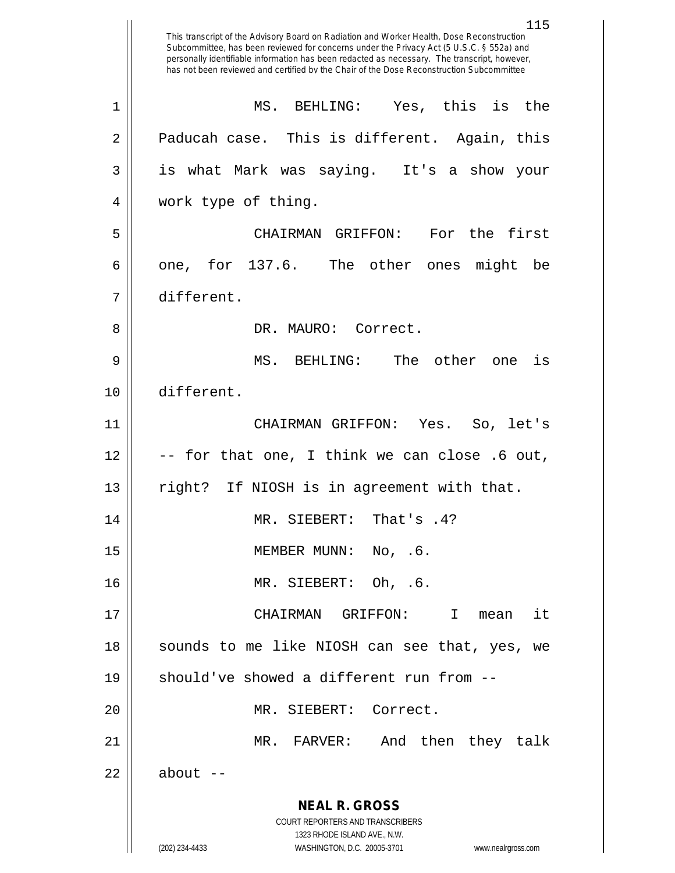**NEAL R. GROSS** COURT REPORTERS AND TRANSCRIBERS 1323 RHODE ISLAND AVE., N.W. (202) 234-4433 WASHINGTON, D.C. 20005-3701 www.nealrgross.com 115 This transcript of the Advisory Board on Radiation and Worker Health, Dose Reconstruction Subcommittee, has been reviewed for concerns under the Privacy Act (5 U.S.C. § 552a) and personally identifiable information has been redacted as necessary. The transcript, however, has not been reviewed and certified by the Chair of the Dose Reconstruction Subcommittee 1 MS. BEHLING: Yes, this is the  $2 \parallel$  Paducah case. This is different. Again, this 3 || is what Mark was saying. It's a show your 4 work type of thing. 5 CHAIRMAN GRIFFON: For the first 6 || one, for 137.6. The other ones might be 7 different. 8 DR. MAURO: Correct. 9 MS. BEHLING: The other one is 10 different. 11 CHAIRMAN GRIFFON: Yes. So, let's  $12 \parallel$  -- for that one, I think we can close .6 out, 13 || right? If NIOSH is in agreement with that. 14 || MR. SIEBERT: That's .4? 15 || MEMBER MUNN: No, .6. 16 MR. SIEBERT: Oh, .6. 17 || CHAIRMAN GRIFFON: I mean it 18 || sounds to me like NIOSH can see that, yes, we 19  $\parallel$  should've showed a different run from  $-$ -20 || MR. SIEBERT: Correct. 21 MR. FARVER: And then they talk  $22 \parallel$  about  $-$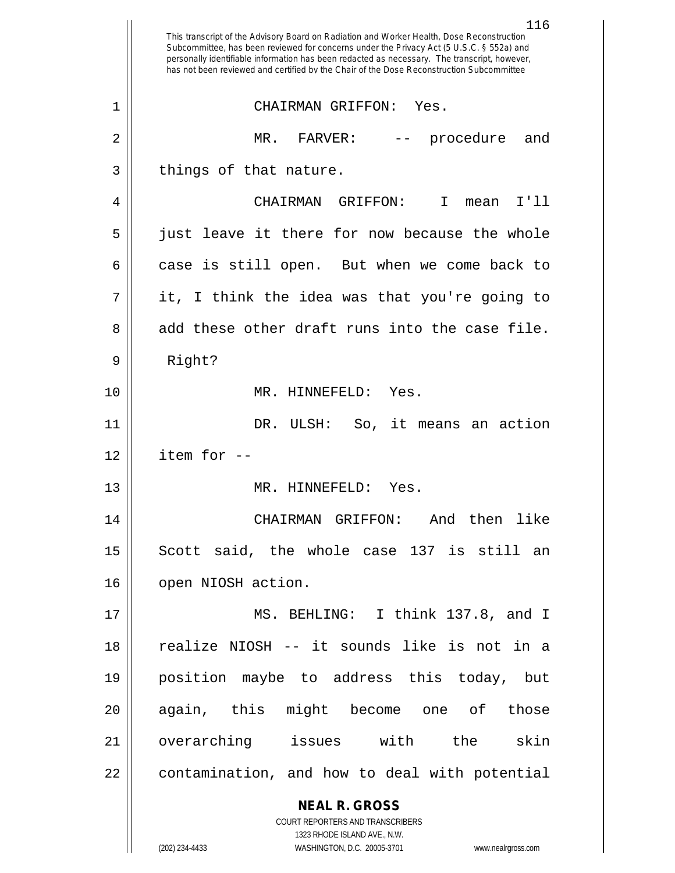|                | 116<br>This transcript of the Advisory Board on Radiation and Worker Health, Dose Reconstruction<br>Subcommittee, has been reviewed for concerns under the Privacy Act (5 U.S.C. § 552a) and<br>personally identifiable information has been redacted as necessary. The transcript, however,<br>has not been reviewed and certified by the Chair of the Dose Reconstruction Subcommittee |
|----------------|------------------------------------------------------------------------------------------------------------------------------------------------------------------------------------------------------------------------------------------------------------------------------------------------------------------------------------------------------------------------------------------|
| $\mathbf 1$    | CHAIRMAN GRIFFON: Yes.                                                                                                                                                                                                                                                                                                                                                                   |
| $\overline{2}$ | MR.<br>procedure<br>FARVER:<br>and                                                                                                                                                                                                                                                                                                                                                       |
| 3              | things of that nature.                                                                                                                                                                                                                                                                                                                                                                   |
| 4              | I'11<br>CHAIRMAN GRIFFON:<br>$\mathbf I$<br>mean                                                                                                                                                                                                                                                                                                                                         |
| 5              | just leave it there for now because the whole                                                                                                                                                                                                                                                                                                                                            |
| 6              | case is still open. But when we come back to                                                                                                                                                                                                                                                                                                                                             |
| 7              | it, I think the idea was that you're going to                                                                                                                                                                                                                                                                                                                                            |
| 8              | add these other draft runs into the case file.                                                                                                                                                                                                                                                                                                                                           |
| 9              | Right?                                                                                                                                                                                                                                                                                                                                                                                   |
| 10             | MR. HINNEFELD: Yes.                                                                                                                                                                                                                                                                                                                                                                      |
| 11             | So, it means an action<br>DR. ULSH:                                                                                                                                                                                                                                                                                                                                                      |
| 12             | item for --                                                                                                                                                                                                                                                                                                                                                                              |
| 13             | MR. HINNEFELD: Yes.                                                                                                                                                                                                                                                                                                                                                                      |
| 14             | CHAIRMAN GRIFFON: And then like                                                                                                                                                                                                                                                                                                                                                          |
| 15             | Scott said, the whole case 137 is still an                                                                                                                                                                                                                                                                                                                                               |
| 16             | open NIOSH action.                                                                                                                                                                                                                                                                                                                                                                       |
| 17             | MS. BEHLING: I think 137.8, and I                                                                                                                                                                                                                                                                                                                                                        |
| 18             | realize NIOSH -- it sounds like is not in a                                                                                                                                                                                                                                                                                                                                              |
| 19             | position maybe to address this today, but                                                                                                                                                                                                                                                                                                                                                |
| 20             | again, this might become one of those                                                                                                                                                                                                                                                                                                                                                    |
| 21             | overarching issues with the<br>skin                                                                                                                                                                                                                                                                                                                                                      |
| 22             | contamination, and how to deal with potential                                                                                                                                                                                                                                                                                                                                            |
|                | <b>NEAL R. GROSS</b>                                                                                                                                                                                                                                                                                                                                                                     |
|                | COURT REPORTERS AND TRANSCRIBERS                                                                                                                                                                                                                                                                                                                                                         |
|                | 1323 RHODE ISLAND AVE., N.W.<br>(202) 234-4433<br>WASHINGTON, D.C. 20005-3701<br>www.nealrgross.com                                                                                                                                                                                                                                                                                      |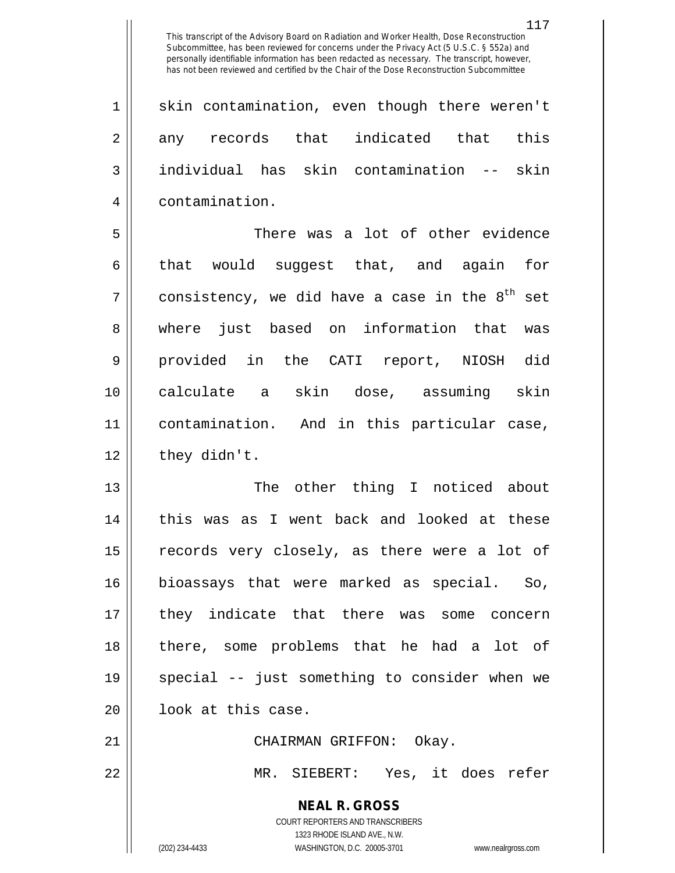1 || skin contamination, even though there weren't  $2 \parallel$  any records that indicated that this 3 individual has skin contamination -- skin 4 contamination.

 There was a lot of other evidence  $\parallel$  that would suggest that, and again for 7 || consistency, we did have a case in the  $8^{\text{th}}$  set 8 where just based on information that was provided in the CATI report, NIOSH did calculate a skin dose, assuming skin contamination. And in this particular case, | they didn't.

 The other thing I noticed about 14 || this was as I went back and looked at these 15 || records very closely, as there were a lot of bioassays that were marked as special. So, they indicate that there was some concern there, some problems that he had a lot of special -- just something to consider when we 20 | look at this case.

21 CHAIRMAN GRIFFON: Okay. 22 MR. SIEBERT: Yes, it does refer

> **NEAL R. GROSS** COURT REPORTERS AND TRANSCRIBERS 1323 RHODE ISLAND AVE., N.W. (202) 234-4433 WASHINGTON, D.C. 20005-3701 www.nealrgross.com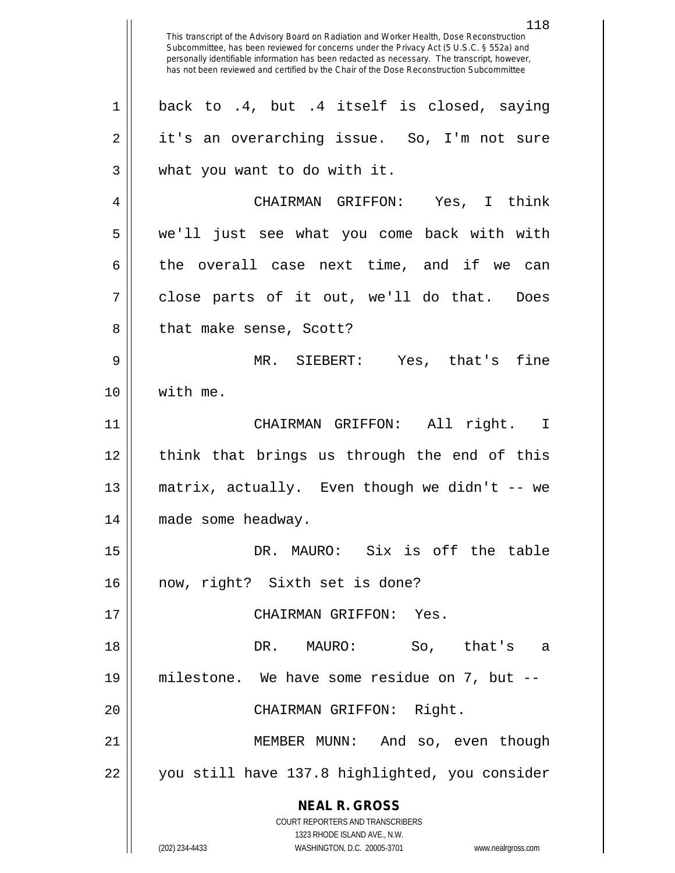**NEAL R. GROSS** COURT REPORTERS AND TRANSCRIBERS 1323 RHODE ISLAND AVE., N.W. This transcript of the Advisory Board on Radiation and Worker Health, Dose Reconstruction Subcommittee, has been reviewed for concerns under the Privacy Act (5 U.S.C. § 552a) and personally identifiable information has been redacted as necessary. The transcript, however, has not been reviewed and certified by the Chair of the Dose Reconstruction Subcommittee  $1 \parallel$  back to .4, but .4 itself is closed, saying 2 || it's an overarching issue. So, I'm not sure 3 || what you want to do with it. 4 CHAIRMAN GRIFFON: Yes, I think 5 we'll just see what you come back with with  $6 \parallel$  the overall case next time, and if we can  $7 \parallel$  close parts of it out, we'll do that. Does 8 || that make sense, Scott? 9 MR. SIEBERT: Yes, that's fine 10 with me. 11 CHAIRMAN GRIFFON: All right. I 12 || think that brings us through the end of this 13 matrix, actually. Even though we didn't -- we 14 made some headway. 15 DR. MAURO: Six is off the table 16 now, right? Sixth set is done? 17 CHAIRMAN GRIFFON: Yes. 18 DR. MAURO: So, that's a 19 milestone. We have some residue on 7, but -- 20 || CHAIRMAN GRIFFON: Right. 21 MEMBER MUNN: And so, even though 22 || you still have 137.8 highlighted, you consider

(202) 234-4433 WASHINGTON, D.C. 20005-3701 www.nealrgross.com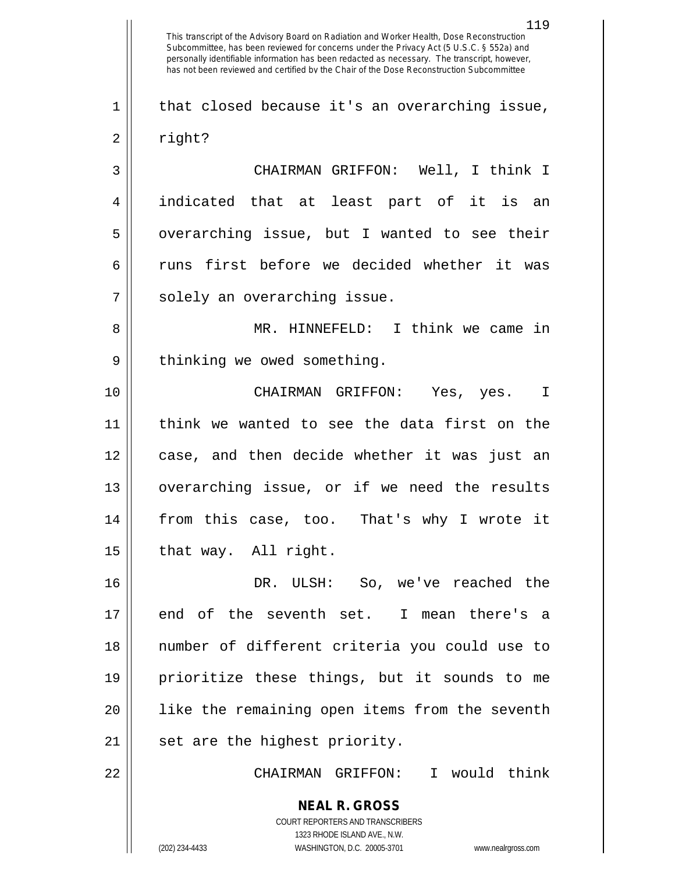**NEAL R. GROSS** COURT REPORTERS AND TRANSCRIBERS 119 This transcript of the Advisory Board on Radiation and Worker Health, Dose Reconstruction Subcommittee, has been reviewed for concerns under the Privacy Act (5 U.S.C. § 552a) and personally identifiable information has been redacted as necessary. The transcript, however, has not been reviewed and certified by the Chair of the Dose Reconstruction Subcommittee  $1 \parallel$  that closed because it's an overarching issue, 2 || right? 3 CHAIRMAN GRIFFON: Well, I think I 4 indicated that at least part of it is an  $5 \parallel$  overarching issue, but I wanted to see their 6 Tuns first before we decided whether it was 7 || solely an overarching issue. 8 MR. HINNEFELD: I think we came in 9 || thinking we owed something. 10 CHAIRMAN GRIFFON: Yes, yes. I 11 think we wanted to see the data first on the 12 case, and then decide whether it was just an 13 overarching issue, or if we need the results 14 from this case, too. That's why I wrote it  $15$  | that way. All right. 16 DR. ULSH: So, we've reached the 17 || end of the seventh set. I mean there's a 18 number of different criteria you could use to 19 prioritize these things, but it sounds to me 20 || like the remaining open items from the seventh  $21$  | set are the highest priority. 22 CHAIRMAN GRIFFON: I would think

1323 RHODE ISLAND AVE., N.W.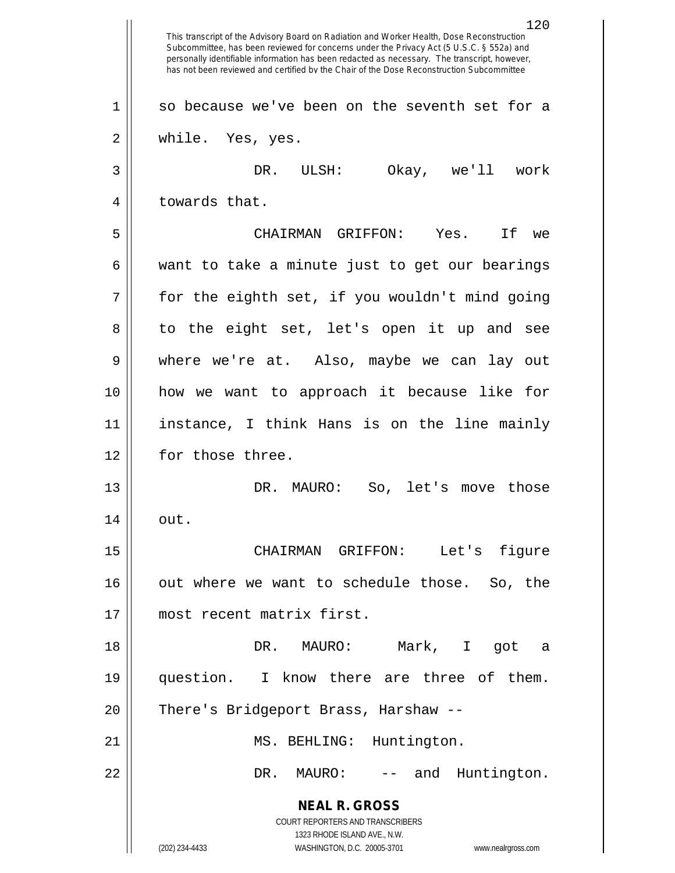**NEAL R. GROSS** COURT REPORTERS AND TRANSCRIBERS 1323 RHODE ISLAND AVE., N.W. (202) 234-4433 WASHINGTON, D.C. 20005-3701 www.nealrgross.com 120 This transcript of the Advisory Board on Radiation and Worker Health, Dose Reconstruction Subcommittee, has been reviewed for concerns under the Privacy Act (5 U.S.C. § 552a) and personally identifiable information has been redacted as necessary. The transcript, however, has not been reviewed and certified by the Chair of the Dose Reconstruction Subcommittee  $1 \parallel$  so because we've been on the seventh set for a 2 while. Yes, yes. 3 DR. ULSH: Okay, we'll work 4 || towards that. 5 CHAIRMAN GRIFFON: Yes. If we  $6 \parallel$  want to take a minute just to get our bearings  $7 ||$  for the eighth set, if you wouldn't mind going 8 to the eight set, let's open it up and see 9 where we're at. Also, maybe we can lay out 10 how we want to approach it because like for 11 instance, I think Hans is on the line mainly 12 | for those three. 13 DR. MAURO: So, let's move those  $14 \parallel \quad \text{out.}$ 15 CHAIRMAN GRIFFON: Let's figure 16 || out where we want to schedule those. So, the 17 most recent matrix first. 18 DR. MAURO: Mark, I got a 19 || question. I know there are three of them. 20 | There's Bridgeport Brass, Harshaw --21 || MS. BEHLING: Huntington. 22 DR. MAURO: -- and Huntington.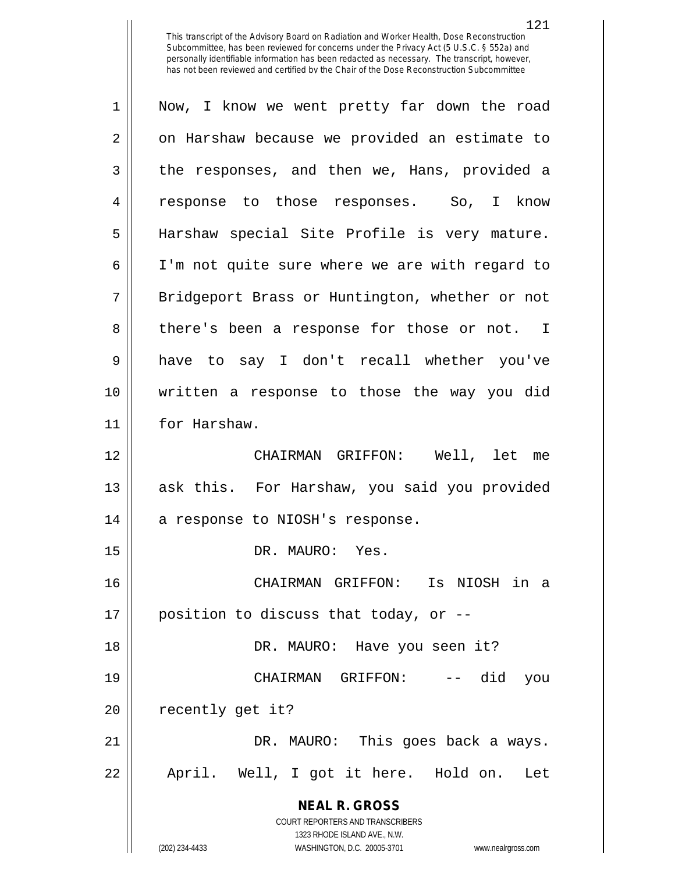| $\mathbf 1$ | Now, I know we went pretty far down the road                            |
|-------------|-------------------------------------------------------------------------|
| 2           | on Harshaw because we provided an estimate to                           |
| 3           | the responses, and then we, Hans, provided a                            |
| 4           | response to those responses. So,<br>I know                              |
| 5           | Harshaw special Site Profile is very mature.                            |
| 6           | I'm not quite sure where we are with regard to                          |
| 7           | Bridgeport Brass or Huntington, whether or not                          |
| 8           | there's been a response for those or not. I                             |
| 9           | have to say I don't recall whether you've                               |
| 10          | written a response to those the way you did                             |
| 11          | for Harshaw.                                                            |
| 12          | CHAIRMAN GRIFFON: Well, let me                                          |
| 13          | ask this. For Harshaw, you said you provided                            |
| 14          | a response to NIOSH's response.                                         |
| 15          | DR. MAURO: Yes.                                                         |
| 16          | CHAIRMAN GRIFFON: Is NIOSH in a                                         |
| 17          | position to discuss that today, or --                                   |
| 18          | DR. MAURO: Have you seen it?                                            |
| 19          | -- did<br>CHAIRMAN GRIFFON:<br>you                                      |
| 20          | recently get it?                                                        |
| 21          | DR. MAURO: This goes back a ways.                                       |
| 22          | April. Well, I got it here. Hold on. Let                                |
|             | <b>NEAL R. GROSS</b>                                                    |
|             | <b>COURT REPORTERS AND TRANSCRIBERS</b><br>1323 RHODE ISLAND AVE., N.W. |
|             | (202) 234-4433<br>WASHINGTON, D.C. 20005-3701<br>www.nealrgross.com     |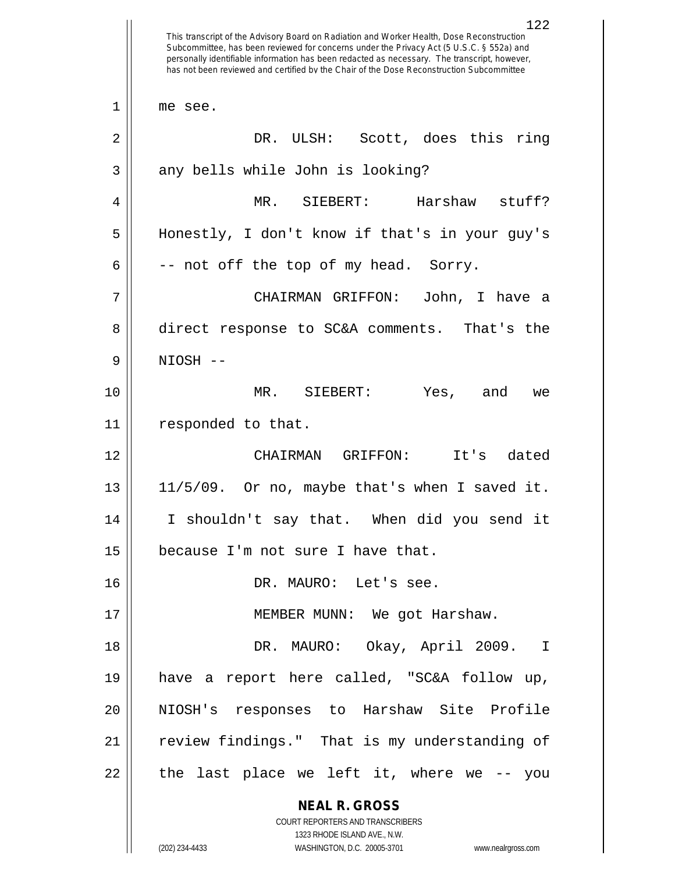**NEAL R. GROSS** COURT REPORTERS AND TRANSCRIBERS 1323 RHODE ISLAND AVE., N.W. (202) 234-4433 WASHINGTON, D.C. 20005-3701 www.nealrgross.com 122 This transcript of the Advisory Board on Radiation and Worker Health, Dose Reconstruction Subcommittee, has been reviewed for concerns under the Privacy Act (5 U.S.C. § 552a) and personally identifiable information has been redacted as necessary. The transcript, however, has not been reviewed and certified by the Chair of the Dose Reconstruction Subcommittee 1 || me see. 2 DR. ULSH: Scott, does this ring  $3 \parallel$  any bells while John is looking? 4 MR. SIEBERT: Harshaw stuff? 5 Honestly, I don't know if that's in your guy's  $6 \parallel$  -- not off the top of my head. Sorry. 7 CHAIRMAN GRIFFON: John, I have a 8 direct response to SC&A comments. That's the 9 NIOSH -- 10 MR. SIEBERT: Yes, and we 11 | responded to that. 12 CHAIRMAN GRIFFON: It's dated  $13 \parallel 11/5/09$ . Or no, maybe that's when I saved it. 14 I shouldn't say that. When did you send it  $15$  | because I'm not sure I have that. 16 DR. MAURO: Let's see. 17 || MEMBER MUNN: We got Harshaw. 18 DR. MAURO: Okay, April 2009. I 19 have a report here called, "SC&A follow up, 20 || NIOSH's responses to Harshaw Site Profile 21 || review findings." That is my understanding of  $22$  || the last place we left it, where we  $-$ - you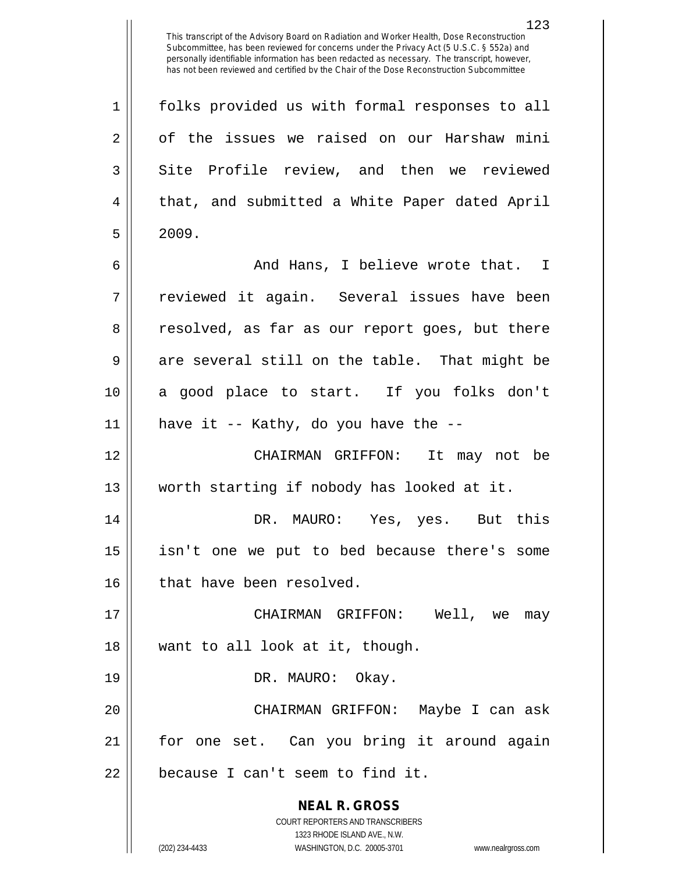1 || folks provided us with formal responses to all  $2 \parallel$  of the issues we raised on our Harshaw mini 3 Site Profile review, and then we reviewed 4 || that, and submitted a White Paper dated April  $5 \parallel 2009.$ 

6 And Hans, I believe wrote that. I 7 || reviewed it again. Several issues have been 8 || resolved, as far as our report goes, but there  $9 \parallel$  are several still on the table. That might be 10 a good place to start. If you folks don't  $11$  | have it -- Kathy, do you have the --

12 CHAIRMAN GRIFFON: It may not be 13 worth starting if nobody has looked at it.

14 DR. MAURO: Yes, yes. But this 15 isn't one we put to bed because there's some 16 | that have been resolved.

17 CHAIRMAN GRIFFON: Well, we may 18 want to all look at it, though.

19 || DR. MAURO: Okay.

20 CHAIRMAN GRIFFON: Maybe I can ask 21 for one set. Can you bring it around again  $22$  | because I can't seem to find it.

> **NEAL R. GROSS** COURT REPORTERS AND TRANSCRIBERS 1323 RHODE ISLAND AVE., N.W.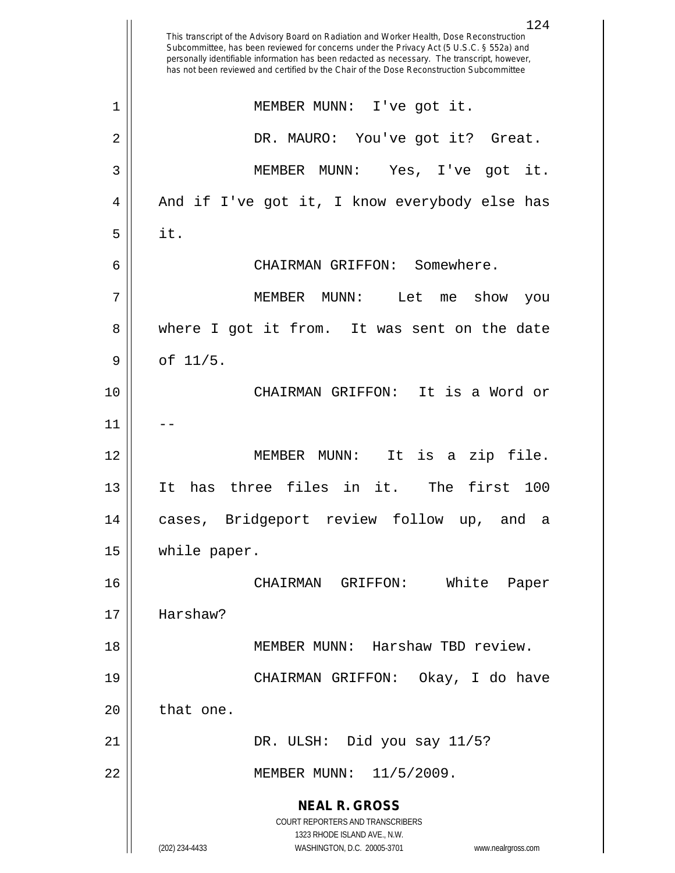**NEAL R. GROSS** COURT REPORTERS AND TRANSCRIBERS 1323 RHODE ISLAND AVE., N.W. (202) 234-4433 WASHINGTON, D.C. 20005-3701 www.nealrgross.com 124 This transcript of the Advisory Board on Radiation and Worker Health, Dose Reconstruction Subcommittee, has been reviewed for concerns under the Privacy Act (5 U.S.C. § 552a) and personally identifiable information has been redacted as necessary. The transcript, however, has not been reviewed and certified by the Chair of the Dose Reconstruction Subcommittee 1 MEMBER MUNN: I've got it. 2 DR. MAURO: You've got it? Great. 3 MEMBER MUNN: Yes, I've got it. 4 || And if I've got it, I know everybody else has  $5 \parallel$  it. 6 CHAIRMAN GRIFFON: Somewhere. 7 MEMBER MUNN: Let me show you 8 || where I got it from. It was sent on the date  $9 \parallel$  of  $11/5$ . 10 CHAIRMAN GRIFFON: It is a Word or  $11$ 12 MEMBER MUNN: It is a zip file. 13 It has three files in it. The first 100 14 cases, Bridgeport review follow up, and a 15 while paper. 16 CHAIRMAN GRIFFON: White Paper 17 Harshaw? 18 MEMBER MUNN: Harshaw TBD review. 19 CHAIRMAN GRIFFON: Okay, I do have  $20$  | that one.  $21$  || DR. ULSH: Did you say  $11/5$ ? 22 || MEMBER MUNN: 11/5/2009.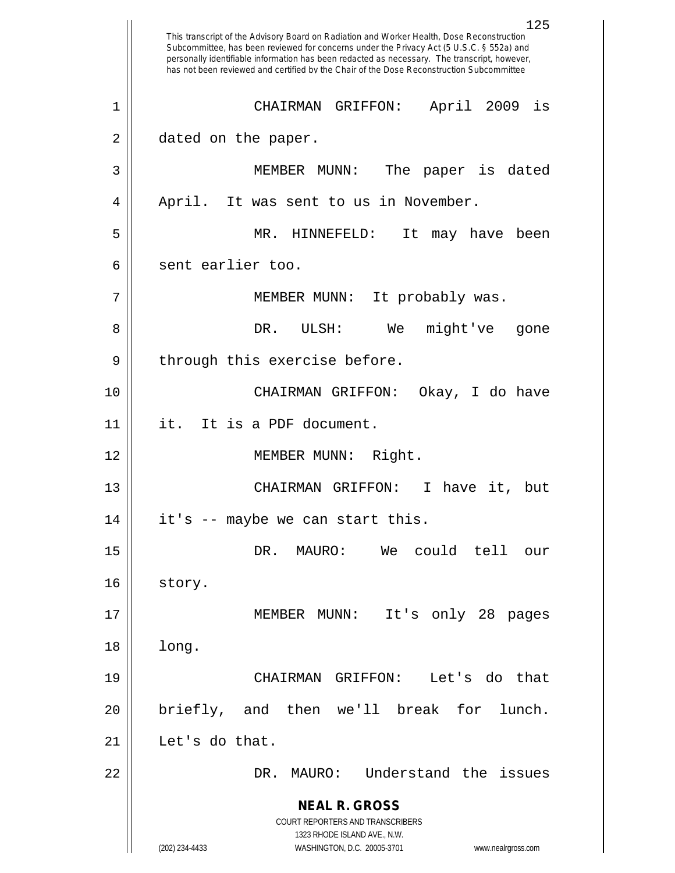**NEAL R. GROSS** COURT REPORTERS AND TRANSCRIBERS 1323 RHODE ISLAND AVE., N.W. (202) 234-4433 WASHINGTON, D.C. 20005-3701 www.nealrgross.com 125 This transcript of the Advisory Board on Radiation and Worker Health, Dose Reconstruction Subcommittee, has been reviewed for concerns under the Privacy Act (5 U.S.C. § 552a) and personally identifiable information has been redacted as necessary. The transcript, however, has not been reviewed and certified by the Chair of the Dose Reconstruction Subcommittee 1 CHAIRMAN GRIFFON: April 2009 is 2 | dated on the paper. 3 MEMBER MUNN: The paper is dated 4 || April. It was sent to us in November. 5 MR. HINNEFELD: It may have been 6 || sent earlier too. 7 || MEMBER MUNN: It probably was. 8 DR. ULSH: We might've gone 9 || through this exercise before. 10 CHAIRMAN GRIFFON: Okay, I do have 11 it. It is a PDF document. 12 || MEMBER MUNN: Right. 13 CHAIRMAN GRIFFON: I have it, but  $14 \parallel$  it's -- maybe we can start this. 15 DR. MAURO: We could tell our 16 | story. 17 || MEMBER MUNN: It's only 28 pages 18 long. 19 CHAIRMAN GRIFFON: Let's do that 20 briefly, and then we'll break for lunch. 21 | Let's do that. 22 DR. MAURO: Understand the issues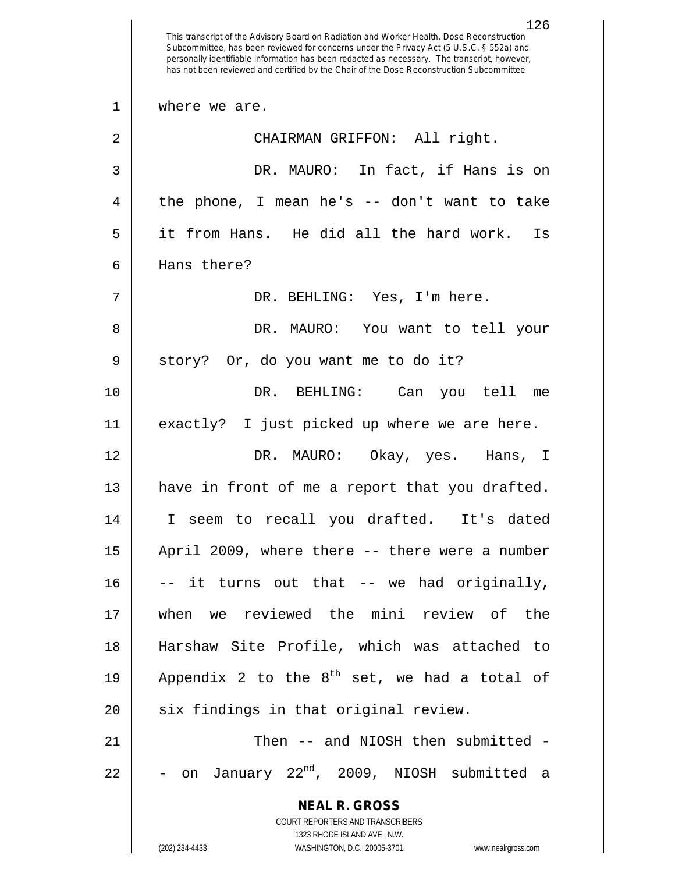**NEAL R. GROSS** COURT REPORTERS AND TRANSCRIBERS 1323 RHODE ISLAND AVE., N.W. (202) 234-4433 WASHINGTON, D.C. 20005-3701 www.nealrgross.com This transcript of the Advisory Board on Radiation and Worker Health, Dose Reconstruction Subcommittee, has been reviewed for concerns under the Privacy Act (5 U.S.C. § 552a) and personally identifiable information has been redacted as necessary. The transcript, however, has not been reviewed and certified by the Chair of the Dose Reconstruction Subcommittee 1 || where we are. 2 || CHAIRMAN GRIFFON: All right. 3 DR. MAURO: In fact, if Hans is on  $4 \parallel$  the phone, I mean he's -- don't want to take 5 it from Hans. He did all the hard work. Is 6 Hans there? 7 DR. BEHLING: Yes, I'm here. 8 DR. MAURO: You want to tell your 9 || story? Or, do you want me to do it? 10 DR. BEHLING: Can you tell me 11 exactly? I just picked up where we are here. 12 DR. MAURO: Okay, yes. Hans, I 13 || have in front of me a report that you drafted. 14 I seem to recall you drafted. It's dated 15 April 2009, where there -- there were a number  $16$   $\vert$  -- it turns out that -- we had originally, 17 when we reviewed the mini review of the 18 Harshaw Site Profile, which was attached to 19 | Appendix 2 to the  $8^{th}$  set, we had a total of 20 || six findings in that original review. 21 || Then -- and NIOSH then submitted - $22$   $\vert$  - on January  $22^{nd}$ , 2009, NIOSH submitted a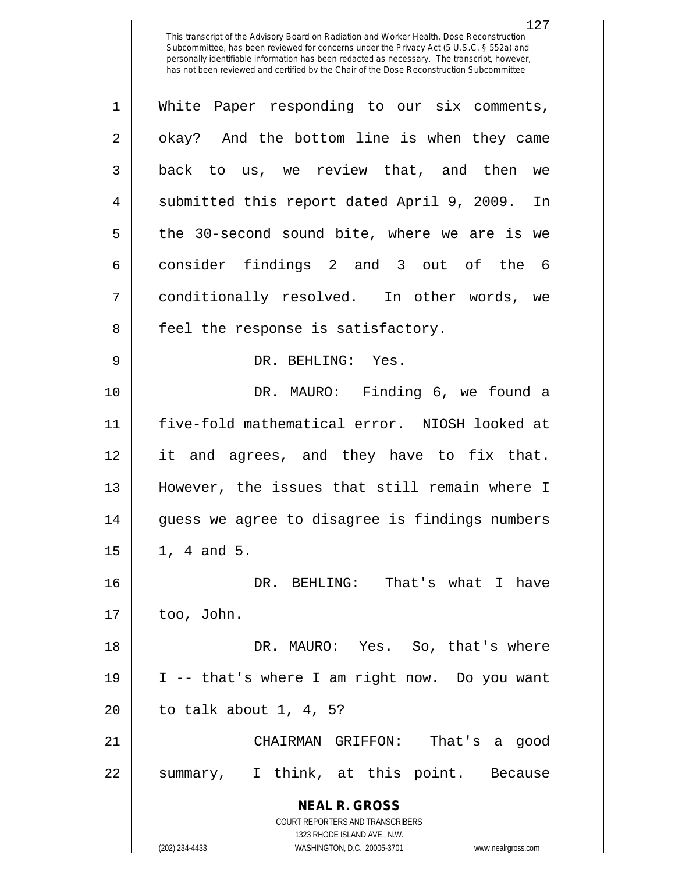| $\mathbf{1}$ | White Paper responding to our six comments,                         |
|--------------|---------------------------------------------------------------------|
| 2            | okay? And the bottom line is when they came                         |
| 3            | back to us, we review that, and then we                             |
| 4            | submitted this report dated April 9, 2009. In                       |
| 5            | the 30-second sound bite, where we are is we                        |
| 6            | consider findings 2 and 3 out of the 6                              |
| 7            | conditionally resolved. In other words, we                          |
| 8            | feel the response is satisfactory.                                  |
| 9            | DR. BEHLING: Yes.                                                   |
| 10           | DR. MAURO: Finding 6, we found a                                    |
| 11           | five-fold mathematical error. NIOSH looked at                       |
| 12           | it and agrees, and they have to fix that.                           |
| 13           | However, the issues that still remain where I                       |
| 14           | guess we agree to disagree is findings numbers                      |
| 15           | 1, 4 and 5.                                                         |
| 16           | DR.<br>BEHLING: That's what I have                                  |
| 17           | too, John.                                                          |
| 18           | DR. MAURO: Yes. So, that's where                                    |
| 19           | I -- that's where I am right now. Do you want                       |
| 20           | to talk about $1, 4, 5$ ?                                           |
| 21           | CHAIRMAN GRIFFON: That's a good                                     |
| 22           | summary, I think, at this point. Because                            |
|              | <b>NEAL R. GROSS</b>                                                |
|              | COURT REPORTERS AND TRANSCRIBERS<br>1323 RHODE ISLAND AVE., N.W.    |
|              | (202) 234-4433<br>WASHINGTON, D.C. 20005-3701<br>www.nealrgross.com |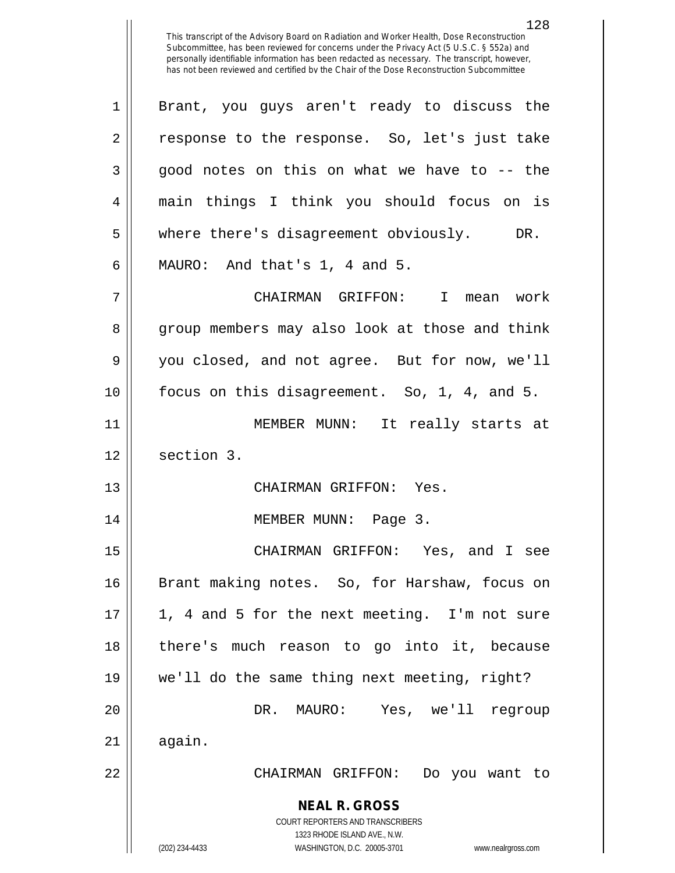1 Brant, you guys aren't ready to discuss the 2 || response to the response. So, let's just take  $3 \parallel$  good notes on this on what we have to -- the 4 main things I think you should focus on is 5 || where there's disagreement obviously. DR.  $6$  || MAURO: And that's 1, 4 and 5.

7 CHAIRMAN GRIFFON: I mean work 8 group members may also look at those and think 9 || you closed, and not agree. But for now, we'll 10 focus on this disagreement. So, 1, 4, and 5. 11 MEMBER MUNN: It really starts at 12 | section 3.

13 CHAIRMAN GRIFFON: Yes.

14 MEMBER MUNN: Page 3.

**NEAL R. GROSS** CHAIRMAN GRIFFON: Yes, and I see 16 || Brant making notes. So, for Harshaw, focus on 1, 4 and 5 for the next meeting. I'm not sure there's much reason to go into it, because we'll do the same thing next meeting, right? DR. MAURO: Yes, we'll regroup  $\parallel$  again. CHAIRMAN GRIFFON: Do you want to

> COURT REPORTERS AND TRANSCRIBERS 1323 RHODE ISLAND AVE., N.W.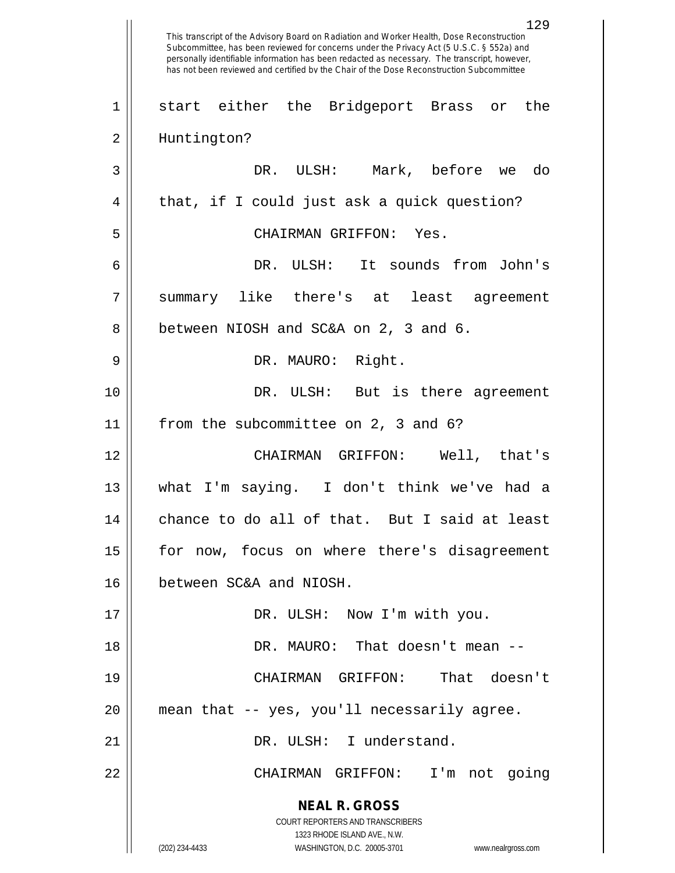**NEAL R. GROSS** COURT REPORTERS AND TRANSCRIBERS 1323 RHODE ISLAND AVE., N.W. (202) 234-4433 WASHINGTON, D.C. 20005-3701 www.nealrgross.com 129 This transcript of the Advisory Board on Radiation and Worker Health, Dose Reconstruction Subcommittee, has been reviewed for concerns under the Privacy Act (5 U.S.C. § 552a) and personally identifiable information has been redacted as necessary. The transcript, however, has not been reviewed and certified by the Chair of the Dose Reconstruction Subcommittee 1 start either the Bridgeport Brass or the 2 || Huntington? 3 DR. ULSH: Mark, before we do 4 || that, if I could just ask a quick question? 5 CHAIRMAN GRIFFON: Yes. 6 DR. ULSH: It sounds from John's 7 summary like there's at least agreement 8 || between NIOSH and SC&A on 2, 3 and 6. 9 DR. MAURO: Right. 10 DR. ULSH: But is there agreement 11 || from the subcommittee on 2, 3 and 6? 12 CHAIRMAN GRIFFON: Well, that's 13 what I'm saying. I don't think we've had a 14 || chance to do all of that. But I said at least 15 || for now, focus on where there's disagreement 16 between SC&A and NIOSH. 17 || DR. ULSH: Now I'm with you. 18 DR. MAURO: That doesn't mean -- 19 CHAIRMAN GRIFFON: That doesn't 20 mean that -- yes, you'll necessarily agree. 21 || DR. ULSH: I understand. 22 CHAIRMAN GRIFFON: I'm not going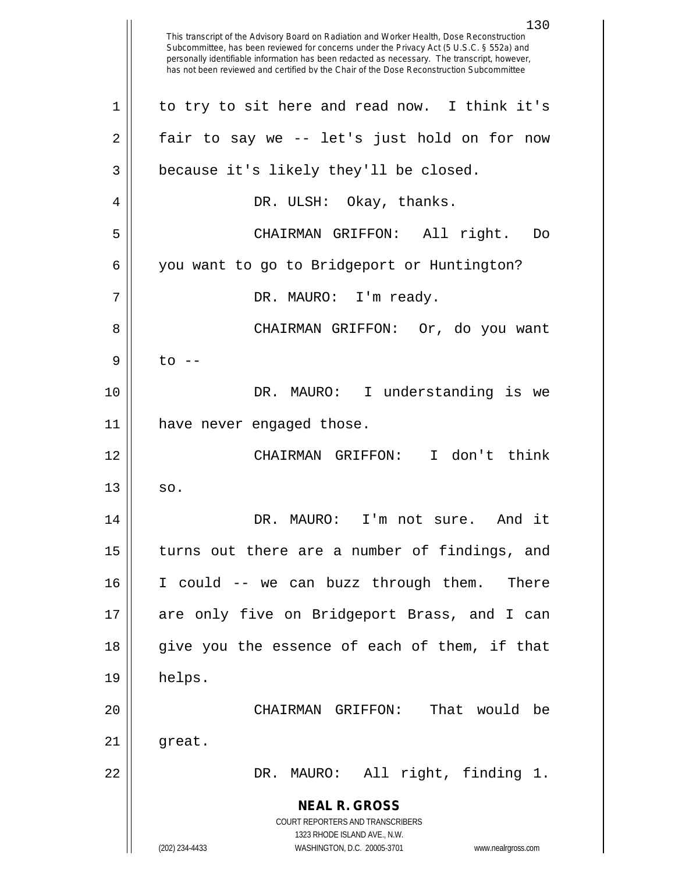**NEAL R. GROSS** COURT REPORTERS AND TRANSCRIBERS 1323 RHODE ISLAND AVE., N.W. (202) 234-4433 WASHINGTON, D.C. 20005-3701 www.nealrgross.com This transcript of the Advisory Board on Radiation and Worker Health, Dose Reconstruction Subcommittee, has been reviewed for concerns under the Privacy Act (5 U.S.C. § 552a) and personally identifiable information has been redacted as necessary. The transcript, however, has not been reviewed and certified by the Chair of the Dose Reconstruction Subcommittee 1 || to try to sit here and read now. I think it's  $2 \parallel$  fair to say we -- let's just hold on for now  $3 \parallel$  because it's likely they'll be closed. 4 DR. ULSH: Okay, thanks. 5 CHAIRMAN GRIFFON: All right. Do 6 | you want to go to Bridgeport or Huntington? 7 DR. MAURO: I'm ready. 8 CHAIRMAN GRIFFON: Or, do you want  $9 \parallel$  to  $-$ 10 DR. MAURO: I understanding is we 11 have never engaged those. 12 CHAIRMAN GRIFFON: I don't think  $13 \parallel$  so. 14 DR. MAURO: I'm not sure. And it 15 || turns out there are a number of findings, and 16 I could -- we can buzz through them. There 17 are only five on Bridgeport Brass, and I can 18 give you the essence of each of them, if that  $19 \parallel$  helps. 20 CHAIRMAN GRIFFON: That would be  $21$  | great. 22 DR. MAURO: All right, finding 1.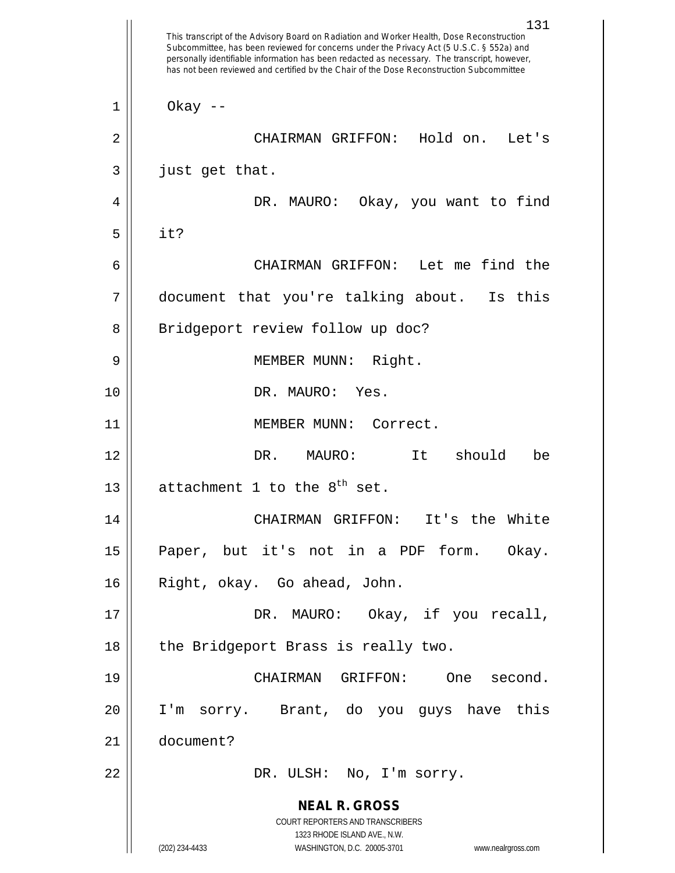**NEAL R. GROSS** COURT REPORTERS AND TRANSCRIBERS 1323 RHODE ISLAND AVE., N.W. (202) 234-4433 WASHINGTON, D.C. 20005-3701 www.nealrgross.com 131 This transcript of the Advisory Board on Radiation and Worker Health, Dose Reconstruction Subcommittee, has been reviewed for concerns under the Privacy Act (5 U.S.C. § 552a) and personally identifiable information has been redacted as necessary. The transcript, however, has not been reviewed and certified by the Chair of the Dose Reconstruction Subcommittee  $1 \parallel$  Okay --2 CHAIRMAN GRIFFON: Hold on. Let's  $3 \parallel$  just get that. 4 DR. MAURO: Okay, you want to find  $5 \parallel$  it? 6 CHAIRMAN GRIFFON: Let me find the 7 document that you're talking about. Is this 8 || Bridgeport review follow up doc? 9 || MEMBER MUNN: Right. 10 DR. MAURO: Yes. 11 || MEMBER MUNN: Correct. 12 DR. MAURO: It should be 13  $\parallel$  attachment 1 to the 8<sup>th</sup> set. 14 CHAIRMAN GRIFFON: It's the White 15 Paper, but it's not in a PDF form. Okay. 16 Right, okay. Go ahead, John. 17 || DR. MAURO: Okay, if you recall, 18 || the Bridgeport Brass is really two. 19 CHAIRMAN GRIFFON: One second. 20 I'm sorry. Brant, do you guys have this 21 document? 22 DR. ULSH: No, I'm sorry.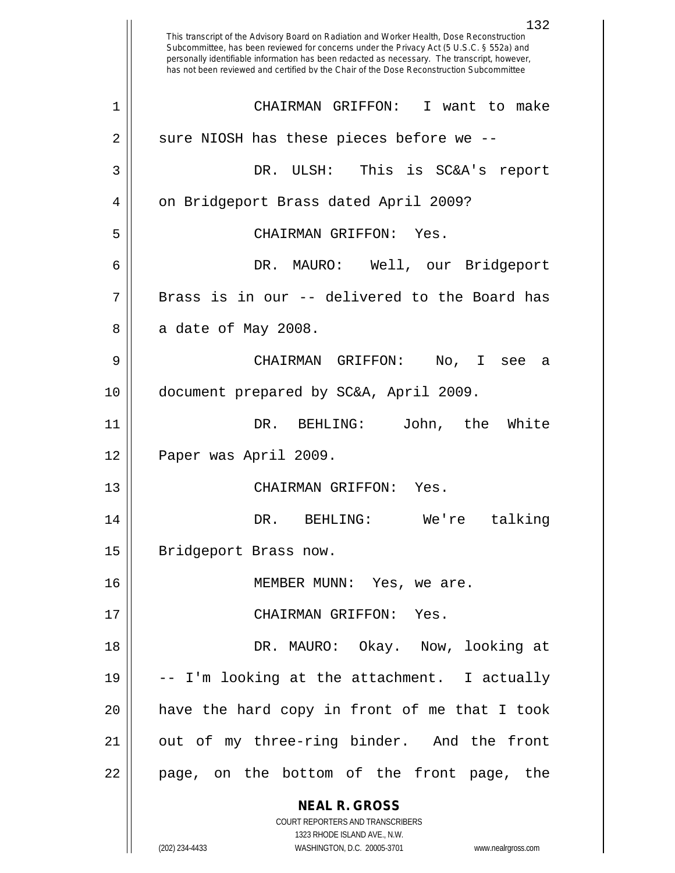|    | 132<br>This transcript of the Advisory Board on Radiation and Worker Health, Dose Reconstruction<br>Subcommittee, has been reviewed for concerns under the Privacy Act (5 U.S.C. § 552a) and<br>personally identifiable information has been redacted as necessary. The transcript, however,<br>has not been reviewed and certified by the Chair of the Dose Reconstruction Subcommittee |
|----|------------------------------------------------------------------------------------------------------------------------------------------------------------------------------------------------------------------------------------------------------------------------------------------------------------------------------------------------------------------------------------------|
| 1  | CHAIRMAN GRIFFON:<br>I want to make                                                                                                                                                                                                                                                                                                                                                      |
| 2  | sure NIOSH has these pieces before we --                                                                                                                                                                                                                                                                                                                                                 |
| 3  | This is SC&A's report<br>DR. ULSH:                                                                                                                                                                                                                                                                                                                                                       |
| 4  | on Bridgeport Brass dated April 2009?                                                                                                                                                                                                                                                                                                                                                    |
| 5  | CHAIRMAN GRIFFON:<br>Yes.                                                                                                                                                                                                                                                                                                                                                                |
| 6  | DR. MAURO: Well, our Bridgeport                                                                                                                                                                                                                                                                                                                                                          |
| 7  | Brass is in our -- delivered to the Board has                                                                                                                                                                                                                                                                                                                                            |
| 8  | a date of May 2008.                                                                                                                                                                                                                                                                                                                                                                      |
| 9  | CHAIRMAN GRIFFON:<br>No, I<br>see<br>а                                                                                                                                                                                                                                                                                                                                                   |
| 10 | document prepared by SC&A, April 2009.                                                                                                                                                                                                                                                                                                                                                   |
| 11 | DR. BEHLING:<br>John,<br>the<br>White                                                                                                                                                                                                                                                                                                                                                    |
| 12 | Paper was April 2009.                                                                                                                                                                                                                                                                                                                                                                    |
| 13 | CHAIRMAN GRIFFON:<br>Yes.                                                                                                                                                                                                                                                                                                                                                                |
| 14 | DR. BEHLING: We're talking                                                                                                                                                                                                                                                                                                                                                               |
| 15 | Bridgeport Brass now.                                                                                                                                                                                                                                                                                                                                                                    |
| 16 | MEMBER MUNN: Yes, we are.                                                                                                                                                                                                                                                                                                                                                                |
| 17 | CHAIRMAN GRIFFON: Yes.                                                                                                                                                                                                                                                                                                                                                                   |
| 18 | DR. MAURO: Okay. Now, looking at                                                                                                                                                                                                                                                                                                                                                         |
| 19 | -- I'm looking at the attachment. I actually                                                                                                                                                                                                                                                                                                                                             |
| 20 | have the hard copy in front of me that I took                                                                                                                                                                                                                                                                                                                                            |
| 21 | out of my three-ring binder. And the front                                                                                                                                                                                                                                                                                                                                               |
| 22 | page, on the bottom of the front page, the                                                                                                                                                                                                                                                                                                                                               |
|    | <b>NEAL R. GROSS</b>                                                                                                                                                                                                                                                                                                                                                                     |
|    | COURT REPORTERS AND TRANSCRIBERS<br>1323 RHODE ISLAND AVE., N.W.                                                                                                                                                                                                                                                                                                                         |
|    | (202) 234-4433<br>WASHINGTON, D.C. 20005-3701<br>www.nealrgross.com                                                                                                                                                                                                                                                                                                                      |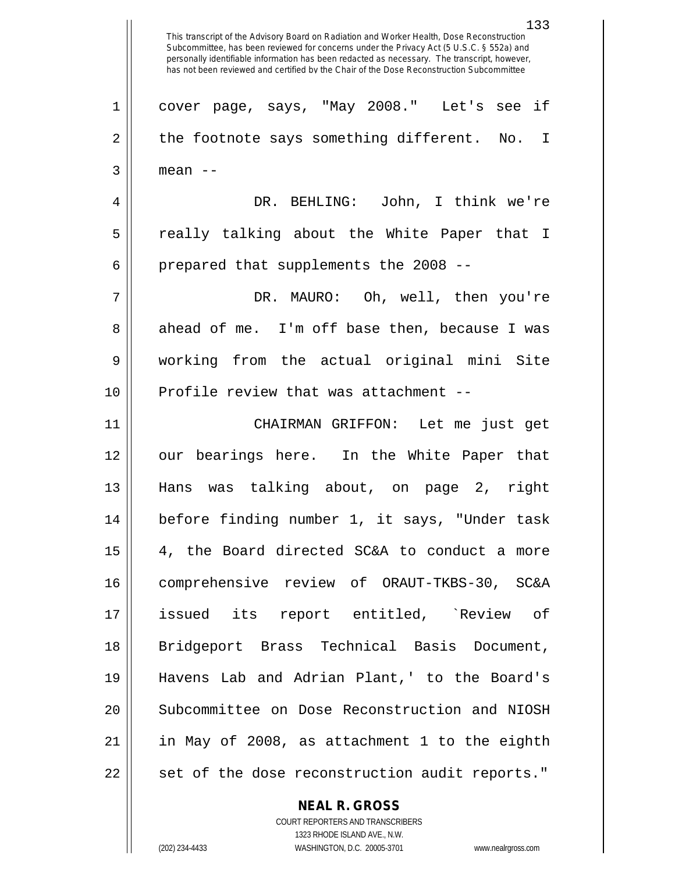This transcript of the Advisory Board on Radiation and Worker Health, Dose Reconstruction Subcommittee, has been reviewed for concerns under the Privacy Act (5 U.S.C. § 552a) and personally identifiable information has been redacted as necessary. The transcript, however, has not been reviewed and certified by the Chair of the Dose Reconstruction Subcommittee 1 || cover page, says, "May 2008." Let's see if  $2 \parallel$  the footnote says something different. No. I  $3 \parallel$  mean  $-$ 4 DR. BEHLING: John, I think we're 5 really talking about the White Paper that I  $6$  | prepared that supplements the 2008 --7 DR. MAURO: Oh, well, then you're 8 ahead of me. I'm off base then, because I was 9 working from the actual original mini Site  $10$  || Profile review that was attachment --11 CHAIRMAN GRIFFON: Let me just get 12 our bearings here. In the White Paper that 13 Hans was talking about, on page 2, right 14 before finding number 1, it says, "Under task  $15 \parallel$  4, the Board directed SC&A to conduct a more 16 comprehensive review of ORAUT-TKBS-30, SC&A 17 issued its report entitled, `Review of 18 Bridgeport Brass Technical Basis Document, 19 Havens Lab and Adrian Plant,' to the Board's 20 || Subcommittee on Dose Reconstruction and NIOSH  $21$  || in May of 2008, as attachment 1 to the eighth 22 || set of the dose reconstruction audit reports."

**NEAL R. GROSS**

COURT REPORTERS AND TRANSCRIBERS 1323 RHODE ISLAND AVE., N.W. (202) 234-4433 WASHINGTON, D.C. 20005-3701 www.nealrgross.com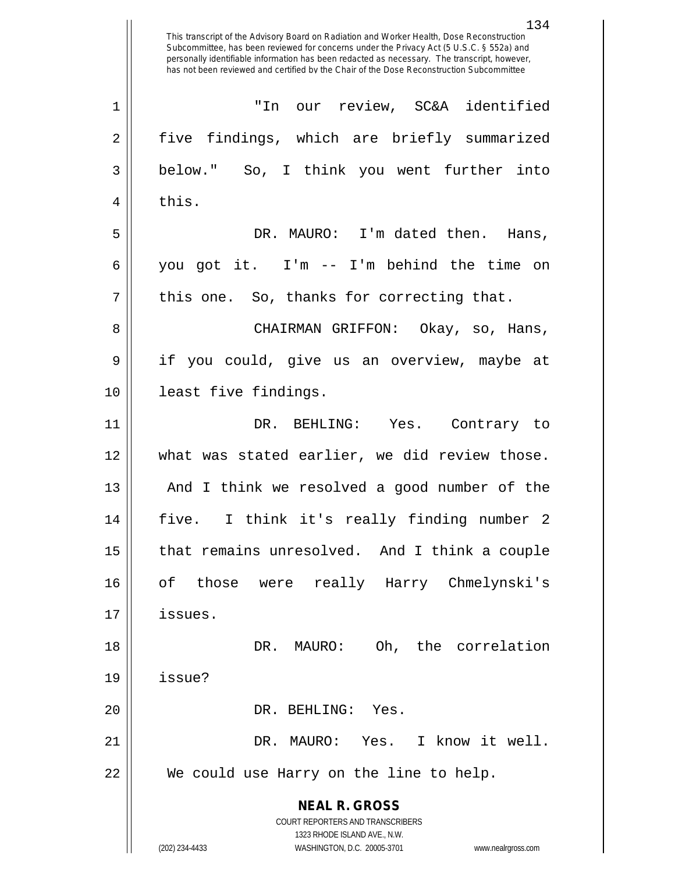**NEAL R. GROSS** COURT REPORTERS AND TRANSCRIBERS 1323 RHODE ISLAND AVE., N.W. (202) 234-4433 WASHINGTON, D.C. 20005-3701 www.nealrgross.com 1 "In our review, SC&A identified 2 five findings, which are briefly summarized 3 below." So, I think you went further into  $4 \parallel$  this. 5 DR. MAURO: I'm dated then. Hans, 6 you got it. I'm -- I'm behind the time on  $7 \parallel$  this one. So, thanks for correcting that. 8 CHAIRMAN GRIFFON: Okay, so, Hans, 9 if you could, give us an overview, maybe at 10 least five findings. 11 DR. BEHLING: Yes. Contrary to 12 what was stated earlier, we did review those. 13 || And I think we resolved a good number of the 14 five. I think it's really finding number 2 15 | that remains unresolved. And I think a couple 16 of those were really Harry Chmelynski's 17 issues. 18 DR. MAURO: Oh, the correlation  $19$  | issue? 20 || DR. BEHLING: Yes. 21 DR. MAURO: Yes. I know it well. 22 We could use Harry on the line to help.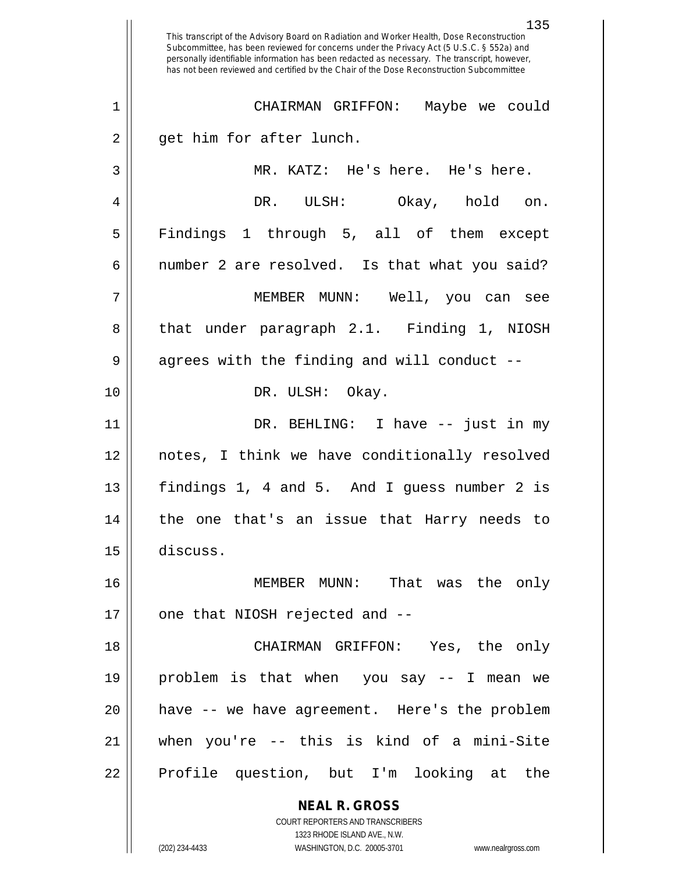**NEAL R. GROSS** COURT REPORTERS AND TRANSCRIBERS 1323 RHODE ISLAND AVE., N.W. 135 This transcript of the Advisory Board on Radiation and Worker Health, Dose Reconstruction Subcommittee, has been reviewed for concerns under the Privacy Act (5 U.S.C. § 552a) and personally identifiable information has been redacted as necessary. The transcript, however, has not been reviewed and certified by the Chair of the Dose Reconstruction Subcommittee 1 CHAIRMAN GRIFFON: Maybe we could  $2 \parallel$  get him for after lunch. 3 MR. KATZ: He's here. He's here. 4 DR. ULSH: Okay, hold on. 5 || Findings 1 through 5, all of them except  $6 \parallel$  number 2 are resolved. Is that what you said? 7 MEMBER MUNN: Well, you can see 8 that under paragraph 2.1. Finding 1, NIOSH 9 || agrees with the finding and will conduct --10 DR. ULSH: Okay. 11 DR. BEHLING: I have -- just in my 12 notes, I think we have conditionally resolved 13 findings 1, 4 and 5. And I guess number 2 is 14 the one that's an issue that Harry needs to 15 discuss. 16 MEMBER MUNN: That was the only  $17$  | one that NIOSH rejected and  $-$ 18 CHAIRMAN GRIFFON: Yes, the only 19 problem is that when you say -- I mean we 20 have -- we have agreement. Here's the problem 21 when you're -- this is kind of a mini-Site 22 || Profile question, but I'm looking at the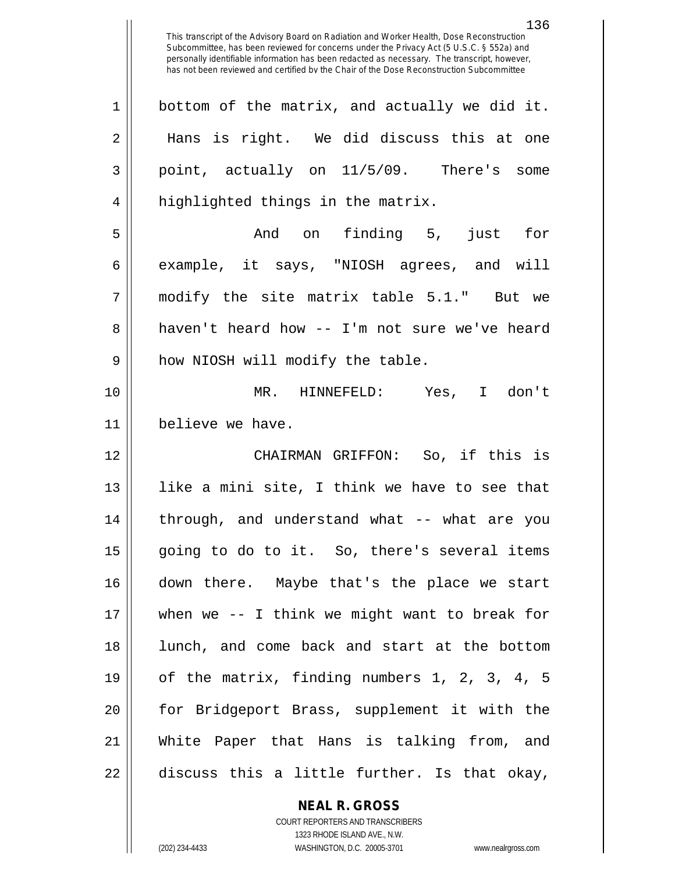| $\mathbf 1$ | bottom of the matrix, and actually we did it.    |
|-------------|--------------------------------------------------|
| 2           | Hans is right. We did discuss this at one        |
| 3           | point, actually on 11/5/09. There's some         |
| 4           | highlighted things in the matrix.                |
| 5           | And on finding 5, just for                       |
| б           | example, it says, "NIOSH agrees, and will        |
| 7           | modify the site matrix table 5.1." But we        |
| 8           | haven't heard how -- I'm not sure we've heard    |
| 9           | how NIOSH will modify the table.                 |
| 10          | MR. HINNEFELD: Yes, I don't                      |
| 11          | believe we have.                                 |
|             |                                                  |
| 12          | CHAIRMAN GRIFFON: So, if this is                 |
| 13          | like a mini site, I think we have to see that    |
| 14          | through, and understand what -- what are you     |
| 15          | going to do to it. So, there's several items     |
| 16          | down there. Maybe that's the place we start      |
| 17          | when we $-$ - I think we might want to break for |
| 18          | lunch, and come back and start at the bottom     |
| 19          | of the matrix, finding numbers 1, 2, 3, 4, 5     |
| 20          | for Bridgeport Brass, supplement it with the     |
| 21          | White Paper that Hans is talking from, and       |

**NEAL R. GROSS** COURT REPORTERS AND TRANSCRIBERS

1323 RHODE ISLAND AVE., N.W. (202) 234-4433 WASHINGTON, D.C. 20005-3701 www.nealrgross.com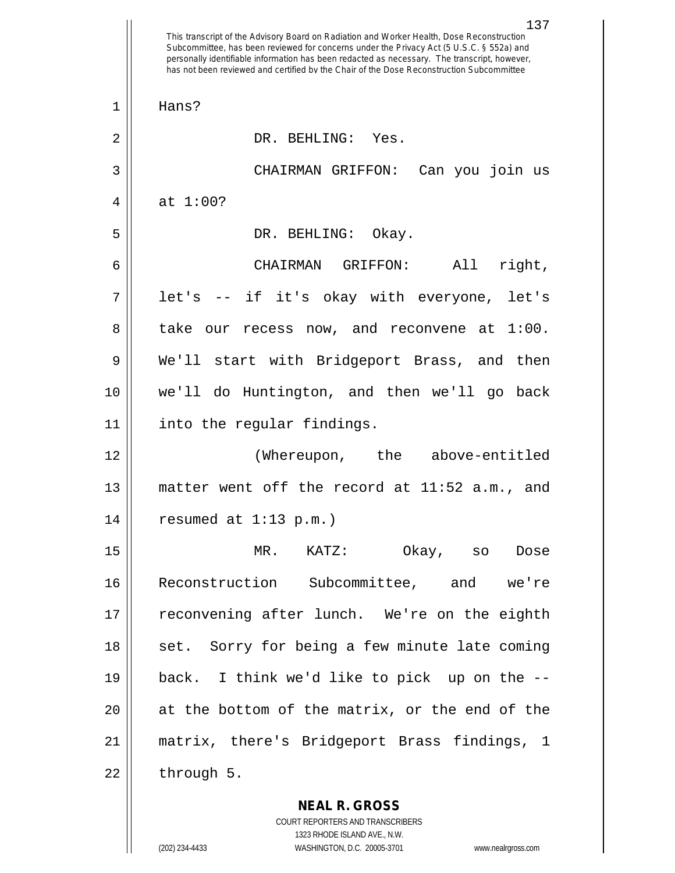This transcript of the Advisory Board on Radiation and Worker Health, Dose Reconstruction Subcommittee, has been reviewed for concerns under the Privacy Act (5 U.S.C. § 552a) and personally identifiable information has been redacted as necessary. The transcript, however, has not been reviewed and certified by the Chair of the Dose Reconstruction Subcommittee 1 Hans? 2 || DR. BEHLING: Yes. 3 CHAIRMAN GRIFFON: Can you join us 4  $\parallel$  at 1:00? 5 DR. BEHLING: Okay. 6 CHAIRMAN GRIFFON: All right, 7 || let's -- if it's okay with everyone, let's 8 take our recess now, and reconvene at 1:00. 9 We'll start with Bridgeport Brass, and then 10 we'll do Huntington, and then we'll go back 11 into the regular findings. 12 (Whereupon, the above-entitled 13 matter went off the record at 11:52 a.m., and 14 || resumed at 1:13 p.m.) 15 MR. KATZ: Okay, so Dose 16 Reconstruction Subcommittee, and we're 17 || reconvening after lunch. We're on the eighth 18 || set. Sorry for being a few minute late coming 19 back. I think we'd like to pick up on the -- 20 at the bottom of the matrix, or the end of the 21 matrix, there's Bridgeport Brass findings, 1  $22 \parallel$  through 5.

> **NEAL R. GROSS** COURT REPORTERS AND TRANSCRIBERS 1323 RHODE ISLAND AVE., N.W.

(202) 234-4433 WASHINGTON, D.C. 20005-3701 www.nealrgross.com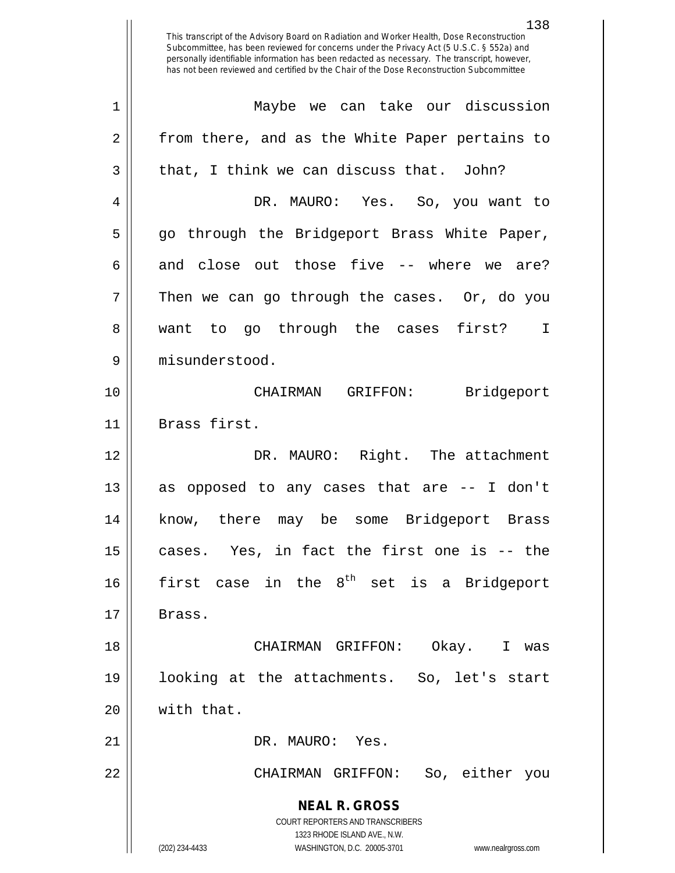**NEAL R. GROSS** COURT REPORTERS AND TRANSCRIBERS 1323 RHODE ISLAND AVE., N.W. (202) 234-4433 WASHINGTON, D.C. 20005-3701 www.nealrgross.com 1 Maybe we can take our discussion 2 || from there, and as the White Paper pertains to  $3 \parallel$  that, I think we can discuss that. John? 4 DR. MAURO: Yes. So, you want to 5 go through the Bridgeport Brass White Paper, 6 and close out those five  $-$  where we are?  $7 \parallel$  Then we can go through the cases. Or, do you 8 || want to go through the cases first? I 9 misunderstood. 10 CHAIRMAN GRIFFON: Bridgeport 11 | Brass first. 12 DR. MAURO: Right. The attachment 13 || as opposed to any cases that are -- I don't 14 know, there may be some Bridgeport Brass  $15$  cases. Yes, in fact the first one is -- the 16 first case in the  $8^{th}$  set is a Bridgeport  $17$  | Brass. 18 CHAIRMAN GRIFFON: Okay. I was 19 looking at the attachments. So, let's start  $20$  || with that. 21 || DR. MAURO: Yes. 22 CHAIRMAN GRIFFON: So, either you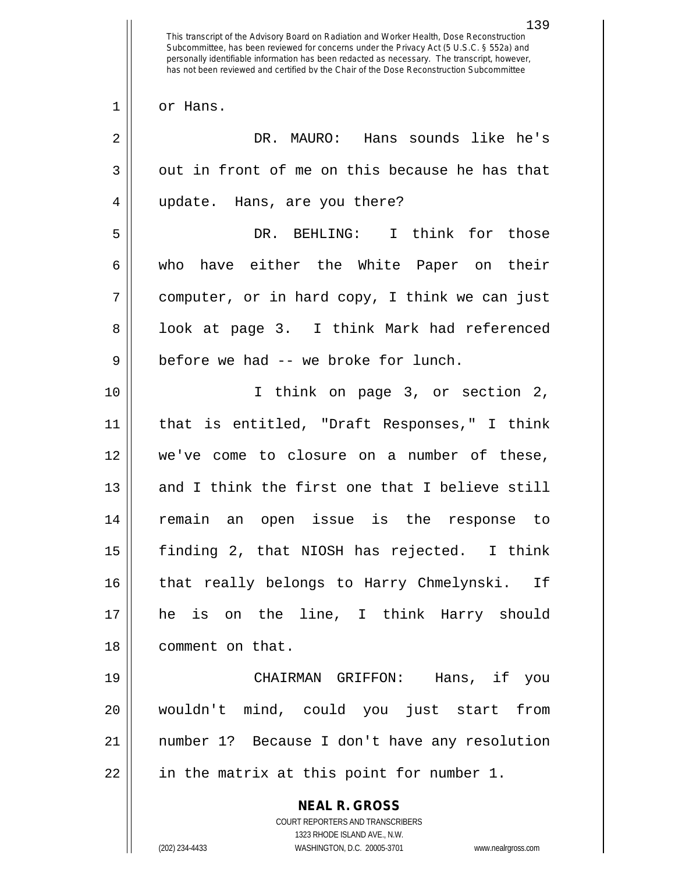**NEAL R. GROSS** COURT REPORTERS AND TRANSCRIBERS 139 This transcript of the Advisory Board on Radiation and Worker Health, Dose Reconstruction Subcommittee, has been reviewed for concerns under the Privacy Act (5 U.S.C. § 552a) and personally identifiable information has been redacted as necessary. The transcript, however, has not been reviewed and certified by the Chair of the Dose Reconstruction Subcommittee 1 || or Hans. 2 DR. MAURO: Hans sounds like he's  $3 \parallel$  out in front of me on this because he has that 4 update. Hans, are you there? 5 DR. BEHLING: I think for those 6 who have either the White Paper on their  $7 \parallel$  computer, or in hard copy, I think we can just 8 || look at page 3. I think Mark had referenced 9 || before we had -- we broke for lunch. 10 I think on page 3, or section 2, 11 that is entitled, "Draft Responses," I think 12 we've come to closure on a number of these, 13 and I think the first one that I believe still 14 remain an open issue is the response to 15 finding 2, that NIOSH has rejected. I think 16 || that really belongs to Harry Chmelynski. If 17 he is on the line, I think Harry should 18 | comment on that. 19 CHAIRMAN GRIFFON: Hans, if you 20 wouldn't mind, could you just start from 21 number 1? Because I don't have any resolution  $22$  || in the matrix at this point for number 1.

1323 RHODE ISLAND AVE., N.W.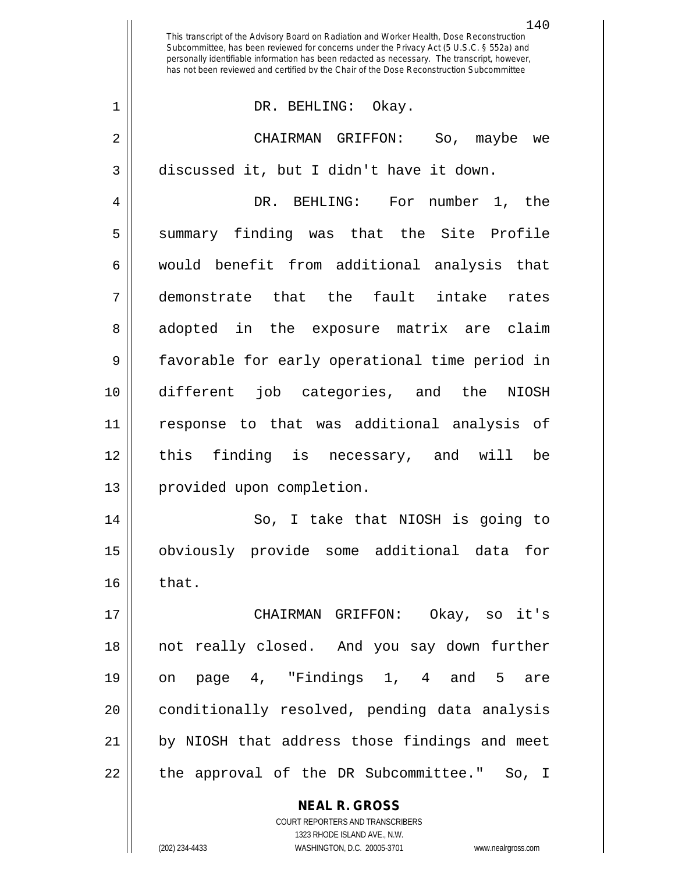**NEAL R. GROSS** COURT REPORTERS AND TRANSCRIBERS This transcript of the Advisory Board on Radiation and Worker Health, Dose Reconstruction Subcommittee, has been reviewed for concerns under the Privacy Act (5 U.S.C. § 552a) and personally identifiable information has been redacted as necessary. The transcript, however, has not been reviewed and certified by the Chair of the Dose Reconstruction Subcommittee 1 DR. BEHLING: Okay. 2 CHAIRMAN GRIFFON: So, maybe we 3 discussed it, but I didn't have it down. 4 DR. BEHLING: For number 1, the 5 Summary finding was that the Site Profile 6 || would benefit from additional analysis that 7 demonstrate that the fault intake rates 8 adopted in the exposure matrix are claim 9 favorable for early operational time period in 10 different job categories, and the NIOSH 11 response to that was additional analysis of 12 this finding is necessary, and will be 13 || provided upon completion. 14 So, I take that NIOSH is going to 15 obviously provide some additional data for  $16$  | that. 17 CHAIRMAN GRIFFON: Okay, so it's 18 not really closed. And you say down further 19 on page 4, "Findings 1, 4 and 5 are 20 || conditionally resolved, pending data analysis 21 || by NIOSH that address those findings and meet 22 || the approval of the DR Subcommittee." So, I

1323 RHODE ISLAND AVE., N.W.

(202) 234-4433 WASHINGTON, D.C. 20005-3701 www.nealrgross.com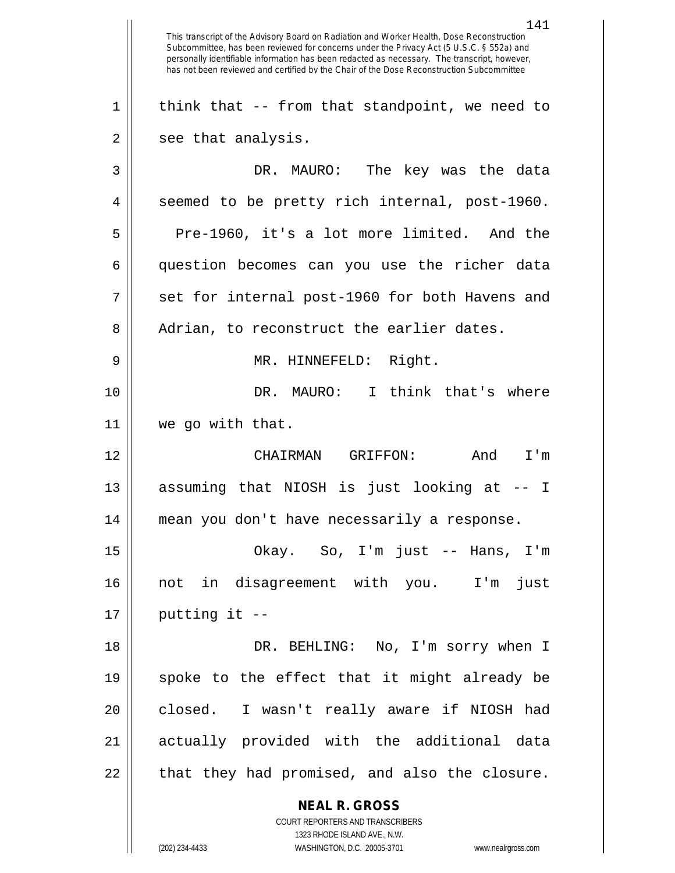**NEAL R. GROSS** COURT REPORTERS AND TRANSCRIBERS 141 This transcript of the Advisory Board on Radiation and Worker Health, Dose Reconstruction Subcommittee, has been reviewed for concerns under the Privacy Act (5 U.S.C. § 552a) and personally identifiable information has been redacted as necessary. The transcript, however, has not been reviewed and certified by the Chair of the Dose Reconstruction Subcommittee  $1 \parallel$  think that -- from that standpoint, we need to  $2 \parallel$  see that analysis. 3 DR. MAURO: The key was the data 4 || seemed to be pretty rich internal, post-1960.  $5 \parallel$  Pre-1960, it's a lot more limited. And the 6 question becomes can you use the richer data  $7 \parallel$  set for internal post-1960 for both Havens and 8 | Adrian, to reconstruct the earlier dates. 9 MR. HINNEFELD: Right. 10 || DR. MAURO: I think that's where 11 we go with that. 12 CHAIRMAN GRIFFON: And I'm 13 || assuming that NIOSH is just looking at -- I 14 mean you don't have necessarily a response. 15 Okay. So, I'm just -- Hans, I'm 16 not in disagreement with you. I'm just  $17 \parallel$  putting it --18 DR. BEHLING: No, I'm sorry when I 19 spoke to the effect that it might already be 20 || closed. I wasn't really aware if NIOSH had 21 || actually provided with the additional data  $22$  || that they had promised, and also the closure.

1323 RHODE ISLAND AVE., N.W.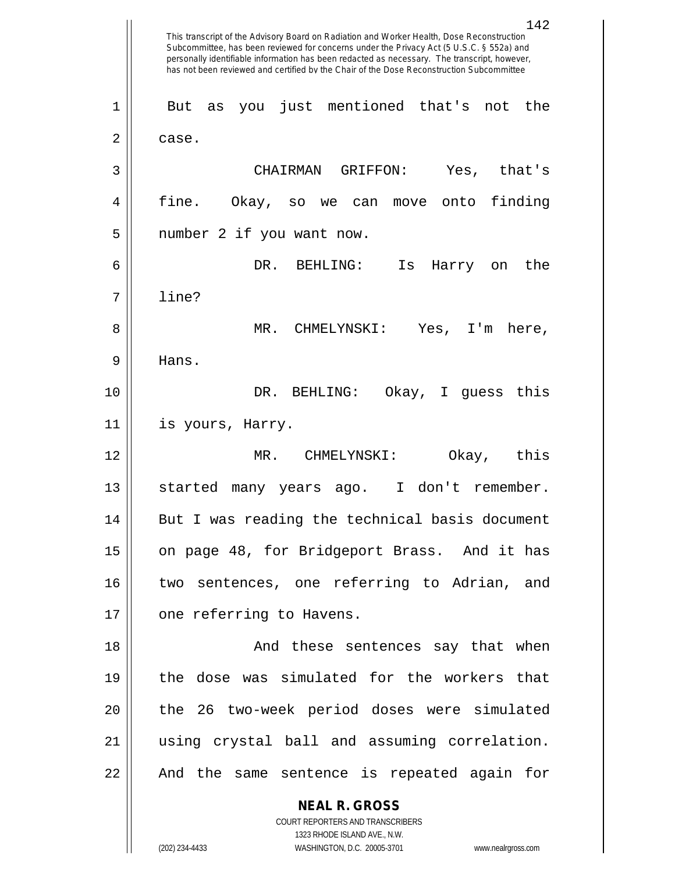**NEAL R. GROSS** COURT REPORTERS AND TRANSCRIBERS 1323 RHODE ISLAND AVE., N.W. 142 This transcript of the Advisory Board on Radiation and Worker Health, Dose Reconstruction Subcommittee, has been reviewed for concerns under the Privacy Act (5 U.S.C. § 552a) and personally identifiable information has been redacted as necessary. The transcript, however, has not been reviewed and certified by the Chair of the Dose Reconstruction Subcommittee 1 But as you just mentioned that's not the  $2 \parallel$  case. 3 CHAIRMAN GRIFFON: Yes, that's 4 fine. Okay, so we can move onto finding 5 || number 2 if you want now. 6 DR. BEHLING: Is Harry on the 7 line? 8 MR. CHMELYNSKI: Yes, I'm here, 9 Hans. 10 DR. BEHLING: Okay, I guess this 11 is yours, Harry. 12 MR. CHMELYNSKI: Okay, this 13 || started many years ago. I don't remember. 14 || But I was reading the technical basis document 15 || on page 48, for Bridgeport Brass. And it has 16 two sentences, one referring to Adrian, and 17 || one referring to Havens. 18 And these sentences say that when 19 the dose was simulated for the workers that 20 || the 26 two-week period doses were simulated 21 using crystal ball and assuming correlation. 22 || And the same sentence is repeated again for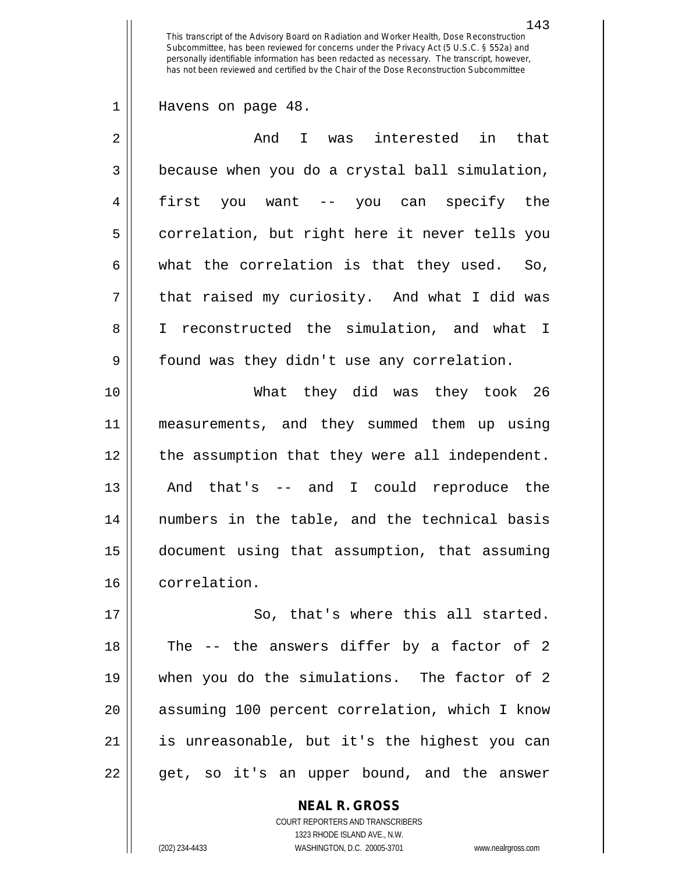Havens on page 48.

| $\overline{2}$ | And I was interested<br>in that                |
|----------------|------------------------------------------------|
| 3              | because when you do a crystal ball simulation, |
| $\overline{4}$ | first you want -- you can specify the          |
| 5              | correlation, but right here it never tells you |
| 6              | what the correlation is that they used. So,    |
| 7              | that raised my curiosity. And what I did was   |
| 8              | I reconstructed the simulation, and what I     |
| 9              | found was they didn't use any correlation.     |
| 10             | What they did was they took 26                 |
| 11             | measurements, and they summed them up using    |
| 12             |                                                |
|                | the assumption that they were all independent. |
| 13             | And that's -- and I could reproduce the        |
| 14             | numbers in the table, and the technical basis  |
| 15             | document using that assumption, that assuming  |
| 16             | correlation.                                   |

17 || So, that's where this all started. || The -- the answers differ by a factor of 2 when you do the simulations. The factor of 2 20 || assuming 100 percent correlation, which I know is unreasonable, but it's the highest you can  $22 \parallel$  get, so it's an upper bound, and the answer

> **NEAL R. GROSS** COURT REPORTERS AND TRANSCRIBERS 1323 RHODE ISLAND AVE., N.W. (202) 234-4433 WASHINGTON, D.C. 20005-3701 www.nealrgross.com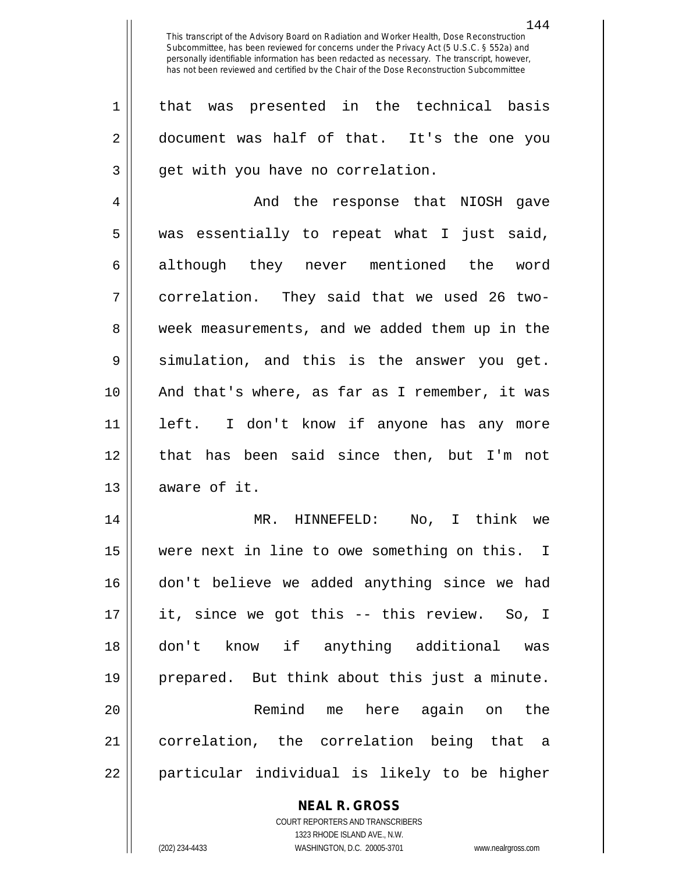1 that was presented in the technical basis 2 document was half of that. It's the one you 3 || get with you have no correlation.

4 And the response that NIOSH gave  $5 \parallel$  was essentially to repeat what I just said, 6 although they never mentioned the word 7 correlation. They said that we used 26 two-8 || week measurements, and we added them up in the  $9 \parallel$  simulation, and this is the answer you get. 10 And that's where, as far as I remember, it was 11 left. I don't know if anyone has any more 12 that has been said since then, but I'm not  $13$  || aware of it.

 MR. HINNEFELD: No, I think we were next in line to owe something on this. I don't believe we added anything since we had it, since we got this -- this review. So, I don't know if anything additional was prepared. But think about this just a minute. Remind me here again on the correlation, the correlation being that a 22 || particular individual is likely to be higher

## **NEAL R. GROSS**

COURT REPORTERS AND TRANSCRIBERS 1323 RHODE ISLAND AVE., N.W. (202) 234-4433 WASHINGTON, D.C. 20005-3701 www.nealrgross.com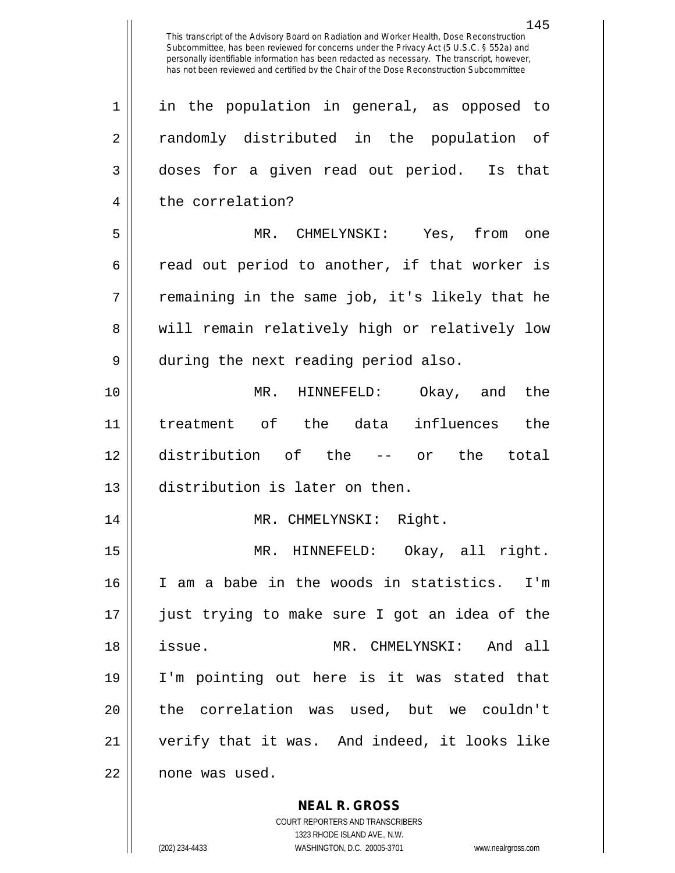1 in the population in general, as opposed to 2 || randomly distributed in the population of 3 doses for a given read out period. Is that 4 | the correlation? 5 MR. CHMELYNSKI: Yes, from one  $6 \parallel$  read out period to another, if that worker is  $7 ||$  remaining in the same job, it's likely that he 8 will remain relatively high or relatively low 9 || during the next reading period also. 10 MR. HINNEFELD: Okay, and the 11 treatment of the data influences the 12 distribution of the -- or the total 13 distribution is later on then. 14 || MR. CHMELYNSKI: Right. 15 MR. HINNEFELD: Okay, all right. 16 I am a babe in the woods in statistics. I'm 17 just trying to make sure I got an idea of the 18 issue. MR. CHMELYNSKI: And all 19 I'm pointing out here is it was stated that 20 || the correlation was used, but we couldn't 21 verify that it was. And indeed, it looks like 22 | none was used.

> **NEAL R. GROSS** COURT REPORTERS AND TRANSCRIBERS

1323 RHODE ISLAND AVE., N.W. (202) 234-4433 WASHINGTON, D.C. 20005-3701 www.nealrgross.com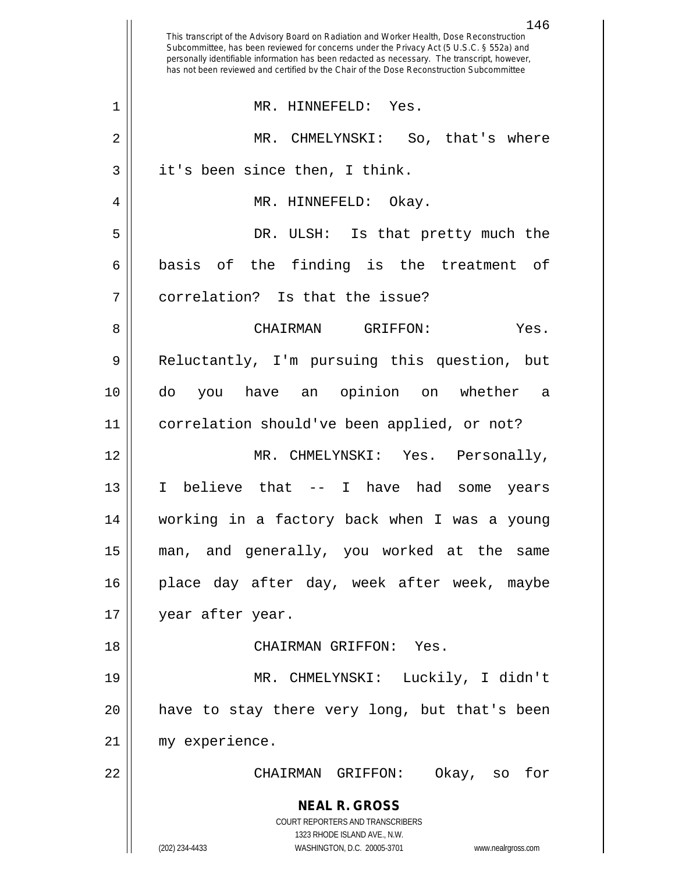|              | 146<br>This transcript of the Advisory Board on Radiation and Worker Health, Dose Reconstruction<br>Subcommittee, has been reviewed for concerns under the Privacy Act (5 U.S.C. § 552a) and<br>personally identifiable information has been redacted as necessary. The transcript, however,<br>has not been reviewed and certified by the Chair of the Dose Reconstruction Subcommittee |
|--------------|------------------------------------------------------------------------------------------------------------------------------------------------------------------------------------------------------------------------------------------------------------------------------------------------------------------------------------------------------------------------------------------|
| $\mathbf{1}$ | MR. HINNEFELD: Yes.                                                                                                                                                                                                                                                                                                                                                                      |
| 2            | MR.<br>So, that's where<br>CHMELYNSKI:                                                                                                                                                                                                                                                                                                                                                   |
| 3            | it's been since then, I think.                                                                                                                                                                                                                                                                                                                                                           |
| 4            | MR. HINNEFELD: Okay.                                                                                                                                                                                                                                                                                                                                                                     |
| 5            | DR.<br>ULSH: Is that pretty much the                                                                                                                                                                                                                                                                                                                                                     |
| 6            | basis of the finding is the treatment<br>of                                                                                                                                                                                                                                                                                                                                              |
| 7            | correlation? Is that the issue?                                                                                                                                                                                                                                                                                                                                                          |
| 8            | <b>CHAIRMAN</b><br>Yes.<br>GRIFFON:                                                                                                                                                                                                                                                                                                                                                      |
| 9            | Reluctantly, I'm pursuing this question,<br>but                                                                                                                                                                                                                                                                                                                                          |
| 10           | opinion<br>do<br>on whether<br>you have<br>an<br>а                                                                                                                                                                                                                                                                                                                                       |
| 11           | correlation should've been applied, or not?                                                                                                                                                                                                                                                                                                                                              |
| 12           | MR. CHMELYNSKI: Yes.<br>Personally,                                                                                                                                                                                                                                                                                                                                                      |
| 13           | believe that<br>I have had<br>I<br>$--$<br>some<br>years                                                                                                                                                                                                                                                                                                                                 |
| 14           | working in a factory back when I was a young                                                                                                                                                                                                                                                                                                                                             |
| 15           | man, and generally, you worked at the same                                                                                                                                                                                                                                                                                                                                               |
| 16           | place day after day, week after week, maybe                                                                                                                                                                                                                                                                                                                                              |
| 17           | year after year.                                                                                                                                                                                                                                                                                                                                                                         |
| 18           | CHAIRMAN GRIFFON: Yes.                                                                                                                                                                                                                                                                                                                                                                   |
| 19           | MR. CHMELYNSKI: Luckily, I didn't                                                                                                                                                                                                                                                                                                                                                        |
| 20           | have to stay there very long, but that's been                                                                                                                                                                                                                                                                                                                                            |
| 21           | my experience.                                                                                                                                                                                                                                                                                                                                                                           |
| 22           | CHAIRMAN GRIFFON:<br>Okay, so<br>for                                                                                                                                                                                                                                                                                                                                                     |
|              | <b>NEAL R. GROSS</b><br>COURT REPORTERS AND TRANSCRIBERS<br>1323 RHODE ISLAND AVE., N.W.<br>(202) 234-4433<br>WASHINGTON, D.C. 20005-3701<br>www.nealrgross.com                                                                                                                                                                                                                          |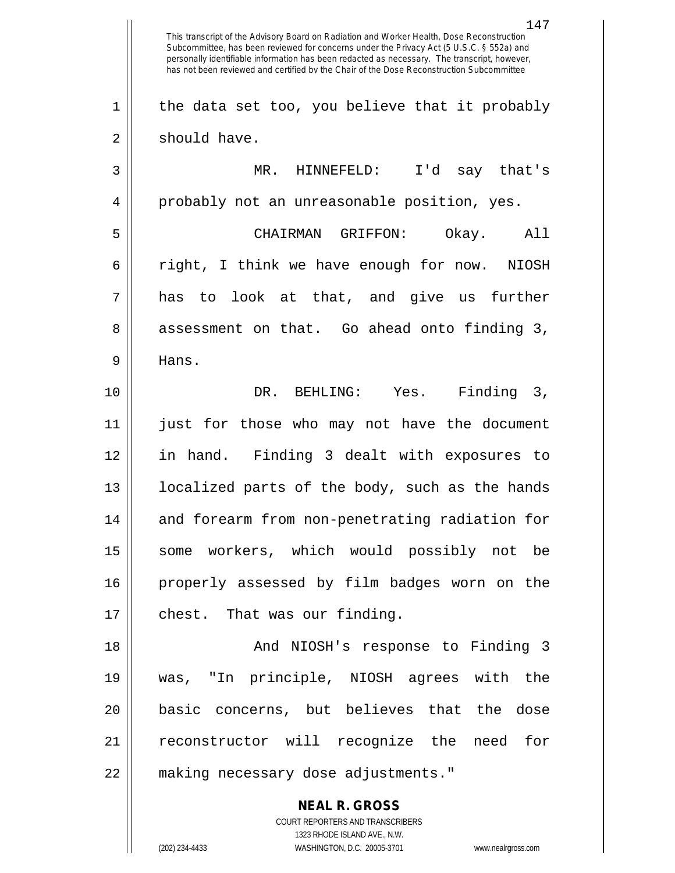**NEAL R. GROSS** COURT REPORTERS AND TRANSCRIBERS 1323 RHODE ISLAND AVE., N.W. 147 This transcript of the Advisory Board on Radiation and Worker Health, Dose Reconstruction Subcommittee, has been reviewed for concerns under the Privacy Act (5 U.S.C. § 552a) and personally identifiable information has been redacted as necessary. The transcript, however, has not been reviewed and certified by the Chair of the Dose Reconstruction Subcommittee  $1 \parallel$  the data set too, you believe that it probably  $2 \parallel$  should have. 3 MR. HINNEFELD: I'd say that's 4 || probably not an unreasonable position, yes. 5 CHAIRMAN GRIFFON: Okay. All 6 || right, I think we have enough for now. NIOSH  $7 \parallel$  has to look at that, and give us further 8 assessment on that. Go ahead onto finding 3, 9 Hans. 10 DR. BEHLING: Yes. Finding 3, 11 just for those who may not have the document 12 in hand. Finding 3 dealt with exposures to 13 || localized parts of the body, such as the hands 14 || and forearm from non-penetrating radiation for 15 || some workers, which would possibly not be 16 properly assessed by film badges worn on the 17 | chest. That was our finding. 18 And NIOSH's response to Finding 3 19 was, "In principle, NIOSH agrees with the 20 basic concerns, but believes that the dose 21 || reconstructor will recognize the need for 22 making necessary dose adjustments."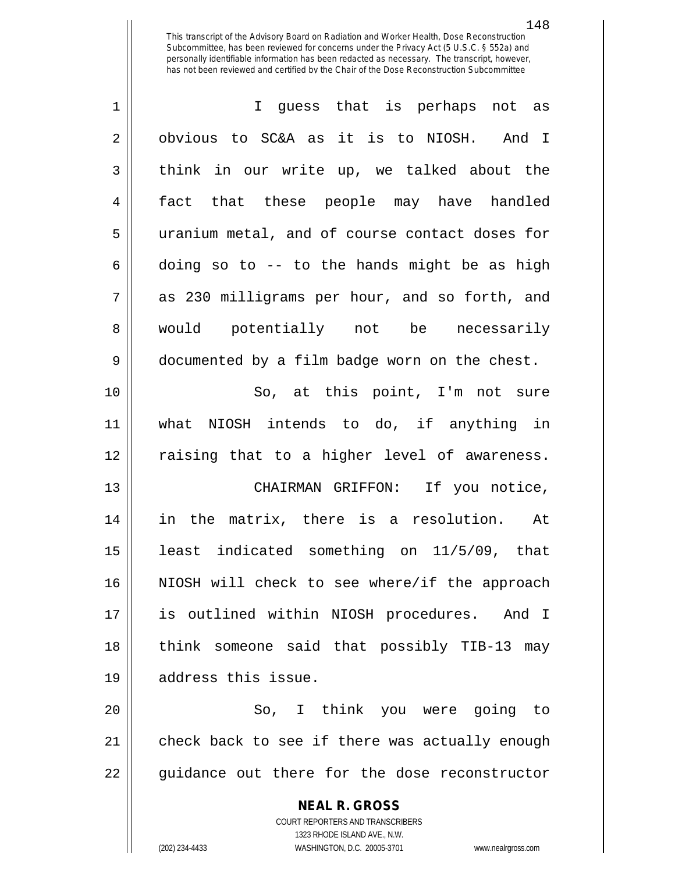| $\mathbf 1$ | I guess that is perhaps not as                 |
|-------------|------------------------------------------------|
| 2           | obvious to SC&A as it is to NIOSH. And I       |
| 3           | think in our write up, we talked about the     |
| 4           | fact that these people may have handled        |
| 5           | uranium metal, and of course contact doses for |
| 6           | doing so to -- to the hands might be as high   |
| 7           | as 230 milligrams per hour, and so forth, and  |
| 8           | would potentially not be necessarily           |
| 9           | documented by a film badge worn on the chest.  |
| 10          | So, at this point, I'm not sure                |
| 11          | what NIOSH intends to do, if anything in       |
| 12          | raising that to a higher level of awareness.   |
| 13          | CHAIRMAN GRIFFON: If you notice,               |
| 14          | in the matrix, there is a resolution. At       |
| 15          | least indicated something on 11/5/09, that     |
| 16          | NIOSH will check to see where/if the approach  |
| 17          | is outlined within NIOSH procedures. And I     |
| 18          | think someone said that possibly TIB-13 may    |
| 19          | address this issue.                            |
| 20          | So, I think you were going to                  |
| 21          | check back to see if there was actually enough |
| 22          | guidance out there for the dose reconstructor  |

**NEAL R. GROSS** COURT REPORTERS AND TRANSCRIBERS 1323 RHODE ISLAND AVE., N.W.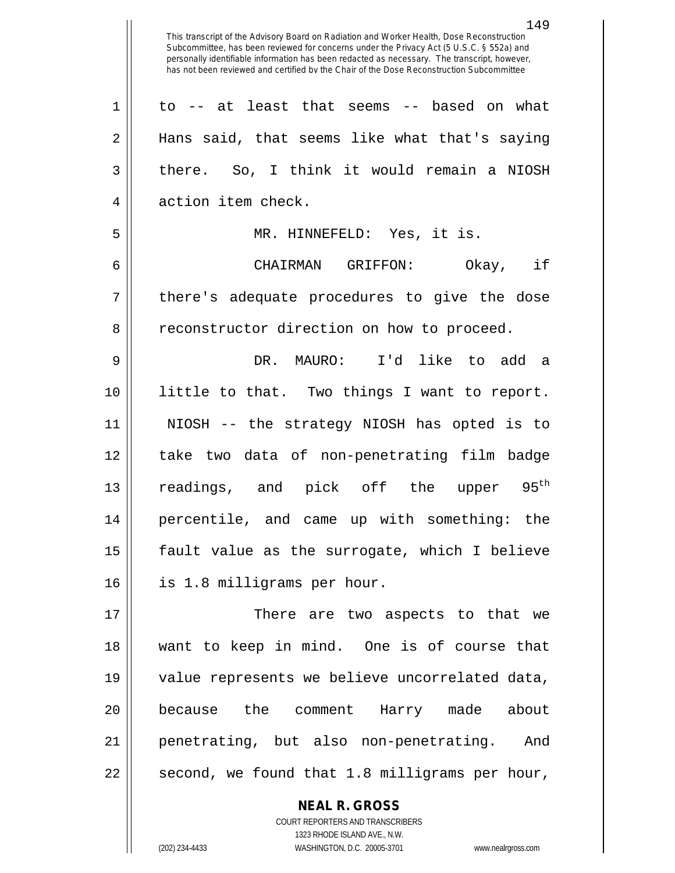149 This transcript of the Advisory Board on Radiation and Worker Health, Dose Reconstruction Subcommittee, has been reviewed for concerns under the Privacy Act (5 U.S.C. § 552a) and personally identifiable information has been redacted as necessary. The transcript, however, has not been reviewed and certified by the Chair of the Dose Reconstruction Subcommittee to -- at least that seems -- based on what Hans said, that seems like what that's saying  $3 \parallel$  there. So, I think it would remain a NIOSH 4 || action item check. MR. HINNEFELD: Yes, it is. CHAIRMAN GRIFFON: Okay, if || there's adequate procedures to give the dose 8 | reconstructor direction on how to proceed. DR. MAURO: I'd like to add a little to that. Two things I want to report. NIOSH -- the strategy NIOSH has opted is to take two data of non-penetrating film badge 13 || readings, and pick off the upper  $95<sup>th</sup>$  percentile, and came up with something: the || fault value as the surrogate, which I believe is 1.8 milligrams per hour. There are two aspects to that we want to keep in mind. One is of course that value represents we believe uncorrelated data, because the comment Harry made about penetrating, but also non-penetrating. And

**NEAL R. GROSS**

 $22 \parallel$  second, we found that 1.8 milligrams per hour,

COURT REPORTERS AND TRANSCRIBERS

1323 RHODE ISLAND AVE., N.W. (202) 234-4433 WASHINGTON, D.C. 20005-3701 www.nealrgross.com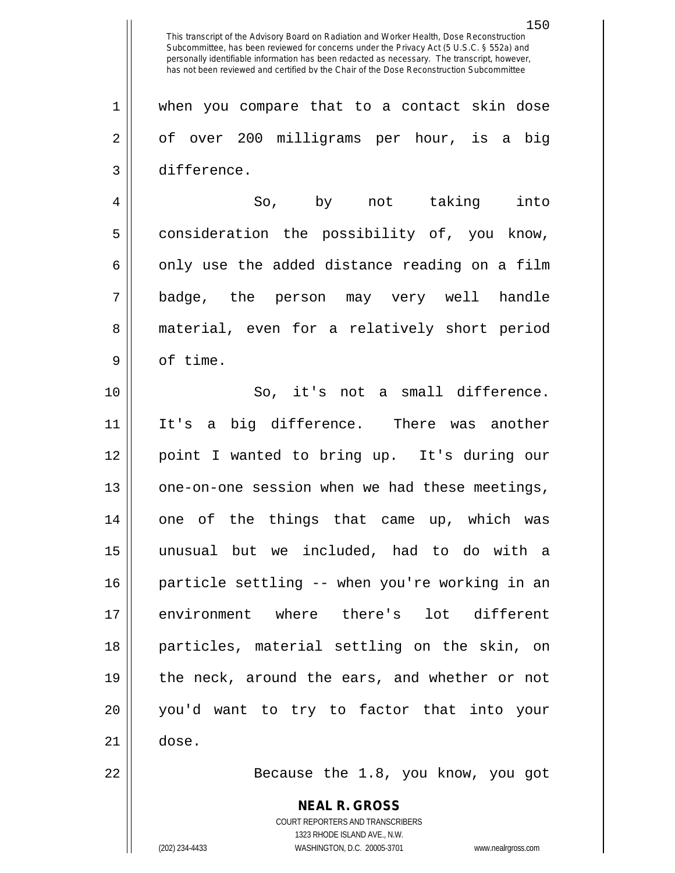**NEAL R. GROSS** COURT REPORTERS AND TRANSCRIBERS 1323 RHODE ISLAND AVE., N.W. 150 This transcript of the Advisory Board on Radiation and Worker Health, Dose Reconstruction Subcommittee, has been reviewed for concerns under the Privacy Act (5 U.S.C. § 552a) and personally identifiable information has been redacted as necessary. The transcript, however, has not been reviewed and certified by the Chair of the Dose Reconstruction Subcommittee 1 || when you compare that to a contact skin dose 2 || of over 200 milligrams per hour, is a big 3 difference. 4 So, by not taking into 5 consideration the possibility of, you know,  $6 \parallel$  only use the added distance reading on a film 7 badge, the person may very well handle 8 || material, even for a relatively short period 9 || of time. 10 || So, it's not a small difference. 11 It's a big difference. There was another 12 point I wanted to bring up. It's during our 13 || one-on-one session when we had these meetings, 14 one of the things that came up, which was 15 unusual but we included, had to do with a 16 particle settling -- when you're working in an 17 || environment where there's lot different 18 particles, material settling on the skin, on 19 || the neck, around the ears, and whether or not 20 you'd want to try to factor that into your  $21 \parallel$  dose. 22 || Because the 1.8, you know, you got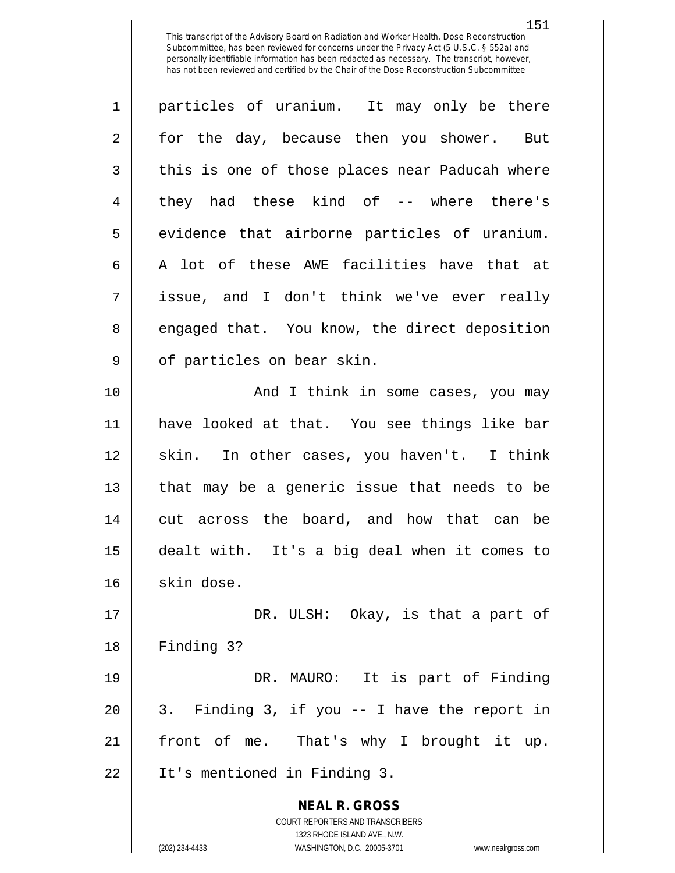**NEAL R. GROSS** COURT REPORTERS AND TRANSCRIBERS 1323 RHODE ISLAND AVE., N.W. (202) 234-4433 WASHINGTON, D.C. 20005-3701 www.nealrgross.com 1 || particles of uranium. It may only be there 2 for the day, because then you shower. But  $3 \parallel$  this is one of those places near Paducah where 4 || they had these kind of -- where there's 5 || evidence that airborne particles of uranium. 6  $\parallel$  A lot of these AWE facilities have that at 7 || issue, and I don't think we've ever really 8 engaged that. You know, the direct deposition 9 || of particles on bear skin. 10 And I think in some cases, you may 11 have looked at that. You see things like bar 12 || skin. In other cases, you haven't. I think 13 || that may be a generic issue that needs to be 14 || cut across the board, and how that can be 15 dealt with. It's a big deal when it comes to  $16$  skin dose. 17 DR. ULSH: Okay, is that a part of 18 Finding 3? 19 DR. MAURO: It is part of Finding  $20 \parallel 3$ . Finding 3, if you  $-1$  have the report in 21 front of me. That's why I brought it up. 22 It's mentioned in Finding 3.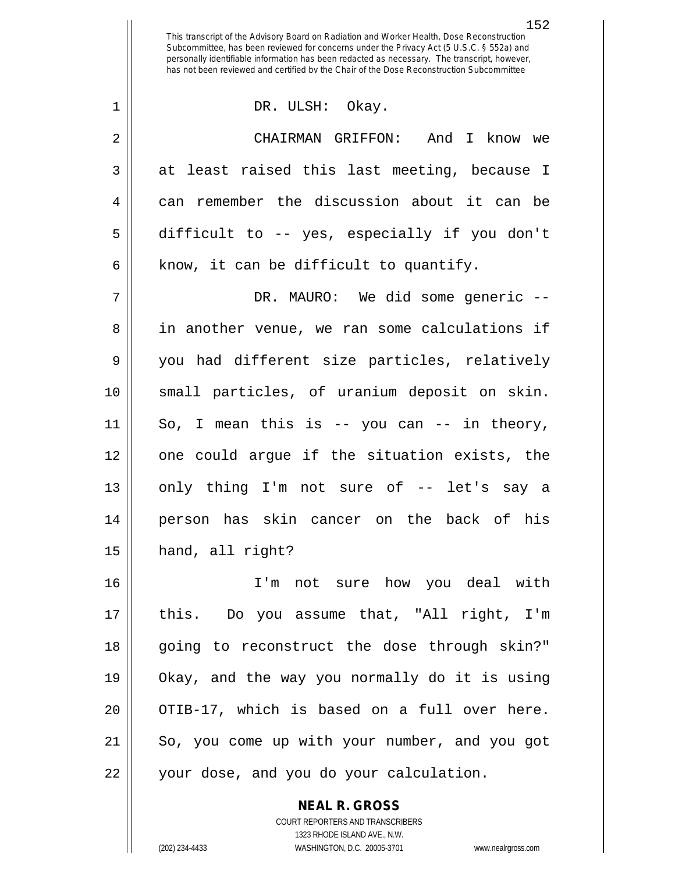1 DR. ULSH: Okay.

2 CHAIRMAN GRIFFON: And I know we  $3 \parallel$  at least raised this last meeting, because I 4 can remember the discussion about it can be 5 difficult to -- yes, especially if you don't  $6 \parallel$  know, it can be difficult to quantify.

 DR. MAURO: We did some generic -- 8 || in another venue, we ran some calculations if you had different size particles, relatively small particles, of uranium deposit on skin. So, I mean this is -- you can -- in theory, one could argue if the situation exists, the 13 || only thing I'm not sure of -- let's say a person has skin cancer on the back of his hand, all right?

16 I'm not sure how you deal with 17 this. Do you assume that, "All right, I'm 18 || going to reconstruct the dose through skin?" 19 Okay, and the way you normally do it is using 20 || OTIB-17, which is based on a full over here. 21 || So, you come up with your number, and you got 22 | your dose, and you do your calculation.

**NEAL R. GROSS**

COURT REPORTERS AND TRANSCRIBERS 1323 RHODE ISLAND AVE., N.W. (202) 234-4433 WASHINGTON, D.C. 20005-3701 www.nealrgross.com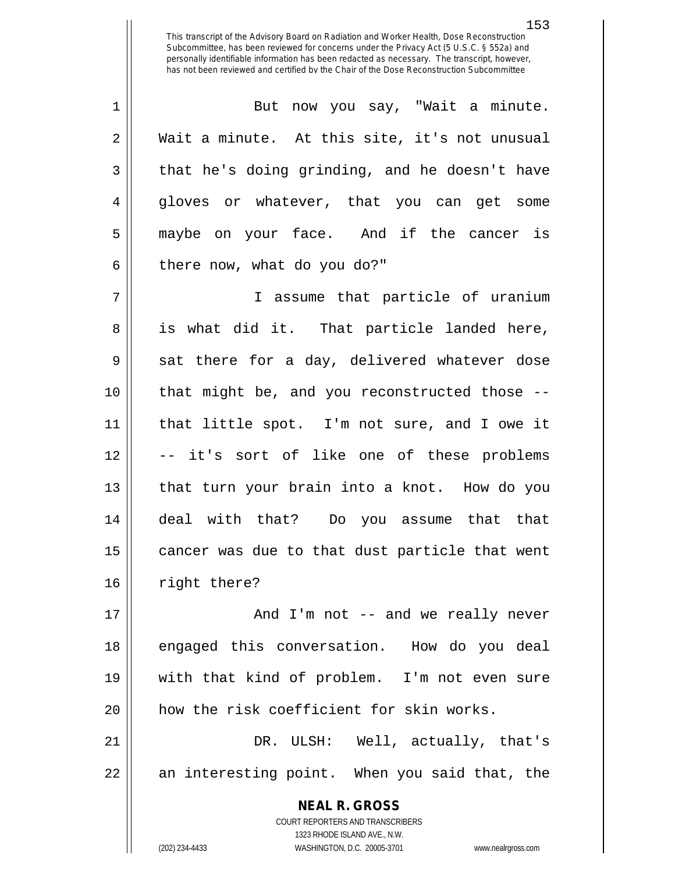1 || But now you say, "Wait a minute.  $2 \parallel$  Wait a minute. At this site, it's not unusual  $3 \parallel$  that he's doing grinding, and he doesn't have 4 gloves or whatever, that you can get some 5 maybe on your face. And if the cancer is  $6 \parallel$  there now, what do you do?"

7 I assume that particle of uranium 8 || is what did it. That particle landed here,  $9 \parallel$  sat there for a day, delivered whatever dose 10 that might be, and you reconstructed those -- 11 that little spot. I'm not sure, and I owe it 12 -- it's sort of like one of these problems 13 || that turn your brain into a knot. How do you 14 deal with that? Do you assume that that  $15$  | cancer was due to that dust particle that went 16 | right there?

17 || And I'm not -- and we really never 18 || engaged this conversation. How do you deal 19 with that kind of problem. I'm not even sure 20 || how the risk coefficient for skin works.

21 DR. ULSH: Well, actually, that's 22 || an interesting point. When you said that, the

> **NEAL R. GROSS** COURT REPORTERS AND TRANSCRIBERS 1323 RHODE ISLAND AVE., N.W. (202) 234-4433 WASHINGTON, D.C. 20005-3701 www.nealrgross.com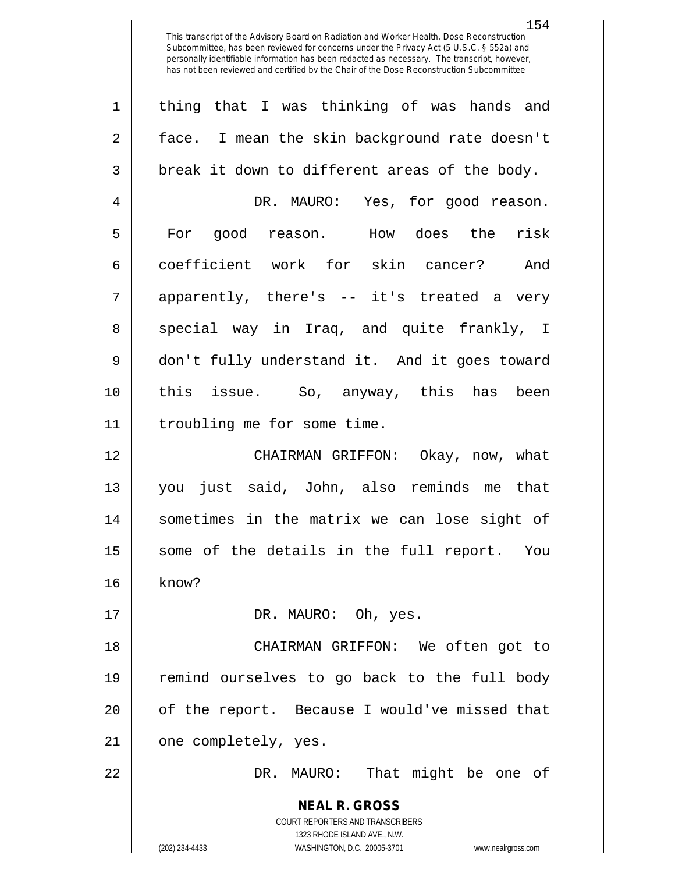**NEAL R. GROSS** COURT REPORTERS AND TRANSCRIBERS 1323 RHODE ISLAND AVE., N.W. (202) 234-4433 WASHINGTON, D.C. 20005-3701 www.nealrgross.com 1 || thing that I was thinking of was hands and 2 | face. I mean the skin background rate doesn't  $3 \parallel$  break it down to different areas of the body. 4 DR. MAURO: Yes, for good reason. 5 || For good reason. How does the risk 6 coefficient work for skin cancer? And  $7 \parallel$  apparently, there's -- it's treated a very 8 special way in Iraq, and quite frankly, I 9 don't fully understand it. And it goes toward 10 this issue. So, anyway, this has been 11 | troubling me for some time. 12 CHAIRMAN GRIFFON: Okay, now, what 13 you just said, John, also reminds me that 14 sometimes in the matrix we can lose sight of 15 || some of the details in the full report. You 16 || know? 17 DR. MAURO: Oh, yes. 18 CHAIRMAN GRIFFON: We often got to 19 remind ourselves to go back to the full body 20 || of the report. Because I would've missed that 21 | one completely, yes. 22 DR. MAURO: That might be one of

154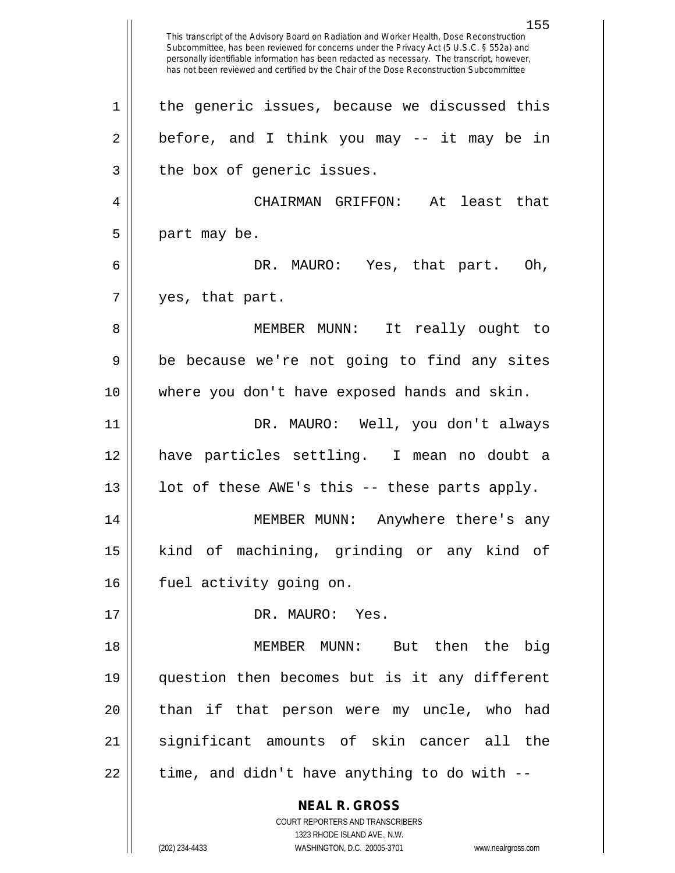**NEAL R. GROSS** COURT REPORTERS AND TRANSCRIBERS 1323 RHODE ISLAND AVE., N.W. (202) 234-4433 WASHINGTON, D.C. 20005-3701 www.nealrgross.com This transcript of the Advisory Board on Radiation and Worker Health, Dose Reconstruction Subcommittee, has been reviewed for concerns under the Privacy Act (5 U.S.C. § 552a) and personally identifiable information has been redacted as necessary. The transcript, however, has not been reviewed and certified by the Chair of the Dose Reconstruction Subcommittee  $1 \parallel$  the generic issues, because we discussed this  $2 \parallel$  before, and I think you may -- it may be in  $3$  | the box of generic issues. 4 CHAIRMAN GRIFFON: At least that  $5 \parallel$  part may be. 6 DR. MAURO: Yes, that part. Oh,  $7 \parallel$  yes, that part. 8 || MEMBER MUNN: It really ought to  $9 \parallel$  be because we're not going to find any sites 10 where you don't have exposed hands and skin. 11 DR. MAURO: Well, you don't always 12 have particles settling. I mean no doubt a  $13$  || lot of these AWE's this -- these parts apply. 14 MEMBER MUNN: Anywhere there's any 15 kind of machining, grinding or any kind of 16 | fuel activity going on. 17 || DR. MAURO: Yes. 18 MEMBER MUNN: But then the big 19 question then becomes but is it any different 20 || than if that person were my uncle, who had 21 || significant amounts of skin cancer all the  $22$  | time, and didn't have anything to do with  $-$ 

155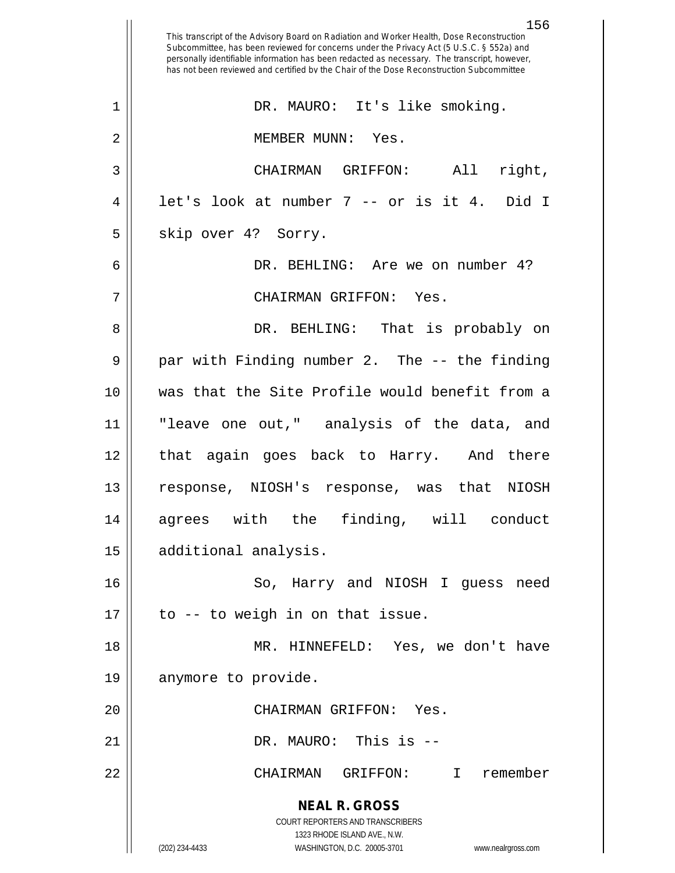**NEAL R. GROSS** COURT REPORTERS AND TRANSCRIBERS 1323 RHODE ISLAND AVE., N.W. (202) 234-4433 WASHINGTON, D.C. 20005-3701 www.nealrgross.com 156 This transcript of the Advisory Board on Radiation and Worker Health, Dose Reconstruction Subcommittee, has been reviewed for concerns under the Privacy Act (5 U.S.C. § 552a) and personally identifiable information has been redacted as necessary. The transcript, however, has not been reviewed and certified by the Chair of the Dose Reconstruction Subcommittee 1 || DR. MAURO: It's like smoking. 2 || MEMBER MUNN: Yes. 3 CHAIRMAN GRIFFON: All right,  $4 \parallel$  let's look at number 7 -- or is it 4. Did I  $5 \parallel$  skip over 4? Sorry. 6 DR. BEHLING: Are we on number 4? 7 CHAIRMAN GRIFFON: Yes. 8 DR. BEHLING: That is probably on 9 || par with Finding number 2. The -- the finding 10 was that the Site Profile would benefit from a 11 "leave one out," analysis of the data, and 12 || that again goes back to Harry. And there 13 response, NIOSH's response, was that NIOSH 14 agrees with the finding, will conduct 15 | additional analysis. 16 || So, Harry and NIOSH I quess need  $17 \parallel$  to -- to weigh in on that issue. 18 MR. HINNEFELD: Yes, we don't have 19 | anymore to provide. 20 CHAIRMAN GRIFFON: Yes. 21 DR. MAURO: This is -- 22 CHAIRMAN GRIFFON: I remember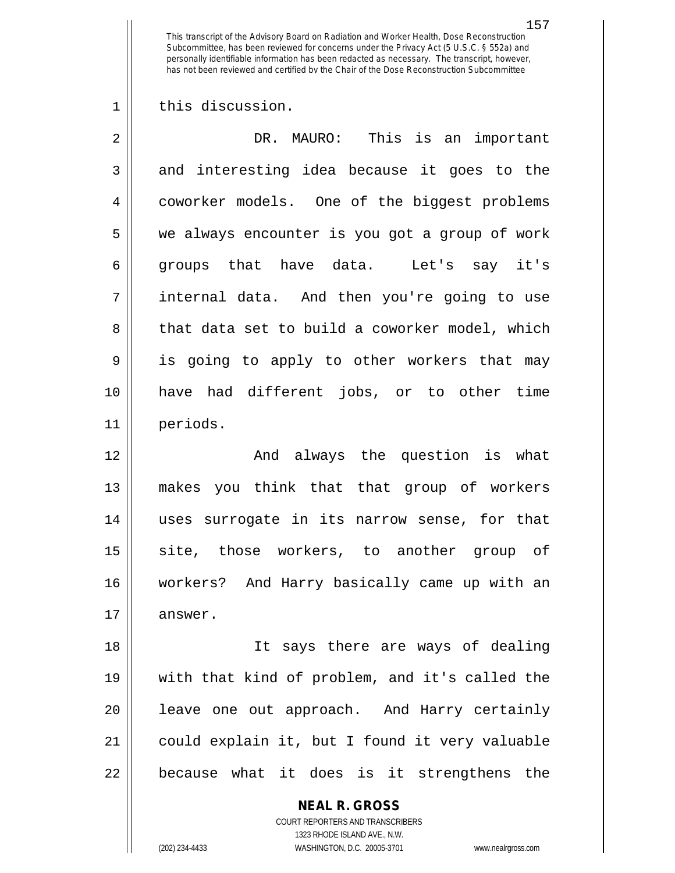1 || this discussion.

| $\overline{2}$ | DR. MAURO: This is an important                |
|----------------|------------------------------------------------|
| 3              | and interesting idea because it goes to the    |
| 4              | coworker models. One of the biggest problems   |
| 5              | we always encounter is you got a group of work |
| 6              | groups that have data. Let's say it's          |
| 7              | internal data. And then you're going to use    |
| 8              | that data set to build a coworker model, which |
| 9              | is going to apply to other workers that may    |
| 10             | have had different jobs, or to other time      |
| 11             | periods.                                       |
| 12             | And always the question is what                |
| 13             | makes you think that that group of workers     |
| 14             | uses surrogate in its narrow sense, for that   |
| 15             | site, those workers, to another group of       |
| 16             | workers? And Harry basically came up with an   |
| 17             | answer.                                        |
| 18             | It says there are ways of dealing              |
| 19             | with that kind of problem, and it's called the |
| 20             | leave one out approach. And Harry certainly    |
| 21             | could explain it, but I found it very valuable |
| 22             | because what it does is it strengthens the     |

**NEAL R. GROSS** COURT REPORTERS AND TRANSCRIBERS 1323 RHODE ISLAND AVE., N.W.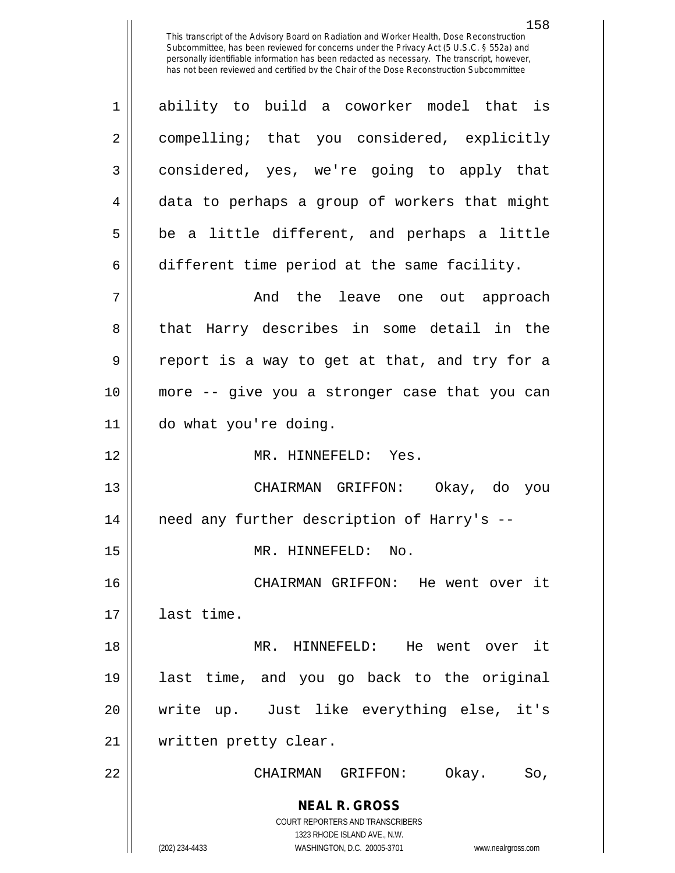158

**NEAL R. GROSS** COURT REPORTERS AND TRANSCRIBERS 1323 RHODE ISLAND AVE., N.W. 1 ability to build a coworker model that is 2 compelling; that you considered, explicitly 3 considered, yes, we're going to apply that 4 data to perhaps a group of workers that might  $5 \parallel$  be a little different, and perhaps a little 6 different time period at the same facility. 7 And the leave one out approach 8 that Harry describes in some detail in the  $9 \parallel$  report is a way to get at that, and try for a 10 more -- give you a stronger case that you can 11 do what you're doing. 12 MR. HINNEFELD: Yes. 13 CHAIRMAN GRIFFON: Okay, do you 14 need any further description of Harry's -- 15 || MR. HINNEFELD: No. 16 CHAIRMAN GRIFFON: He went over it 17 last time. 18 MR. HINNEFELD: He went over it 19 last time, and you go back to the original 20 write up. Just like everything else, it's 21 written pretty clear. 22 CHAIRMAN GRIFFON: Okay. So,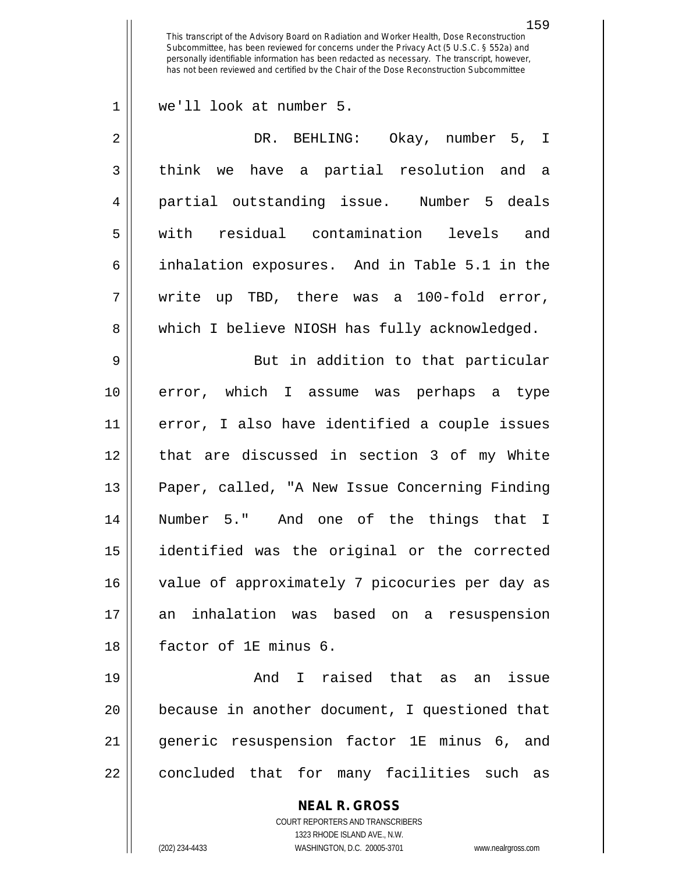we'll look at number 5.

| $\overline{2}$ | DR. BEHLING: Okay, number 5, I                 |
|----------------|------------------------------------------------|
| 3              | think we have a partial resolution and a       |
| 4              | partial outstanding issue. Number 5 deals      |
| 5              | with residual contamination levels and         |
| 6              | inhalation exposures. And in Table 5.1 in the  |
| 7              | write up TBD, there was a 100-fold error,      |
| 8              | which I believe NIOSH has fully acknowledged.  |
| 9              | But in addition to that particular             |
| 10             | error, which I assume was perhaps a type       |
| 11             | error, I also have identified a couple issues  |
| 12             | that are discussed in section 3 of my White    |
| 13             | Paper, called, "A New Issue Concerning Finding |

 Number 5." And one of the things that I identified was the original or the corrected 16 || value of approximately 7 picocuries per day as an inhalation was based on a resuspension factor of 1E minus 6.

 And I raised that as an issue because in another document, I questioned that generic resuspension factor 1E minus 6, and 22 || concluded that for many facilities such as

> **NEAL R. GROSS** COURT REPORTERS AND TRANSCRIBERS

> > 1323 RHODE ISLAND AVE., N.W.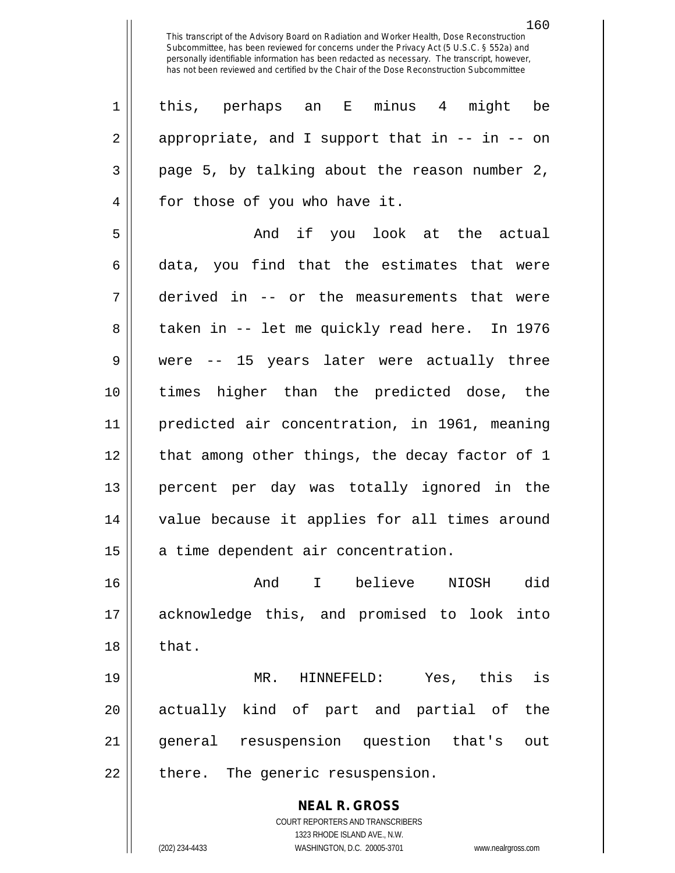1 this, perhaps an E minus 4 might be  $2 \parallel$  appropriate, and I support that in  $--$  in  $--$  on  $3 \parallel$  page 5, by talking about the reason number 2, 4 || for those of you who have it.

 And if you look at the actual  $6 \parallel$  data, you find that the estimates that were derived in -- or the measurements that were 8 || taken in -- let me quickly read here. In 1976 were -- 15 years later were actually three times higher than the predicted dose, the predicted air concentration, in 1961, meaning 12 || that among other things, the decay factor of 1 percent per day was totally ignored in the value because it applies for all times around 15 | a time dependent air concentration.

16 And I believe NIOSH did 17 acknowledge this, and promised to look into  $18 \parallel$  that.

19 MR. HINNEFELD: Yes, this is 20 || actually kind of part and partial of the 21 general resuspension question that's out 22 || there. The generic resuspension.

> **NEAL R. GROSS** COURT REPORTERS AND TRANSCRIBERS 1323 RHODE ISLAND AVE., N.W. (202) 234-4433 WASHINGTON, D.C. 20005-3701 www.nealrgross.com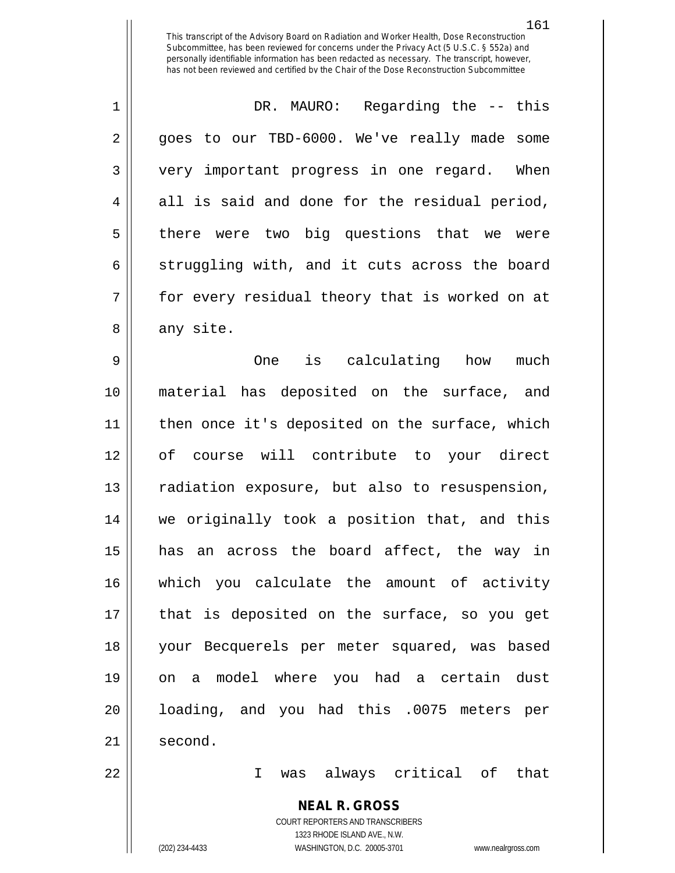1 DR. MAURO: Regarding the -- this 2 || goes to our TBD-6000. We've really made some 3 || very important progress in one regard. When  $4 \parallel$  all is said and done for the residual period, 5 || there were two big questions that we were  $6 \parallel$  struggling with, and it cuts across the board 7 || for every residual theory that is worked on at  $8 \parallel$  any site.

 One is calculating how much material has deposited on the surface, and then once it's deposited on the surface, which of course will contribute to your direct 13 || radiation exposure, but also to resuspension, we originally took a position that, and this has an across the board affect, the way in which you calculate the amount of activity that is deposited on the surface, so you get your Becquerels per meter squared, was based on a model where you had a certain dust loading, and you had this .0075 meters per 21 | second.

22 I was always critical of that

## **NEAL R. GROSS**

COURT REPORTERS AND TRANSCRIBERS 1323 RHODE ISLAND AVE., N.W. (202) 234-4433 WASHINGTON, D.C. 20005-3701 www.nealrgross.com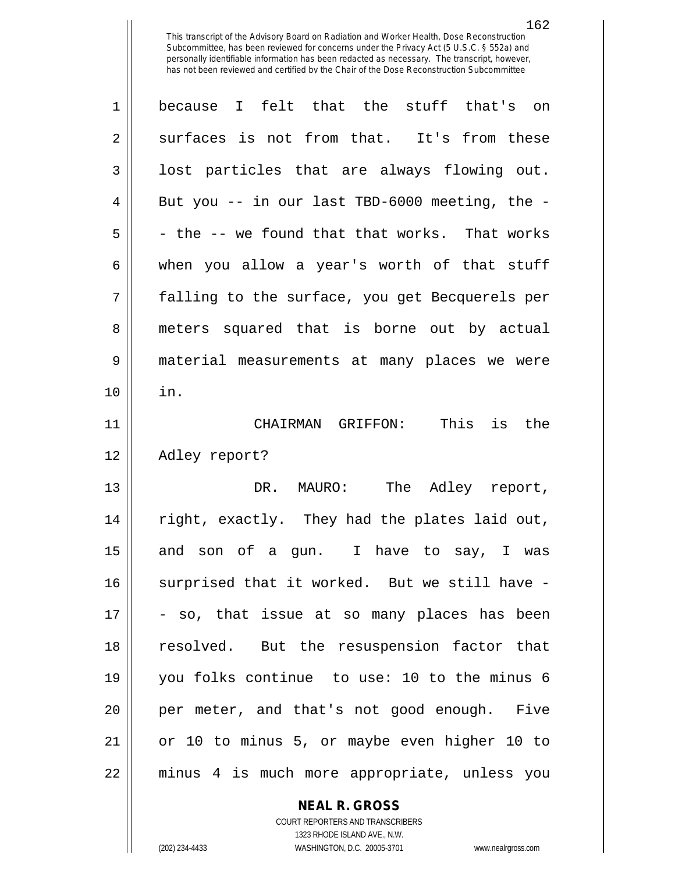| $\mathbf 1$    | because I felt that the stuff that's on        |
|----------------|------------------------------------------------|
| $\overline{2}$ | surfaces is not from that. It's from these     |
| 3              | lost particles that are always flowing out.    |
| 4              | But you -- in our last TBD-6000 meeting, the - |
| 5              | - the -- we found that that works. That works  |
| 6              | when you allow a year's worth of that stuff    |
| 7              | falling to the surface, you get Becquerels per |
| 8              | meters squared that is borne out by actual     |
| 9              | material measurements at many places we were   |
| 10             | in.                                            |
| 11             | CHAIRMAN GRIFFON: This<br>is the               |
| 12             | Adley report?                                  |
| 13             | MAURO: The Adley report,<br>DR.                |
| 14             | right, exactly. They had the plates laid out,  |
| 15             | and son of a gun. I have to say, I was         |
| 16             | surprised that it worked. But we still have -  |
| 17             | - so, that issue at so many places has been    |
| 18             | resolved. But the resuspension factor that     |
| 19             | you folks continue to use: 10 to the minus 6   |
| 20             | per meter, and that's not good enough. Five    |
| 21             | or 10 to minus 5, or maybe even higher 10 to   |
| 22             | minus 4 is much more appropriate, unless you   |

**NEAL R. GROSS**

COURT REPORTERS AND TRANSCRIBERS 1323 RHODE ISLAND AVE., N.W. (202) 234-4433 WASHINGTON, D.C. 20005-3701 www.nealrgross.com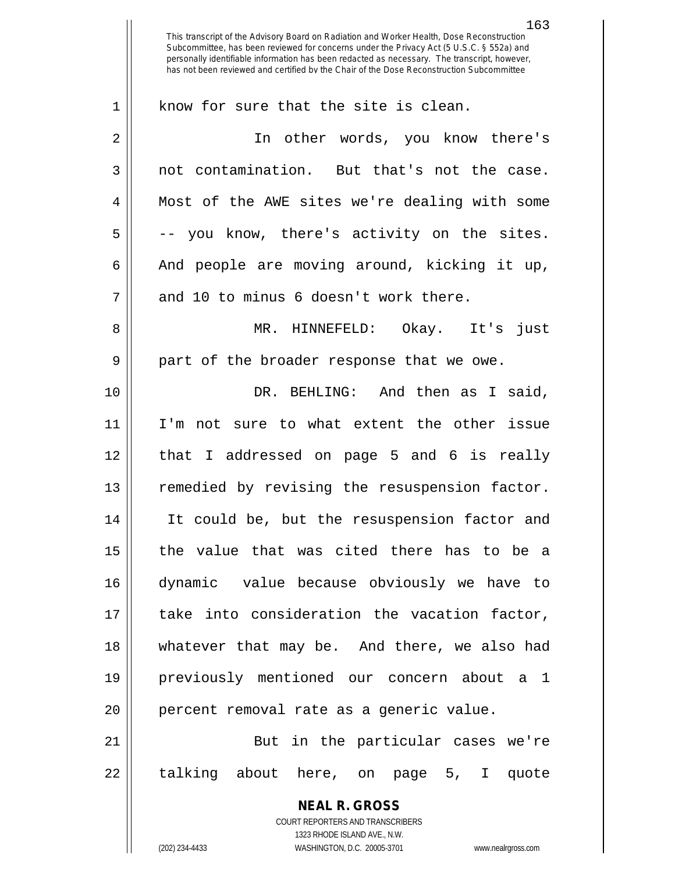**NEAL R. GROSS** COURT REPORTERS AND TRANSCRIBERS 1323 RHODE ISLAND AVE., N.W. This transcript of the Advisory Board on Radiation and Worker Health, Dose Reconstruction Subcommittee, has been reviewed for concerns under the Privacy Act (5 U.S.C. § 552a) and personally identifiable information has been redacted as necessary. The transcript, however, has not been reviewed and certified by the Chair of the Dose Reconstruction Subcommittee 1 || know for sure that the site is clean. 2 In other words, you know there's 3 || not contamination. But that's not the case. 4 Most of the AWE sites we're dealing with some  $5 \parallel$  -- you know, there's activity on the sites. 6  $\parallel$  And people are moving around, kicking it up,  $7 \parallel$  and 10 to minus 6 doesn't work there. 8 MR. HINNEFELD: Okay. It's just 9 || part of the broader response that we owe. 10 DR. BEHLING: And then as I said, 11 I'm not sure to what extent the other issue 12 that I addressed on page 5 and 6 is really 13 || remedied by revising the resuspension factor. 14 It could be, but the resuspension factor and 15 the value that was cited there has to be a 16 dynamic value because obviously we have to 17 || take into consideration the vacation factor, 18 whatever that may be. And there, we also had 19 previously mentioned our concern about a 1 20 || percent removal rate as a generic value. 21 || But in the particular cases we're 22 || talking about here, on page 5, I quote

(202) 234-4433 WASHINGTON, D.C. 20005-3701 www.nealrgross.com

163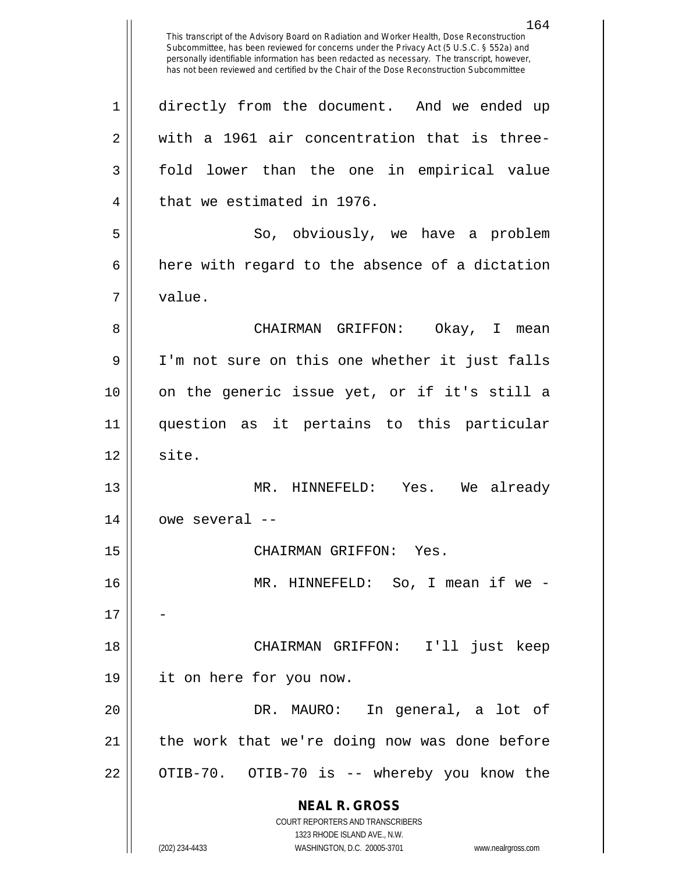**NEAL R. GROSS** COURT REPORTERS AND TRANSCRIBERS 1323 RHODE ISLAND AVE., N.W. (202) 234-4433 WASHINGTON, D.C. 20005-3701 www.nealrgross.com 1 directly from the document. And we ended up  $2 \parallel$  with a 1961 air concentration that is three-3 fold lower than the one in empirical value 4 | that we estimated in 1976. 5 So, obviously, we have a problem  $6 \parallel$  here with regard to the absence of a dictation 7 value. 8 CHAIRMAN GRIFFON: Okay, I mean 9 || I'm not sure on this one whether it just falls 10 on the generic issue yet, or if it's still a 11 question as it pertains to this particular  $12 \parallel$  site. 13 MR. HINNEFELD: Yes. We already  $14$   $\vert$  owe several  $-$ 15 CHAIRMAN GRIFFON: Yes. 16 MR. HINNEFELD: So, I mean if we -  $17$ 18 CHAIRMAN GRIFFON: I'll just keep 19 it on here for you now. 20 DR. MAURO: In general, a lot of 21 || the work that we're doing now was done before 22 || OTIB-70. OTIB-70 is -- whereby you know the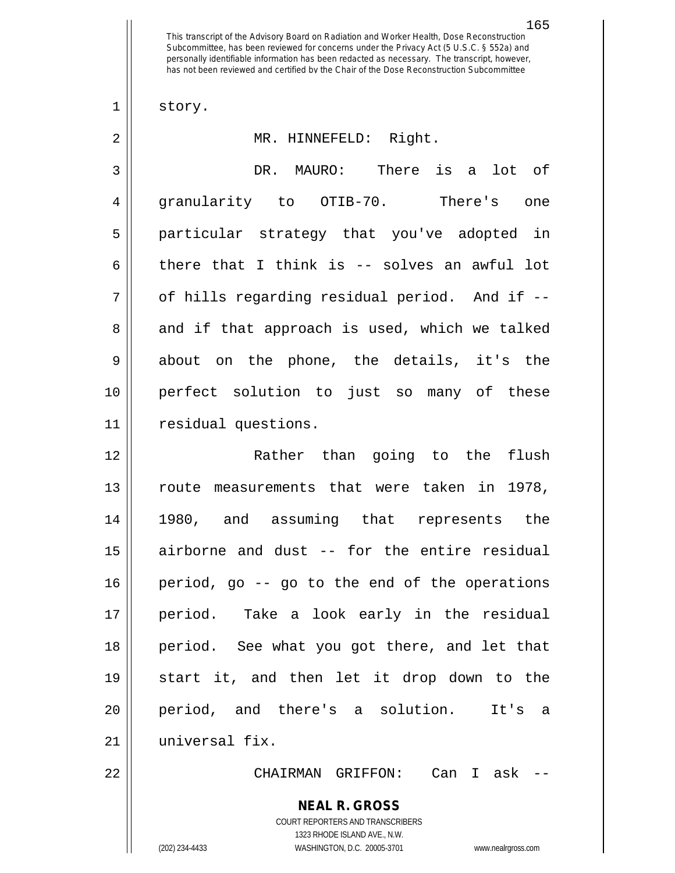$1 \parallel$  story.

| $\overline{2}$ | MR. HINNEFELD: Right.                                    |
|----------------|----------------------------------------------------------|
| 3              | DR. MAURO: There is a lot of                             |
| $\overline{4}$ | granularity to OTIB-70. There's one                      |
| 5              | particular strategy that you've adopted in               |
| 6              | there that I think is -- solves an awful lot             |
| 7              | of hills regarding residual period. And if --            |
| 8              | and if that approach is used, which we talked            |
| $\mathsf 9$    | about on the phone, the details, it's the                |
| 10             | perfect solution to just so many of these                |
| 11             | residual questions.                                      |
| 12             | Rather than going to the flush                           |
| 13             | route measurements that were taken in 1978,              |
| 14             | 1980, and assuming that represents the                   |
| 15             | airborne and dust -- for the entire residual             |
| 16             | period, go -- go to the end of the operations            |
| 17             | period. Take a look early in the residual                |
| 18             | period. See what you got there, and let that             |
| 19             | start it, and then let it drop down to the               |
| 20             | period, and there's a solution.<br>It's a                |
| 21             | universal fix.                                           |
| 22             | CHAIRMAN GRIFFON: Can I ask -                            |
|                | <b>NEAL R. GROSS</b><br>COURT REPORTERS AND TRANSCRIBERS |

1323 RHODE ISLAND AVE., N.W.

 $\mathop{\text{||}}$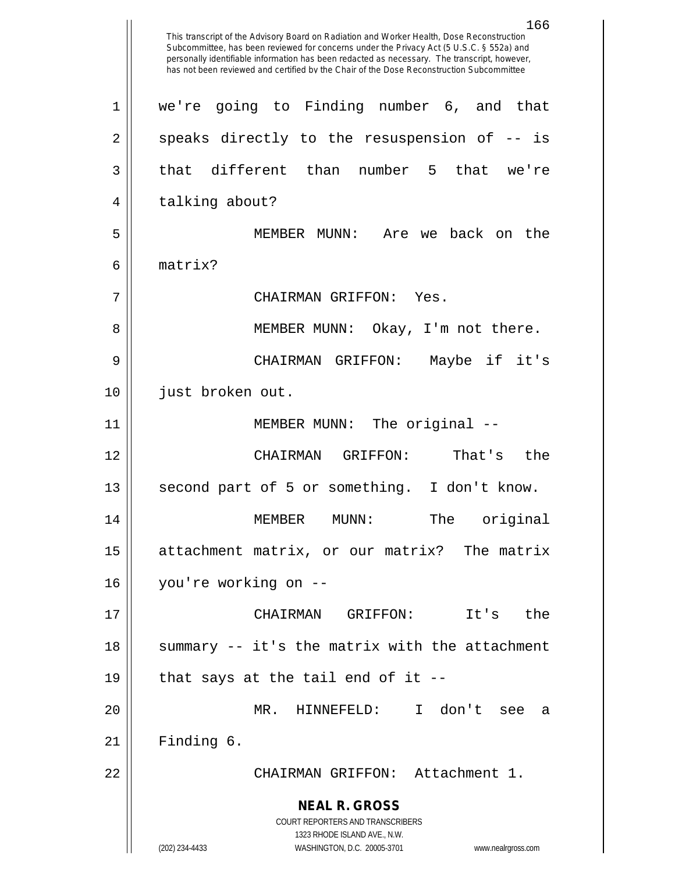**NEAL R. GROSS** COURT REPORTERS AND TRANSCRIBERS 1323 RHODE ISLAND AVE., N.W. (202) 234-4433 WASHINGTON, D.C. 20005-3701 www.nealrgross.com This transcript of the Advisory Board on Radiation and Worker Health, Dose Reconstruction Subcommittee, has been reviewed for concerns under the Privacy Act (5 U.S.C. § 552a) and personally identifiable information has been redacted as necessary. The transcript, however, has not been reviewed and certified by the Chair of the Dose Reconstruction Subcommittee 1 we're going to Finding number 6, and that  $2 \parallel$  speaks directly to the resuspension of  $-$ - is  $3 \parallel$  that different than number 5 that we're 4 || talking about? 5 MEMBER MUNN: Are we back on the 6 matrix? 7 CHAIRMAN GRIFFON: Yes. 8 || MEMBER MUNN: Okay, I'm not there. 9 CHAIRMAN GRIFFON: Maybe if it's 10 || just broken out. 11 || MEMBER MUNN: The original --12 CHAIRMAN GRIFFON: That's the 13 || second part of 5 or something. I don't know. 14 MEMBER MUNN: The original 15 attachment matrix, or our matrix? The matrix 16 you're working on -- 17 CHAIRMAN GRIFFON: It's the 18 || summary -- it's the matrix with the attachment 19  $\parallel$  that says at the tail end of it --20 MR. HINNEFELD: I don't see a  $21$  | Finding 6. 22 CHAIRMAN GRIFFON: Attachment 1.

166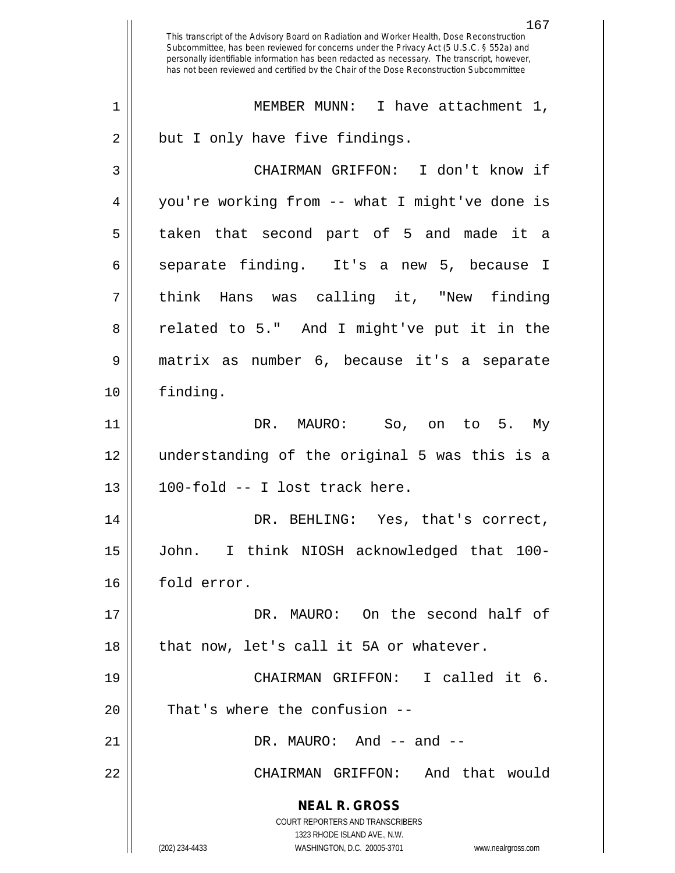**NEAL R. GROSS** COURT REPORTERS AND TRANSCRIBERS 1323 RHODE ISLAND AVE., N.W. (202) 234-4433 WASHINGTON, D.C. 20005-3701 www.nealrgross.com 167 This transcript of the Advisory Board on Radiation and Worker Health, Dose Reconstruction Subcommittee, has been reviewed for concerns under the Privacy Act (5 U.S.C. § 552a) and personally identifiable information has been redacted as necessary. The transcript, however, has not been reviewed and certified by the Chair of the Dose Reconstruction Subcommittee 1 || MEMBER MUNN: I have attachment 1,  $2 \parallel$  but I only have five findings. 3 CHAIRMAN GRIFFON: I don't know if 4 you're working from -- what I might've done is 5 taken that second part of 5 and made it a 6 separate finding. It's a new 5, because I 7 || think Hans was calling it, "New finding 8 || related to 5." And I might've put it in the 9 matrix as number 6, because it's a separate 10 finding. 11 DR. MAURO: So, on to 5. My 12 understanding of the original 5 was this is a  $13$  ||  $100$ -fold -- I lost track here. 14 DR. BEHLING: Yes, that's correct, 15 John. I think NIOSH acknowledged that 100- 16 | fold error. 17 DR. MAURO: On the second half of  $18$  || that now, let's call it 5A or whatever. 19 CHAIRMAN GRIFFON: I called it 6.  $20$  || That's where the confusion  $21 \parallel$  DR. MAURO: And  $-$  and  $-$ 22 CHAIRMAN GRIFFON: And that would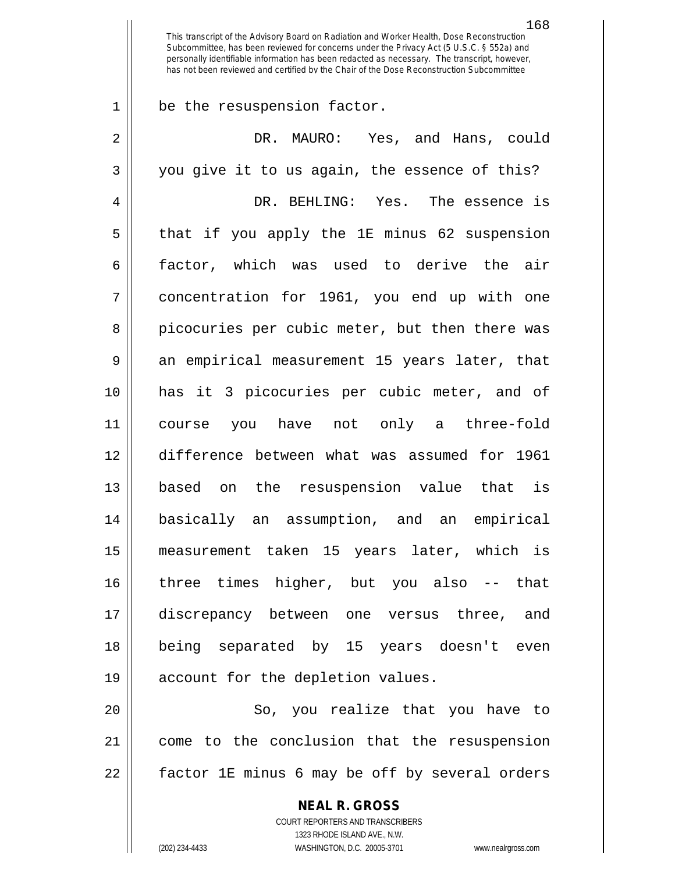1 | be the resuspension factor.

| $\overline{2}$ | DR. MAURO: Yes, and Hans, could                |
|----------------|------------------------------------------------|
| 3              | you give it to us again, the essence of this?  |
| 4              | DR. BEHLING: Yes. The essence is               |
| 5              | that if you apply the 1E minus 62 suspension   |
| 6              | factor, which was used to derive the air       |
| 7              | concentration for 1961, you end up with one    |
| 8              | picocuries per cubic meter, but then there was |
| 9              | an empirical measurement 15 years later, that  |
| 10             | has it 3 picocuries per cubic meter, and of    |
| 11             | course you have not only a three-fold          |
| 12             | difference between what was assumed for 1961   |
| 13             | based on the resuspension value that is        |
| 14             | basically an assumption, and an empirical      |
| 15             | measurement taken 15 years later, which is     |
| 16             | three times higher, but you also -- that       |
| 17             | discrepancy between one versus three, and      |
| 18             | being separated by 15 years doesn't even       |
| 19             | account for the depletion values.              |
| 20             | So, you realize that you have to               |
| 21             | come to the conclusion that the resuspension   |
| 22             | factor 1E minus 6 may be off by several orders |

**NEAL R. GROSS** COURT REPORTERS AND TRANSCRIBERS 1323 RHODE ISLAND AVE., N.W.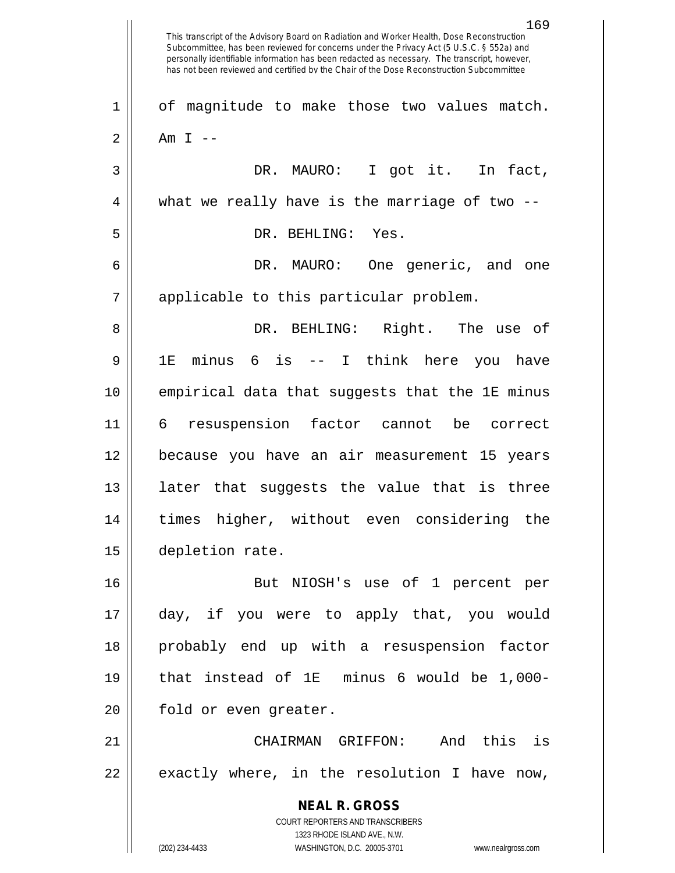**NEAL R. GROSS** COURT REPORTERS AND TRANSCRIBERS 1323 RHODE ISLAND AVE., N.W. (202) 234-4433 WASHINGTON, D.C. 20005-3701 www.nealrgross.com This transcript of the Advisory Board on Radiation and Worker Health, Dose Reconstruction Subcommittee, has been reviewed for concerns under the Privacy Act (5 U.S.C. § 552a) and personally identifiable information has been redacted as necessary. The transcript, however, has not been reviewed and certified by the Chair of the Dose Reconstruction Subcommittee 1 | of magnitude to make those two values match.  $2 \parallel$  Am I --3 || DR. MAURO: I got it. In fact,  $4 \parallel$  what we really have is the marriage of two  $-$ 5 || DR. BEHLING: Yes. 6 DR. MAURO: One generic, and one 7 || applicable to this particular problem. 8 DR. BEHLING: Right. The use of 9 1E minus 6 is -- I think here you have 10 empirical data that suggests that the 1E minus 11 6 resuspension factor cannot be correct 12 because you have an air measurement 15 years 13 || later that suggests the value that is three 14 times higher, without even considering the 15 depletion rate. 16 But NIOSH's use of 1 percent per 17 day, if you were to apply that, you would 18 probably end up with a resuspension factor 19 that instead of 1E minus 6 would be 1,000- 20 || fold or even greater. 21 CHAIRMAN GRIFFON: And this is  $22 \parallel$  exactly where, in the resolution I have now,

169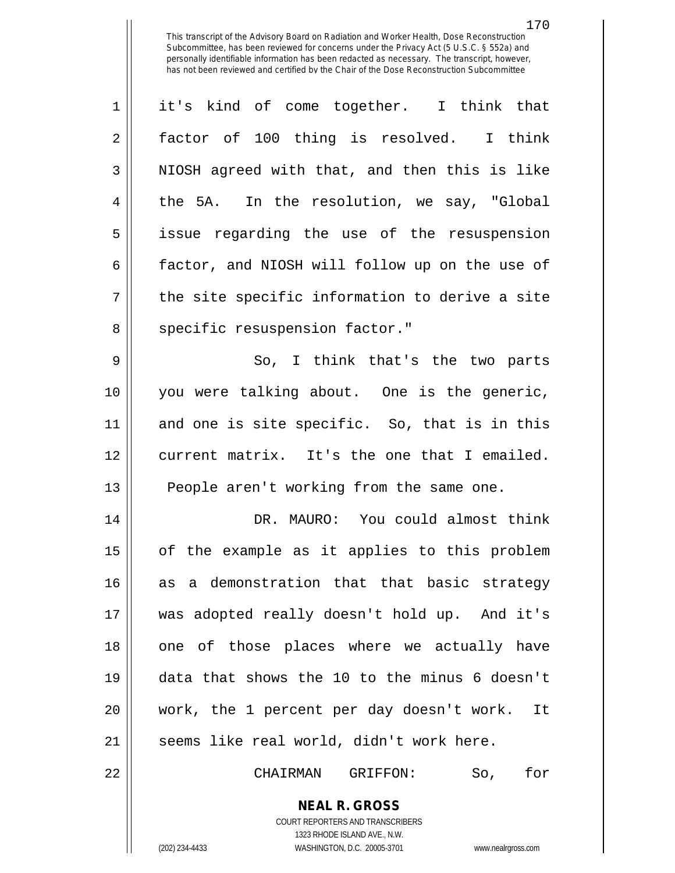1 || it's kind of come together. I think that 2 || factor of 100 thing is resolved. I think  $3 \parallel$  NIOSH agreed with that, and then this is like 4 the 5A. In the resolution, we say, "Global 5 || issue regarding the use of the resuspension 6 | factor, and NIOSH will follow up on the use of  $7 \parallel$  the site specific information to derive a site 8 || specific resuspension factor." 9 So, I think that's the two parts 10 you were talking about. One is the generic, 11 and one is site specific. So, that is in this 12 || current matrix. It's the one that I emailed. 13 || People aren't working from the same one. 14 DR. MAURO: You could almost think 15 || of the example as it applies to this problem 16 as a demonstration that that basic strategy 17 was adopted really doesn't hold up. And it's 18 || one of those places where we actually have 19 data that shows the 10 to the minus 6 doesn't 20 work, the 1 percent per day doesn't work. It  $21$  | seems like real world, didn't work here.

22 CHAIRMAN GRIFFON: So, for

**NEAL R. GROSS** COURT REPORTERS AND TRANSCRIBERS

1323 RHODE ISLAND AVE., N.W.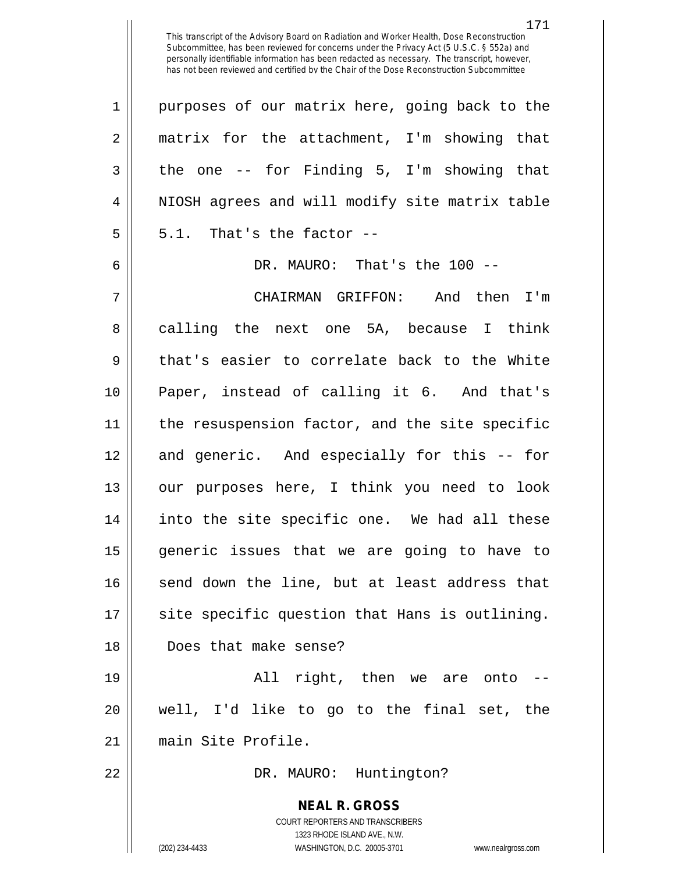| $\mathbf 1$    | purposes of our matrix here, going back to the                      |
|----------------|---------------------------------------------------------------------|
| $\overline{2}$ | matrix for the attachment, I'm showing that                         |
| 3              | the one $-$ for Finding 5, I'm showing that                         |
| $\overline{4}$ | NIOSH agrees and will modify site matrix table                      |
| 5              | 5.1. That's the factor --                                           |
| 6              | DR. MAURO: That's the 100 --                                        |
| 7              | CHAIRMAN GRIFFON: And then I'm                                      |
| 8              | calling the next one 5A, because I think                            |
| 9              | that's easier to correlate back to the White                        |
| 10             | Paper, instead of calling it 6. And that's                          |
| 11             | the resuspension factor, and the site specific                      |
| 12             | and generic. And especially for this -- for                         |
| 13             | our purposes here, I think you need to look                         |
| 14             | into the site specific one. We had all these                        |
| 15             | generic issues that we are going to have to                         |
| 16             | send down the line, but at least address that                       |
| 17             | site specific question that Hans is outlining.                      |
| 18             | Does that make sense?                                               |
| 19             | All right, then we are onto                                         |
| 20             | well, I'd like to go to the final set, the                          |
| 21             | main Site Profile.                                                  |
| 22             | DR. MAURO: Huntington?                                              |
|                |                                                                     |
|                | <b>NEAL R. GROSS</b><br>COURT REPORTERS AND TRANSCRIBERS            |
|                | 1323 RHODE ISLAND AVE., N.W.                                        |
|                | (202) 234-4433<br>WASHINGTON, D.C. 20005-3701<br>www.nealrgross.com |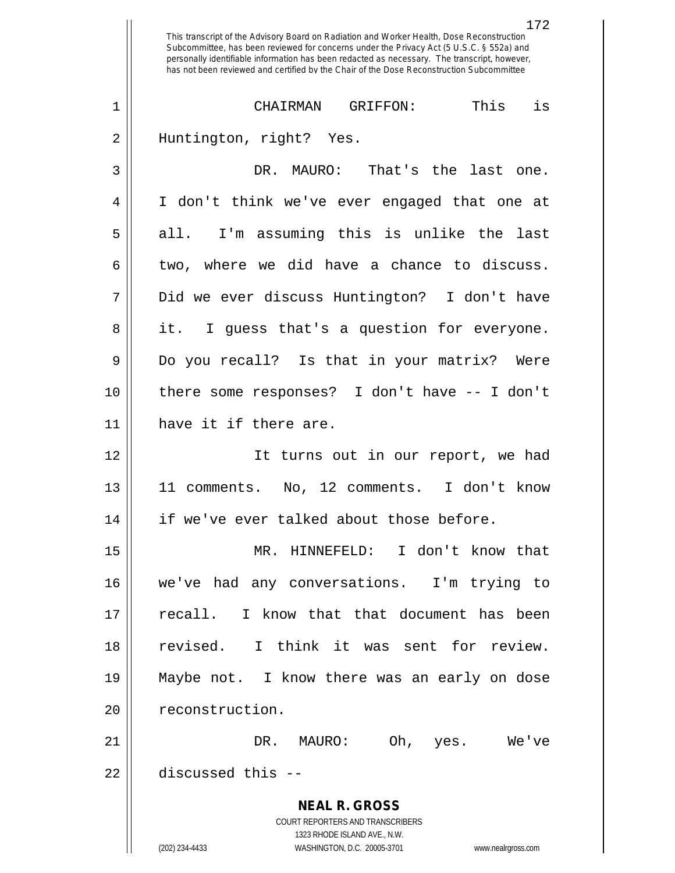**NEAL R. GROSS** COURT REPORTERS AND TRANSCRIBERS 1323 RHODE ISLAND AVE., N.W. (202) 234-4433 WASHINGTON, D.C. 20005-3701 www.nealrgross.com 172 This transcript of the Advisory Board on Radiation and Worker Health, Dose Reconstruction Subcommittee, has been reviewed for concerns under the Privacy Act (5 U.S.C. § 552a) and personally identifiable information has been redacted as necessary. The transcript, however, has not been reviewed and certified by the Chair of the Dose Reconstruction Subcommittee 1 CHAIRMAN GRIFFON: This is 2 || Huntington, right? Yes. 3 DR. MAURO: That's the last one. 4 I don't think we've ever engaged that one at  $5 \parallel$  all. I'm assuming this is unlike the last  $6 \parallel$  two, where we did have a chance to discuss. 7 Did we ever discuss Huntington? I don't have 8 || it. I guess that's a question for everyone. 9 Do you recall? Is that in your matrix? Were 10 there some responses? I don't have -- I don't 11 || have it if there are. 12 It turns out in our report, we had 13 11 comments. No, 12 comments. I don't know 14 || if we've ever talked about those before. 15 MR. HINNEFELD: I don't know that 16 we've had any conversations. I'm trying to 17 recall. I know that that document has been 18 revised. I think it was sent for review. 19 Maybe not. I know there was an early on dose 20 | reconstruction. 21 DR. MAURO: Oh, yes. We've 22 discussed this --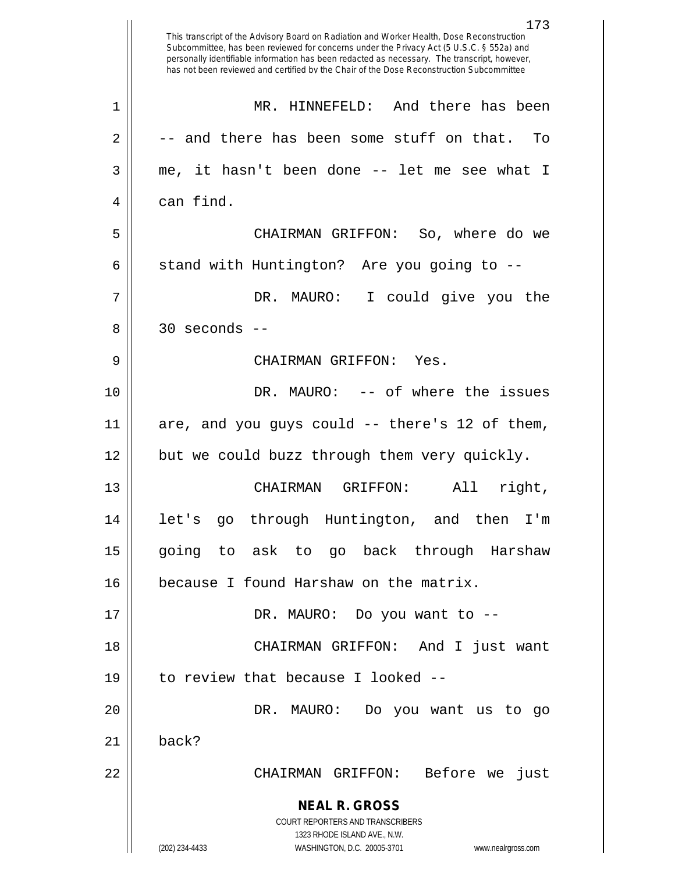|    | 173<br>This transcript of the Advisory Board on Radiation and Worker Health, Dose Reconstruction<br>Subcommittee, has been reviewed for concerns under the Privacy Act (5 U.S.C. § 552a) and<br>personally identifiable information has been redacted as necessary. The transcript, however,<br>has not been reviewed and certified by the Chair of the Dose Reconstruction Subcommittee |
|----|------------------------------------------------------------------------------------------------------------------------------------------------------------------------------------------------------------------------------------------------------------------------------------------------------------------------------------------------------------------------------------------|
| 1  | MR. HINNEFELD: And there has been                                                                                                                                                                                                                                                                                                                                                        |
| 2  | -- and there has been some stuff on that.<br>To                                                                                                                                                                                                                                                                                                                                          |
| 3  | me, it hasn't been done -- let me see what I                                                                                                                                                                                                                                                                                                                                             |
| 4  | can find.                                                                                                                                                                                                                                                                                                                                                                                |
| 5  | CHAIRMAN GRIFFON: So, where do we                                                                                                                                                                                                                                                                                                                                                        |
| 6  | stand with Huntington? Are you going to --                                                                                                                                                                                                                                                                                                                                               |
| 7  | DR. MAURO:<br>I could give you the                                                                                                                                                                                                                                                                                                                                                       |
| 8  | $30$ seconds $-$                                                                                                                                                                                                                                                                                                                                                                         |
| 9  | CHAIRMAN GRIFFON:<br>Yes.                                                                                                                                                                                                                                                                                                                                                                |
| 10 | DR. MAURO: -- of where the issues                                                                                                                                                                                                                                                                                                                                                        |
| 11 | are, and you guys could -- there's 12 of them,                                                                                                                                                                                                                                                                                                                                           |
| 12 | but we could buzz through them very quickly.                                                                                                                                                                                                                                                                                                                                             |
| 13 | right,<br>CHAIRMAN<br>GRIFFON:<br>All                                                                                                                                                                                                                                                                                                                                                    |
| 14 | let's go through Huntington, and then<br>I'm                                                                                                                                                                                                                                                                                                                                             |
| 15 | going to ask to go back through Harshaw                                                                                                                                                                                                                                                                                                                                                  |
| 16 | because I found Harshaw on the matrix.                                                                                                                                                                                                                                                                                                                                                   |
| 17 | DR. MAURO: Do you want to --                                                                                                                                                                                                                                                                                                                                                             |
| 18 | CHAIRMAN GRIFFON: And I just want                                                                                                                                                                                                                                                                                                                                                        |
| 19 | to review that because I looked --                                                                                                                                                                                                                                                                                                                                                       |
| 20 | DR. MAURO: Do you want us to go                                                                                                                                                                                                                                                                                                                                                          |
| 21 | back?                                                                                                                                                                                                                                                                                                                                                                                    |
| 22 | CHAIRMAN GRIFFON: Before we just                                                                                                                                                                                                                                                                                                                                                         |
|    | <b>NEAL R. GROSS</b>                                                                                                                                                                                                                                                                                                                                                                     |
|    | COURT REPORTERS AND TRANSCRIBERS                                                                                                                                                                                                                                                                                                                                                         |
|    | 1323 RHODE ISLAND AVE., N.W.<br>(202) 234-4433<br>WASHINGTON, D.C. 20005-3701<br>www.nealrgross.com                                                                                                                                                                                                                                                                                      |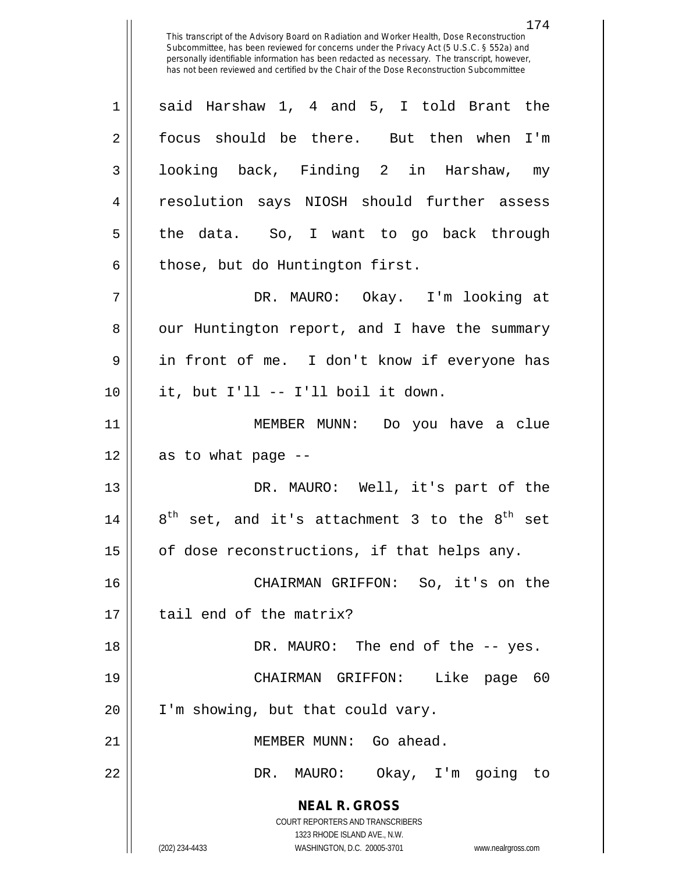174

**NEAL R. GROSS** COURT REPORTERS AND TRANSCRIBERS  $1 \parallel$  said Harshaw 1, 4 and 5, I told Brant the 2 focus should be there. But then when I'm 3 || looking back, Finding 2 in Harshaw, my 4 || resolution says NIOSH should further assess 5 || the data. So, I want to go back through  $6 \parallel$  those, but do Huntington first. 7 DR. MAURO: Okay. I'm looking at 8 | our Huntington report, and I have the summary 9 in front of me. I don't know if everyone has  $10$  || it, but I'll -- I'll boil it down. 11 MEMBER MUNN: Do you have a clue  $12$  || as to what page  $-$ 13 DR. MAURO: Well, it's part of the 14  $\parallel$  8<sup>th</sup> set, and it's attachment 3 to the 8<sup>th</sup> set 15  $\parallel$  of dose reconstructions, if that helps any. 16 CHAIRMAN GRIFFON: So, it's on the 17 I tail end of the matrix? 18 DR. MAURO: The end of the -- yes. 19 CHAIRMAN GRIFFON: Like page 60 20 | I'm showing, but that could vary. 21 MEMBER MUNN: Go ahead. 22 DR. MAURO: Okay, I'm going to

1323 RHODE ISLAND AVE., N.W.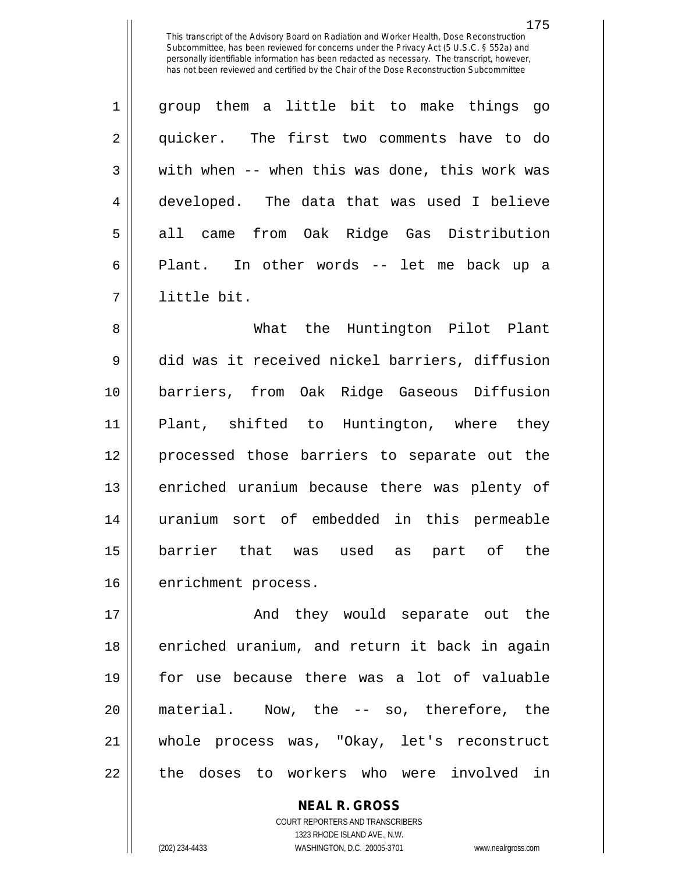| $\mathbf 1$    | group them a little bit to make things go      |
|----------------|------------------------------------------------|
| $\overline{2}$ | quicker. The first two comments have to do     |
| 3              | with when -- when this was done, this work was |
| 4              | developed. The data that was used I believe    |
| 5              | came from Oak Ridge Gas Distribution<br>all    |
| 6              | Plant. In other words -- let me back up a      |
| 7              | little bit.                                    |

 What the Huntington Pilot Plant did was it received nickel barriers, diffusion barriers, from Oak Ridge Gaseous Diffusion Plant, shifted to Huntington, where they processed those barriers to separate out the 13 || enriched uranium because there was plenty of uranium sort of embedded in this permeable barrier that was used as part of the 16 | enrichment process.

 And they would separate out the 18 || enriched uranium, and return it back in again for use because there was a lot of valuable material. Now, the -- so, therefore, the whole process was, "Okay, let's reconstruct 22 || the doses to workers who were involved in

> **NEAL R. GROSS** COURT REPORTERS AND TRANSCRIBERS 1323 RHODE ISLAND AVE., N.W. (202) 234-4433 WASHINGTON, D.C. 20005-3701 www.nealrgross.com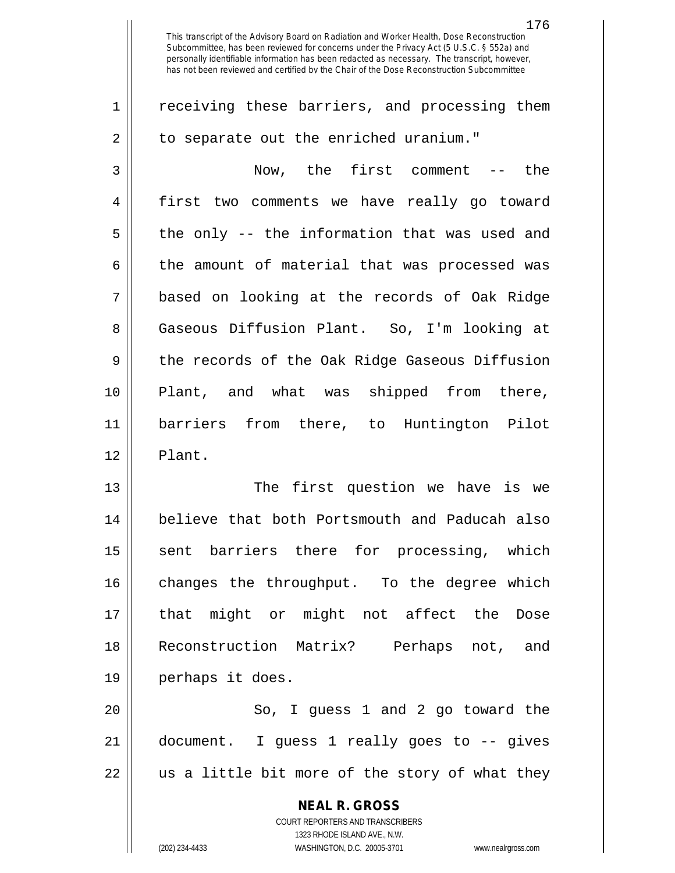$2 \parallel$  to separate out the enriched uranium." 3 Now, the first comment -- the 4 first two comments we have really go toward  $5 \parallel$  the only -- the information that was used and  $6 \parallel$  the amount of material that was processed was 7 based on looking at the records of Oak Ridge 8 Gaseous Diffusion Plant. So, I'm looking at 9 degee the records of the Oak Ridge Gaseous Diffusion 10 Plant, and what was shipped from there, 11 barriers from there, to Huntington Pilot 12 || Plant.

 The first question we have is we believe that both Portsmouth and Paducah also 15 || sent barriers there for processing, which 16 || changes the throughput. To the degree which that might or might not affect the Dose Reconstruction Matrix? Perhaps not, and perhaps it does.

20 || So, I guess 1 and 2 go toward the 21 document. I guess 1 really goes to -- gives  $22$  || us a little bit more of the story of what they

**NEAL R. GROSS**

COURT REPORTERS AND TRANSCRIBERS 1323 RHODE ISLAND AVE., N.W. (202) 234-4433 WASHINGTON, D.C. 20005-3701 www.nealrgross.com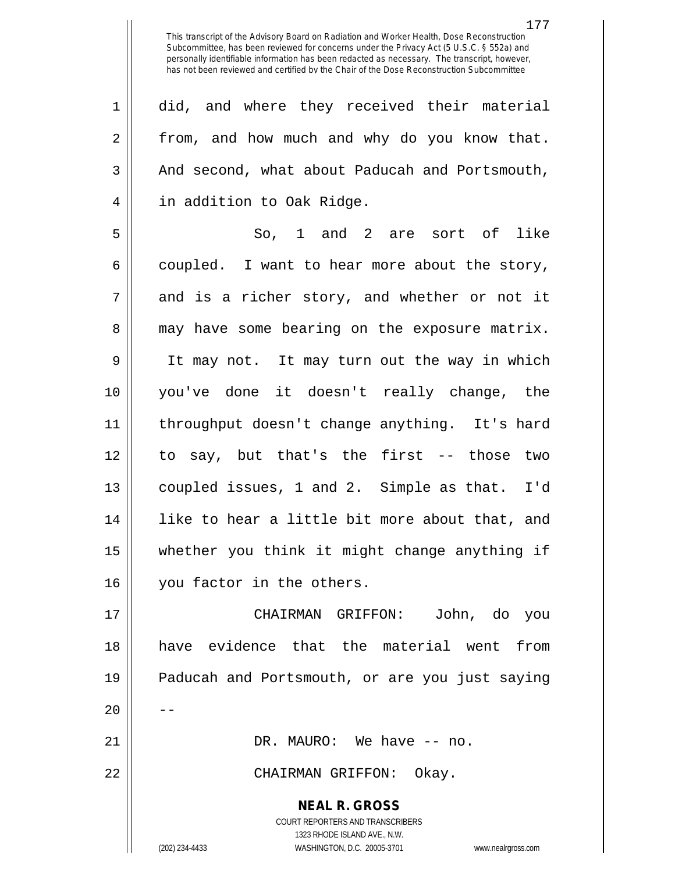1 did, and where they received their material 2 | from, and how much and why do you know that.  $3 \parallel$  And second, what about Paducah and Portsmouth, 4 | in addition to Oak Ridge.

 $5 \parallel$  So, 1 and 2 are sort of like  $6 \parallel$  coupled. I want to hear more about the story,  $7 \parallel$  and is a richer story, and whether or not it 8 may have some bearing on the exposure matrix. 9 It may not. It may turn out the way in which 10 you've done it doesn't really change, the 11 throughput doesn't change anything. It's hard 12 to say, but that's the first -- those two 13 coupled issues, 1 and 2. Simple as that. I'd 14 like to hear a little bit more about that, and 15 whether you think it might change anything if 16 | vou factor in the others.

 CHAIRMAN GRIFFON: John, do you have evidence that the material went from Paducah and Portsmouth, or are you just saying  $20$  DR. MAURO: We have -- no. CHAIRMAN GRIFFON: Okay.

> COURT REPORTERS AND TRANSCRIBERS 1323 RHODE ISLAND AVE., N.W. (202) 234-4433 WASHINGTON, D.C. 20005-3701 www.nealrgross.com

**NEAL R. GROSS**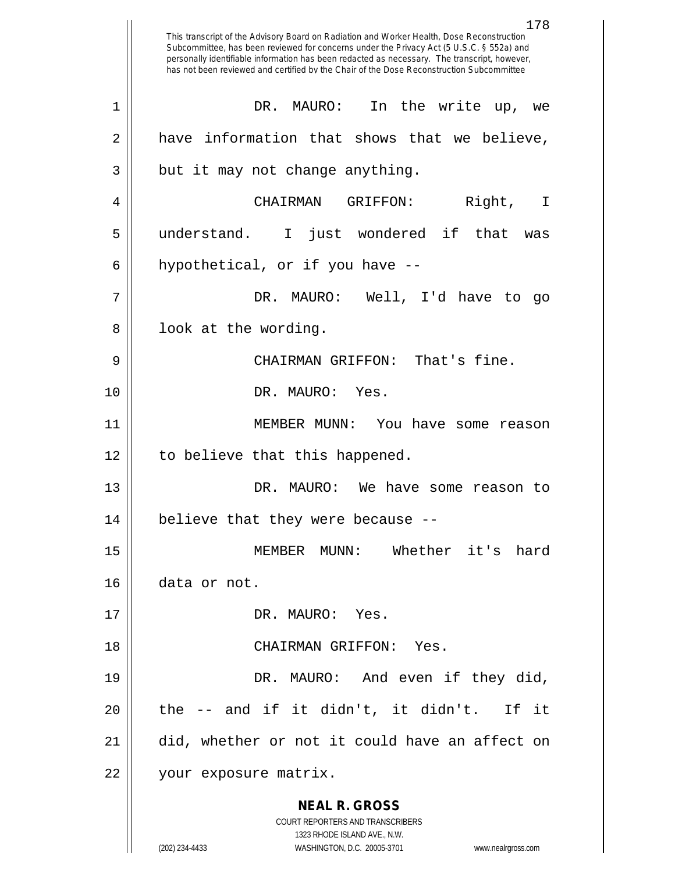**NEAL R. GROSS** COURT REPORTERS AND TRANSCRIBERS 1323 RHODE ISLAND AVE., N.W. (202) 234-4433 WASHINGTON, D.C. 20005-3701 www.nealrgross.com 178 This transcript of the Advisory Board on Radiation and Worker Health, Dose Reconstruction Subcommittee, has been reviewed for concerns under the Privacy Act (5 U.S.C. § 552a) and personally identifiable information has been redacted as necessary. The transcript, however, has not been reviewed and certified by the Chair of the Dose Reconstruction Subcommittee 1 || DR. MAURO: In the write up, we  $2 \parallel$  have information that shows that we believe,  $3 \parallel$  but it may not change anything. 4 CHAIRMAN GRIFFON: Right, I 5 understand. I just wondered if that was  $6 \parallel$  hypothetical, or if you have  $-$ 7 DR. MAURO: Well, I'd have to go  $8 \parallel$  look at the wording. 9 || CHAIRMAN GRIFFON: That's fine. 10 DR. MAURO: Yes. 11 MEMBER MUNN: You have some reason 12 || to believe that this happened. 13 DR. MAURO: We have some reason to  $14$  || believe that they were because --15 MEMBER MUNN: Whether it's hard 16 data or not. 17 || DR. MAURO: Yes. 18 CHAIRMAN GRIFFON: Yes. 19 || DR. MAURO: And even if they did,  $20$  || the  $-$  and if it didn't, it didn't. If it 21 did, whether or not it could have an affect on 22 | your exposure matrix.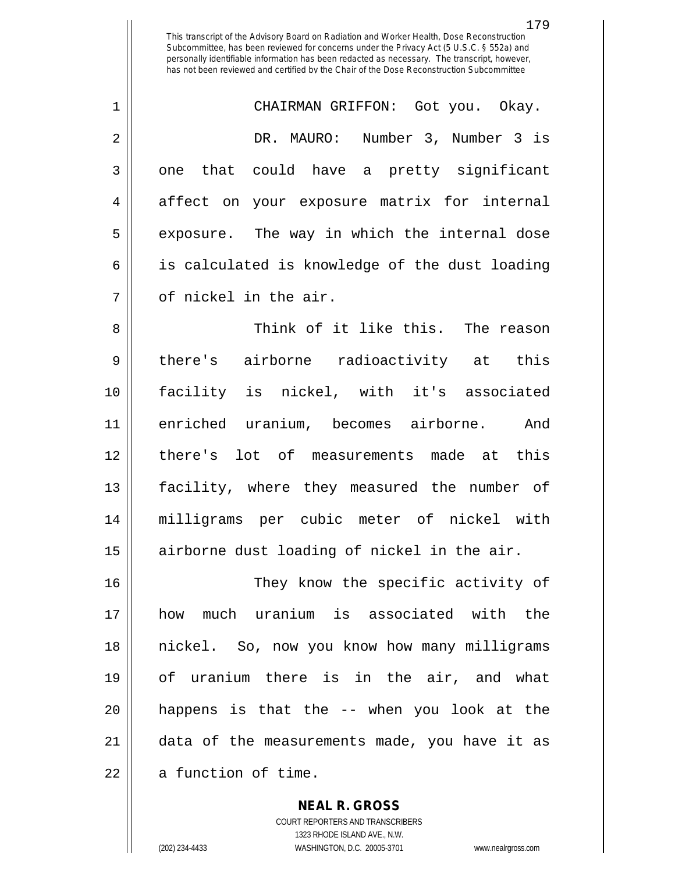1 CHAIRMAN GRIFFON: Got you. Okay. 2 DR. MAURO: Number 3, Number 3 is  $3 \parallel$  one that could have a pretty significant 4 || affect on your exposure matrix for internal 5 || exposure. The way in which the internal dose  $6 \parallel$  is calculated is knowledge of the dust loading  $7 \parallel$  of nickel in the air.

 Think of it like this. The reason 9 || there's airborne radioactivity at this facility is nickel, with it's associated enriched uranium, becomes airborne. And 12 ll there's lot of measurements made at this facility, where they measured the number of milligrams per cubic meter of nickel with airborne dust loading of nickel in the air.

16 || They know the specific activity of how much uranium is associated with the nickel. So, now you know how many milligrams of uranium there is in the air, and what happens is that the -- when you look at the data of the measurements made, you have it as | a function of time.

> **NEAL R. GROSS** COURT REPORTERS AND TRANSCRIBERS 1323 RHODE ISLAND AVE., N.W. (202) 234-4433 WASHINGTON, D.C. 20005-3701 www.nealrgross.com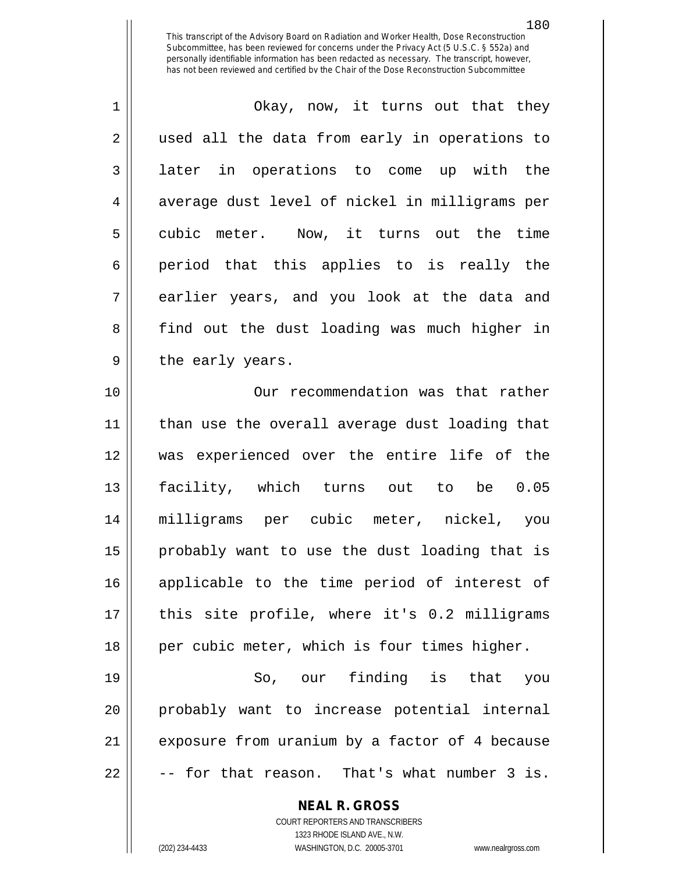1 Okay, now, it turns out that they 2 || used all the data from early in operations to 3 all later in operations to come up with the 4 || average dust level of nickel in milligrams per 5 cubic meter. Now, it turns out the time  $6 \parallel$  period that this applies to is really the 7 || earlier years, and you look at the data and 8 find out the dust loading was much higher in 9 || the early years. 10 Our recommendation was that rather

 than use the overall average dust loading that was experienced over the entire life of the facility, which turns out to be 0.05 milligrams per cubic meter, nickel, you probably want to use the dust loading that is applicable to the time period of interest of 17 || this site profile, where it's 0.2 milligrams 18 || per cubic meter, which is four times higher.

19 So, our finding is that you 20 probably want to increase potential internal 21 || exposure from uranium by a factor of 4 because  $22 \parallel$  -- for that reason. That's what number 3 is.

> **NEAL R. GROSS** COURT REPORTERS AND TRANSCRIBERS 1323 RHODE ISLAND AVE., N.W.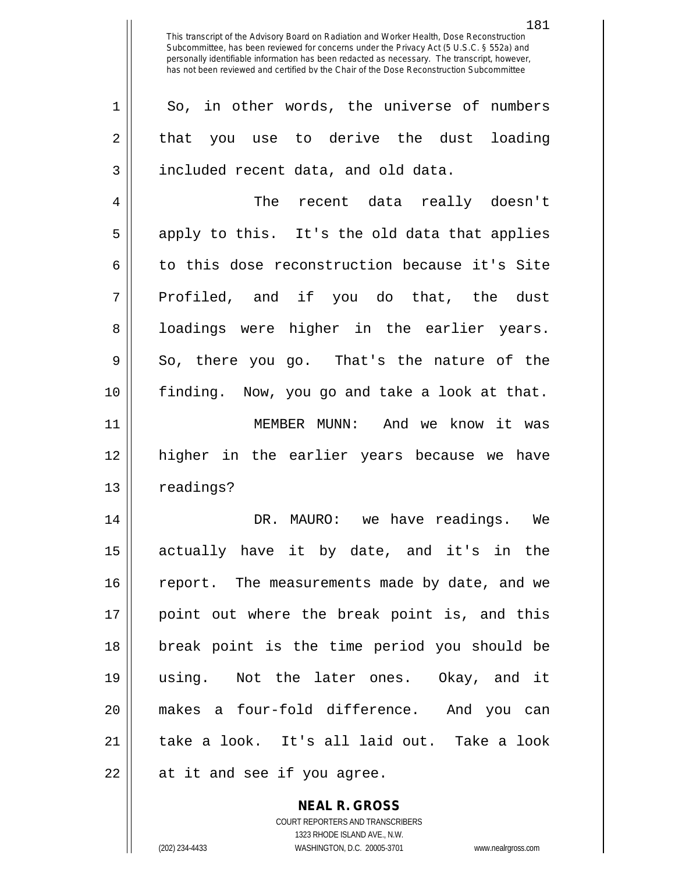181

1 So, in other words, the universe of numbers  $2 \parallel$  that you use to derive the dust loading 3 | included recent data, and old data.

4 The recent data really doesn't  $5 \parallel$  apply to this. It's the old data that applies 6 to this dose reconstruction because it's Site 7 Profiled, and if you do that, the dust 8 || loadings were higher in the earlier years.  $9 \parallel$  So, there you go. That's the nature of the 10 finding. Now, you go and take a look at that.

11 MEMBER MUNN: And we know it was 12 higher in the earlier years because we have 13 | readings?

 DR. MAURO: we have readings. We actually have it by date, and it's in the 16 || report. The measurements made by date, and we point out where the break point is, and this break point is the time period you should be using. Not the later ones. Okay, and it makes a four-fold difference. And you can 21 || take a look. It's all laid out. Take a look  $22 \parallel$  at it and see if you agree.

> **NEAL R. GROSS** COURT REPORTERS AND TRANSCRIBERS

> > 1323 RHODE ISLAND AVE., N.W.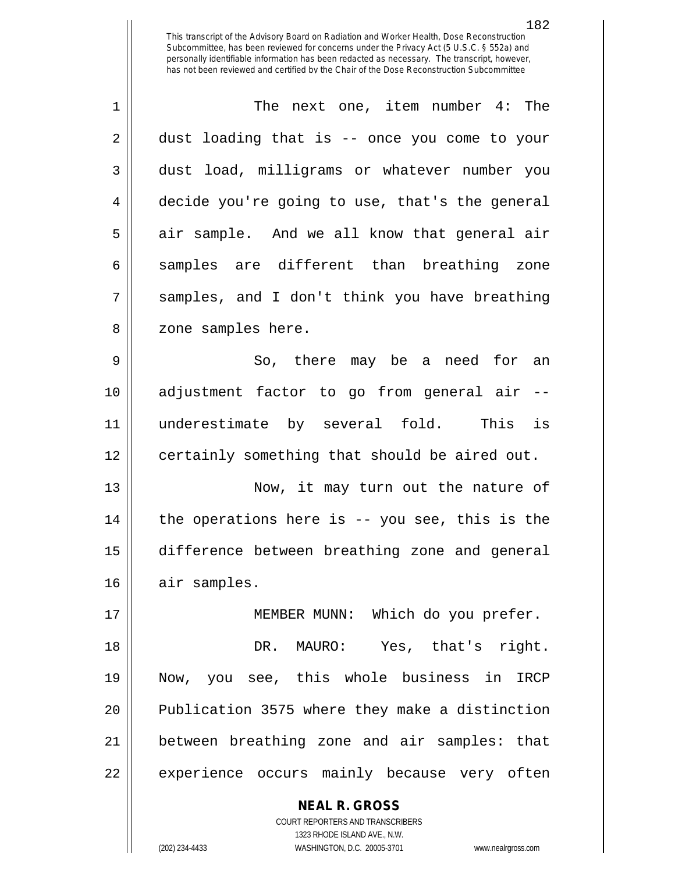1 The next one, item number 4: The  $2 \parallel$  dust loading that is -- once you come to your 3 dust load, milligrams or whatever number you 4 decide you're going to use, that's the general  $5 \parallel$  air sample. And we all know that general air  $6 \parallel$  samples are different than breathing zone  $7 \parallel$  samples, and I don't think you have breathing 8 || zone samples here.

9 || So, there may be a need for an 10 adjustment factor to go from general air -- 11 underestimate by several fold. This is 12 | certainly something that should be aired out.

 Now, it may turn out the nature of || the operations here is -- you see, this is the difference between breathing zone and general 16 | air samples.

 MEMBER MUNN: Which do you prefer. DR. MAURO: Yes, that's right. Now, you see, this whole business in IRCP 20 || Publication 3575 where they make a distinction between breathing zone and air samples: that 22 || experience occurs mainly because very often

> **NEAL R. GROSS** COURT REPORTERS AND TRANSCRIBERS 1323 RHODE ISLAND AVE., N.W.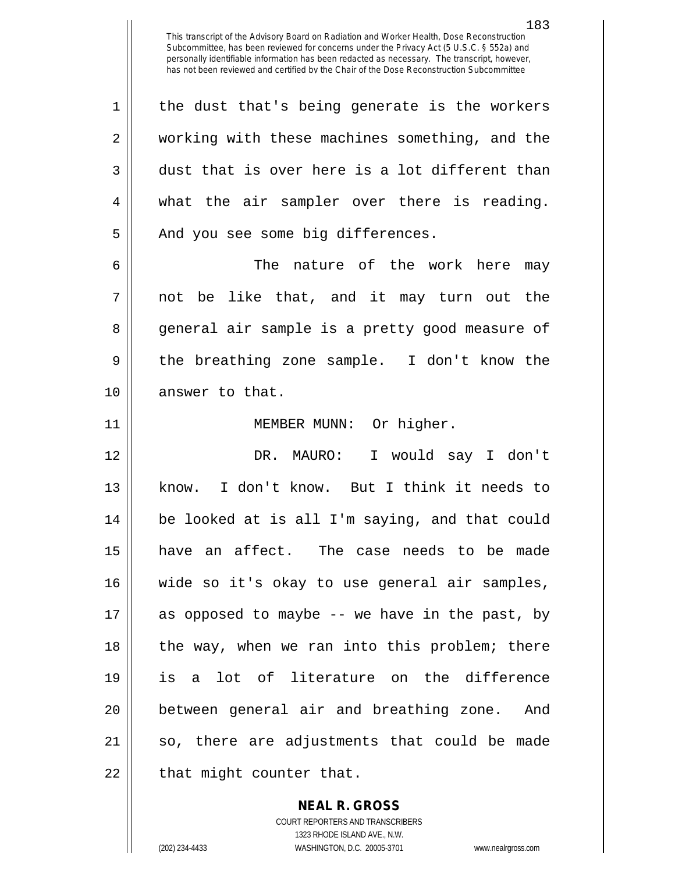1 || the dust that's being generate is the workers 2 || working with these machines something, and the  $3 \parallel$  dust that is over here is a lot different than 4 what the air sampler over there is reading. 5 || And you see some big differences.

6 The nature of the work here may  $7 \parallel$  not be like that, and it may turn out the 8 general air sample is a pretty good measure of 9 || the breathing zone sample. I don't know the 10 answer to that.

11 || MEMBER MUNN: Or higher.

 DR. MAURO: I would say I don't know. I don't know. But I think it needs to be looked at is all I'm saying, and that could have an affect. The case needs to be made wide so it's okay to use general air samples, as opposed to maybe -- we have in the past, by 18 || the way, when we ran into this problem; there is a lot of literature on the difference between general air and breathing zone. And so, there are adjustments that could be made || that might counter that.

**NEAL R. GROSS**

COURT REPORTERS AND TRANSCRIBERS 1323 RHODE ISLAND AVE., N.W. (202) 234-4433 WASHINGTON, D.C. 20005-3701 www.nealrgross.com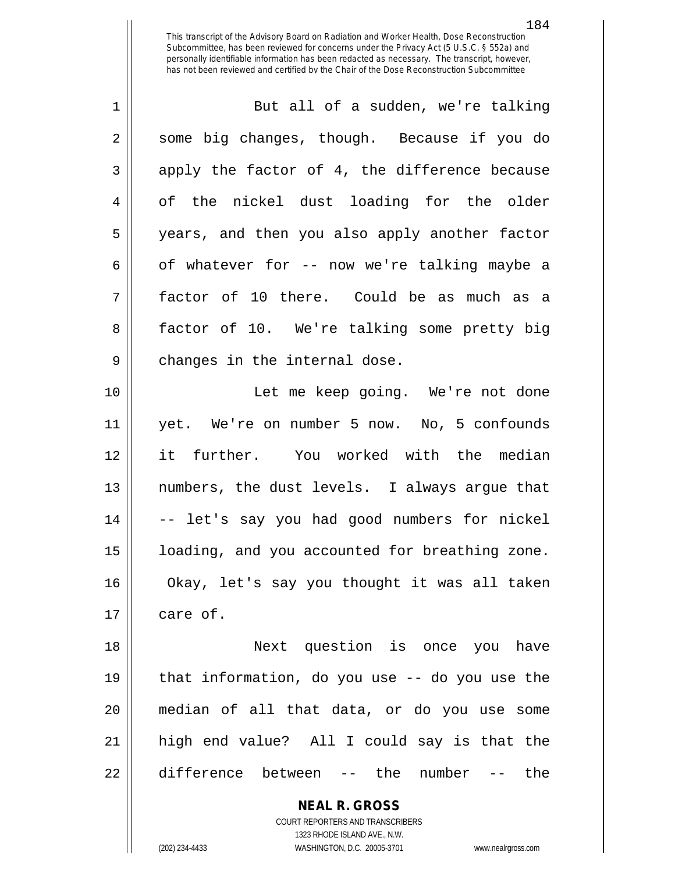| $\mathbf{1}$   | But all of a sudden, we're talking             |
|----------------|------------------------------------------------|
| $\overline{2}$ | some big changes, though. Because if you do    |
| 3              | apply the factor of 4, the difference because  |
| 4              | of the nickel dust loading for the older       |
| 5              | years, and then you also apply another factor  |
| 6              | of whatever for -- now we're talking maybe a   |
| 7              | factor of 10 there. Could be as much as a      |
| 8              | factor of 10. We're talking some pretty big    |
| 9              | changes in the internal dose.                  |
| 10             | Let me keep going. We're not done              |
| 11             | yet. We're on number 5 now. No, 5 confounds    |
| 12             | it further. You worked with the median         |
| 13             | numbers, the dust levels. I always argue that  |
| 14             | -- let's say you had good numbers for nickel   |
| 15             | loading, and you accounted for breathing zone. |
| 16             | Okay, let's say you thought it was all taken   |
|                |                                                |
| 17             | care of.                                       |

 Next question is once you have  $\parallel$  that information, do you use -- do you use the median of all that data, or do you use some high end value? All I could say is that the 22 difference between -- the number -- the

> **NEAL R. GROSS** COURT REPORTERS AND TRANSCRIBERS

1323 RHODE ISLAND AVE., N.W. (202) 234-4433 WASHINGTON, D.C. 20005-3701 www.nealrgross.com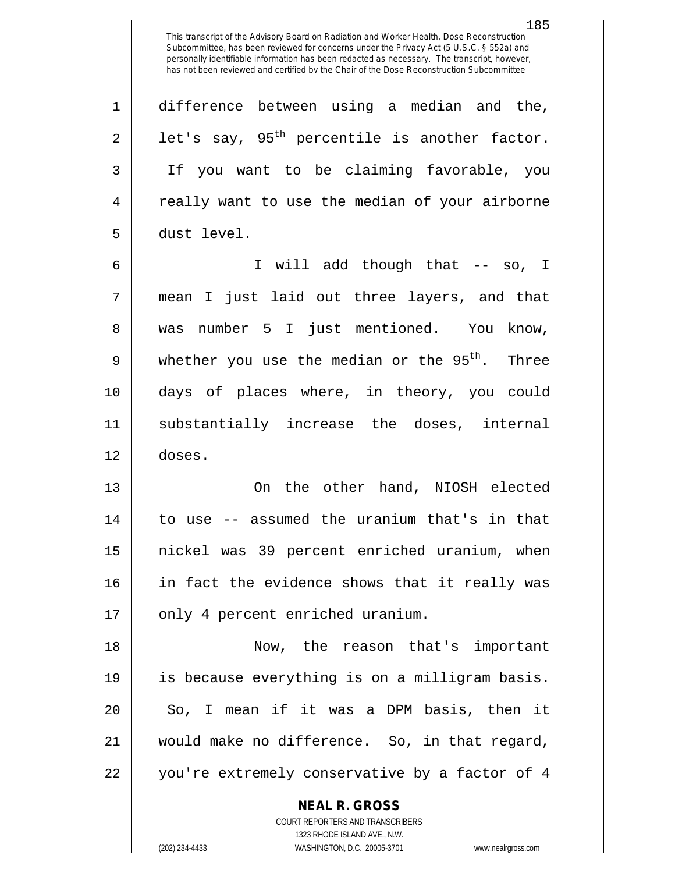1 difference between using a median and the,  $2 \parallel$  let's say, 95<sup>th</sup> percentile is another factor. 3 || If you want to be claiming favorable, you 4 || really want to use the median of your airborne 5 dust level.

6 I will add though that -- so, I 7 mean I just laid out three layers, and that 8 || was number 5 I just mentioned. You know, 9 || whether you use the median or the  $95<sup>th</sup>$ . Three 10 days of places where, in theory, you could 11 substantially increase the doses, internal 12 doses.

13 On the other hand, NIOSH elected 14 to use -- assumed the uranium that's in that 15 nickel was 39 percent enriched uranium, when 16 || in fact the evidence shows that it really was 17 || only 4 percent enriched uranium.

18 Now, the reason that's important 19 is because everything is on a milligram basis. 20 || So, I mean if it was a DPM basis, then it 21 would make no difference. So, in that regard, 22 || you're extremely conservative by a factor of 4

> **NEAL R. GROSS** COURT REPORTERS AND TRANSCRIBERS

> > 1323 RHODE ISLAND AVE., N.W.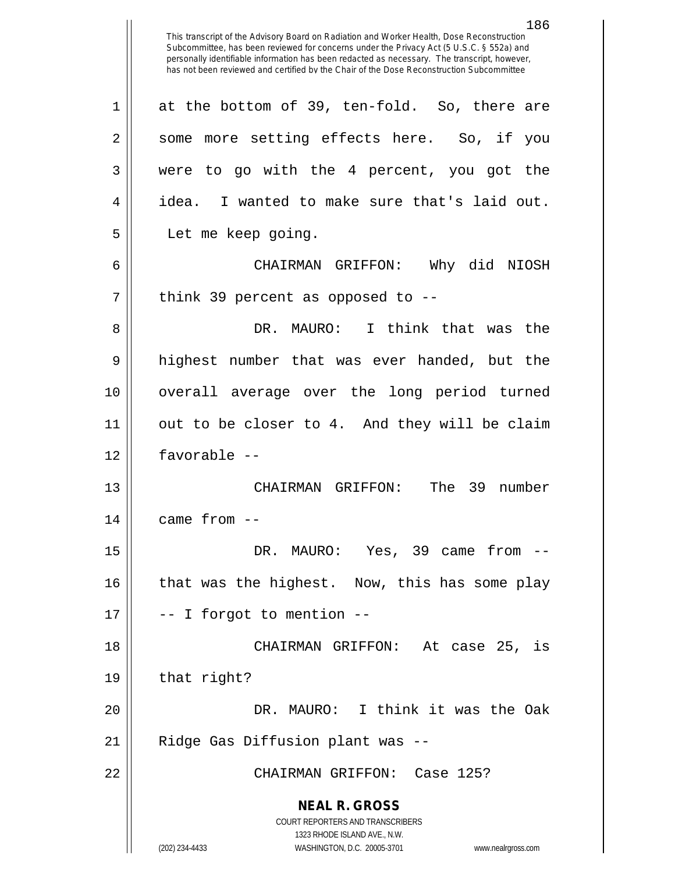**NEAL R. GROSS** COURT REPORTERS AND TRANSCRIBERS 1323 RHODE ISLAND AVE., N.W. 186 This transcript of the Advisory Board on Radiation and Worker Health, Dose Reconstruction Subcommittee, has been reviewed for concerns under the Privacy Act (5 U.S.C. § 552a) and personally identifiable information has been redacted as necessary. The transcript, however, has not been reviewed and certified by the Chair of the Dose Reconstruction Subcommittee  $1 \parallel$  at the bottom of 39, ten-fold. So, there are 2 || some more setting effects here. So, if you 3 were to go with the 4 percent, you got the 4 | idea. I wanted to make sure that's laid out. 5 Let me keep going. 6 CHAIRMAN GRIFFON: Why did NIOSH  $7 \parallel$  think 39 percent as opposed to --8 DR. MAURO: I think that was the 9 || highest number that was ever handed, but the 10 overall average over the long period turned 11 out to be closer to 4. And they will be claim 12 favorable -- 13 CHAIRMAN GRIFFON: The 39 number  $14$  | came from  $-$ 15 DR. MAURO: Yes, 39 came from -- 16 || that was the highest. Now, this has some play  $17 \parallel$  -- I forgot to mention --18 CHAIRMAN GRIFFON: At case 25, is  $19 \parallel$  that right? 20 DR. MAURO: I think it was the Oak 21 || Ridge Gas Diffusion plant was --22 CHAIRMAN GRIFFON: Case 125?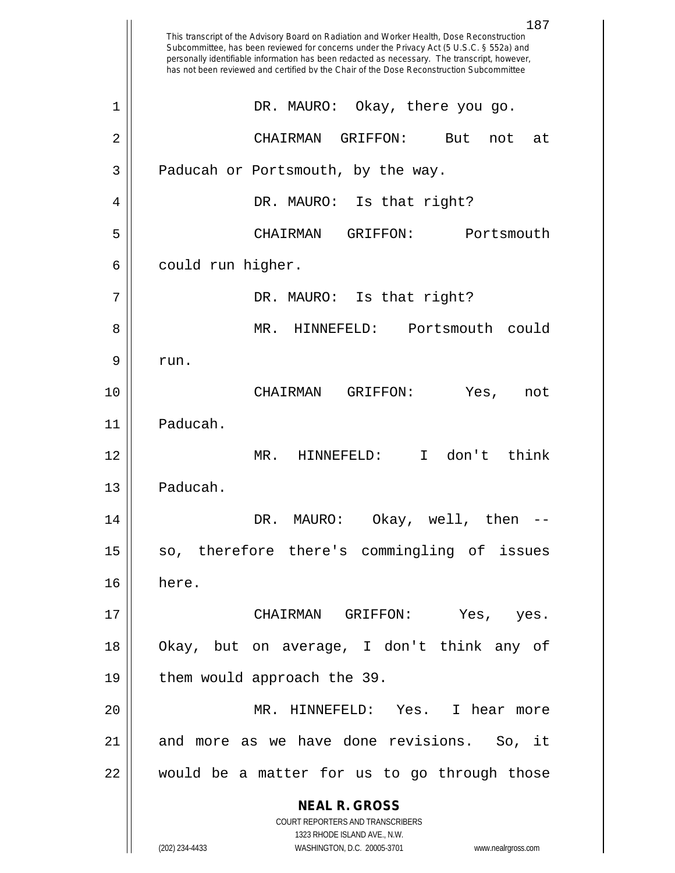|    | 187<br>This transcript of the Advisory Board on Radiation and Worker Health, Dose Reconstruction<br>Subcommittee, has been reviewed for concerns under the Privacy Act (5 U.S.C. § 552a) and<br>personally identifiable information has been redacted as necessary. The transcript, however,<br>has not been reviewed and certified by the Chair of the Dose Reconstruction Subcommittee |
|----|------------------------------------------------------------------------------------------------------------------------------------------------------------------------------------------------------------------------------------------------------------------------------------------------------------------------------------------------------------------------------------------|
| 1  | Okay, there you go.<br>DR. MAURO:                                                                                                                                                                                                                                                                                                                                                        |
| 2  | GRIFFON:<br>CHAIRMAN<br>But<br>not<br>at                                                                                                                                                                                                                                                                                                                                                 |
| 3  | Paducah or Portsmouth, by the way.                                                                                                                                                                                                                                                                                                                                                       |
| 4  | DR. MAURO: Is that right?                                                                                                                                                                                                                                                                                                                                                                |
| 5  | GRIFFON:<br>Portsmouth<br>CHAIRMAN                                                                                                                                                                                                                                                                                                                                                       |
| 6  | could run higher.                                                                                                                                                                                                                                                                                                                                                                        |
| 7  | DR. MAURO: Is that right?                                                                                                                                                                                                                                                                                                                                                                |
| 8  | MR.<br>HINNEFELD:<br>Portsmouth<br>could                                                                                                                                                                                                                                                                                                                                                 |
| 9  | run.                                                                                                                                                                                                                                                                                                                                                                                     |
| 10 | CHAIRMAN<br>GRIFFON:<br>Yes,<br>not                                                                                                                                                                                                                                                                                                                                                      |
| 11 | Paducah.                                                                                                                                                                                                                                                                                                                                                                                 |
| 12 | don't<br>think<br>MR.<br>HINNEFELD:<br>$\mathsf{T}$                                                                                                                                                                                                                                                                                                                                      |
| 13 | Paducah.                                                                                                                                                                                                                                                                                                                                                                                 |
| 14 | DR. MAURO:<br>Okay, well, then                                                                                                                                                                                                                                                                                                                                                           |
| 15 | so, therefore there's commingling of issues                                                                                                                                                                                                                                                                                                                                              |
| 16 | here.                                                                                                                                                                                                                                                                                                                                                                                    |
| 17 | CHAIRMAN GRIFFON:<br>Yes, yes.                                                                                                                                                                                                                                                                                                                                                           |
| 18 | Okay, but on average, I don't think any of                                                                                                                                                                                                                                                                                                                                               |
| 19 | them would approach the 39.                                                                                                                                                                                                                                                                                                                                                              |
| 20 | MR. HINNEFELD: Yes. I hear more                                                                                                                                                                                                                                                                                                                                                          |
| 21 | and more as we have done revisions. So, it                                                                                                                                                                                                                                                                                                                                               |
| 22 | would be a matter for us to go through those                                                                                                                                                                                                                                                                                                                                             |
|    | <b>NEAL R. GROSS</b><br>COURT REPORTERS AND TRANSCRIBERS                                                                                                                                                                                                                                                                                                                                 |
|    | 1323 RHODE ISLAND AVE., N.W.<br>(202) 234-4433<br>WASHINGTON, D.C. 20005-3701<br>www.nealrgross.com                                                                                                                                                                                                                                                                                      |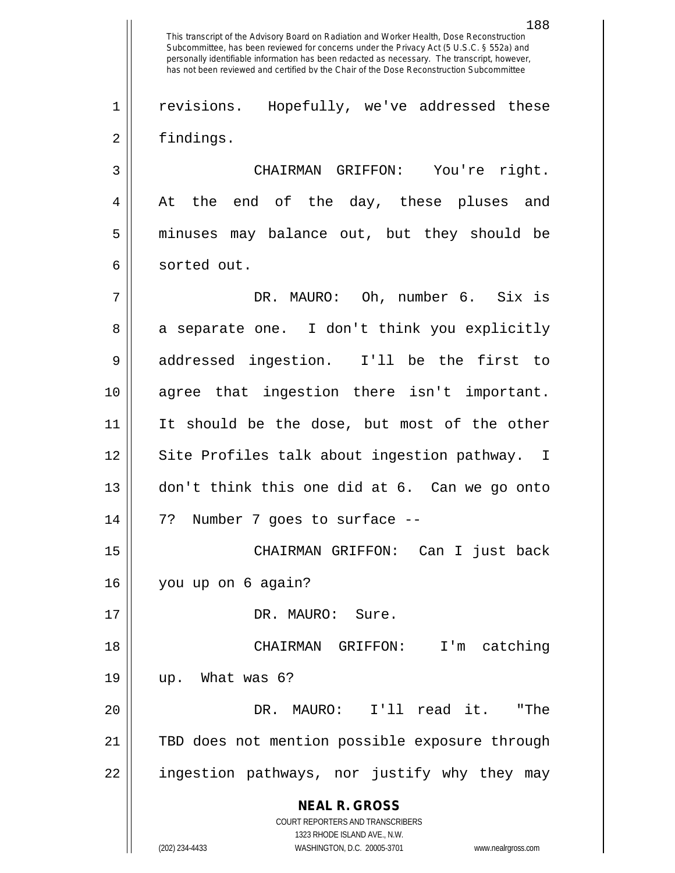**NEAL R. GROSS** COURT REPORTERS AND TRANSCRIBERS 188 This transcript of the Advisory Board on Radiation and Worker Health, Dose Reconstruction Subcommittee, has been reviewed for concerns under the Privacy Act (5 U.S.C. § 552a) and personally identifiable information has been redacted as necessary. The transcript, however, has not been reviewed and certified by the Chair of the Dose Reconstruction Subcommittee 1 || revisions. Hopefully, we've addressed these 2 | findings. 3 CHAIRMAN GRIFFON: You're right. 4 At the end of the day, these pluses and 5 minuses may balance out, but they should be 6 | sorted out. 7 DR. MAURO: Oh, number 6. Six is 8 a separate one. I don't think you explicitly 9 addressed ingestion. I'll be the first to 10 agree that ingestion there isn't important. 11 || It should be the dose, but most of the other 12 || Site Profiles talk about ingestion pathway. I 13 don't think this one did at 6. Can we go onto 14 7? Number 7 goes to surface -- 15 CHAIRMAN GRIFFON: Can I just back 16 you up on 6 again? 17 || DR. MAURO: Sure. 18 CHAIRMAN GRIFFON: I'm catching  $19 \parallel$  up. What was 6? 20 DR. MAURO: I'll read it. "The 21 TBD does not mention possible exposure through 22 || ingestion pathways, nor justify why they may

1323 RHODE ISLAND AVE., N.W. (202) 234-4433 WASHINGTON, D.C. 20005-3701 www.nealrgross.com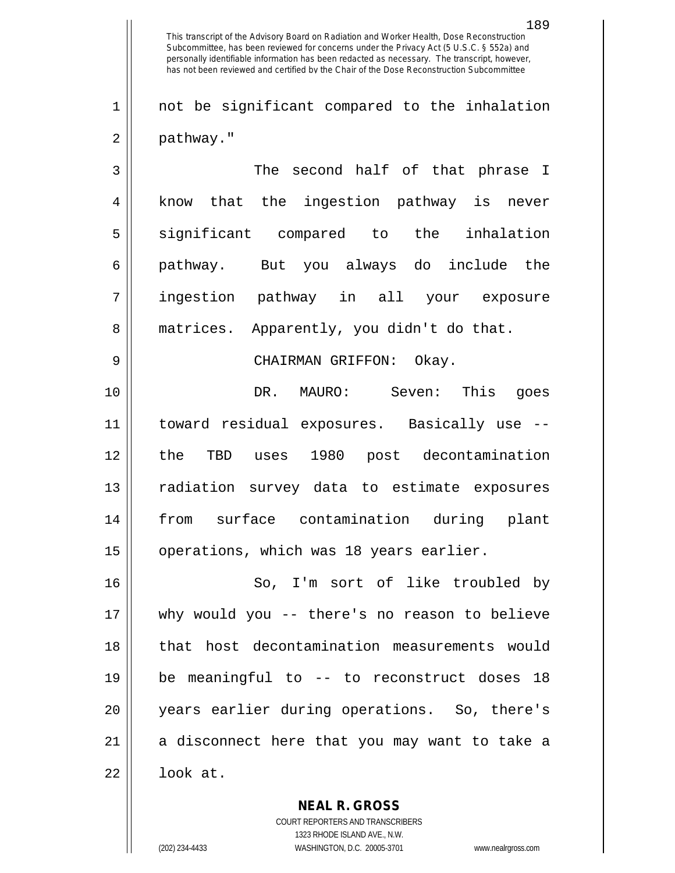1 || not be significant compared to the inhalation 2 | pathway."

 The second half of that phrase I 4 || know that the ingestion pathway is never 5 significant compared to the inhalation pathway. But you always do include the ingestion pathway in all your exposure 8 || matrices. Apparently, you didn't do that. CHAIRMAN GRIFFON: Okay. DR. MAURO: Seven: This goes

 toward residual exposures. Basically use -- the TBD uses 1980 post decontamination radiation survey data to estimate exposures from surface contamination during plant 15 | operations, which was 18 years earlier.

16 || So, I'm sort of like troubled by 17 why would you -- there's no reason to believe 18 || that host decontamination measurements would 19 be meaningful to -- to reconstruct doses 18 20 years earlier during operations. So, there's  $21$  a disconnect here that you may want to take a  $22 \parallel$  look at.

> COURT REPORTERS AND TRANSCRIBERS 1323 RHODE ISLAND AVE., N.W. (202) 234-4433 WASHINGTON, D.C. 20005-3701 www.nealrgross.com

**NEAL R. GROSS**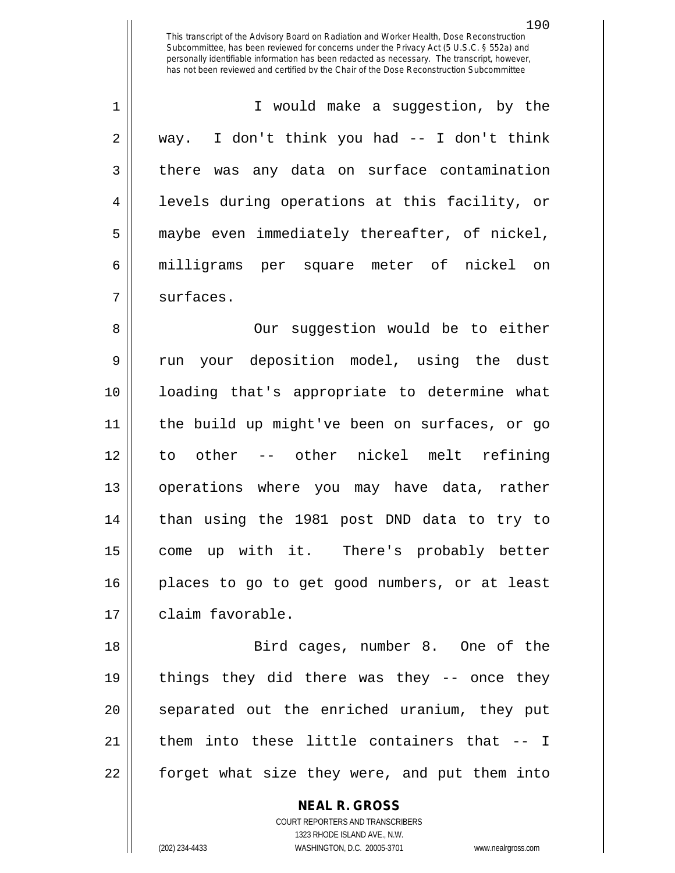1 || T would make a suggestion, by the  $2 \parallel$  way. I don't think you had -- I don't think 3 there was any data on surface contamination 4 || levels during operations at this facility, or 5 maybe even immediately thereafter, of nickel, 6 milligrams per square meter of nickel on 7 | surfaces.

8 || Our suggestion would be to either 9 || run your deposition model, using the dust loading that's appropriate to determine what the build up might've been on surfaces, or go to other -- other nickel melt refining operations where you may have data, rather than using the 1981 post DND data to try to come up with it. There's probably better places to go to get good numbers, or at least 17 | claim favorable.

18 Bird cages, number 8. One of the 19 things they did there was they -- once they 20 || separated out the enriched uranium, they put 21  $\parallel$  them into these little containers that  $-$  I 22 || forget what size they were, and put them into

> **NEAL R. GROSS** COURT REPORTERS AND TRANSCRIBERS 1323 RHODE ISLAND AVE., N.W. (202) 234-4433 WASHINGTON, D.C. 20005-3701 www.nealrgross.com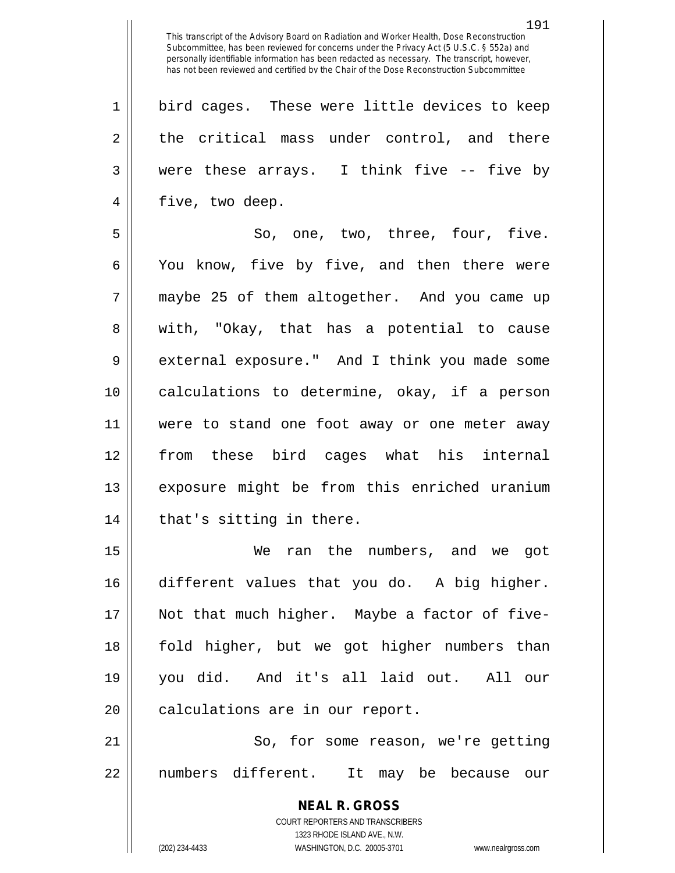1 || bird cages. These were little devices to keep 2 || the critical mass under control, and there  $3 \parallel$  were these arrays. I think five  $-$ - five by 4 || five, two deep.

 $5 \parallel$  So, one, two, three, four, five. 6 || You know, five by five, and then there were 7 maybe 25 of them altogether. And you came up 8 || with, "Okay, that has a potential to cause 9 external exposure." And I think you made some 10 calculations to determine, okay, if a person 11 were to stand one foot away or one meter away 12 from these bird cages what his internal 13 exposure might be from this enriched uranium  $14$  || that's sitting in there.

 We ran the numbers, and we got different values that you do. A big higher. Not that much higher. Maybe a factor of five- fold higher, but we got higher numbers than you did. And it's all laid out. All our 20 || calculations are in our report.

21 || So, for some reason, we're getting 22 || numbers different. It may be because our

> **NEAL R. GROSS** COURT REPORTERS AND TRANSCRIBERS 1323 RHODE ISLAND AVE., N.W. (202) 234-4433 WASHINGTON, D.C. 20005-3701 www.nealrgross.com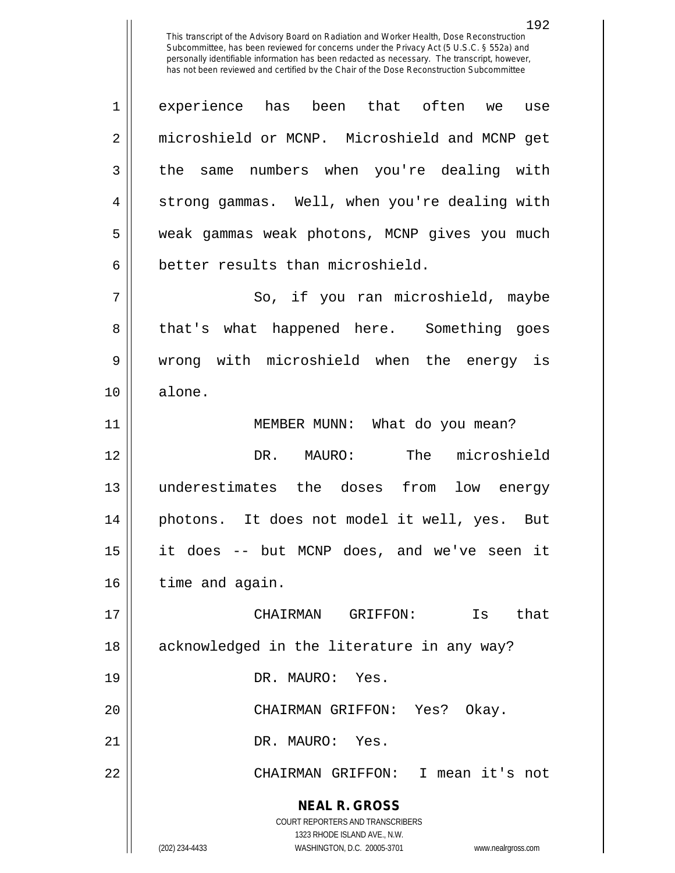1 experience has been that often we use 2 microshield or MCNP. Microshield and MCNP get 3 || the same numbers when you're dealing with 4 || strong gammas. Well, when you're dealing with 5 weak gammas weak photons, MCNP gives you much 6 better results than microshield.

7 || So, if you ran microshield, maybe 8 || that's what happened here. Something goes 9 wrong with microshield when the energy is 10 alone.

11 || MEMBER MUNN: What do you mean? DR. MAURO: The microshield underestimates the doses from low energy photons. It does not model it well, yes. But it does -- but MCNP does, and we've seen it 16 | time and again.

**NEAL R. GROSS** CHAIRMAN GRIFFON: Is that 18 || acknowledged in the literature in any way? DR. MAURO: Yes. CHAIRMAN GRIFFON: Yes? Okay. DR. MAURO: Yes. CHAIRMAN GRIFFON: I mean it's not

> COURT REPORTERS AND TRANSCRIBERS 1323 RHODE ISLAND AVE., N.W.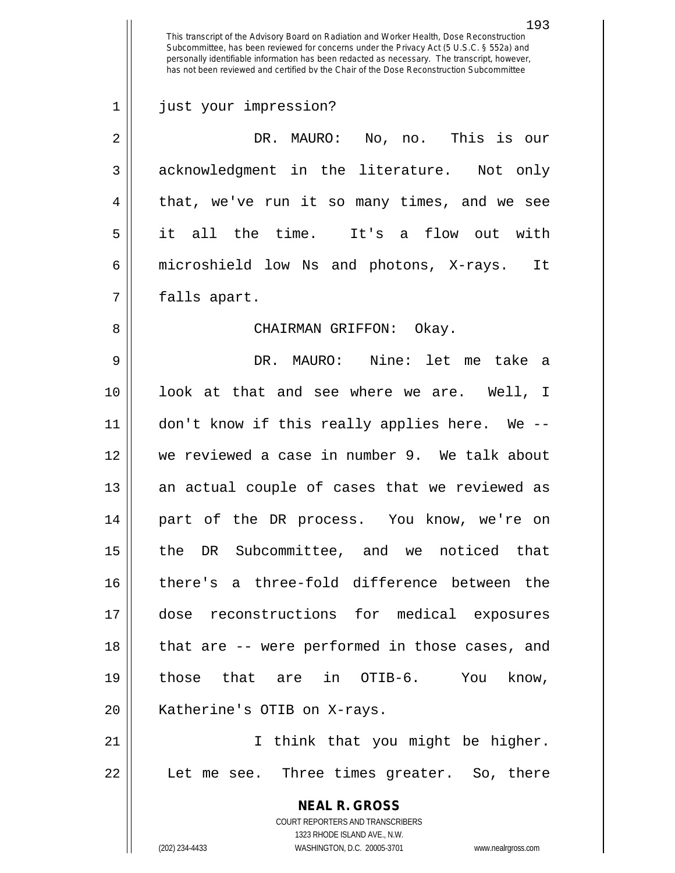**NEAL R. GROSS** COURT REPORTERS AND TRANSCRIBERS 1323 RHODE ISLAND AVE., N.W. (202) 234-4433 WASHINGTON, D.C. 20005-3701 www.nealrgross.com This transcript of the Advisory Board on Radiation and Worker Health, Dose Reconstruction Subcommittee, has been reviewed for concerns under the Privacy Act (5 U.S.C. § 552a) and personally identifiable information has been redacted as necessary. The transcript, however, has not been reviewed and certified by the Chair of the Dose Reconstruction Subcommittee 1 just your impression? 2 DR. MAURO: No, no. This is our 3 acknowledgment in the literature. Not only 4 || that, we've run it so many times, and we see 5 it all the time. It's a flow out with 6 microshield low Ns and photons, X-rays. It 7 | falls apart. 8 CHAIRMAN GRIFFON: Okay. 9 DR. MAURO: Nine: let me take a 10 look at that and see where we are. Well, I 11 don't know if this really applies here. We -- 12 we reviewed a case in number 9. We talk about 13 || an actual couple of cases that we reviewed as 14 part of the DR process. You know, we're on 15 || the DR Subcommittee, and we noticed that 16 there's a three-fold difference between the 17 dose reconstructions for medical exposures 18 || that are -- were performed in those cases, and 19 those that are in OTIB-6. You know, 20 || Katherine's OTIB on X-rays. 21 || I think that you might be higher. 22 || Let me see. Three times greater. So, there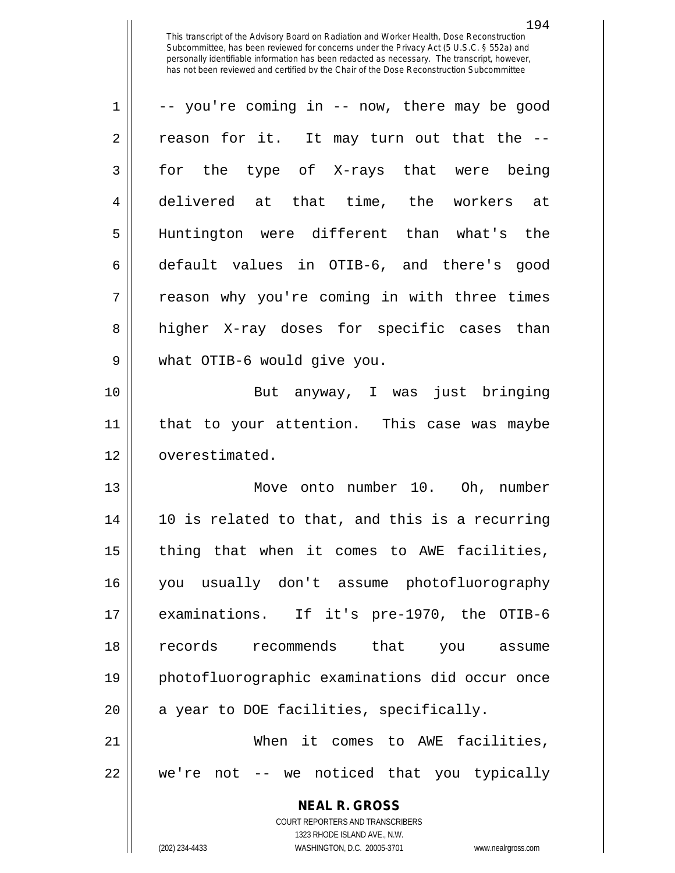| 1              | -- you're coming in -- now, there may be good                       |
|----------------|---------------------------------------------------------------------|
|                |                                                                     |
| $\overline{2}$ | reason for it. It may turn out that the --                          |
| 3              | for the type of X-rays that were being                              |
| 4              | delivered at that time, the workers at                              |
| 5              | Huntington were different than what's the                           |
| 6              | default values in OTIB-6, and there's good                          |
| 7              | reason why you're coming in with three times                        |
| 8              | higher X-ray doses for specific cases than                          |
| 9              | what OTIB-6 would give you.                                         |
| 10             | But anyway, I was just bringing                                     |
| 11             | that to your attention. This case was maybe                         |
| 12             | overestimated.                                                      |
| 13             | Move onto number 10. Oh, number                                     |
| 14             | 10 is related to that, and this is a recurring                      |
| 15             | thing that when it comes to AWE facilities,                         |
| 16             | you usually don't assume photofluorography                          |
| 17             | examinations. If it's pre-1970, the OTIB-6                          |
| 18             | records recommends<br>that you assume                               |
| 19             | photofluorographic examinations did occur once                      |
| 20             | a year to DOE facilities, specifically.                             |
| 21             | When it comes to AWE facilities,                                    |
| 22             | we're not -- we noticed that you typically                          |
|                | <b>NEAL R. GROSS</b>                                                |
|                | COURT REPORTERS AND TRANSCRIBERS                                    |
|                | 1323 RHODE ISLAND AVE., N.W.                                        |
|                | WASHINGTON, D.C. 20005-3701<br>(202) 234-4433<br>www.nealrgross.com |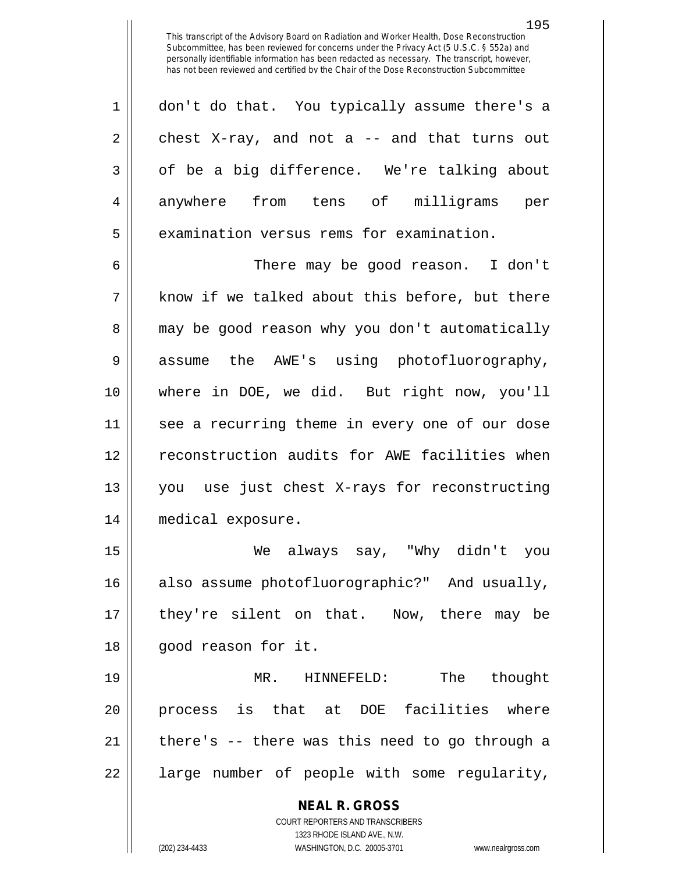| $1 \parallel$  | don't do that. You typically assume there's a |
|----------------|-----------------------------------------------|
| 2 <sup>1</sup> | chest X-ray, and not a -- and that turns out  |
| 3 <sup>1</sup> | of be a big difference. We're talking about   |
| $\overline{4}$ | anywhere from tens of milligrams<br>per       |
| 5              | examination versus rems for examination.      |

6 There may be good reason. I don't  $7 \parallel$  know if we talked about this before, but there 8 || may be good reason why you don't automatically 9 || assume the AWE's using photofluorography, 10 where in DOE, we did. But right now, you'll 11 see a recurring theme in every one of our dose 12 || reconstruction audits for AWE facilities when 13 you use just chest X-rays for reconstructing 14 medical exposure.

15 We always say, "Why didn't you 16 also assume photofluorographic?" And usually, 17 they're silent on that. Now, there may be 18 || good reason for it.

 MR. HINNEFELD: The thought process is that at DOE facilities where | there's  $-$  there was this need to go through a 22 || large number of people with some regularity,

> **NEAL R. GROSS** COURT REPORTERS AND TRANSCRIBERS 1323 RHODE ISLAND AVE., N.W. (202) 234-4433 WASHINGTON, D.C. 20005-3701 www.nealrgross.com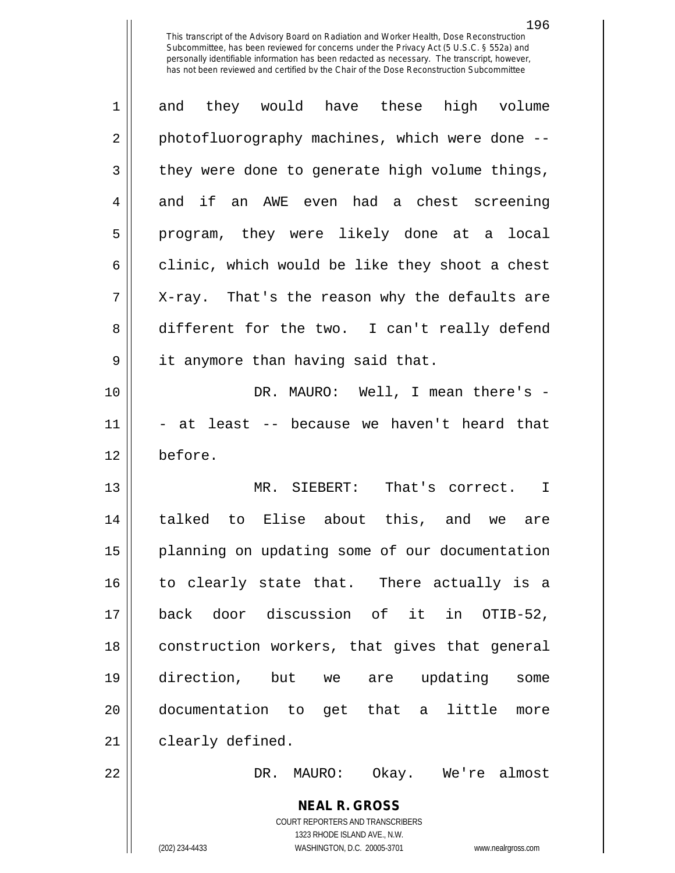| $\mathbf 1$    | and they would have these high volume                            |
|----------------|------------------------------------------------------------------|
| $\overline{2}$ | photofluorography machines, which were done --                   |
| 3              | they were done to generate high volume things,                   |
| 4              | and if an AWE even had a chest screening                         |
| 5              | program, they were likely done at a local                        |
| 6              | clinic, which would be like they shoot a chest                   |
| 7              | X-ray. That's the reason why the defaults are                    |
| 8              | different for the two. I can't really defend                     |
| $\mathsf 9$    | it anymore than having said that.                                |
| 10             | DR. MAURO: Well, I mean there's -                                |
| 11             | - at least -- because we haven't heard that                      |
| 12             | before.                                                          |
|                |                                                                  |
| 13             | MR. SIEBERT: That's correct. I                                   |
| 14             | talked to Elise about this, and we are                           |
| 15             | planning on updating some of our documentation                   |
| 16             | to clearly state that. There actually is a                       |
| 17             | back door discussion of it in OTIB-52,                           |
| 18             | construction workers, that gives that general                    |
| 19             | direction, but we are updating<br>some                           |
| 20             | documentation to get that a little<br>more                       |
| 21             | clearly defined.                                                 |
| 22             | Okay. We're almost<br>DR.<br>MAURO:                              |
|                | <b>NEAL R. GROSS</b>                                             |
|                | COURT REPORTERS AND TRANSCRIBERS<br>1323 RHODE ISLAND AVE., N.W. |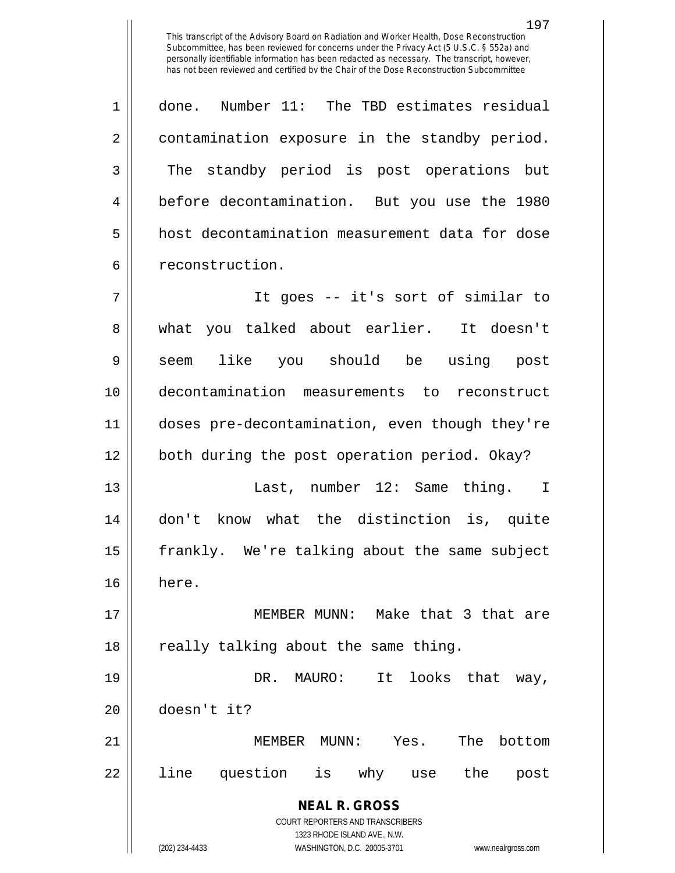1 done. Number 11: The TBD estimates residual 2 | contamination exposure in the standby period. 3 The standby period is post operations but 4 before decontamination. But you use the 1980 5 | host decontamination measurement data for dose 6 | reconstruction.

 It goes -- it's sort of similar to 8 what you talked about earlier. It doesn't 9|| seem like you should be using post decontamination measurements to reconstruct doses pre-decontamination, even though they're both during the post operation period. Okay?

13 Last, number 12: Same thing. I 14 don't know what the distinction is, quite 15 || frankly. We're talking about the same subject 16 here.

17 || MEMBER MUNN: Make that 3 that are 18 || really talking about the same thing.

19 DR. MAURO: It looks that way, 20 doesn't it?

21 MEMBER MUNN: Yes. The bottom 22 || line question is why use the post

> **NEAL R. GROSS** COURT REPORTERS AND TRANSCRIBERS

> > 1323 RHODE ISLAND AVE., N.W.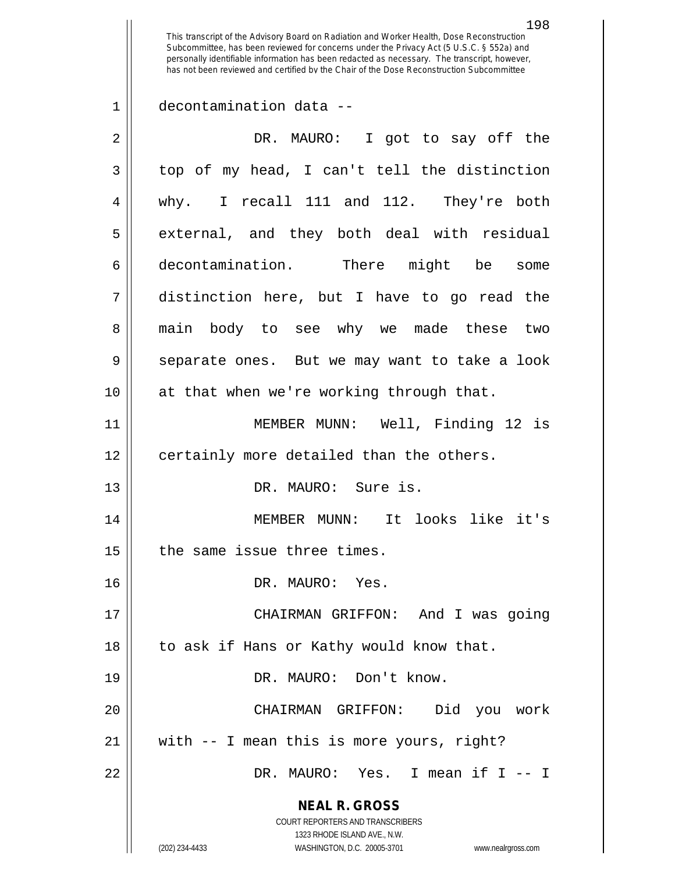1 decontamination data --

| $\mathbf{3}$<br>4<br>5<br>6<br>7<br>8<br>9<br>at that when we're working through that.<br>10<br>11<br>12<br>certainly more detailed than the others.<br>13<br>DR. MAURO: Sure is.<br>14<br>15<br>the same issue three times.<br>16<br>DR. MAURO: Yes.<br>17<br>to ask if Hans or Kathy would know that.<br>18<br>DR. MAURO: Don't know.<br>19<br>20<br>CHAIRMAN GRIFFON:<br>with -- I mean this is more yours, right?<br>21<br>22<br><b>NEAL R. GROSS</b><br>COURT REPORTERS AND TRANSCRIBERS<br>1323 RHODE ISLAND AVE., N.W. | $\overline{2}$ | DR. MAURO: I got to say off the                                     |
|-------------------------------------------------------------------------------------------------------------------------------------------------------------------------------------------------------------------------------------------------------------------------------------------------------------------------------------------------------------------------------------------------------------------------------------------------------------------------------------------------------------------------------|----------------|---------------------------------------------------------------------|
|                                                                                                                                                                                                                                                                                                                                                                                                                                                                                                                               |                | top of my head, I can't tell the distinction                        |
|                                                                                                                                                                                                                                                                                                                                                                                                                                                                                                                               |                | why. I recall 111 and 112. They're both                             |
|                                                                                                                                                                                                                                                                                                                                                                                                                                                                                                                               |                | external, and they both deal with residual                          |
|                                                                                                                                                                                                                                                                                                                                                                                                                                                                                                                               |                | decontamination. There might be some                                |
|                                                                                                                                                                                                                                                                                                                                                                                                                                                                                                                               |                | distinction here, but I have to go read the                         |
|                                                                                                                                                                                                                                                                                                                                                                                                                                                                                                                               |                | main body to see why we made these two                              |
|                                                                                                                                                                                                                                                                                                                                                                                                                                                                                                                               |                | separate ones. But we may want to take a look                       |
|                                                                                                                                                                                                                                                                                                                                                                                                                                                                                                                               |                |                                                                     |
|                                                                                                                                                                                                                                                                                                                                                                                                                                                                                                                               |                | MEMBER MUNN: Well, Finding 12 is                                    |
|                                                                                                                                                                                                                                                                                                                                                                                                                                                                                                                               |                |                                                                     |
|                                                                                                                                                                                                                                                                                                                                                                                                                                                                                                                               |                |                                                                     |
|                                                                                                                                                                                                                                                                                                                                                                                                                                                                                                                               |                | MEMBER MUNN: It looks like it's                                     |
|                                                                                                                                                                                                                                                                                                                                                                                                                                                                                                                               |                |                                                                     |
|                                                                                                                                                                                                                                                                                                                                                                                                                                                                                                                               |                |                                                                     |
|                                                                                                                                                                                                                                                                                                                                                                                                                                                                                                                               |                | CHAIRMAN GRIFFON: And I was going                                   |
|                                                                                                                                                                                                                                                                                                                                                                                                                                                                                                                               |                |                                                                     |
|                                                                                                                                                                                                                                                                                                                                                                                                                                                                                                                               |                |                                                                     |
|                                                                                                                                                                                                                                                                                                                                                                                                                                                                                                                               |                | Did you work                                                        |
|                                                                                                                                                                                                                                                                                                                                                                                                                                                                                                                               |                |                                                                     |
|                                                                                                                                                                                                                                                                                                                                                                                                                                                                                                                               |                | DR. MAURO: Yes. I mean if I -- I                                    |
|                                                                                                                                                                                                                                                                                                                                                                                                                                                                                                                               |                | (202) 234-4433<br>WASHINGTON, D.C. 20005-3701<br>www.nealrgross.com |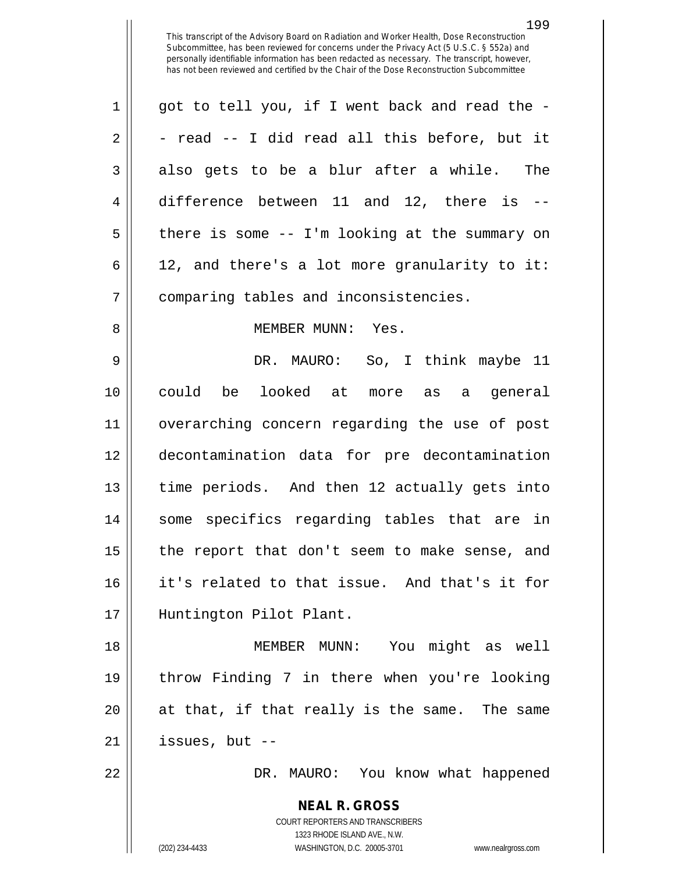| $\mathbf{1}$   | got to tell you, if I went back and read the -    |
|----------------|---------------------------------------------------|
| 2              | - read -- I did read all this before, but it      |
| 3              | also gets to be a blur after a while. The         |
| 4              | difference between $11$ and $12$ , there is --    |
| 5              | there is some $-$ - I'm looking at the summary on |
| 6              | 12, and there's a lot more granularity to it:     |
| $\overline{7}$ | comparing tables and inconsistencies.             |
| 8              | MEMBER MUNN: Yes.                                 |

 DR. MAURO: So, I think maybe 11 could be looked at more as a general overarching concern regarding the use of post decontamination data for pre decontamination 13 || time periods. And then 12 actually gets into some specifics regarding tables that are in | the report that don't seem to make sense, and it's related to that issue. And that's it for Huntington Pilot Plant.

 MEMBER MUNN: You might as well throw Finding 7 in there when you're looking || at that, if that really is the same. The same | issues, but  $-$ 

DR. MAURO: You know what happened

**NEAL R. GROSS** COURT REPORTERS AND TRANSCRIBERS 1323 RHODE ISLAND AVE., N.W. (202) 234-4433 WASHINGTON, D.C. 20005-3701 www.nealrgross.com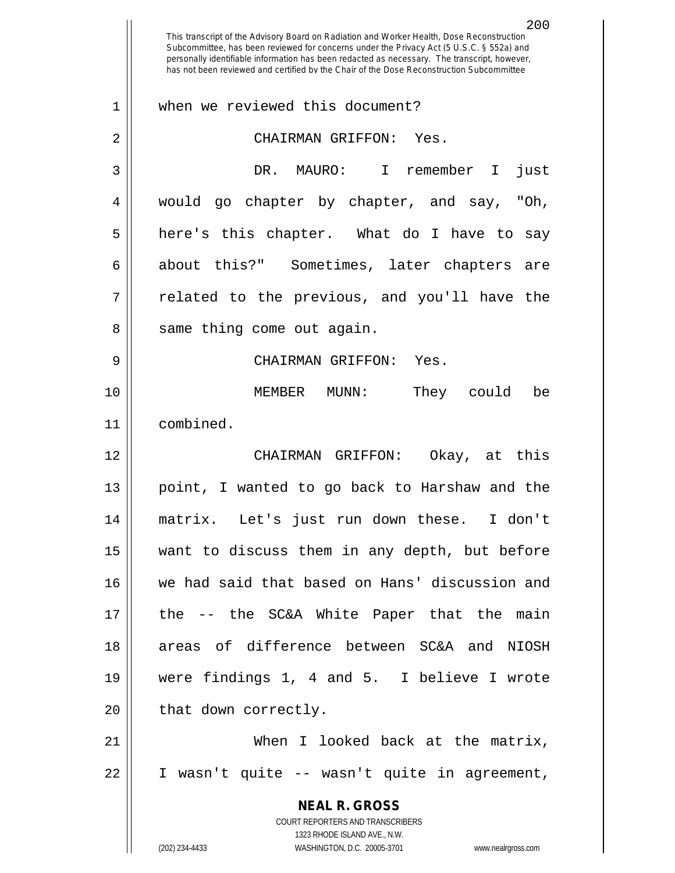**NEAL R. GROSS** COURT REPORTERS AND TRANSCRIBERS 1323 RHODE ISLAND AVE., N.W. (202) 234-4433 WASHINGTON, D.C. 20005-3701 www.nealrgross.com 200 This transcript of the Advisory Board on Radiation and Worker Health, Dose Reconstruction Subcommittee, has been reviewed for concerns under the Privacy Act (5 U.S.C. § 552a) and personally identifiable information has been redacted as necessary. The transcript, however, has not been reviewed and certified by the Chair of the Dose Reconstruction Subcommittee 1 When we reviewed this document? 2 CHAIRMAN GRIFFON: Yes. 3 DR. MAURO: I remember I just 4 would go chapter by chapter, and say, "Oh,  $5 \parallel$  here's this chapter. What do I have to say 6 about this?" Sometimes, later chapters are  $7 \parallel$  related to the previous, and you'll have the  $8 \parallel$  same thing come out again. 9 CHAIRMAN GRIFFON: Yes. 10 MEMBER MUNN: They could be 11 combined. 12 CHAIRMAN GRIFFON: Okay, at this 13 || point, I wanted to go back to Harshaw and the 14 matrix. Let's just run down these. I don't 15 want to discuss them in any depth, but before 16 we had said that based on Hans' discussion and 17 the -- the SC&A White Paper that the main 18 areas of difference between SC&A and NIOSH 19 were findings 1, 4 and 5. I believe I wrote  $20$  | that down correctly. 21 When I looked back at the matrix, 22 I wasn't quite -- wasn't quite in agreement,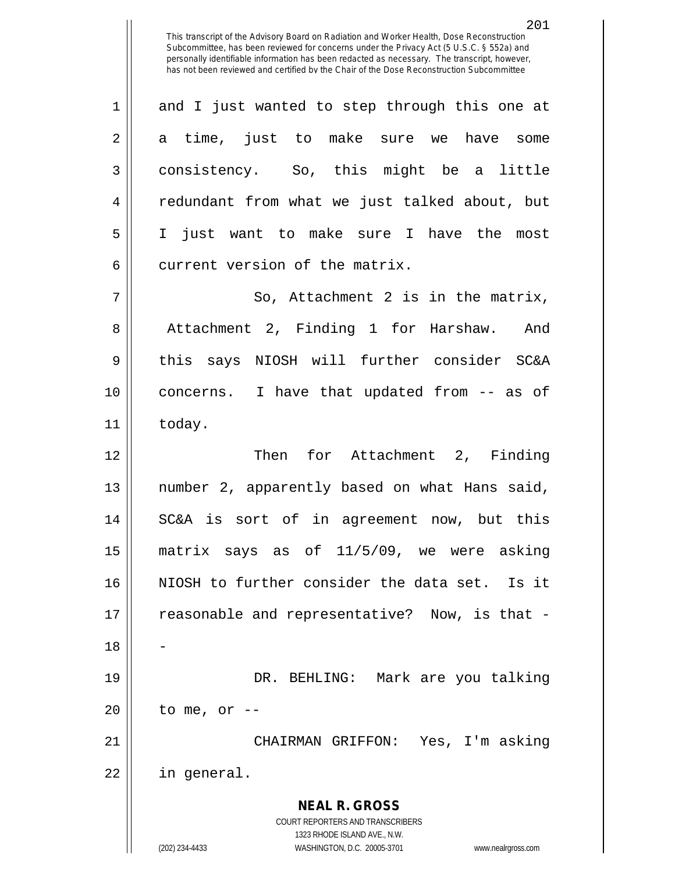$1 \parallel$  and I just wanted to step through this one at 2 || a time, just to make sure we have some 3 || consistency. So, this might be a little 4 || redundant from what we just talked about, but 5 I just want to make sure I have the most 6 current version of the matrix.  $7 \parallel$  So, Attachment 2 is in the matrix,

8 | Attachment 2, Finding 1 for Harshaw. And 9 || this says NIOSH will further consider SC&A 10 concerns. I have that updated from -- as of  $11$  | today.

 Then for Attachment 2, Finding number 2, apparently based on what Hans said, SC&A is sort of in agreement now, but this matrix says as of 11/5/09, we were asking NIOSH to further consider the data set. Is it 17 || reasonable and representative? Now, is that -18 DR. BEHLING: Mark are you talking | to me, or  $-$ CHAIRMAN GRIFFON: Yes, I'm asking

22 in general.

**NEAL R. GROSS** COURT REPORTERS AND TRANSCRIBERS

1323 RHODE ISLAND AVE., N.W.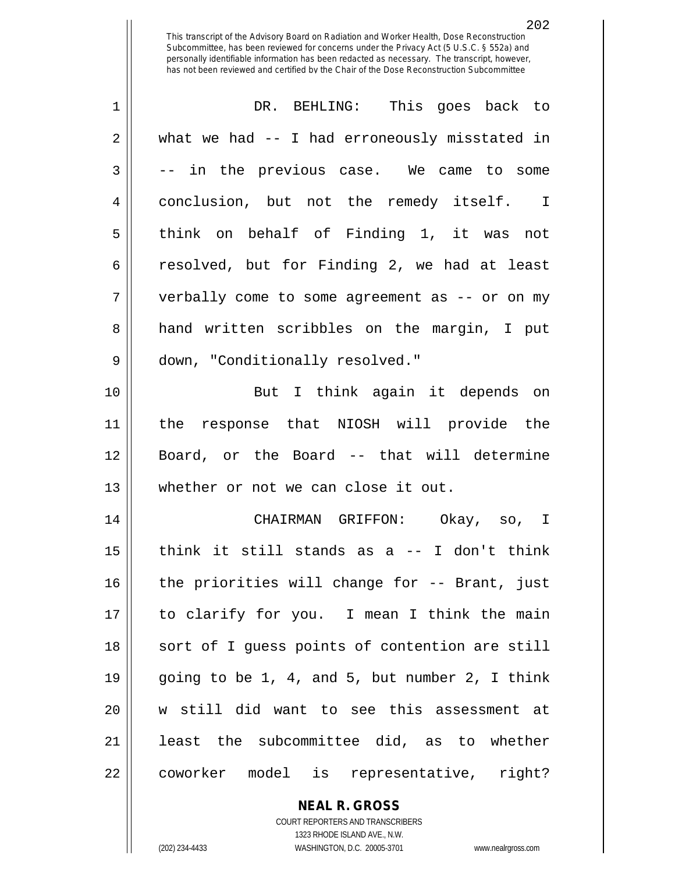| $\mathbf 1$    | DR. BEHLING: This goes back to                 |
|----------------|------------------------------------------------|
| $\overline{2}$ | what we had -- I had erroneously misstated in  |
| 3              | -- in the previous case. We came to some       |
| 4              | conclusion, but not the remedy itself. I       |
| 5              | think on behalf of Finding 1, it was not       |
| 6              | resolved, but for Finding 2, we had at least   |
| 7              | verbally come to some agreement as -- or on my |
| 8              | hand written scribbles on the margin, I put    |
| 9              | down, "Conditionally resolved."                |
| 10             | But I think again it depends on                |
| 11             | the response that NIOSH will provide the       |
| 12             | Board, or the Board -- that will determine     |
| 13             | whether or not we can close it out.            |
| 14             | CHAIRMAN GRIFFON: Okay, so, I                  |
| 15             | think it still stands as $a -1$ don't think    |
| 16             | the priorities will change for -- Brant, just  |
| 17             | to clarify for you. I mean I think the main    |
| 18             | sort of I guess points of contention are still |
| 19             | going to be 1, 4, and 5, but number 2, I think |
| 20             | w still did want to see this assessment at     |
| 21             | least the subcommittee did, as to whether      |
| 22             | coworker model is representative, right?       |

**NEAL R. GROSS** COURT REPORTERS AND TRANSCRIBERS

1323 RHODE ISLAND AVE., N.W. (202) 234-4433 WASHINGTON, D.C. 20005-3701 www.nealrgross.com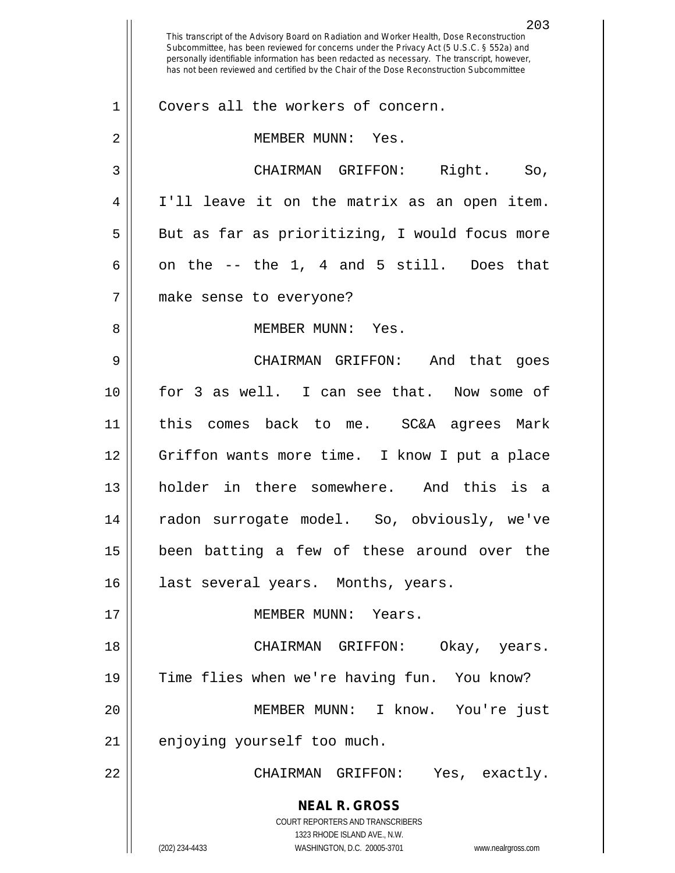**NEAL R. GROSS** COURT REPORTERS AND TRANSCRIBERS 1323 RHODE ISLAND AVE., N.W. (202) 234-4433 WASHINGTON, D.C. 20005-3701 www.nealrgross.com This transcript of the Advisory Board on Radiation and Worker Health, Dose Reconstruction Subcommittee, has been reviewed for concerns under the Privacy Act (5 U.S.C. § 552a) and personally identifiable information has been redacted as necessary. The transcript, however, has not been reviewed and certified by the Chair of the Dose Reconstruction Subcommittee 1 || Covers all the workers of concern. 2 || MEMBER MUNN: Yes. 3 CHAIRMAN GRIFFON: Right. So, 4 I'll leave it on the matrix as an open item. 5 || But as far as prioritizing, I would focus more 6 || on the  $-$  the 1, 4 and 5 still. Does that 7 make sense to everyone? 8 MEMBER MUNN: Yes. 9 CHAIRMAN GRIFFON: And that goes 10 for 3 as well. I can see that. Now some of 11 || this comes back to me. SC&A agrees Mark 12 Griffon wants more time. I know I put a place 13 holder in there somewhere. And this is a 14 radon surrogate model. So, obviously, we've 15 been batting a few of these around over the 16 || last several years. Months, years. 17 MEMBER MUNN: Years. 18 CHAIRMAN GRIFFON: Okay, years. 19 Time flies when we're having fun. You know? 20 MEMBER MUNN: I know. You're just 21 | enjoying yourself too much. 22 CHAIRMAN GRIFFON: Yes, exactly.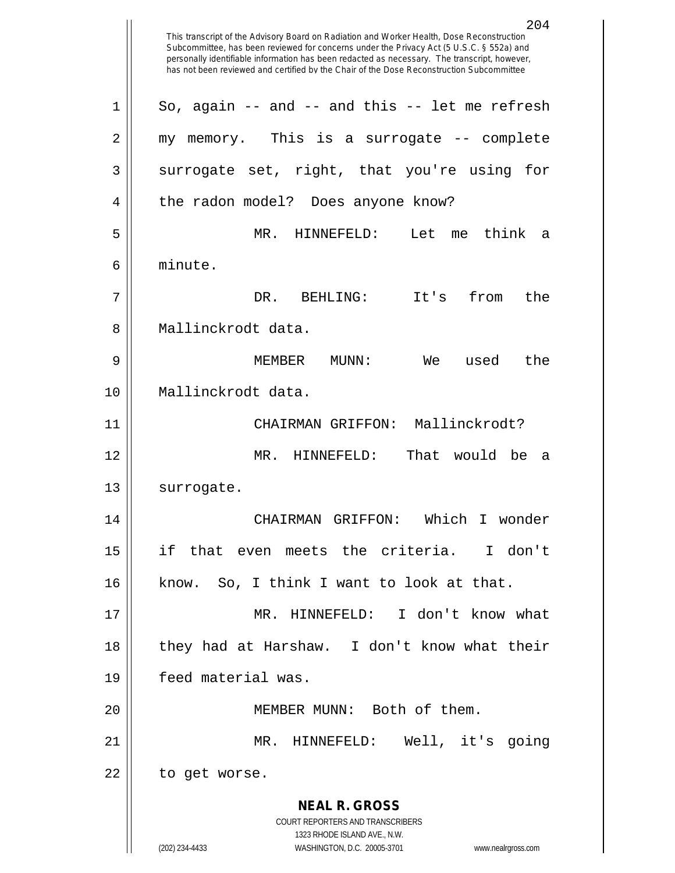**NEAL R. GROSS** COURT REPORTERS AND TRANSCRIBERS 1323 RHODE ISLAND AVE., N.W. (202) 234-4433 WASHINGTON, D.C. 20005-3701 www.nealrgross.com This transcript of the Advisory Board on Radiation and Worker Health, Dose Reconstruction Subcommittee, has been reviewed for concerns under the Privacy Act (5 U.S.C. § 552a) and personally identifiable information has been redacted as necessary. The transcript, however, has not been reviewed and certified by the Chair of the Dose Reconstruction Subcommittee  $1 \parallel$  So, again -- and -- and this -- let me refresh 2 || my memory. This is a surrogate -- complete  $3 \parallel$  surrogate set, right, that you're using for 4 || the radon model? Does anyone know? 5 MR. HINNEFELD: Let me think a 6 minute. 7 DR. BEHLING: It's from the 8 H Mallinckrodt data. 9 MEMBER MUNN: We used the 10 Mallinckrodt data. 11 CHAIRMAN GRIFFON: Mallinckrodt? 12 MR. HINNEFELD: That would be a 13 | surrogate. 14 CHAIRMAN GRIFFON: Which I wonder 15 if that even meets the criteria. I don't 16 know. So, I think I want to look at that. 17 MR. HINNEFELD: I don't know what 18 they had at Harshaw. I don't know what their 19 feed material was. 20 || MEMBER MUNN: Both of them. 21 MR. HINNEFELD: Well, it's going 22 | to get worse.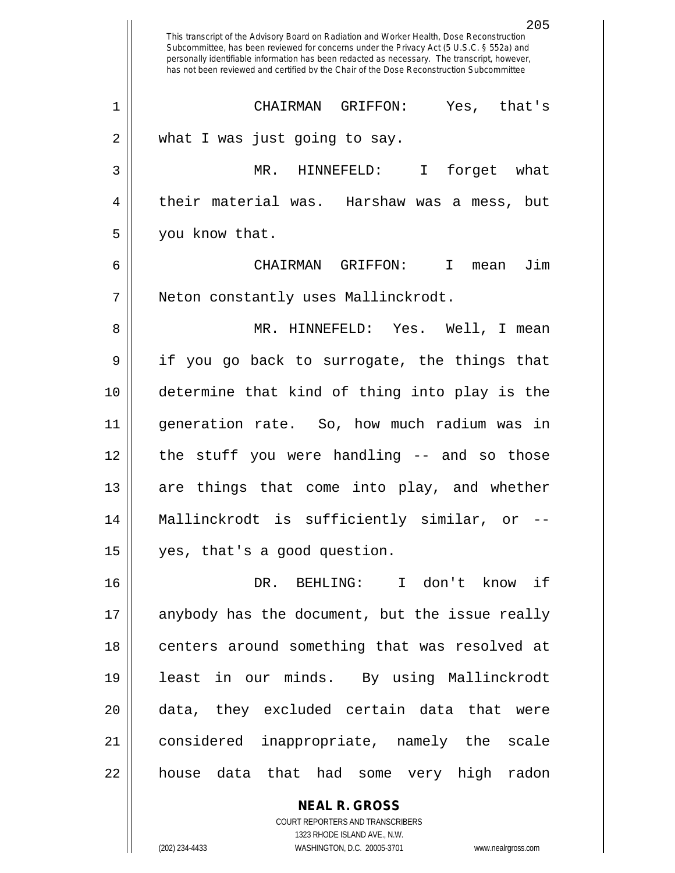|        | 205<br>This transcript of the Advisory Board on Radiation and Worker Health, Dose Reconstruction<br>Subcommittee, has been reviewed for concerns under the Privacy Act (5 U.S.C. § 552a) and<br>personally identifiable information has been redacted as necessary. The transcript, however,<br>has not been reviewed and certified by the Chair of the Dose Reconstruction Subcommittee |
|--------|------------------------------------------------------------------------------------------------------------------------------------------------------------------------------------------------------------------------------------------------------------------------------------------------------------------------------------------------------------------------------------------|
| 1      | CHAIRMAN<br>GRIFFON:<br>Yes, that's                                                                                                                                                                                                                                                                                                                                                      |
| 2      | what I was just going to say.                                                                                                                                                                                                                                                                                                                                                            |
| 3      | MR. HINNEFELD:<br>I forget what                                                                                                                                                                                                                                                                                                                                                          |
| 4      | their material was. Harshaw<br>was a mess, but                                                                                                                                                                                                                                                                                                                                           |
| 5      | you know that.                                                                                                                                                                                                                                                                                                                                                                           |
| 6      | Jim<br>CHATRMAN<br>GRIFFON:<br>$\mathbf{I}$<br>mean                                                                                                                                                                                                                                                                                                                                      |
| 7      | Neton constantly uses Mallinckrodt.                                                                                                                                                                                                                                                                                                                                                      |
| 8      | MR. HINNEFELD: Yes. Well, I mean                                                                                                                                                                                                                                                                                                                                                         |
| 9      | if you go back to surrogate, the things that                                                                                                                                                                                                                                                                                                                                             |
| 10     | determine that kind of thing into play is the                                                                                                                                                                                                                                                                                                                                            |
| 11     | generation rate. So, how much radium was in                                                                                                                                                                                                                                                                                                                                              |
| 12     | stuff you were handling -- and so those<br>the                                                                                                                                                                                                                                                                                                                                           |
| 13     | are things that come into play, and whether                                                                                                                                                                                                                                                                                                                                              |
| 14     | Mallinckrodt is sufficiently similar, or                                                                                                                                                                                                                                                                                                                                                 |
| 15     | yes, that's a good question.                                                                                                                                                                                                                                                                                                                                                             |
| 16     | DR. BEHLING: I don't know if                                                                                                                                                                                                                                                                                                                                                             |
| 17     | anybody has the document, but the issue really                                                                                                                                                                                                                                                                                                                                           |
| $18\,$ | centers around something that was resolved at                                                                                                                                                                                                                                                                                                                                            |
| 19     | least in our minds. By using Mallinckrodt                                                                                                                                                                                                                                                                                                                                                |
| 20     | data, they excluded certain data that were                                                                                                                                                                                                                                                                                                                                               |
| 21     | considered inappropriate, namely the scale                                                                                                                                                                                                                                                                                                                                               |
| 22     | house data that had some very high radon                                                                                                                                                                                                                                                                                                                                                 |
|        | <b>NEAL R. GROSS</b>                                                                                                                                                                                                                                                                                                                                                                     |

COURT REPORTERS AND TRANSCRIBERS 1323 RHODE ISLAND AVE., N.W.

 $\mathbf{\mathsf{I}}$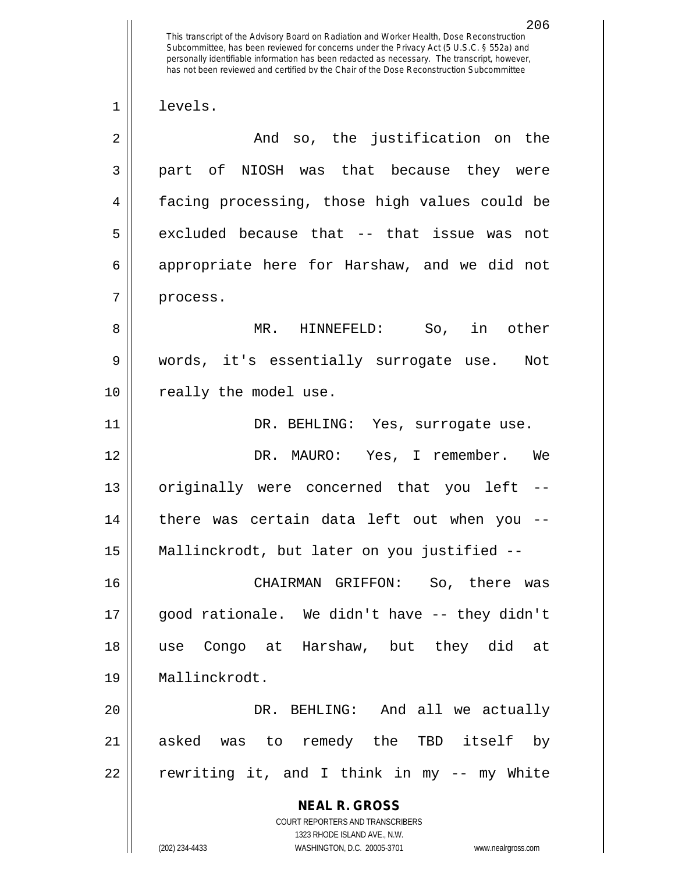This transcript of the Advisory Board on Radiation and Worker Health, Dose Reconstruction Subcommittee, has been reviewed for concerns under the Privacy Act (5 U.S.C. § 552a) and personally identifiable information has been redacted as necessary. The transcript, however, has not been reviewed and certified by the Chair of the Dose Reconstruction Subcommittee 1 levels. 2 And so, the justification on the 3 || part of NIOSH was that because they were 4 facing processing, those high values could be  $5 \parallel$  excluded because that -- that issue was not 6 || appropriate here for Harshaw, and we did not  $7$  | process. 8 MR. HINNEFELD: So, in other

9 words, it's essentially surrogate use. Not 10 || really the model use.

11 || DR. BEHLING: Yes, surrogate use.

 DR. MAURO: Yes, I remember. We 13 || originally were concerned that you left -- there was certain data left out when you -- Mallinckrodt, but later on you justified --

 CHAIRMAN GRIFFON: So, there was good rationale. We didn't have -- they didn't use Congo at Harshaw, but they did at Mallinckrodt.

20 DR. BEHLING: And all we actually 21 asked was to remedy the TBD itself by 22 || rewriting it, and I think in my -- my White

> **NEAL R. GROSS** COURT REPORTERS AND TRANSCRIBERS 1323 RHODE ISLAND AVE., N.W. (202) 234-4433 WASHINGTON, D.C. 20005-3701 www.nealrgross.com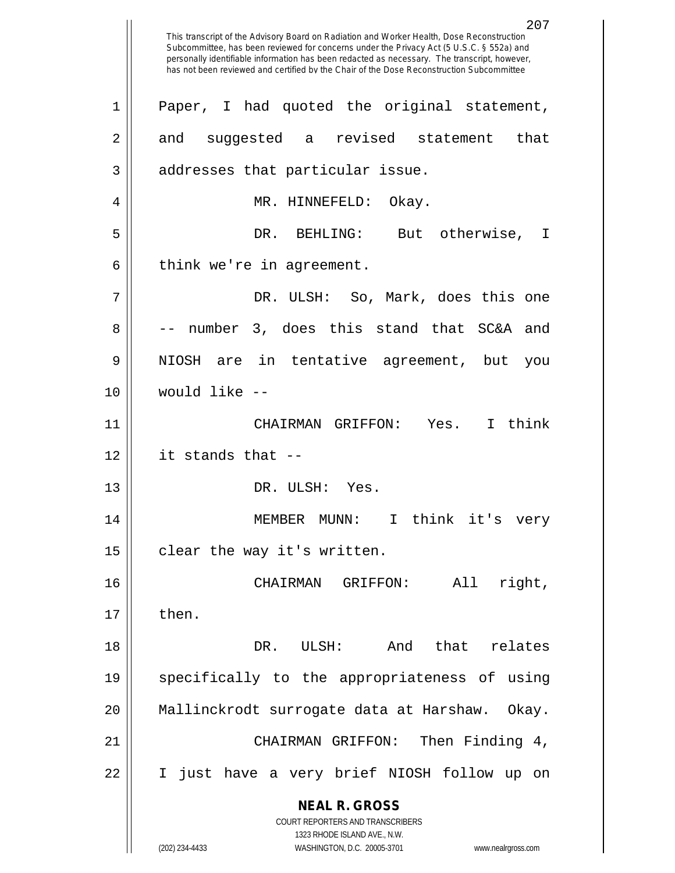**NEAL R. GROSS** COURT REPORTERS AND TRANSCRIBERS 1323 RHODE ISLAND AVE., N.W. (202) 234-4433 WASHINGTON, D.C. 20005-3701 www.nealrgross.com This transcript of the Advisory Board on Radiation and Worker Health, Dose Reconstruction Subcommittee, has been reviewed for concerns under the Privacy Act (5 U.S.C. § 552a) and personally identifiable information has been redacted as necessary. The transcript, however, has not been reviewed and certified by the Chair of the Dose Reconstruction Subcommittee 1 || Paper, I had quoted the original statement, 2 and suggested a revised statement that 3 || addresses that particular issue. 4 MR. HINNEFELD: Okay. 5 DR. BEHLING: But otherwise, I  $6 \parallel$  think we're in agreement. 7 DR. ULSH: So, Mark, does this one  $8 \parallel$  -- number 3, does this stand that SC&A and 9 NIOSH are in tentative agreement, but you 10 would like -- 11 CHAIRMAN GRIFFON: Yes. I think 12 it stands that -- 13 || DR. ULSH: Yes. 14 MEMBER MUNN: I think it's very  $15 \parallel$  clear the way it's written. 16 CHAIRMAN GRIFFON: All right,  $17 \parallel$  then. 18 DR. ULSH: And that relates 19 specifically to the appropriateness of using 20 Mallinckrodt surrogate data at Harshaw. Okay. 21 CHAIRMAN GRIFFON: Then Finding 4, 22 I just have a very brief NIOSH follow up on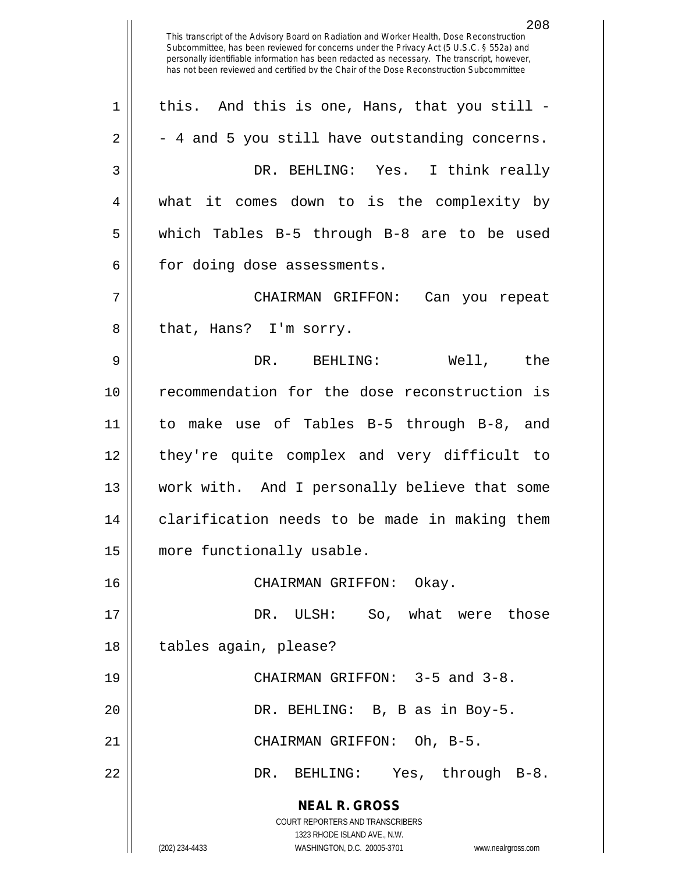**NEAL R. GROSS** COURT REPORTERS AND TRANSCRIBERS 1323 RHODE ISLAND AVE., N.W. (202) 234-4433 WASHINGTON, D.C. 20005-3701 www.nealrgross.com This transcript of the Advisory Board on Radiation and Worker Health, Dose Reconstruction Subcommittee, has been reviewed for concerns under the Privacy Act (5 U.S.C. § 552a) and personally identifiable information has been redacted as necessary. The transcript, however, has not been reviewed and certified by the Chair of the Dose Reconstruction Subcommittee  $1 \parallel$  this. And this is one, Hans, that you still - $2 \parallel -4$  and 5 you still have outstanding concerns. 3 DR. BEHLING: Yes. I think really 4 what it comes down to is the complexity by 5 which Tables B-5 through B-8 are to be used  $6$  | for doing dose assessments. 7 CHAIRMAN GRIFFON: Can you repeat 8 || that, Hans? I'm sorry. 9 DR. BEHLING: Well, the 10 recommendation for the dose reconstruction is 11 to make use of Tables B-5 through B-8, and 12 they're quite complex and very difficult to 13 work with. And I personally believe that some 14 || clarification needs to be made in making them 15 | more functionally usable. 16 CHAIRMAN GRIFFON: Okay. 17 DR. ULSH: So, what were those 18 || tables again, please? 19 CHAIRMAN GRIFFON: 3-5 and 3-8. 20 || DR. BEHLING: B, B as in Boy-5. 21 CHAIRMAN GRIFFON: Oh, B-5. 22 DR. BEHLING: Yes, through B-8.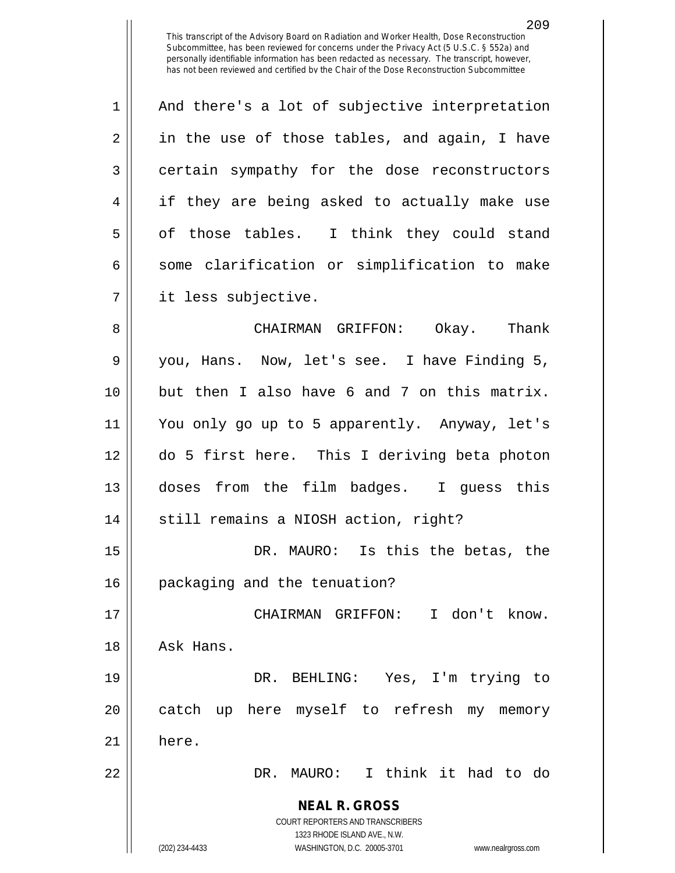$1 \parallel$  And there's a lot of subjective interpretation  $2 \parallel$  in the use of those tables, and again, I have 3 certain sympathy for the dose reconstructors 4 || if they are being asked to actually make use  $5 \parallel$  of those tables. I think they could stand  $6 \parallel$  some clarification or simplification to make 7 it less subjective.

 CHAIRMAN GRIFFON: Okay. Thank you, Hans. Now, let's see. I have Finding 5, but then I also have 6 and 7 on this matrix. You only go up to 5 apparently. Anyway, let's do 5 first here. This I deriving beta photon doses from the film badges. I guess this 14 || still remains a NIOSH action, right?

15 || DR. MAURO: Is this the betas, the 16 | packaging and the tenuation?

17 CHAIRMAN GRIFFON: I don't know. 18 || Ask Hans. 19 DR. BEHLING: Yes, I'm trying to

20 || catch up here myself to refresh my memory

 $21$   $h$  here.

22 DR. MAURO: I think it had to do

**NEAL R. GROSS** COURT REPORTERS AND TRANSCRIBERS

1323 RHODE ISLAND AVE., N.W.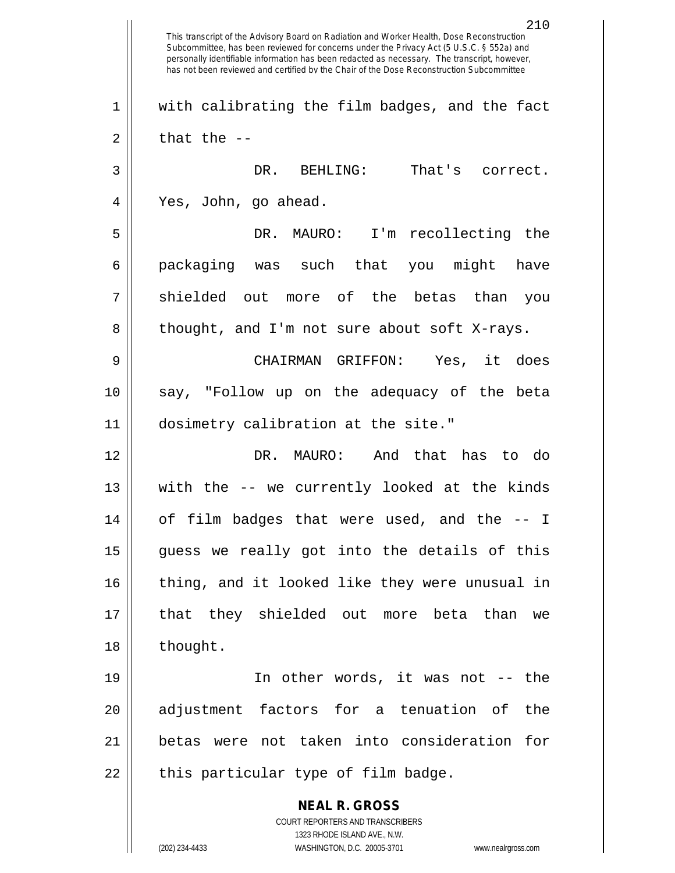**NEAL R. GROSS** COURT REPORTERS AND TRANSCRIBERS 1323 RHODE ISLAND AVE., N.W. (202) 234-4433 WASHINGTON, D.C. 20005-3701 www.nealrgross.com 210 This transcript of the Advisory Board on Radiation and Worker Health, Dose Reconstruction Subcommittee, has been reviewed for concerns under the Privacy Act (5 U.S.C. § 552a) and personally identifiable information has been redacted as necessary. The transcript, however, has not been reviewed and certified by the Chair of the Dose Reconstruction Subcommittee 1 || with calibrating the film badges, and the fact  $2 \parallel$  that the  $-$ 3 DR. BEHLING: That's correct. 4 Yes, John, go ahead. 5 DR. MAURO: I'm recollecting the 6 packaging was such that you might have 7 shielded out more of the betas than you  $8 \parallel$  thought, and I'm not sure about soft X-rays. 9 CHAIRMAN GRIFFON: Yes, it does 10 say, "Follow up on the adequacy of the beta 11 dosimetry calibration at the site." 12 DR. MAURO: And that has to do 13 with the -- we currently looked at the kinds 14 of film badges that were used, and the -- I  $15$  guess we really got into the details of this 16 || thing, and it looked like they were unusual in 17 that they shielded out more beta than we 18 | thought. 19 || In other words, it was not -- the 20 || adjustment factors for a tenuation of the 21 betas were not taken into consideration for  $22$  || this particular type of film badge.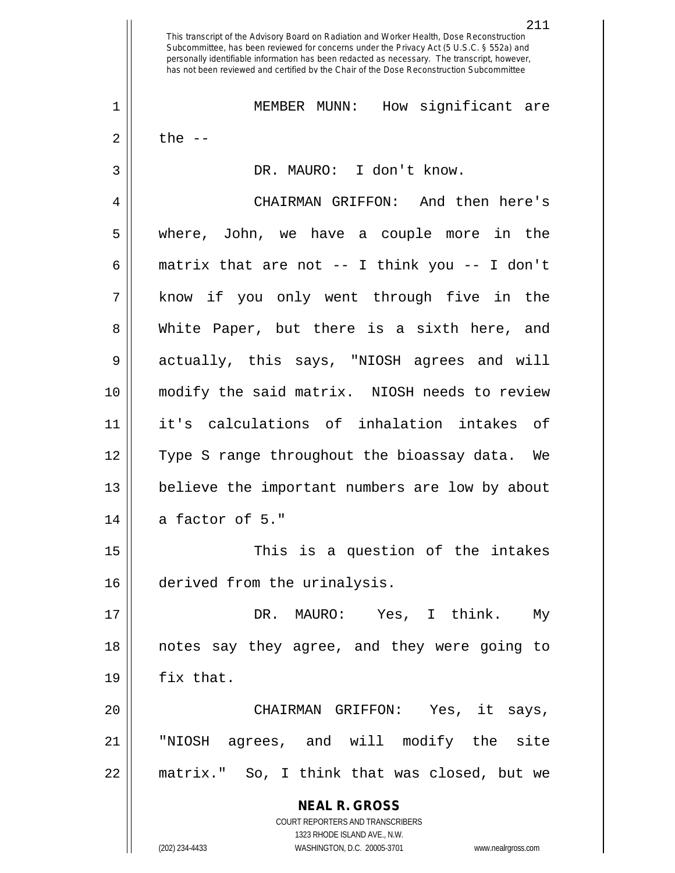**NEAL R. GROSS** COURT REPORTERS AND TRANSCRIBERS 1323 RHODE ISLAND AVE., N.W. This transcript of the Advisory Board on Radiation and Worker Health, Dose Reconstruction Subcommittee, has been reviewed for concerns under the Privacy Act (5 U.S.C. § 552a) and personally identifiable information has been redacted as necessary. The transcript, however, has not been reviewed and certified by the Chair of the Dose Reconstruction Subcommittee 1 MEMBER MUNN: How significant are  $2 \parallel$  the  $-$ 3 | DR. MAURO: I don't know. 4 CHAIRMAN GRIFFON: And then here's 5 where, John, we have a couple more in the 6  $\parallel$  matrix that are not -- I think you -- I don't 7 know if you only went through five in the 8 White Paper, but there is a sixth here, and 9 actually, this says, "NIOSH agrees and will 10 modify the said matrix. NIOSH needs to review 11 it's calculations of inhalation intakes of 12 Type S range throughout the bioassay data. We 13 believe the important numbers are low by about  $14$  || a factor of 5." 15 || This is a question of the intakes 16 derived from the urinalysis. 17 DR. MAURO: Yes, I think. My 18 notes say they agree, and they were going to  $19 \parallel$  fix that. 20 CHAIRMAN GRIFFON: Yes, it says, 21 "NIOSH agrees, and will modify the site 22 matrix." So, I think that was closed, but we

(202) 234-4433 WASHINGTON, D.C. 20005-3701 www.nealrgross.com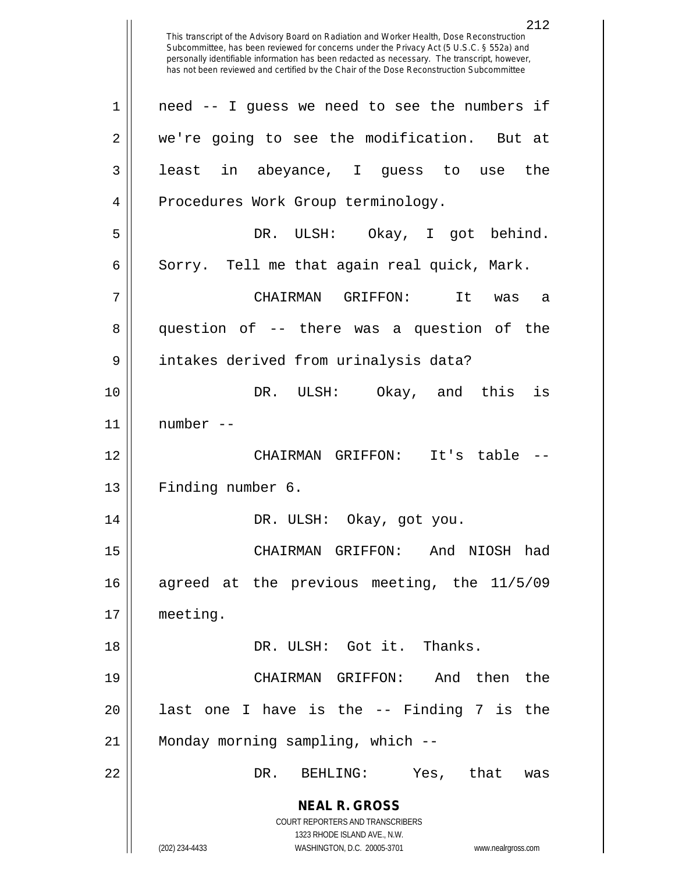**NEAL R. GROSS** COURT REPORTERS AND TRANSCRIBERS 1323 RHODE ISLAND AVE., N.W. (202) 234-4433 WASHINGTON, D.C. 20005-3701 www.nealrgross.com This transcript of the Advisory Board on Radiation and Worker Health, Dose Reconstruction Subcommittee, has been reviewed for concerns under the Privacy Act (5 U.S.C. § 552a) and personally identifiable information has been redacted as necessary. The transcript, however, has not been reviewed and certified by the Chair of the Dose Reconstruction Subcommittee 1 || need -- I guess we need to see the numbers if 2 || we're going to see the modification. But at 3 least in abeyance, I guess to use the 4 || Procedures Work Group terminology. 5 DR. ULSH: Okay, I got behind. 6 Sorry. Tell me that again real quick, Mark. 7 CHAIRMAN GRIFFON: It was a 8 question of -- there was a question of the 9 || intakes derived from urinalysis data? 10 DR. ULSH: Okay, and this is 11 number -- 12 CHAIRMAN GRIFFON: It's table -- 13 || Finding number 6. 14 DR. ULSH: Okay, got you. 15 CHAIRMAN GRIFFON: And NIOSH had 16 agreed at the previous meeting, the 11/5/09 17 meeting. 18 DR. ULSH: Got it. Thanks. 19 CHAIRMAN GRIFFON: And then the  $20$  || last one I have is the  $-$ - Finding 7 is the 21 | Monday morning sampling, which --22 DR. BEHLING: Yes, that was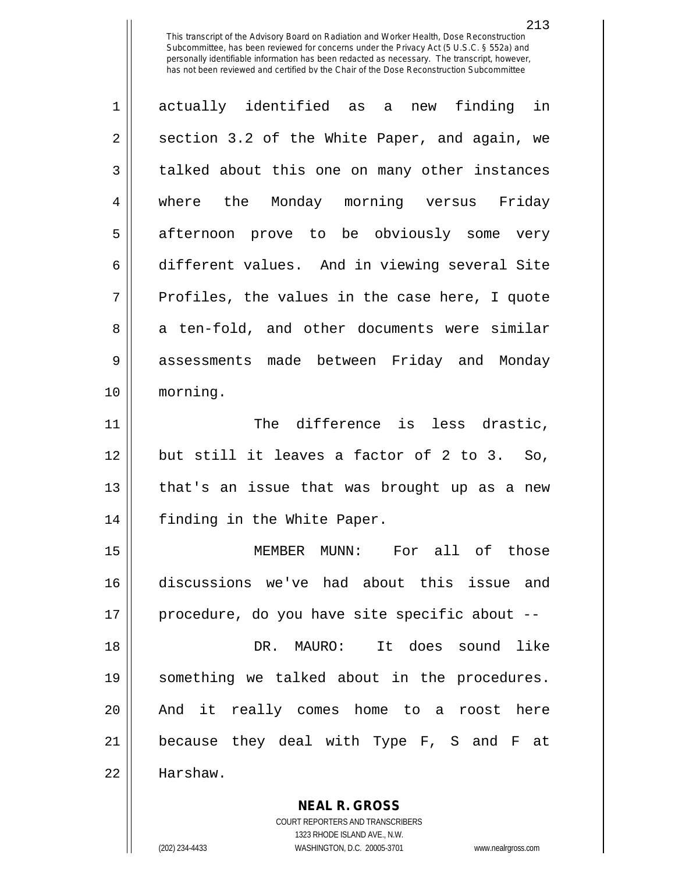213

1 actually identified as a new finding in  $2 \parallel$  section 3.2 of the White Paper, and again, we 3 | talked about this one on many other instances 4 where the Monday morning versus Friday 5 afternoon prove to be obviously some very 6 different values. And in viewing several Site  $7 \parallel$  Profiles, the values in the case here, I quote 8 a ten-fold, and other documents were similar 9 assessments made between Friday and Monday 10 morning. 11 || The difference is less drastic, 12 but still it leaves a factor of 2 to 3. So, 13 || that's an issue that was brought up as a new 14 || finding in the White Paper. 15 MEMBER MUNN: For all of those 16 discussions we've had about this issue and 17 procedure, do you have site specific about -- 18 DR. MAURO: It does sound like 19 something we talked about in the procedures. 20 || And it really comes home to a roost here 21 because they deal with Type F, S and F at 22 Harshaw.

> **NEAL R. GROSS** COURT REPORTERS AND TRANSCRIBERS

> > 1323 RHODE ISLAND AVE., N.W.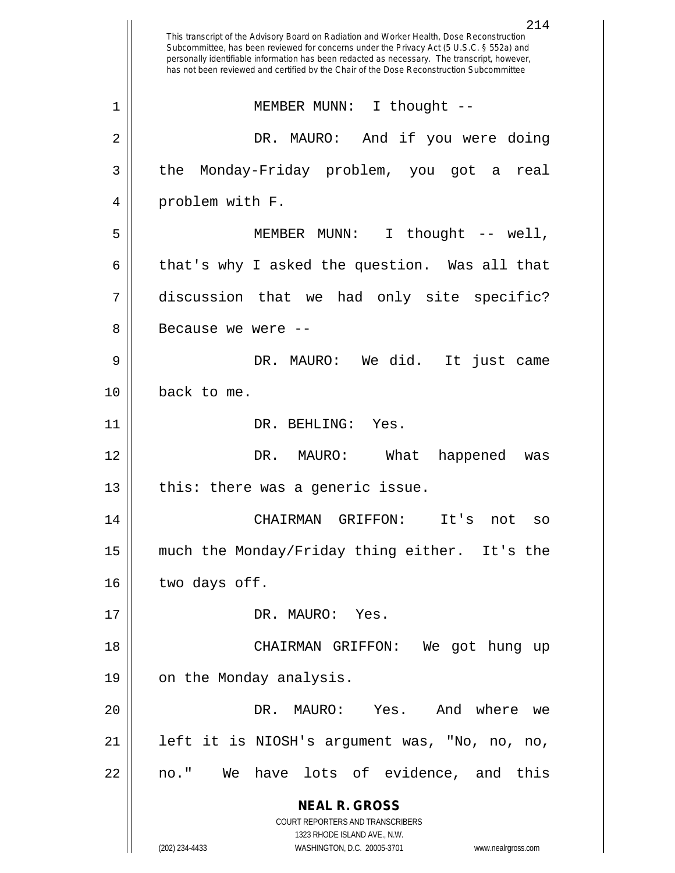**NEAL R. GROSS** COURT REPORTERS AND TRANSCRIBERS 1323 RHODE ISLAND AVE., N.W. (202) 234-4433 WASHINGTON, D.C. 20005-3701 www.nealrgross.com This transcript of the Advisory Board on Radiation and Worker Health, Dose Reconstruction Subcommittee, has been reviewed for concerns under the Privacy Act (5 U.S.C. § 552a) and personally identifiable information has been redacted as necessary. The transcript, however, has not been reviewed and certified by the Chair of the Dose Reconstruction Subcommittee 1 || MEMBER MUNN: I thought --2 DR. MAURO: And if you were doing 3 the Monday-Friday problem, you got a real 4 || problem with F. 5 MEMBER MUNN: I thought -- well, 6 | that's why I asked the question. Was all that 7 discussion that we had only site specific? 8 || Because we were --9 DR. MAURO: We did. It just came 10 back to me. 11 || DR. BEHLING: Yes. 12 DR. MAURO: What happened was  $13$  | this: there was a generic issue. 14 CHAIRMAN GRIFFON: It's not so 15 much the Monday/Friday thing either. It's the  $16$  | two days off. 17 || DR. MAURO: Yes. 18 CHAIRMAN GRIFFON: We got hung up 19 | on the Monday analysis. 20 DR. MAURO: Yes. And where we 21 || left it is NIOSH's argument was, "No, no, no, 22 || no." We have lots of evidence, and this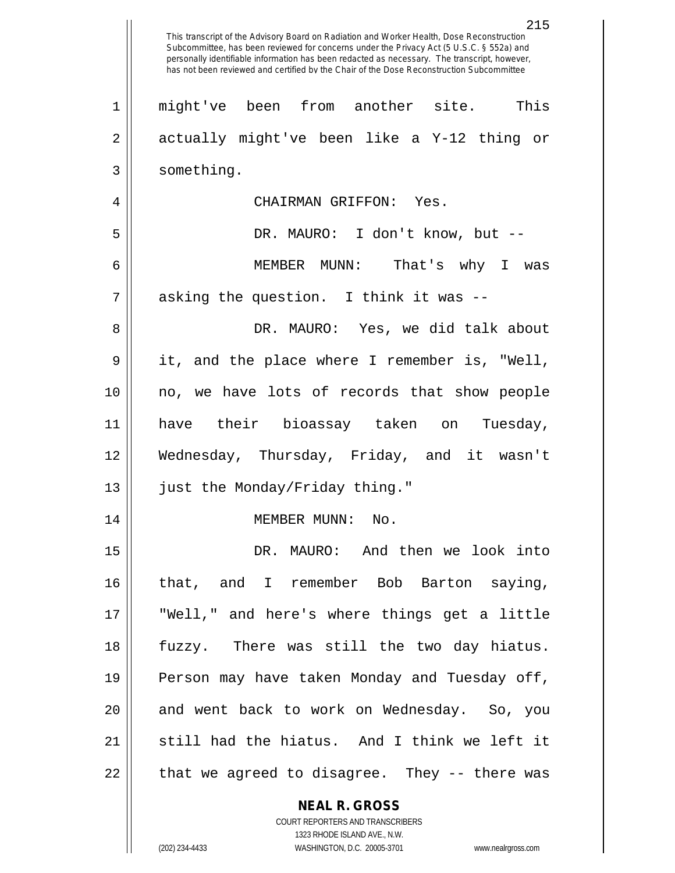|    | 215<br>This transcript of the Advisory Board on Radiation and Worker Health, Dose Reconstruction<br>Subcommittee, has been reviewed for concerns under the Privacy Act (5 U.S.C. § 552a) and<br>personally identifiable information has been redacted as necessary. The transcript, however,<br>has not been reviewed and certified by the Chair of the Dose Reconstruction Subcommittee |
|----|------------------------------------------------------------------------------------------------------------------------------------------------------------------------------------------------------------------------------------------------------------------------------------------------------------------------------------------------------------------------------------------|
| 1  | This<br>might've been from another site.                                                                                                                                                                                                                                                                                                                                                 |
| 2  | actually might've been like a Y-12 thing or                                                                                                                                                                                                                                                                                                                                              |
| 3  | something.                                                                                                                                                                                                                                                                                                                                                                               |
| 4  | CHAIRMAN GRIFFON: Yes.                                                                                                                                                                                                                                                                                                                                                                   |
| 5  | DR. MAURO: I don't know, but --                                                                                                                                                                                                                                                                                                                                                          |
| 6  | MEMBER MUNN:<br>That's why I was                                                                                                                                                                                                                                                                                                                                                         |
| 7  | asking the question. I think it was --                                                                                                                                                                                                                                                                                                                                                   |
| 8  | DR. MAURO: Yes, we did talk about                                                                                                                                                                                                                                                                                                                                                        |
| 9  | it, and the place where I remember is, "Well,                                                                                                                                                                                                                                                                                                                                            |
| 10 | no, we have lots of records that show people                                                                                                                                                                                                                                                                                                                                             |
| 11 | have their bioassay taken on<br>Tuesday,                                                                                                                                                                                                                                                                                                                                                 |
| 12 | Wednesday, Thursday, Friday, and it wasn't                                                                                                                                                                                                                                                                                                                                               |
| 13 | just the Monday/Friday thing."                                                                                                                                                                                                                                                                                                                                                           |
| 14 | MEMBER MUNN: No.                                                                                                                                                                                                                                                                                                                                                                         |
| 15 | DR. MAURO: And then we look into                                                                                                                                                                                                                                                                                                                                                         |
| 16 | that, and I remember Bob Barton saying,                                                                                                                                                                                                                                                                                                                                                  |
| 17 | "Well," and here's where things get a little                                                                                                                                                                                                                                                                                                                                             |
| 18 | fuzzy. There was still the two day hiatus.                                                                                                                                                                                                                                                                                                                                               |
| 19 | Person may have taken Monday and Tuesday off,                                                                                                                                                                                                                                                                                                                                            |
| 20 | and went back to work on Wednesday. So, you                                                                                                                                                                                                                                                                                                                                              |
| 21 | still had the hiatus. And I think we left it                                                                                                                                                                                                                                                                                                                                             |
| 22 | that we agreed to disagree. They -- there was                                                                                                                                                                                                                                                                                                                                            |
|    | <b>NEAL R. GROSS</b>                                                                                                                                                                                                                                                                                                                                                                     |

COURT REPORTERS AND TRANSCRIBERS 1323 RHODE ISLAND AVE., N.W.

 $\prod$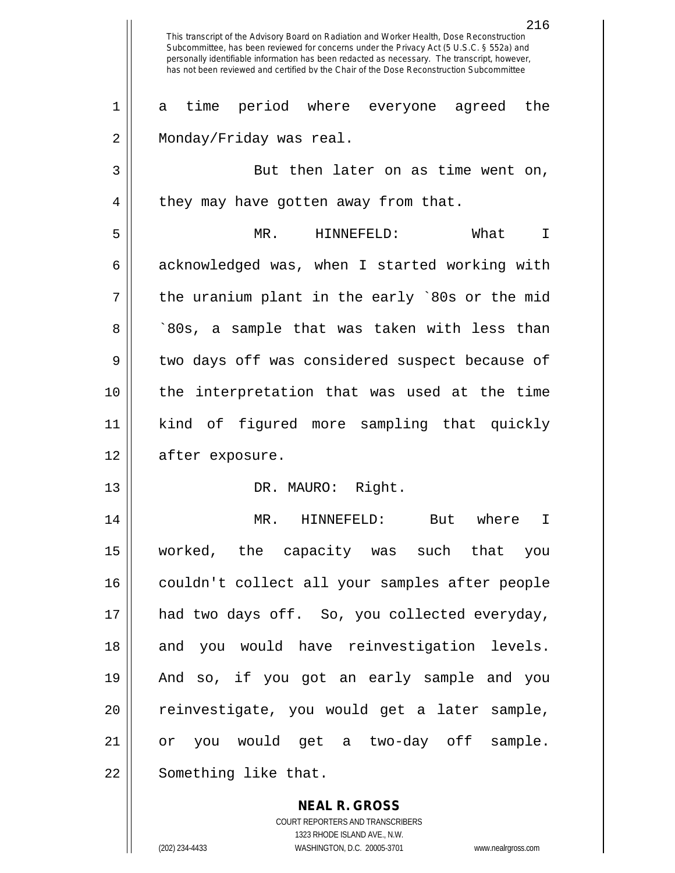216 This transcript of the Advisory Board on Radiation and Worker Health, Dose Reconstruction Subcommittee, has been reviewed for concerns under the Privacy Act (5 U.S.C. § 552a) and personally identifiable information has been redacted as necessary. The transcript, however, has not been reviewed and certified by the Chair of the Dose Reconstruction Subcommittee 1 a time period where everyone agreed the 2 | Monday/Friday was real. 3 || But then later on as time went on, 4 | they may have gotten away from that. 5 MR. HINNEFELD: What I  $6 \parallel$  acknowledged was, when I started working with  $7 \parallel$  the uranium plant in the early `80s or the mid 8 || ^80s, a sample that was taken with less than 9 || two days off was considered suspect because of 10 the interpretation that was used at the time 11 kind of figured more sampling that quickly 12 | after exposure. 13 || DR. MAURO: Right. 14 MR. HINNEFELD: But where I 15 worked, the capacity was such that you 16 || couldn't collect all your samples after people 17 had two days off. So, you collected everyday, 18 and you would have reinvestigation levels. 19 And so, if you got an early sample and you 20 || reinvestigate, you would get a later sample, 21 or you would get a two-day off sample. 22 | Something like that.

> **NEAL R. GROSS** COURT REPORTERS AND TRANSCRIBERS 1323 RHODE ISLAND AVE., N.W. (202) 234-4433 WASHINGTON, D.C. 20005-3701 www.nealrgross.com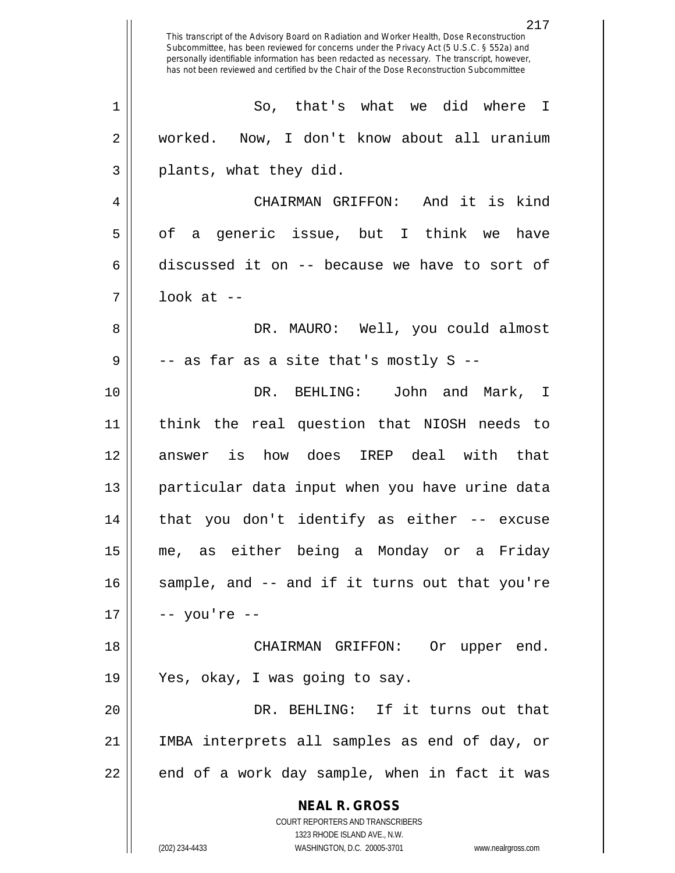**NEAL R. GROSS** COURT REPORTERS AND TRANSCRIBERS 1323 RHODE ISLAND AVE., N.W. (202) 234-4433 WASHINGTON, D.C. 20005-3701 www.nealrgross.com This transcript of the Advisory Board on Radiation and Worker Health, Dose Reconstruction Subcommittee, has been reviewed for concerns under the Privacy Act (5 U.S.C. § 552a) and personally identifiable information has been redacted as necessary. The transcript, however, has not been reviewed and certified by the Chair of the Dose Reconstruction Subcommittee 1 || So, that's what we did where I 2 || worked. Now, I don't know about all uranium  $3 \parallel$  plants, what they did. 4 CHAIRMAN GRIFFON: And it is kind  $5 \parallel$  of a generic issue, but I think we have 6 discussed it on  $-$ - because we have to sort of 7 look at -- 8 DR. MAURO: Well, you could almost  $9 \parallel$  -- as far as a site that's mostly S --10 DR. BEHLING: John and Mark, I 11 think the real question that NIOSH needs to 12 answer is how does IREP deal with that 13 particular data input when you have urine data 14 that you don't identify as either -- excuse 15 me, as either being a Monday or a Friday 16 || sample, and -- and if it turns out that you're  $17 || - -$  you're  $-$ 18 CHAIRMAN GRIFFON: Or upper end. 19 Yes, okay, I was going to say. 20 DR. BEHLING: If it turns out that 21 IMBA interprets all samples as end of day, or  $22 \parallel$  end of a work day sample, when in fact it was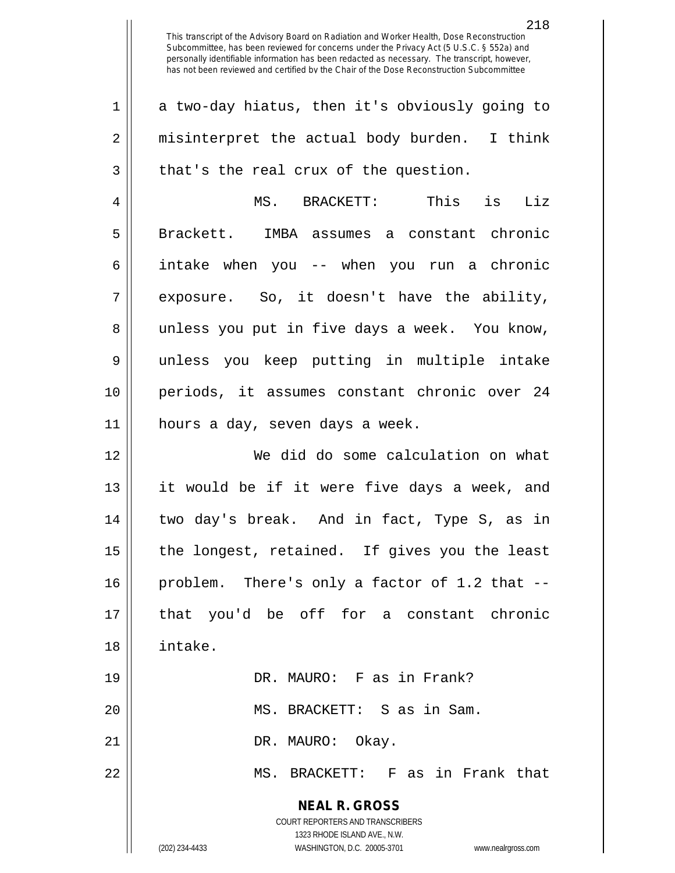**NEAL R. GROSS** COURT REPORTERS AND TRANSCRIBERS 1323 RHODE ISLAND AVE., N.W. (202) 234-4433 WASHINGTON, D.C. 20005-3701 www.nealrgross.com 1 a two-day hiatus, then it's obviously going to 2 || misinterpret the actual body burden. I think  $3 \parallel$  that's the real crux of the question. 4 MS. BRACKETT: This is Liz 5 || Brackett. IMBA assumes a constant chronic 6 intake when you -- when you run a chronic 7 exposure. So, it doesn't have the ability, 8 || unless you put in five days a week. You know, 9 unless you keep putting in multiple intake 10 periods, it assumes constant chronic over 24  $11$  | hours a day, seven days a week. 12 We did do some calculation on what 13 it would be if it were five days a week, and 14 two day's break. And in fact, Type S, as in  $15$  | the longest, retained. If gives you the least  $16$  | problem. There's only a factor of 1.2 that  $-$ -17 that you'd be off for a constant chronic 18 intake. 19 || DR. MAURO: F as in Frank? 20 MS. BRACKETT: S as in Sam. 21 || DR. MAURO: Okay. 22 || MS. BRACKETT: F as in Frank that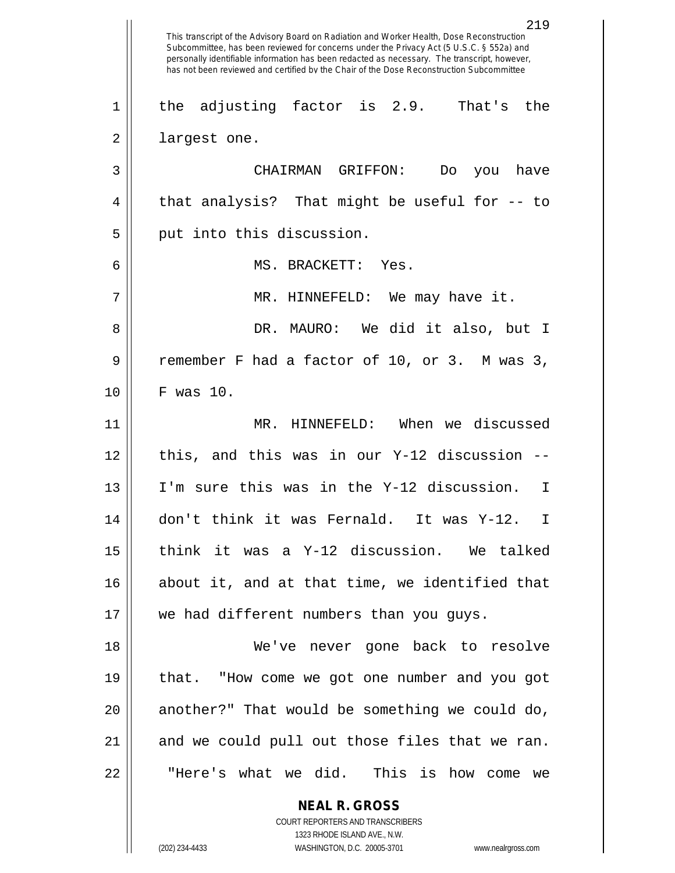**NEAL R. GROSS** COURT REPORTERS AND TRANSCRIBERS 219 This transcript of the Advisory Board on Radiation and Worker Health, Dose Reconstruction Subcommittee, has been reviewed for concerns under the Privacy Act (5 U.S.C. § 552a) and personally identifiable information has been redacted as necessary. The transcript, however, has not been reviewed and certified by the Chair of the Dose Reconstruction Subcommittee  $1 \parallel$  the adjusting factor is 2.9. That's the 2 || largest one. 3 CHAIRMAN GRIFFON: Do you have  $4 \parallel$  that analysis? That might be useful for  $-$  to  $5 \parallel$  put into this discussion. 6 MS. BRACKETT: Yes. 7 || MR. HINNEFELD: We may have it. 8 DR. MAURO: We did it also, but I 9 cemember F had a factor of 10, or 3. M was 3, 10 F was 10. 11 MR. HINNEFELD: When we discussed  $12$  | this, and this was in our Y-12 discussion  $-$ 13 I'm sure this was in the Y-12 discussion. I 14 don't think it was Fernald. It was Y-12. I 15 think it was a Y-12 discussion. We talked 16 || about it, and at that time, we identified that 17 || we had different numbers than you guys. 18 We've never gone back to resolve 19 || that. "How come we got one number and you got  $20$  || another?" That would be something we could do, 21 || and we could pull out those files that we ran. 22 || THere's what we did. This is how come we

1323 RHODE ISLAND AVE., N.W.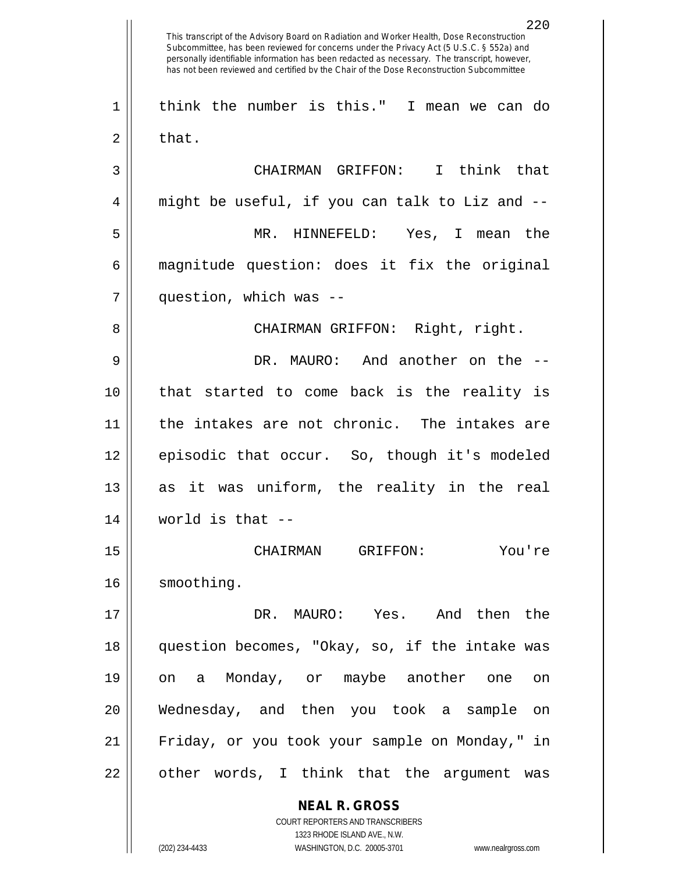**NEAL R. GROSS** COURT REPORTERS AND TRANSCRIBERS 1323 RHODE ISLAND AVE., N.W. This transcript of the Advisory Board on Radiation and Worker Health, Dose Reconstruction Subcommittee, has been reviewed for concerns under the Privacy Act (5 U.S.C. § 552a) and personally identifiable information has been redacted as necessary. The transcript, however, has not been reviewed and certified by the Chair of the Dose Reconstruction Subcommittee think the number is this." I mean we can do  $2 \parallel$  that. CHAIRMAN GRIFFON: I think that  $4 \parallel$  might be useful, if you can talk to Liz and  $-$  MR. HINNEFELD: Yes, I mean the magnitude question: does it fix the original question, which was -- CHAIRMAN GRIFFON: Right, right. DR. MAURO: And another on the -- that started to come back is the reality is the intakes are not chronic. The intakes are 12 || episodic that occur. So, though it's modeled as it was uniform, the reality in the real || world is that  $-$  CHAIRMAN GRIFFON: You're 16 | smoothing. DR. MAURO: Yes. And then the question becomes, "Okay, so, if the intake was on a Monday, or maybe another one on Wednesday, and then you took a sample on Friday, or you took your sample on Monday," in || other words, I think that the argument was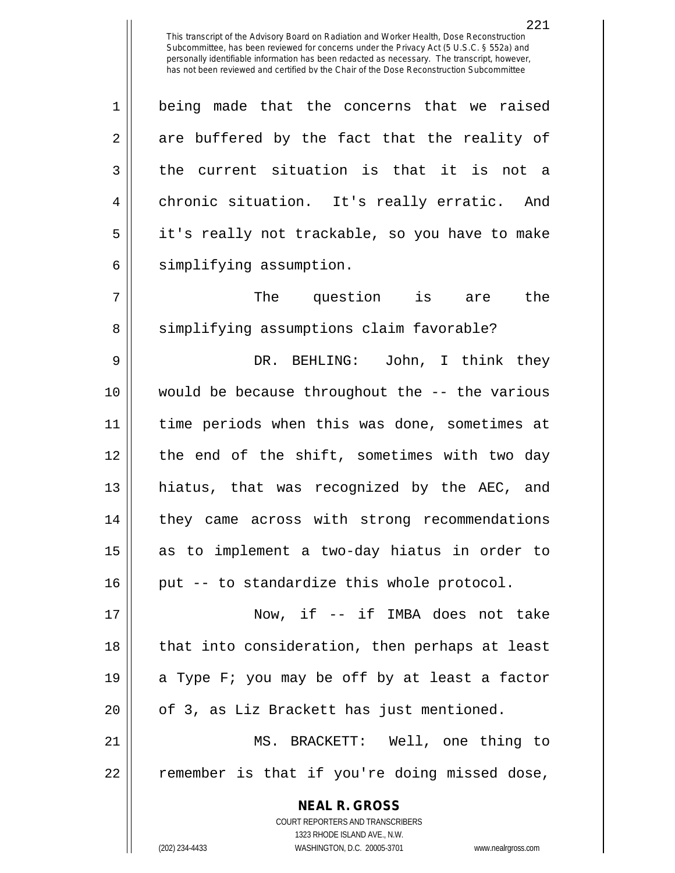1 | being made that the concerns that we raised  $2 \parallel$  are buffered by the fact that the reality of  $3 \parallel$  the current situation is that it is not a 4 || chronic situation. It's really erratic. And 5 || it's really not trackable, so you have to make  $6 \parallel$  simplifying assumption.

 $7 \parallel$  The question is are the 8 || simplifying assumptions claim favorable?

 DR. BEHLING: John, I think they would be because throughout the -- the various 11 || time periods when this was done, sometimes at 12 || the end of the shift, sometimes with two day hiatus, that was recognized by the AEC, and 14 || they came across with strong recommendations as to implement a two-day hiatus in order to | put -- to standardize this whole protocol.

17 || Now, if -- if IMBA does not take 18 || that into consideration, then perhaps at least 19  $\parallel$  a Type F; you may be off by at least a factor  $20$  || of 3, as Liz Brackett has just mentioned.

21 MS. BRACKETT: Well, one thing to 22 || remember is that if you're doing missed dose,

> **NEAL R. GROSS** COURT REPORTERS AND TRANSCRIBERS 1323 RHODE ISLAND AVE., N.W. (202) 234-4433 WASHINGTON, D.C. 20005-3701 www.nealrgross.com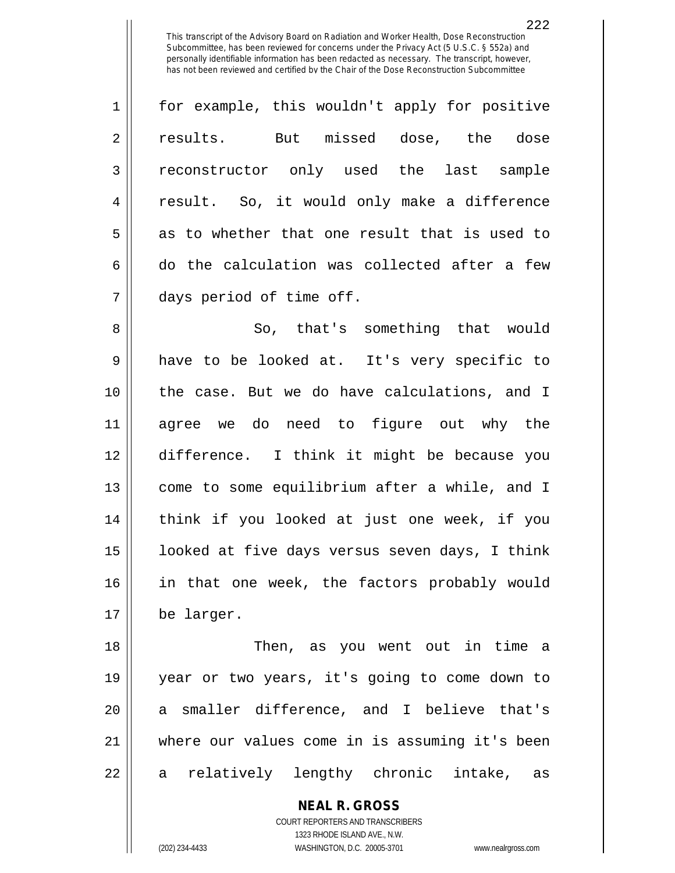| $\mathbf{1}$   | for example, this wouldn't apply for positive |
|----------------|-----------------------------------------------|
| $\overline{2}$ | But missed dose, the dose<br>results.         |
| 3              | reconstructor only used the last sample       |
| $\overline{4}$ | result. So, it would only make a difference   |
| 5              | as to whether that one result that is used to |
| 6              | do the calculation was collected after a few  |
| 7              | days period of time off.                      |

 So, that's something that would have to be looked at. It's very specific to the case. But we do have calculations, and I agree we do need to figure out why the difference. I think it might be because you 13 || come to some equilibrium after a while, and I think if you looked at just one week, if you 15 || looked at five days versus seven days, I think 16 || in that one week, the factors probably would be larger.

18 Then, as you went out in time a 19 year or two years, it's going to come down to 20 || a smaller difference, and I believe that's 21 where our values come in is assuming it's been 22 || a relatively lengthy chronic intake, as

> **NEAL R. GROSS** COURT REPORTERS AND TRANSCRIBERS 1323 RHODE ISLAND AVE., N.W. (202) 234-4433 WASHINGTON, D.C. 20005-3701 www.nealrgross.com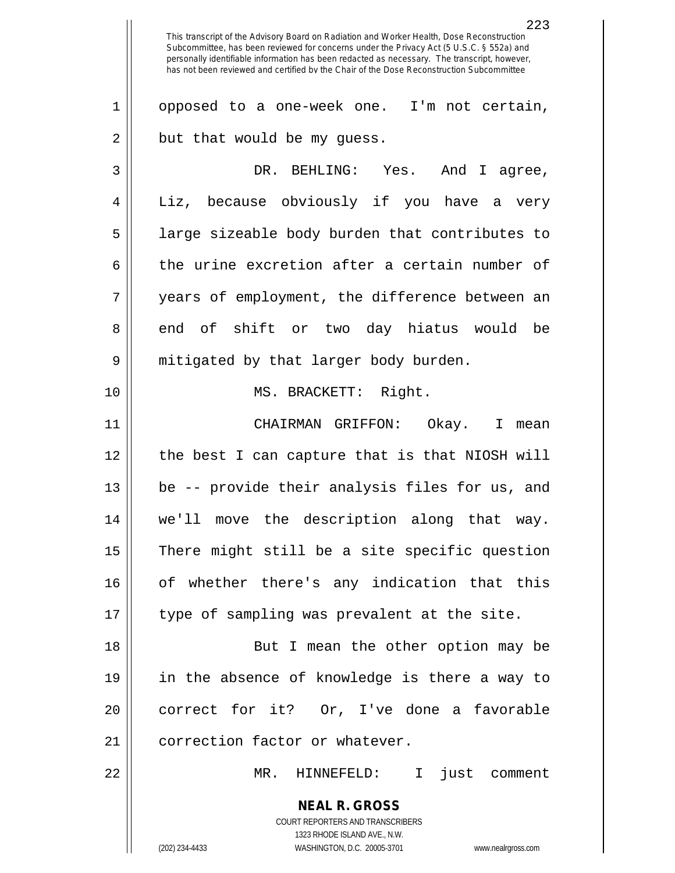**NEAL R. GROSS** COURT REPORTERS AND TRANSCRIBERS 1323 RHODE ISLAND AVE., N.W. 223 This transcript of the Advisory Board on Radiation and Worker Health, Dose Reconstruction Subcommittee, has been reviewed for concerns under the Privacy Act (5 U.S.C. § 552a) and personally identifiable information has been redacted as necessary. The transcript, however, has not been reviewed and certified by the Chair of the Dose Reconstruction Subcommittee 1 || opposed to a one-week one. I'm not certain,  $2 \parallel$  but that would be my guess. 3 DR. BEHLING: Yes. And I agree, 4 || Liz, because obviously if you have a very  $5 \parallel$  large sizeable body burden that contributes to 6 the urine excretion after a certain number of 7 years of employment, the difference between an 8 end of shift or two day hiatus would be 9 mitigated by that larger body burden. 10 MS. BRACKETT: Right. 11 CHAIRMAN GRIFFON: Okay. I mean 12 || the best I can capture that is that NIOSH will 13 be -- provide their analysis files for us, and 14 we'll move the description along that way.  $15$  There might still be a site specific question 16 || of whether there's any indication that this 17 || type of sampling was prevalent at the site. 18 || But I mean the other option may be 19 in the absence of knowledge is there a way to 20 || correct for it? Or, I've done a favorable 21 | correction factor or whatever. 22 MR. HINNEFELD: I just comment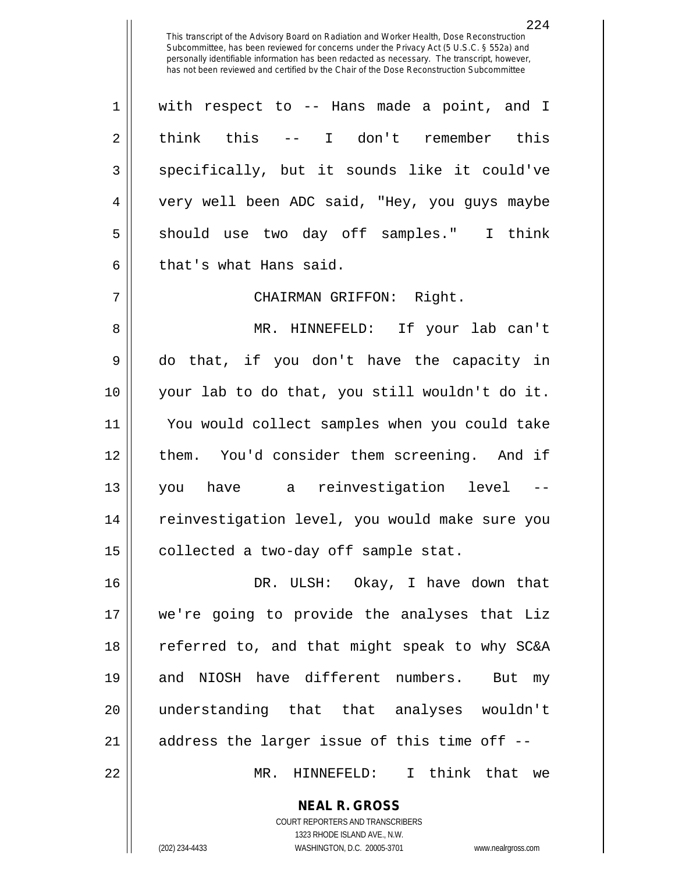1 with respect to -- Hans made a point, and I 2|| think this -- I don't remember this 3 || specifically, but it sounds like it could've 4 very well been ADC said, "Hey, you guys maybe 5 || should use two day off samples." I think  $6 \parallel$  that's what Hans said.

7 CHAIRMAN GRIFFON: Right.

 MR. HINNEFELD: If your lab can't do that, if you don't have the capacity in your lab to do that, you still wouldn't do it. You would collect samples when you could take 12 || them. You'd consider them screening. And if you have a reinvestigation level -- reinvestigation level, you would make sure you | collected a two-day off sample stat.

 DR. ULSH: Okay, I have down that we're going to provide the analyses that Liz 18 || referred to, and that might speak to why SC&A and NIOSH have different numbers. But my understanding that that analyses wouldn't || address the larger issue of this time off  $-$ -MR. HINNEFELD: I think that we

> **NEAL R. GROSS** COURT REPORTERS AND TRANSCRIBERS 1323 RHODE ISLAND AVE., N.W. (202) 234-4433 WASHINGTON, D.C. 20005-3701 www.nealrgross.com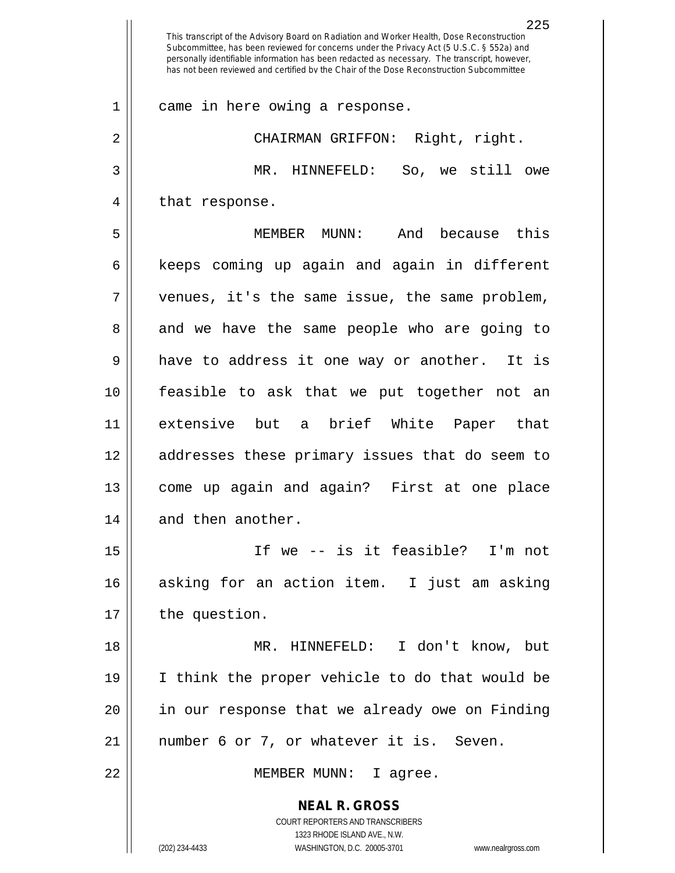**NEAL R. GROSS** COURT REPORTERS AND TRANSCRIBERS 1323 RHODE ISLAND AVE., N.W. This transcript of the Advisory Board on Radiation and Worker Health, Dose Reconstruction Subcommittee, has been reviewed for concerns under the Privacy Act (5 U.S.C. § 552a) and personally identifiable information has been redacted as necessary. The transcript, however, has not been reviewed and certified by the Chair of the Dose Reconstruction Subcommittee 1 came in here owing a response. 2 || CHAIRMAN GRIFFON: Right, right. 3 MR. HINNEFELD: So, we still owe 4 || that response. 5 MEMBER MUNN: And because this  $6 \parallel$  keeps coming up again and again in different 7 venues, it's the same issue, the same problem, 8 and we have the same people who are going to  $9 \parallel$  have to address it one way or another. It is 10 feasible to ask that we put together not an 11 extensive but a brief White Paper that 12 addresses these primary issues that do seem to 13 come up again and again? First at one place 14 || and then another. 15 If we -- is it feasible? I'm not 16 asking for an action item. I just am asking 17 | the question. 18 MR. HINNEFELD: I don't know, but 19 I think the proper vehicle to do that would be 20 || in our response that we already owe on Finding 21 || number 6 or 7, or whatever it is. Seven. 22 || MEMBER MUNN: I agree.

(202) 234-4433 WASHINGTON, D.C. 20005-3701 www.nealrgross.com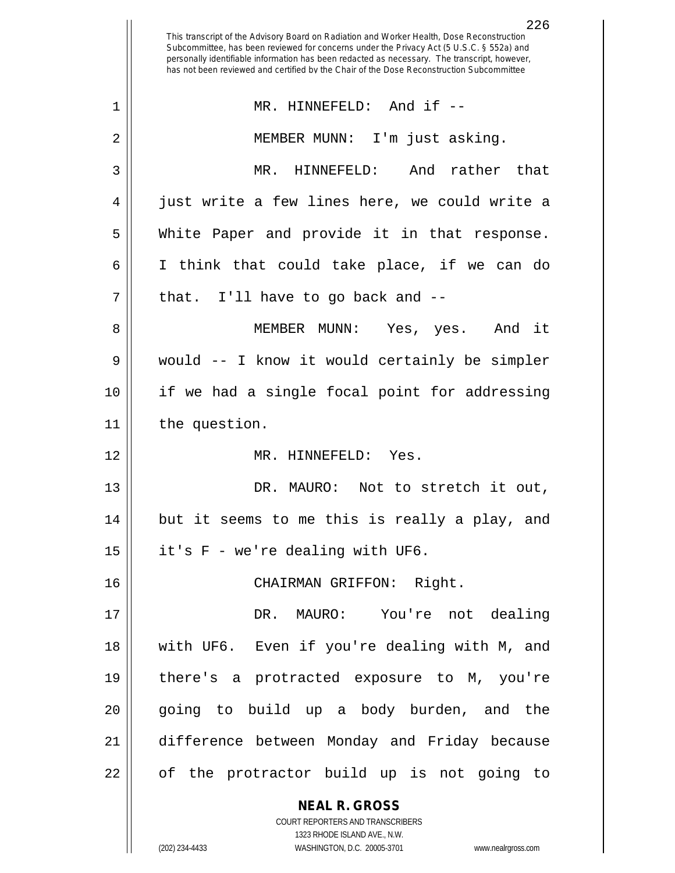**NEAL R. GROSS** COURT REPORTERS AND TRANSCRIBERS 1323 RHODE ISLAND AVE., N.W. This transcript of the Advisory Board on Radiation and Worker Health, Dose Reconstruction Subcommittee, has been reviewed for concerns under the Privacy Act (5 U.S.C. § 552a) and personally identifiable information has been redacted as necessary. The transcript, however, has not been reviewed and certified by the Chair of the Dose Reconstruction Subcommittee 1 || MR. HINNEFELD: And if --2 || MEMBER MUNN: I'm just asking. 3 MR. HINNEFELD: And rather that 4 || just write a few lines here, we could write a 5 White Paper and provide it in that response. 6 I think that could take place, if we can do  $7$  || that. I'll have to go back and  $-$ 8 MEMBER MUNN: Yes, yes. And it 9 would -- I know it would certainly be simpler 10 if we had a single focal point for addressing 11 | the question. 12 MR. HINNEFELD: Yes. 13 || DR. MAURO: Not to stretch it out, 14 but it seems to me this is really a play, and  $15$  | it's F - we're dealing with UF6. 16 CHAIRMAN GRIFFON: Right. 17 DR. MAURO: You're not dealing 18 with UF6. Even if you're dealing with M, and 19 there's a protracted exposure to M, you're 20 || going to build up a body burden, and the 21 difference between Monday and Friday because 22 || of the protractor build up is not going to

(202) 234-4433 WASHINGTON, D.C. 20005-3701 www.nealrgross.com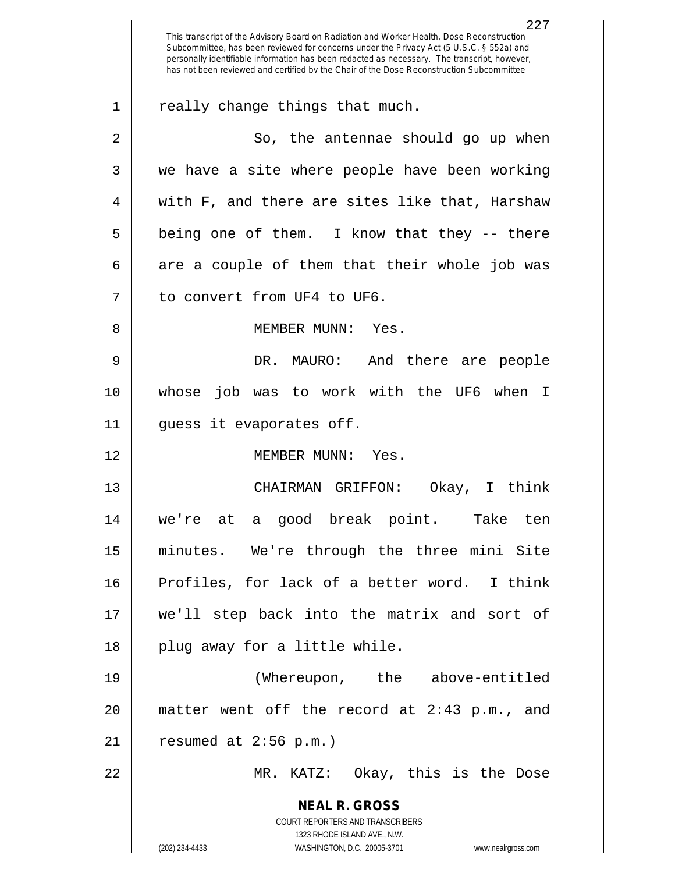**NEAL R. GROSS** COURT REPORTERS AND TRANSCRIBERS 1323 RHODE ISLAND AVE., N.W. (202) 234-4433 WASHINGTON, D.C. 20005-3701 www.nealrgross.com This transcript of the Advisory Board on Radiation and Worker Health, Dose Reconstruction Subcommittee, has been reviewed for concerns under the Privacy Act (5 U.S.C. § 552a) and personally identifiable information has been redacted as necessary. The transcript, however, has not been reviewed and certified by the Chair of the Dose Reconstruction Subcommittee  $1 \parallel$  really change things that much. 2 || So, the antennae should go up when  $3 \parallel$  we have a site where people have been working  $4 \parallel$  with F, and there are sites like that, Harshaw  $5 \parallel$  being one of them. I know that they -- there  $6 \parallel$  are a couple of them that their whole job was 7 | to convert from UF4 to UF6. 8 MEMBER MUNN: Yes. 9 DR. MAURO: And there are people 10 whose job was to work with the UF6 when I 11 guess it evaporates off. 12 MEMBER MUNN: Yes. 13 CHAIRMAN GRIFFON: Okay, I think 14 we're at a good break point. Take ten 15 minutes. We're through the three mini Site 16 Profiles, for lack of a better word. I think 17 we'll step back into the matrix and sort of  $18$  || plug away for a little while. 19 (Whereupon, the above-entitled 20 matter went off the record at 2:43 p.m., and  $21$  | resumed at 2:56 p.m.) 22 MR. KATZ: Okay, this is the Dose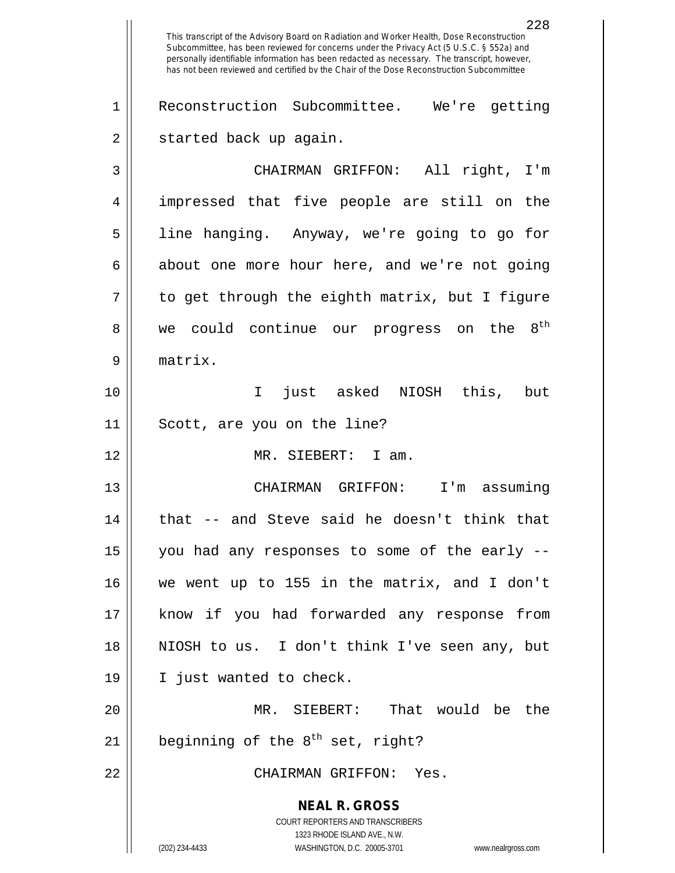**NEAL R. GROSS** COURT REPORTERS AND TRANSCRIBERS 1323 RHODE ISLAND AVE., N.W. (202) 234-4433 WASHINGTON, D.C. 20005-3701 www.nealrgross.com This transcript of the Advisory Board on Radiation and Worker Health, Dose Reconstruction Subcommittee, has been reviewed for concerns under the Privacy Act (5 U.S.C. § 552a) and personally identifiable information has been redacted as necessary. The transcript, however, has not been reviewed and certified by the Chair of the Dose Reconstruction Subcommittee Reconstruction Subcommittee. We're getting 2 | started back up again. CHAIRMAN GRIFFON: All right, I'm impressed that five people are still on the line hanging. Anyway, we're going to go for  $6 \parallel$  about one more hour here, and we're not going  $7 \parallel$  to get through the eighth matrix, but I figure  $8 \parallel$  we could continue our progress on the  $8^{\text{th}}$  matrix. I just asked NIOSH this, but Scott, are you on the line? MR. SIEBERT: I am. CHAIRMAN GRIFFON: I'm assuming | that  $-$  and Steve said he doesn't think that | you had any responses to some of the early  $-$  we went up to 155 in the matrix, and I don't know if you had forwarded any response from NIOSH to us. I don't think I've seen any, but I just wanted to check. MR. SIEBERT: That would be the  $\vert$  beginning of the 8<sup>th</sup> set, right? CHAIRMAN GRIFFON: Yes.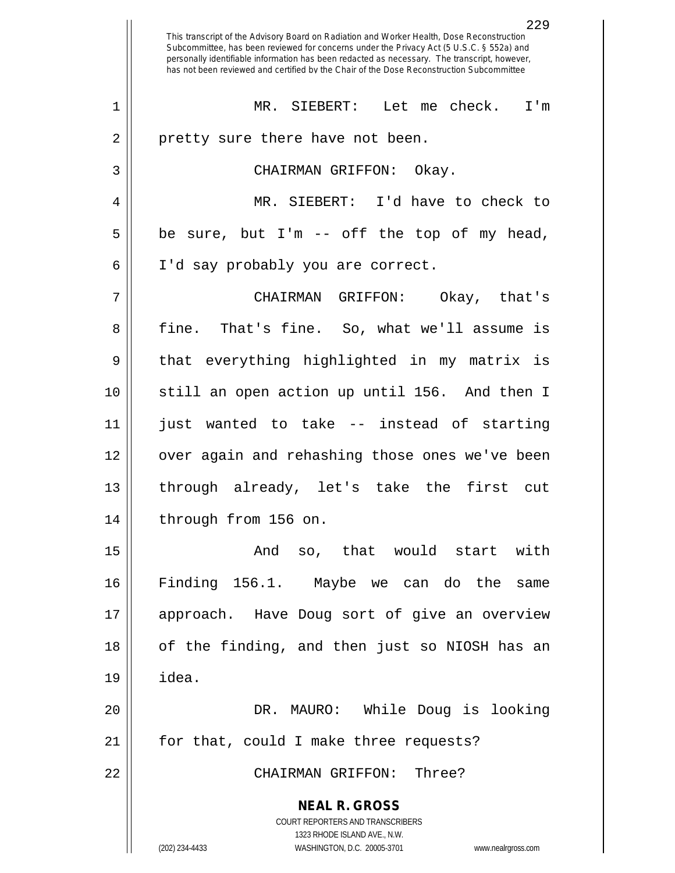|                | 229<br>This transcript of the Advisory Board on Radiation and Worker Health, Dose Reconstruction<br>Subcommittee, has been reviewed for concerns under the Privacy Act (5 U.S.C. § 552a) and<br>personally identifiable information has been redacted as necessary. The transcript, however,<br>has not been reviewed and certified by the Chair of the Dose Reconstruction Subcommittee |
|----------------|------------------------------------------------------------------------------------------------------------------------------------------------------------------------------------------------------------------------------------------------------------------------------------------------------------------------------------------------------------------------------------------|
| $\mathbf 1$    | MR. SIEBERT:<br>Let me check.<br>I'm                                                                                                                                                                                                                                                                                                                                                     |
| $\overline{2}$ | pretty sure there have not been.                                                                                                                                                                                                                                                                                                                                                         |
| 3              | CHAIRMAN GRIFFON: Okay.                                                                                                                                                                                                                                                                                                                                                                  |
| 4              | MR. SIEBERT: I'd have to check to                                                                                                                                                                                                                                                                                                                                                        |
| 5              | be sure, but I'm -- off the top of my head,                                                                                                                                                                                                                                                                                                                                              |
| 6              | I'd say probably you are correct.                                                                                                                                                                                                                                                                                                                                                        |
| 7              | Okay, that's<br>CHAIRMAN GRIFFON:                                                                                                                                                                                                                                                                                                                                                        |
| 8              | fine. That's fine. So, what we'll assume is                                                                                                                                                                                                                                                                                                                                              |
| 9              | everything highlighted in my matrix is<br>that                                                                                                                                                                                                                                                                                                                                           |
| 10             | still an open action up until 156. And then I                                                                                                                                                                                                                                                                                                                                            |
| 11             | wanted to take -- instead of starting<br>just                                                                                                                                                                                                                                                                                                                                            |
| 12             | over again and rehashing those ones we've been                                                                                                                                                                                                                                                                                                                                           |
| 13             | through already, let's take the first<br>– cut                                                                                                                                                                                                                                                                                                                                           |
| 14             | through from 156 on.                                                                                                                                                                                                                                                                                                                                                                     |
| 15             | And so, that would start with                                                                                                                                                                                                                                                                                                                                                            |
| 16             | Finding 156.1. Maybe we can do the same                                                                                                                                                                                                                                                                                                                                                  |
| 17             | approach. Have Doug sort of give an overview                                                                                                                                                                                                                                                                                                                                             |
| 18             | of the finding, and then just so NIOSH has an                                                                                                                                                                                                                                                                                                                                            |
| 19             | idea.                                                                                                                                                                                                                                                                                                                                                                                    |
| 20             | DR. MAURO: While Doug is looking                                                                                                                                                                                                                                                                                                                                                         |
| 21             | for that, could I make three requests?                                                                                                                                                                                                                                                                                                                                                   |
| 22             | CHAIRMAN GRIFFON: Three?                                                                                                                                                                                                                                                                                                                                                                 |
|                | <b>NEAL R. GROSS</b>                                                                                                                                                                                                                                                                                                                                                                     |
|                | COURT REPORTERS AND TRANSCRIBERS<br>1323 RHODE ISLAND AVE., N.W.                                                                                                                                                                                                                                                                                                                         |
|                | (202) 234-4433<br>WASHINGTON, D.C. 20005-3701<br>www.nealrgross.com                                                                                                                                                                                                                                                                                                                      |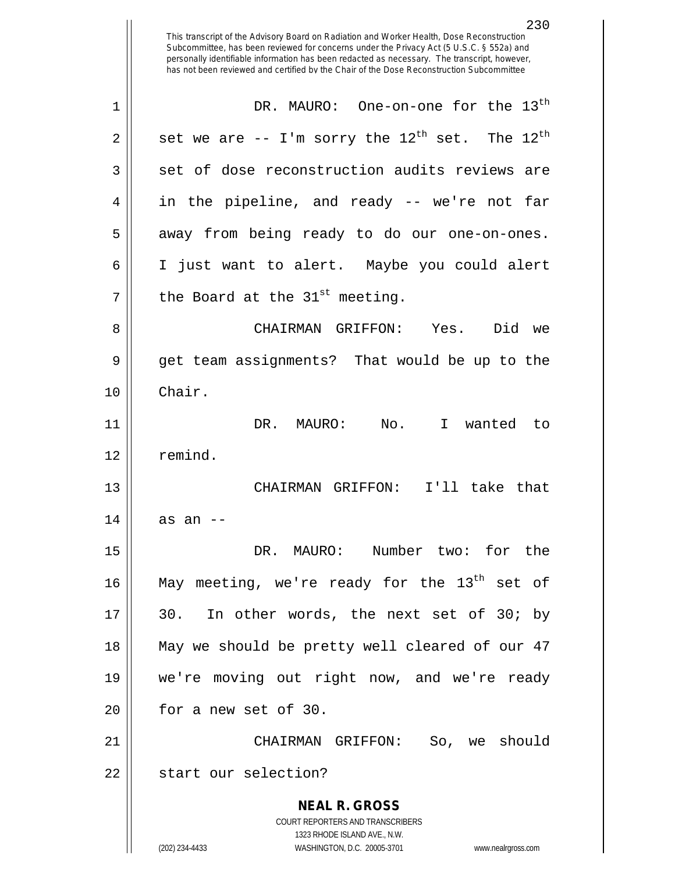230 This transcript of the Advisory Board on Radiation and Worker Health, Dose Reconstruction Subcommittee, has been reviewed for concerns under the Privacy Act (5 U.S.C. § 552a) and personally identifiable information has been redacted as necessary. The transcript, however, has not been reviewed and certified by the Chair of the Dose Reconstruction Subcommittee DR. MAURO: One-on-one for the 13th 1 2 || set we are  $-$ - I'm sorry the  $12^{th}$  set. The  $12^{th}$ 3 set of dose reconstruction audits reviews are  $4 \parallel$  in the pipeline, and ready -- we're not far 5 || away from being ready to do our one-on-ones. 6 I just want to alert. Maybe you could alert  $7$  | the Board at the 31<sup>st</sup> meeting. 8 CHAIRMAN GRIFFON: Yes. Did we 9 get team assignments? That would be up to the 10 Chair. 11 DR. MAURO: No. I wanted to 12 ll remind. 13 CHAIRMAN GRIFFON: I'll take that  $14$  || as an --15 DR. MAURO: Number two: for the 16  $\parallel$  May meeting, we're ready for the 13<sup>th</sup> set of  $17 \parallel 30$ . In other words, the next set of 30; by 18 May we should be pretty well cleared of our 47 19 we're moving out right now, and we're ready  $20$  | for a new set of 30. 21 CHAIRMAN GRIFFON: So, we should 22 || start our selection?

> **NEAL R. GROSS** COURT REPORTERS AND TRANSCRIBERS 1323 RHODE ISLAND AVE., N.W.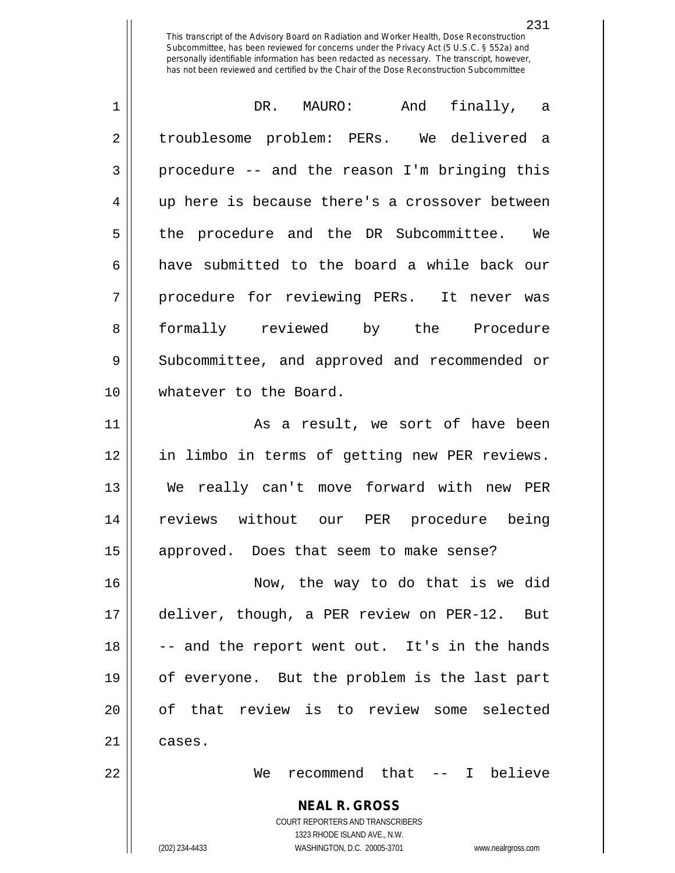| $\mathbf 1$    | DR. MAURO: And<br>finally, a                   |
|----------------|------------------------------------------------|
| $\overline{2}$ | troublesome problem: PERs. We delivered a      |
| 3              | procedure -- and the reason I'm bringing this  |
| $\overline{4}$ | up here is because there's a crossover between |
| 5              | the procedure and the DR Subcommittee. We      |
| 6              | have submitted to the board a while back our   |
| 7              | procedure for reviewing PERs. It never was     |
| 8              | formally reviewed by the Procedure             |
| 9              | Subcommittee, and approved and recommended or  |
| 10             | whatever to the Board.                         |
| 11             | As a result, we sort of have been              |
| 12             | in limbo in terms of getting new PER reviews.  |
| 13             | We really can't move forward with new PER      |
| 14             | reviews without our PER procedure being        |
| 15             | approved. Does that seem to make sense?        |
| 16             | Now, the way to do that is we did              |
|                |                                                |

17 || deliver, though, a PER review on PER-12. But  $\vert$  -- and the report went out. It's in the hands of everyone. But the problem is the last part 20 || of that review is to review some selected  $\parallel$  cases.

We recommend that -- I believe

**NEAL R. GROSS** COURT REPORTERS AND TRANSCRIBERS

1323 RHODE ISLAND AVE., N.W.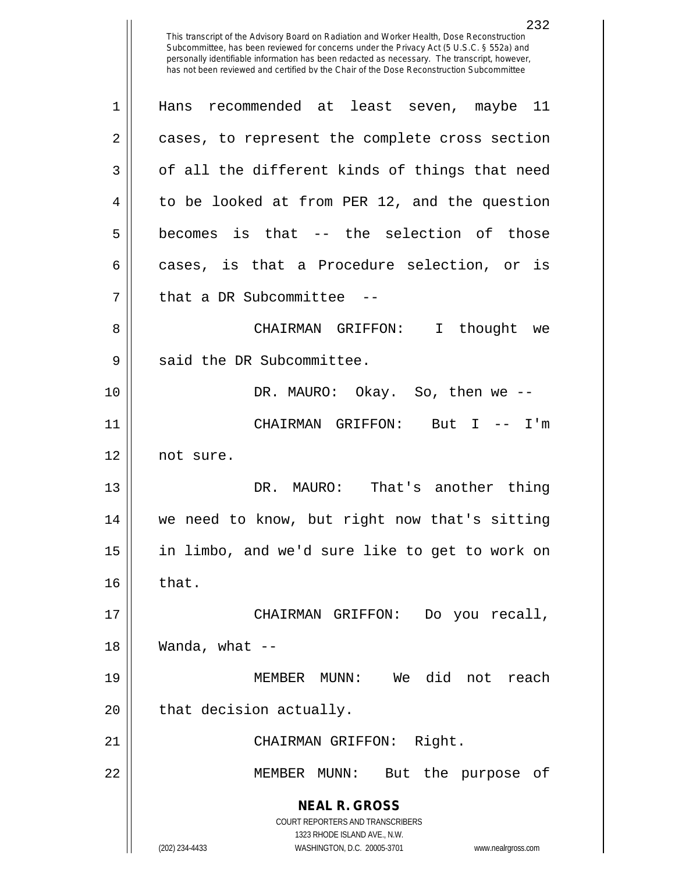| $\mathbf 1$ | Hans recommended at least seven, maybe 11                                                                                                                       |
|-------------|-----------------------------------------------------------------------------------------------------------------------------------------------------------------|
| 2           | cases, to represent the complete cross section                                                                                                                  |
| 3           | of all the different kinds of things that need                                                                                                                  |
| 4           | to be looked at from PER 12, and the question                                                                                                                   |
| 5           | becomes is that -- the selection of those                                                                                                                       |
| 6           | cases, is that a Procedure selection, or is                                                                                                                     |
| 7           | that a DR Subcommittee --                                                                                                                                       |
| 8           | CHAIRMAN GRIFFON: I thought we                                                                                                                                  |
| 9           | said the DR Subcommittee.                                                                                                                                       |
| 10          | DR. MAURO: Okay. So, then we --                                                                                                                                 |
| 11          | CHAIRMAN GRIFFON: But I -- I'm                                                                                                                                  |
| 12          | not sure.                                                                                                                                                       |
| 13          | DR. MAURO: That's another thing                                                                                                                                 |
| 14          | we need to know, but right now that's sitting                                                                                                                   |
| 15          | in limbo, and we'd sure like to get to work on                                                                                                                  |
| 16          | that.                                                                                                                                                           |
| 17          | Do you recall,<br>CHAIRMAN GRIFFON:                                                                                                                             |
| 18          | Wanda, what $--$                                                                                                                                                |
| 19          | MEMBER MUNN: We did not reach                                                                                                                                   |
| 20          | that decision actually.                                                                                                                                         |
| 21          | CHAIRMAN GRIFFON: Right.                                                                                                                                        |
| 22          | But the purpose<br>MEMBER MUNN:<br>of                                                                                                                           |
|             | <b>NEAL R. GROSS</b><br>COURT REPORTERS AND TRANSCRIBERS<br>1323 RHODE ISLAND AVE., N.W.<br>(202) 234-4433<br>WASHINGTON, D.C. 20005-3701<br>www.nealrgross.com |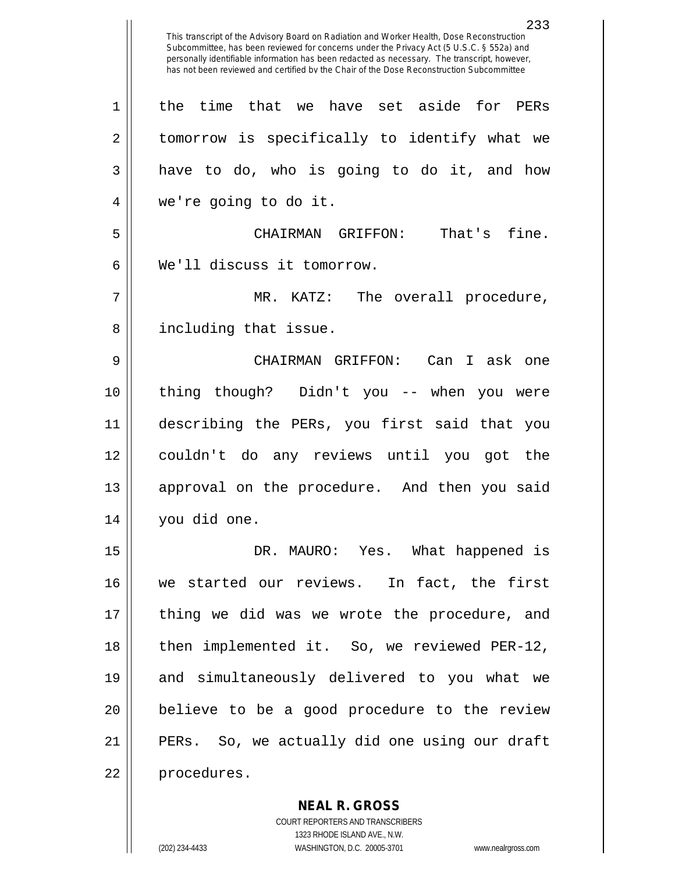This transcript of the Advisory Board on Radiation and Worker Health, Dose Reconstruction Subcommittee, has been reviewed for concerns under the Privacy Act (5 U.S.C. § 552a) and personally identifiable information has been redacted as necessary. The transcript, however, has not been reviewed and certified by the Chair of the Dose Reconstruction Subcommittee 1 | the time that we have set aside for PERs 2 | tomorrow is specifically to identify what we  $3 \parallel$  have to do, who is going to do it, and how 4 we're going to do it. 5 CHAIRMAN GRIFFON: That's fine. 6 We'll discuss it tomorrow. 7 MR. KATZ: The overall procedure, 8 || including that issue. 9 CHAIRMAN GRIFFON: Can I ask one 10 thing though? Didn't you -- when you were 11 describing the PERs, you first said that you 12 couldn't do any reviews until you got the 13 || approval on the procedure. And then you said 14 you did one. 15 DR. MAURO: Yes. What happened is 16 we started our reviews. In fact, the first 17 || thing we did was we wrote the procedure, and 18 || then implemented it. So, we reviewed PER-12, 19 and simultaneously delivered to you what we 20 || believe to be a good procedure to the review 21 PERs. So, we actually did one using our draft 22 | procedures.

> COURT REPORTERS AND TRANSCRIBERS 1323 RHODE ISLAND AVE., N.W. (202) 234-4433 WASHINGTON, D.C. 20005-3701 www.nealrgross.com

**NEAL R. GROSS**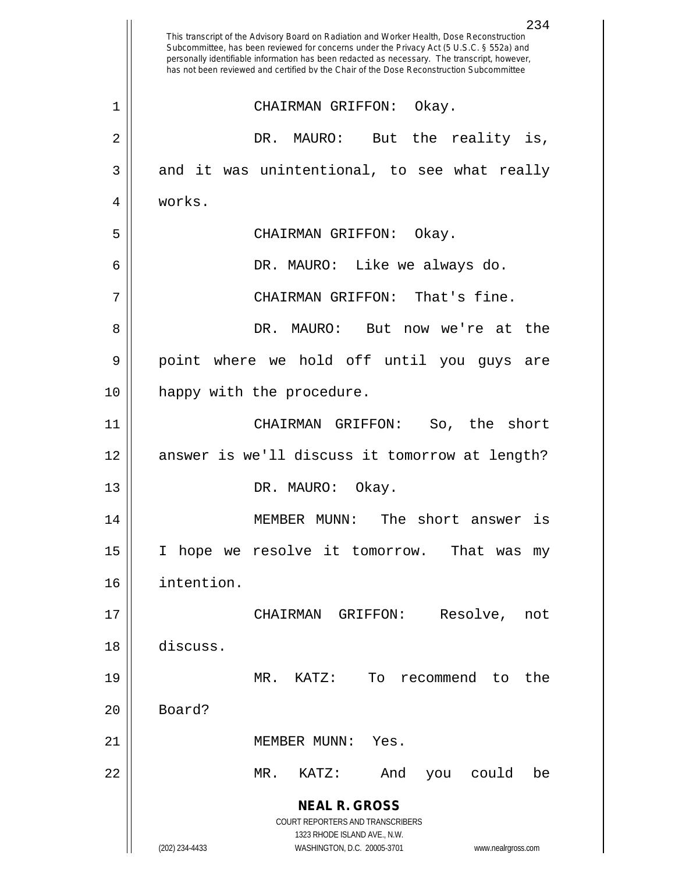**NEAL R. GROSS** COURT REPORTERS AND TRANSCRIBERS 1323 RHODE ISLAND AVE., N.W. (202) 234-4433 WASHINGTON, D.C. 20005-3701 www.nealrgross.com 234 This transcript of the Advisory Board on Radiation and Worker Health, Dose Reconstruction Subcommittee, has been reviewed for concerns under the Privacy Act (5 U.S.C. § 552a) and personally identifiable information has been redacted as necessary. The transcript, however, has not been reviewed and certified by the Chair of the Dose Reconstruction Subcommittee 1 CHAIRMAN GRIFFON: Okay. 2 DR. MAURO: But the reality is,  $3 \parallel$  and it was unintentional, to see what really 4 | works. 5 CHAIRMAN GRIFFON: Okay. 6 DR. MAURO: Like we always do. 7 || CHAIRMAN GRIFFON: That's fine. 8 DR. MAURO: But now we're at the 9 || point where we hold off until you guys are 10 | happy with the procedure. 11 CHAIRMAN GRIFFON: So, the short 12 || answer is we'll discuss it tomorrow at length? 13 || DR. MAURO: Okay. 14 MEMBER MUNN: The short answer is 15 || I hope we resolve it tomorrow. That was my 16 intention. 17 CHAIRMAN GRIFFON: Resolve, not 18 discuss. 19 MR. KATZ: To recommend to the  $20$  | Board? 21 MEMBER MUNN: Yes. 22 MR. KATZ: And you could be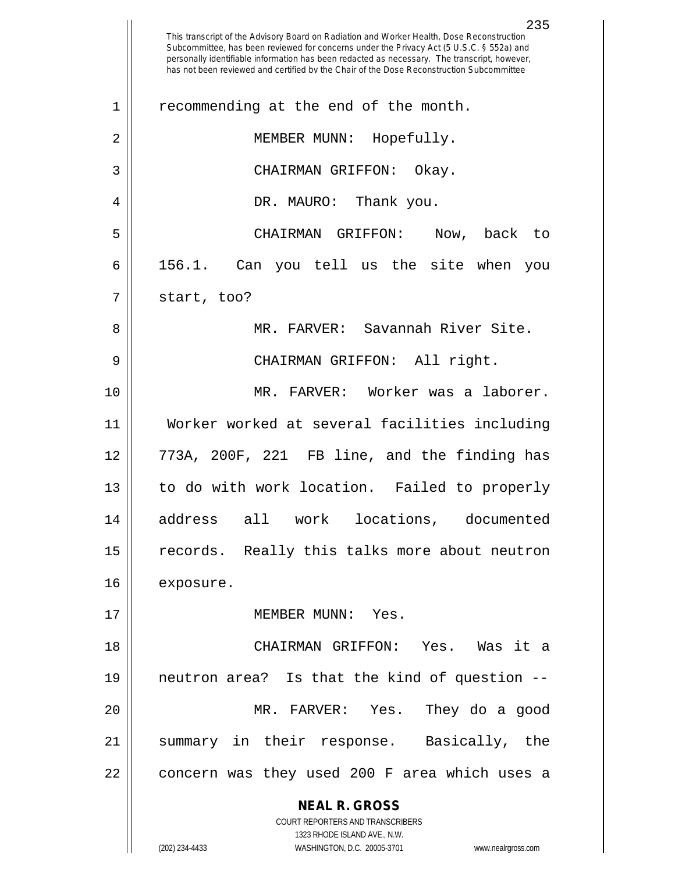**NEAL R. GROSS** COURT REPORTERS AND TRANSCRIBERS 1323 RHODE ISLAND AVE., N.W. 235 This transcript of the Advisory Board on Radiation and Worker Health, Dose Reconstruction Subcommittee, has been reviewed for concerns under the Privacy Act (5 U.S.C. § 552a) and personally identifiable information has been redacted as necessary. The transcript, however, has not been reviewed and certified by the Chair of the Dose Reconstruction Subcommittee 1 || recommending at the end of the month. 2 || MEMBER MUNN: Hopefully. 3 CHAIRMAN GRIFFON: Okay. 4 DR. MAURO: Thank you. 5 CHAIRMAN GRIFFON: Now, back to  $6 \parallel$  156.1. Can you tell us the site when you  $7 \parallel$  start, too? 8 MR. FARVER: Savannah River Site. 9 CHAIRMAN GRIFFON: All right. 10 MR. FARVER: Worker was a laborer. 11 Worker worked at several facilities including 12 773A, 200F, 221 FB line, and the finding has 13 || to do with work location. Failed to properly 14 address all work locations, documented 15 || records. Really this talks more about neutron 16 exposure. 17 MEMBER MUNN: Yes. 18 CHAIRMAN GRIFFON: Yes. Was it a 19 neutron area? Is that the kind of question -- 20 || MR. FARVER: Yes. They do a qood 21 summary in their response. Basically, the  $22$  || concern was they used 200 F area which uses a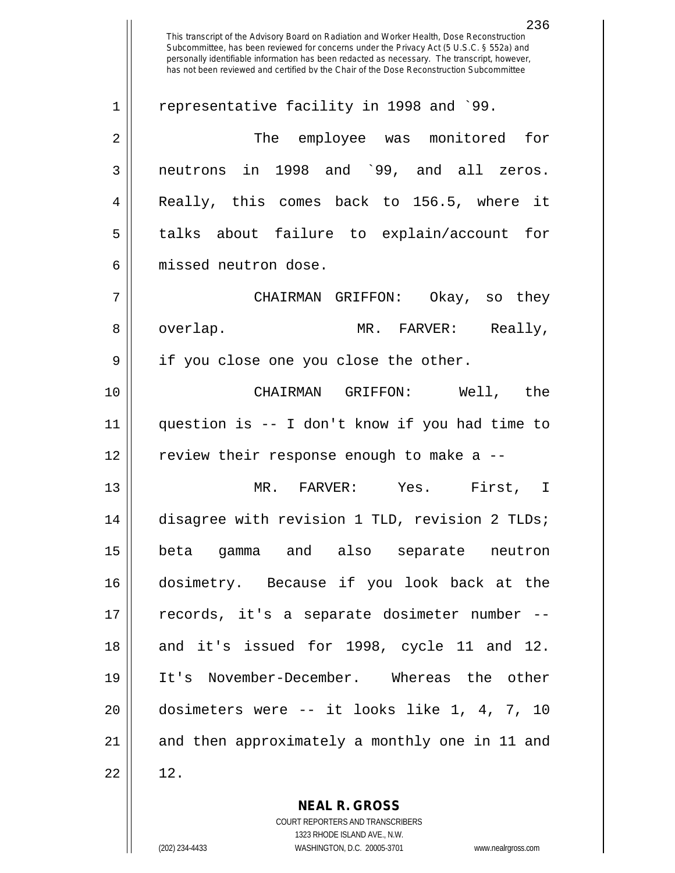This transcript of the Advisory Board on Radiation and Worker Health, Dose Reconstruction Subcommittee, has been reviewed for concerns under the Privacy Act (5 U.S.C. § 552a) and personally identifiable information has been redacted as necessary. The transcript, however, has not been reviewed and certified by the Chair of the Dose Reconstruction Subcommittee 1 || representative facility in 1998 and `99. The employee was monitored for neutrons in 1998 and `99, and all zeros. Really, this comes back to 156.5, where it 5 || talks about failure to explain/account for missed neutron dose. CHAIRMAN GRIFFON: Okay, so they overlap. MR. FARVER: Really, 9 || if you close one you close the other. CHAIRMAN GRIFFON: Well, the question is -- I don't know if you had time to 12 || review their response enough to make a -- MR. FARVER: Yes. First, I disagree with revision 1 TLD, revision 2 TLDs; beta gamma and also separate neutron dosimetry. Because if you look back at the records, it's a separate dosimeter number -- 18 and it's issued for 1998, cycle 11 and 12. It's November-December. Whereas the other dosimeters were -- it looks like 1, 4, 7, 10 and then approximately a monthly one in 11 and  $22 \parallel 12$ .

> **NEAL R. GROSS** COURT REPORTERS AND TRANSCRIBERS

> > 1323 RHODE ISLAND AVE., N.W.

(202) 234-4433 WASHINGTON, D.C. 20005-3701 www.nealrgross.com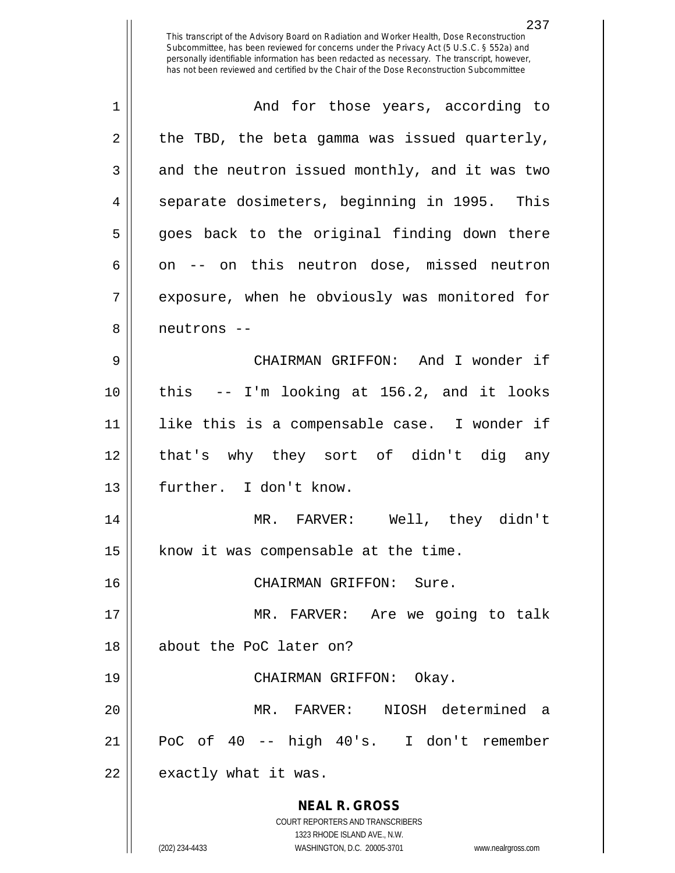| $\mathbf 1$ | And for those years, according to                                                                   |
|-------------|-----------------------------------------------------------------------------------------------------|
| 2           | the TBD, the beta gamma was issued quarterly,                                                       |
| 3           | and the neutron issued monthly, and it was two                                                      |
| 4           | separate dosimeters, beginning in 1995. This                                                        |
| 5           | goes back to the original finding down there                                                        |
| 6           | on -- on this neutron dose, missed neutron                                                          |
| 7           | exposure, when he obviously was monitored for                                                       |
| 8           | neutrons --                                                                                         |
| 9           | CHAIRMAN GRIFFON: And I wonder if                                                                   |
| 10          | this -- I'm looking at 156.2, and it looks                                                          |
| 11          | like this is a compensable case. I wonder if                                                        |
| 12          | that's why they sort of didn't dig any                                                              |
| 13          | further. I don't know.                                                                              |
| 14          | MR. FARVER: Well, they didn't                                                                       |
| 15          | know it was compensable at the time.                                                                |
| 16          | CHAIRMAN GRIFFON: Sure.                                                                             |
| 17          | MR. FARVER: Are we going to talk                                                                    |
| 18          | about the PoC later on?                                                                             |
| 19          | CHAIRMAN GRIFFON: Okay.                                                                             |
| 20          | NIOSH determined a<br>MR. FARVER:                                                                   |
| 21          | PoC of 40 -- high 40's. I don't remember                                                            |
| 22          | exactly what it was.                                                                                |
|             | <b>NEAL R. GROSS</b>                                                                                |
|             | <b>COURT REPORTERS AND TRANSCRIBERS</b>                                                             |
|             | 1323 RHODE ISLAND AVE., N.W.<br>(202) 234-4433<br>WASHINGTON, D.C. 20005-3701<br>www.nealrgross.com |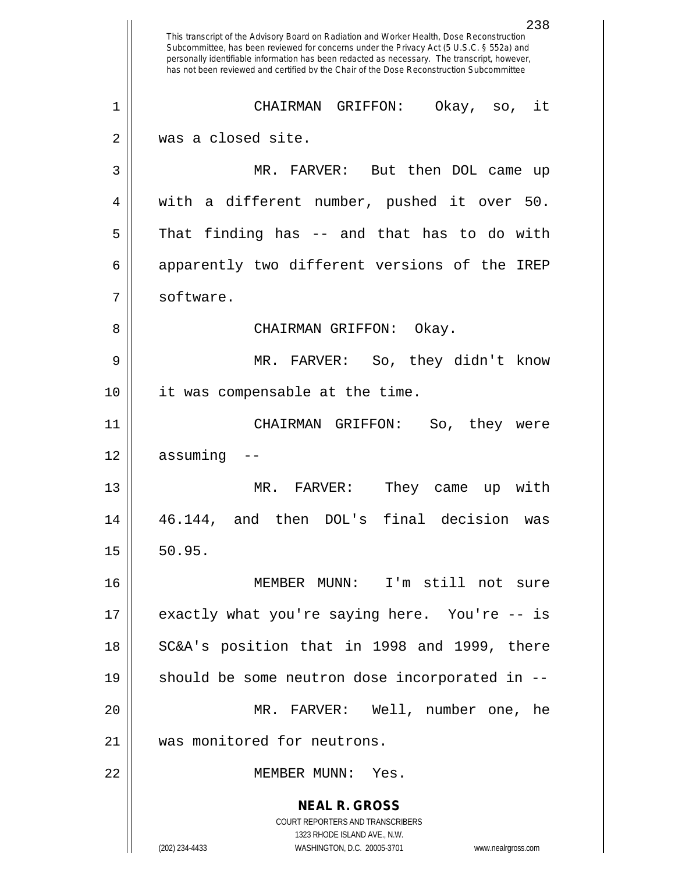**NEAL R. GROSS** COURT REPORTERS AND TRANSCRIBERS 1323 RHODE ISLAND AVE., N.W. (202) 234-4433 WASHINGTON, D.C. 20005-3701 www.nealrgross.com 238 This transcript of the Advisory Board on Radiation and Worker Health, Dose Reconstruction Subcommittee, has been reviewed for concerns under the Privacy Act (5 U.S.C. § 552a) and personally identifiable information has been redacted as necessary. The transcript, however, has not been reviewed and certified by the Chair of the Dose Reconstruction Subcommittee 1 CHAIRMAN GRIFFON: Okay, so, it 2 || was a closed site. 3 MR. FARVER: But then DOL came up 4 || with a different number, pushed it over 50.  $5 \parallel$  That finding has -- and that has to do with 6 apparently two different versions of the IREP 7 | software. 8 CHAIRMAN GRIFFON: Okay. 9 MR. FARVER: So, they didn't know 10 || it was compensable at the time. 11 CHAIRMAN GRIFFON: So, they were  $12 \parallel$  assuming 13 MR. FARVER: They came up with 14 46.144, and then DOL's final decision was  $15 \parallel 50.95.$ 16 MEMBER MUNN: I'm still not sure 17 exactly what you're saying here. You're -- is 18 || SC&A's position that in 1998 and 1999, there 19  $\parallel$  should be some neutron dose incorporated in --20 MR. FARVER: Well, number one, he 21 Was monitored for neutrons. 22 MEMBER MUNN: Yes.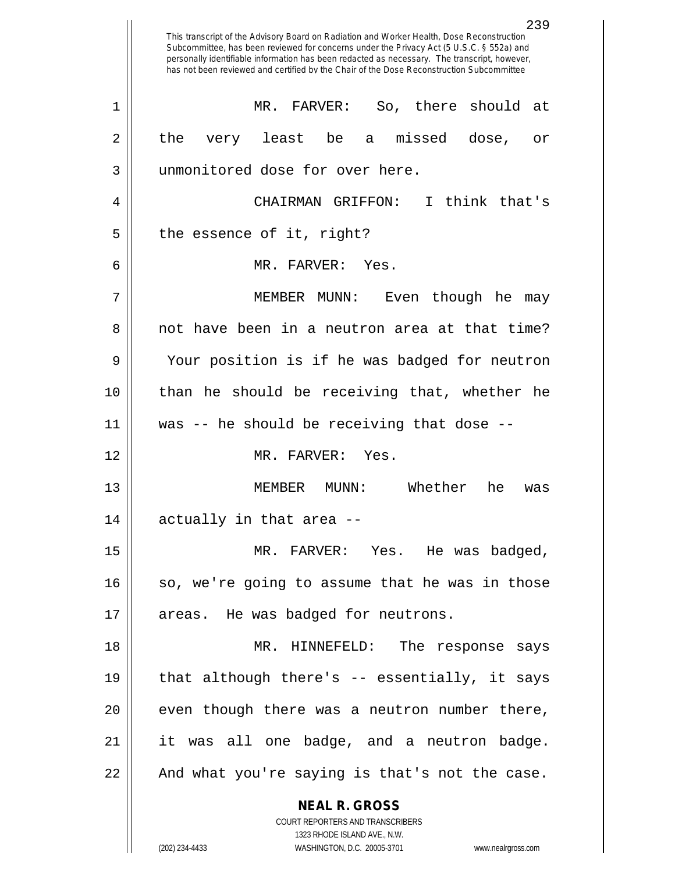|    | 239<br>This transcript of the Advisory Board on Radiation and Worker Health, Dose Reconstruction<br>Subcommittee, has been reviewed for concerns under the Privacy Act (5 U.S.C. § 552a) and<br>personally identifiable information has been redacted as necessary. The transcript, however,<br>has not been reviewed and certified by the Chair of the Dose Reconstruction Subcommittee |
|----|------------------------------------------------------------------------------------------------------------------------------------------------------------------------------------------------------------------------------------------------------------------------------------------------------------------------------------------------------------------------------------------|
| 1  | MR. FARVER:<br>So, there should at                                                                                                                                                                                                                                                                                                                                                       |
| 2  | a missed<br>the<br>least be<br>dose,<br>very<br>Оr                                                                                                                                                                                                                                                                                                                                       |
| 3  | unmonitored dose for over here.                                                                                                                                                                                                                                                                                                                                                          |
| 4  | CHAIRMAN GRIFFON:<br>I think that's                                                                                                                                                                                                                                                                                                                                                      |
| 5  | the essence of it, right?                                                                                                                                                                                                                                                                                                                                                                |
| 6  | MR. FARVER: Yes.                                                                                                                                                                                                                                                                                                                                                                         |
| 7  | Even though he<br>MEMBER MUNN:<br>may                                                                                                                                                                                                                                                                                                                                                    |
| 8  | not have been in a neutron area at that time?                                                                                                                                                                                                                                                                                                                                            |
| 9  | Your position is if he was badged for neutron                                                                                                                                                                                                                                                                                                                                            |
| 10 | than he should be receiving that, whether he                                                                                                                                                                                                                                                                                                                                             |
| 11 | was -- he should be receiving that dose --                                                                                                                                                                                                                                                                                                                                               |
| 12 | MR. FARVER:<br>Yes.                                                                                                                                                                                                                                                                                                                                                                      |
| 13 | Whether<br>he<br>MEMBER<br>MUNN:<br>was                                                                                                                                                                                                                                                                                                                                                  |
| 14 | actually in that area --                                                                                                                                                                                                                                                                                                                                                                 |
| 15 | MR. FARVER: Yes. He was badged,                                                                                                                                                                                                                                                                                                                                                          |
| 16 | so, we're going to assume that he was in those                                                                                                                                                                                                                                                                                                                                           |
| 17 | areas. He was badged for neutrons.                                                                                                                                                                                                                                                                                                                                                       |
| 18 | MR. HINNEFELD: The response says                                                                                                                                                                                                                                                                                                                                                         |
| 19 | that although there's -- essentially, it says                                                                                                                                                                                                                                                                                                                                            |
| 20 | even though there was a neutron number there,                                                                                                                                                                                                                                                                                                                                            |
| 21 | it was all one badge, and a neutron badge.                                                                                                                                                                                                                                                                                                                                               |
| 22 | And what you're saying is that's not the case.                                                                                                                                                                                                                                                                                                                                           |
|    | <b>NEAL R. GROSS</b>                                                                                                                                                                                                                                                                                                                                                                     |
|    | COURT REPORTERS AND TRANSCRIBERS                                                                                                                                                                                                                                                                                                                                                         |
|    | 1323 RHODE ISLAND AVE., N.W.<br>(202) 234-4433<br>WASHINGTON, D.C. 20005-3701<br>www.nealrgross.com                                                                                                                                                                                                                                                                                      |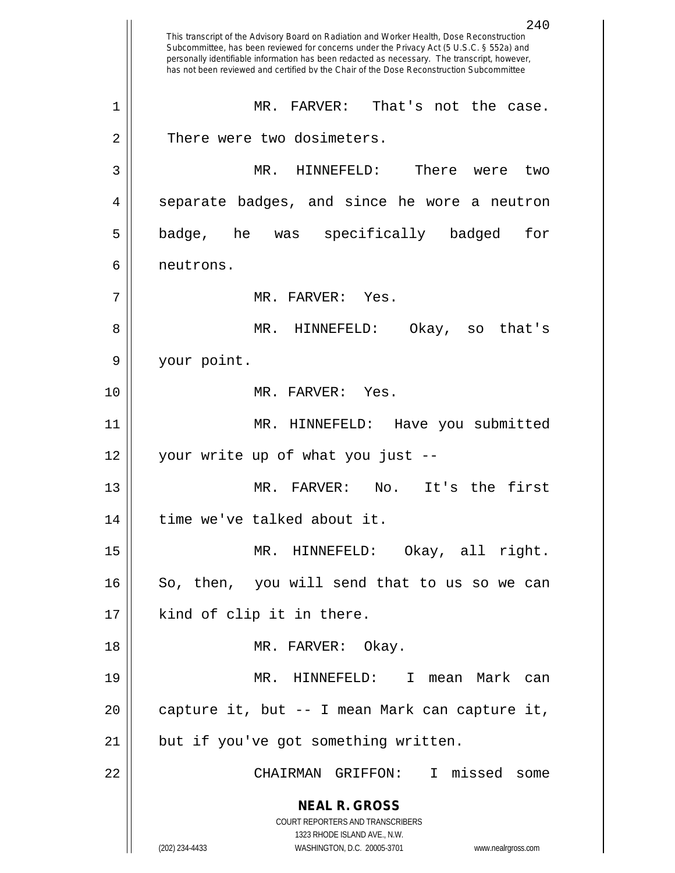**NEAL R. GROSS** COURT REPORTERS AND TRANSCRIBERS 1323 RHODE ISLAND AVE., N.W. (202) 234-4433 WASHINGTON, D.C. 20005-3701 www.nealrgross.com 240 This transcript of the Advisory Board on Radiation and Worker Health, Dose Reconstruction Subcommittee, has been reviewed for concerns under the Privacy Act (5 U.S.C. § 552a) and personally identifiable information has been redacted as necessary. The transcript, however, has not been reviewed and certified by the Chair of the Dose Reconstruction Subcommittee 1 MR. FARVER: That's not the case. 2 | There were two dosimeters. 3 MR. HINNEFELD: There were two 4 Separate badges, and since he wore a neutron 5 || badge, he was specifically badged for 6 neutrons. 7 MR. FARVER: Yes. 8 MR. HINNEFELD: Okay, so that's 9 your point. 10 MR. FARVER: Yes. 11 MR. HINNEFELD: Have you submitted 12 your write up of what you just -- 13 || MR. FARVER: No. It's the first 14 || time we've talked about it. 15 MR. HINNEFELD: Okay, all right. 16 || So, then, you will send that to us so we can 17 || kind of clip it in there. 18 || MR. FARVER: Okay. 19 MR. HINNEFELD: I mean Mark can 20  $\vert$  capture it, but  $-$  I mean Mark can capture it, 21 || but if you've got something written. 22 CHAIRMAN GRIFFON: I missed some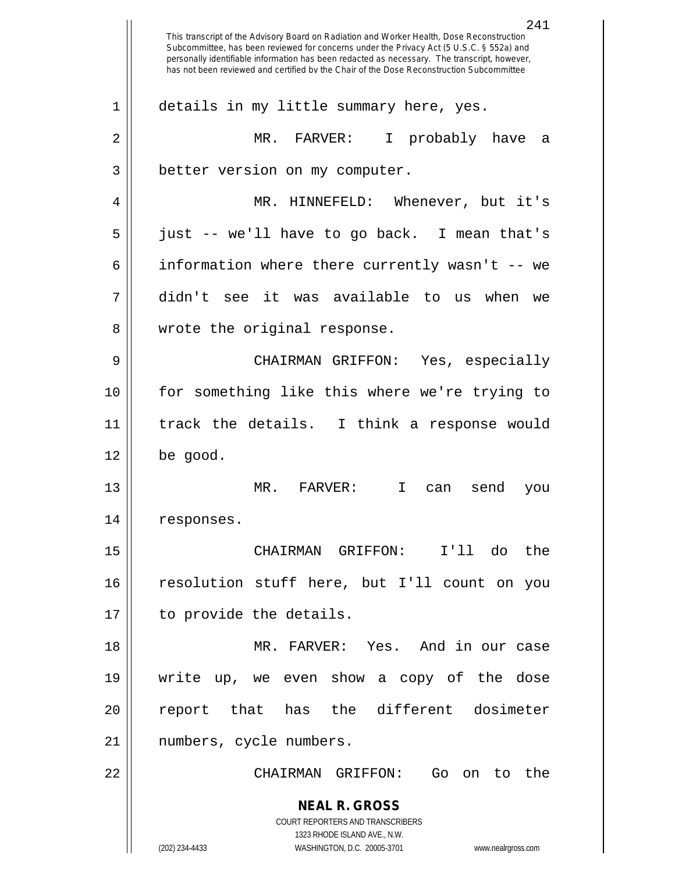**NEAL R. GROSS** COURT REPORTERS AND TRANSCRIBERS 1323 RHODE ISLAND AVE., N.W. (202) 234-4433 WASHINGTON, D.C. 20005-3701 www.nealrgross.com This transcript of the Advisory Board on Radiation and Worker Health, Dose Reconstruction Subcommittee, has been reviewed for concerns under the Privacy Act (5 U.S.C. § 552a) and personally identifiable information has been redacted as necessary. The transcript, however, has not been reviewed and certified by the Chair of the Dose Reconstruction Subcommittee 1 | details in my little summary here, yes. 2 MR. FARVER: I probably have a 3 | better version on my computer. 4 MR. HINNEFELD: Whenever, but it's 5 just -- we'll have to go back. I mean that's 6 information where there currently wasn't -- we 7 didn't see it was available to us when we 8 || wrote the original response. 9 CHAIRMAN GRIFFON: Yes, especially 10 for something like this where we're trying to 11 track the details. I think a response would  $12 \parallel$  be good. 13 MR. FARVER: I can send you 14 | responses. 15 CHAIRMAN GRIFFON: I'll do the 16 || resolution stuff here, but I'll count on you 17 || to provide the details. 18 MR. FARVER: Yes. And in our case 19 write up, we even show a copy of the dose 20 || report that has the different dosimeter 21 numbers, cycle numbers. 22 CHAIRMAN GRIFFON: Go on to the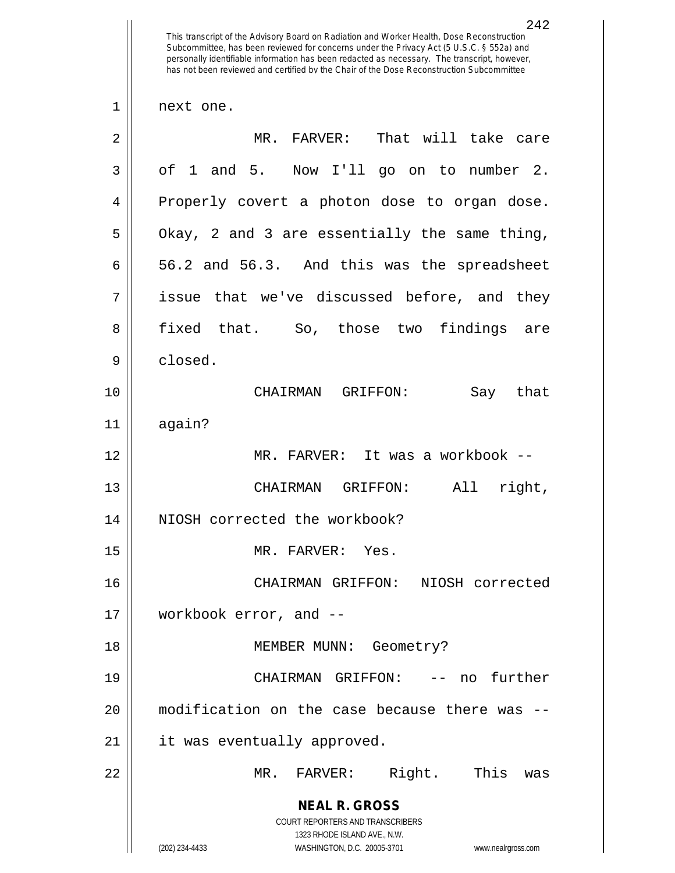**NEAL R. GROSS** COURT REPORTERS AND TRANSCRIBERS 1323 RHODE ISLAND AVE., N.W. (202) 234-4433 WASHINGTON, D.C. 20005-3701 www.nealrgross.com 242 This transcript of the Advisory Board on Radiation and Worker Health, Dose Reconstruction Subcommittee, has been reviewed for concerns under the Privacy Act (5 U.S.C. § 552a) and personally identifiable information has been redacted as necessary. The transcript, however, has not been reviewed and certified by the Chair of the Dose Reconstruction Subcommittee 1 || next one. 2 MR. FARVER: That will take care  $3 \parallel$  of 1 and 5. Now I'll go on to number 2. 4 || Properly covert a photon dose to organ dose.  $5 \parallel$  Okay, 2 and 3 are essentially the same thing,  $6 \parallel 56.2$  and  $56.3$ . And this was the spreadsheet  $7 \parallel$  issue that we've discussed before, and they 8 fixed that. So, those two findings are 9 closed. 10 CHAIRMAN GRIFFON: Say that 11 again? 12 MR. FARVER: It was a workbook -- 13 CHAIRMAN GRIFFON: All right, 14 || NIOSH corrected the workbook? 15 || MR. FARVER: Yes. 16 CHAIRMAN GRIFFON: NIOSH corrected 17 workbook error, and -- 18 || MEMBER MUNN: Geometry? 19 CHAIRMAN GRIFFON: -- no further 20 modification on the case because there was -- 21 | it was eventually approved. 22 MR. FARVER: Right. This was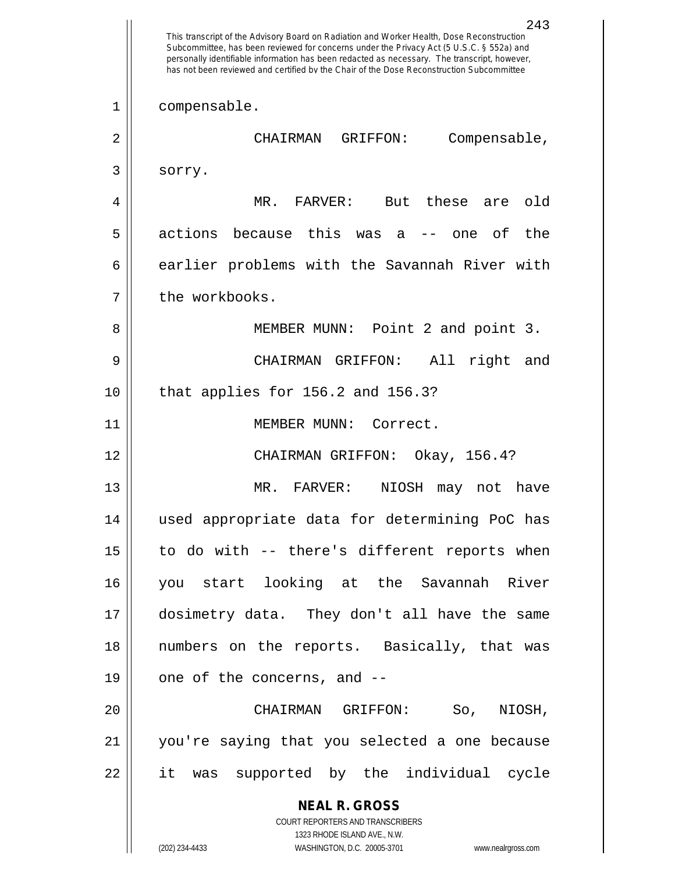**NEAL R. GROSS** COURT REPORTERS AND TRANSCRIBERS 1323 RHODE ISLAND AVE., N.W. (202) 234-4433 WASHINGTON, D.C. 20005-3701 www.nealrgross.com 243 This transcript of the Advisory Board on Radiation and Worker Health, Dose Reconstruction Subcommittee, has been reviewed for concerns under the Privacy Act (5 U.S.C. § 552a) and personally identifiable information has been redacted as necessary. The transcript, however, has not been reviewed and certified by the Chair of the Dose Reconstruction Subcommittee 1 || compensable. 2 CHAIRMAN GRIFFON: Compensable, 3 sorry. 4 MR. FARVER: But these are old  $5$  || actions because this was a -- one of the 6 earlier problems with the Savannah River with 7 | the workbooks. 8 || MEMBER MUNN: Point 2 and point 3. 9 CHAIRMAN GRIFFON: All right and 10 || that applies for 156.2 and 156.3? 11 || MEMBER MUNN: Correct. 12 CHAIRMAN GRIFFON: Okay, 156.4? 13 MR. FARVER: NIOSH may not have 14 used appropriate data for determining PoC has  $15$  | to do with -- there's different reports when 16 you start looking at the Savannah River 17 dosimetry data. They don't all have the same 18 numbers on the reports. Basically, that was 19  $\parallel$  one of the concerns, and --20 CHAIRMAN GRIFFON: So, NIOSH, 21 you're saying that you selected a one because 22 it was supported by the individual cycle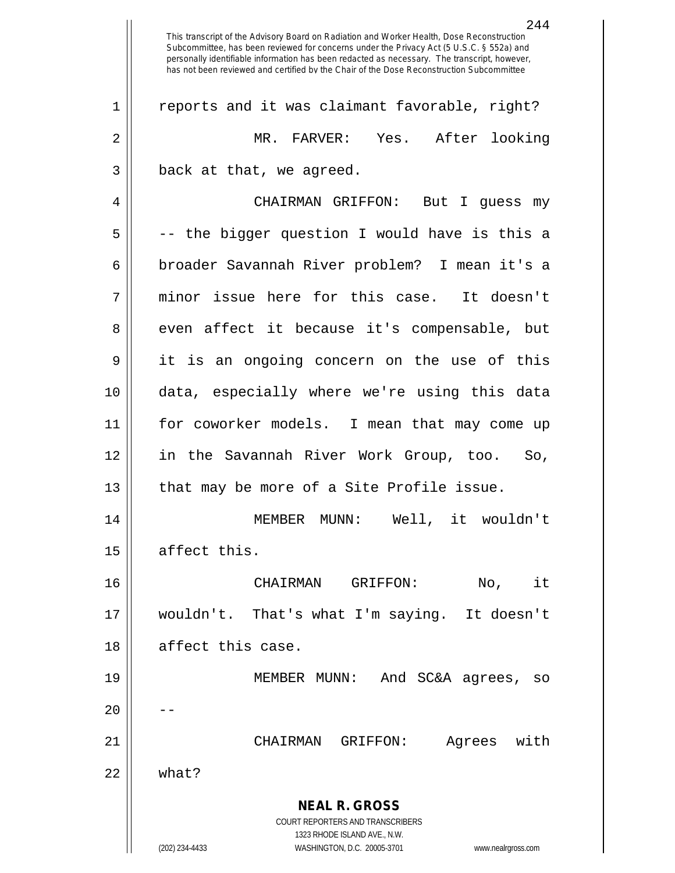**NEAL R. GROSS** COURT REPORTERS AND TRANSCRIBERS 1323 RHODE ISLAND AVE., N.W. (202) 234-4433 WASHINGTON, D.C. 20005-3701 www.nealrgross.com This transcript of the Advisory Board on Radiation and Worker Health, Dose Reconstruction Subcommittee, has been reviewed for concerns under the Privacy Act (5 U.S.C. § 552a) and personally identifiable information has been redacted as necessary. The transcript, however, has not been reviewed and certified by the Chair of the Dose Reconstruction Subcommittee 1 || reports and it was claimant favorable, right? 2 MR. FARVER: Yes. After looking 3 || back at that, we agreed. 4 CHAIRMAN GRIFFON: But I guess my  $5 \parallel$  -- the bigger question I would have is this a 6 broader Savannah River problem? I mean it's a 7 minor issue here for this case. It doesn't 8 even affect it because it's compensable, but 9 it is an ongoing concern on the use of this 10 data, especially where we're using this data 11 for coworker models. I mean that may come up 12 in the Savannah River Work Group, too. So, 13 || that may be more of a Site Profile issue. 14 MEMBER MUNN: Well, it wouldn't  $15$  affect this. 16 CHAIRMAN GRIFFON: No, it 17 wouldn't. That's what I'm saying. It doesn't 18 affect this case. 19 MEMBER MUNN: And SC&A agrees, so  $20$ 21 CHAIRMAN GRIFFON: Agrees with 22 what?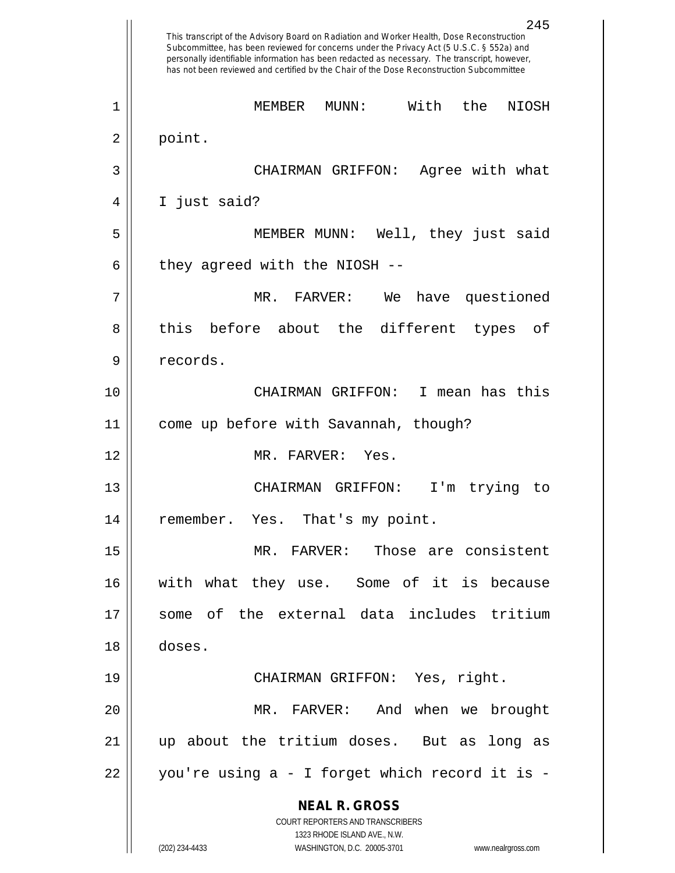**NEAL R. GROSS** COURT REPORTERS AND TRANSCRIBERS 1323 RHODE ISLAND AVE., N.W. (202) 234-4433 WASHINGTON, D.C. 20005-3701 www.nealrgross.com 245 This transcript of the Advisory Board on Radiation and Worker Health, Dose Reconstruction Subcommittee, has been reviewed for concerns under the Privacy Act (5 U.S.C. § 552a) and personally identifiable information has been redacted as necessary. The transcript, however, has not been reviewed and certified by the Chair of the Dose Reconstruction Subcommittee 1 MEMBER MUNN: With the NIOSH  $2 \parallel$  point. 3 CHAIRMAN GRIFFON: Agree with what 4 I just said? 5 MEMBER MUNN: Well, they just said  $6$  || they agreed with the NIOSH  $-$ -7 MR. FARVER: We have questioned 8 || this before about the different types of 9 || records. 10 CHAIRMAN GRIFFON: I mean has this 11 come up before with Savannah, though? 12 MR. FARVER: Yes. 13 CHAIRMAN GRIFFON: I'm trying to 14 || remember. Yes. That's my point. 15 MR. FARVER: Those are consistent 16 with what they use. Some of it is because 17  $\parallel$  some of the external data includes tritium 18 doses. 19 CHAIRMAN GRIFFON: Yes, right. 20 MR. FARVER: And when we brought 21 up about the tritium doses. But as long as  $22 \parallel$  you're using a - I forget which record it is -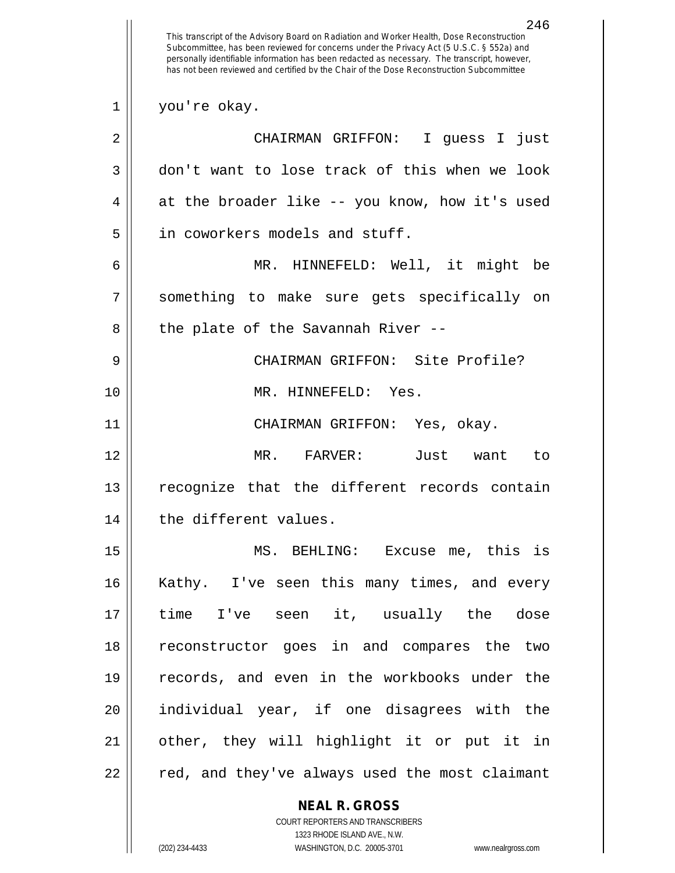**NEAL R. GROSS** COURT REPORTERS AND TRANSCRIBERS 246 This transcript of the Advisory Board on Radiation and Worker Health, Dose Reconstruction Subcommittee, has been reviewed for concerns under the Privacy Act (5 U.S.C. § 552a) and personally identifiable information has been redacted as necessary. The transcript, however, has not been reviewed and certified by the Chair of the Dose Reconstruction Subcommittee 1 || you're okay. 2 CHAIRMAN GRIFFON: I guess I just 3 don't want to lose track of this when we look  $4 \parallel$  at the broader like -- you know, how it's used 5 | in coworkers models and stuff. 6 MR. HINNEFELD: Well, it might be 7 something to make sure gets specifically on  $8$  || the plate of the Savannah River --9 CHAIRMAN GRIFFON: Site Profile? 10 MR. HINNEFELD: Yes. 11 CHAIRMAN GRIFFON: Yes, okay. 12 MR. FARVER: Just want to 13 || recognize that the different records contain 14 | the different values. 15 MS. BEHLING: Excuse me, this is 16 || Kathy. I've seen this many times, and every 17 time I've seen it, usually the dose 18 reconstructor goes in and compares the two 19 records, and even in the workbooks under the 20 individual year, if one disagrees with the 21 other, they will highlight it or put it in 22 || red, and they've always used the most claimant

1323 RHODE ISLAND AVE., N.W.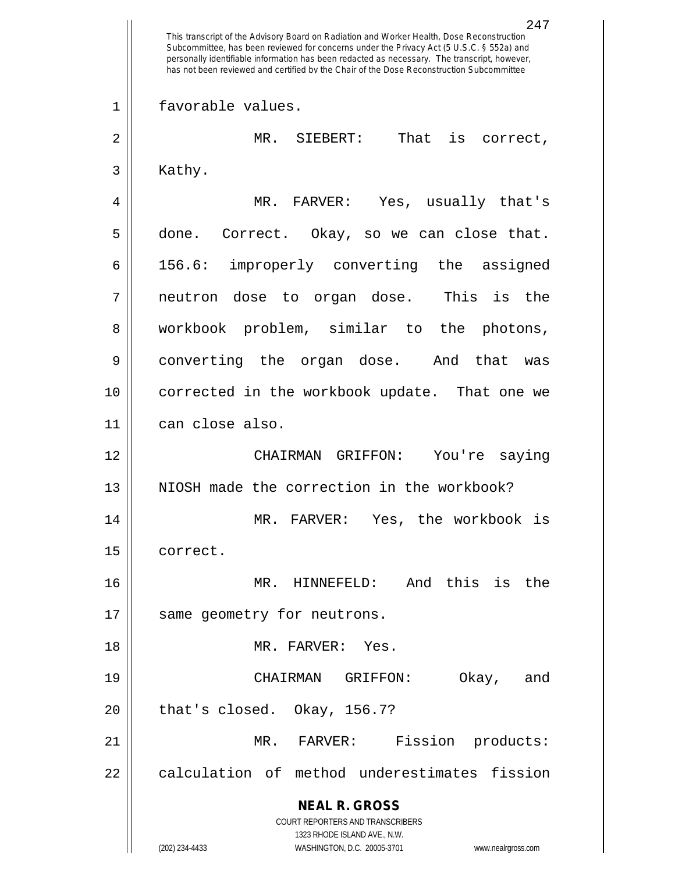**NEAL R. GROSS** COURT REPORTERS AND TRANSCRIBERS 1323 RHODE ISLAND AVE., N.W. (202) 234-4433 WASHINGTON, D.C. 20005-3701 www.nealrgross.com 247 This transcript of the Advisory Board on Radiation and Worker Health, Dose Reconstruction Subcommittee, has been reviewed for concerns under the Privacy Act (5 U.S.C. § 552a) and personally identifiable information has been redacted as necessary. The transcript, however, has not been reviewed and certified by the Chair of the Dose Reconstruction Subcommittee 1 favorable values. 2 MR. SIEBERT: That is correct,  $3 \parallel$  Kathy. 4 MR. FARVER: Yes, usually that's 5 done. Correct. Okay, so we can close that. 6 156.6: improperly converting the assigned 7 neutron dose to organ dose. This is the 8 || workbook problem, similar to the photons, 9 converting the organ dose. And that was 10 corrected in the workbook update. That one we 11 can close also. 12 CHAIRMAN GRIFFON: You're saying 13 N NIOSH made the correction in the workbook? 14 MR. FARVER: Yes, the workbook is 15 correct. 16 MR. HINNEFELD: And this is the 17 || same geometry for neutrons. 18 MR. FARVER: Yes. 19 CHAIRMAN GRIFFON: Okay, and  $20$  || that's closed. Okay, 156.7? 21 || MR. FARVER: Fission products: 22 || calculation of method underestimates fission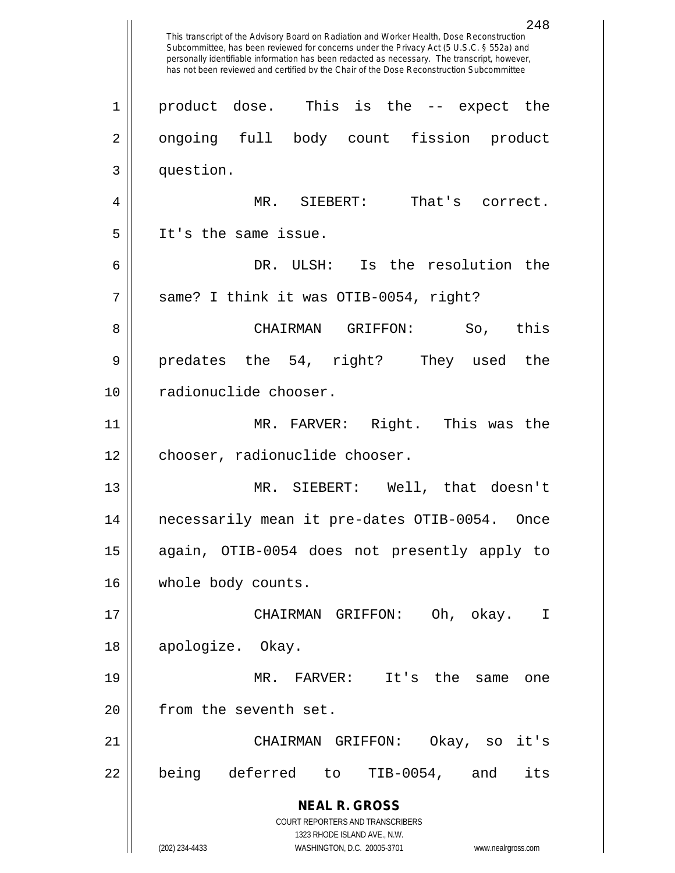**NEAL R. GROSS** COURT REPORTERS AND TRANSCRIBERS 1323 RHODE ISLAND AVE., N.W. (202) 234-4433 WASHINGTON, D.C. 20005-3701 www.nealrgross.com 248 This transcript of the Advisory Board on Radiation and Worker Health, Dose Reconstruction Subcommittee, has been reviewed for concerns under the Privacy Act (5 U.S.C. § 552a) and personally identifiable information has been redacted as necessary. The transcript, however, has not been reviewed and certified by the Chair of the Dose Reconstruction Subcommittee 1 || product dose. This is the -- expect the 2 || ongoing full body count fission product 3 question. 4 MR. SIEBERT: That's correct. 5 || It's the same issue. 6 DR. ULSH: Is the resolution the 7 || same? I think it was OTIB-0054, right? 8 CHAIRMAN GRIFFON: So, this 9 predates the 54, right? They used the 10 || radionuclide chooser. 11 MR. FARVER: Right. This was the 12 | chooser, radionuclide chooser. 13 MR. SIEBERT: Well, that doesn't 14 necessarily mean it pre-dates OTIB-0054. Once 15 again, OTIB-0054 does not presently apply to 16 | whole body counts. 17 CHAIRMAN GRIFFON: Oh, okay. I 18 apologize. Okay. 19 MR. FARVER: It's the same one 20 | from the seventh set. 21 CHAIRMAN GRIFFON: Okay, so it's 22 || being deferred to TIB-0054, and its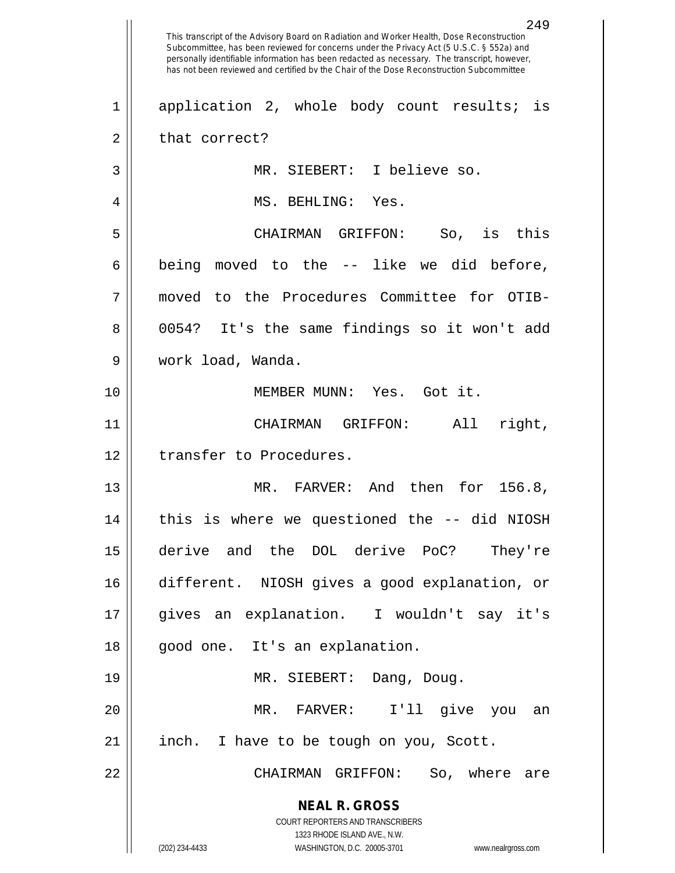**NEAL R. GROSS** COURT REPORTERS AND TRANSCRIBERS 1323 RHODE ISLAND AVE., N.W. (202) 234-4433 WASHINGTON, D.C. 20005-3701 www.nealrgross.com 249 This transcript of the Advisory Board on Radiation and Worker Health, Dose Reconstruction Subcommittee, has been reviewed for concerns under the Privacy Act (5 U.S.C. § 552a) and personally identifiable information has been redacted as necessary. The transcript, however, has not been reviewed and certified by the Chair of the Dose Reconstruction Subcommittee 1 || application 2, whole body count results; is  $2 \parallel$  that correct? 3 MR. SIEBERT: I believe so. 4 MS. BEHLING: Yes. 5 CHAIRMAN GRIFFON: So, is this  $6 \parallel$  being moved to the  $-$  like we did before, 7 moved to the Procedures Committee for OTIB-8 0054? It's the same findings so it won't add 9 work load, Wanda. 10 MEMBER MUNN: Yes. Got it. 11 CHAIRMAN GRIFFON: All right, 12 || transfer to Procedures. 13 MR. FARVER: And then for 156.8, 14 this is where we questioned the -- did NIOSH 15 derive and the DOL derive PoC? They're 16 different. NIOSH gives a good explanation, or 17 gives an explanation. I wouldn't say it's 18 || good one. It's an explanation. 19 MR. SIEBERT: Dang, Doug. 20 MR. FARVER: I'll give you an 21 || inch. I have to be tough on you, Scott. 22 CHAIRMAN GRIFFON: So, where are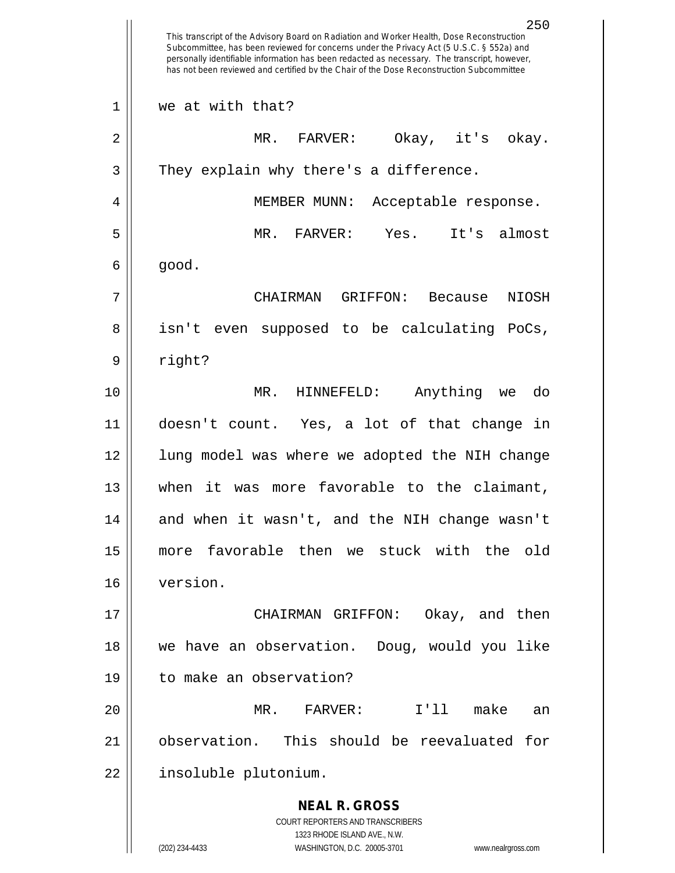**NEAL R. GROSS** COURT REPORTERS AND TRANSCRIBERS 1323 RHODE ISLAND AVE., N.W. (202) 234-4433 WASHINGTON, D.C. 20005-3701 www.nealrgross.com 250 This transcript of the Advisory Board on Radiation and Worker Health, Dose Reconstruction Subcommittee, has been reviewed for concerns under the Privacy Act (5 U.S.C. § 552a) and personally identifiable information has been redacted as necessary. The transcript, however, has not been reviewed and certified by the Chair of the Dose Reconstruction Subcommittee 1 We at with that? 2 MR. FARVER: Okay, it's okay.  $3 \parallel$  They explain why there's a difference. 4 MEMBER MUNN: Acceptable response. 5 MR. FARVER: Yes. It's almost  $6 \parallel$  good. 7 CHAIRMAN GRIFFON: Because NIOSH 8 || isn't even supposed to be calculating PoCs, 9 || right? 10 MR. HINNEFELD: Anything we do 11 doesn't count. Yes, a lot of that change in 12 || lung model was where we adopted the NIH change 13 when it was more favorable to the claimant, 14 || and when it wasn't, and the NIH change wasn't 15 more favorable then we stuck with the old 16 version. 17 CHAIRMAN GRIFFON: Okay, and then 18 we have an observation. Doug, would you like 19 to make an observation? 20 MR. FARVER: I'll make an 21 observation. This should be reevaluated for 22 | insoluble plutonium.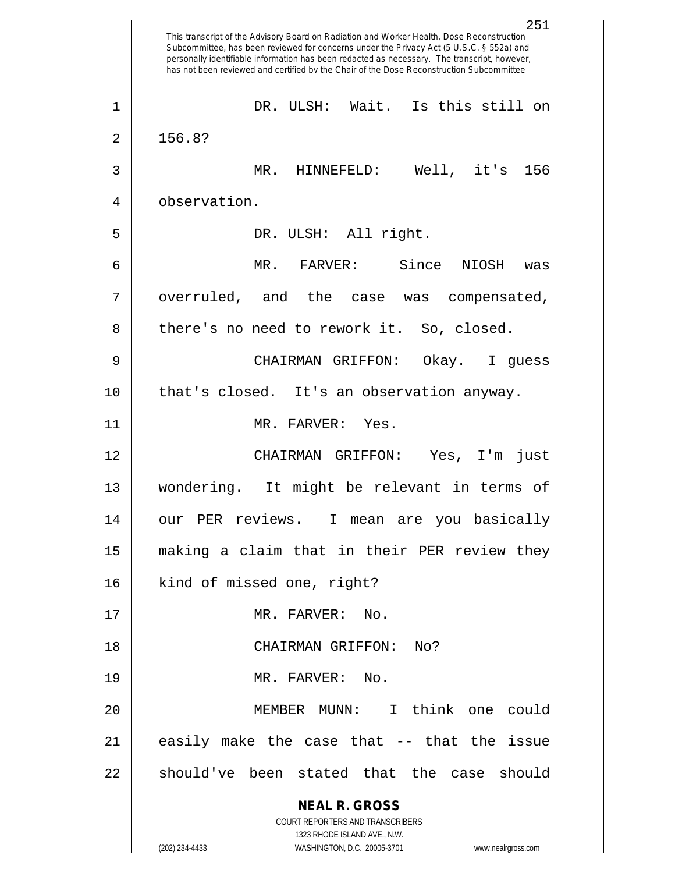**NEAL R. GROSS** COURT REPORTERS AND TRANSCRIBERS 1323 RHODE ISLAND AVE., N.W. (202) 234-4433 WASHINGTON, D.C. 20005-3701 www.nealrgross.com 251 This transcript of the Advisory Board on Radiation and Worker Health, Dose Reconstruction Subcommittee, has been reviewed for concerns under the Privacy Act (5 U.S.C. § 552a) and personally identifiable information has been redacted as necessary. The transcript, however, has not been reviewed and certified by the Chair of the Dose Reconstruction Subcommittee 1 DR. ULSH: Wait. Is this still on  $2 \parallel 156.8?$ 3 MR. HINNEFELD: Well, it's 156 4 | observation. 5 DR. ULSH: All right. 6 MR. FARVER: Since NIOSH was  $7 \parallel$  overruled, and the case was compensated, 8 || there's no need to rework it. So, closed. 9 CHAIRMAN GRIFFON: Okay. I guess 10 that's closed. It's an observation anyway. 11 || MR. FARVER: Yes. 12 CHAIRMAN GRIFFON: Yes, I'm just 13 wondering. It might be relevant in terms of 14 our PER reviews. I mean are you basically 15 making a claim that in their PER review they 16 || kind of missed one, right? 17 || MR. FARVER: No. 18 || CHAIRMAN GRIFFON: No? 19 || MR. FARVER: No. 20 MEMBER MUNN: I think one could  $21$  easily make the case that  $-$ - that the issue 22 || should've been stated that the case should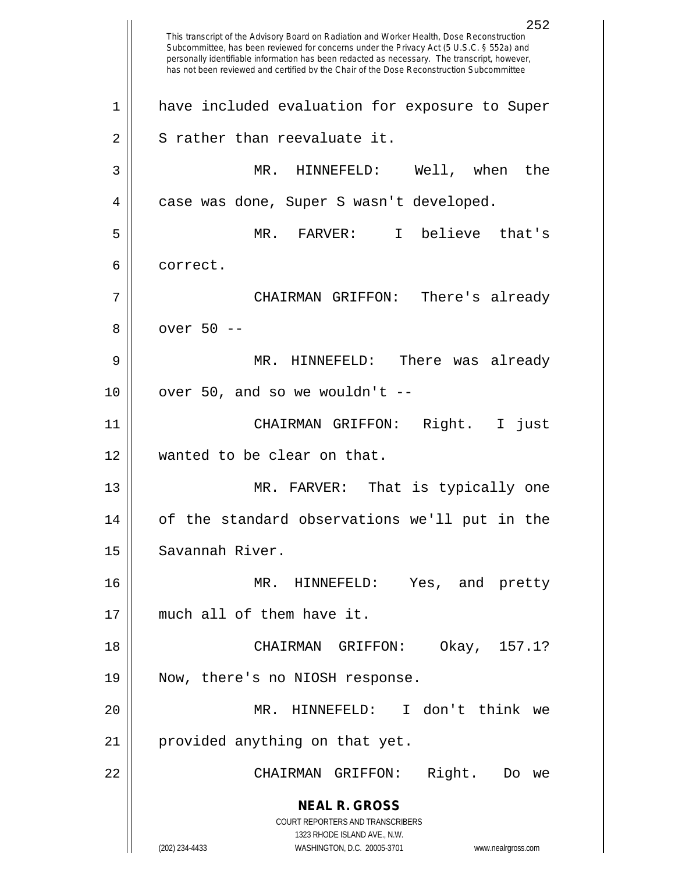**NEAL R. GROSS** COURT REPORTERS AND TRANSCRIBERS 1323 RHODE ISLAND AVE., N.W. (202) 234-4433 WASHINGTON, D.C. 20005-3701 www.nealrgross.com 252 This transcript of the Advisory Board on Radiation and Worker Health, Dose Reconstruction Subcommittee, has been reviewed for concerns under the Privacy Act (5 U.S.C. § 552a) and personally identifiable information has been redacted as necessary. The transcript, however, has not been reviewed and certified by the Chair of the Dose Reconstruction Subcommittee 1 || have included evaluation for exposure to Super  $2 \parallel$  S rather than reevaluate it. 3 MR. HINNEFELD: Well, when the 4 | case was done, Super S wasn't developed. 5 MR. FARVER: I believe that's 6 correct. 7 CHAIRMAN GRIFFON: There's already 8 || over 50 --9 MR. HINNEFELD: There was already  $10$  | over 50, and so we wouldn't --11 CHAIRMAN GRIFFON: Right. I just 12 wanted to be clear on that. 13 MR. FARVER: That is typically one 14 of the standard observations we'll put in the 15 | Savannah River. 16 MR. HINNEFELD: Yes, and pretty 17 much all of them have it. 18 CHAIRMAN GRIFFON: Okay, 157.1? 19 Now, there's no NIOSH response. 20 MR. HINNEFELD: I don't think we 21 || provided anything on that yet. 22 CHAIRMAN GRIFFON: Right. Do we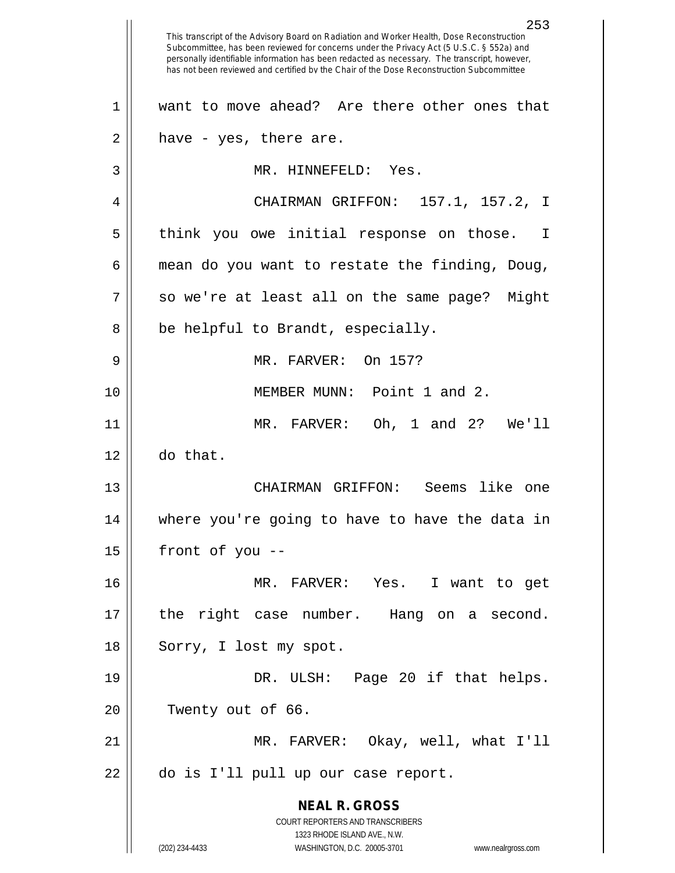**NEAL R. GROSS** COURT REPORTERS AND TRANSCRIBERS 1323 RHODE ISLAND AVE., N.W. (202) 234-4433 WASHINGTON, D.C. 20005-3701 www.nealrgross.com 253 This transcript of the Advisory Board on Radiation and Worker Health, Dose Reconstruction Subcommittee, has been reviewed for concerns under the Privacy Act (5 U.S.C. § 552a) and personally identifiable information has been redacted as necessary. The transcript, however, has not been reviewed and certified by the Chair of the Dose Reconstruction Subcommittee 1 want to move ahead? Are there other ones that  $2 \parallel$  have - yes, there are. 3 MR. HINNEFELD: Yes. 4 CHAIRMAN GRIFFON: 157.1, 157.2, I 5 || think you owe initial response on those. I  $6 \parallel$  mean do you want to restate the finding, Doug, 7 || so we're at least all on the same page? Might  $8 \parallel$  be helpful to Brandt, especially. 9 MR. FARVER: On 157? 10 || **MEMBER MUNN:** Point 1 and 2. 11 MR. FARVER: Oh, 1 and 2? We'll 12 do that. 13 CHAIRMAN GRIFFON: Seems like one 14 where you're going to have to have the data in  $15$  | front of you --16 MR. FARVER: Yes. I want to get 17 || the right case number. Hang on a second. 18 || Sorry, I lost my spot. 19 || DR. ULSH: Page 20 if that helps. 20 || Twenty out of 66. 21 MR. FARVER: Okay, well, what I'll 22 || do is I'll pull up our case report.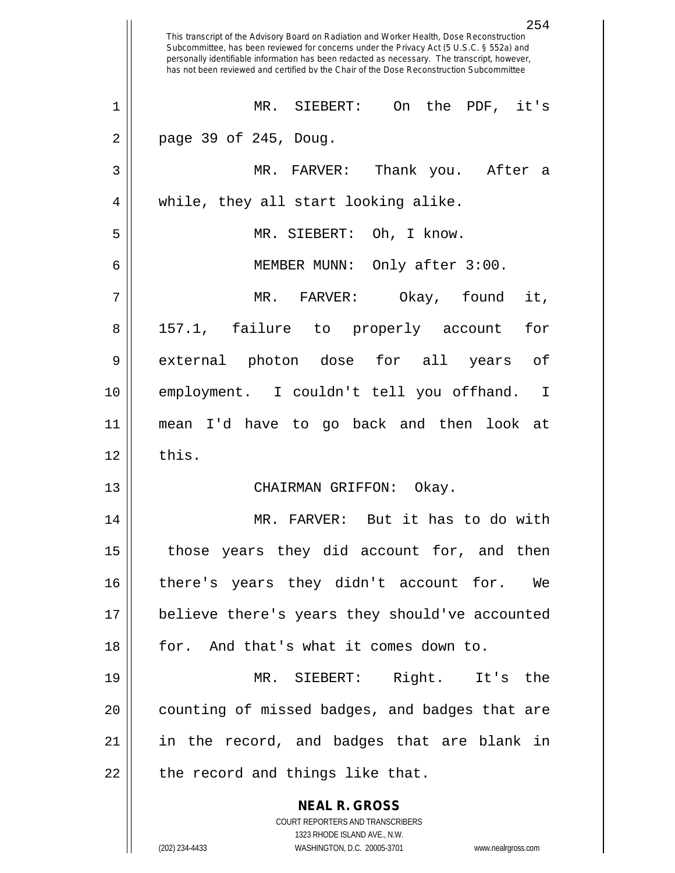|    | 254<br>This transcript of the Advisory Board on Radiation and Worker Health, Dose Reconstruction<br>Subcommittee, has been reviewed for concerns under the Privacy Act (5 U.S.C. § 552a) and<br>personally identifiable information has been redacted as necessary. The transcript, however,<br>has not been reviewed and certified by the Chair of the Dose Reconstruction Subcommittee |
|----|------------------------------------------------------------------------------------------------------------------------------------------------------------------------------------------------------------------------------------------------------------------------------------------------------------------------------------------------------------------------------------------|
| 1  | MR. SIEBERT:<br>On the PDF, it's                                                                                                                                                                                                                                                                                                                                                         |
| 2  | page 39 of 245, Doug.                                                                                                                                                                                                                                                                                                                                                                    |
| 3  | MR. FARVER: Thank you. After<br>а                                                                                                                                                                                                                                                                                                                                                        |
| 4  | while, they all start looking alike.                                                                                                                                                                                                                                                                                                                                                     |
| 5  | MR. SIEBERT: Oh, I know.                                                                                                                                                                                                                                                                                                                                                                 |
| 6  | MEMBER MUNN: Only after 3:00.                                                                                                                                                                                                                                                                                                                                                            |
| 7  | Okay, found<br>it,<br>$MR$ .<br>FARVER:                                                                                                                                                                                                                                                                                                                                                  |
| 8  | 157.1, failure to properly account<br>for                                                                                                                                                                                                                                                                                                                                                |
| 9  | external photon dose for all years<br>оf                                                                                                                                                                                                                                                                                                                                                 |
| 10 | employment. I couldn't tell you offhand.<br>- I                                                                                                                                                                                                                                                                                                                                          |
| 11 | mean I'd have to go back and then look at                                                                                                                                                                                                                                                                                                                                                |
| 12 | this.                                                                                                                                                                                                                                                                                                                                                                                    |
| 13 | CHAIRMAN GRIFFON:<br>Okay.                                                                                                                                                                                                                                                                                                                                                               |
| 14 | MR. FARVER: But it has to do with                                                                                                                                                                                                                                                                                                                                                        |
| 15 | those years they did account for, and then                                                                                                                                                                                                                                                                                                                                               |
| 16 | there's years they didn't account for. We                                                                                                                                                                                                                                                                                                                                                |
| 17 | believe there's years they should've accounted                                                                                                                                                                                                                                                                                                                                           |
| 18 | for. And that's what it comes down to.                                                                                                                                                                                                                                                                                                                                                   |
| 19 | MR. SIEBERT: Right. It's the                                                                                                                                                                                                                                                                                                                                                             |
| 20 | counting of missed badges, and badges that are                                                                                                                                                                                                                                                                                                                                           |
| 21 | in the record, and badges that are blank in                                                                                                                                                                                                                                                                                                                                              |
| 22 | the record and things like that.                                                                                                                                                                                                                                                                                                                                                         |
|    | <b>NEAL R. GROSS</b><br>COURT REPORTERS AND TRANSCRIBERS<br>1323 RHODE ISLAND AVE., N.W.<br>(202) 234-4433<br>WASHINGTON, D.C. 20005-3701<br>www.nealrgross.com                                                                                                                                                                                                                          |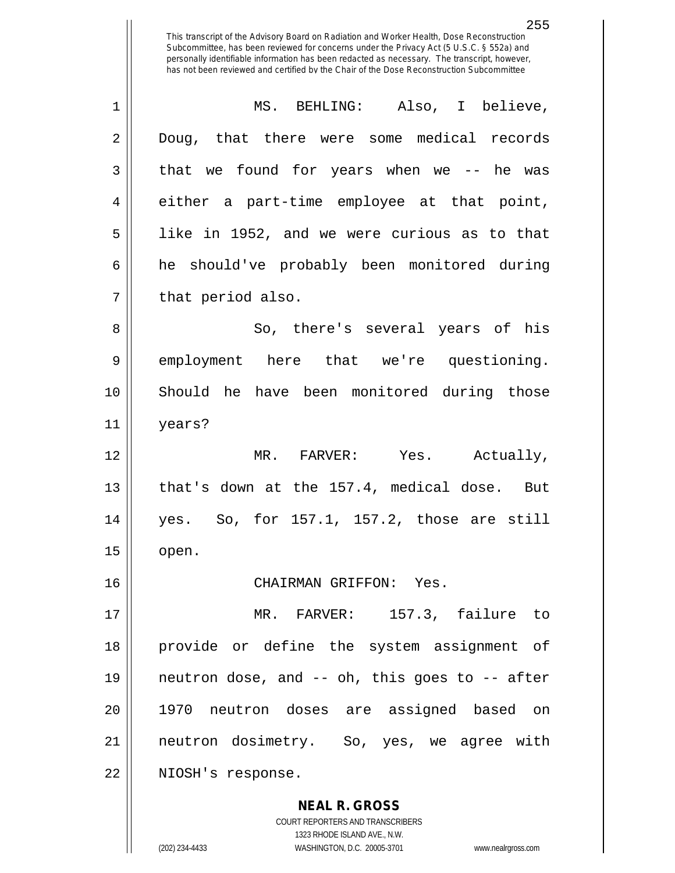255 This transcript of the Advisory Board on Radiation and Worker Health, Dose Reconstruction Subcommittee, has been reviewed for concerns under the Privacy Act (5 U.S.C. § 552a) and personally identifiable information has been redacted as necessary. The transcript, however, has not been reviewed and certified by the Chair of the Dose Reconstruction Subcommittee 1 MS. BEHLING: Also, I believe, 2 Doug, that there were some medical records  $3 \parallel$  that we found for years when we -- he was 4 either a part-time employee at that point,  $5 \parallel$  like in 1952, and we were curious as to that 6 | he should've probably been monitored during

 $7 \parallel$  that period also.

8 So, there's several years of his 9 employment here that we're questioning. 10 Should he have been monitored during those 11 years?

12 MR. FARVER: Yes. Actually, 13 || that's down at the 157.4, medical dose. But 14 yes. So, for 157.1, 157.2, those are still  $15$  | open.

16 CHAIRMAN GRIFFON: Yes.

 MR. FARVER: 157.3, failure to provide or define the system assignment of  $\parallel$  neutron dose, and -- oh, this goes to -- after 1970 neutron doses are assigned based on neutron dosimetry. So, yes, we agree with 22 | NIOSH's response.

> **NEAL R. GROSS** COURT REPORTERS AND TRANSCRIBERS 1323 RHODE ISLAND AVE., N.W. (202) 234-4433 WASHINGTON, D.C. 20005-3701 www.nealrgross.com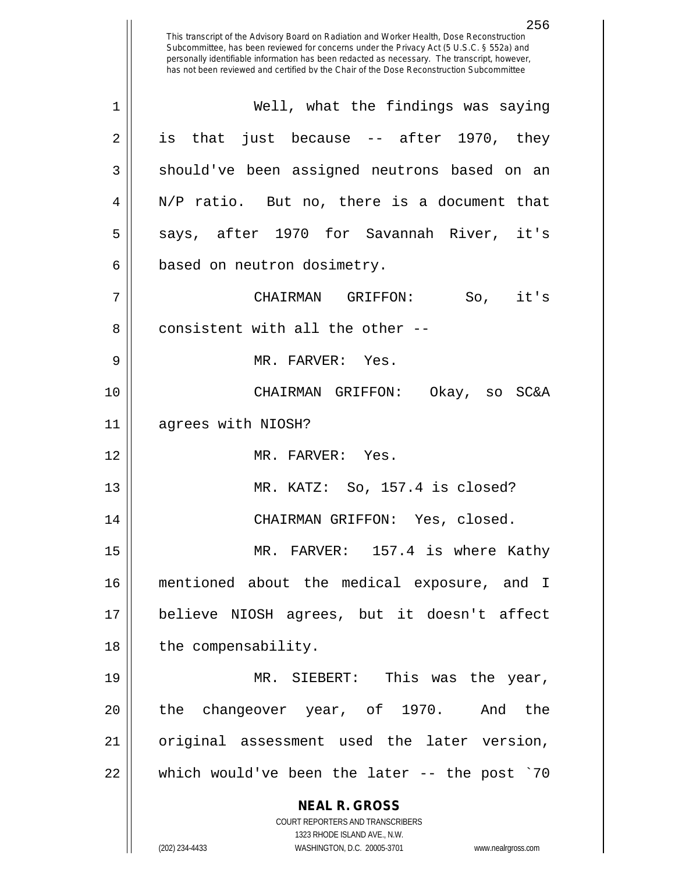**NEAL R. GROSS** COURT REPORTERS AND TRANSCRIBERS 1323 RHODE ISLAND AVE., N.W. (202) 234-4433 WASHINGTON, D.C. 20005-3701 www.nealrgross.com This transcript of the Advisory Board on Radiation and Worker Health, Dose Reconstruction Subcommittee, has been reviewed for concerns under the Privacy Act (5 U.S.C. § 552a) and personally identifiable information has been redacted as necessary. The transcript, however, has not been reviewed and certified by the Chair of the Dose Reconstruction Subcommittee 1 Well, what the findings was saying  $2 \parallel$  is that just because -- after 1970, they 3 || should've been assigned neutrons based on an 4 || N/P ratio. But no, there is a document that  $5 \parallel$  says, after 1970 for Savannah River, it's  $6 \parallel$  based on neutron dosimetry. 7 CHAIRMAN GRIFFON: So, it's 8 ll consistent with all the other --9 MR. FARVER: Yes. 10 CHAIRMAN GRIFFON: Okay, so SC&A 11 agrees with NIOSH? 12 MR. FARVER: Yes. 13 MR. KATZ: So, 157.4 is closed? 14 CHAIRMAN GRIFFON: Yes, closed. 15 || MR. FARVER: 157.4 is where Kathy 16 mentioned about the medical exposure, and I 17 believe NIOSH agrees, but it doesn't affect  $18$  || the compensability. 19 MR. SIEBERT: This was the year, 20 || the changeover year, of 1970. And the 21 || original assessment used the later version, 22 which would've been the later -- the post `70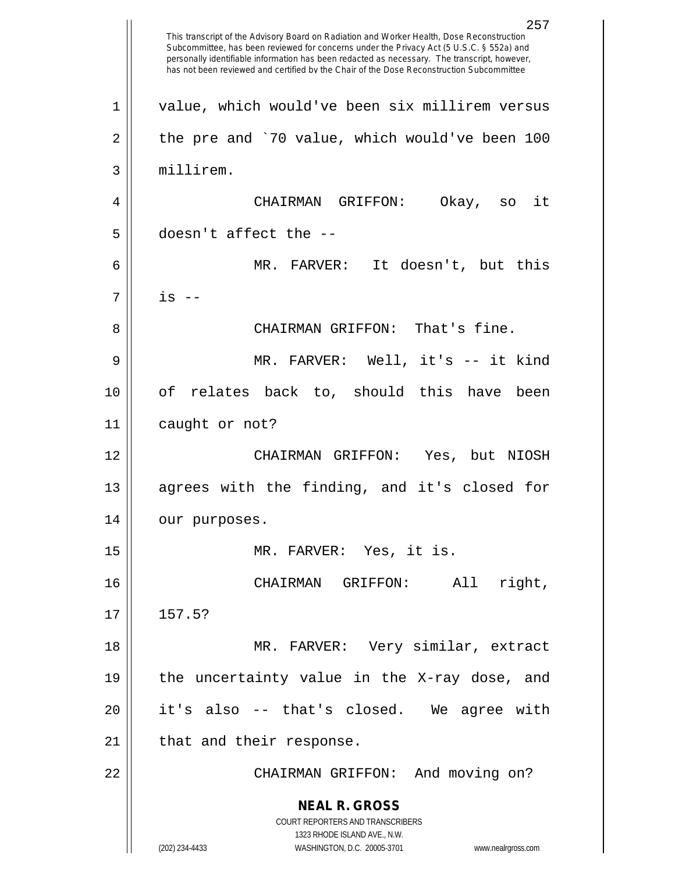**NEAL R. GROSS** COURT REPORTERS AND TRANSCRIBERS 1323 RHODE ISLAND AVE., N.W. (202) 234-4433 WASHINGTON, D.C. 20005-3701 www.nealrgross.com This transcript of the Advisory Board on Radiation and Worker Health, Dose Reconstruction Subcommittee, has been reviewed for concerns under the Privacy Act (5 U.S.C. § 552a) and personally identifiable information has been redacted as necessary. The transcript, however, has not been reviewed and certified by the Chair of the Dose Reconstruction Subcommittee 1 || value, which would've been six millirem versus 2 || the pre and `70 value, which would've been 100 3 millirem. 4 CHAIRMAN GRIFFON: Okay, so it  $5$  | doesn't affect the  $-$ 6 MR. FARVER: It doesn't, but this  $7 \parallel$  is  $-$ 8 CHAIRMAN GRIFFON: That's fine. 9 MR. FARVER: Well, it's -- it kind 10 of relates back to, should this have been 11 | caught or not? 12 CHAIRMAN GRIFFON: Yes, but NIOSH 13 || agrees with the finding, and it's closed for 14 | our purposes. 15 MR. FARVER: Yes, it is. 16 CHAIRMAN GRIFFON: All right,  $17 \parallel 157.5?$ 18 MR. FARVER: Very similar, extract 19 || the uncertainty value in the X-ray dose, and 20 it's also -- that's closed. We agree with 21 | that and their response. 22 CHAIRMAN GRIFFON: And moving on?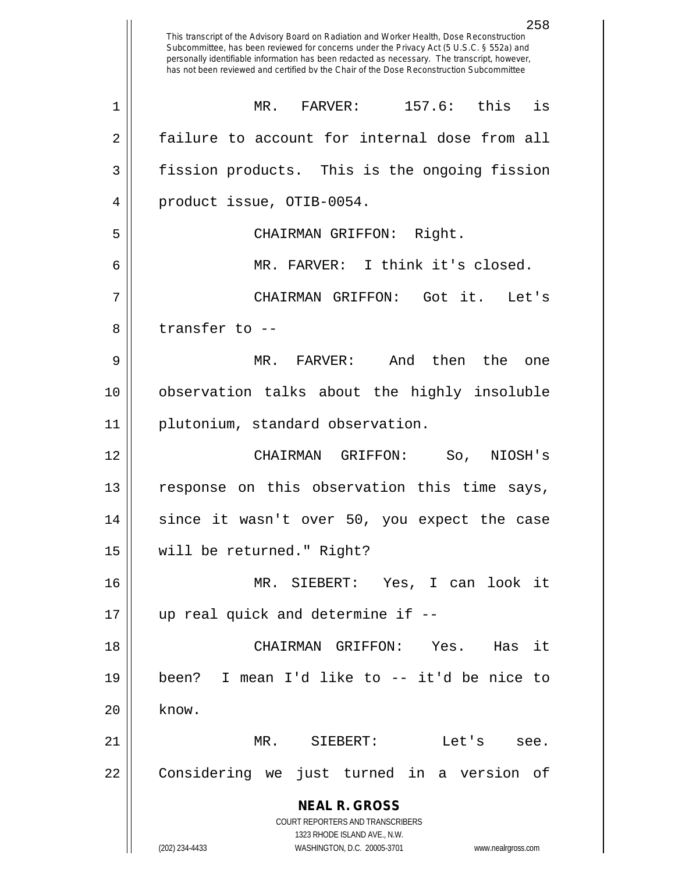**NEAL R. GROSS** COURT REPORTERS AND TRANSCRIBERS 1323 RHODE ISLAND AVE., N.W. (202) 234-4433 WASHINGTON, D.C. 20005-3701 www.nealrgross.com 258 This transcript of the Advisory Board on Radiation and Worker Health, Dose Reconstruction Subcommittee, has been reviewed for concerns under the Privacy Act (5 U.S.C. § 552a) and personally identifiable information has been redacted as necessary. The transcript, however, has not been reviewed and certified by the Chair of the Dose Reconstruction Subcommittee 1 MR. FARVER: 157.6: this is 2 failure to account for internal dose from all 3 | fission products. This is the ongoing fission 4 product issue, OTIB-0054. 5 CHAIRMAN GRIFFON: Right. 6 MR. FARVER: I think it's closed. 7 CHAIRMAN GRIFFON: Got it. Let's 8 ll transfer to --9 MR. FARVER: And then the one 10 observation talks about the highly insoluble 11 | plutonium, standard observation. 12 CHAIRMAN GRIFFON: So, NIOSH's 13 || response on this observation this time says, 14 || since it wasn't over 50, you expect the case 15 will be returned." Right? 16 MR. SIEBERT: Yes, I can look it 17 up real quick and determine if -- 18 CHAIRMAN GRIFFON: Yes. Has it 19 been? I mean I'd like to -- it'd be nice to  $20$   $\parallel$  know. 21 MR. SIEBERT: Let's see. 22 || Considering we just turned in a version of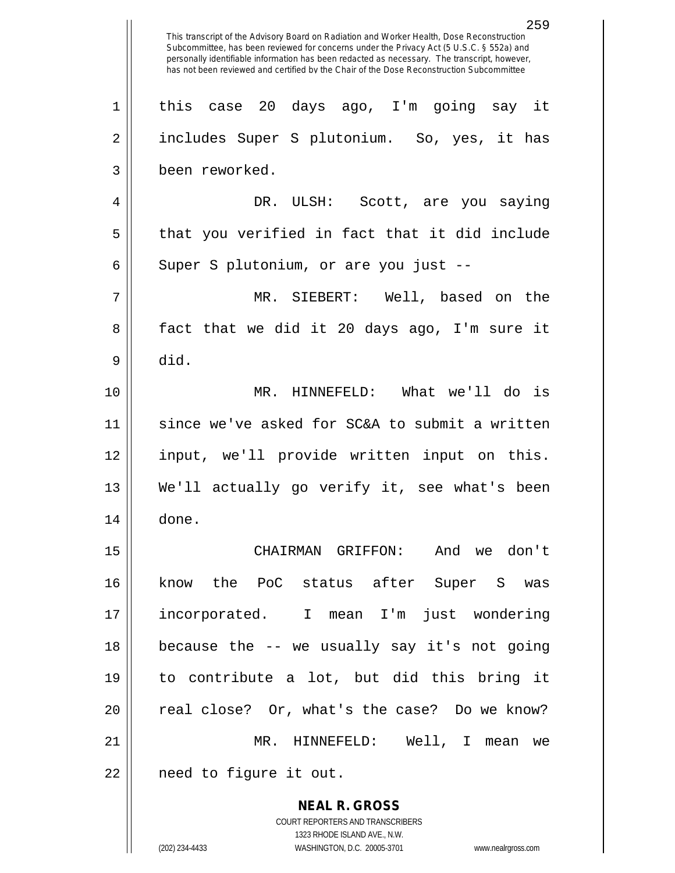**NEAL R. GROSS** COURT REPORTERS AND TRANSCRIBERS 1323 RHODE ISLAND AVE., N.W. (202) 234-4433 WASHINGTON, D.C. 20005-3701 www.nealrgross.com 259 This transcript of the Advisory Board on Radiation and Worker Health, Dose Reconstruction Subcommittee, has been reviewed for concerns under the Privacy Act (5 U.S.C. § 552a) and personally identifiable information has been redacted as necessary. The transcript, however, has not been reviewed and certified by the Chair of the Dose Reconstruction Subcommittee 1 this case 20 days ago, I'm going say it 2 || includes Super S plutonium. So, yes, it has 3 been reworked. 4 DR. ULSH: Scott, are you saying  $5 \parallel$  that you verified in fact that it did include  $6 \parallel$  Super S plutonium, or are you just --7 MR. SIEBERT: Well, based on the 8 || fact that we did it 20 days ago, I'm sure it  $9 \parallel$  did. 10 MR. HINNEFELD: What we'll do is 11 since we've asked for SC&A to submit a written 12 input, we'll provide written input on this. 13 || We'll actually go verify it, see what's been 14 done. 15 CHAIRMAN GRIFFON: And we don't 16 know the PoC status after Super S was 17 incorporated. I mean I'm just wondering 18 because the -- we usually say it's not going 19 to contribute a lot, but did this bring it 20 || real close? Or, what's the case? Do we know? 21 MR. HINNEFELD: Well, I mean we 22 | need to figure it out.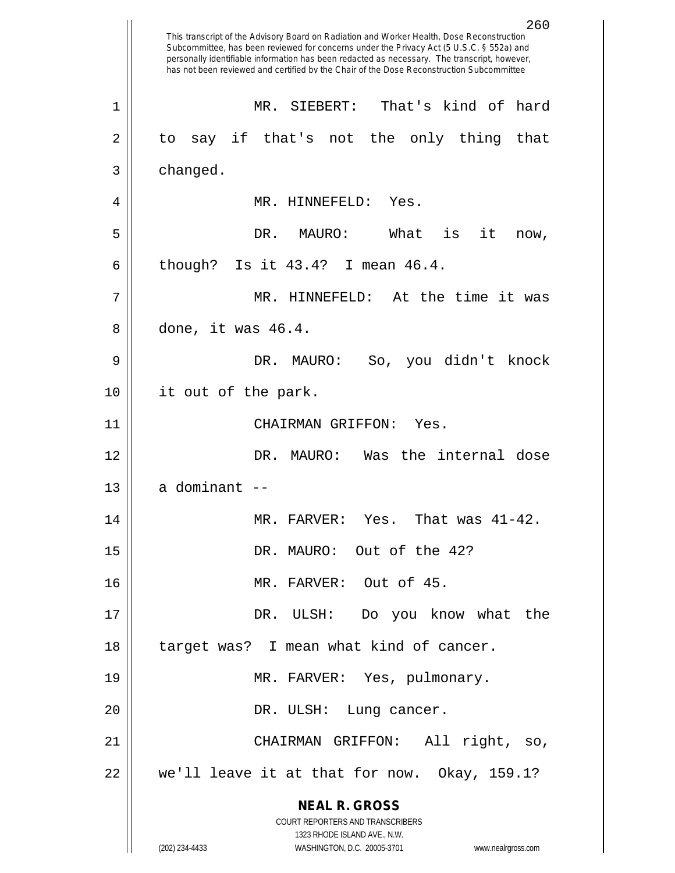**NEAL R. GROSS** COURT REPORTERS AND TRANSCRIBERS 1323 RHODE ISLAND AVE., N.W. (202) 234-4433 WASHINGTON, D.C. 20005-3701 www.nealrgross.com 260 This transcript of the Advisory Board on Radiation and Worker Health, Dose Reconstruction Subcommittee, has been reviewed for concerns under the Privacy Act (5 U.S.C. § 552a) and personally identifiable information has been redacted as necessary. The transcript, however, has not been reviewed and certified by the Chair of the Dose Reconstruction Subcommittee 1 MR. SIEBERT: That's kind of hard 2 to say if that's not the only thing that  $3 \parallel$  changed. 4 MR. HINNEFELD: Yes. 5 DR. MAURO: What is it now, 6 | though? Is it  $43.4$ ? I mean  $46.4$ . 7 MR. HINNEFELD: At the time it was 8 done, it was 46.4. 9 DR. MAURO: So, you didn't knock 10 it out of the park. 11 CHAIRMAN GRIFFON: Yes. 12 DR. MAURO: Was the internal dose  $13$  | a dominant  $-$ 14 MR. FARVER: Yes. That was 41-42. 15 DR. MAURO: Out of the 42? 16 || MR. FARVER: Out of 45. 17 DR. ULSH: Do you know what the 18 || target was? I mean what kind of cancer. 19 MR. FARVER: Yes, pulmonary. 20 || DR. ULSH: Lung cancer. 21 CHAIRMAN GRIFFON: All right, so, 22 we'll leave it at that for now. Okay, 159.1?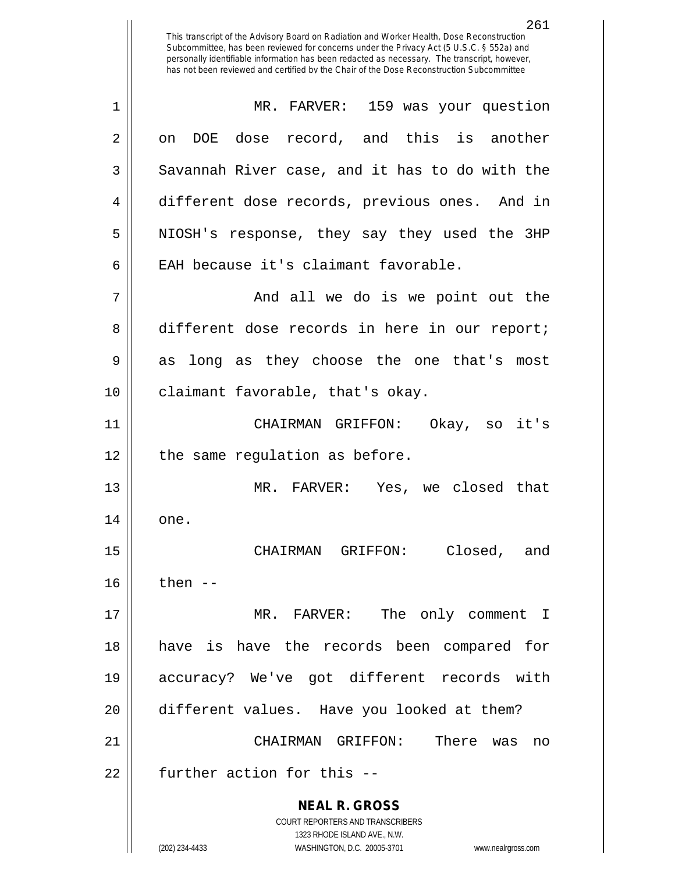261 This transcript of the Advisory Board on Radiation and Worker Health, Dose Reconstruction Subcommittee, has been reviewed for concerns under the Privacy Act (5 U.S.C. § 552a) and personally identifiable information has been redacted as necessary. The transcript, however, has not been reviewed and certified by the Chair of the Dose Reconstruction Subcommittee 1 MR. FARVER: 159 was your question  $2 \parallel$  on DOE dose record, and this is another  $3 \parallel$  Savannah River case, and it has to do with the 4 different dose records, previous ones. And in 5 || NIOSH's response, they say they used the 3HP 6 EAH because it's claimant favorable. 7 And all we do is we point out the 8 different dose records in here in our report; 9 as long as they choose the one that's most 10 || claimant favorable, that's okay. 11 CHAIRMAN GRIFFON: Okay, so it's  $12$  | the same regulation as before. 13 MR. FARVER: Yes, we closed that

 $14 \parallel$  one.

15 CHAIRMAN GRIFFON: Closed, and  $16$  || then --

 MR. FARVER: The only comment I have is have the records been compared for accuracy? We've got different records with different values. Have you looked at them? CHAIRMAN GRIFFON: There was no | further action for this  $-$ 

> **NEAL R. GROSS** COURT REPORTERS AND TRANSCRIBERS 1323 RHODE ISLAND AVE., N.W. (202) 234-4433 WASHINGTON, D.C. 20005-3701 www.nealrgross.com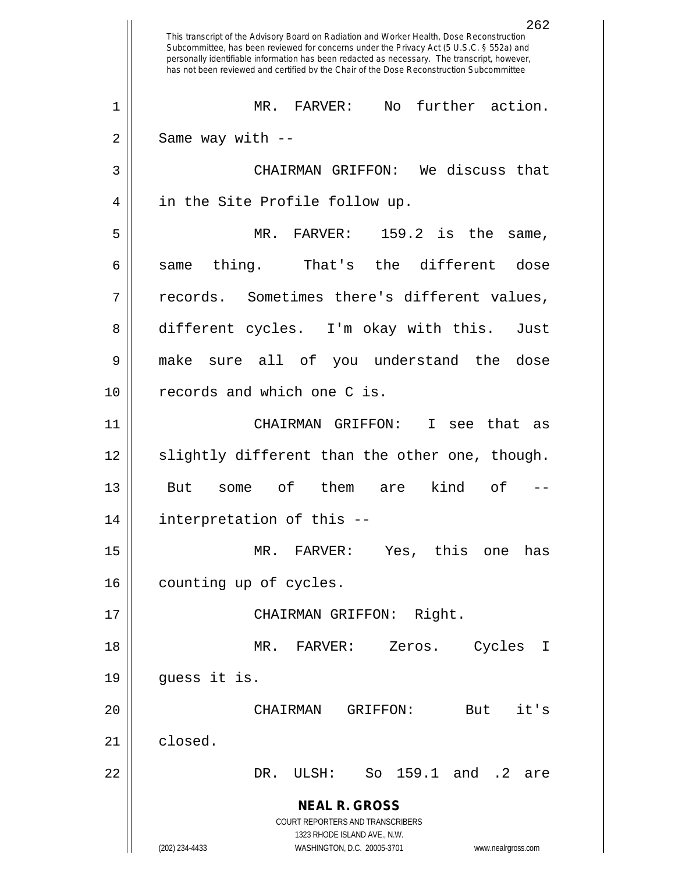**NEAL R. GROSS** COURT REPORTERS AND TRANSCRIBERS 1323 RHODE ISLAND AVE., N.W. (202) 234-4433 WASHINGTON, D.C. 20005-3701 www.nealrgross.com 262 This transcript of the Advisory Board on Radiation and Worker Health, Dose Reconstruction Subcommittee, has been reviewed for concerns under the Privacy Act (5 U.S.C. § 552a) and personally identifiable information has been redacted as necessary. The transcript, however, has not been reviewed and certified by the Chair of the Dose Reconstruction Subcommittee 1 || MR. FARVER: No further action.  $2 \parallel$  Same way with  $-$ 3 CHAIRMAN GRIFFON: We discuss that 4 || in the Site Profile follow up. 5 MR. FARVER: 159.2 is the same,  $6 \parallel$  same thing. That's the different dose 7 || records. Sometimes there's different values, 8 different cycles. I'm okay with this. Just 9 make sure all of you understand the dose 10 || records and which one C is. 11 CHAIRMAN GRIFFON: I see that as 12 || slightly different than the other one, though. 13 But some of them are kind of -- 14 interpretation of this -- 15 MR. FARVER: Yes, this one has 16 | counting up of cycles. 17 || CHAIRMAN GRIFFON: Right. 18 MR. FARVER: Zeros. Cycles I 19 guess it is. 20 CHAIRMAN GRIFFON: But it's 21 closed. 22 DR. ULSH: So 159.1 and .2 are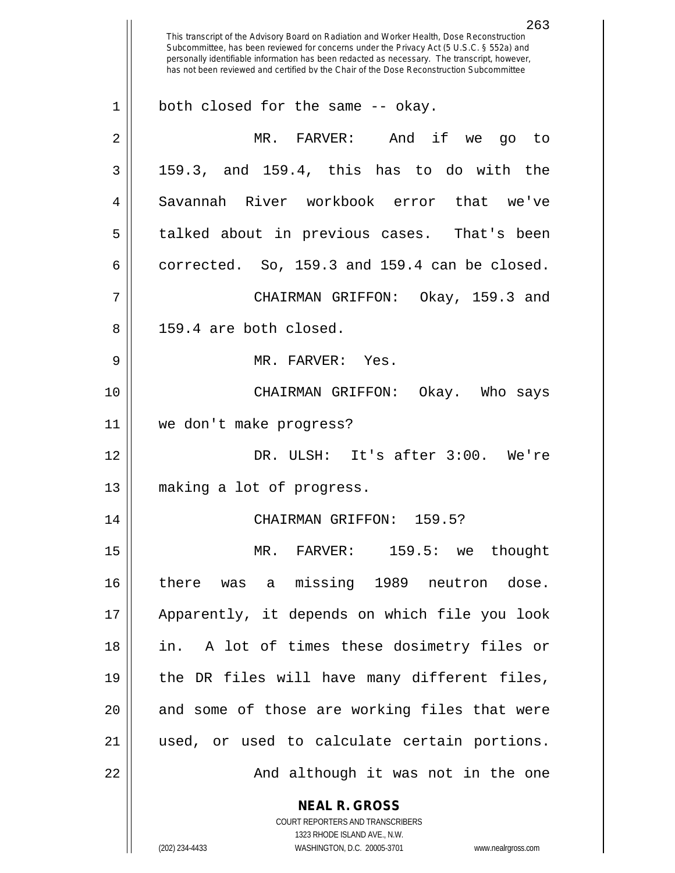**NEAL R. GROSS** COURT REPORTERS AND TRANSCRIBERS 263 This transcript of the Advisory Board on Radiation and Worker Health, Dose Reconstruction Subcommittee, has been reviewed for concerns under the Privacy Act (5 U.S.C. § 552a) and personally identifiable information has been redacted as necessary. The transcript, however, has not been reviewed and certified by the Chair of the Dose Reconstruction Subcommittee 1 || both closed for the same -- okay. 2 MR. FARVER: And if we go to  $3 \parallel$  159.3, and 159.4, this has to do with the 4 Savannah River workbook error that we've 5 talked about in previous cases. That's been  $6 \parallel$  corrected. So, 159.3 and 159.4 can be closed. 7 CHAIRMAN GRIFFON: Okay, 159.3 and 8 || 159.4 are both closed. 9 MR. FARVER: Yes. 10 CHAIRMAN GRIFFON: Okay. Who says 11 we don't make progress? 12 DR. ULSH: It's after 3:00. We're 13 making a lot of progress. 14 CHAIRMAN GRIFFON: 159.5? 15 MR. FARVER: 159.5: we thought 16 there was a missing 1989 neutron dose. 17 Apparently, it depends on which file you look 18 in. A lot of times these dosimetry files or 19 || the DR files will have many different files, 20 || and some of those are working files that were 21 used, or used to calculate certain portions. 22 || And although it was not in the one

1323 RHODE ISLAND AVE., N.W.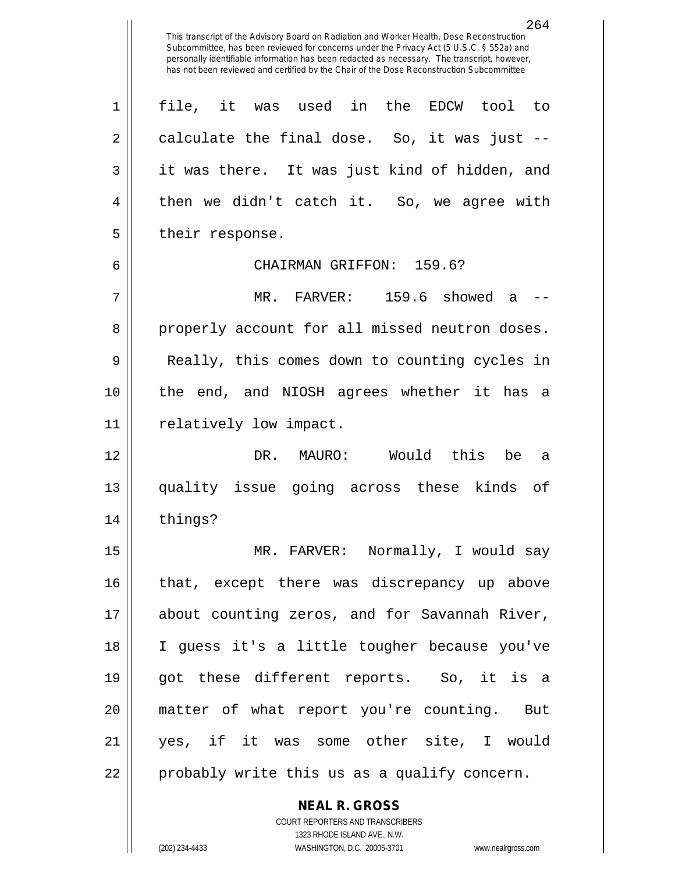264 This transcript of the Advisory Board on Radiation and Worker Health, Dose Reconstruction Subcommittee, has been reviewed for concerns under the Privacy Act (5 U.S.C. § 552a) and personally identifiable information has been redacted as necessary. The transcript, however, has not been reviewed and certified by the Chair of the Dose Reconstruction Subcommittee 1 file, it was used in the EDCW tool to  $2 \parallel$  calculate the final dose. So, it was just --3 || it was there. It was just kind of hidden, and 4 || then we didn't catch it. So, we agree with 5 | their response. 6 CHAIRMAN GRIFFON: 159.6? 7 MR. FARVER: 159.6 showed a -- 8 properly account for all missed neutron doses. 9 || Really, this comes down to counting cycles in 10 the end, and NIOSH agrees whether it has a 11 | relatively low impact. 12 DR. MAURO: Would this be a 13 quality issue going across these kinds of 14 things? 15 MR. FARVER: Normally, I would say 16 || that, except there was discrepancy up above 17 about counting zeros, and for Savannah River, 18 I guess it's a little tougher because you've 19 got these different reports. So, it is a 20 matter of what report you're counting. But

21 yes, if it was some other site, I would  $22 \parallel$  probably write this us as a qualify concern.

> COURT REPORTERS AND TRANSCRIBERS 1323 RHODE ISLAND AVE., N.W. (202) 234-4433 WASHINGTON, D.C. 20005-3701 www.nealrgross.com

**NEAL R. GROSS**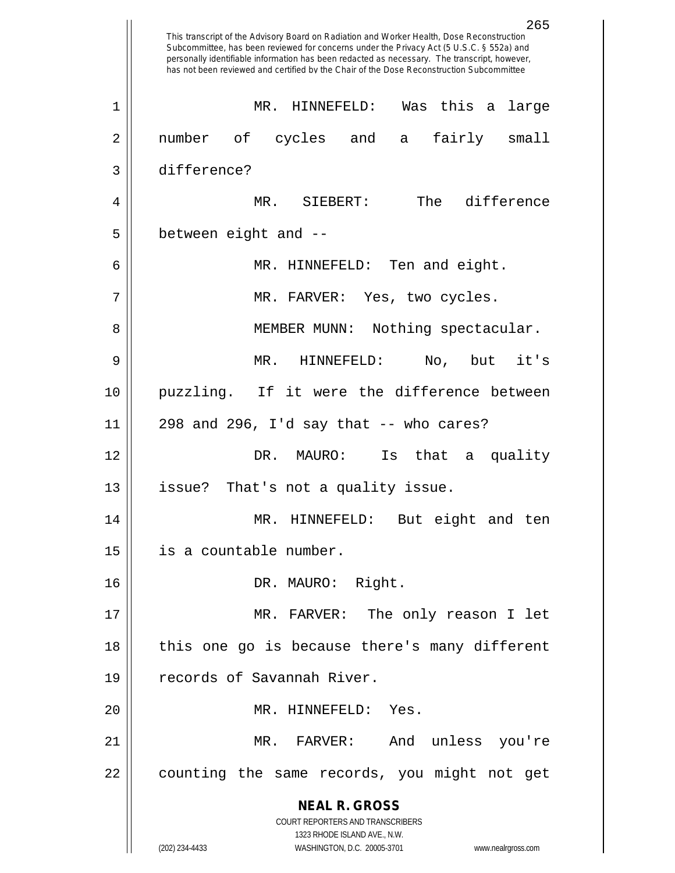**NEAL R. GROSS** COURT REPORTERS AND TRANSCRIBERS 1323 RHODE ISLAND AVE., N.W. (202) 234-4433 WASHINGTON, D.C. 20005-3701 www.nealrgross.com 265 This transcript of the Advisory Board on Radiation and Worker Health, Dose Reconstruction Subcommittee, has been reviewed for concerns under the Privacy Act (5 U.S.C. § 552a) and personally identifiable information has been redacted as necessary. The transcript, however, has not been reviewed and certified by the Chair of the Dose Reconstruction Subcommittee 1 MR. HINNEFELD: Was this a large 2 number of cycles and a fairly small 3 difference? 4 MR. SIEBERT: The difference  $5 \parallel$  between eight and  $-$ 6 MR. HINNEFELD: Ten and eight. 7 MR. FARVER: Yes, two cycles. 8 || MEMBER MUNN: Nothing spectacular. 9 MR. HINNEFELD: No, but it's 10 puzzling. If it were the difference between  $11$  || 298 and 296, I'd say that  $-$ - who cares? 12 DR. MAURO: Is that a quality 13 || issue? That's not a quality issue. 14 MR. HINNEFELD: But eight and ten 15 is a countable number. 16 DR. MAURO: Right. 17 MR. FARVER: The only reason I let 18 || this one go is because there's many different 19 || records of Savannah River. 20 || MR. HINNEFELD: Yes. 21 MR. FARVER: And unless you're 22 || counting the same records, you might not get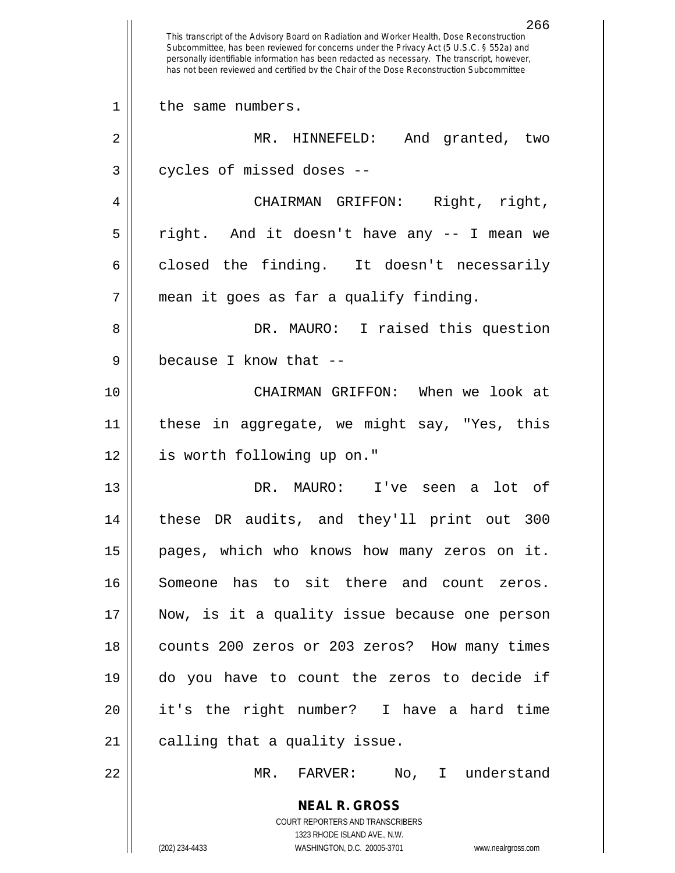**NEAL R. GROSS** COURT REPORTERS AND TRANSCRIBERS 1323 RHODE ISLAND AVE., N.W. (202) 234-4433 WASHINGTON, D.C. 20005-3701 www.nealrgross.com 266 This transcript of the Advisory Board on Radiation and Worker Health, Dose Reconstruction Subcommittee, has been reviewed for concerns under the Privacy Act (5 U.S.C. § 552a) and personally identifiable information has been redacted as necessary. The transcript, however, has not been reviewed and certified by the Chair of the Dose Reconstruction Subcommittee 1 || the same numbers. 2 MR. HINNEFELD: And granted, two  $3$  | cycles of missed doses --4 CHAIRMAN GRIFFON: Right, right, 5 right. And it doesn't have any -- I mean we  $6 \parallel$  closed the finding. It doesn't necessarily 7 || mean it goes as far a qualify finding. 8 || DR. MAURO: I raised this question 9 || because I know that --10 CHAIRMAN GRIFFON: When we look at 11 || these in aggregate, we might say, "Yes, this 12 is worth following up on." 13 DR. MAURO: I've seen a lot of 14 these DR audits, and they'll print out 300 15 || pages, which who knows how many zeros on it. 16 Someone has to sit there and count zeros. 17 Now, is it a quality issue because one person 18 counts 200 zeros or 203 zeros? How many times 19 do you have to count the zeros to decide if 20 it's the right number? I have a hard time  $21$  | calling that a quality issue. 22 MR. FARVER: No, I understand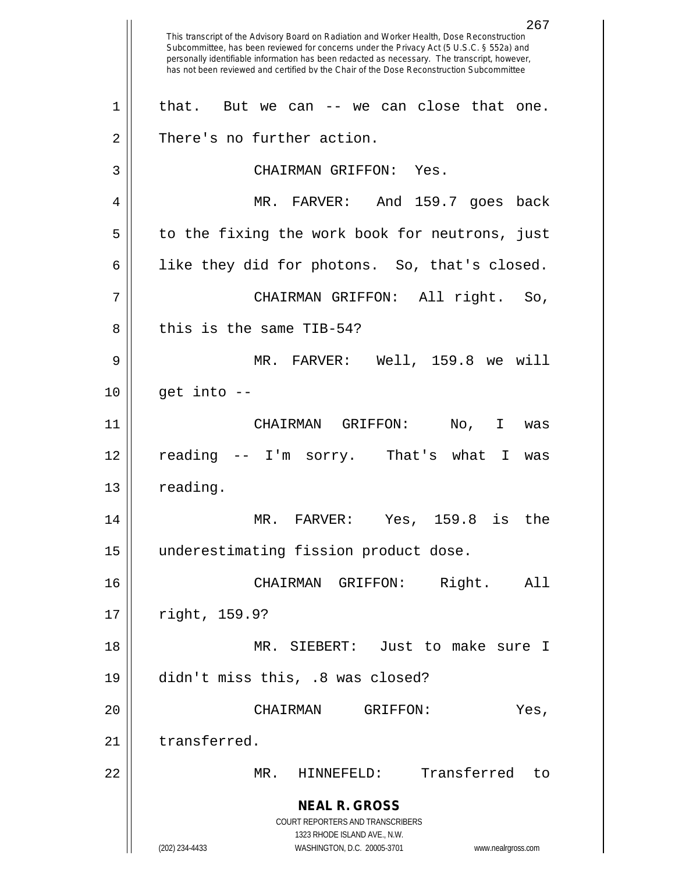**NEAL R. GROSS** COURT REPORTERS AND TRANSCRIBERS 1323 RHODE ISLAND AVE., N.W. (202) 234-4433 WASHINGTON, D.C. 20005-3701 www.nealrgross.com 267 This transcript of the Advisory Board on Radiation and Worker Health, Dose Reconstruction Subcommittee, has been reviewed for concerns under the Privacy Act (5 U.S.C. § 552a) and personally identifiable information has been redacted as necessary. The transcript, however, has not been reviewed and certified by the Chair of the Dose Reconstruction Subcommittee  $1 \parallel$  that. But we can -- we can close that one. 2 | There's no further action. 3 CHAIRMAN GRIFFON: Yes. 4 MR. FARVER: And 159.7 goes back  $5 \parallel$  to the fixing the work book for neutrons, just  $6 \parallel$  like they did for photons. So, that's closed. 7 CHAIRMAN GRIFFON: All right. So, 8 l this is the same TIB-54? 9 MR. FARVER: Well, 159.8 we will  $10$  | get into  $-$ 11 CHAIRMAN GRIFFON: No, I was 12 reading -- I'm sorry. That's what I was 13 | reading. 14 MR. FARVER: Yes, 159.8 is the 15 underestimating fission product dose. 16 CHAIRMAN GRIFFON: Right. All 17 | right, 159.9? 18 MR. SIEBERT: Just to make sure I 19 didn't miss this, .8 was closed? 20 CHAIRMAN GRIFFON: Yes, 21 transferred. 22 MR. HINNEFELD: Transferred to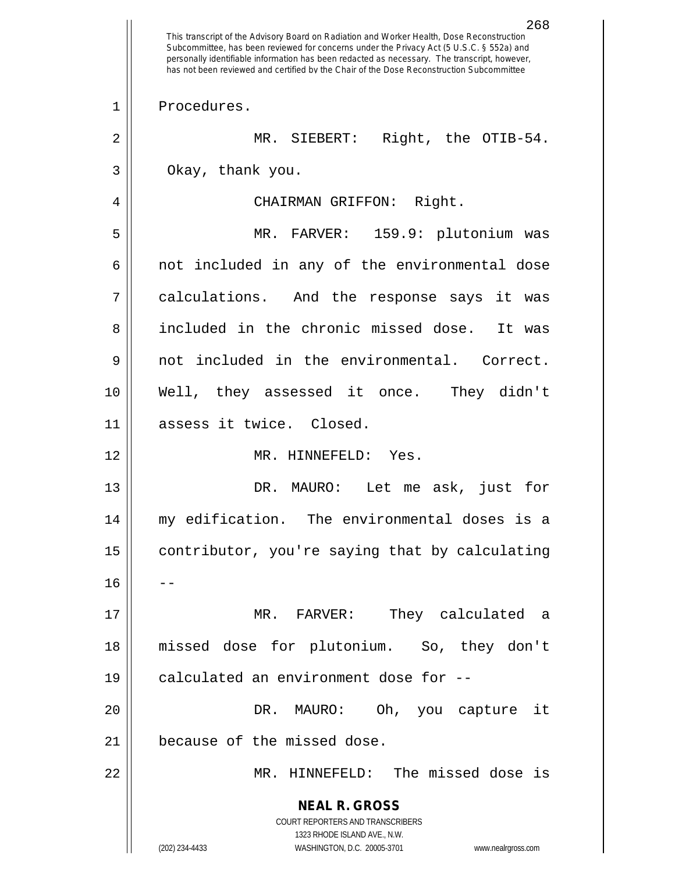**NEAL R. GROSS** COURT REPORTERS AND TRANSCRIBERS 1323 RHODE ISLAND AVE., N.W. (202) 234-4433 WASHINGTON, D.C. 20005-3701 www.nealrgross.com 268 This transcript of the Advisory Board on Radiation and Worker Health, Dose Reconstruction Subcommittee, has been reviewed for concerns under the Privacy Act (5 U.S.C. § 552a) and personally identifiable information has been redacted as necessary. The transcript, however, has not been reviewed and certified by the Chair of the Dose Reconstruction Subcommittee 1 | Procedures. 2 || MR. SIEBERT: Right, the OTIB-54. 3 || Okay, thank you. 4 | CHAIRMAN GRIFFON: Right. 5 MR. FARVER: 159.9: plutonium was 6 || not included in any of the environmental dose 7 calculations. And the response says it was 8 included in the chronic missed dose. It was 9 not included in the environmental. Correct. 10 Well, they assessed it once. They didn't 11 assess it twice. Closed. 12 MR. HINNEFELD: Yes. 13 || DR. MAURO: Let me ask, just for 14 my edification. The environmental doses is a 15 | contributor, you're saying that by calculating  $16$ 17 MR. FARVER: They calculated a 18 missed dose for plutonium. So, they don't 19 || calculated an environment dose for --20 DR. MAURO: Oh, you capture it 21 | because of the missed dose. 22 MR. HINNEFELD: The missed dose is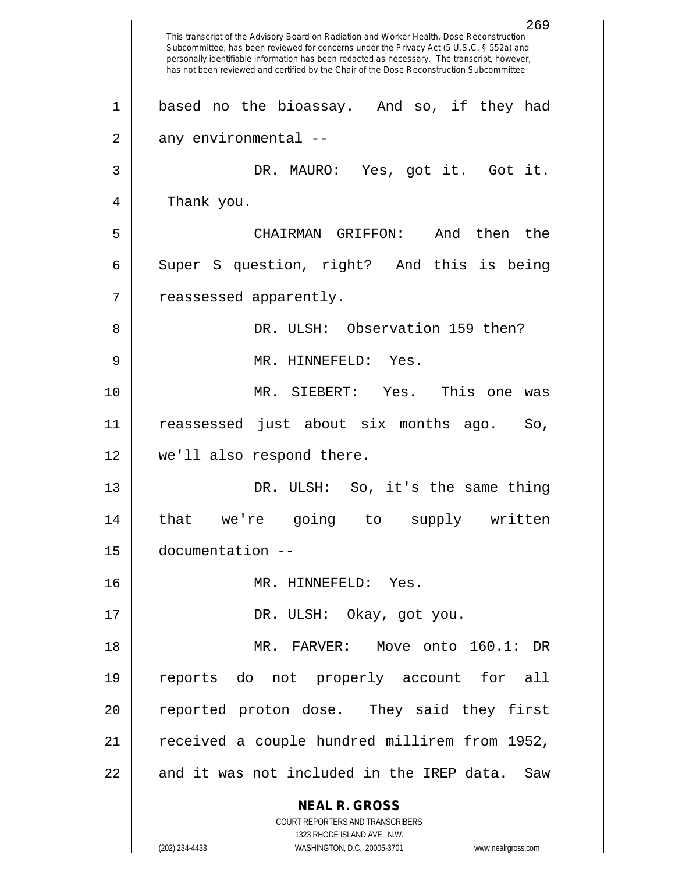|    | 269<br>This transcript of the Advisory Board on Radiation and Worker Health, Dose Reconstruction<br>Subcommittee, has been reviewed for concerns under the Privacy Act (5 U.S.C. § 552a) and<br>personally identifiable information has been redacted as necessary. The transcript, however,<br>has not been reviewed and certified by the Chair of the Dose Reconstruction Subcommittee |
|----|------------------------------------------------------------------------------------------------------------------------------------------------------------------------------------------------------------------------------------------------------------------------------------------------------------------------------------------------------------------------------------------|
| 1  | based no the bioassay. And so, if they had                                                                                                                                                                                                                                                                                                                                               |
| 2  | any environmental --                                                                                                                                                                                                                                                                                                                                                                     |
| 3  | DR. MAURO: Yes, got it. Got it.                                                                                                                                                                                                                                                                                                                                                          |
| 4  | Thank you.                                                                                                                                                                                                                                                                                                                                                                               |
| 5  | And then<br>the<br>CHAIRMAN GRIFFON:                                                                                                                                                                                                                                                                                                                                                     |
| 6  | Super S question, right? And this is being                                                                                                                                                                                                                                                                                                                                               |
| 7  | reassessed apparently.                                                                                                                                                                                                                                                                                                                                                                   |
| 8  | DR. ULSH: Observation 159 then?                                                                                                                                                                                                                                                                                                                                                          |
| 9  | MR. HINNEFELD: Yes.                                                                                                                                                                                                                                                                                                                                                                      |
| 10 | MR. SIEBERT: Yes.<br>This one<br>was                                                                                                                                                                                                                                                                                                                                                     |
| 11 | reassessed just about six months ago.<br>So,                                                                                                                                                                                                                                                                                                                                             |
| 12 | we'll also respond there.                                                                                                                                                                                                                                                                                                                                                                |
| 13 | DR. ULSH: So, it's the same thing                                                                                                                                                                                                                                                                                                                                                        |
| 14 | that we're going to supply written                                                                                                                                                                                                                                                                                                                                                       |
| 15 | documentation --                                                                                                                                                                                                                                                                                                                                                                         |
| 16 | MR. HINNEFELD: Yes.                                                                                                                                                                                                                                                                                                                                                                      |
| 17 | DR. ULSH: Okay, got you.                                                                                                                                                                                                                                                                                                                                                                 |
| 18 | MR. FARVER: Move onto 160.1: DR                                                                                                                                                                                                                                                                                                                                                          |
| 19 | reports do not properly account for all                                                                                                                                                                                                                                                                                                                                                  |
| 20 | reported proton dose. They said they first                                                                                                                                                                                                                                                                                                                                               |
| 21 | received a couple hundred millirem from 1952,                                                                                                                                                                                                                                                                                                                                            |
| 22 | and it was not included in the IREP data. Saw                                                                                                                                                                                                                                                                                                                                            |
|    | <b>NEAL R. GROSS</b>                                                                                                                                                                                                                                                                                                                                                                     |
|    | COURT REPORTERS AND TRANSCRIBERS<br>1323 RHODE ISLAND AVE., N.W.                                                                                                                                                                                                                                                                                                                         |
|    | (202) 234-4433<br>WASHINGTON, D.C. 20005-3701<br>www.nealrgross.com                                                                                                                                                                                                                                                                                                                      |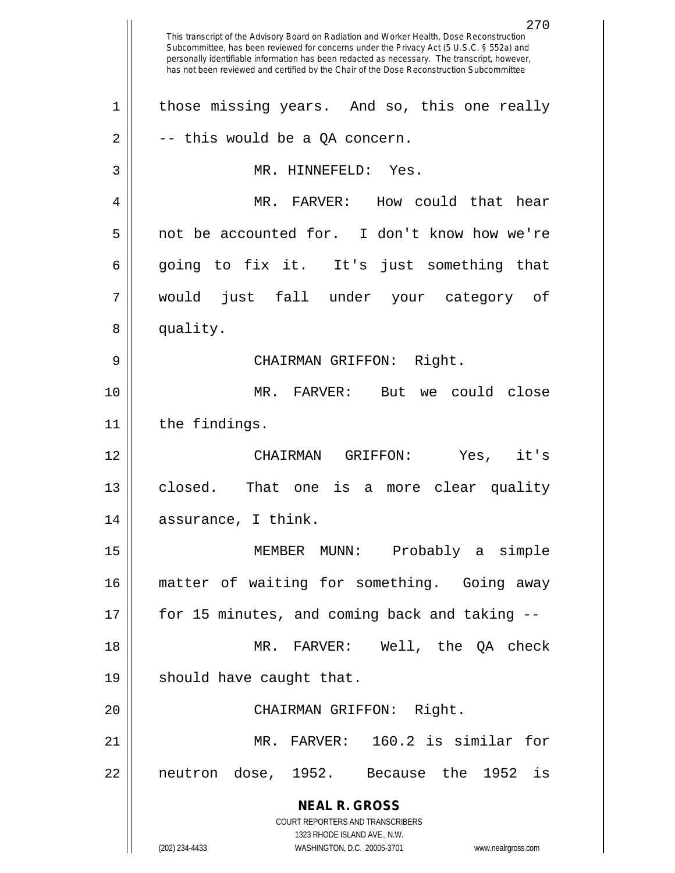**NEAL R. GROSS** COURT REPORTERS AND TRANSCRIBERS 1323 RHODE ISLAND AVE., N.W. (202) 234-4433 WASHINGTON, D.C. 20005-3701 www.nealrgross.com 270 This transcript of the Advisory Board on Radiation and Worker Health, Dose Reconstruction Subcommittee, has been reviewed for concerns under the Privacy Act (5 U.S.C. § 552a) and personally identifiable information has been redacted as necessary. The transcript, however, has not been reviewed and certified by the Chair of the Dose Reconstruction Subcommittee 1 || those missing years. And so, this one really  $2 \parallel$  -- this would be a QA concern. 3 MR. HINNEFELD: Yes. 4 MR. FARVER: How could that hear 5 not be accounted for. I don't know how we're  $6 \parallel$  going to fix it. It's just something that 7 would just fall under your category of 8 | quality. 9 CHAIRMAN GRIFFON: Right. 10 MR. FARVER: But we could close 11 | the findings. 12 CHAIRMAN GRIFFON: Yes, it's 13 || closed. That one is a more clear quality 14 || assurance, I think. 15 MEMBER MUNN: Probably a simple 16 matter of waiting for something. Going away 17 for 15 minutes, and coming back and taking -- 18 MR. FARVER: Well, the QA check 19 || should have caught that. 20 || CHAIRMAN GRIFFON: Right. 21 MR. FARVER: 160.2 is similar for 22 neutron dose, 1952. Because the 1952 is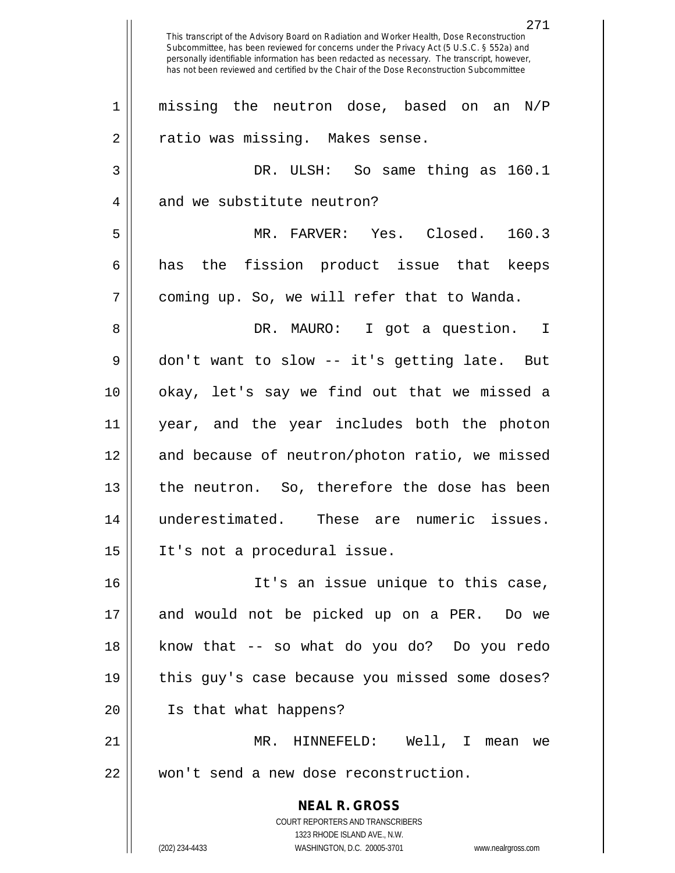**NEAL R. GROSS** COURT REPORTERS AND TRANSCRIBERS 1323 RHODE ISLAND AVE., N.W. (202) 234-4433 WASHINGTON, D.C. 20005-3701 www.nealrgross.com 271 This transcript of the Advisory Board on Radiation and Worker Health, Dose Reconstruction Subcommittee, has been reviewed for concerns under the Privacy Act (5 U.S.C. § 552a) and personally identifiable information has been redacted as necessary. The transcript, however, has not been reviewed and certified by the Chair of the Dose Reconstruction Subcommittee 1 || missing the neutron dose, based on an N/P 2 | Tratio was missing. Makes sense. 3 DR. ULSH: So same thing as 160.1 4 and we substitute neutron? 5 MR. FARVER: Yes. Closed. 160.3 6 has the fission product issue that keeps 7 | coming up. So, we will refer that to Wanda. 8 DR. MAURO: I got a question. I 9 don't want to slow -- it's getting late. But 10 okay, let's say we find out that we missed a 11 year, and the year includes both the photon 12 || and because of neutron/photon ratio, we missed 13 || the neutron. So, therefore the dose has been 14 underestimated. These are numeric issues. 15 It's not a procedural issue. 16 It's an issue unique to this case, 17 and would not be picked up on a PER. Do we 18 know that -- so what do you do? Do you redo 19 || this guy's case because you missed some doses? 20 Is that what happens? 21 MR. HINNEFELD: Well, I mean we 22 won't send a new dose reconstruction.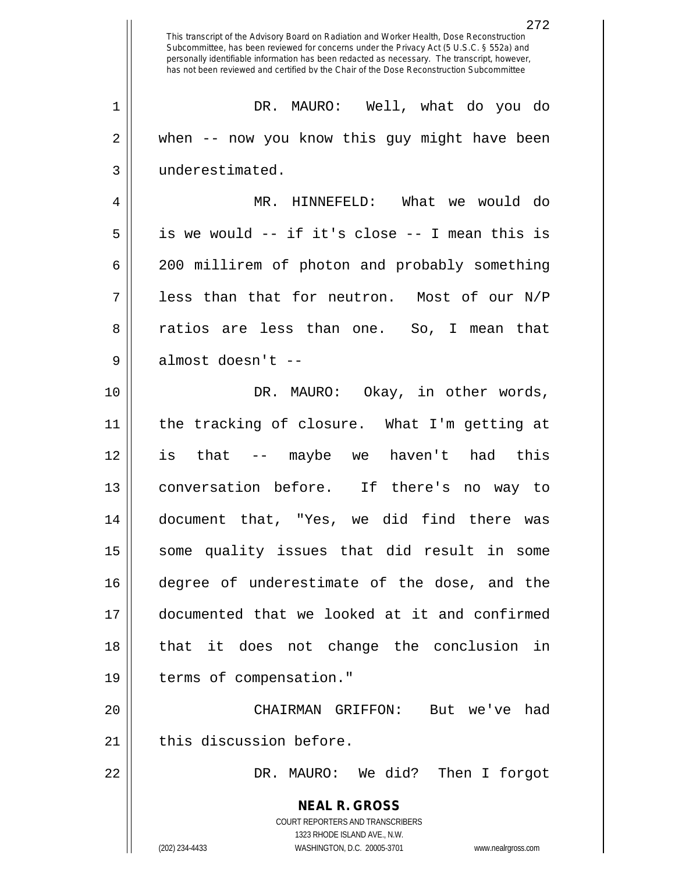**NEAL R. GROSS** COURT REPORTERS AND TRANSCRIBERS 1323 RHODE ISLAND AVE., N.W. (202) 234-4433 WASHINGTON, D.C. 20005-3701 www.nealrgross.com This transcript of the Advisory Board on Radiation and Worker Health, Dose Reconstruction Subcommittee, has been reviewed for concerns under the Privacy Act (5 U.S.C. § 552a) and personally identifiable information has been redacted as necessary. The transcript, however, has not been reviewed and certified by the Chair of the Dose Reconstruction Subcommittee 1 DR. MAURO: Well, what do you do 2 when -- now you know this guy might have been 3 | underestimated. 4 MR. HINNEFELD: What we would do  $5 \parallel$  is we would -- if it's close -- I mean this is 6 200 millirem of photon and probably something  $7 \parallel$  less than that for neutron. Most of our N/P 8 || ratios are less than one. So, I mean that 9 || almost doesn't --10 DR. MAURO: Okay, in other words, 11 the tracking of closure. What I'm getting at 12 is that -- maybe we haven't had this 13 conversation before. If there's no way to 14 document that, "Yes, we did find there was 15 || some quality issues that did result in some 16 degree of underestimate of the dose, and the 17 documented that we looked at it and confirmed 18 that it does not change the conclusion in 19 | terms of compensation." 20 CHAIRMAN GRIFFON: But we've had 21 | this discussion before. 22 DR. MAURO: We did? Then I forgot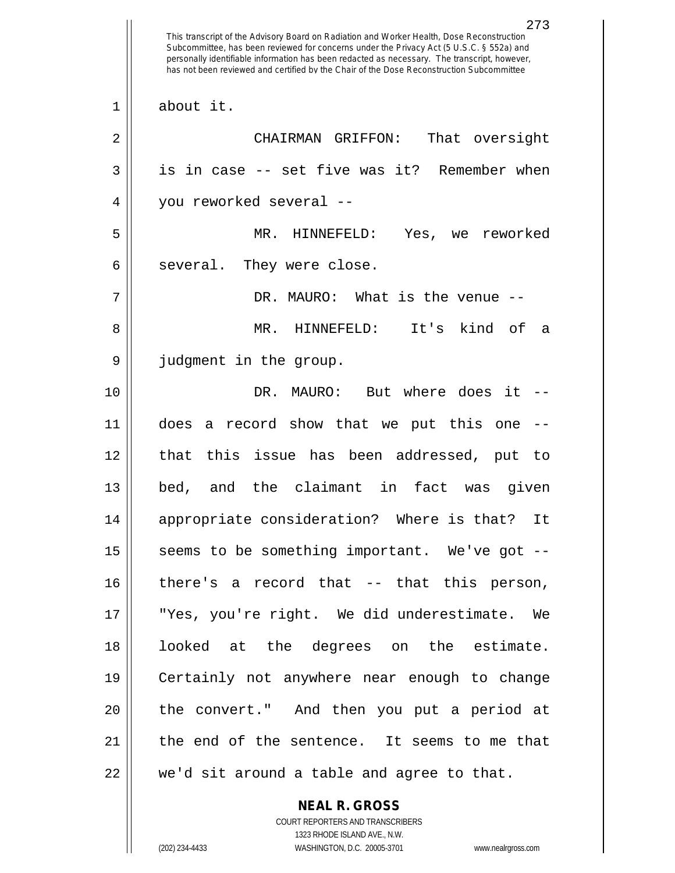This transcript of the Advisory Board on Radiation and Worker Health, Dose Reconstruction Subcommittee, has been reviewed for concerns under the Privacy Act (5 U.S.C. § 552a) and personally identifiable information has been redacted as necessary. The transcript, however, has not been reviewed and certified by the Chair of the Dose Reconstruction Subcommittee about it. CHAIRMAN GRIFFON: That oversight  $3 \parallel$  is in case -- set five was it? Remember when you reworked several -- MR. HINNEFELD: Yes, we reworked  $6 \parallel$  several. They were close. DR. MAURO: What is the venue -- MR. HINNEFELD: It's kind of a judgment in the group. DR. MAURO: But where does it -- does a record show that we put this one -- that this issue has been addressed, put to bed, and the claimant in fact was given appropriate consideration? Where is that? It  $\parallel$  seems to be something important. We've got -- there's a record that -- that this person, "Yes, you're right. We did underestimate. We looked at the degrees on the estimate. Certainly not anywhere near enough to change 20 || the convert." And then you put a period at  $\parallel$  the end of the sentence. It seems to me that  $22 \parallel$  we'd sit around a table and agree to that.

> COURT REPORTERS AND TRANSCRIBERS 1323 RHODE ISLAND AVE., N.W. (202) 234-4433 WASHINGTON, D.C. 20005-3701 www.nealrgross.com

**NEAL R. GROSS**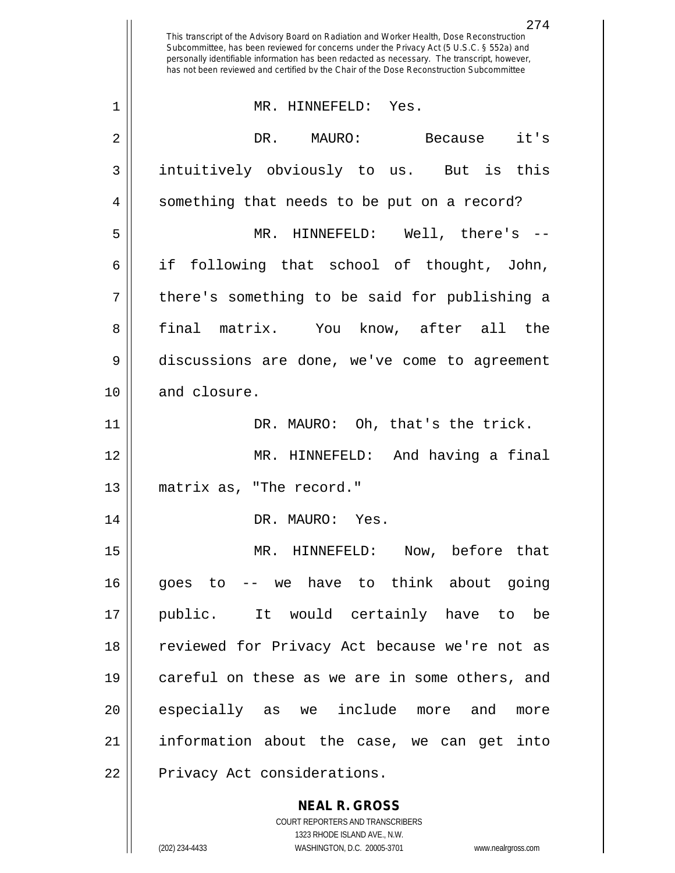|    | 274<br>This transcript of the Advisory Board on Radiation and Worker Health, Dose Reconstruction<br>Subcommittee, has been reviewed for concerns under the Privacy Act (5 U.S.C. § 552a) and<br>personally identifiable information has been redacted as necessary. The transcript, however,<br>has not been reviewed and certified by the Chair of the Dose Reconstruction Subcommittee |
|----|------------------------------------------------------------------------------------------------------------------------------------------------------------------------------------------------------------------------------------------------------------------------------------------------------------------------------------------------------------------------------------------|
| 1  | MR. HINNEFELD: Yes.                                                                                                                                                                                                                                                                                                                                                                      |
| 2  | DR. MAURO:<br>it's<br>Because                                                                                                                                                                                                                                                                                                                                                            |
| 3  | intuitively obviously to us. But is<br>this                                                                                                                                                                                                                                                                                                                                              |
| 4  | something that needs to be put on a record?                                                                                                                                                                                                                                                                                                                                              |
| 5  | MR. HINNEFELD: Well, there's --                                                                                                                                                                                                                                                                                                                                                          |
| 6  | if<br>following that school of thought, John,                                                                                                                                                                                                                                                                                                                                            |
| 7  | there's something to be said for publishing a                                                                                                                                                                                                                                                                                                                                            |
| 8  | final matrix. You know, after all<br>the                                                                                                                                                                                                                                                                                                                                                 |
| 9  | discussions are done, we've come to agreement                                                                                                                                                                                                                                                                                                                                            |
| 10 | and closure.                                                                                                                                                                                                                                                                                                                                                                             |
| 11 | DR. MAURO: Oh, that's the trick.                                                                                                                                                                                                                                                                                                                                                         |
| 12 | And having a final<br>MR. HINNEFELD:                                                                                                                                                                                                                                                                                                                                                     |
| 13 | matrix as, "The record."                                                                                                                                                                                                                                                                                                                                                                 |
| 14 | DR. MAURO: Yes.                                                                                                                                                                                                                                                                                                                                                                          |
| 15 | MR. HINNEFELD: Now, before that                                                                                                                                                                                                                                                                                                                                                          |
| 16 | goes to -- we have to think about going                                                                                                                                                                                                                                                                                                                                                  |
| 17 | public. It would certainly have to be                                                                                                                                                                                                                                                                                                                                                    |
| 18 | reviewed for Privacy Act because we're not as                                                                                                                                                                                                                                                                                                                                            |
| 19 | careful on these as we are in some others, and                                                                                                                                                                                                                                                                                                                                           |
| 20 | especially as we include more and<br>more                                                                                                                                                                                                                                                                                                                                                |
| 21 | information about the case, we can get into                                                                                                                                                                                                                                                                                                                                              |
| 22 | Privacy Act considerations.                                                                                                                                                                                                                                                                                                                                                              |
|    | <b>NEAL R. GROSS</b><br>COURT REPORTERS AND TRANSCRIBERS                                                                                                                                                                                                                                                                                                                                 |

1323 RHODE ISLAND AVE., N.W.

 $\prod$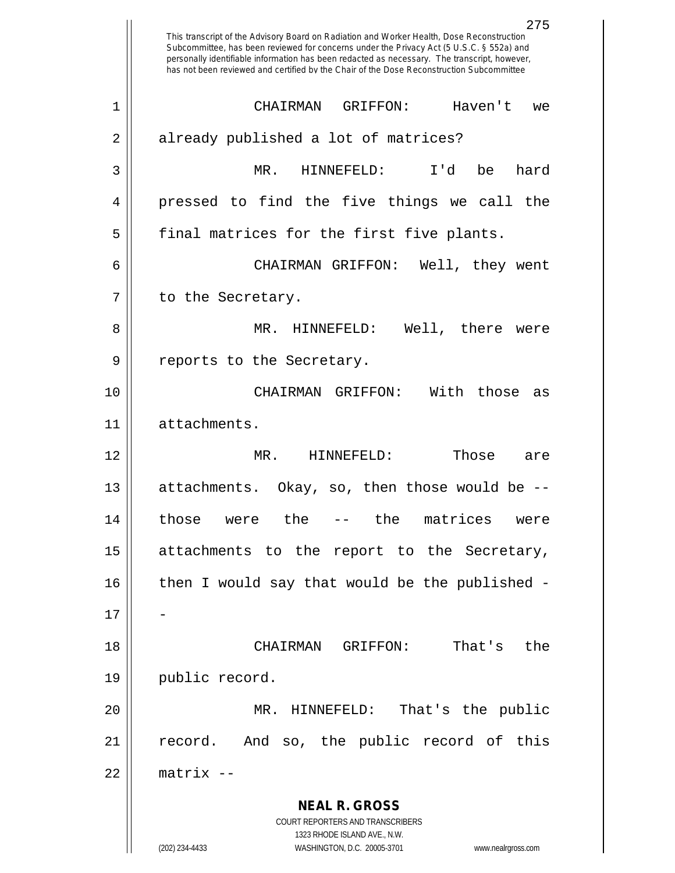**NEAL R. GROSS** COURT REPORTERS AND TRANSCRIBERS 1323 RHODE ISLAND AVE., N.W. (202) 234-4433 WASHINGTON, D.C. 20005-3701 www.nealrgross.com 275 This transcript of the Advisory Board on Radiation and Worker Health, Dose Reconstruction Subcommittee, has been reviewed for concerns under the Privacy Act (5 U.S.C. § 552a) and personally identifiable information has been redacted as necessary. The transcript, however, has not been reviewed and certified by the Chair of the Dose Reconstruction Subcommittee 1 CHAIRMAN GRIFFON: Haven't we 2 | already published a lot of matrices? 3 MR. HINNEFELD: I'd be hard 4 || pressed to find the five things we call the 5 || final matrices for the first five plants. 6 CHAIRMAN GRIFFON: Well, they went 7 | to the Secretary. 8 MR. HINNEFELD: Well, there were 9 || reports to the Secretary. 10 CHAIRMAN GRIFFON: With those as 11 attachments. 12 MR. HINNEFELD: Those are 13 attachments. Okay, so, then those would be -- 14 those were the -- the matrices were  $15$  attachments to the report to the Secretary,  $16$  | then I would say that would be the published - $17$ 18 CHAIRMAN GRIFFON: That's the 19 | public record. 20 MR. HINNEFELD: That's the public 21 || record. And so, the public record of this 22 matrix --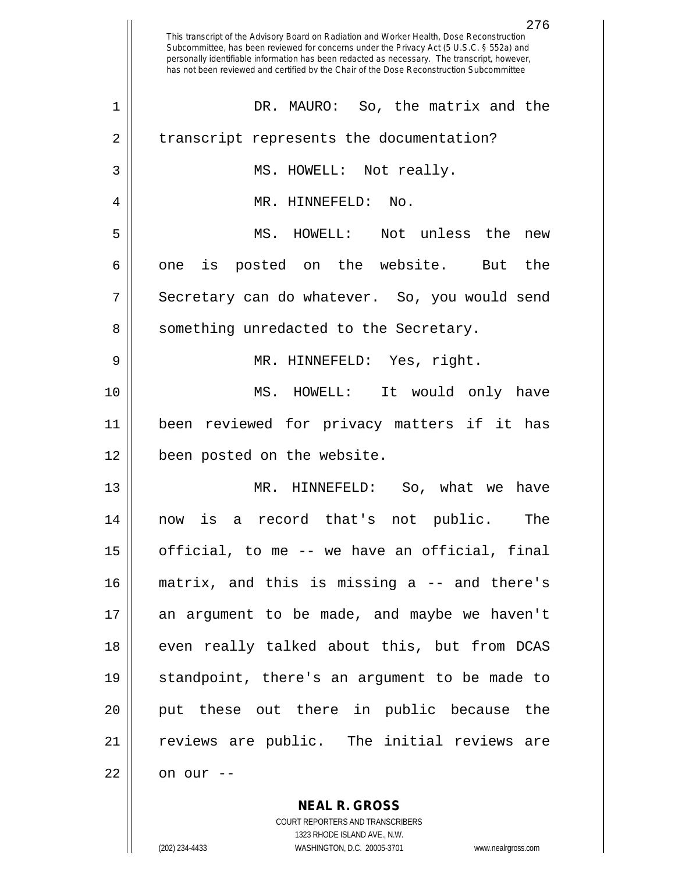|    | 276<br>This transcript of the Advisory Board on Radiation and Worker Health, Dose Reconstruction<br>Subcommittee, has been reviewed for concerns under the Privacy Act (5 U.S.C. § 552a) and<br>personally identifiable information has been redacted as necessary. The transcript, however,<br>has not been reviewed and certified by the Chair of the Dose Reconstruction Subcommittee |
|----|------------------------------------------------------------------------------------------------------------------------------------------------------------------------------------------------------------------------------------------------------------------------------------------------------------------------------------------------------------------------------------------|
| 1  | DR. MAURO: So, the matrix and the                                                                                                                                                                                                                                                                                                                                                        |
| 2  | transcript represents the documentation?                                                                                                                                                                                                                                                                                                                                                 |
| 3  | MS. HOWELL: Not really.                                                                                                                                                                                                                                                                                                                                                                  |
| 4  | MR. HINNEFELD:<br>No.                                                                                                                                                                                                                                                                                                                                                                    |
| 5  | MS. HOWELL:<br>Not unless the<br>new                                                                                                                                                                                                                                                                                                                                                     |
| 6  | posted on the website.<br>the<br>is<br>But<br>one                                                                                                                                                                                                                                                                                                                                        |
| 7  | Secretary can do whatever. So, you would send                                                                                                                                                                                                                                                                                                                                            |
| 8  | something unredacted to the Secretary.                                                                                                                                                                                                                                                                                                                                                   |
| 9  | MR. HINNEFELD: Yes, right.                                                                                                                                                                                                                                                                                                                                                               |
| 10 | MS. HOWELL: It would only have                                                                                                                                                                                                                                                                                                                                                           |
| 11 | been reviewed for privacy matters if it has                                                                                                                                                                                                                                                                                                                                              |
| 12 | been posted on the website.                                                                                                                                                                                                                                                                                                                                                              |
| 13 | MR. HINNEFELD:<br>So, what we<br>have                                                                                                                                                                                                                                                                                                                                                    |
| 14 | now is a record that's not public.<br>The                                                                                                                                                                                                                                                                                                                                                |
| 15 | official, to me -- we have an official, final                                                                                                                                                                                                                                                                                                                                            |
| 16 | matrix, and this is missing a -- and there's                                                                                                                                                                                                                                                                                                                                             |
| 17 | an argument to be made, and maybe we haven't                                                                                                                                                                                                                                                                                                                                             |
| 18 | even really talked about this, but from DCAS                                                                                                                                                                                                                                                                                                                                             |
| 19 | standpoint, there's an argument to be made to                                                                                                                                                                                                                                                                                                                                            |
| 20 | put these out there in public because the                                                                                                                                                                                                                                                                                                                                                |
| 21 | reviews are public. The initial reviews are                                                                                                                                                                                                                                                                                                                                              |
| 22 | on our --                                                                                                                                                                                                                                                                                                                                                                                |
|    | <b>NEAL R. GROSS</b>                                                                                                                                                                                                                                                                                                                                                                     |

COURT REPORTERS AND TRANSCRIBERS 1323 RHODE ISLAND AVE., N.W.

 $\mathsf{II}$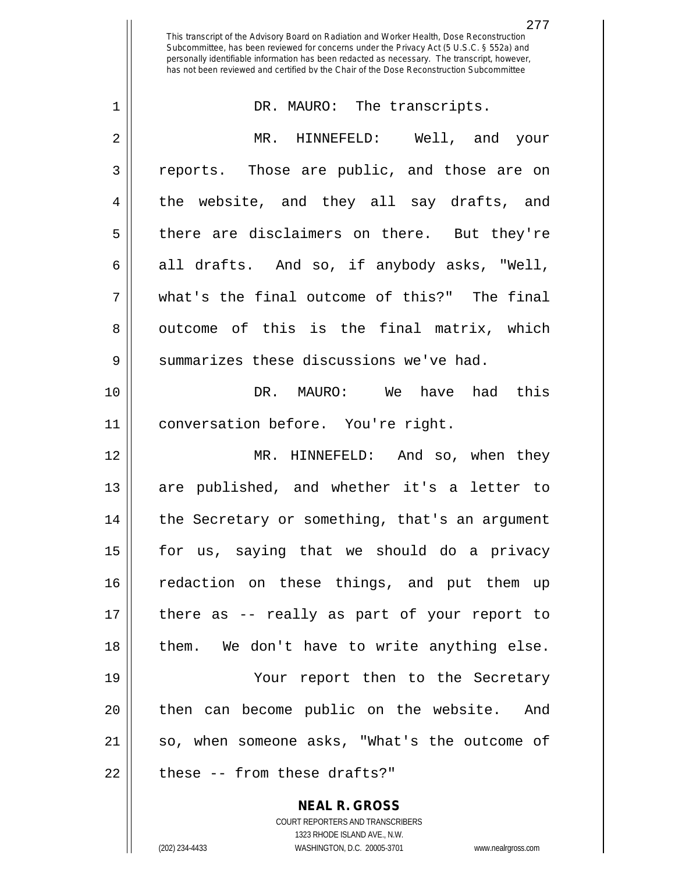This transcript of the Advisory Board on Radiation and Worker Health, Dose Reconstruction Subcommittee, has been reviewed for concerns under the Privacy Act (5 U.S.C. § 552a) and personally identifiable information has been redacted as necessary. The transcript, however, has not been reviewed and certified by the Chair of the Dose Reconstruction Subcommittee

| $\mathbf 1$ | DR. MAURO: The transcripts.                    |
|-------------|------------------------------------------------|
| 2           | MR. HINNEFELD: Well, and your                  |
| 3           | reports. Those are public, and those are on    |
| 4           | the website, and they all say drafts, and      |
| 5           | there are disclaimers on there. But they're    |
| 6           | all drafts. And so, if anybody asks, "Well,    |
| 7           | what's the final outcome of this?" The final   |
| 8           | outcome of this is the final matrix, which     |
| 9           | summarizes these discussions we've had.        |
| 10          | DR. MAURO: We have had this                    |
| 11          | conversation before. You're right.             |
| 12          | MR. HINNEFELD: And so, when they               |
| 13          | are published, and whether it's a letter to    |
| 14          | the Secretary or something, that's an argument |
| 15          | for us, saying that we should do a privacy     |
| 16          | redaction on these things, and put them up     |
| 17          | there as -- really as part of your report to   |
| 18          | them. We don't have to write anything else.    |
| 19          | Your report then to the Secretary              |
| 20          | then can become public on the website. And     |
| 21          | so, when someone asks, "What's the outcome of  |
| 22          | these -- from these drafts?"                   |
|             | <b>NEAL R. GROSS</b>                           |

COURT REPORTERS AND TRANSCRIBERS 1323 RHODE ISLAND AVE., N.W.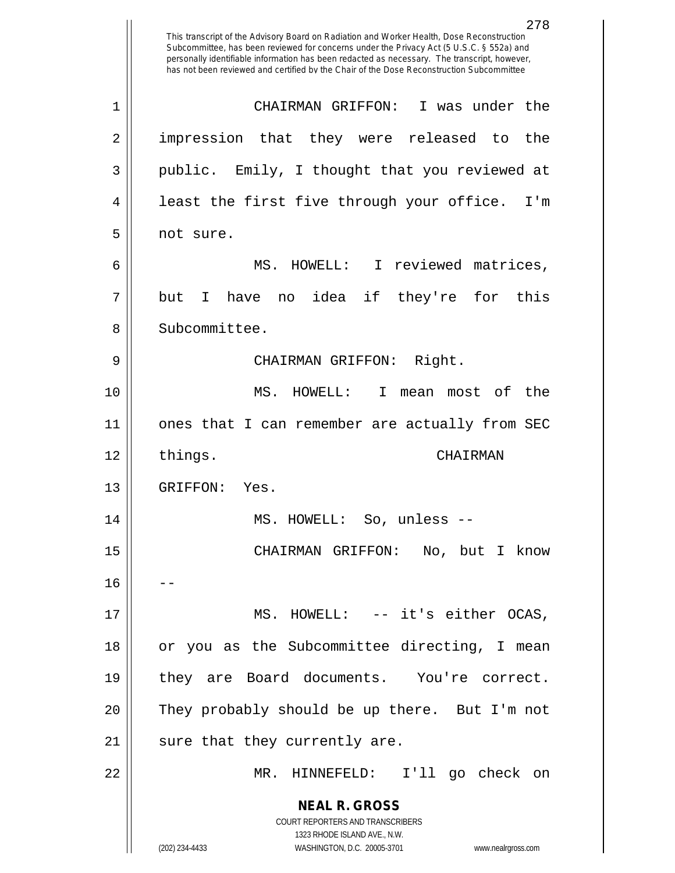|              | 278<br>This transcript of the Advisory Board on Radiation and Worker Health, Dose Reconstruction<br>Subcommittee, has been reviewed for concerns under the Privacy Act (5 U.S.C. § 552a) and<br>personally identifiable information has been redacted as necessary. The transcript, however,<br>has not been reviewed and certified by the Chair of the Dose Reconstruction Subcommittee |
|--------------|------------------------------------------------------------------------------------------------------------------------------------------------------------------------------------------------------------------------------------------------------------------------------------------------------------------------------------------------------------------------------------------|
| $\mathbf{1}$ | CHAIRMAN GRIFFON:<br>I was under the                                                                                                                                                                                                                                                                                                                                                     |
| 2            | impression that they were released to the                                                                                                                                                                                                                                                                                                                                                |
| 3            | public. Emily, I thought that you reviewed at                                                                                                                                                                                                                                                                                                                                            |
| 4            | least the first five through your office.<br>I'm                                                                                                                                                                                                                                                                                                                                         |
| 5            | not sure.                                                                                                                                                                                                                                                                                                                                                                                |
| 6            | HOWELL: I reviewed matrices,<br>MS.                                                                                                                                                                                                                                                                                                                                                      |
| 7            | no idea if they're<br>for<br>this<br>but<br>T.<br>have                                                                                                                                                                                                                                                                                                                                   |
| 8            | Subcommittee.                                                                                                                                                                                                                                                                                                                                                                            |
| 9            | Right.<br>CHAIRMAN GRIFFON:                                                                                                                                                                                                                                                                                                                                                              |
| 10           | MS.<br>I.<br>most of the<br>HOWELL:<br>mean                                                                                                                                                                                                                                                                                                                                              |
| 11           | ones that I can remember are actually from SEC                                                                                                                                                                                                                                                                                                                                           |
| 12           | things.<br>CHATRMAN                                                                                                                                                                                                                                                                                                                                                                      |
| 13           | GRIFFON:<br>Yes.                                                                                                                                                                                                                                                                                                                                                                         |
| 14           | MS. HOWELL: So, unless --                                                                                                                                                                                                                                                                                                                                                                |
|              |                                                                                                                                                                                                                                                                                                                                                                                          |
| 15           | CHAIRMAN GRIFFON: No, but I know                                                                                                                                                                                                                                                                                                                                                         |
| 16           |                                                                                                                                                                                                                                                                                                                                                                                          |
| 17           | MS. HOWELL: -- it's either OCAS,                                                                                                                                                                                                                                                                                                                                                         |
| 18           | or you as the Subcommittee directing, I mean                                                                                                                                                                                                                                                                                                                                             |
| 19           | they are Board documents. You're correct.                                                                                                                                                                                                                                                                                                                                                |
| 20           | They probably should be up there. But I'm not                                                                                                                                                                                                                                                                                                                                            |
| 21           | sure that they currently are.                                                                                                                                                                                                                                                                                                                                                            |
| 22           | MR. HINNEFELD: I'll go check on                                                                                                                                                                                                                                                                                                                                                          |
|              | <b>NEAL R. GROSS</b>                                                                                                                                                                                                                                                                                                                                                                     |
|              | COURT REPORTERS AND TRANSCRIBERS<br>1323 RHODE ISLAND AVE., N.W.                                                                                                                                                                                                                                                                                                                         |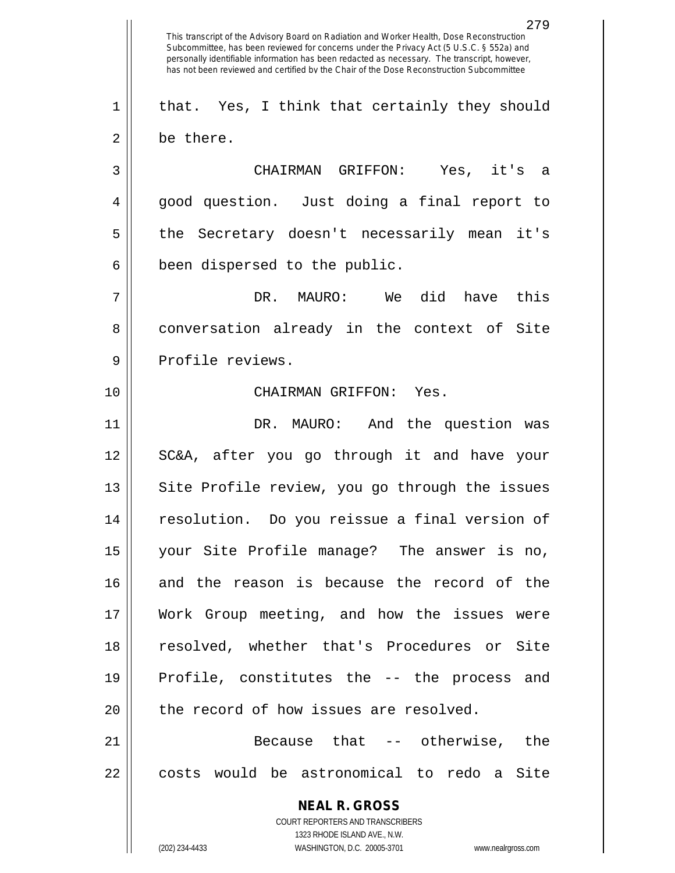**NEAL R. GROSS** COURT REPORTERS AND TRANSCRIBERS 1323 RHODE ISLAND AVE., N.W. (202) 234-4433 WASHINGTON, D.C. 20005-3701 www.nealrgross.com This transcript of the Advisory Board on Radiation and Worker Health, Dose Reconstruction Subcommittee, has been reviewed for concerns under the Privacy Act (5 U.S.C. § 552a) and personally identifiable information has been redacted as necessary. The transcript, however, has not been reviewed and certified by the Chair of the Dose Reconstruction Subcommittee  $1 \parallel$  that. Yes, I think that certainly they should 2 | be there. 3 CHAIRMAN GRIFFON: Yes, it's a 4 good question. Just doing a final report to 5 the Secretary doesn't necessarily mean it's  $6 \parallel$  been dispersed to the public. 7 DR. MAURO: We did have this 8 conversation already in the context of Site 9 || Profile reviews. 10 CHAIRMAN GRIFFON: Yes. 11 DR. MAURO: And the question was 12 || SC&A, after you go through it and have your 13 || Site Profile review, you go through the issues 14 resolution. Do you reissue a final version of 15 your Site Profile manage? The answer is no, 16 and the reason is because the record of the 17 Work Group meeting, and how the issues were 18 resolved, whether that's Procedures or Site 19 || Profile, constitutes the -- the process and  $20$  || the record of how issues are resolved. 21 || **Because** that -- otherwise, the 22 || costs would be astronomical to redo a Site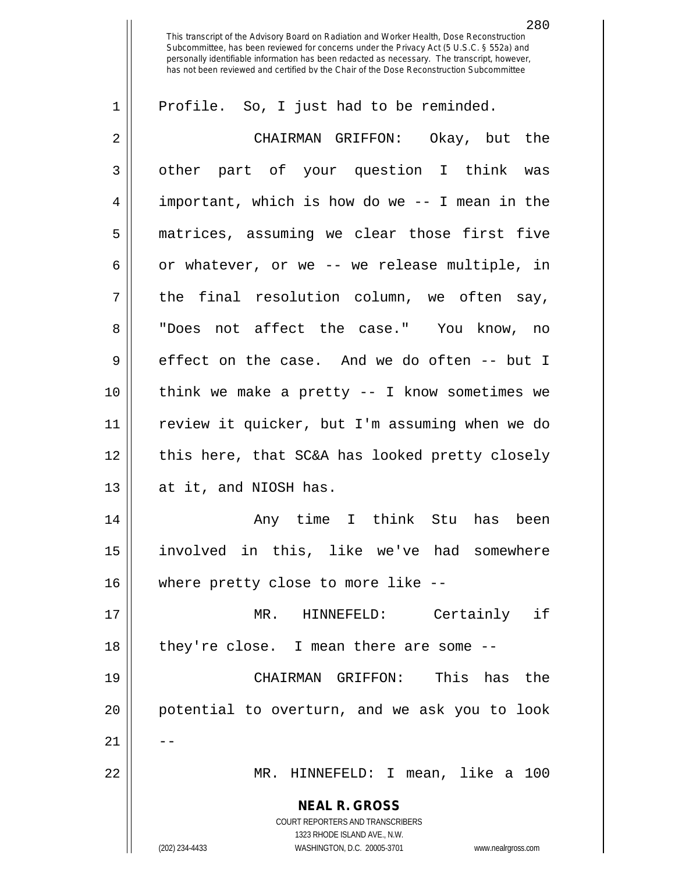This transcript of the Advisory Board on Radiation and Worker Health, Dose Reconstruction Subcommittee, has been reviewed for concerns under the Privacy Act (5 U.S.C. § 552a) and personally identifiable information has been redacted as necessary. The transcript, however, has not been reviewed and certified by the Chair of the Dose Reconstruction Subcommittee

| 1              | Profile. So, I just had to be reminded.                                                                                                                         |
|----------------|-----------------------------------------------------------------------------------------------------------------------------------------------------------------|
| 2              | CHAIRMAN GRIFFON: Okay, but the                                                                                                                                 |
| $\mathfrak{Z}$ | other part of your question I think was                                                                                                                         |
| 4              | important, which is how do we -- I mean in the                                                                                                                  |
| 5              | matrices, assuming we clear those first five                                                                                                                    |
| 6              | or whatever, or we -- we release multiple, in                                                                                                                   |
| 7              | the final resolution column, we often say,                                                                                                                      |
| 8              | "Does not affect the case." You know, no                                                                                                                        |
| 9              | effect on the case. And we do often -- but I                                                                                                                    |
| 10             | think we make a pretty $--$ I know sometimes we                                                                                                                 |
| 11             | review it quicker, but I'm assuming when we do                                                                                                                  |
| 12             | this here, that SC&A has looked pretty closely                                                                                                                  |
| 13             | at it, and NIOSH has.                                                                                                                                           |
| 14             | Any time I think Stu has been                                                                                                                                   |
| 15             | involved in this, like we've had somewhere                                                                                                                      |
| 16             | where pretty close to more like --                                                                                                                              |
| 17             | Certainly if<br>MR. HINNEFELD:                                                                                                                                  |
| 18             | they're close. I mean there are some --                                                                                                                         |
| 19             | CHAIRMAN GRIFFON: This has the                                                                                                                                  |
| 20             | potential to overturn, and we ask you to look                                                                                                                   |
| 21             |                                                                                                                                                                 |
| 22             | MR. HINNEFELD: I mean, like a 100                                                                                                                               |
|                | <b>NEAL R. GROSS</b><br>COURT REPORTERS AND TRANSCRIBERS<br>1323 RHODE ISLAND AVE., N.W.<br>(202) 234-4433<br>WASHINGTON, D.C. 20005-3701<br>www.nealrgross.com |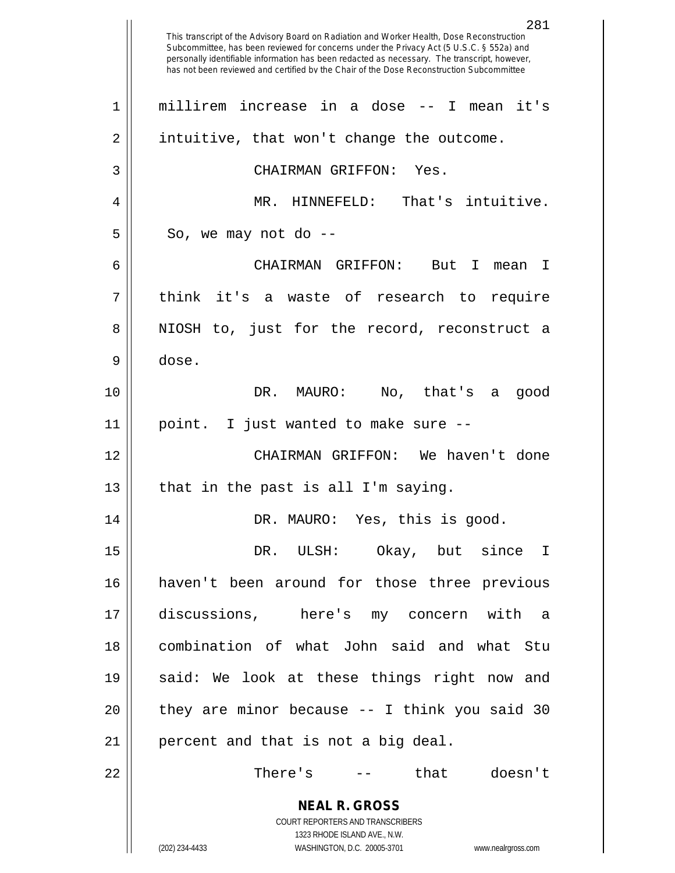**NEAL R. GROSS** COURT REPORTERS AND TRANSCRIBERS 1323 RHODE ISLAND AVE., N.W. (202) 234-4433 WASHINGTON, D.C. 20005-3701 www.nealrgross.com This transcript of the Advisory Board on Radiation and Worker Health, Dose Reconstruction Subcommittee, has been reviewed for concerns under the Privacy Act (5 U.S.C. § 552a) and personally identifiable information has been redacted as necessary. The transcript, however, has not been reviewed and certified by the Chair of the Dose Reconstruction Subcommittee millirem increase in a dose -- I mean it's 2 | intuitive, that won't change the outcome. CHAIRMAN GRIFFON: Yes. MR. HINNEFELD: That's intuitive.  $5 \parallel$  So, we may not do -- CHAIRMAN GRIFFON: But I mean I think it's a waste of research to require 8 NIOSH to, just for the record, reconstruct a dose. DR. MAURO: No, that's a good point. I just wanted to make sure -- CHAIRMAN GRIFFON: We haven't done | that in the past is all I'm saying. DR. MAURO: Yes, this is good. DR. ULSH: Okay, but since I haven't been around for those three previous discussions, here's my concern with a combination of what John said and what Stu 19 || said: We look at these things right now and || they are minor because  $-$  I think you said 30 | percent and that is not a big deal. There's -- that doesn't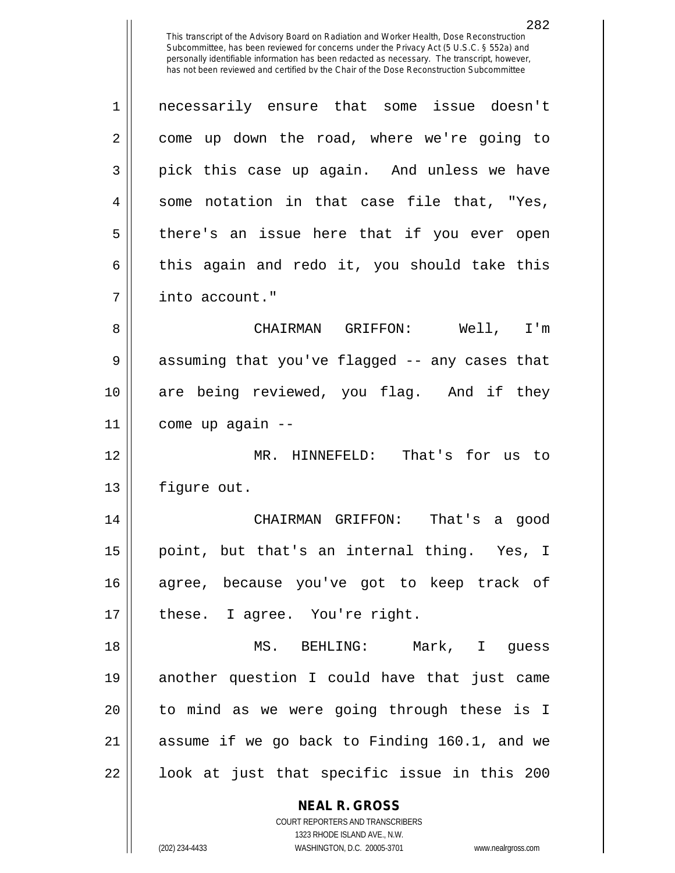This transcript of the Advisory Board on Radiation and Worker Health, Dose Reconstruction Subcommittee, has been reviewed for concerns under the Privacy Act (5 U.S.C. § 552a) and personally identifiable information has been redacted as necessary. The transcript, however, has not been reviewed and certified by the Chair of the Dose Reconstruction Subcommittee

1 necessarily ensure that some issue doesn't 2 come up down the road, where we're going to 3 pick this case up again. And unless we have  $4 \parallel$  some notation in that case file that, "Yes, 5 || there's an issue here that if you ever open  $6 \parallel$  this again and redo it, you should take this 7 | into account." 8 CHAIRMAN GRIFFON: Well, I'm 9 || assuming that you've flagged -- any cases that 10 are being reviewed, you flag. And if they

 $11$  | come up again  $-$ 

12 MR. HINNEFELD: That's for us to 13 | figure out.

 CHAIRMAN GRIFFON: That's a good point, but that's an internal thing. Yes, I agree, because you've got to keep track of  $17 \parallel$  these. I agree. You're right.

 MS. BEHLING: Mark, I guess another question I could have that just came 20 || to mind as we were going through these is I assume if we go back to Finding 160.1, and we ||  $100k$  at just that specific issue in this 200

> **NEAL R. GROSS** COURT REPORTERS AND TRANSCRIBERS

> > 1323 RHODE ISLAND AVE., N.W.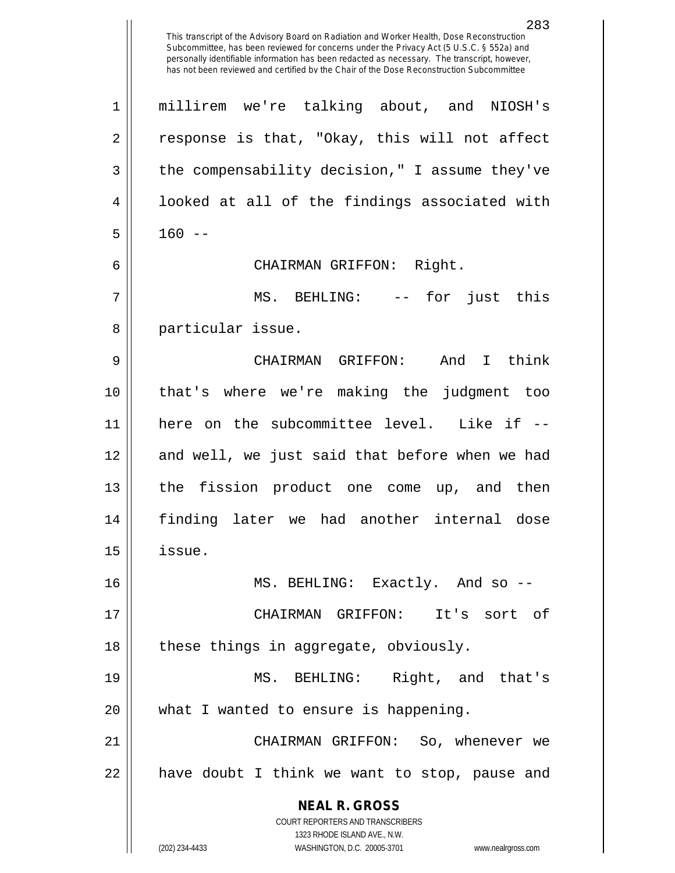This transcript of the Advisory Board on Radiation and Worker Health, Dose Reconstruction Subcommittee, has been reviewed for concerns under the Privacy Act (5 U.S.C. § 552a) and personally identifiable information has been redacted as necessary. The transcript, however, has not been reviewed and certified by the Chair of the Dose Reconstruction Subcommittee

**NEAL R. GROSS** COURT REPORTERS AND TRANSCRIBERS 1323 RHODE ISLAND AVE., N.W. (202) 234-4433 WASHINGTON, D.C. 20005-3701 www.nealrgross.com 1 millirem we're talking about, and NIOSH's  $2 \parallel$  response is that, "Okay, this will not affect 3 | the compensability decision," I assume they've  $4 \parallel$  looked at all of the findings associated with  $5 \parallel 160 -$ 6 CHAIRMAN GRIFFON: Right. 7 MS. BEHLING: -- for just this 8 || particular issue. 9 CHAIRMAN GRIFFON: And I think 10 that's where we're making the judgment too 11 here on the subcommittee level. Like if -- 12 || and well, we just said that before when we had 13 the fission product one come up, and then 14 finding later we had another internal dose  $15$  | issue. 16 MS. BEHLING: Exactly. And so -- 17 CHAIRMAN GRIFFON: It's sort of  $18$  || these things in aggregate, obviously. 19 || MS. BEHLING: Right, and that's 20 || what I wanted to ensure is happening. 21 CHAIRMAN GRIFFON: So, whenever we 22 || have doubt I think we want to stop, pause and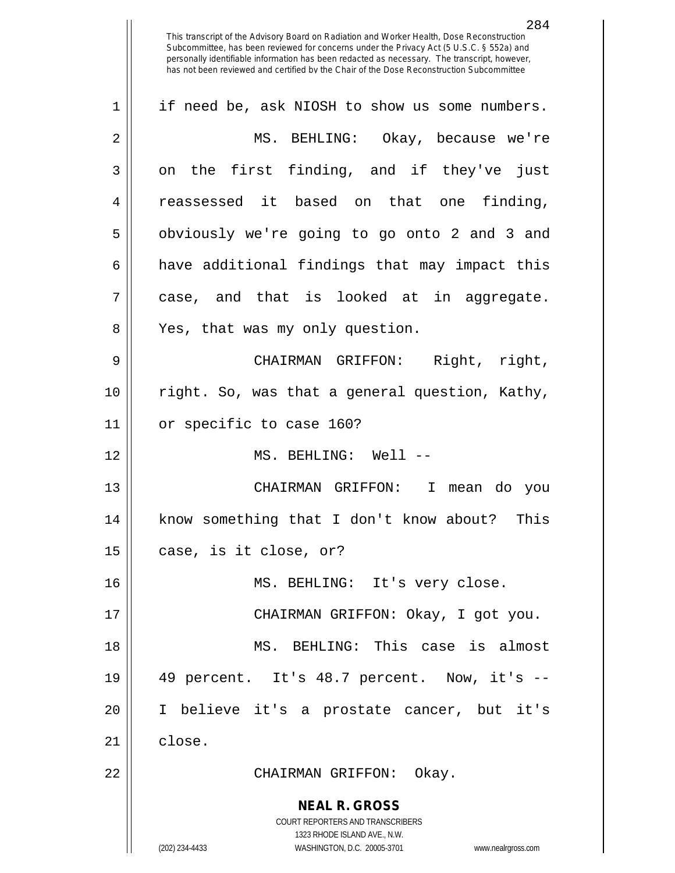This transcript of the Advisory Board on Radiation and Worker Health, Dose Reconstruction Subcommittee, has been reviewed for concerns under the Privacy Act (5 U.S.C. § 552a) and personally identifiable information has been redacted as necessary. The transcript, however, has not been reviewed and certified by the Chair of the Dose Reconstruction Subcommittee 1 || if need be, ask NIOSH to show us some numbers. 2 MS. BEHLING: Okay, because we're  $3 \parallel$  on the first finding, and if they've just

4 || reassessed it based on that one finding, 5 || obviously we're going to go onto 2 and 3 and  $6 \parallel$  have additional findings that may impact this  $7 \parallel$  case, and that is looked at in aggregate. 8 || Yes, that was my only question.

9 CHAIRMAN GRIFFON: Right, right, 10 right. So, was that a general question, Kathy, 11 or specific to case 160?

12 MS. BEHLING: Well --

13 CHAIRMAN GRIFFON: I mean do you 14 know something that I don't know about? This  $15$  | case, is it close, or?

16 MS. BEHLING: It's very close.

 CHAIRMAN GRIFFON: Okay, I got you. MS. BEHLING: This case is almost 49 percent. It's 48.7 percent. Now, it's -- I believe it's a prostate cancer, but it's 21 | close.

22 CHAIRMAN GRIFFON: Okay.

**NEAL R. GROSS**

COURT REPORTERS AND TRANSCRIBERS 1323 RHODE ISLAND AVE., N.W. (202) 234-4433 WASHINGTON, D.C. 20005-3701 www.nealrgross.com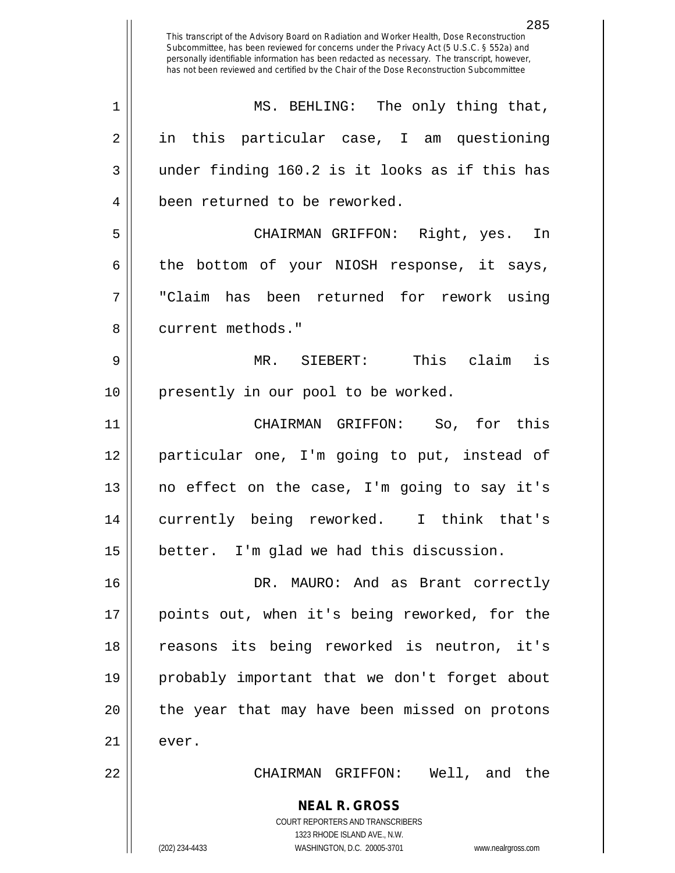**NEAL R. GROSS** COURT REPORTERS AND TRANSCRIBERS 1323 RHODE ISLAND AVE., N.W. This transcript of the Advisory Board on Radiation and Worker Health, Dose Reconstruction Subcommittee, has been reviewed for concerns under the Privacy Act (5 U.S.C. § 552a) and personally identifiable information has been redacted as necessary. The transcript, however, has not been reviewed and certified by the Chair of the Dose Reconstruction Subcommittee 1 || MS. BEHLING: The only thing that, 2 in this particular case, I am questioning  $3 \parallel$  under finding 160.2 is it looks as if this has 4 | been returned to be reworked. 5 CHAIRMAN GRIFFON: Right, yes. In  $6 \parallel$  the bottom of your NIOSH response, it says, 7 "Claim has been returned for rework using 8 || current methods." 9 MR. SIEBERT: This claim is 10 || presently in our pool to be worked. 11 CHAIRMAN GRIFFON: So, for this 12 particular one, I'm going to put, instead of 13 no effect on the case, I'm going to say it's 14 currently being reworked. I think that's 15 | better. I'm glad we had this discussion. 16 DR. MAURO: And as Brant correctly 17 points out, when it's being reworked, for the 18 || reasons its being reworked is neutron, it's 19 probably important that we don't forget about 20 || the year that may have been missed on protons  $21$   $\parallel$  ever. 22 CHAIRMAN GRIFFON: Well, and the

(202) 234-4433 WASHINGTON, D.C. 20005-3701 www.nealrgross.com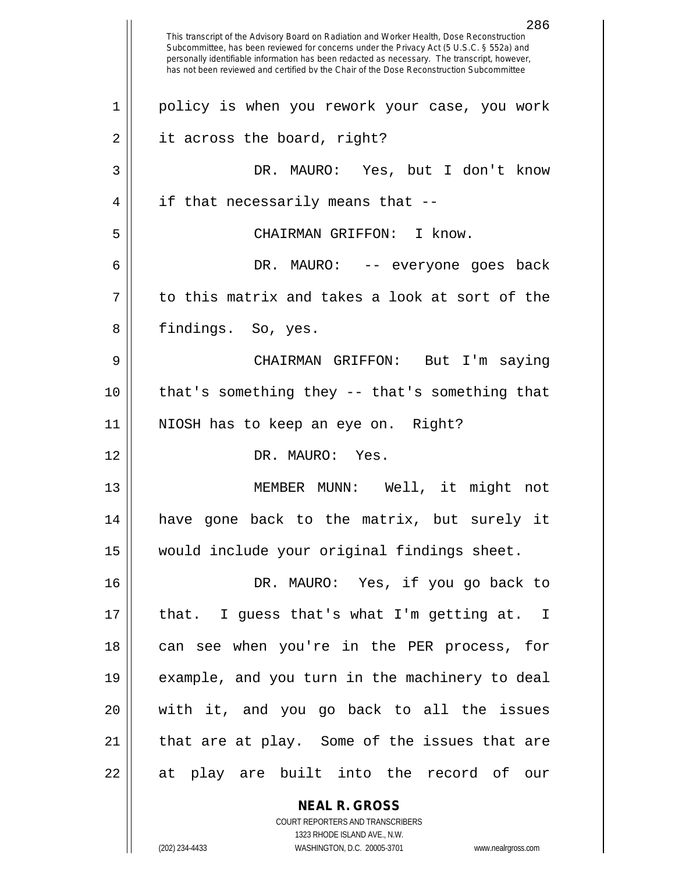**NEAL R. GROSS** 286 This transcript of the Advisory Board on Radiation and Worker Health, Dose Reconstruction Subcommittee, has been reviewed for concerns under the Privacy Act (5 U.S.C. § 552a) and personally identifiable information has been redacted as necessary. The transcript, however, has not been reviewed and certified by the Chair of the Dose Reconstruction Subcommittee 1 policy is when you rework your case, you work 2 | it across the board, right? 3 DR. MAURO: Yes, but I don't know  $4 \parallel$  if that necessarily means that --5 CHAIRMAN GRIFFON: I know. 6 DR. MAURO: -- everyone goes back  $7 \parallel$  to this matrix and takes a look at sort of the 8 || findings. So, yes. 9 CHAIRMAN GRIFFON: But I'm saying 10 that's something they -- that's something that 11 NIOSH has to keep an eye on. Right? 12 DR. MAURO: Yes. 13 MEMBER MUNN: Well, it might not 14 have gone back to the matrix, but surely it 15 would include your original findings sheet. 16 || DR. MAURO: Yes, if you go back to 17 that. I guess that's what I'm getting at. I 18 || can see when you're in the PER process, for 19 || example, and you turn in the machinery to deal 20 with it, and you go back to all the issues  $21$  || that are at play. Some of the issues that are 22 || at play are built into the record of our

> COURT REPORTERS AND TRANSCRIBERS 1323 RHODE ISLAND AVE., N.W.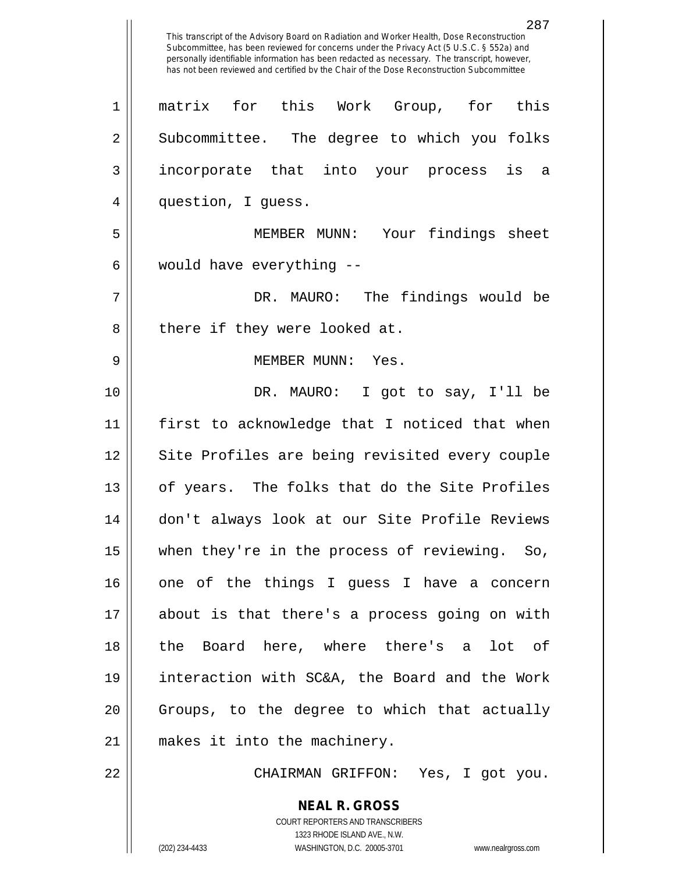**NEAL R. GROSS** 287 This transcript of the Advisory Board on Radiation and Worker Health, Dose Reconstruction Subcommittee, has been reviewed for concerns under the Privacy Act (5 U.S.C. § 552a) and personally identifiable information has been redacted as necessary. The transcript, however, has not been reviewed and certified by the Chair of the Dose Reconstruction Subcommittee 1 matrix for this Work Group, for this 2 Subcommittee. The degree to which you folks 3 incorporate that into your process is a 4 || question, I guess. 5 MEMBER MUNN: Your findings sheet  $6 \parallel$  would have everything  $-$ 7 DR. MAURO: The findings would be 8 || there if they were looked at. 9 MEMBER MUNN: Yes. 10 DR. MAURO: I got to say, I'll be 11 first to acknowledge that I noticed that when 12 || Site Profiles are being revisited every couple 13 || of years. The folks that do the Site Profiles 14 don't always look at our Site Profile Reviews 15 when they're in the process of reviewing. So, 16 || one of the things I guess I have a concern 17 about is that there's a process going on with 18 the Board here, where there's a lot of 19 interaction with SC&A, the Board and the Work 20 Groups, to the degree to which that actually 21 makes it into the machinery. 22 CHAIRMAN GRIFFON: Yes, I got you.

> COURT REPORTERS AND TRANSCRIBERS 1323 RHODE ISLAND AVE., N.W.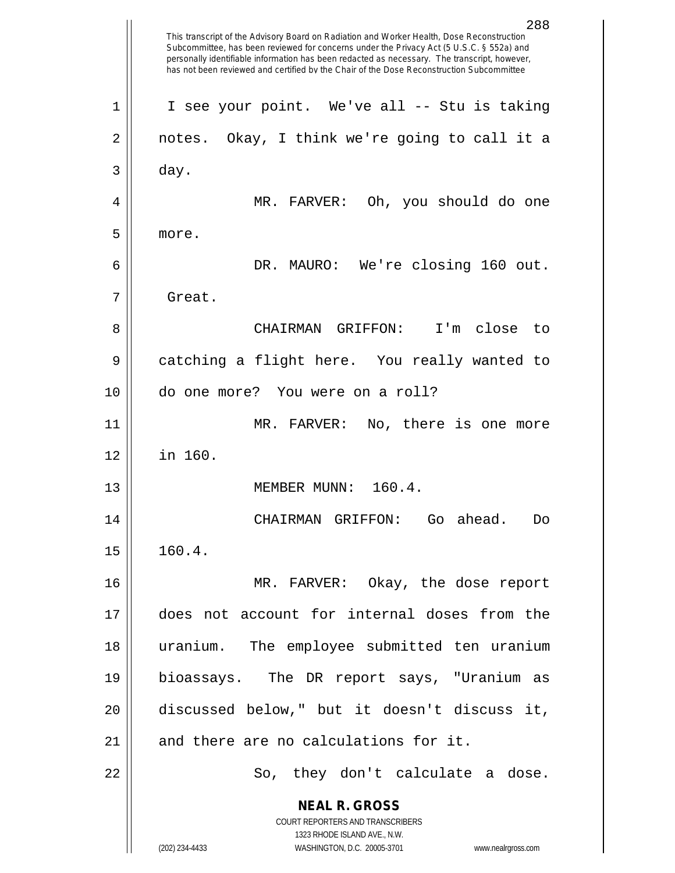**NEAL R. GROSS** COURT REPORTERS AND TRANSCRIBERS 1323 RHODE ISLAND AVE., N.W. (202) 234-4433 WASHINGTON, D.C. 20005-3701 www.nealrgross.com This transcript of the Advisory Board on Radiation and Worker Health, Dose Reconstruction Subcommittee, has been reviewed for concerns under the Privacy Act (5 U.S.C. § 552a) and personally identifiable information has been redacted as necessary. The transcript, however, has not been reviewed and certified by the Chair of the Dose Reconstruction Subcommittee 1 || I see your point. We've all -- Stu is taking 2 || notes. Okay, I think we're going to call it a  $3 \parallel$  day. 4 MR. FARVER: Oh, you should do one 5 more. 6 DR. MAURO: We're closing 160 out. 7 Great. 8 CHAIRMAN GRIFFON: I'm close to 9 catching a flight here. You really wanted to 10 do one more? You were on a roll? 11 MR. FARVER: No, there is one more 12 in 160. 13 || MEMBER MUNN: 160.4. 14 CHAIRMAN GRIFFON: Go ahead. Do  $15 \parallel 160.4.$ 16 MR. FARVER: Okay, the dose report 17 does not account for internal doses from the 18 uranium. The employee submitted ten uranium 19 bioassays. The DR report says, "Uranium as 20 discussed below," but it doesn't discuss it,  $21$  and there are no calculations for it. 22 || So, they don't calculate a dose.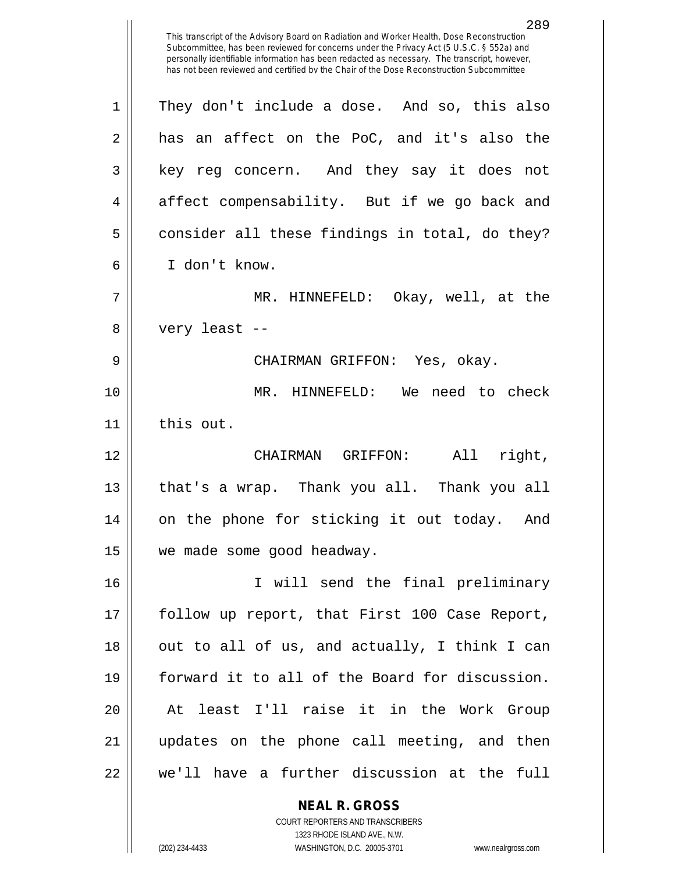**NEAL R. GROSS** 289 This transcript of the Advisory Board on Radiation and Worker Health, Dose Reconstruction Subcommittee, has been reviewed for concerns under the Privacy Act (5 U.S.C. § 552a) and personally identifiable information has been redacted as necessary. The transcript, however, has not been reviewed and certified by the Chair of the Dose Reconstruction Subcommittee 1 || They don't include a dose. And so, this also  $2 \parallel$  has an affect on the PoC, and it's also the 3 || key reg concern. And they say it does not 4 affect compensability. But if we go back and  $5 \parallel$  consider all these findings in total, do they? 6 I don't know. 7 MR. HINNEFELD: Okay, well, at the 8 || very least --9 CHAIRMAN GRIFFON: Yes, okay. 10 MR. HINNEFELD: We need to check 11 || this out. 12 CHAIRMAN GRIFFON: All right, 13 || that's a wrap. Thank you all. Thank you all 14 on the phone for sticking it out today. And 15 | we made some good headway. 16 I will send the final preliminary 17 follow up report, that First 100 Case Report, 18 || out to all of us, and actually, I think I can 19 forward it to all of the Board for discussion. 20 || At least I'll raise it in the Work Group 21 updates on the phone call meeting, and then 22 we'll have a further discussion at the full

> COURT REPORTERS AND TRANSCRIBERS 1323 RHODE ISLAND AVE., N.W.

(202) 234-4433 WASHINGTON, D.C. 20005-3701 www.nealrgross.com